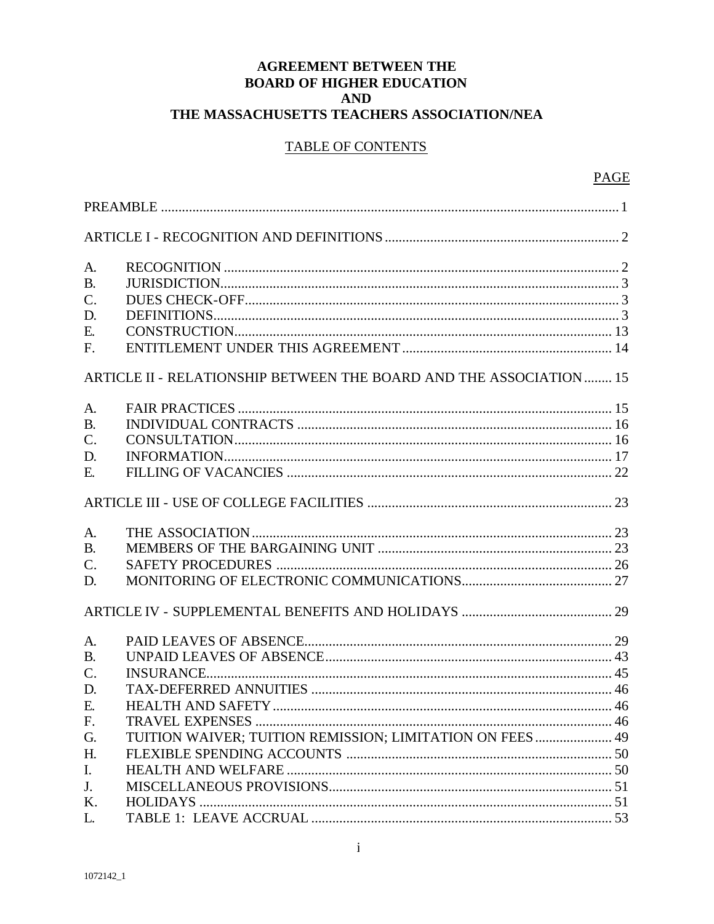# **AGREEMENT BETWEEN THE BOARD OF HIGHER EDUCATION AND** THE MASSACHUSETTS TEACHERS ASSOCIATION/NEA

| A.              |                                                                     |  |
|-----------------|---------------------------------------------------------------------|--|
| <b>B.</b>       |                                                                     |  |
| $C$ .           |                                                                     |  |
| D.              |                                                                     |  |
| E.              |                                                                     |  |
| F.              |                                                                     |  |
|                 | ARTICLE II - RELATIONSHIP BETWEEN THE BOARD AND THE ASSOCIATION  15 |  |
| A.              |                                                                     |  |
| <b>B.</b>       |                                                                     |  |
| $\mathcal{C}$ . |                                                                     |  |
| D.              |                                                                     |  |
| E.              |                                                                     |  |
|                 |                                                                     |  |
| A.              |                                                                     |  |
| <b>B.</b>       |                                                                     |  |
| $\mathcal{C}$ . |                                                                     |  |
| D.              |                                                                     |  |
|                 |                                                                     |  |
| A.              |                                                                     |  |
| <b>B.</b>       |                                                                     |  |
| $\mathcal{C}$ . |                                                                     |  |
| D.              |                                                                     |  |
| Е.              |                                                                     |  |
| F.              |                                                                     |  |
| G.              | TUITION WAIVER; TUITION REMISSION; LIMITATION ON FEES  49           |  |
| H.              |                                                                     |  |
| $\mathbf{I}$ .  |                                                                     |  |
| J.              |                                                                     |  |
| K.              |                                                                     |  |
| L.              |                                                                     |  |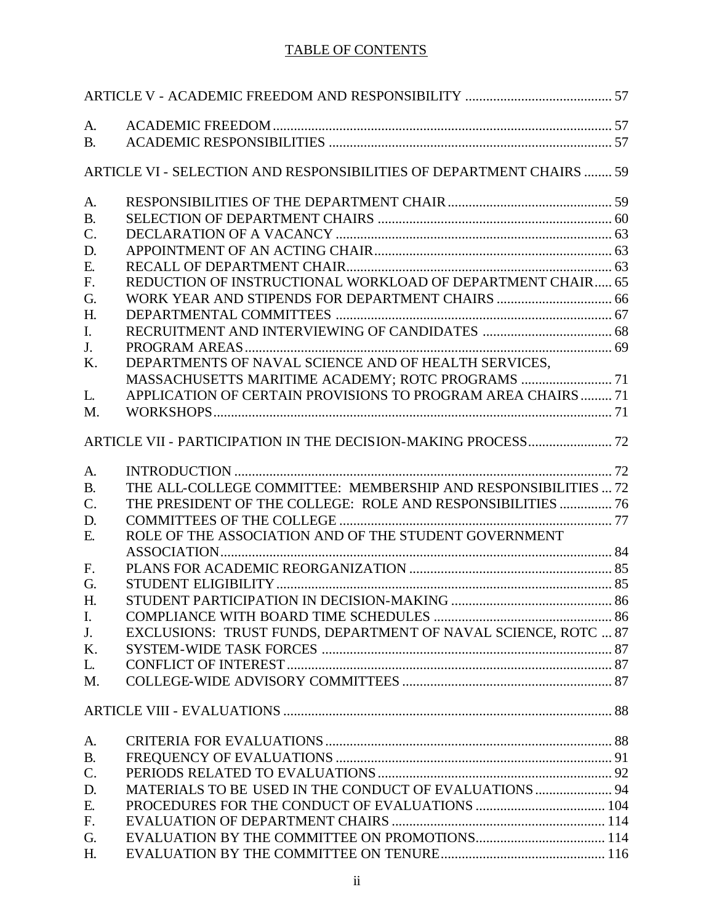| A.              |                                                                      |  |
|-----------------|----------------------------------------------------------------------|--|
| <b>B.</b>       |                                                                      |  |
|                 | ARTICLE VI - SELECTION AND RESPONSIBILITIES OF DEPARTMENT CHAIRS  59 |  |
| A.              |                                                                      |  |
| <b>B.</b>       |                                                                      |  |
| $\mathbf{C}$ .  |                                                                      |  |
| D.              |                                                                      |  |
| Ε.              |                                                                      |  |
| F.              | REDUCTION OF INSTRUCTIONAL WORKLOAD OF DEPARTMENT CHAIR 65           |  |
| G.              |                                                                      |  |
| H.              |                                                                      |  |
| I.              |                                                                      |  |
| J.              |                                                                      |  |
| K.              | DEPARTMENTS OF NAVAL SCIENCE AND OF HEALTH SERVICES,                 |  |
|                 |                                                                      |  |
| L.              | APPLICATION OF CERTAIN PROVISIONS TO PROGRAM AREA CHAIRS  71         |  |
| M.              |                                                                      |  |
|                 |                                                                      |  |
| A.              |                                                                      |  |
| <b>B.</b>       | THE ALL-COLLEGE COMMITTEE: MEMBERSHIP AND RESPONSIBILITIES  72       |  |
| $\mathcal{C}$ . | THE PRESIDENT OF THE COLLEGE: ROLE AND RESPONSIBILITIES  76          |  |
| D.              |                                                                      |  |
| E.              | ROLE OF THE ASSOCIATION AND OF THE STUDENT GOVERNMENT                |  |
|                 |                                                                      |  |
| F.              |                                                                      |  |
| G.              |                                                                      |  |
| H.              |                                                                      |  |
| I.              |                                                                      |  |
| J <sub>r</sub>  | EXCLUSIONS: TRUST FUNDS, DEPARTMENT OF NAVAL SCIENCE, ROTC  87       |  |
| Κ.              |                                                                      |  |
| L.              |                                                                      |  |
| M.              |                                                                      |  |
|                 |                                                                      |  |
| A.              |                                                                      |  |
| <b>B.</b>       |                                                                      |  |
| C.              |                                                                      |  |
| D.              | MATERIALS TO BE USED IN THE CONDUCT OF EVALUATIONS  94               |  |
| E.              |                                                                      |  |
| F.              |                                                                      |  |
| G.              |                                                                      |  |
| H.              |                                                                      |  |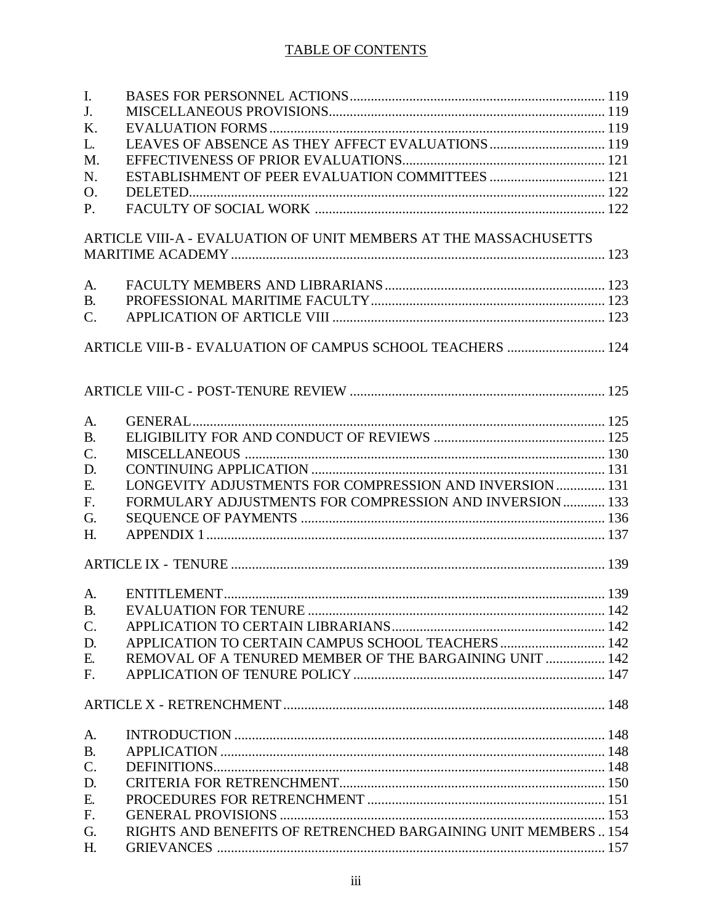| $\mathbf{I}$ .  |                                                                  |  |
|-----------------|------------------------------------------------------------------|--|
| J <sub>r</sub>  |                                                                  |  |
| K.              |                                                                  |  |
| L.              |                                                                  |  |
| M.              |                                                                  |  |
| N.              |                                                                  |  |
| O.              |                                                                  |  |
| <b>P.</b>       |                                                                  |  |
|                 | ARTICLE VIII-A - EVALUATION OF UNIT MEMBERS AT THE MASSACHUSETTS |  |
|                 |                                                                  |  |
| A.              |                                                                  |  |
| <b>B.</b>       |                                                                  |  |
| $C_{\cdot}$     |                                                                  |  |
|                 | ARTICLE VIII-B - EVALUATION OF CAMPUS SCHOOL TEACHERS  124       |  |
|                 |                                                                  |  |
| A.              |                                                                  |  |
| <b>B.</b>       |                                                                  |  |
| $\mathcal{C}$ . |                                                                  |  |
| D.              |                                                                  |  |
| E.              | LONGEVITY ADJUSTMENTS FOR COMPRESSION AND INVERSION  131         |  |
| F.              | FORMULARY ADJUSTMENTS FOR COMPRESSION AND INVERSION  133         |  |
| G.              |                                                                  |  |
| H <sub>1</sub>  |                                                                  |  |
|                 |                                                                  |  |
| A.              |                                                                  |  |
| <b>B.</b>       |                                                                  |  |
| $\mathcal{C}$ . |                                                                  |  |
| D.              | APPLICATION TO CERTAIN CAMPUS SCHOOL TEACHERS  142               |  |
| E.              | REMOVAL OF A TENURED MEMBER OF THE BARGAINING UNIT  142          |  |
| F.              |                                                                  |  |
|                 |                                                                  |  |
| A.              |                                                                  |  |
| <b>B.</b>       |                                                                  |  |
| $C$ .           |                                                                  |  |
| D.              |                                                                  |  |
| E.              |                                                                  |  |
| F.              |                                                                  |  |
| G.              | RIGHTS AND BENEFITS OF RETRENCHED BARGAINING UNIT MEMBERS  154   |  |
| H.              |                                                                  |  |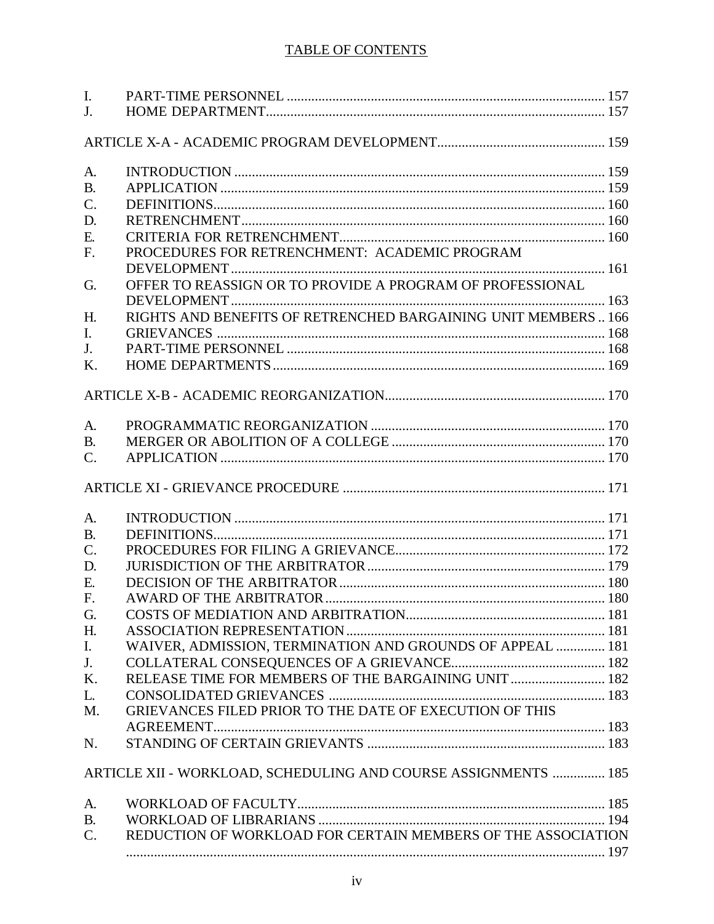| $\mathbf{I}$ .  |                                                                |  |
|-----------------|----------------------------------------------------------------|--|
| J <sub>r</sub>  |                                                                |  |
|                 |                                                                |  |
|                 |                                                                |  |
| A.              |                                                                |  |
| <b>B.</b>       |                                                                |  |
| $\mathcal{C}$ . |                                                                |  |
| D.              |                                                                |  |
| E.              |                                                                |  |
| F.              | PROCEDURES FOR RETRENCHMENT: ACADEMIC PROGRAM                  |  |
|                 |                                                                |  |
| G.              | OFFER TO REASSIGN OR TO PROVIDE A PROGRAM OF PROFESSIONAL      |  |
|                 |                                                                |  |
| H <sub>1</sub>  | RIGHTS AND BENEFITS OF RETRENCHED BARGAINING UNIT MEMBERS 166  |  |
| $\mathbf{I}$ .  |                                                                |  |
| J.              |                                                                |  |
| K.              |                                                                |  |
|                 |                                                                |  |
|                 |                                                                |  |
|                 |                                                                |  |
| A.              |                                                                |  |
| <b>B.</b>       |                                                                |  |
| $\mathcal{C}$ . |                                                                |  |
|                 |                                                                |  |
| A.              |                                                                |  |
| <b>B.</b>       |                                                                |  |
| $\mathcal{C}$ . |                                                                |  |
| D.              |                                                                |  |
| E.              |                                                                |  |
| F <sub>1</sub>  |                                                                |  |
| G.              |                                                                |  |
| H.              |                                                                |  |
| I.              | WAIVER, ADMISSION, TERMINATION AND GROUNDS OF APPEAL  181      |  |
| J.              |                                                                |  |
| K.              | RELEASE TIME FOR MEMBERS OF THE BARGAINING UNIT  182           |  |
| L.              |                                                                |  |
| M.              | GRIEVANCES FILED PRIOR TO THE DATE OF EXECUTION OF THIS        |  |
|                 |                                                                |  |
| N.              |                                                                |  |
|                 |                                                                |  |
|                 | ARTICLE XII - WORKLOAD, SCHEDULING AND COURSE ASSIGNMENTS  185 |  |
| A.              |                                                                |  |
| <b>B.</b>       |                                                                |  |
| $\mathcal{C}$ . | REDUCTION OF WORKLOAD FOR CERTAIN MEMBERS OF THE ASSOCIATION   |  |
|                 |                                                                |  |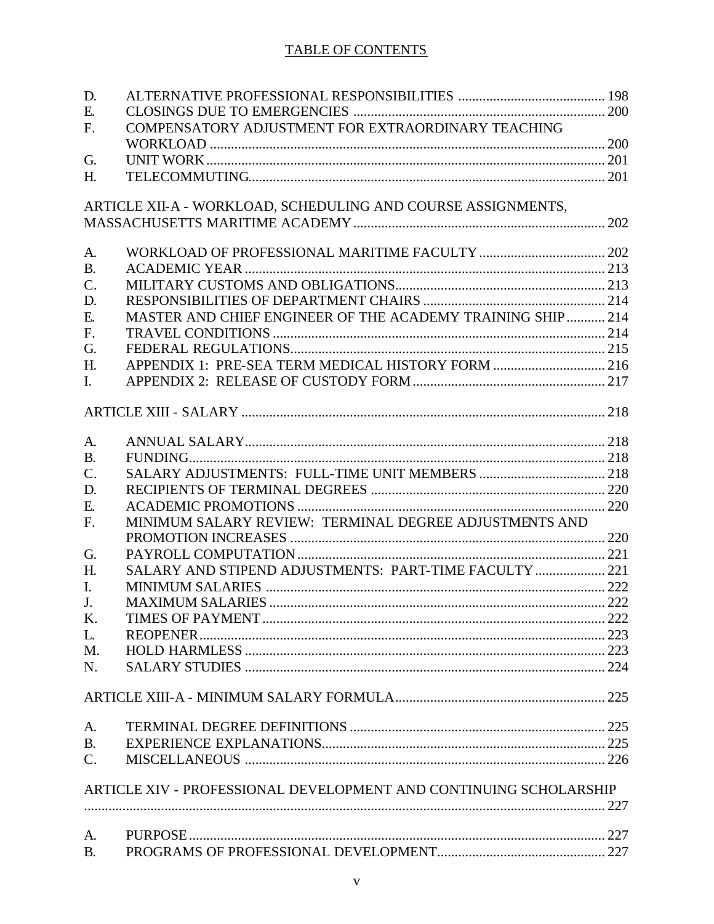| D.              |                                                                   |  |
|-----------------|-------------------------------------------------------------------|--|
| E.              |                                                                   |  |
| F.              | COMPENSATORY ADJUSTMENT FOR EXTRAORDINARY TEACHING                |  |
|                 |                                                                   |  |
| G.              |                                                                   |  |
| H.              |                                                                   |  |
|                 | ARTICLE XII-A - WORKLOAD, SCHEDULING AND COURSE ASSIGNMENTS,      |  |
|                 |                                                                   |  |
|                 |                                                                   |  |
| A.              |                                                                   |  |
| <b>B.</b>       |                                                                   |  |
| $\mathcal{C}$ . |                                                                   |  |
| D.              |                                                                   |  |
| Ε.              | MASTER AND CHIEF ENGINEER OF THE ACADEMY TRAINING SHIP  214       |  |
| F.              |                                                                   |  |
| G.              |                                                                   |  |
| H.              | APPENDIX 1: PRE-SEA TERM MEDICAL HISTORY FORM  216                |  |
| $\mathbf{I}$ .  |                                                                   |  |
|                 |                                                                   |  |
|                 |                                                                   |  |
| A.              |                                                                   |  |
| <b>B.</b>       |                                                                   |  |
| $\mathbf{C}$ .  |                                                                   |  |
| D.              |                                                                   |  |
| Ε.              |                                                                   |  |
| F.              | MINIMUM SALARY REVIEW: TERMINAL DEGREE ADJUSTMENTS AND            |  |
|                 |                                                                   |  |
| G.              |                                                                   |  |
| H.              | SALARY AND STIPEND ADJUSTMENTS: PART-TIME FACULTY  221            |  |
| $\mathbf{I}$ .  |                                                                   |  |
| J <sub>r</sub>  |                                                                   |  |
| Κ.              |                                                                   |  |
| L.              |                                                                   |  |
| M.              |                                                                   |  |
| N.              |                                                                   |  |
|                 |                                                                   |  |
|                 |                                                                   |  |
| A.              |                                                                   |  |
| <b>B.</b>       |                                                                   |  |
| $\mathbf{C}$ .  |                                                                   |  |
|                 |                                                                   |  |
|                 | ARTICLE XIV - PROFESSIONAL DEVELOPMENT AND CONTINUING SCHOLARSHIP |  |
|                 |                                                                   |  |
| A.              |                                                                   |  |
| <b>B.</b>       |                                                                   |  |
|                 |                                                                   |  |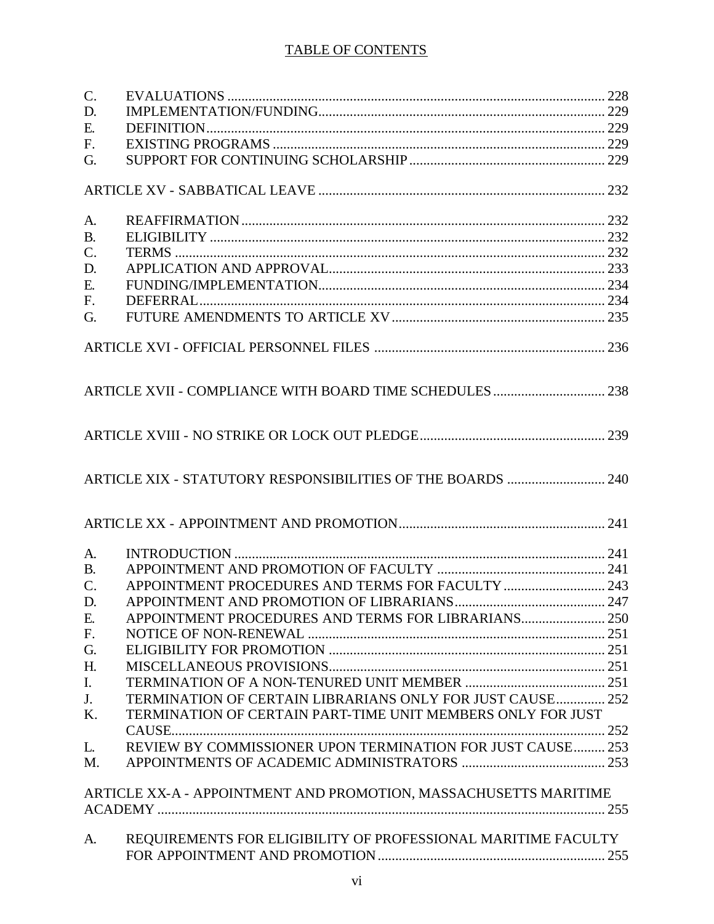| $\mathcal{C}$ . |                                                                  |  |
|-----------------|------------------------------------------------------------------|--|
| D.              |                                                                  |  |
| Ε.              |                                                                  |  |
| F.              |                                                                  |  |
| G.              |                                                                  |  |
|                 |                                                                  |  |
| A.              |                                                                  |  |
| <b>B.</b>       |                                                                  |  |
| $C$ .           |                                                                  |  |
| D.              |                                                                  |  |
| Ε.              |                                                                  |  |
| F.              |                                                                  |  |
| G.              |                                                                  |  |
|                 |                                                                  |  |
|                 |                                                                  |  |
|                 |                                                                  |  |
|                 |                                                                  |  |
|                 | ARTICLE XIX - STATUTORY RESPONSIBILITIES OF THE BOARDS  240      |  |
|                 |                                                                  |  |
| A.              |                                                                  |  |
| <b>B.</b>       |                                                                  |  |
| $\mathbf{C}$ .  | APPOINTMENT PROCEDURES AND TERMS FOR FACULTY  243                |  |
| D.              |                                                                  |  |
| Ε.              | APPOINTMENT PROCEDURES AND TERMS FOR LIBRARIANS 250              |  |
| F.              |                                                                  |  |
| G.              |                                                                  |  |
| H.              |                                                                  |  |
| $\mathbf{I}$ .  |                                                                  |  |
|                 | TERMINATION OF CERTAIN LIBRARIANS ONLY FOR JUST CAUSE 252        |  |
| J.              |                                                                  |  |
| K.              | TERMINATION OF CERTAIN PART-TIME UNIT MEMBERS ONLY FOR JUST      |  |
| L.              | REVIEW BY COMMISSIONER UPON TERMINATION FOR JUST CAUSE 253       |  |
| $M_{\cdot}$     |                                                                  |  |
|                 | ARTICLE XX-A - APPOINTMENT AND PROMOTION, MASSACHUSETTS MARITIME |  |
|                 |                                                                  |  |
|                 |                                                                  |  |
| A.              | REQUIREMENTS FOR ELIGIBILITY OF PROFESSIONAL MARITIME FACULTY    |  |
|                 |                                                                  |  |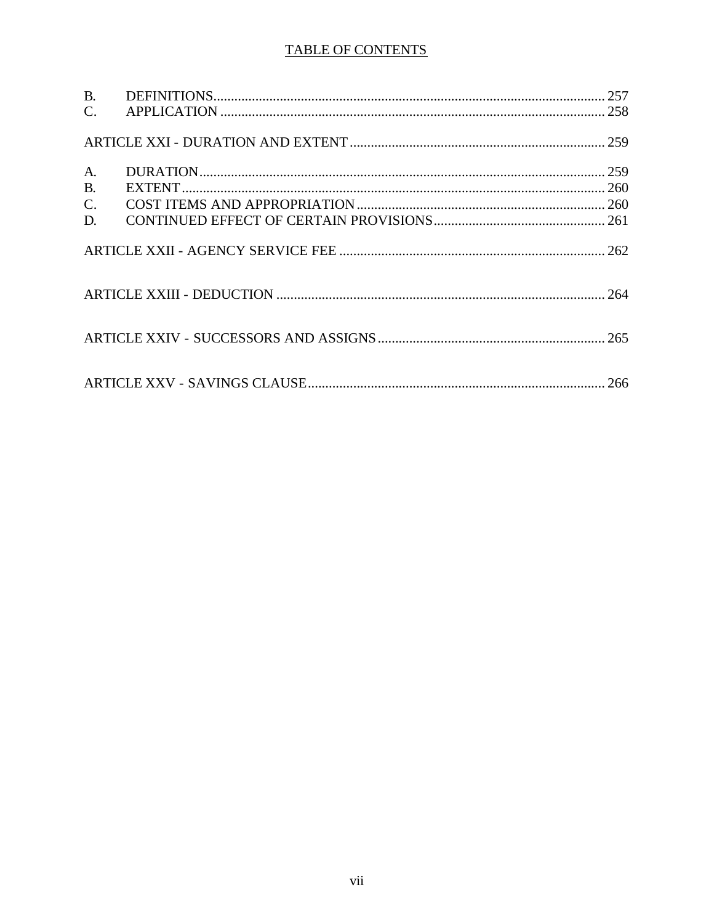| <b>B.</b> |  |
|-----------|--|
|           |  |
|           |  |
| A.        |  |
| <b>B.</b> |  |
| $C$ .     |  |
| D.        |  |
|           |  |
|           |  |
|           |  |
|           |  |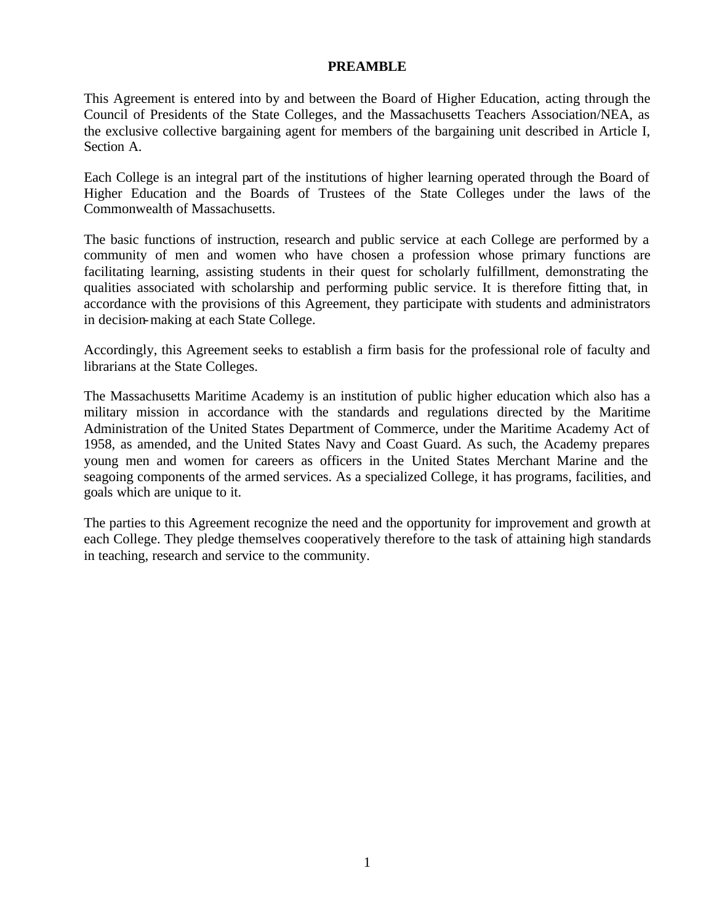#### **PREAMBLE**

This Agreement is entered into by and between the Board of Higher Education, acting through the Council of Presidents of the State Colleges, and the Massachusetts Teachers Association/NEA, as the exclusive collective bargaining agent for members of the bargaining unit described in Article I, Section A.

Each College is an integral part of the institutions of higher learning operated through the Board of Higher Education and the Boards of Trustees of the State Colleges under the laws of the Commonwealth of Massachusetts.

The basic functions of instruction, research and public service at each College are performed by a community of men and women who have chosen a profession whose primary functions are facilitating learning, assisting students in their quest for scholarly fulfillment, demonstrating the qualities associated with scholarship and performing public service. It is therefore fitting that, in accordance with the provisions of this Agreement, they participate with students and administrators in decision-making at each State College.

Accordingly, this Agreement seeks to establish a firm basis for the professional role of faculty and librarians at the State Colleges.

The Massachusetts Maritime Academy is an institution of public higher education which also has a military mission in accordance with the standards and regulations directed by the Maritime Administration of the United States Department of Commerce, under the Maritime Academy Act of 1958, as amended, and the United States Navy and Coast Guard. As such, the Academy prepares young men and women for careers as officers in the United States Merchant Marine and the seagoing components of the armed services. As a specialized College, it has programs, facilities, and goals which are unique to it.

The parties to this Agreement recognize the need and the opportunity for improvement and growth at each College. They pledge themselves cooperatively therefore to the task of attaining high standards in teaching, research and service to the community.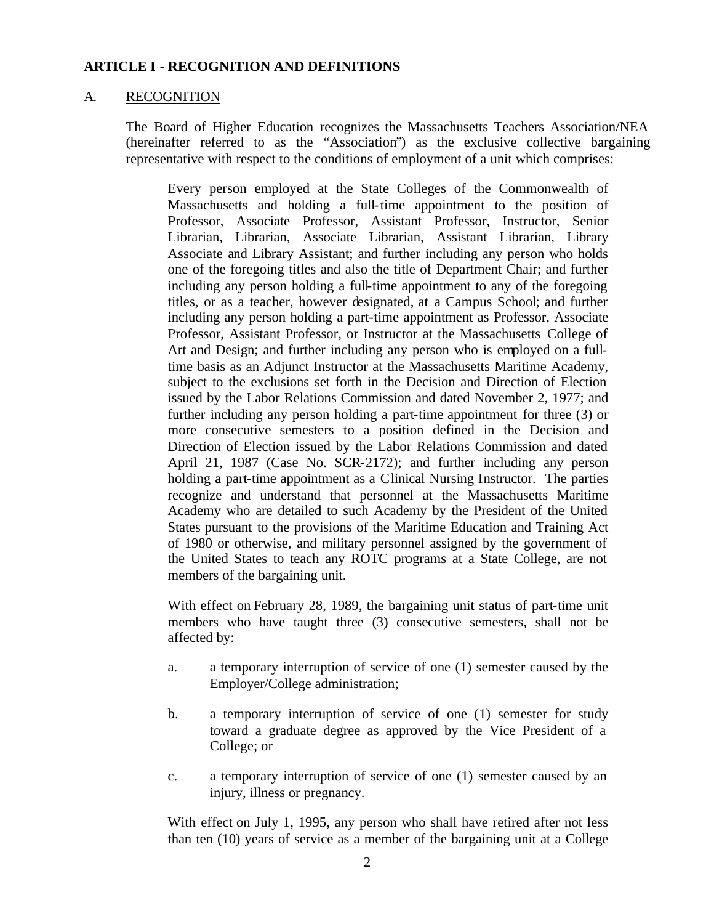#### A. RECOGNITION

The Board of Higher Education recognizes the Massachusetts Teachers Association/NEA (hereinafter referred to as the "Association") as the exclusive collective bargaining representative with respect to the conditions of employment of a unit which comprises:

Every person employed at the State Colleges of the Commonwealth of Massachusetts and holding a full-time appointment to the position of Professor, Associate Professor, Assistant Professor, Instructor, Senior Librarian, Librarian, Associate Librarian, Assistant Librarian, Library Associate and Library Assistant; and further including any person who holds one of the foregoing titles and also the title of Department Chair; and further including any person holding a full-time appointment to any of the foregoing titles, or as a teacher, however designated, at a Campus School; and further including any person holding a part-time appointment as Professor, Associate Professor, Assistant Professor, or Instructor at the Massachusetts College of Art and Design; and further including any person who is employed on a fulltime basis as an Adjunct Instructor at the Massachusetts Maritime Academy, subject to the exclusions set forth in the Decision and Direction of Election issued by the Labor Relations Commission and dated November 2, 1977; and further including any person holding a part-time appointment for three (3) or more consecutive semesters to a position defined in the Decision and Direction of Election issued by the Labor Relations Commission and dated April 21, 1987 (Case No. SCR-2172); and further including any person holding a part-time appointment as a Clinical Nursing Instructor. The parties recognize and understand that personnel at the Massachusetts Maritime Academy who are detailed to such Academy by the President of the United States pursuant to the provisions of the Maritime Education and Training Act of 1980 or otherwise, and military personnel assigned by the government of the United States to teach any ROTC programs at a State College, are not members of the bargaining unit.

With effect on February 28, 1989, the bargaining unit status of part-time unit members who have taught three (3) consecutive semesters, shall not be affected by:

- a. a temporary interruption of service of one (1) semester caused by the Employer/College administration;
- b. a temporary interruption of service of one (1) semester for study toward a graduate degree as approved by the Vice President of a College; or
- c. a temporary interruption of service of one (1) semester caused by an injury, illness or pregnancy.

With effect on July 1, 1995, any person who shall have retired after not less than ten (10) years of service as a member of the bargaining unit at a College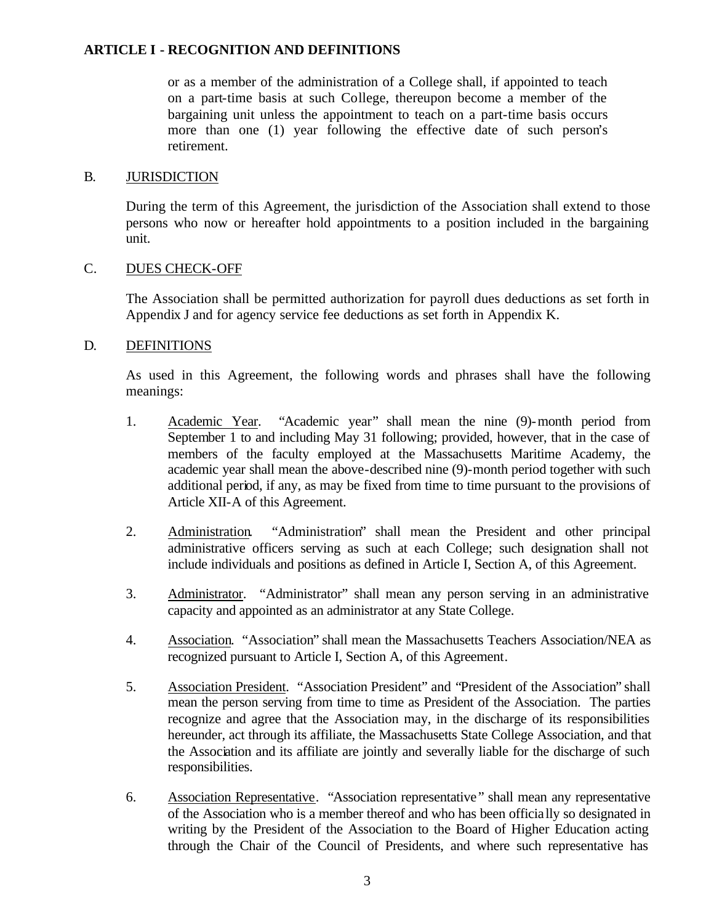or as a member of the administration of a College shall, if appointed to teach on a part-time basis at such College, thereupon become a member of the bargaining unit unless the appointment to teach on a part-time basis occurs more than one (1) year following the effective date of such person's retirement.

#### B. JURISDICTION

During the term of this Agreement, the jurisdiction of the Association shall extend to those persons who now or hereafter hold appointments to a position included in the bargaining unit.

# C. DUES CHECK-OFF

The Association shall be permitted authorization for payroll dues deductions as set forth in Appendix J and for agency service fee deductions as set forth in Appendix K.

# D. DEFINITIONS

As used in this Agreement, the following words and phrases shall have the following meanings:

- 1. Academic Year. "Academic year" shall mean the nine (9)-month period from September 1 to and including May 31 following; provided, however, that in the case of members of the faculty employed at the Massachusetts Maritime Academy, the academic year shall mean the above-described nine (9)-month period together with such additional period, if any, as may be fixed from time to time pursuant to the provisions of Article XII-A of this Agreement.
- 2. Administration. "Administration" shall mean the President and other principal administrative officers serving as such at each College; such designation shall not include individuals and positions as defined in Article I, Section A, of this Agreement.
- 3. Administrator. "Administrator" shall mean any person serving in an administrative capacity and appointed as an administrator at any State College.
- 4. Association. "Association" shall mean the Massachusetts Teachers Association/NEA as recognized pursuant to Article I, Section A, of this Agreement.
- 5. Association President. "Association President" and "President of the Association" shall mean the person serving from time to time as President of the Association. The parties recognize and agree that the Association may, in the discharge of its responsibilities hereunder, act through its affiliate, the Massachusetts State College Association, and that the Association and its affiliate are jointly and severally liable for the discharge of such responsibilities.
- 6. Association Representative. "Association representative" shall mean any representative of the Association who is a member thereof and who has been officially so designated in writing by the President of the Association to the Board of Higher Education acting through the Chair of the Council of Presidents, and where such representative has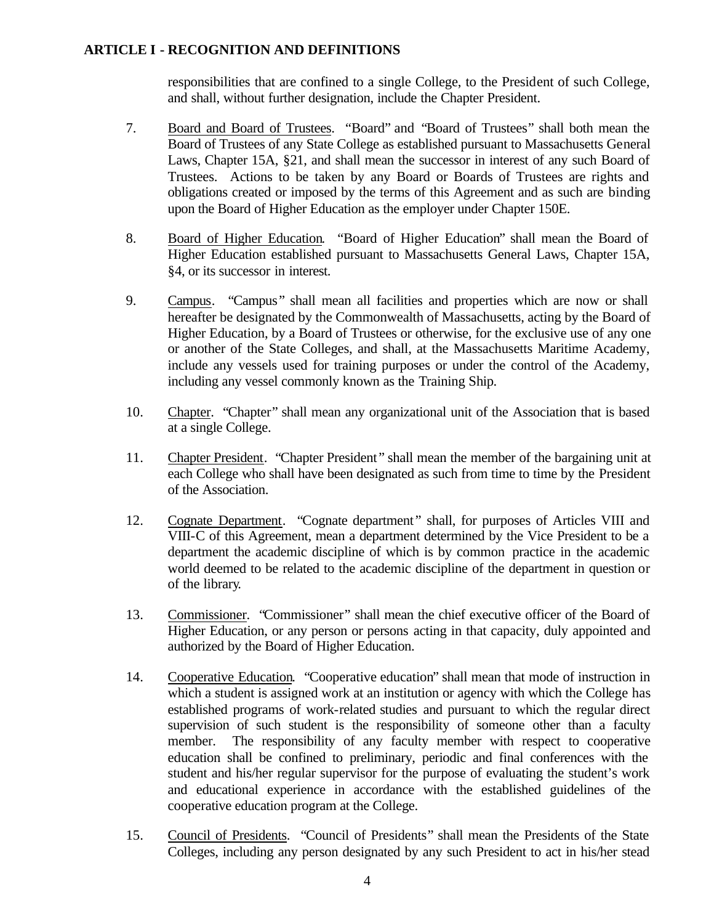responsibilities that are confined to a single College, to the President of such College, and shall, without further designation, include the Chapter President.

- 7. Board and Board of Trustees. "Board" and "Board of Trustees" shall both mean the Board of Trustees of any State College as established pursuant to Massachusetts General Laws, Chapter 15A, §21, and shall mean the successor in interest of any such Board of Trustees. Actions to be taken by any Board or Boards of Trustees are rights and obligations created or imposed by the terms of this Agreement and as such are binding upon the Board of Higher Education as the employer under Chapter 150E.
- 8. Board of Higher Education. "Board of Higher Education" shall mean the Board of Higher Education established pursuant to Massachusetts General Laws, Chapter 15A, §4, or its successor in interest.
- 9. Campus. "Campus" shall mean all facilities and properties which are now or shall hereafter be designated by the Commonwealth of Massachusetts, acting by the Board of Higher Education, by a Board of Trustees or otherwise, for the exclusive use of any one or another of the State Colleges, and shall, at the Massachusetts Maritime Academy, include any vessels used for training purposes or under the control of the Academy, including any vessel commonly known as the Training Ship.
- 10. Chapter. "Chapter" shall mean any organizational unit of the Association that is based at a single College.
- 11. Chapter President. "Chapter President" shall mean the member of the bargaining unit at each College who shall have been designated as such from time to time by the President of the Association.
- 12. Cognate Department. "Cognate department" shall, for purposes of Articles VIII and VIII-C of this Agreement, mean a department determined by the Vice President to be a department the academic discipline of which is by common practice in the academic world deemed to be related to the academic discipline of the department in question or of the library.
- 13. Commissioner. "Commissioner" shall mean the chief executive officer of the Board of Higher Education, or any person or persons acting in that capacity, duly appointed and authorized by the Board of Higher Education.
- 14. Cooperative Education. "Cooperative education" shall mean that mode of instruction in which a student is assigned work at an institution or agency with which the College has established programs of work-related studies and pursuant to which the regular direct supervision of such student is the responsibility of someone other than a faculty member. The responsibility of any faculty member with respect to cooperative education shall be confined to preliminary, periodic and final conferences with the student and his/her regular supervisor for the purpose of evaluating the student's work and educational experience in accordance with the established guidelines of the cooperative education program at the College.
- 15. Council of Presidents. "Council of Presidents" shall mean the Presidents of the State Colleges, including any person designated by any such President to act in his/her stead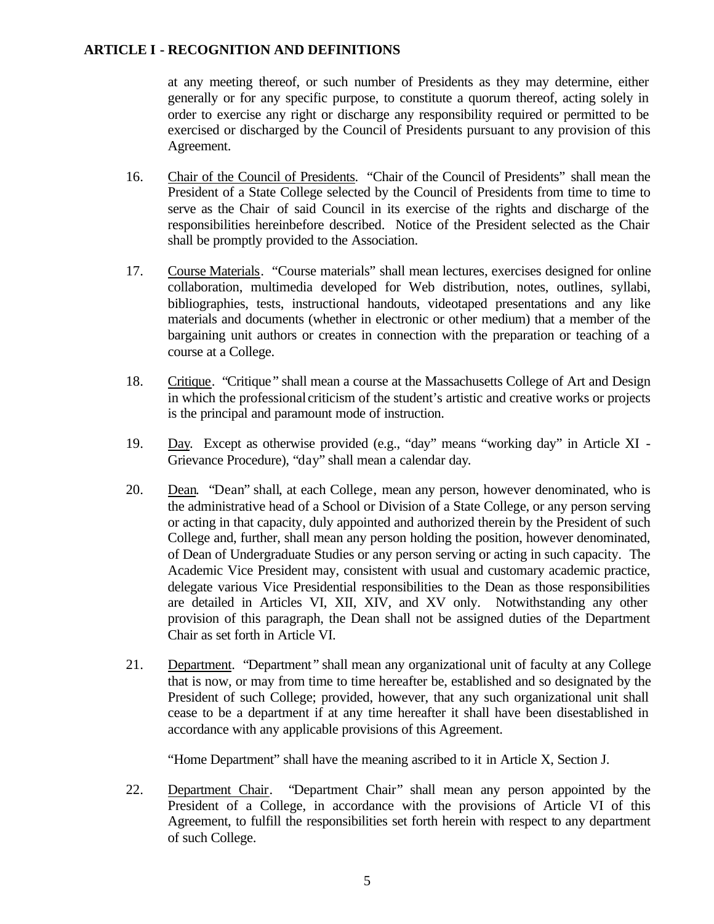at any meeting thereof, or such number of Presidents as they may determine, either generally or for any specific purpose, to constitute a quorum thereof, acting solely in order to exercise any right or discharge any responsibility required or permitted to be exercised or discharged by the Council of Presidents pursuant to any provision of this Agreement.

- 16. Chair of the Council of Presidents. "Chair of the Council of Presidents" shall mean the President of a State College selected by the Council of Presidents from time to time to serve as the Chair of said Council in its exercise of the rights and discharge of the responsibilities hereinbefore described. Notice of the President selected as the Chair shall be promptly provided to the Association.
- 17. Course Materials. "Course materials" shall mean lectures, exercises designed for online collaboration, multimedia developed for Web distribution, notes, outlines, syllabi, bibliographies, tests, instructional handouts, videotaped presentations and any like materials and documents (whether in electronic or other medium) that a member of the bargaining unit authors or creates in connection with the preparation or teaching of a course at a College.
- 18. Critique. "Critique" shall mean a course at the Massachusetts College of Art and Design in which the professional criticism of the student's artistic and creative works or projects is the principal and paramount mode of instruction.
- 19. Day. Except as otherwise provided (e.g., "day" means "working day" in Article XI Grievance Procedure), "day" shall mean a calendar day.
- 20. Dean. "Dean" shall, at each College, mean any person, however denominated, who is the administrative head of a School or Division of a State College, or any person serving or acting in that capacity, duly appointed and authorized therein by the President of such College and, further, shall mean any person holding the position, however denominated, of Dean of Undergraduate Studies or any person serving or acting in such capacity. The Academic Vice President may, consistent with usual and customary academic practice, delegate various Vice Presidential responsibilities to the Dean as those responsibilities are detailed in Articles VI, XII, XIV, and XV only. Notwithstanding any other provision of this paragraph, the Dean shall not be assigned duties of the Department Chair as set forth in Article VI.
- 21. Department. "Department" shall mean any organizational unit of faculty at any College that is now, or may from time to time hereafter be, established and so designated by the President of such College; provided, however, that any such organizational unit shall cease to be a department if at any time hereafter it shall have been disestablished in accordance with any applicable provisions of this Agreement.

"Home Department" shall have the meaning ascribed to it in Article X, Section J.

22. Department Chair. "Department Chair" shall mean any person appointed by the President of a College, in accordance with the provisions of Article VI of this Agreement, to fulfill the responsibilities set forth herein with respect to any department of such College.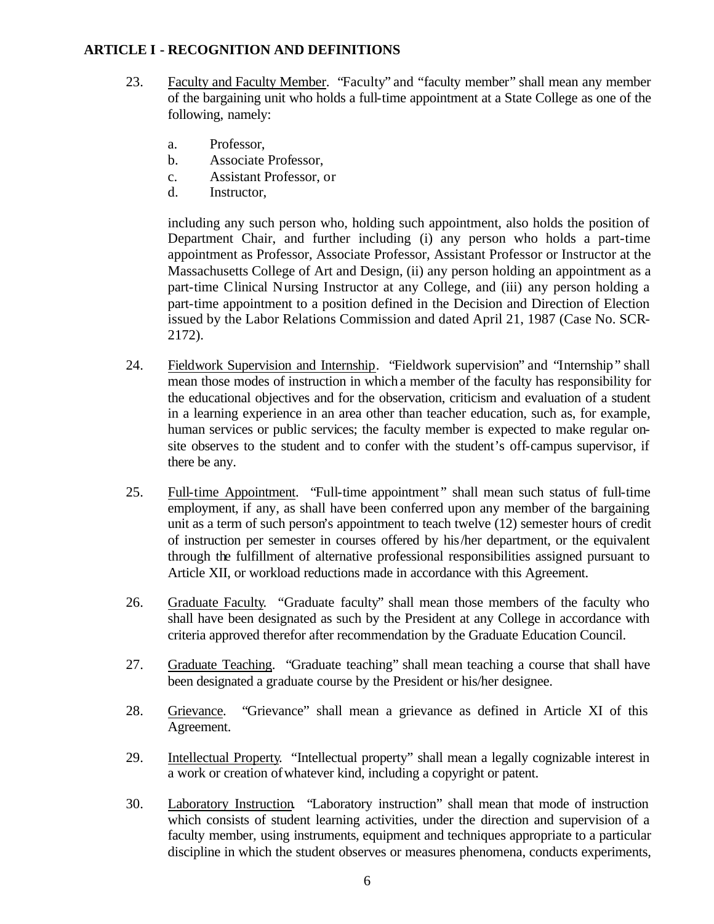- 23. Faculty and Faculty Member. "Faculty" and "faculty member" shall mean any member of the bargaining unit who holds a full-time appointment at a State College as one of the following, namely:
	- a. Professor,
	- b. Associate Professor,
	- c. Assistant Professor, or
	- d. Instructor,

including any such person who, holding such appointment, also holds the position of Department Chair, and further including (i) any person who holds a part-time appointment as Professor, Associate Professor, Assistant Professor or Instructor at the Massachusetts College of Art and Design, (ii) any person holding an appointment as a part-time Clinical Nursing Instructor at any College, and (iii) any person holding a part-time appointment to a position defined in the Decision and Direction of Election issued by the Labor Relations Commission and dated April 21, 1987 (Case No. SCR-2172).

- 24. Fieldwork Supervision and Internship. "Fieldwork supervision" and "Internship" shall mean those modes of instruction in which a member of the faculty has responsibility for the educational objectives and for the observation, criticism and evaluation of a student in a learning experience in an area other than teacher education, such as, for example, human services or public services; the faculty member is expected to make regular onsite observes to the student and to confer with the student's off-campus supervisor, if there be any.
- 25. Full-time Appointment. "Full-time appointment" shall mean such status of full-time employment, if any, as shall have been conferred upon any member of the bargaining unit as a term of such person's appointment to teach twelve (12) semester hours of credit of instruction per semester in courses offered by his/her department, or the equivalent through the fulfillment of alternative professional responsibilities assigned pursuant to Article XII, or workload reductions made in accordance with this Agreement.
- 26. Graduate Faculty. "Graduate faculty" shall mean those members of the faculty who shall have been designated as such by the President at any College in accordance with criteria approved therefor after recommendation by the Graduate Education Council.
- 27. Graduate Teaching. "Graduate teaching" shall mean teaching a course that shall have been designated a graduate course by the President or his/her designee.
- 28. Grievance. "Grievance" shall mean a grievance as defined in Article XI of this Agreement.
- 29. Intellectual Property. "Intellectual property" shall mean a legally cognizable interest in a work or creation of whatever kind, including a copyright or patent.
- 30. Laboratory Instruction. "Laboratory instruction" shall mean that mode of instruction which consists of student learning activities, under the direction and supervision of a faculty member, using instruments, equipment and techniques appropriate to a particular discipline in which the student observes or measures phenomena, conducts experiments,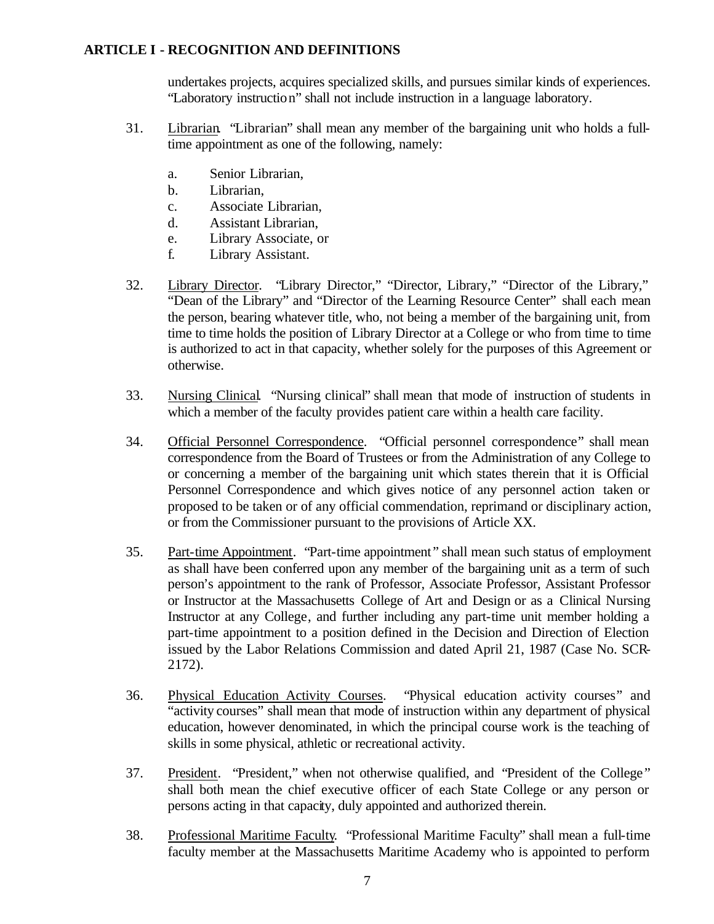undertakes projects, acquires specialized skills, and pursues similar kinds of experiences. "Laboratory instruction" shall not include instruction in a language laboratory.

- 31. Librarian. "Librarian" shall mean any member of the bargaining unit who holds a fulltime appointment as one of the following, namely:
	- a. Senior Librarian,
	- b. Librarian,
	- c. Associate Librarian,
	- d. Assistant Librarian,
	- e. Library Associate, or
	- f. Library Assistant.
- 32. Library Director. "Library Director," "Director, Library," "Director of the Library," "Dean of the Library" and "Director of the Learning Resource Center" shall each mean the person, bearing whatever title, who, not being a member of the bargaining unit, from time to time holds the position of Library Director at a College or who from time to time is authorized to act in that capacity, whether solely for the purposes of this Agreement or otherwise.
- 33. Nursing Clinical. "Nursing clinical" shall mean that mode of instruction of students in which a member of the faculty provides patient care within a health care facility.
- 34. Official Personnel Correspondence. "Official personnel correspondence" shall mean correspondence from the Board of Trustees or from the Administration of any College to or concerning a member of the bargaining unit which states therein that it is Official Personnel Correspondence and which gives notice of any personnel action taken or proposed to be taken or of any official commendation, reprimand or disciplinary action, or from the Commissioner pursuant to the provisions of Article XX.
- 35. Part-time Appointment. "Part-time appointment" shall mean such status of employment as shall have been conferred upon any member of the bargaining unit as a term of such person's appointment to the rank of Professor, Associate Professor, Assistant Professor or Instructor at the Massachusetts College of Art and Design or as a Clinical Nursing Instructor at any College, and further including any part-time unit member holding a part-time appointment to a position defined in the Decision and Direction of Election issued by the Labor Relations Commission and dated April 21, 1987 (Case No. SCR-2172).
- 36. Physical Education Activity Courses. "Physical education activity courses" and "activity courses" shall mean that mode of instruction within any department of physical education, however denominated, in which the principal course work is the teaching of skills in some physical, athletic or recreational activity.
- 37. President. "President," when not otherwise qualified, and "President of the College" shall both mean the chief executive officer of each State College or any person or persons acting in that capacity, duly appointed and authorized therein.
- 38. Professional Maritime Faculty. "Professional Maritime Faculty" shall mean a full-time faculty member at the Massachusetts Maritime Academy who is appointed to perform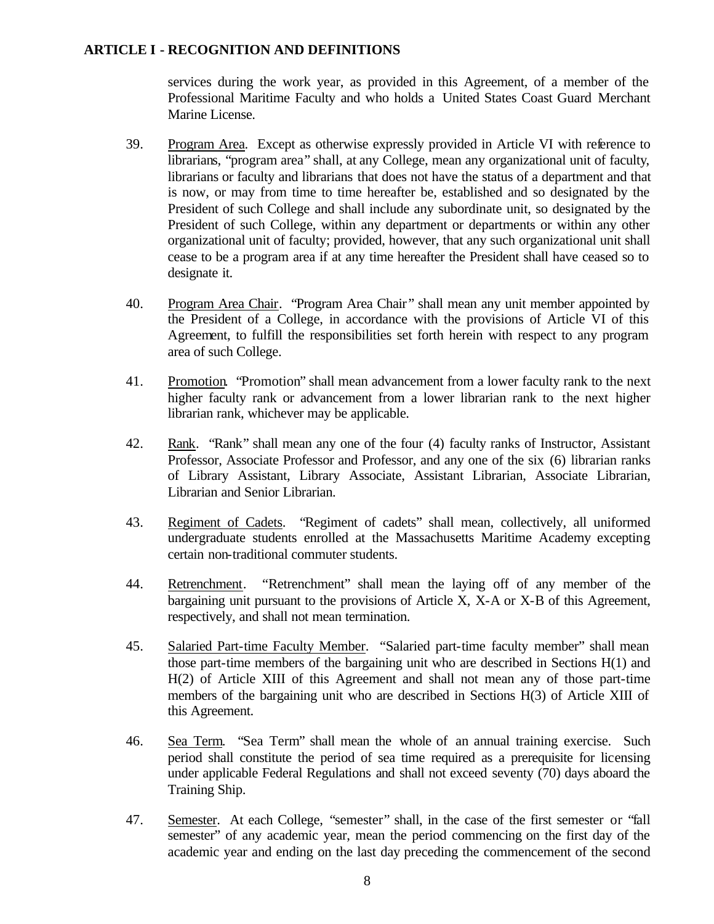services during the work year, as provided in this Agreement, of a member of the Professional Maritime Faculty and who holds a United States Coast Guard Merchant Marine License.

- 39. Program Area. Except as otherwise expressly provided in Article VI with reference to librarians, "program area" shall, at any College, mean any organizational unit of faculty, librarians or faculty and librarians that does not have the status of a department and that is now, or may from time to time hereafter be, established and so designated by the President of such College and shall include any subordinate unit, so designated by the President of such College, within any department or departments or within any other organizational unit of faculty; provided, however, that any such organizational unit shall cease to be a program area if at any time hereafter the President shall have ceased so to designate it.
- 40. Program Area Chair. "Program Area Chair" shall mean any unit member appointed by the President of a College, in accordance with the provisions of Article VI of this Agreement, to fulfill the responsibilities set forth herein with respect to any program area of such College.
- 41. Promotion. "Promotion" shall mean advancement from a lower faculty rank to the next higher faculty rank or advancement from a lower librarian rank to the next higher librarian rank, whichever may be applicable.
- 42. Rank. "Rank" shall mean any one of the four (4) faculty ranks of Instructor, Assistant Professor, Associate Professor and Professor, and any one of the six (6) librarian ranks of Library Assistant, Library Associate, Assistant Librarian, Associate Librarian, Librarian and Senior Librarian.
- 43. Regiment of Cadets. "Regiment of cadets" shall mean, collectively, all uniformed undergraduate students enrolled at the Massachusetts Maritime Academy excepting certain non-traditional commuter students.
- 44. Retrenchment. "Retrenchment" shall mean the laying off of any member of the bargaining unit pursuant to the provisions of Article X, X-A or X-B of this Agreement, respectively, and shall not mean termination.
- 45. Salaried Part-time Faculty Member. "Salaried part-time faculty member" shall mean those part-time members of the bargaining unit who are described in Sections H(1) and H(2) of Article XIII of this Agreement and shall not mean any of those part-time members of the bargaining unit who are described in Sections H(3) of Article XIII of this Agreement.
- 46. Sea Term. "Sea Term" shall mean the whole of an annual training exercise. Such period shall constitute the period of sea time required as a prerequisite for licensing under applicable Federal Regulations and shall not exceed seventy (70) days aboard the Training Ship.
- 47. Semester. At each College, "semester" shall, in the case of the first semester or "fall semester" of any academic year, mean the period commencing on the first day of the academic year and ending on the last day preceding the commencement of the second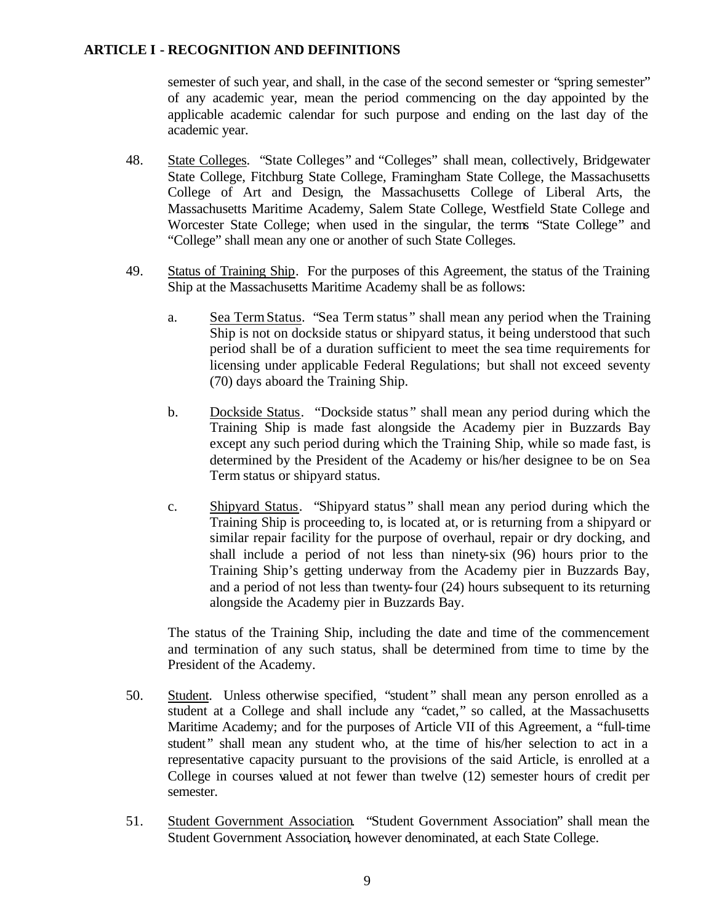semester of such year, and shall, in the case of the second semester or "spring semester" of any academic year, mean the period commencing on the day appointed by the applicable academic calendar for such purpose and ending on the last day of the academic year.

- 48. State Colleges. "State Colleges" and "Colleges" shall mean, collectively, Bridgewater State College, Fitchburg State College, Framingham State College, the Massachusetts College of Art and Design, the Massachusetts College of Liberal Arts, the Massachusetts Maritime Academy, Salem State College, Westfield State College and Worcester State College; when used in the singular, the terms "State College" and "College" shall mean any one or another of such State Colleges.
- 49. Status of Training Ship. For the purposes of this Agreement, the status of the Training Ship at the Massachusetts Maritime Academy shall be as follows:
	- a. Sea Term Status. "Sea Term status" shall mean any period when the Training Ship is not on dockside status or shipyard status, it being understood that such period shall be of a duration sufficient to meet the sea time requirements for licensing under applicable Federal Regulations; but shall not exceed seventy (70) days aboard the Training Ship.
	- b. Dockside Status. "Dockside status " shall mean any period during which the Training Ship is made fast alongside the Academy pier in Buzzards Bay except any such period during which the Training Ship, while so made fast, is determined by the President of the Academy or his/her designee to be on Sea Term status or shipyard status.
	- c. Shipyard Status. "Shipyard status " shall mean any period during which the Training Ship is proceeding to, is located at, or is returning from a shipyard or similar repair facility for the purpose of overhaul, repair or dry docking, and shall include a period of not less than ninety-six (96) hours prior to the Training Ship's getting underway from the Academy pier in Buzzards Bay, and a period of not less than twenty-four (24) hours subsequent to its returning alongside the Academy pier in Buzzards Bay.

The status of the Training Ship, including the date and time of the commencement and termination of any such status, shall be determined from time to time by the President of the Academy.

- 50. Student. Unless otherwise specified, "student" shall mean any person enrolled as a student at a College and shall include any "cadet," so called, at the Massachusetts Maritime Academy; and for the purposes of Article VII of this Agreement, a "full-time student" shall mean any student who, at the time of his/her selection to act in a representative capacity pursuant to the provisions of the said Article, is enrolled at a College in courses valued at not fewer than twelve (12) semester hours of credit per semester.
- 51. Student Government Association. "Student Government Association" shall mean the Student Government Association, however denominated, at each State College.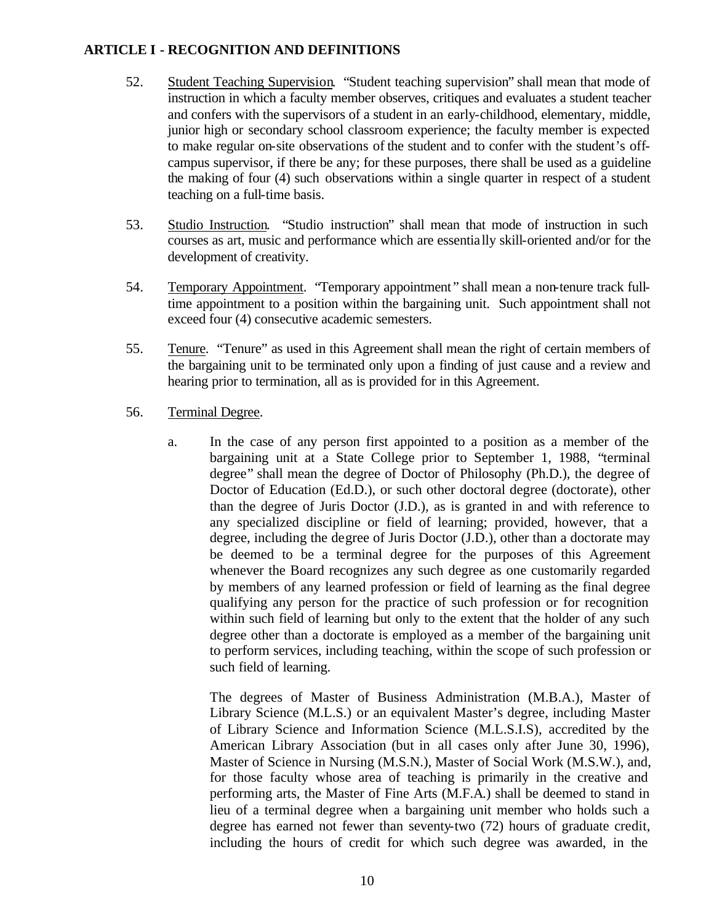- 52. Student Teaching Supervision. "Student teaching supervision" shall mean that mode of instruction in which a faculty member observes, critiques and evaluates a student teacher and confers with the supervisors of a student in an early-childhood, elementary, middle, junior high or secondary school classroom experience; the faculty member is expected to make regular on-site observations of the student and to confer with the student's offcampus supervisor, if there be any; for these purposes, there shall be used as a guideline the making of four (4) such observations within a single quarter in respect of a student teaching on a full-time basis.
- 53. Studio Instruction. "Studio instruction" shall mean that mode of instruction in such courses as art, music and performance which are essentia lly skill-oriented and/or for the development of creativity.
- 54. Temporary Appointment. "Temporary appointment" shall mean a non-tenure track fulltime appointment to a position within the bargaining unit. Such appointment shall not exceed four (4) consecutive academic semesters.
- 55. Tenure. "Tenure" as used in this Agreement shall mean the right of certain members of the bargaining unit to be terminated only upon a finding of just cause and a review and hearing prior to termination, all as is provided for in this Agreement.
- 56. Terminal Degree.
	- a. In the case of any person first appointed to a position as a member of the bargaining unit at a State College prior to September 1, 1988, "terminal degree" shall mean the degree of Doctor of Philosophy (Ph.D.), the degree of Doctor of Education (Ed.D.), or such other doctoral degree (doctorate), other than the degree of Juris Doctor (J.D.), as is granted in and with reference to any specialized discipline or field of learning; provided, however, that a degree, including the degree of Juris Doctor (J.D.), other than a doctorate may be deemed to be a terminal degree for the purposes of this Agreement whenever the Board recognizes any such degree as one customarily regarded by members of any learned profession or field of learning as the final degree qualifying any person for the practice of such profession or for recognition within such field of learning but only to the extent that the holder of any such degree other than a doctorate is employed as a member of the bargaining unit to perform services, including teaching, within the scope of such profession or such field of learning.

The degrees of Master of Business Administration (M.B.A.), Master of Library Science (M.L.S.) or an equivalent Master's degree, including Master of Library Science and Information Science (M.L.S.I.S), accredited by the American Library Association (but in all cases only after June 30, 1996), Master of Science in Nursing (M.S.N.), Master of Social Work (M.S.W.), and, for those faculty whose area of teaching is primarily in the creative and performing arts, the Master of Fine Arts (M.F.A.) shall be deemed to stand in lieu of a terminal degree when a bargaining unit member who holds such a degree has earned not fewer than seventy-two (72) hours of graduate credit, including the hours of credit for which such degree was awarded, in the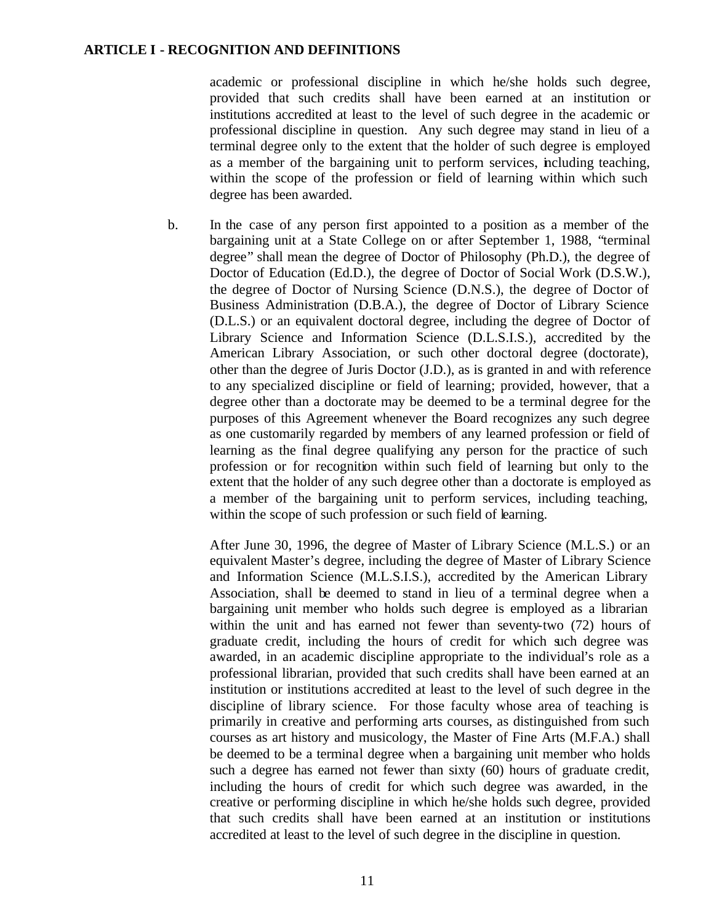academic or professional discipline in which he/she holds such degree, provided that such credits shall have been earned at an institution or institutions accredited at least to the level of such degree in the academic or professional discipline in question. Any such degree may stand in lieu of a terminal degree only to the extent that the holder of such degree is employed as a member of the bargaining unit to perform services, including teaching, within the scope of the profession or field of learning within which such degree has been awarded.

b. In the case of any person first appointed to a position as a member of the bargaining unit at a State College on or after September 1, 1988, "terminal degree" shall mean the degree of Doctor of Philosophy (Ph.D.), the degree of Doctor of Education (Ed.D.), the degree of Doctor of Social Work (D.S.W.), the degree of Doctor of Nursing Science (D.N.S.), the degree of Doctor of Business Administration (D.B.A.), the degree of Doctor of Library Science (D.L.S.) or an equivalent doctoral degree, including the degree of Doctor of Library Science and Information Science (D.L.S.I.S.), accredited by the American Library Association, or such other doctoral degree (doctorate), other than the degree of Juris Doctor (J.D.), as is granted in and with reference to any specialized discipline or field of learning; provided, however, that a degree other than a doctorate may be deemed to be a terminal degree for the purposes of this Agreement whenever the Board recognizes any such degree as one customarily regarded by members of any learned profession or field of learning as the final degree qualifying any person for the practice of such profession or for recognition within such field of learning but only to the extent that the holder of any such degree other than a doctorate is employed as a member of the bargaining unit to perform services, including teaching, within the scope of such profession or such field of learning.

After June 30, 1996, the degree of Master of Library Science (M.L.S.) or an equivalent Master's degree, including the degree of Master of Library Science and Information Science (M.L.S.I.S.), accredited by the American Library Association, shall be deemed to stand in lieu of a terminal degree when a bargaining unit member who holds such degree is employed as a librarian within the unit and has earned not fewer than seventy-two (72) hours of graduate credit, including the hours of credit for which such degree was awarded, in an academic discipline appropriate to the individual's role as a professional librarian, provided that such credits shall have been earned at an institution or institutions accredited at least to the level of such degree in the discipline of library science. For those faculty whose area of teaching is primarily in creative and performing arts courses, as distinguished from such courses as art history and musicology, the Master of Fine Arts (M.F.A.) shall be deemed to be a terminal degree when a bargaining unit member who holds such a degree has earned not fewer than sixty (60) hours of graduate credit, including the hours of credit for which such degree was awarded, in the creative or performing discipline in which he/she holds such degree, provided that such credits shall have been earned at an institution or institutions accredited at least to the level of such degree in the discipline in question.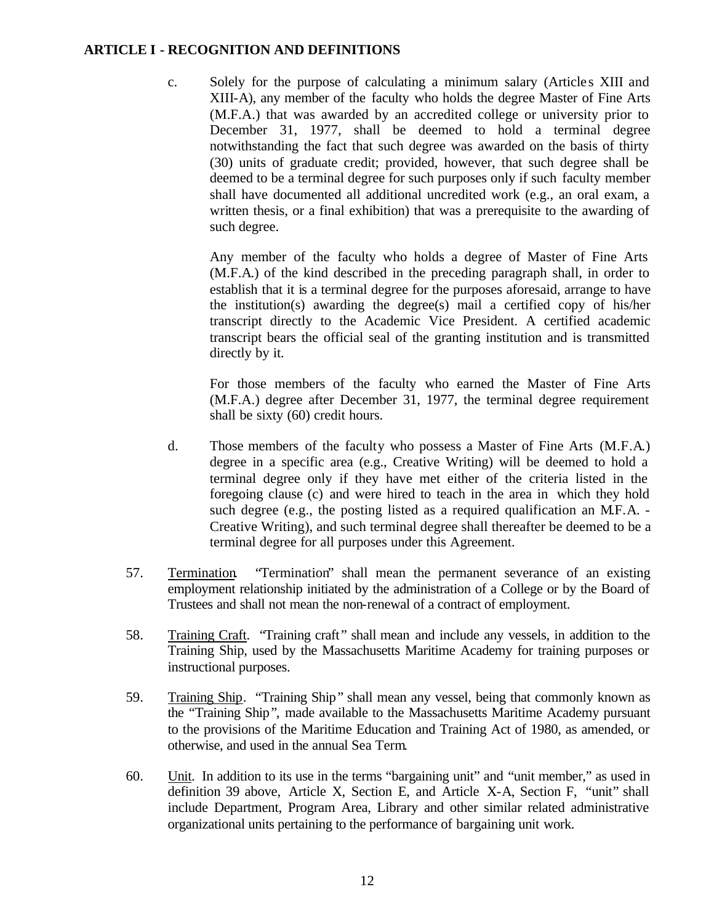c. Solely for the purpose of calculating a minimum salary (Article s XIII and XIII-A), any member of the faculty who holds the degree Master of Fine Arts (M.F.A.) that was awarded by an accredited college or university prior to December 31, 1977, shall be deemed to hold a terminal degree notwithstanding the fact that such degree was awarded on the basis of thirty (30) units of graduate credit; provided, however, that such degree shall be deemed to be a terminal degree for such purposes only if such faculty member shall have documented all additional uncredited work (e.g., an oral exam, a written thesis, or a final exhibition) that was a prerequisite to the awarding of such degree.

Any member of the faculty who holds a degree of Master of Fine Arts (M.F.A.) of the kind described in the preceding paragraph shall, in order to establish that it is a terminal degree for the purposes aforesaid, arrange to have the institution(s) awarding the degree(s) mail a certified copy of his/her transcript directly to the Academic Vice President. A certified academic transcript bears the official seal of the granting institution and is transmitted directly by it.

For those members of the faculty who earned the Master of Fine Arts (M.F.A.) degree after December 31, 1977, the terminal degree requirement shall be sixty (60) credit hours.

- d. Those members of the faculty who possess a Master of Fine Arts (M.F.A.) degree in a specific area (e.g., Creative Writing) will be deemed to hold a terminal degree only if they have met either of the criteria listed in the foregoing clause (c) and were hired to teach in the area in which they hold such degree (e.g., the posting listed as a required qualification an M.F.A. -Creative Writing), and such terminal degree shall thereafter be deemed to be a terminal degree for all purposes under this Agreement.
- 57. Termination. "Termination" shall mean the permanent severance of an existing employment relationship initiated by the administration of a College or by the Board of Trustees and shall not mean the non-renewal of a contract of employment.
- 58. Training Craft. "Training craft" shall mean and include any vessels, in addition to the Training Ship, used by the Massachusetts Maritime Academy for training purposes or instructional purposes.
- 59. Training Ship. "Training Ship" shall mean any vessel, being that commonly known as the "Training Ship", made available to the Massachusetts Maritime Academy pursuant to the provisions of the Maritime Education and Training Act of 1980, as amended, or otherwise, and used in the annual Sea Term.
- 60. Unit. In addition to its use in the terms "bargaining unit" and "unit member," as used in definition 39 above, Article X, Section E, and Article X-A, Section F, "unit" shall include Department, Program Area, Library and other similar related administrative organizational units pertaining to the performance of bargaining unit work.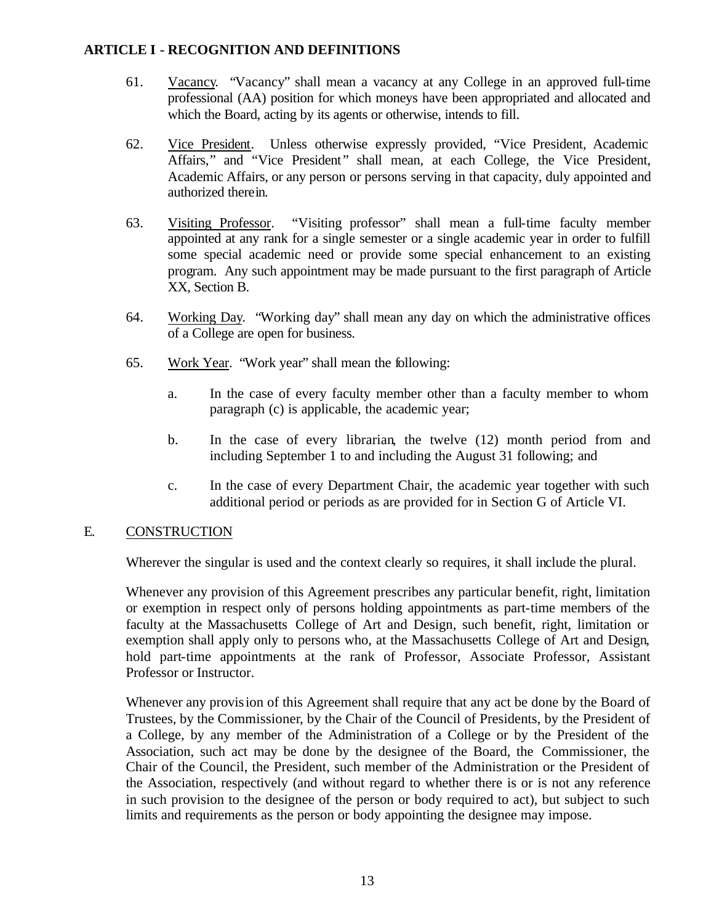- 61. Vacancy. "Vacancy" shall mean a vacancy at any College in an approved full-time professional (AA) position for which moneys have been appropriated and allocated and which the Board, acting by its agents or otherwise, intends to fill.
- 62. Vice President. Unless otherwise expressly provided, "Vice President, Academic Affairs," and "Vice President" shall mean, at each College, the Vice President, Academic Affairs, or any person or persons serving in that capacity, duly appointed and authorized therein.
- 63. Visiting Professor. "Visiting professor" shall mean a full-time faculty member appointed at any rank for a single semester or a single academic year in order to fulfill some special academic need or provide some special enhancement to an existing program. Any such appointment may be made pursuant to the first paragraph of Article XX, Section B.
- 64. Working Day. "Working day" shall mean any day on which the administrative offices of a College are open for business.
- 65. Work Year. "Work year" shall mean the following:
	- a. In the case of every faculty member other than a faculty member to whom paragraph (c) is applicable, the academic year;
	- b. In the case of every librarian, the twelve (12) month period from and including September 1 to and including the August 31 following; and
	- c. In the case of every Department Chair, the academic year together with such additional period or periods as are provided for in Section G of Article VI.

#### E. CONSTRUCTION

Wherever the singular is used and the context clearly so requires, it shall include the plural.

Whenever any provision of this Agreement prescribes any particular benefit, right, limitation or exemption in respect only of persons holding appointments as part-time members of the faculty at the Massachusetts College of Art and Design, such benefit, right, limitation or exemption shall apply only to persons who, at the Massachusetts College of Art and Design, hold part-time appointments at the rank of Professor, Associate Professor, Assistant Professor or Instructor.

Whenever any provision of this Agreement shall require that any act be done by the Board of Trustees, by the Commissioner, by the Chair of the Council of Presidents, by the President of a College, by any member of the Administration of a College or by the President of the Association, such act may be done by the designee of the Board, the Commissioner, the Chair of the Council, the President, such member of the Administration or the President of the Association, respectively (and without regard to whether there is or is not any reference in such provision to the designee of the person or body required to act), but subject to such limits and requirements as the person or body appointing the designee may impose.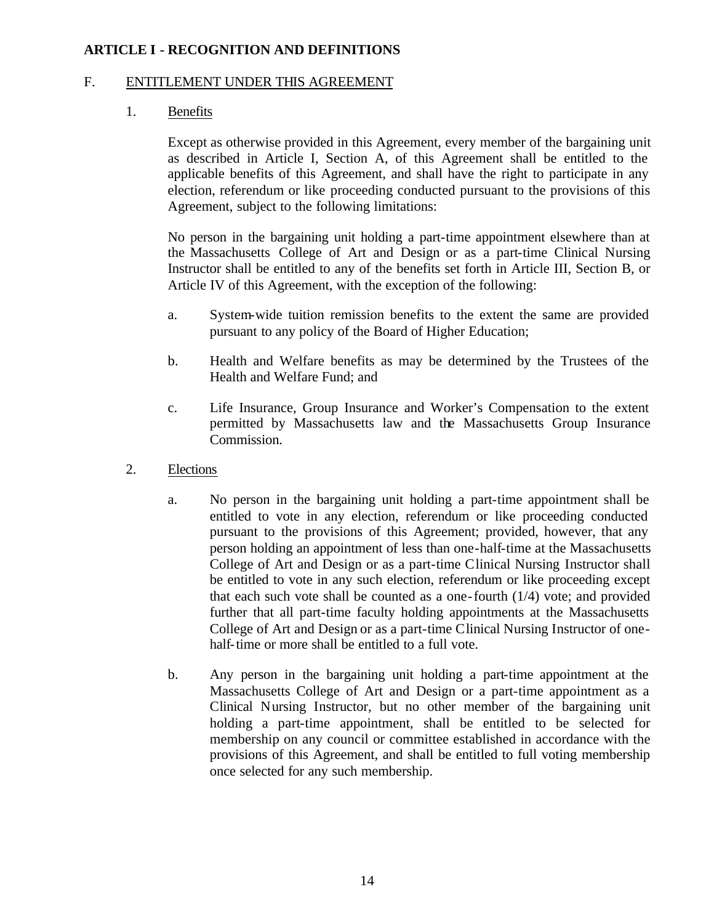#### F. ENTITLEMENT UNDER THIS AGREEMENT

#### 1. Benefits

Except as otherwise provided in this Agreement, every member of the bargaining unit as described in Article I, Section A, of this Agreement shall be entitled to the applicable benefits of this Agreement, and shall have the right to participate in any election, referendum or like proceeding conducted pursuant to the provisions of this Agreement, subject to the following limitations:

No person in the bargaining unit holding a part-time appointment elsewhere than at the Massachusetts College of Art and Design or as a part-time Clinical Nursing Instructor shall be entitled to any of the benefits set forth in Article III, Section B, or Article IV of this Agreement, with the exception of the following:

- a. System-wide tuition remission benefits to the extent the same are provided pursuant to any policy of the Board of Higher Education;
- b. Health and Welfare benefits as may be determined by the Trustees of the Health and Welfare Fund; and
- c. Life Insurance, Group Insurance and Worker's Compensation to the extent permitted by Massachusetts law and the Massachusetts Group Insurance Commission.
- 2. Elections
	- a. No person in the bargaining unit holding a part-time appointment shall be entitled to vote in any election, referendum or like proceeding conducted pursuant to the provisions of this Agreement; provided, however, that any person holding an appointment of less than one-half-time at the Massachusetts College of Art and Design or as a part-time Clinical Nursing Instructor shall be entitled to vote in any such election, referendum or like proceeding except that each such vote shall be counted as a one-fourth (1/4) vote; and provided further that all part-time faculty holding appointments at the Massachusetts College of Art and Design or as a part-time Clinical Nursing Instructor of onehalf-time or more shall be entitled to a full vote.
	- b. Any person in the bargaining unit holding a part-time appointment at the Massachusetts College of Art and Design or a part-time appointment as a Clinical Nursing Instructor, but no other member of the bargaining unit holding a part-time appointment, shall be entitled to be selected for membership on any council or committee established in accordance with the provisions of this Agreement, and shall be entitled to full voting membership once selected for any such membership.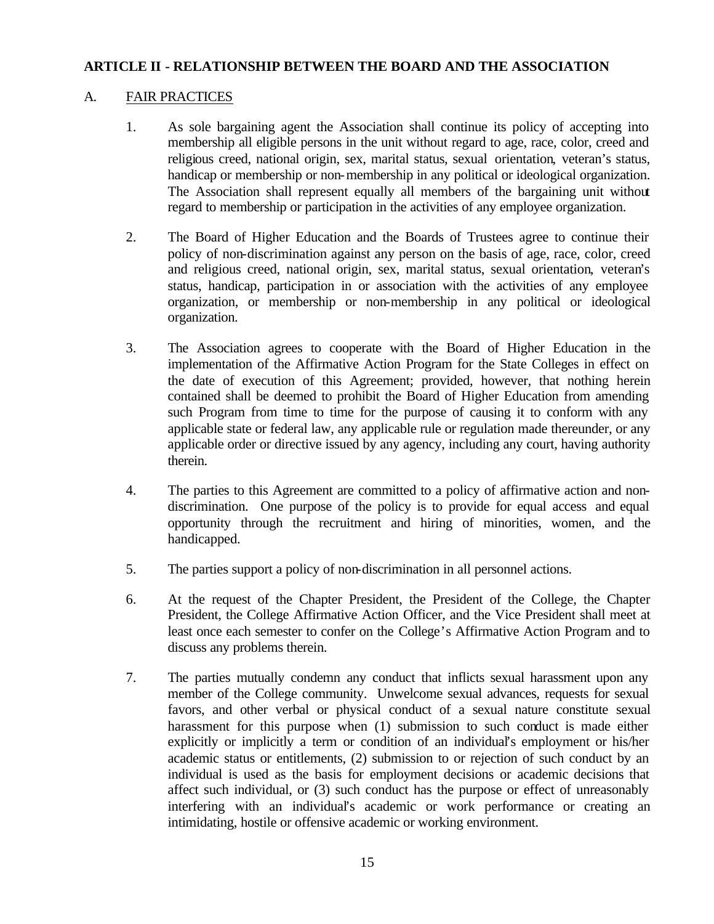# A. FAIR PRACTICES

- 1. As sole bargaining agent the Association shall continue its policy of accepting into membership all eligible persons in the unit without regard to age, race, color, creed and religious creed, national origin, sex, marital status, sexual orientation, veteran's status, handicap or membership or non-membership in any political or ideological organization. The Association shall represent equally all members of the bargaining unit without regard to membership or participation in the activities of any employee organization.
- 2. The Board of Higher Education and the Boards of Trustees agree to continue their policy of non-discrimination against any person on the basis of age, race, color, creed and religious creed, national origin, sex, marital status, sexual orientation, veteran's status, handicap, participation in or association with the activities of any employee organization, or membership or non-membership in any political or ideological organization.
- 3. The Association agrees to cooperate with the Board of Higher Education in the implementation of the Affirmative Action Program for the State Colleges in effect on the date of execution of this Agreement; provided, however, that nothing herein contained shall be deemed to prohibit the Board of Higher Education from amending such Program from time to time for the purpose of causing it to conform with any applicable state or federal law, any applicable rule or regulation made thereunder, or any applicable order or directive issued by any agency, including any court, having authority therein.
- 4. The parties to this Agreement are committed to a policy of affirmative action and nondiscrimination. One purpose of the policy is to provide for equal access and equal opportunity through the recruitment and hiring of minorities, women, and the handicapped.
- 5. The parties support a policy of non-discrimination in all personnel actions.
- 6. At the request of the Chapter President, the President of the College, the Chapter President, the College Affirmative Action Officer, and the Vice President shall meet at least once each semester to confer on the College's Affirmative Action Program and to discuss any problems therein.
- 7. The parties mutually condemn any conduct that inflicts sexual harassment upon any member of the College community. Unwelcome sexual advances, requests for sexual favors, and other verbal or physical conduct of a sexual nature constitute sexual harassment for this purpose when (1) submission to such conduct is made either explicitly or implicitly a term or condition of an individual's employment or his/her academic status or entitlements, (2) submission to or rejection of such conduct by an individual is used as the basis for employment decisions or academic decisions that affect such individual, or (3) such conduct has the purpose or effect of unreasonably interfering with an individual's academic or work performance or creating an intimidating, hostile or offensive academic or working environment.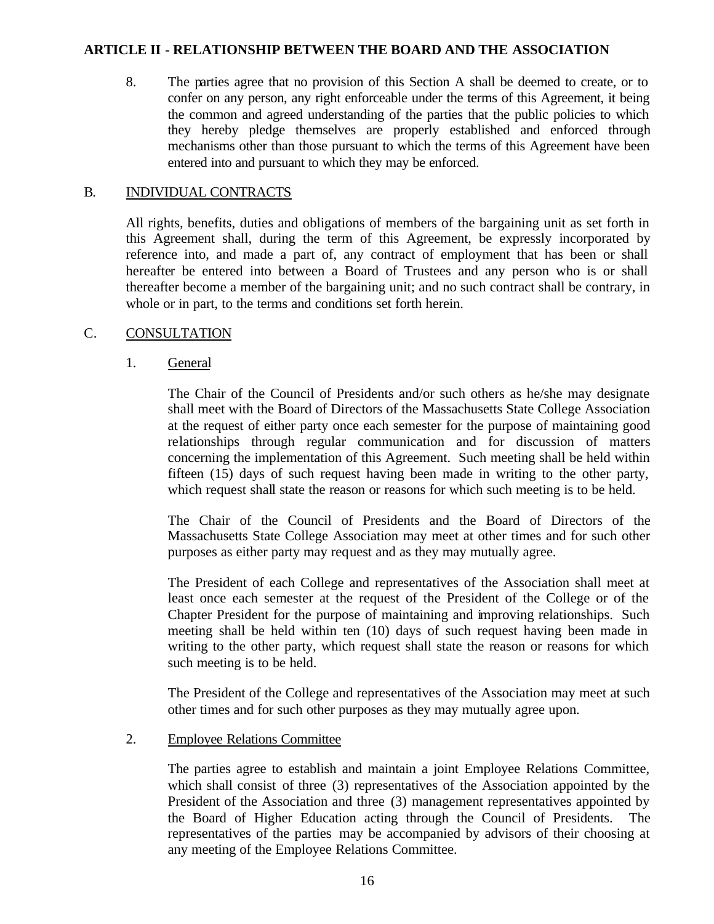8. The parties agree that no provision of this Section A shall be deemed to create, or to confer on any person, any right enforceable under the terms of this Agreement, it being the common and agreed understanding of the parties that the public policies to which they hereby pledge themselves are properly established and enforced through mechanisms other than those pursuant to which the terms of this Agreement have been entered into and pursuant to which they may be enforced.

# B. INDIVIDUAL CONTRACTS

All rights, benefits, duties and obligations of members of the bargaining unit as set forth in this Agreement shall, during the term of this Agreement, be expressly incorporated by reference into, and made a part of, any contract of employment that has been or shall hereafter be entered into between a Board of Trustees and any person who is or shall thereafter become a member of the bargaining unit; and no such contract shall be contrary, in whole or in part, to the terms and conditions set forth herein.

# C. CONSULTATION

# 1. General

The Chair of the Council of Presidents and/or such others as he/she may designate shall meet with the Board of Directors of the Massachusetts State College Association at the request of either party once each semester for the purpose of maintaining good relationships through regular communication and for discussion of matters concerning the implementation of this Agreement. Such meeting shall be held within fifteen (15) days of such request having been made in writing to the other party, which request shall state the reason or reasons for which such meeting is to be held.

The Chair of the Council of Presidents and the Board of Directors of the Massachusetts State College Association may meet at other times and for such other purposes as either party may request and as they may mutually agree.

The President of each College and representatives of the Association shall meet at least once each semester at the request of the President of the College or of the Chapter President for the purpose of maintaining and improving relationships. Such meeting shall be held within ten (10) days of such request having been made in writing to the other party, which request shall state the reason or reasons for which such meeting is to be held.

The President of the College and representatives of the Association may meet at such other times and for such other purposes as they may mutually agree upon.

#### 2. Employee Relations Committee

The parties agree to establish and maintain a joint Employee Relations Committee, which shall consist of three (3) representatives of the Association appointed by the President of the Association and three (3) management representatives appointed by the Board of Higher Education acting through the Council of Presidents. The representatives of the parties may be accompanied by advisors of their choosing at any meeting of the Employee Relations Committee.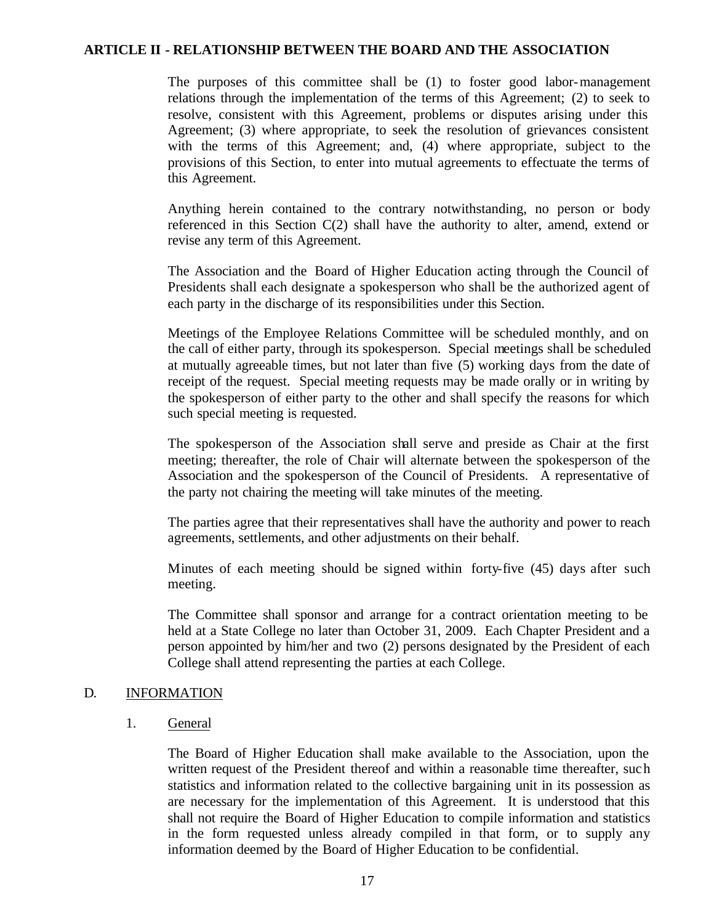The purposes of this committee shall be (1) to foster good labor-management relations through the implementation of the terms of this Agreement; (2) to seek to resolve, consistent with this Agreement, problems or disputes arising under this Agreement; (3) where appropriate, to seek the resolution of grievances consistent with the terms of this Agreement; and, (4) where appropriate, subject to the provisions of this Section, to enter into mutual agreements to effectuate the terms of this Agreement.

Anything herein contained to the contrary notwithstanding, no person or body referenced in this Section C(2) shall have the authority to alter, amend, extend or revise any term of this Agreement.

The Association and the Board of Higher Education acting through the Council of Presidents shall each designate a spokesperson who shall be the authorized agent of each party in the discharge of its responsibilities under this Section.

Meetings of the Employee Relations Committee will be scheduled monthly, and on the call of either party, through its spokesperson. Special meetings shall be scheduled at mutually agreeable times, but not later than five (5) working days from the date of receipt of the request. Special meeting requests may be made orally or in writing by the spokesperson of either party to the other and shall specify the reasons for which such special meeting is requested.

The spokesperson of the Association shall serve and preside as Chair at the first meeting; thereafter, the role of Chair will alternate between the spokesperson of the Association and the spokesperson of the Council of Presidents. A representative of the party not chairing the meeting will take minutes of the meeting.

The parties agree that their representatives shall have the authority and power to reach agreements, settlements, and other adjustments on their behalf.

Minutes of each meeting should be signed within forty-five (45) days after such meeting.

The Committee shall sponsor and arrange for a contract orientation meeting to be held at a State College no later than October 31, 2009. Each Chapter President and a person appointed by him/her and two (2) persons designated by the President of each College shall attend representing the parties at each College.

#### D. INFORMATION

#### 1. General

The Board of Higher Education shall make available to the Association, upon the written request of the President thereof and within a reasonable time thereafter, such statistics and information related to the collective bargaining unit in its possession as are necessary for the implementation of this Agreement. It is understood that this shall not require the Board of Higher Education to compile information and statistics in the form requested unless already compiled in that form, or to supply any information deemed by the Board of Higher Education to be confidential.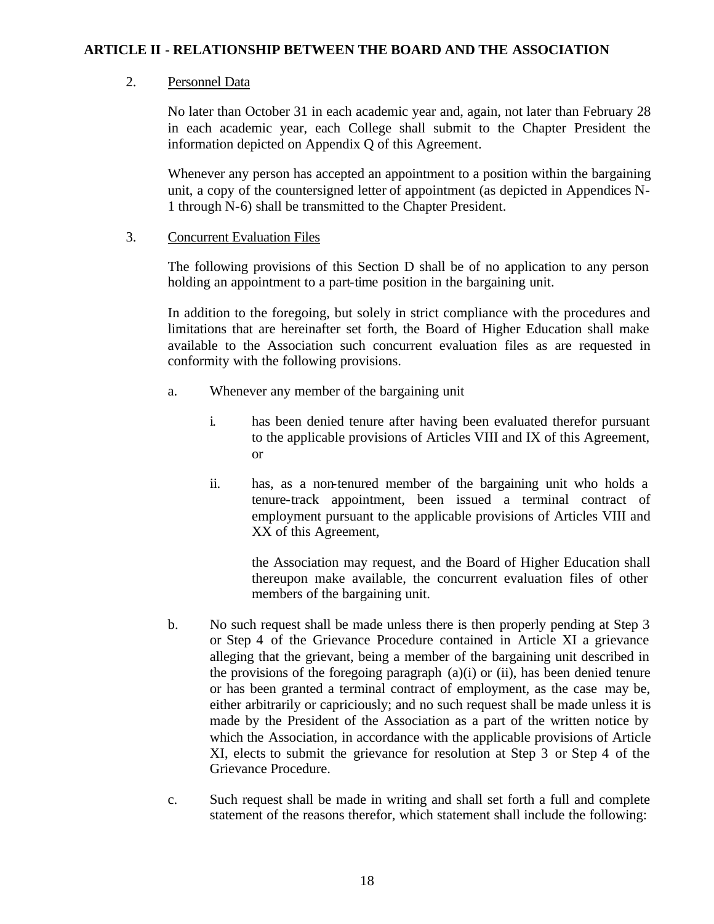#### 2. Personnel Data

No later than October 31 in each academic year and, again, not later than February 28 in each academic year, each College shall submit to the Chapter President the information depicted on Appendix Q of this Agreement.

Whenever any person has accepted an appointment to a position within the bargaining unit, a copy of the countersigned letter of appointment (as depicted in Appendices N-1 through N-6) shall be transmitted to the Chapter President.

#### 3. Concurrent Evaluation Files

The following provisions of this Section D shall be of no application to any person holding an appointment to a part-time position in the bargaining unit.

In addition to the foregoing, but solely in strict compliance with the procedures and limitations that are hereinafter set forth, the Board of Higher Education shall make available to the Association such concurrent evaluation files as are requested in conformity with the following provisions.

- a. Whenever any member of the bargaining unit
	- i. has been denied tenure after having been evaluated therefor pursuant to the applicable provisions of Articles VIII and IX of this Agreement, or
	- ii. has, as a non-tenured member of the bargaining unit who holds a tenure-track appointment, been issued a terminal contract of employment pursuant to the applicable provisions of Articles VIII and XX of this Agreement,

the Association may request, and the Board of Higher Education shall thereupon make available, the concurrent evaluation files of other members of the bargaining unit.

- b. No such request shall be made unless there is then properly pending at Step 3 or Step 4 of the Grievance Procedure contained in Article XI a grievance alleging that the grievant, being a member of the bargaining unit described in the provisions of the foregoing paragraph (a)(i) or (ii), has been denied tenure or has been granted a terminal contract of employment, as the case may be, either arbitrarily or capriciously; and no such request shall be made unless it is made by the President of the Association as a part of the written notice by which the Association, in accordance with the applicable provisions of Article XI, elects to submit the grievance for resolution at Step 3 or Step 4 of the Grievance Procedure.
- c. Such request shall be made in writing and shall set forth a full and complete statement of the reasons therefor, which statement shall include the following: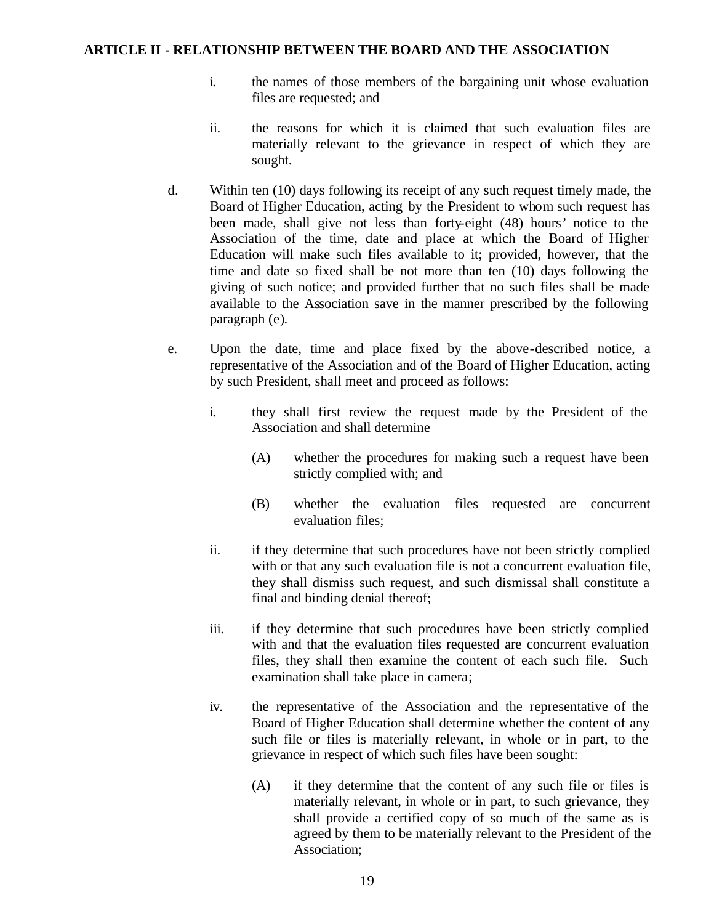- i. the names of those members of the bargaining unit whose evaluation files are requested; and
- ii. the reasons for which it is claimed that such evaluation files are materially relevant to the grievance in respect of which they are sought.
- d. Within ten (10) days following its receipt of any such request timely made, the Board of Higher Education, acting by the President to whom such request has been made, shall give not less than forty-eight (48) hours' notice to the Association of the time, date and place at which the Board of Higher Education will make such files available to it; provided, however, that the time and date so fixed shall be not more than ten (10) days following the giving of such notice; and provided further that no such files shall be made available to the Association save in the manner prescribed by the following paragraph (e).
- e. Upon the date, time and place fixed by the above-described notice, a representative of the Association and of the Board of Higher Education, acting by such President, shall meet and proceed as follows:
	- i. they shall first review the request made by the President of the Association and shall determine
		- (A) whether the procedures for making such a request have been strictly complied with; and
		- (B) whether the evaluation files requested are concurrent evaluation files;
	- ii. if they determine that such procedures have not been strictly complied with or that any such evaluation file is not a concurrent evaluation file, they shall dismiss such request, and such dismissal shall constitute a final and binding denial thereof;
	- iii. if they determine that such procedures have been strictly complied with and that the evaluation files requested are concurrent evaluation files, they shall then examine the content of each such file. Such examination shall take place in camera;
	- iv. the representative of the Association and the representative of the Board of Higher Education shall determine whether the content of any such file or files is materially relevant, in whole or in part, to the grievance in respect of which such files have been sought:
		- (A) if they determine that the content of any such file or files is materially relevant, in whole or in part, to such grievance, they shall provide a certified copy of so much of the same as is agreed by them to be materially relevant to the President of the Association;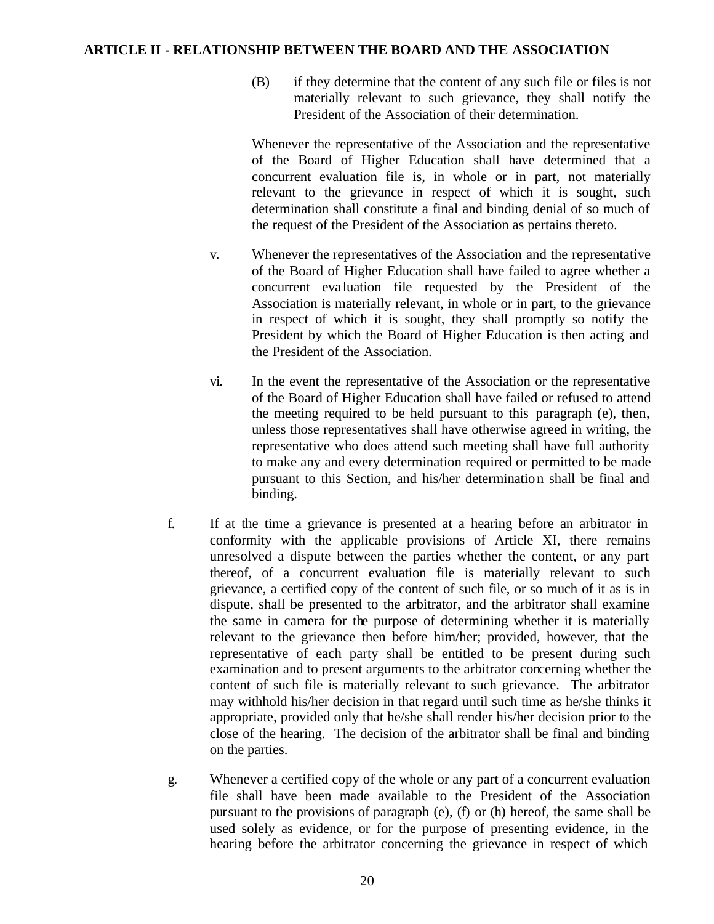(B) if they determine that the content of any such file or files is not materially relevant to such grievance, they shall notify the President of the Association of their determination.

Whenever the representative of the Association and the representative of the Board of Higher Education shall have determined that a concurrent evaluation file is, in whole or in part, not materially relevant to the grievance in respect of which it is sought, such determination shall constitute a final and binding denial of so much of the request of the President of the Association as pertains thereto.

- v. Whenever the representatives of the Association and the representative of the Board of Higher Education shall have failed to agree whether a concurrent eva luation file requested by the President of the Association is materially relevant, in whole or in part, to the grievance in respect of which it is sought, they shall promptly so notify the President by which the Board of Higher Education is then acting and the President of the Association.
- vi. In the event the representative of the Association or the representative of the Board of Higher Education shall have failed or refused to attend the meeting required to be held pursuant to this paragraph (e), then, unless those representatives shall have otherwise agreed in writing, the representative who does attend such meeting shall have full authority to make any and every determination required or permitted to be made pursuant to this Section, and his/her determination shall be final and binding.
- f. If at the time a grievance is presented at a hearing before an arbitrator in conformity with the applicable provisions of Article XI, there remains unresolved a dispute between the parties whether the content, or any part thereof, of a concurrent evaluation file is materially relevant to such grievance, a certified copy of the content of such file, or so much of it as is in dispute, shall be presented to the arbitrator, and the arbitrator shall examine the same in camera for the purpose of determining whether it is materially relevant to the grievance then before him/her; provided, however, that the representative of each party shall be entitled to be present during such examination and to present arguments to the arbitrator concerning whether the content of such file is materially relevant to such grievance. The arbitrator may withhold his/her decision in that regard until such time as he/she thinks it appropriate, provided only that he/she shall render his/her decision prior to the close of the hearing. The decision of the arbitrator shall be final and binding on the parties.
- g. Whenever a certified copy of the whole or any part of a concurrent evaluation file shall have been made available to the President of the Association pursuant to the provisions of paragraph (e), (f) or (h) hereof, the same shall be used solely as evidence, or for the purpose of presenting evidence, in the hearing before the arbitrator concerning the grievance in respect of which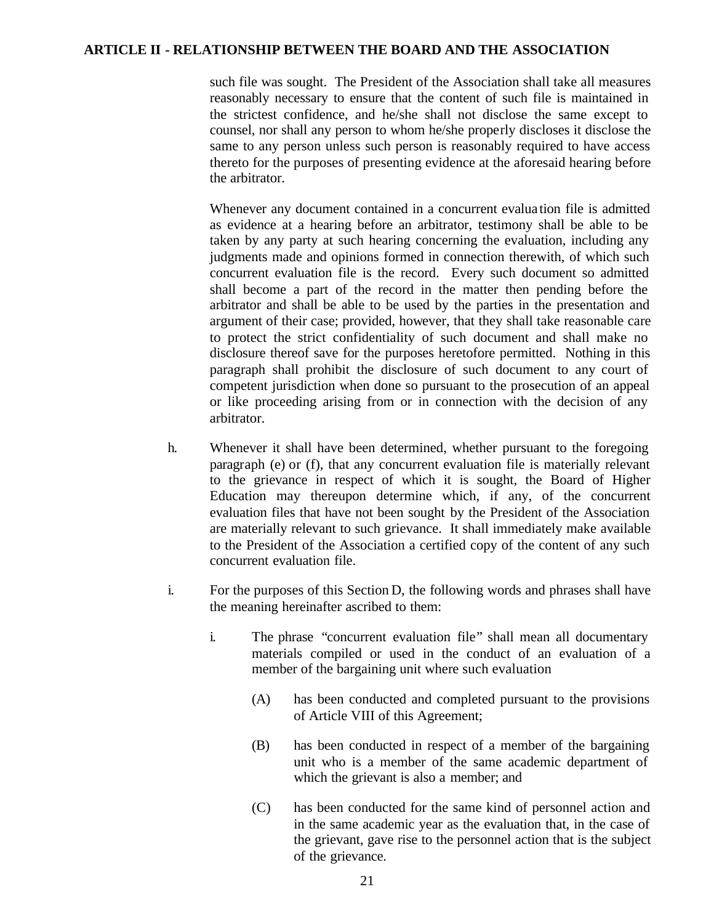such file was sought. The President of the Association shall take all measures reasonably necessary to ensure that the content of such file is maintained in the strictest confidence, and he/she shall not disclose the same except to counsel, nor shall any person to whom he/she properly discloses it disclose the same to any person unless such person is reasonably required to have access thereto for the purposes of presenting evidence at the aforesaid hearing before the arbitrator.

Whenever any document contained in a concurrent evalua tion file is admitted as evidence at a hearing before an arbitrator, testimony shall be able to be taken by any party at such hearing concerning the evaluation, including any judgments made and opinions formed in connection therewith, of which such concurrent evaluation file is the record. Every such document so admitted shall become a part of the record in the matter then pending before the arbitrator and shall be able to be used by the parties in the presentation and argument of their case; provided, however, that they shall take reasonable care to protect the strict confidentiality of such document and shall make no disclosure thereof save for the purposes heretofore permitted. Nothing in this paragraph shall prohibit the disclosure of such document to any court of competent jurisdiction when done so pursuant to the prosecution of an appeal or like proceeding arising from or in connection with the decision of any arbitrator.

- h. Whenever it shall have been determined, whether pursuant to the foregoing paragraph (e) or (f), that any concurrent evaluation file is materially relevant to the grievance in respect of which it is sought, the Board of Higher Education may thereupon determine which, if any, of the concurrent evaluation files that have not been sought by the President of the Association are materially relevant to such grievance. It shall immediately make available to the President of the Association a certified copy of the content of any such concurrent evaluation file.
- i. For the purposes of this Section D, the following words and phrases shall have the meaning hereinafter ascribed to them:
	- i. The phrase "concurrent evaluation file" shall mean all documentary materials compiled or used in the conduct of an evaluation of a member of the bargaining unit where such evaluation
		- (A) has been conducted and completed pursuant to the provisions of Article VIII of this Agreement;
		- (B) has been conducted in respect of a member of the bargaining unit who is a member of the same academic department of which the grievant is also a member; and
		- (C) has been conducted for the same kind of personnel action and in the same academic year as the evaluation that, in the case of the grievant, gave rise to the personnel action that is the subject of the grievance.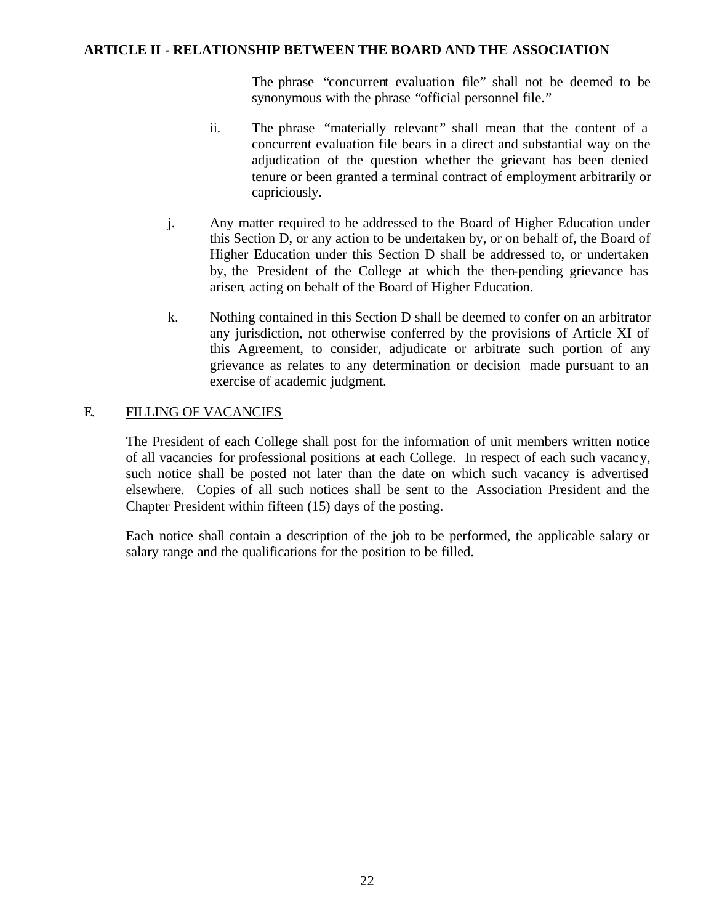The phrase "concurrent evaluation file" shall not be deemed to be synonymous with the phrase "official personnel file."

- ii. The phrase "materially relevant" shall mean that the content of a concurrent evaluation file bears in a direct and substantial way on the adjudication of the question whether the grievant has been denied tenure or been granted a terminal contract of employment arbitrarily or capriciously.
- j. Any matter required to be addressed to the Board of Higher Education under this Section D, or any action to be undertaken by, or on behalf of, the Board of Higher Education under this Section D shall be addressed to, or undertaken by, the President of the College at which the then-pending grievance has arisen, acting on behalf of the Board of Higher Education.
- k. Nothing contained in this Section D shall be deemed to confer on an arbitrator any jurisdiction, not otherwise conferred by the provisions of Article XI of this Agreement, to consider, adjudicate or arbitrate such portion of any grievance as relates to any determination or decision made pursuant to an exercise of academic judgment.

# E. FILLING OF VACANCIES

The President of each College shall post for the information of unit members written notice of all vacancies for professional positions at each College. In respect of each such vacancy, such notice shall be posted not later than the date on which such vacancy is advertised elsewhere. Copies of all such notices shall be sent to the Association President and the Chapter President within fifteen (15) days of the posting.

Each notice shall contain a description of the job to be performed, the applicable salary or salary range and the qualifications for the position to be filled.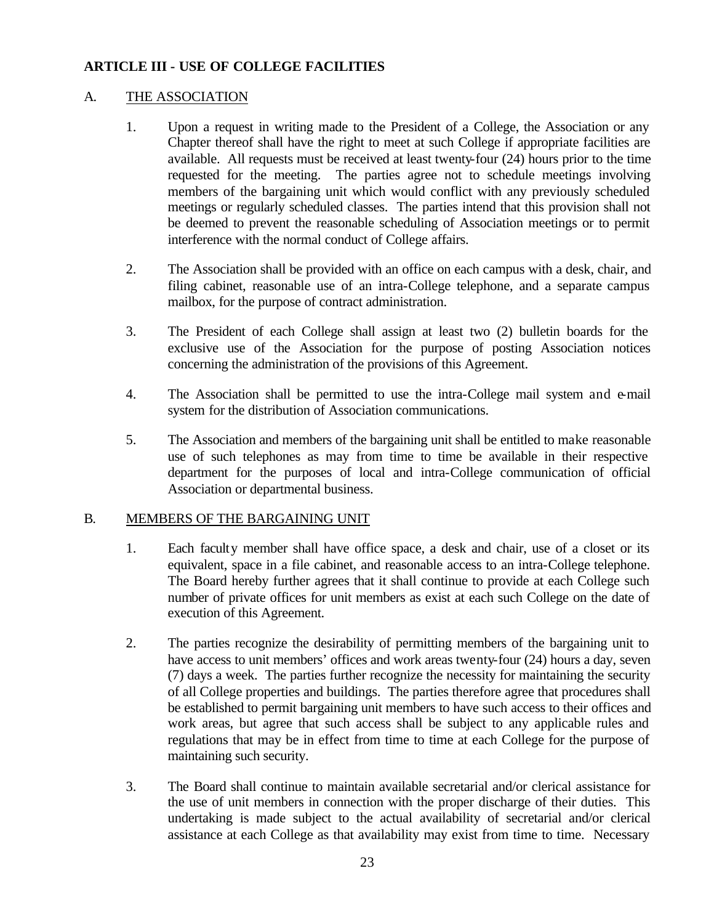#### A. THE ASSOCIATION

- 1. Upon a request in writing made to the President of a College, the Association or any Chapter thereof shall have the right to meet at such College if appropriate facilities are available. All requests must be received at least twenty-four (24) hours prior to the time requested for the meeting. The parties agree not to schedule meetings involving members of the bargaining unit which would conflict with any previously scheduled meetings or regularly scheduled classes. The parties intend that this provision shall not be deemed to prevent the reasonable scheduling of Association meetings or to permit interference with the normal conduct of College affairs.
- 2. The Association shall be provided with an office on each campus with a desk, chair, and filing cabinet, reasonable use of an intra-College telephone, and a separate campus mailbox, for the purpose of contract administration.
- 3. The President of each College shall assign at least two (2) bulletin boards for the exclusive use of the Association for the purpose of posting Association notices concerning the administration of the provisions of this Agreement.
- 4. The Association shall be permitted to use the intra-College mail system and e-mail system for the distribution of Association communications.
- 5. The Association and members of the bargaining unit shall be entitled to make reasonable use of such telephones as may from time to time be available in their respective department for the purposes of local and intra-College communication of official Association or departmental business.

#### B. MEMBERS OF THE BARGAINING UNIT

- 1. Each faculty member shall have office space, a desk and chair, use of a closet or its equivalent, space in a file cabinet, and reasonable access to an intra-College telephone. The Board hereby further agrees that it shall continue to provide at each College such number of private offices for unit members as exist at each such College on the date of execution of this Agreement.
- 2. The parties recognize the desirability of permitting members of the bargaining unit to have access to unit members' offices and work areas twenty-four (24) hours a day, seven (7) days a week. The parties further recognize the necessity for maintaining the security of all College properties and buildings. The parties therefore agree that procedures shall be established to permit bargaining unit members to have such access to their offices and work areas, but agree that such access shall be subject to any applicable rules and regulations that may be in effect from time to time at each College for the purpose of maintaining such security.
- 3. The Board shall continue to maintain available secretarial and/or clerical assistance for the use of unit members in connection with the proper discharge of their duties. This undertaking is made subject to the actual availability of secretarial and/or clerical assistance at each College as that availability may exist from time to time. Necessary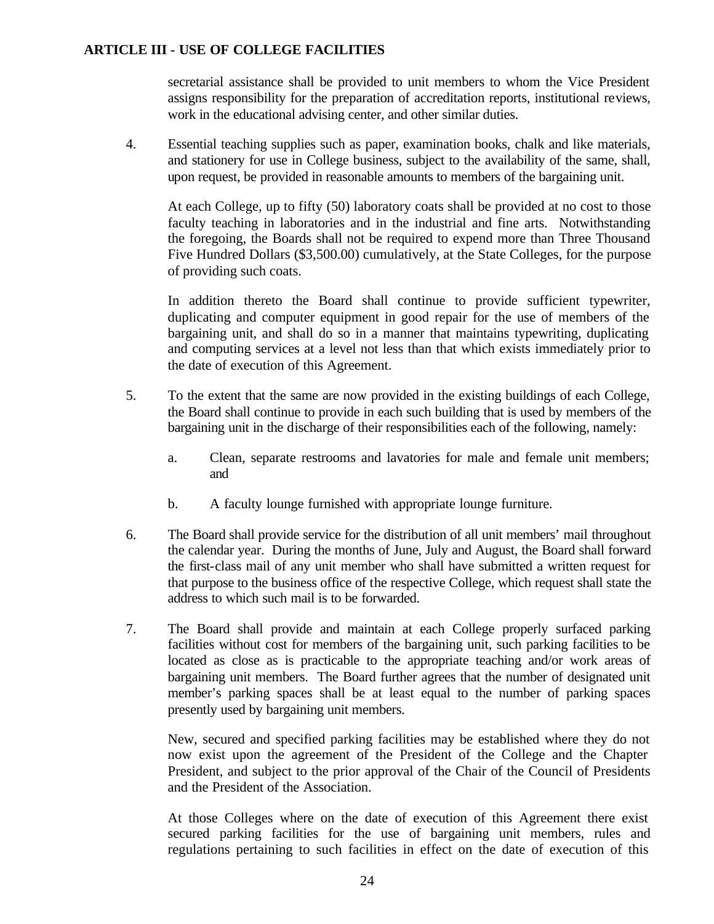secretarial assistance shall be provided to unit members to whom the Vice President assigns responsibility for the preparation of accreditation reports, institutional reviews, work in the educational advising center, and other similar duties.

4. Essential teaching supplies such as paper, examination books, chalk and like materials, and stationery for use in College business, subject to the availability of the same, shall, upon request, be provided in reasonable amounts to members of the bargaining unit.

At each College, up to fifty (50) laboratory coats shall be provided at no cost to those faculty teaching in laboratories and in the industrial and fine arts. Notwithstanding the foregoing, the Boards shall not be required to expend more than Three Thousand Five Hundred Dollars (\$3,500.00) cumulatively, at the State Colleges, for the purpose of providing such coats.

In addition thereto the Board shall continue to provide sufficient typewriter, duplicating and computer equipment in good repair for the use of members of the bargaining unit, and shall do so in a manner that maintains typewriting, duplicating and computing services at a level not less than that which exists immediately prior to the date of execution of this Agreement.

- 5. To the extent that the same are now provided in the existing buildings of each College, the Board shall continue to provide in each such building that is used by members of the bargaining unit in the discharge of their responsibilities each of the following, namely:
	- a. Clean, separate restrooms and lavatories for male and female unit members; and
	- b. A faculty lounge furnished with appropriate lounge furniture.
- 6. The Board shall provide service for the distribution of all unit members' mail throughout the calendar year. During the months of June, July and August, the Board shall forward the first-class mail of any unit member who shall have submitted a written request for that purpose to the business office of the respective College, which request shall state the address to which such mail is to be forwarded.
- 7. The Board shall provide and maintain at each College properly surfaced parking facilities without cost for members of the bargaining unit, such parking facilities to be located as close as is practicable to the appropriate teaching and/or work areas of bargaining unit members. The Board further agrees that the number of designated unit member's parking spaces shall be at least equal to the number of parking spaces presently used by bargaining unit members.

New, secured and specified parking facilities may be established where they do not now exist upon the agreement of the President of the College and the Chapter President, and subject to the prior approval of the Chair of the Council of Presidents and the President of the Association.

At those Colleges where on the date of execution of this Agreement there exist secured parking facilities for the use of bargaining unit members, rules and regulations pertaining to such facilities in effect on the date of execution of this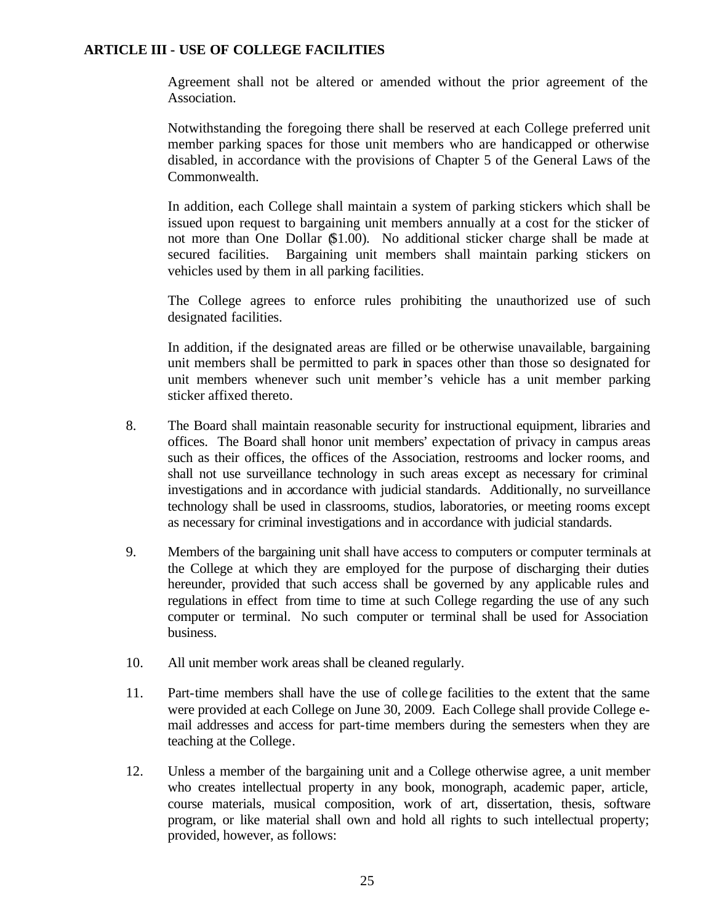Agreement shall not be altered or amended without the prior agreement of the Association.

Notwithstanding the foregoing there shall be reserved at each College preferred unit member parking spaces for those unit members who are handicapped or otherwise disabled, in accordance with the provisions of Chapter 5 of the General Laws of the Commonwealth.

In addition, each College shall maintain a system of parking stickers which shall be issued upon request to bargaining unit members annually at a cost for the sticker of not more than One Dollar (\$1.00). No additional sticker charge shall be made at secured facilities. Bargaining unit members shall maintain parking stickers on vehicles used by them in all parking facilities.

The College agrees to enforce rules prohibiting the unauthorized use of such designated facilities.

In addition, if the designated areas are filled or be otherwise unavailable, bargaining unit members shall be permitted to park in spaces other than those so designated for unit members whenever such unit member's vehicle has a unit member parking sticker affixed thereto.

- 8. The Board shall maintain reasonable security for instructional equipment, libraries and offices. The Board shall honor unit members' expectation of privacy in campus areas such as their offices, the offices of the Association, restrooms and locker rooms, and shall not use surveillance technology in such areas except as necessary for criminal investigations and in accordance with judicial standards. Additionally, no surveillance technology shall be used in classrooms, studios, laboratories, or meeting rooms except as necessary for criminal investigations and in accordance with judicial standards.
- 9. Members of the bargaining unit shall have access to computers or computer terminals at the College at which they are employed for the purpose of discharging their duties hereunder, provided that such access shall be governed by any applicable rules and regulations in effect from time to time at such College regarding the use of any such computer or terminal. No such computer or terminal shall be used for Association business.
- 10. All unit member work areas shall be cleaned regularly.
- 11. Part-time members shall have the use of college facilities to the extent that the same were provided at each College on June 30, 2009. Each College shall provide College email addresses and access for part-time members during the semesters when they are teaching at the College.
- 12. Unless a member of the bargaining unit and a College otherwise agree, a unit member who creates intellectual property in any book, monograph, academic paper, article, course materials, musical composition, work of art, dissertation, thesis, software program, or like material shall own and hold all rights to such intellectual property; provided, however, as follows: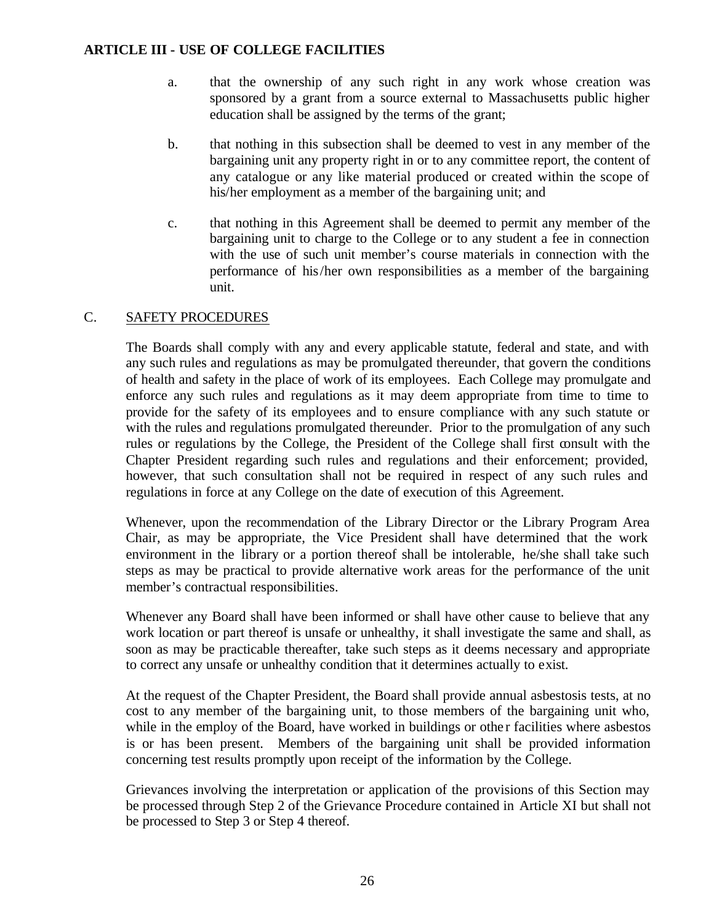- a. that the ownership of any such right in any work whose creation was sponsored by a grant from a source external to Massachusetts public higher education shall be assigned by the terms of the grant;
- b. that nothing in this subsection shall be deemed to vest in any member of the bargaining unit any property right in or to any committee report, the content of any catalogue or any like material produced or created within the scope of his/her employment as a member of the bargaining unit; and
- c. that nothing in this Agreement shall be deemed to permit any member of the bargaining unit to charge to the College or to any student a fee in connection with the use of such unit member's course materials in connection with the performance of his/her own responsibilities as a member of the bargaining unit.

# C. SAFETY PROCEDURES

The Boards shall comply with any and every applicable statute, federal and state, and with any such rules and regulations as may be promulgated thereunder, that govern the conditions of health and safety in the place of work of its employees. Each College may promulgate and enforce any such rules and regulations as it may deem appropriate from time to time to provide for the safety of its employees and to ensure compliance with any such statute or with the rules and regulations promulgated thereunder. Prior to the promulgation of any such rules or regulations by the College, the President of the College shall first consult with the Chapter President regarding such rules and regulations and their enforcement; provided, however, that such consultation shall not be required in respect of any such rules and regulations in force at any College on the date of execution of this Agreement.

Whenever, upon the recommendation of the Library Director or the Library Program Area Chair, as may be appropriate, the Vice President shall have determined that the work environment in the library or a portion thereof shall be intolerable, he/she shall take such steps as may be practical to provide alternative work areas for the performance of the unit member's contractual responsibilities.

Whenever any Board shall have been informed or shall have other cause to believe that any work location or part thereof is unsafe or unhealthy, it shall investigate the same and shall, as soon as may be practicable thereafter, take such steps as it deems necessary and appropriate to correct any unsafe or unhealthy condition that it determines actually to exist.

At the request of the Chapter President, the Board shall provide annual asbestosis tests, at no cost to any member of the bargaining unit, to those members of the bargaining unit who, while in the employ of the Board, have worked in buildings or other facilities where asbestos is or has been present. Members of the bargaining unit shall be provided information concerning test results promptly upon receipt of the information by the College.

Grievances involving the interpretation or application of the provisions of this Section may be processed through Step 2 of the Grievance Procedure contained in Article XI but shall not be processed to Step 3 or Step 4 thereof.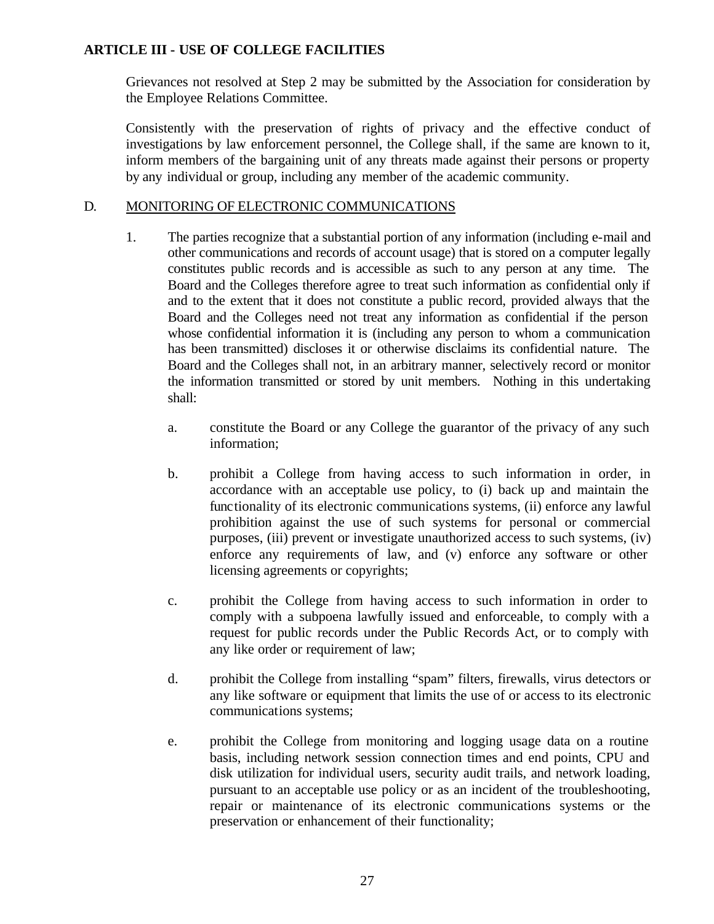Grievances not resolved at Step 2 may be submitted by the Association for consideration by the Employee Relations Committee.

Consistently with the preservation of rights of privacy and the effective conduct of investigations by law enforcement personnel, the College shall, if the same are known to it, inform members of the bargaining unit of any threats made against their persons or property by any individual or group, including any member of the academic community.

# D. MONITORING OF ELECTRONIC COMMUNICATIONS

- 1. The parties recognize that a substantial portion of any information (including e-mail and other communications and records of account usage) that is stored on a computer legally constitutes public records and is accessible as such to any person at any time. The Board and the Colleges therefore agree to treat such information as confidential only if and to the extent that it does not constitute a public record, provided always that the Board and the Colleges need not treat any information as confidential if the person whose confidential information it is (including any person to whom a communication has been transmitted) discloses it or otherwise disclaims its confidential nature. The Board and the Colleges shall not, in an arbitrary manner, selectively record or monitor the information transmitted or stored by unit members. Nothing in this undertaking shall:
	- a. constitute the Board or any College the guarantor of the privacy of any such information;
	- b. prohibit a College from having access to such information in order, in accordance with an acceptable use policy, to (i) back up and maintain the functionality of its electronic communications systems, (ii) enforce any lawful prohibition against the use of such systems for personal or commercial purposes, (iii) prevent or investigate unauthorized access to such systems, (iv) enforce any requirements of law, and (v) enforce any software or other licensing agreements or copyrights;
	- c. prohibit the College from having access to such information in order to comply with a subpoena lawfully issued and enforceable, to comply with a request for public records under the Public Records Act, or to comply with any like order or requirement of law;
	- d. prohibit the College from installing "spam" filters, firewalls, virus detectors or any like software or equipment that limits the use of or access to its electronic communications systems;
	- e. prohibit the College from monitoring and logging usage data on a routine basis, including network session connection times and end points, CPU and disk utilization for individual users, security audit trails, and network loading, pursuant to an acceptable use policy or as an incident of the troubleshooting, repair or maintenance of its electronic communications systems or the preservation or enhancement of their functionality;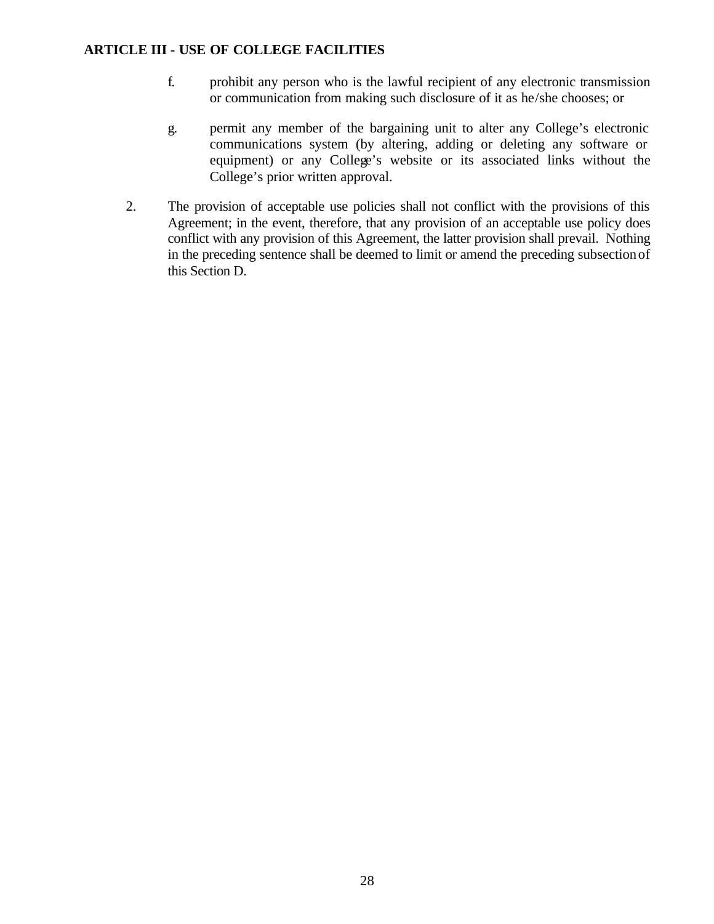- f. prohibit any person who is the lawful recipient of any electronic transmission or communication from making such disclosure of it as he/she chooses; or
- g. permit any member of the bargaining unit to alter any College's electronic communications system (by altering, adding or deleting any software or equipment) or any College's website or its associated links without the College's prior written approval.
- 2. The provision of acceptable use policies shall not conflict with the provisions of this Agreement; in the event, therefore, that any provision of an acceptable use policy does conflict with any provision of this Agreement, the latter provision shall prevail. Nothing in the preceding sentence shall be deemed to limit or amend the preceding subsection of this Section D.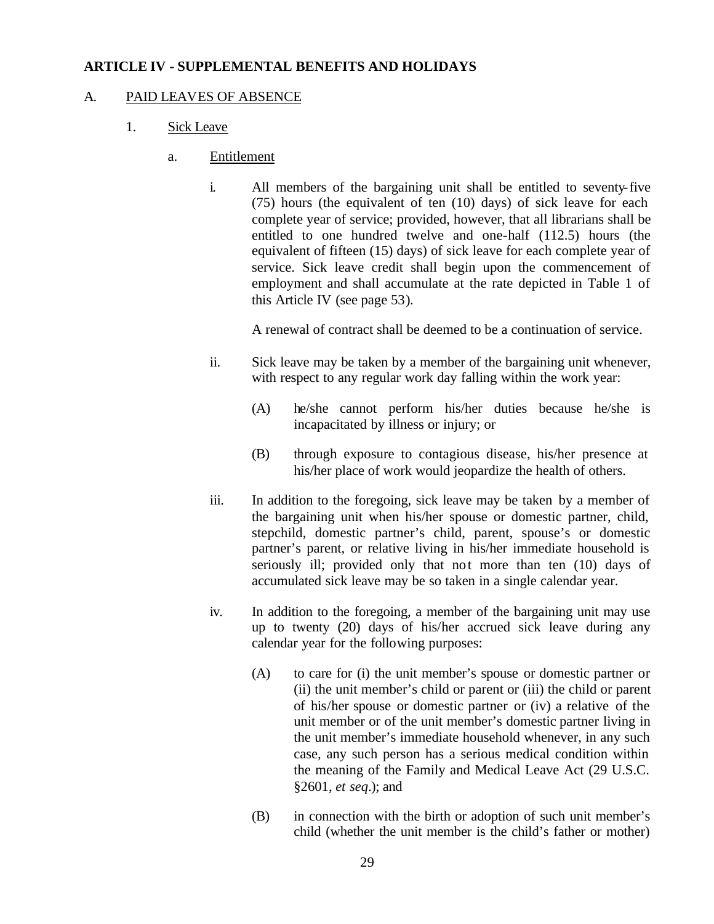#### **ARTICLE IV - SUPPLEMENTAL BENEFITS AND HOLIDAYS**

#### A. PAID LEAVES OF ABSENCE

- 1. Sick Leave
	- a. Entitlement
		- i. All members of the bargaining unit shall be entitled to seventy-five (75) hours (the equivalent of ten (10) days) of sick leave for each complete year of service; provided, however, that all librarians shall be entitled to one hundred twelve and one-half (112.5) hours (the equivalent of fifteen (15) days) of sick leave for each complete year of service. Sick leave credit shall begin upon the commencement of employment and shall accumulate at the rate depicted in Table 1 of this Article IV (see page 53).

A renewal of contract shall be deemed to be a continuation of service.

- ii. Sick leave may be taken by a member of the bargaining unit whenever, with respect to any regular work day falling within the work year:
	- (A) he/she cannot perform his/her duties because he/she is incapacitated by illness or injury; or
	- (B) through exposure to contagious disease, his/her presence at his/her place of work would jeopardize the health of others.
- iii. In addition to the foregoing, sick leave may be taken by a member of the bargaining unit when his/her spouse or domestic partner, child, stepchild, domestic partner's child, parent, spouse's or domestic partner's parent, or relative living in his/her immediate household is seriously ill; provided only that not more than ten (10) days of accumulated sick leave may be so taken in a single calendar year.
- iv. In addition to the foregoing, a member of the bargaining unit may use up to twenty (20) days of his/her accrued sick leave during any calendar year for the following purposes:
	- (A) to care for (i) the unit member's spouse or domestic partner or (ii) the unit member's child or parent or (iii) the child or parent of his/her spouse or domestic partner or (iv) a relative of the unit member or of the unit member's domestic partner living in the unit member's immediate household whenever, in any such case, any such person has a serious medical condition within the meaning of the Family and Medical Leave Act (29 U.S.C. §2601, *et seq*.); and
	- (B) in connection with the birth or adoption of such unit member's child (whether the unit member is the child's father or mother)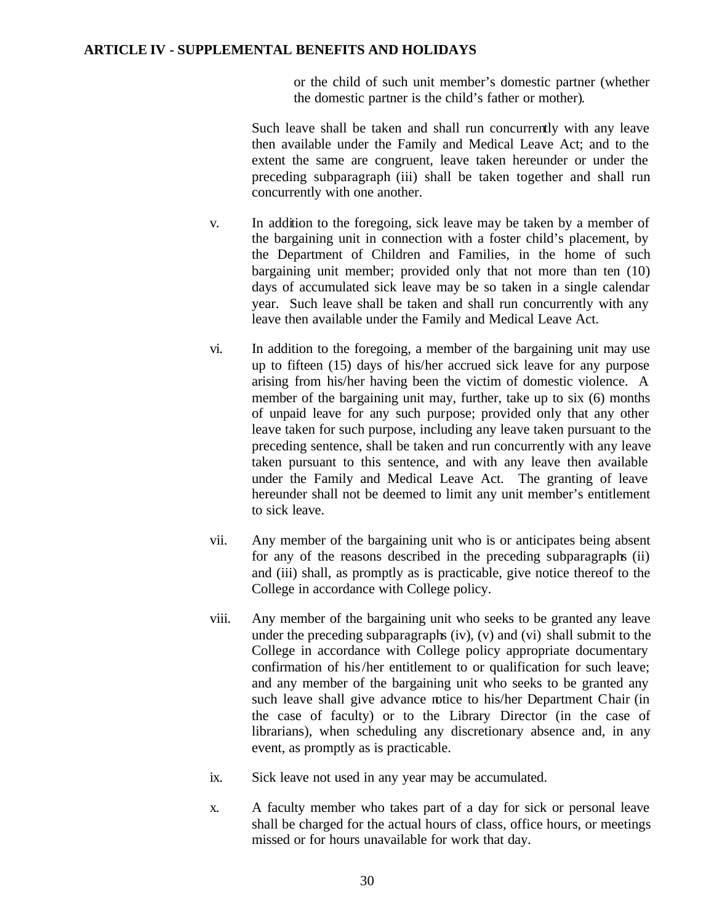or the child of such unit member's domestic partner (whether the domestic partner is the child's father or mother).

Such leave shall be taken and shall run concurrently with any leave then available under the Family and Medical Leave Act; and to the extent the same are congruent, leave taken hereunder or under the preceding subparagraph (iii) shall be taken together and shall run concurrently with one another.

- v. In addition to the foregoing, sick leave may be taken by a member of the bargaining unit in connection with a foster child's placement, by the Department of Children and Families, in the home of such bargaining unit member; provided only that not more than ten (10) days of accumulated sick leave may be so taken in a single calendar year. Such leave shall be taken and shall run concurrently with any leave then available under the Family and Medical Leave Act.
- vi. In addition to the foregoing, a member of the bargaining unit may use up to fifteen (15) days of his/her accrued sick leave for any purpose arising from his/her having been the victim of domestic violence. A member of the bargaining unit may, further, take up to six (6) months of unpaid leave for any such purpose; provided only that any other leave taken for such purpose, including any leave taken pursuant to the preceding sentence, shall be taken and run concurrently with any leave taken pursuant to this sentence, and with any leave then available under the Family and Medical Leave Act. The granting of leave hereunder shall not be deemed to limit any unit member's entitlement to sick leave.
- vii. Any member of the bargaining unit who is or anticipates being absent for any of the reasons described in the preceding subparagraphs (ii) and (iii) shall, as promptly as is practicable, give notice thereof to the College in accordance with College policy.
- viii. Any member of the bargaining unit who seeks to be granted any leave under the preceding subparagraphs  $(iv)$ ,  $(v)$  and  $(vi)$  shall submit to the College in accordance with College policy appropriate documentary confirmation of his/her entitlement to or qualification for such leave; and any member of the bargaining unit who seeks to be granted any such leave shall give advance notice to his/her Department Chair (in the case of faculty) or to the Library Director (in the case of librarians), when scheduling any discretionary absence and, in any event, as promptly as is practicable.
- ix. Sick leave not used in any year may be accumulated.
- x. A faculty member who takes part of a day for sick or personal leave shall be charged for the actual hours of class, office hours, or meetings missed or for hours unavailable for work that day.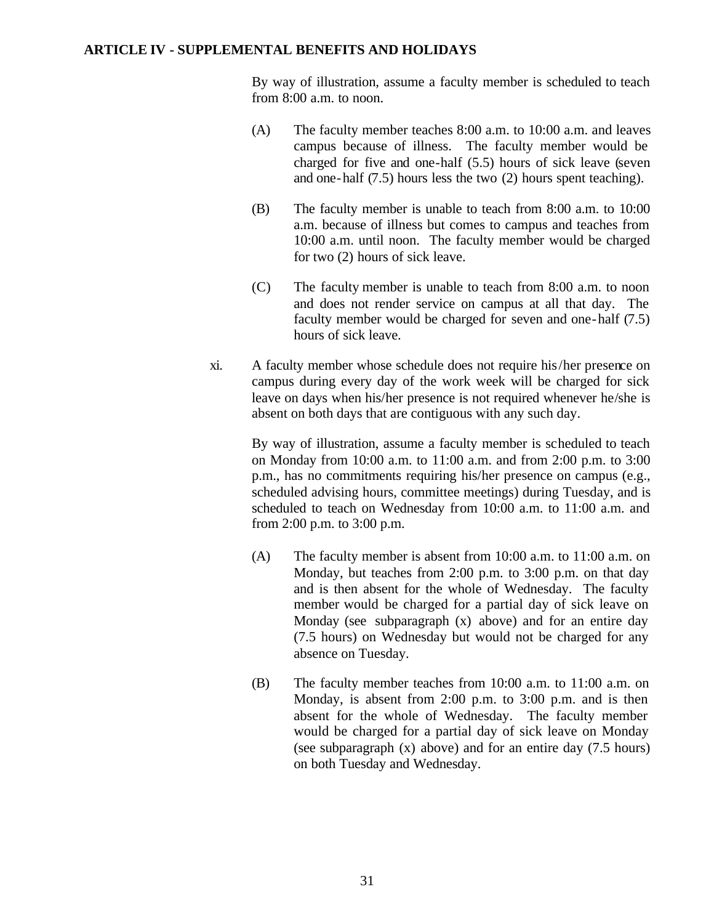By way of illustration, assume a faculty member is scheduled to teach from 8:00 a.m. to noon.

- (A) The faculty member teaches 8:00 a.m. to 10:00 a.m. and leaves campus because of illness. The faculty member would be charged for five and one-half (5.5) hours of sick leave (seven and one-half (7.5) hours less the two (2) hours spent teaching).
- (B) The faculty member is unable to teach from 8:00 a.m. to 10:00 a.m. because of illness but comes to campus and teaches from 10:00 a.m. until noon. The faculty member would be charged for two (2) hours of sick leave.
- (C) The faculty member is unable to teach from 8:00 a.m. to noon and does not render service on campus at all that day. The faculty member would be charged for seven and one-half (7.5) hours of sick leave.
- xi. A faculty member whose schedule does not require his/her presence on campus during every day of the work week will be charged for sick leave on days when his/her presence is not required whenever he/she is absent on both days that are contiguous with any such day.

By way of illustration, assume a faculty member is scheduled to teach on Monday from 10:00 a.m. to 11:00 a.m. and from 2:00 p.m. to 3:00 p.m., has no commitments requiring his/her presence on campus (e.g., scheduled advising hours, committee meetings) during Tuesday, and is scheduled to teach on Wednesday from 10:00 a.m. to 11:00 a.m. and from 2:00 p.m. to 3:00 p.m.

- (A) The faculty member is absent from 10:00 a.m. to 11:00 a.m. on Monday, but teaches from 2:00 p.m. to 3:00 p.m. on that day and is then absent for the whole of Wednesday. The faculty member would be charged for a partial day of sick leave on Monday (see subparagraph (x) above) and for an entire day (7.5 hours) on Wednesday but would not be charged for any absence on Tuesday.
- (B) The faculty member teaches from 10:00 a.m. to 11:00 a.m. on Monday, is absent from 2:00 p.m. to 3:00 p.m. and is then absent for the whole of Wednesday. The faculty member would be charged for a partial day of sick leave on Monday (see subparagraph (x) above) and for an entire day (7.5 hours) on both Tuesday and Wednesday.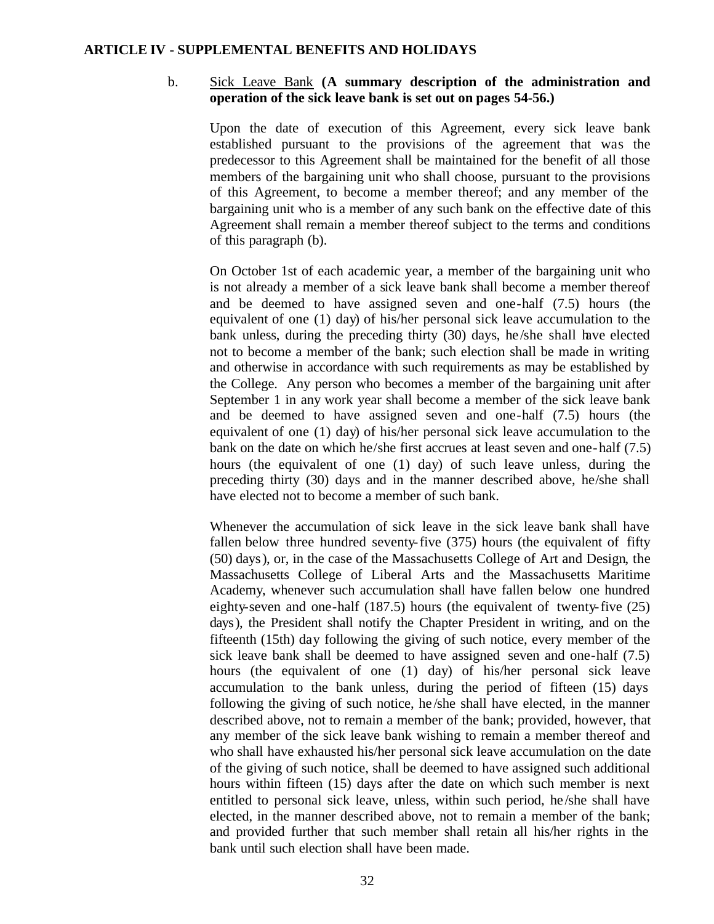#### b. Sick Leave Bank **(A summary description of the administration and operation of the sick leave bank is set out on pages 54-56.)**

Upon the date of execution of this Agreement, every sick leave bank established pursuant to the provisions of the agreement that was the predecessor to this Agreement shall be maintained for the benefit of all those members of the bargaining unit who shall choose, pursuant to the provisions of this Agreement, to become a member thereof; and any member of the bargaining unit who is a member of any such bank on the effective date of this Agreement shall remain a member thereof subject to the terms and conditions of this paragraph (b).

On October 1st of each academic year, a member of the bargaining unit who is not already a member of a sick leave bank shall become a member thereof and be deemed to have assigned seven and one-half (7.5) hours (the equivalent of one (1) day) of his/her personal sick leave accumulation to the bank unless, during the preceding thirty (30) days, he /she shall have elected not to become a member of the bank; such election shall be made in writing and otherwise in accordance with such requirements as may be established by the College. Any person who becomes a member of the bargaining unit after September 1 in any work year shall become a member of the sick leave bank and be deemed to have assigned seven and one-half (7.5) hours (the equivalent of one (1) day) of his/her personal sick leave accumulation to the bank on the date on which he/she first accrues at least seven and one-half (7.5) hours (the equivalent of one (1) day) of such leave unless, during the preceding thirty (30) days and in the manner described above, he/she shall have elected not to become a member of such bank.

Whenever the accumulation of sick leave in the sick leave bank shall have fallen below three hundred seventy-five (375) hours (the equivalent of fifty (50) days), or, in the case of the Massachusetts College of Art and Design, the Massachusetts College of Liberal Arts and the Massachusetts Maritime Academy, whenever such accumulation shall have fallen below one hundred eighty-seven and one-half (187.5) hours (the equivalent of twenty-five (25) days), the President shall notify the Chapter President in writing, and on the fifteenth (15th) day following the giving of such notice, every member of the sick leave bank shall be deemed to have assigned seven and one-half (7.5) hours (the equivalent of one (1) day) of his/her personal sick leave accumulation to the bank unless, during the period of fifteen (15) days following the giving of such notice, he /she shall have elected, in the manner described above, not to remain a member of the bank; provided, however, that any member of the sick leave bank wishing to remain a member thereof and who shall have exhausted his/her personal sick leave accumulation on the date of the giving of such notice, shall be deemed to have assigned such additional hours within fifteen (15) days after the date on which such member is next entitled to personal sick leave, unless, within such period, he /she shall have elected, in the manner described above, not to remain a member of the bank; and provided further that such member shall retain all his/her rights in the bank until such election shall have been made.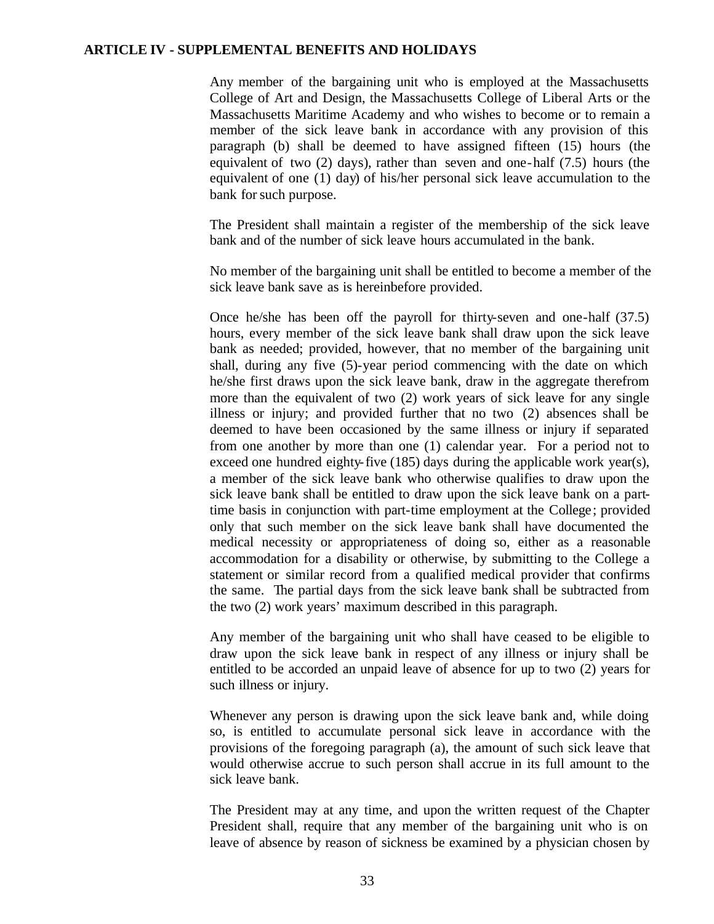Any member of the bargaining unit who is employed at the Massachusetts College of Art and Design, the Massachusetts College of Liberal Arts or the Massachusetts Maritime Academy and who wishes to become or to remain a member of the sick leave bank in accordance with any provision of this paragraph (b) shall be deemed to have assigned fifteen (15) hours (the equivalent of two (2) days), rather than seven and one-half (7.5) hours (the equivalent of one (1) day) of his/her personal sick leave accumulation to the bank for such purpose.

The President shall maintain a register of the membership of the sick leave bank and of the number of sick leave hours accumulated in the bank.

No member of the bargaining unit shall be entitled to become a member of the sick leave bank save as is hereinbefore provided.

Once he/she has been off the payroll for thirty-seven and one-half (37.5) hours, every member of the sick leave bank shall draw upon the sick leave bank as needed; provided, however, that no member of the bargaining unit shall, during any five (5)-year period commencing with the date on which he/she first draws upon the sick leave bank, draw in the aggregate therefrom more than the equivalent of two (2) work years of sick leave for any single illness or injury; and provided further that no two (2) absences shall be deemed to have been occasioned by the same illness or injury if separated from one another by more than one (1) calendar year. For a period not to exceed one hundred eighty-five (185) days during the applicable work year(s), a member of the sick leave bank who otherwise qualifies to draw upon the sick leave bank shall be entitled to draw upon the sick leave bank on a parttime basis in conjunction with part-time employment at the College; provided only that such member on the sick leave bank shall have documented the medical necessity or appropriateness of doing so, either as a reasonable accommodation for a disability or otherwise, by submitting to the College a statement or similar record from a qualified medical provider that confirms the same. The partial days from the sick leave bank shall be subtracted from the two (2) work years' maximum described in this paragraph.

Any member of the bargaining unit who shall have ceased to be eligible to draw upon the sick leave bank in respect of any illness or injury shall be entitled to be accorded an unpaid leave of absence for up to two (2) years for such illness or injury.

Whenever any person is drawing upon the sick leave bank and, while doing so, is entitled to accumulate personal sick leave in accordance with the provisions of the foregoing paragraph (a), the amount of such sick leave that would otherwise accrue to such person shall accrue in its full amount to the sick leave bank.

The President may at any time, and upon the written request of the Chapter President shall, require that any member of the bargaining unit who is on leave of absence by reason of sickness be examined by a physician chosen by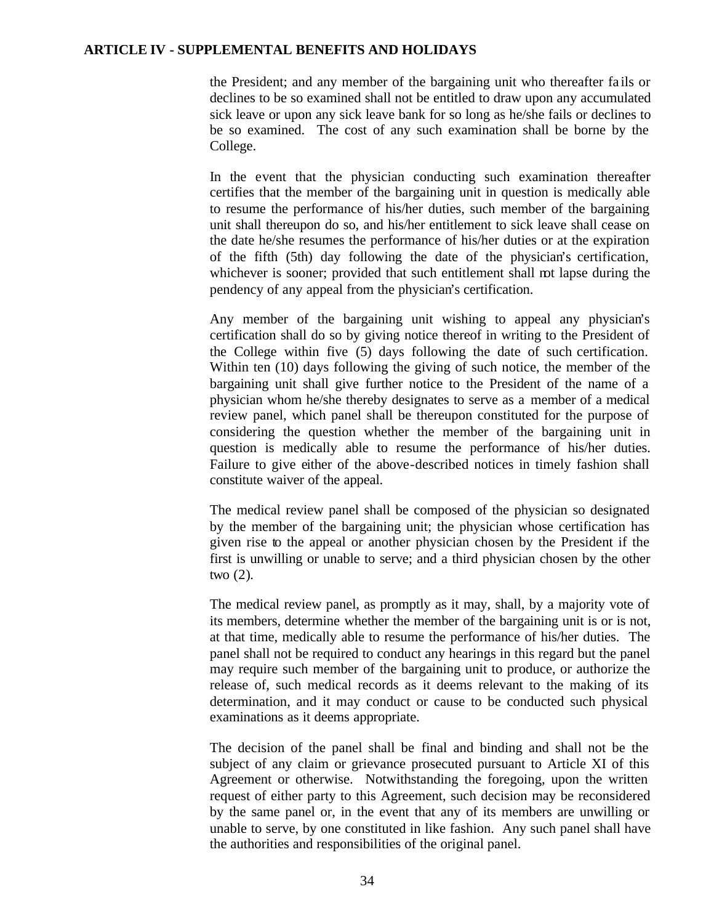the President; and any member of the bargaining unit who thereafter fa ils or declines to be so examined shall not be entitled to draw upon any accumulated sick leave or upon any sick leave bank for so long as he/she fails or declines to be so examined. The cost of any such examination shall be borne by the College.

In the event that the physician conducting such examination thereafter certifies that the member of the bargaining unit in question is medically able to resume the performance of his/her duties, such member of the bargaining unit shall thereupon do so, and his/her entitlement to sick leave shall cease on the date he/she resumes the performance of his/her duties or at the expiration of the fifth (5th) day following the date of the physician's certification, whichever is sooner; provided that such entitlement shall not lapse during the pendency of any appeal from the physician's certification.

Any member of the bargaining unit wishing to appeal any physician's certification shall do so by giving notice thereof in writing to the President of the College within five (5) days following the date of such certification. Within ten (10) days following the giving of such notice, the member of the bargaining unit shall give further notice to the President of the name of a physician whom he/she thereby designates to serve as a member of a medical review panel, which panel shall be thereupon constituted for the purpose of considering the question whether the member of the bargaining unit in question is medically able to resume the performance of his/her duties. Failure to give either of the above-described notices in timely fashion shall constitute waiver of the appeal.

The medical review panel shall be composed of the physician so designated by the member of the bargaining unit; the physician whose certification has given rise to the appeal or another physician chosen by the President if the first is unwilling or unable to serve; and a third physician chosen by the other two (2).

The medical review panel, as promptly as it may, shall, by a majority vote of its members, determine whether the member of the bargaining unit is or is not, at that time, medically able to resume the performance of his/her duties. The panel shall not be required to conduct any hearings in this regard but the panel may require such member of the bargaining unit to produce, or authorize the release of, such medical records as it deems relevant to the making of its determination, and it may conduct or cause to be conducted such physical examinations as it deems appropriate.

The decision of the panel shall be final and binding and shall not be the subject of any claim or grievance prosecuted pursuant to Article XI of this Agreement or otherwise. Notwithstanding the foregoing, upon the written request of either party to this Agreement, such decision may be reconsidered by the same panel or, in the event that any of its members are unwilling or unable to serve, by one constituted in like fashion. Any such panel shall have the authorities and responsibilities of the original panel.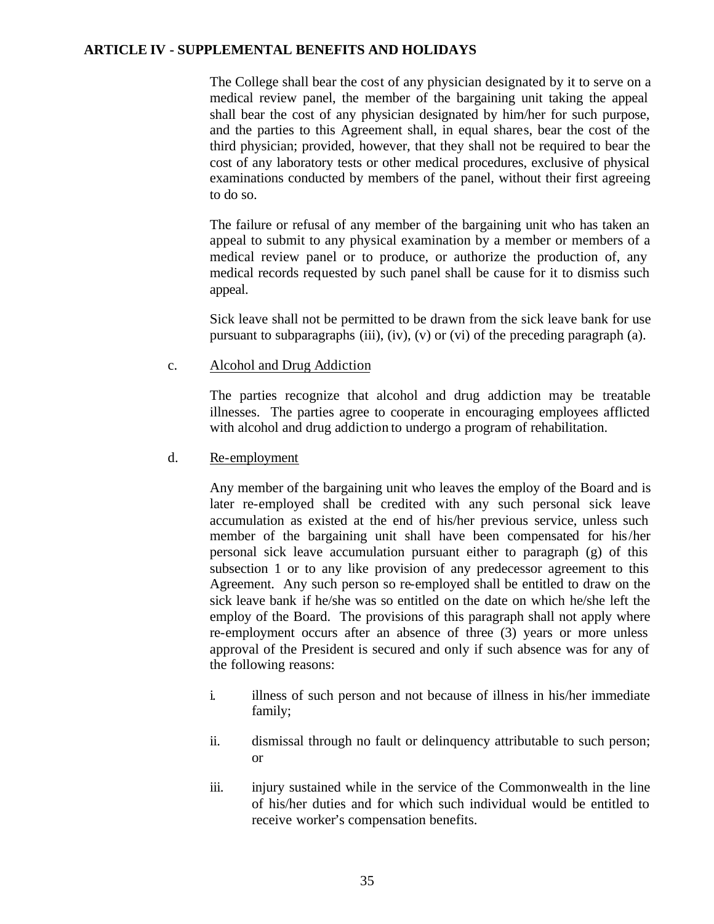The College shall bear the cost of any physician designated by it to serve on a medical review panel, the member of the bargaining unit taking the appeal shall bear the cost of any physician designated by him/her for such purpose, and the parties to this Agreement shall, in equal shares, bear the cost of the third physician; provided, however, that they shall not be required to bear the cost of any laboratory tests or other medical procedures, exclusive of physical examinations conducted by members of the panel, without their first agreeing to do so.

The failure or refusal of any member of the bargaining unit who has taken an appeal to submit to any physical examination by a member or members of a medical review panel or to produce, or authorize the production of, any medical records requested by such panel shall be cause for it to dismiss such appeal.

Sick leave shall not be permitted to be drawn from the sick leave bank for use pursuant to subparagraphs (iii),  $(iv)$ ,  $(v)$  or  $(vi)$  of the preceding paragraph (a).

c. Alcohol and Drug Addiction

The parties recognize that alcohol and drug addiction may be treatable illnesses. The parties agree to cooperate in encouraging employees afflicted with alcohol and drug addiction to undergo a program of rehabilitation.

d. Re-employment

Any member of the bargaining unit who leaves the employ of the Board and is later re-employed shall be credited with any such personal sick leave accumulation as existed at the end of his/her previous service, unless such member of the bargaining unit shall have been compensated for his/her personal sick leave accumulation pursuant either to paragraph (g) of this subsection 1 or to any like provision of any predecessor agreement to this Agreement. Any such person so re-employed shall be entitled to draw on the sick leave bank if he/she was so entitled on the date on which he/she left the employ of the Board. The provisions of this paragraph shall not apply where re-employment occurs after an absence of three (3) years or more unless approval of the President is secured and only if such absence was for any of the following reasons:

- i. illness of such person and not because of illness in his/her immediate family;
- ii. dismissal through no fault or delinquency attributable to such person; or
- iii. injury sustained while in the service of the Commonwealth in the line of his/her duties and for which such individual would be entitled to receive worker's compensation benefits.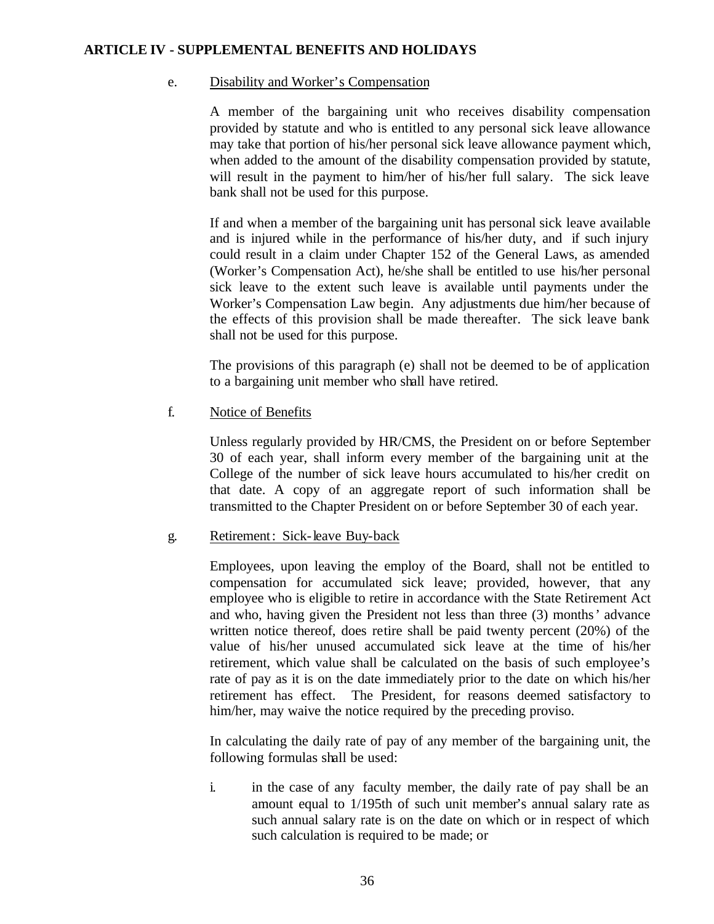## e. Disability and Worker's Compensation

A member of the bargaining unit who receives disability compensation provided by statute and who is entitled to any personal sick leave allowance may take that portion of his/her personal sick leave allowance payment which, when added to the amount of the disability compensation provided by statute, will result in the payment to him/her of his/her full salary. The sick leave bank shall not be used for this purpose.

If and when a member of the bargaining unit has personal sick leave available and is injured while in the performance of his/her duty, and if such injury could result in a claim under Chapter 152 of the General Laws, as amended (Worker's Compensation Act), he/she shall be entitled to use his/her personal sick leave to the extent such leave is available until payments under the Worker's Compensation Law begin. Any adjustments due him/her because of the effects of this provision shall be made thereafter. The sick leave bank shall not be used for this purpose.

The provisions of this paragraph (e) shall not be deemed to be of application to a bargaining unit member who shall have retired.

# f. Notice of Benefits

Unless regularly provided by HR/CMS, the President on or before September 30 of each year, shall inform every member of the bargaining unit at the College of the number of sick leave hours accumulated to his/her credit on that date. A copy of an aggregate report of such information shall be transmitted to the Chapter President on or before September 30 of each year.

# g. Retirement: Sick-leave Buy-back

Employees, upon leaving the employ of the Board, shall not be entitled to compensation for accumulated sick leave; provided, however, that any employee who is eligible to retire in accordance with the State Retirement Act and who, having given the President not less than three (3) months' advance written notice thereof, does retire shall be paid twenty percent (20%) of the value of his/her unused accumulated sick leave at the time of his/her retirement, which value shall be calculated on the basis of such employee's rate of pay as it is on the date immediately prior to the date on which his/her retirement has effect. The President, for reasons deemed satisfactory to him/her, may waive the notice required by the preceding proviso.

In calculating the daily rate of pay of any member of the bargaining unit, the following formulas shall be used:

i. in the case of any faculty member, the daily rate of pay shall be an amount equal to 1/195th of such unit member's annual salary rate as such annual salary rate is on the date on which or in respect of which such calculation is required to be made; or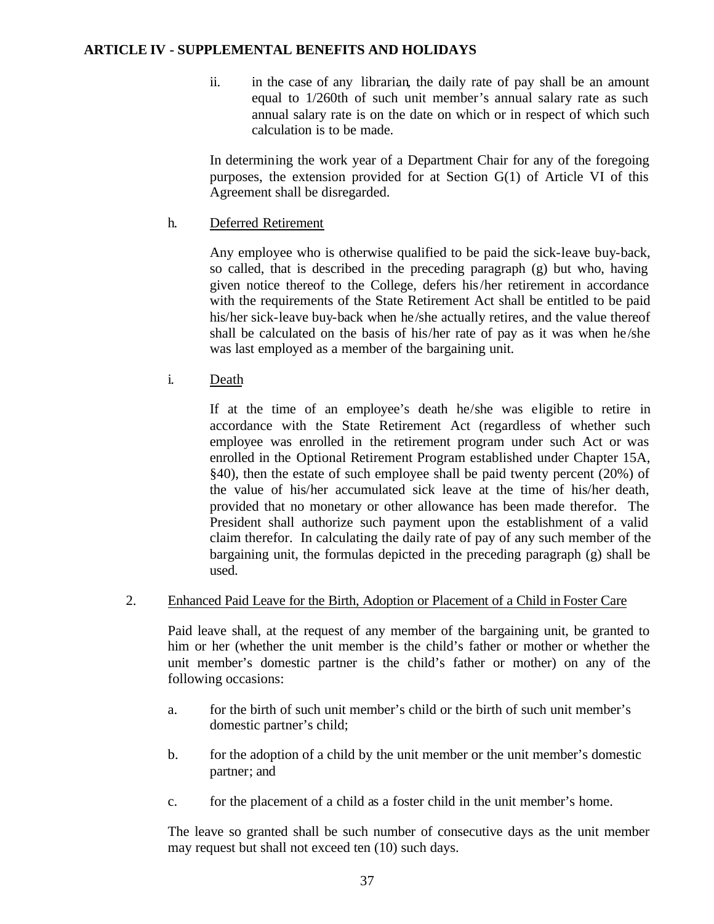ii. in the case of any librarian, the daily rate of pay shall be an amount equal to 1/260th of such unit member's annual salary rate as such annual salary rate is on the date on which or in respect of which such calculation is to be made.

In determining the work year of a Department Chair for any of the foregoing purposes, the extension provided for at Section G(1) of Article VI of this Agreement shall be disregarded.

# h. Deferred Retirement

Any employee who is otherwise qualified to be paid the sick-leave buy-back, so called, that is described in the preceding paragraph (g) but who, having given notice thereof to the College, defers his/her retirement in accordance with the requirements of the State Retirement Act shall be entitled to be paid his/her sick-leave buy-back when he/she actually retires, and the value thereof shall be calculated on the basis of his/her rate of pay as it was when he/she was last employed as a member of the bargaining unit.

# i. Death

If at the time of an employee's death he/she was eligible to retire in accordance with the State Retirement Act (regardless of whether such employee was enrolled in the retirement program under such Act or was enrolled in the Optional Retirement Program established under Chapter 15A, §40), then the estate of such employee shall be paid twenty percent (20%) of the value of his/her accumulated sick leave at the time of his/her death, provided that no monetary or other allowance has been made therefor. The President shall authorize such payment upon the establishment of a valid claim therefor. In calculating the daily rate of pay of any such member of the bargaining unit, the formulas depicted in the preceding paragraph (g) shall be used.

# 2. Enhanced Paid Leave for the Birth, Adoption or Placement of a Child in Foster Care

Paid leave shall, at the request of any member of the bargaining unit, be granted to him or her (whether the unit member is the child's father or mother or whether the unit member's domestic partner is the child's father or mother) on any of the following occasions:

- a. for the birth of such unit member's child or the birth of such unit member's domestic partner's child;
- b. for the adoption of a child by the unit member or the unit member's domestic partner; and
- c. for the placement of a child as a foster child in the unit member's home.

The leave so granted shall be such number of consecutive days as the unit member may request but shall not exceed ten (10) such days.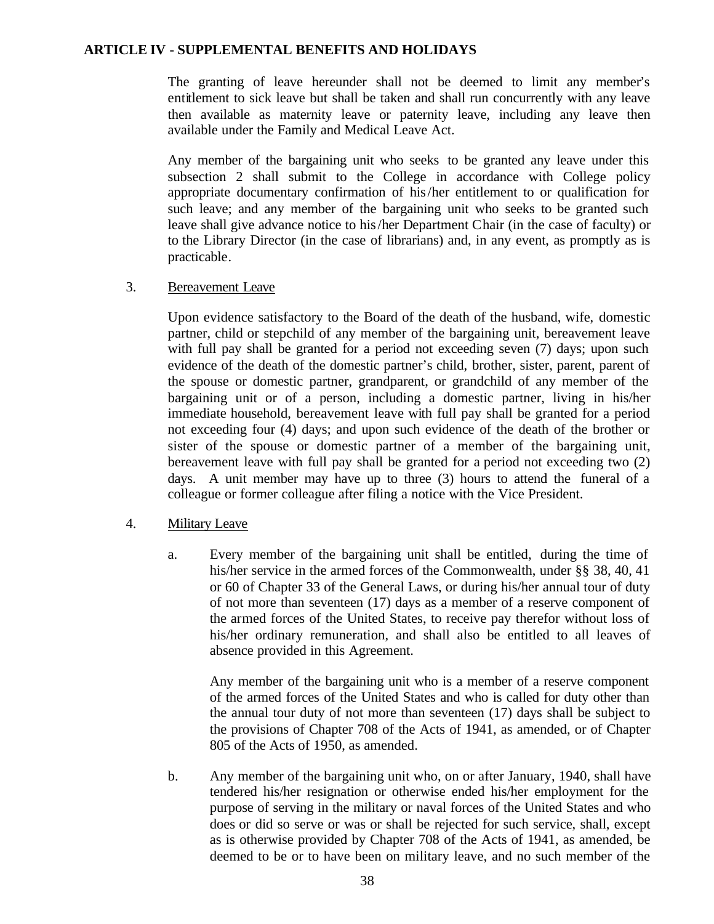The granting of leave hereunder shall not be deemed to limit any member's entitlement to sick leave but shall be taken and shall run concurrently with any leave then available as maternity leave or paternity leave, including any leave then available under the Family and Medical Leave Act.

Any member of the bargaining unit who seeks to be granted any leave under this subsection 2 shall submit to the College in accordance with College policy appropriate documentary confirmation of his/her entitlement to or qualification for such leave; and any member of the bargaining unit who seeks to be granted such leave shall give advance notice to his/her Department Chair (in the case of faculty) or to the Library Director (in the case of librarians) and, in any event, as promptly as is practicable.

#### 3. Bereavement Leave

Upon evidence satisfactory to the Board of the death of the husband, wife, domestic partner, child or stepchild of any member of the bargaining unit, bereavement leave with full pay shall be granted for a period not exceeding seven (7) days; upon such evidence of the death of the domestic partner's child, brother, sister, parent, parent of the spouse or domestic partner, grandparent, or grandchild of any member of the bargaining unit or of a person, including a domestic partner, living in his/her immediate household, bereavement leave with full pay shall be granted for a period not exceeding four (4) days; and upon such evidence of the death of the brother or sister of the spouse or domestic partner of a member of the bargaining unit, bereavement leave with full pay shall be granted for a period not exceeding two (2) days. A unit member may have up to three (3) hours to attend the funeral of a colleague or former colleague after filing a notice with the Vice President.

#### 4. Military Leave

a. Every member of the bargaining unit shall be entitled, during the time of his/her service in the armed forces of the Commonwealth, under §§ 38, 40, 41 or 60 of Chapter 33 of the General Laws, or during his/her annual tour of duty of not more than seventeen (17) days as a member of a reserve component of the armed forces of the United States, to receive pay therefor without loss of his/her ordinary remuneration, and shall also be entitled to all leaves of absence provided in this Agreement.

Any member of the bargaining unit who is a member of a reserve component of the armed forces of the United States and who is called for duty other than the annual tour duty of not more than seventeen (17) days shall be subject to the provisions of Chapter 708 of the Acts of 1941, as amended, or of Chapter 805 of the Acts of 1950, as amended.

b. Any member of the bargaining unit who, on or after January, 1940, shall have tendered his/her resignation or otherwise ended his/her employment for the purpose of serving in the military or naval forces of the United States and who does or did so serve or was or shall be rejected for such service, shall, except as is otherwise provided by Chapter 708 of the Acts of 1941, as amended, be deemed to be or to have been on military leave, and no such member of the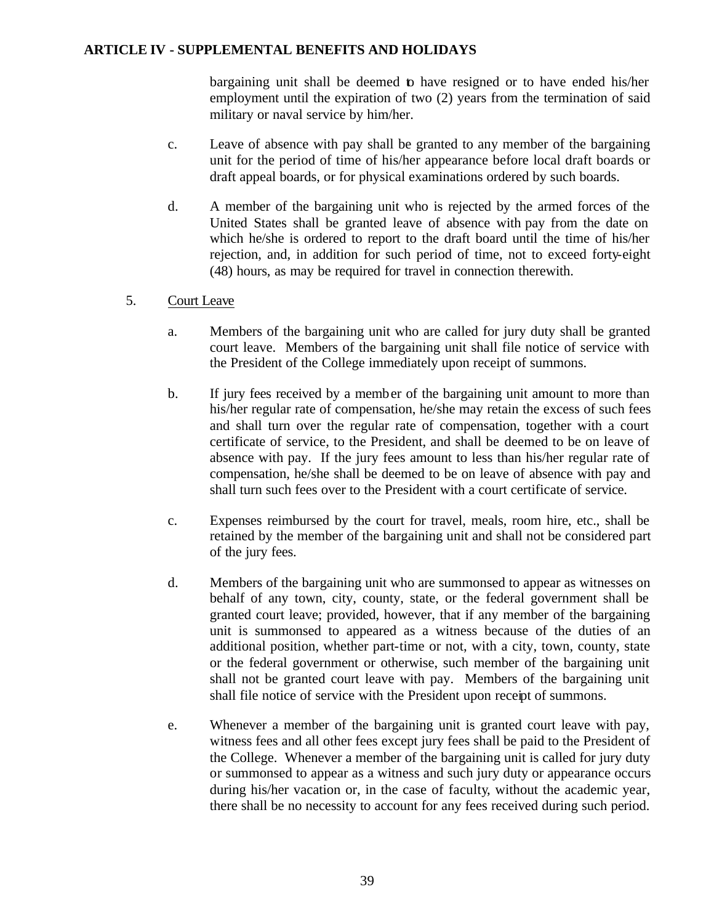bargaining unit shall be deemed to have resigned or to have ended his/her employment until the expiration of two (2) years from the termination of said military or naval service by him/her.

- c. Leave of absence with pay shall be granted to any member of the bargaining unit for the period of time of his/her appearance before local draft boards or draft appeal boards, or for physical examinations ordered by such boards.
- d. A member of the bargaining unit who is rejected by the armed forces of the United States shall be granted leave of absence with pay from the date on which he/she is ordered to report to the draft board until the time of his/her rejection, and, in addition for such period of time, not to exceed forty-eight (48) hours, as may be required for travel in connection therewith.

# 5. Court Leave

- a. Members of the bargaining unit who are called for jury duty shall be granted court leave. Members of the bargaining unit shall file notice of service with the President of the College immediately upon receipt of summons.
- b. If jury fees received by a member of the bargaining unit amount to more than his/her regular rate of compensation, he/she may retain the excess of such fees and shall turn over the regular rate of compensation, together with a court certificate of service, to the President, and shall be deemed to be on leave of absence with pay. If the jury fees amount to less than his/her regular rate of compensation, he/she shall be deemed to be on leave of absence with pay and shall turn such fees over to the President with a court certificate of service.
- c. Expenses reimbursed by the court for travel, meals, room hire, etc., shall be retained by the member of the bargaining unit and shall not be considered part of the jury fees.
- d. Members of the bargaining unit who are summonsed to appear as witnesses on behalf of any town, city, county, state, or the federal government shall be granted court leave; provided, however, that if any member of the bargaining unit is summonsed to appeared as a witness because of the duties of an additional position, whether part-time or not, with a city, town, county, state or the federal government or otherwise, such member of the bargaining unit shall not be granted court leave with pay. Members of the bargaining unit shall file notice of service with the President upon receipt of summons.
- e. Whenever a member of the bargaining unit is granted court leave with pay, witness fees and all other fees except jury fees shall be paid to the President of the College. Whenever a member of the bargaining unit is called for jury duty or summonsed to appear as a witness and such jury duty or appearance occurs during his/her vacation or, in the case of faculty, without the academic year, there shall be no necessity to account for any fees received during such period.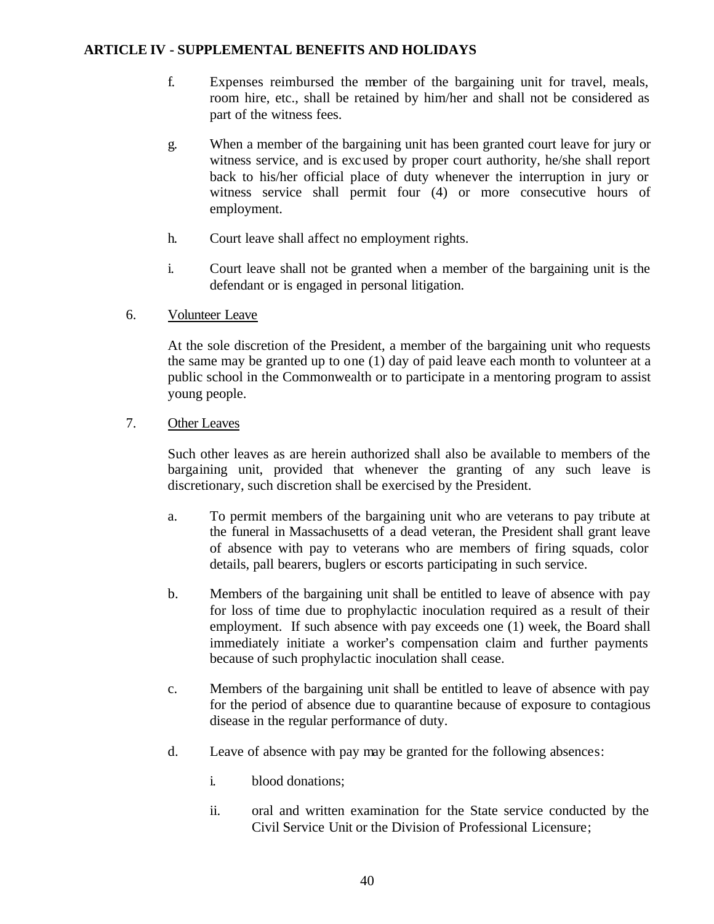- f. Expenses reimbursed the member of the bargaining unit for travel, meals, room hire, etc., shall be retained by him/her and shall not be considered as part of the witness fees.
- g. When a member of the bargaining unit has been granted court leave for jury or witness service, and is excused by proper court authority, he/she shall report back to his/her official place of duty whenever the interruption in jury or witness service shall permit four (4) or more consecutive hours of employment.
- h. Court leave shall affect no employment rights.
- i. Court leave shall not be granted when a member of the bargaining unit is the defendant or is engaged in personal litigation.
- 6. Volunteer Leave

At the sole discretion of the President, a member of the bargaining unit who requests the same may be granted up to one (1) day of paid leave each month to volunteer at a public school in the Commonwealth or to participate in a mentoring program to assist young people.

# 7. Other Leaves

Such other leaves as are herein authorized shall also be available to members of the bargaining unit, provided that whenever the granting of any such leave is discretionary, such discretion shall be exercised by the President.

- a. To permit members of the bargaining unit who are veterans to pay tribute at the funeral in Massachusetts of a dead veteran, the President shall grant leave of absence with pay to veterans who are members of firing squads, color details, pall bearers, buglers or escorts participating in such service.
- b. Members of the bargaining unit shall be entitled to leave of absence with pay for loss of time due to prophylactic inoculation required as a result of their employment. If such absence with pay exceeds one (1) week, the Board shall immediately initiate a worker's compensation claim and further payments because of such prophylactic inoculation shall cease.
- c. Members of the bargaining unit shall be entitled to leave of absence with pay for the period of absence due to quarantine because of exposure to contagious disease in the regular performance of duty.
- d. Leave of absence with pay may be granted for the following absences:
	- i. blood donations;
	- ii. oral and written examination for the State service conducted by the Civil Service Unit or the Division of Professional Licensure;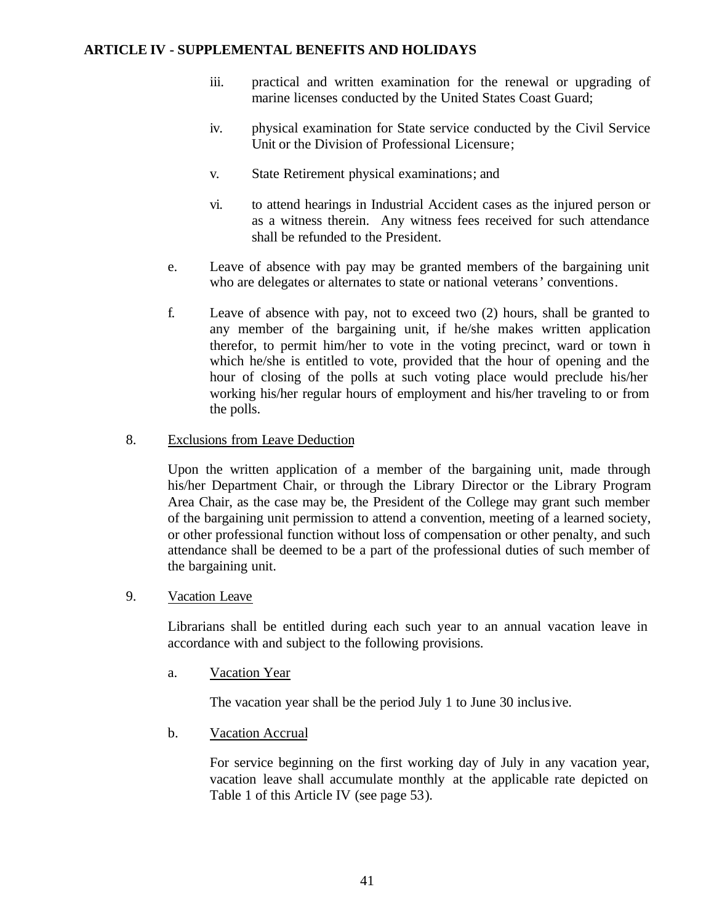- iii. practical and written examination for the renewal or upgrading of marine licenses conducted by the United States Coast Guard;
- iv. physical examination for State service conducted by the Civil Service Unit or the Division of Professional Licensure;
- v. State Retirement physical examinations; and
- vi. to attend hearings in Industrial Accident cases as the injured person or as a witness therein. Any witness fees received for such attendance shall be refunded to the President.
- e. Leave of absence with pay may be granted members of the bargaining unit who are delegates or alternates to state or national veterans' conventions.
- f. Leave of absence with pay, not to exceed two (2) hours, shall be granted to any member of the bargaining unit, if he/she makes written application therefor, to permit him/her to vote in the voting precinct, ward or town in which he/she is entitled to vote, provided that the hour of opening and the hour of closing of the polls at such voting place would preclude his/her working his/her regular hours of employment and his/her traveling to or from the polls.

#### 8. Exclusions from Leave Deduction

Upon the written application of a member of the bargaining unit, made through his/her Department Chair, or through the Library Director or the Library Program Area Chair, as the case may be, the President of the College may grant such member of the bargaining unit permission to attend a convention, meeting of a learned society, or other professional function without loss of compensation or other penalty, and such attendance shall be deemed to be a part of the professional duties of such member of the bargaining unit.

#### 9. Vacation Leave

Librarians shall be entitled during each such year to an annual vacation leave in accordance with and subject to the following provisions.

a. Vacation Year

The vacation year shall be the period July 1 to June 30 inclusive.

b. Vacation Accrual

For service beginning on the first working day of July in any vacation year, vacation leave shall accumulate monthly at the applicable rate depicted on Table 1 of this Article IV (see page 53).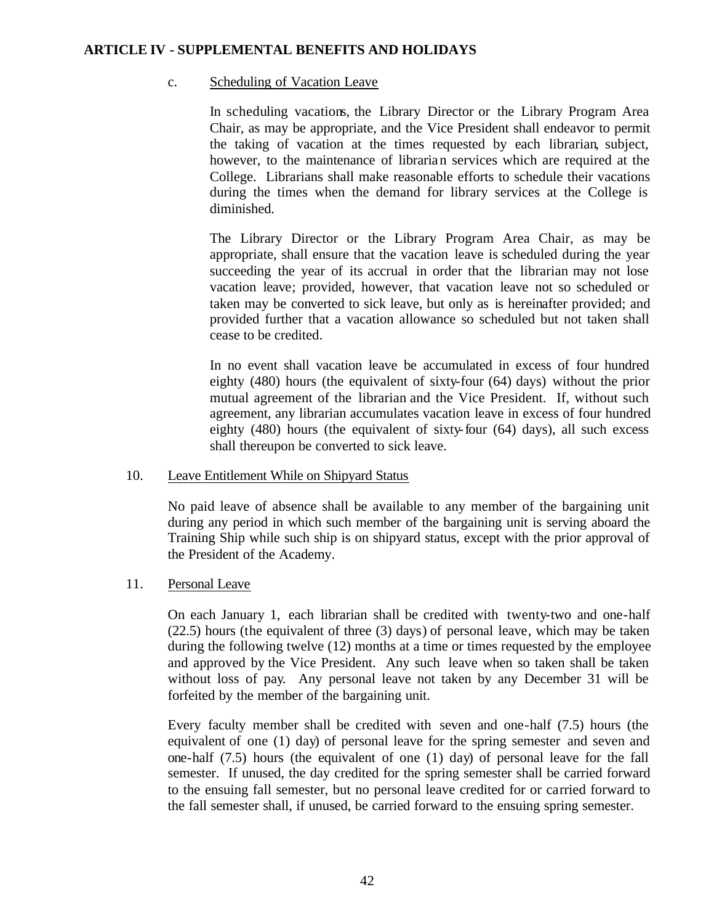## c. Scheduling of Vacation Leave

In scheduling vacations, the Library Director or the Library Program Area Chair, as may be appropriate, and the Vice President shall endeavor to permit the taking of vacation at the times requested by each librarian, subject, however, to the maintenance of librarian services which are required at the College. Librarians shall make reasonable efforts to schedule their vacations during the times when the demand for library services at the College is diminished.

The Library Director or the Library Program Area Chair, as may be appropriate, shall ensure that the vacation leave is scheduled during the year succeeding the year of its accrual in order that the librarian may not lose vacation leave; provided, however, that vacation leave not so scheduled or taken may be converted to sick leave, but only as is hereinafter provided; and provided further that a vacation allowance so scheduled but not taken shall cease to be credited.

In no event shall vacation leave be accumulated in excess of four hundred eighty (480) hours (the equivalent of sixty-four (64) days) without the prior mutual agreement of the librarian and the Vice President. If, without such agreement, any librarian accumulates vacation leave in excess of four hundred eighty (480) hours (the equivalent of sixty-four (64) days), all such excess shall thereupon be converted to sick leave.

#### 10. Leave Entitlement While on Shipyard Status

No paid leave of absence shall be available to any member of the bargaining unit during any period in which such member of the bargaining unit is serving aboard the Training Ship while such ship is on shipyard status, except with the prior approval of the President of the Academy.

# 11. Personal Leave

On each January 1, each librarian shall be credited with twenty-two and one-half (22.5) hours (the equivalent of three (3) days) of personal leave, which may be taken during the following twelve (12) months at a time or times requested by the employee and approved by the Vice President. Any such leave when so taken shall be taken without loss of pay. Any personal leave not taken by any December 31 will be forfeited by the member of the bargaining unit.

Every faculty member shall be credited with seven and one-half (7.5) hours (the equivalent of one (1) day) of personal leave for the spring semester and seven and one-half (7.5) hours (the equivalent of one (1) day) of personal leave for the fall semester. If unused, the day credited for the spring semester shall be carried forward to the ensuing fall semester, but no personal leave credited for or carried forward to the fall semester shall, if unused, be carried forward to the ensuing spring semester.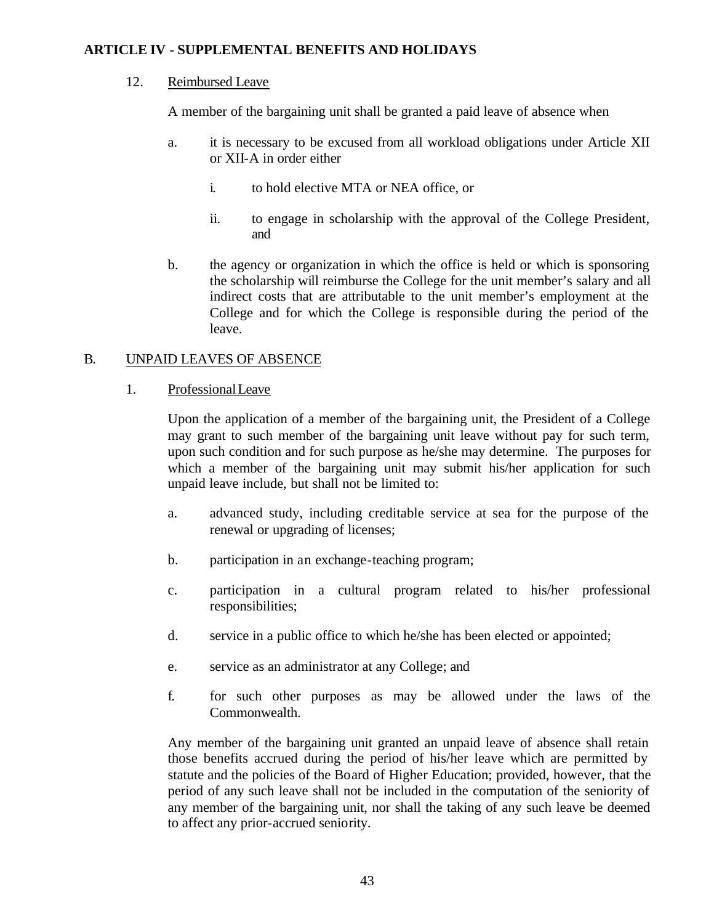## 12. Reimbursed Leave

A member of the bargaining unit shall be granted a paid leave of absence when

- a. it is necessary to be excused from all workload obligations under Article XII or XII-A in order either
	- i. to hold elective MTA or NEA office, or
	- ii. to engage in scholarship with the approval of the College President, and
- b. the agency or organization in which the office is held or which is sponsoring the scholarship will reimburse the College for the unit member's salary and all indirect costs that are attributable to the unit member's employment at the College and for which the College is responsible during the period of the leave.

# B. UNPAID LEAVES OF ABSENCE

1. Professional Leave

Upon the application of a member of the bargaining unit, the President of a College may grant to such member of the bargaining unit leave without pay for such term, upon such condition and for such purpose as he/she may determine. The purposes for which a member of the bargaining unit may submit his/her application for such unpaid leave include, but shall not be limited to:

- a. advanced study, including creditable service at sea for the purpose of the renewal or upgrading of licenses;
- b. participation in an exchange-teaching program;
- c. participation in a cultural program related to his/her professional responsibilities;
- d. service in a public office to which he/she has been elected or appointed;
- e. service as an administrator at any College; and
- f. for such other purposes as may be allowed under the laws of the Commonwealth.

Any member of the bargaining unit granted an unpaid leave of absence shall retain those benefits accrued during the period of his/her leave which are permitted by statute and the policies of the Board of Higher Education; provided, however, that the period of any such leave shall not be included in the computation of the seniority of any member of the bargaining unit, nor shall the taking of any such leave be deemed to affect any prior-accrued seniority.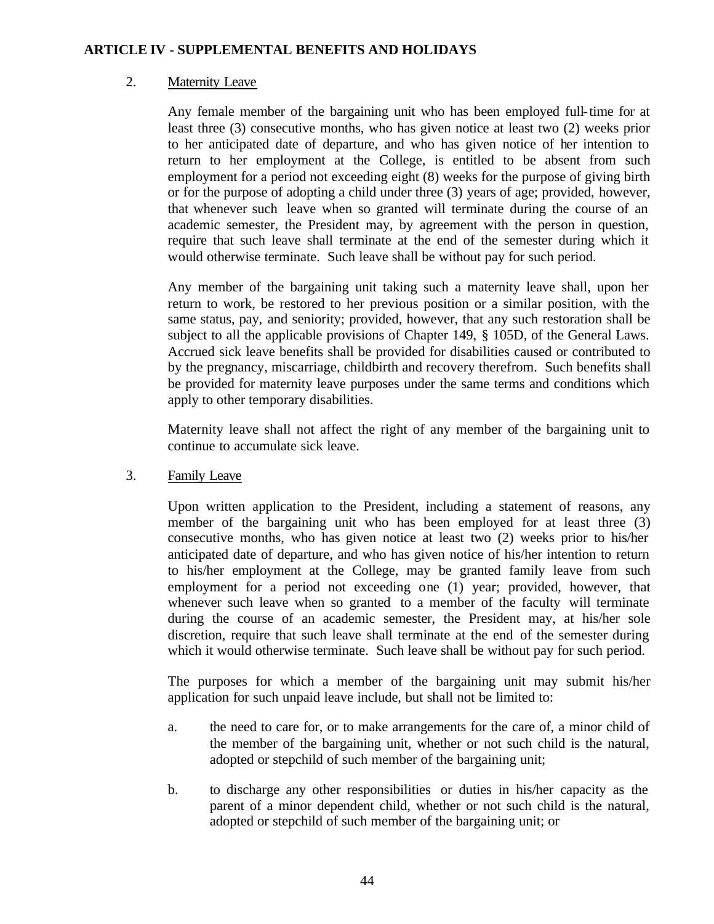## 2. Maternity Leave

Any female member of the bargaining unit who has been employed full-time for at least three (3) consecutive months, who has given notice at least two (2) weeks prior to her anticipated date of departure, and who has given notice of her intention to return to her employment at the College, is entitled to be absent from such employment for a period not exceeding eight (8) weeks for the purpose of giving birth or for the purpose of adopting a child under three (3) years of age; provided, however, that whenever such leave when so granted will terminate during the course of an academic semester, the President may, by agreement with the person in question, require that such leave shall terminate at the end of the semester during which it would otherwise terminate. Such leave shall be without pay for such period.

Any member of the bargaining unit taking such a maternity leave shall, upon her return to work, be restored to her previous position or a similar position, with the same status, pay, and seniority; provided, however, that any such restoration shall be subject to all the applicable provisions of Chapter 149, § 105D, of the General Laws. Accrued sick leave benefits shall be provided for disabilities caused or contributed to by the pregnancy, miscarriage, childbirth and recovery therefrom. Such benefits shall be provided for maternity leave purposes under the same terms and conditions which apply to other temporary disabilities.

Maternity leave shall not affect the right of any member of the bargaining unit to continue to accumulate sick leave.

3. Family Leave

Upon written application to the President, including a statement of reasons, any member of the bargaining unit who has been employed for at least three (3) consecutive months, who has given notice at least two (2) weeks prior to his/her anticipated date of departure, and who has given notice of his/her intention to return to his/her employment at the College, may be granted family leave from such employment for a period not exceeding one (1) year; provided, however, that whenever such leave when so granted to a member of the faculty will terminate during the course of an academic semester, the President may, at his/her sole discretion, require that such leave shall terminate at the end of the semester during which it would otherwise terminate. Such leave shall be without pay for such period.

The purposes for which a member of the bargaining unit may submit his/her application for such unpaid leave include, but shall not be limited to:

- a. the need to care for, or to make arrangements for the care of, a minor child of the member of the bargaining unit, whether or not such child is the natural, adopted or stepchild of such member of the bargaining unit;
- b. to discharge any other responsibilities or duties in his/her capacity as the parent of a minor dependent child, whether or not such child is the natural, adopted or stepchild of such member of the bargaining unit; or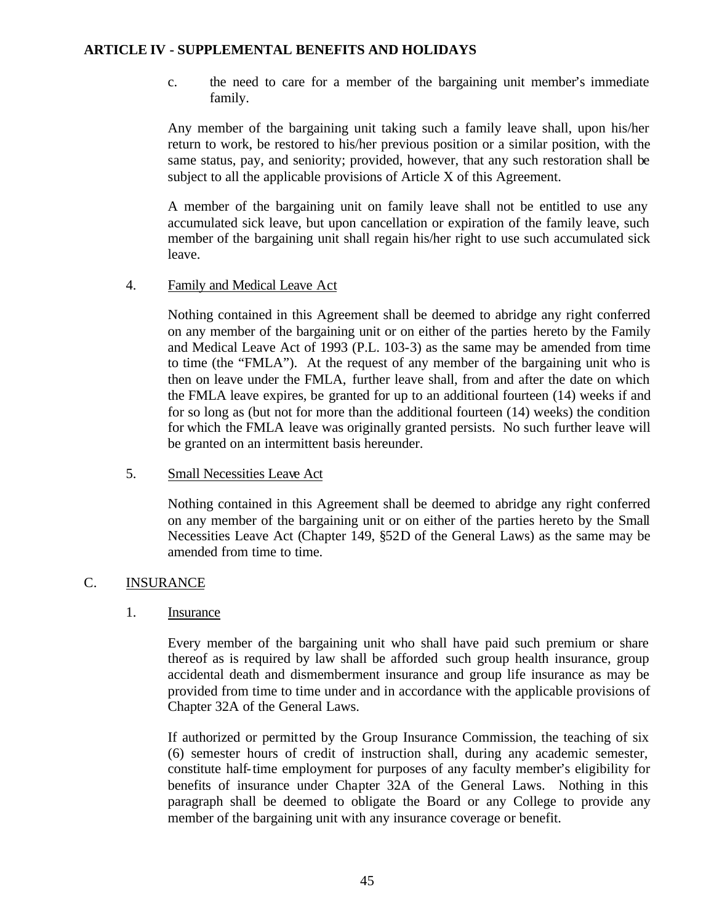c. the need to care for a member of the bargaining unit member's immediate family.

Any member of the bargaining unit taking such a family leave shall, upon his/her return to work, be restored to his/her previous position or a similar position, with the same status, pay, and seniority; provided, however, that any such restoration shall be subject to all the applicable provisions of Article X of this Agreement.

A member of the bargaining unit on family leave shall not be entitled to use any accumulated sick leave, but upon cancellation or expiration of the family leave, such member of the bargaining unit shall regain his/her right to use such accumulated sick leave.

# 4. Family and Medical Leave Act

Nothing contained in this Agreement shall be deemed to abridge any right conferred on any member of the bargaining unit or on either of the parties hereto by the Family and Medical Leave Act of 1993 (P.L. 103-3) as the same may be amended from time to time (the "FMLA"). At the request of any member of the bargaining unit who is then on leave under the FMLA, further leave shall, from and after the date on which the FMLA leave expires, be granted for up to an additional fourteen (14) weeks if and for so long as (but not for more than the additional fourteen (14) weeks) the condition for which the FMLA leave was originally granted persists. No such further leave will be granted on an intermittent basis hereunder.

# 5. Small Necessities Leave Act

Nothing contained in this Agreement shall be deemed to abridge any right conferred on any member of the bargaining unit or on either of the parties hereto by the Small Necessities Leave Act (Chapter 149, §52D of the General Laws) as the same may be amended from time to time.

# C. INSURANCE

#### 1. Insurance

Every member of the bargaining unit who shall have paid such premium or share thereof as is required by law shall be afforded such group health insurance, group accidental death and dismemberment insurance and group life insurance as may be provided from time to time under and in accordance with the applicable provisions of Chapter 32A of the General Laws.

If authorized or permitted by the Group Insurance Commission, the teaching of six (6) semester hours of credit of instruction shall, during any academic semester, constitute half-time employment for purposes of any faculty member's eligibility for benefits of insurance under Chapter 32A of the General Laws. Nothing in this paragraph shall be deemed to obligate the Board or any College to provide any member of the bargaining unit with any insurance coverage or benefit.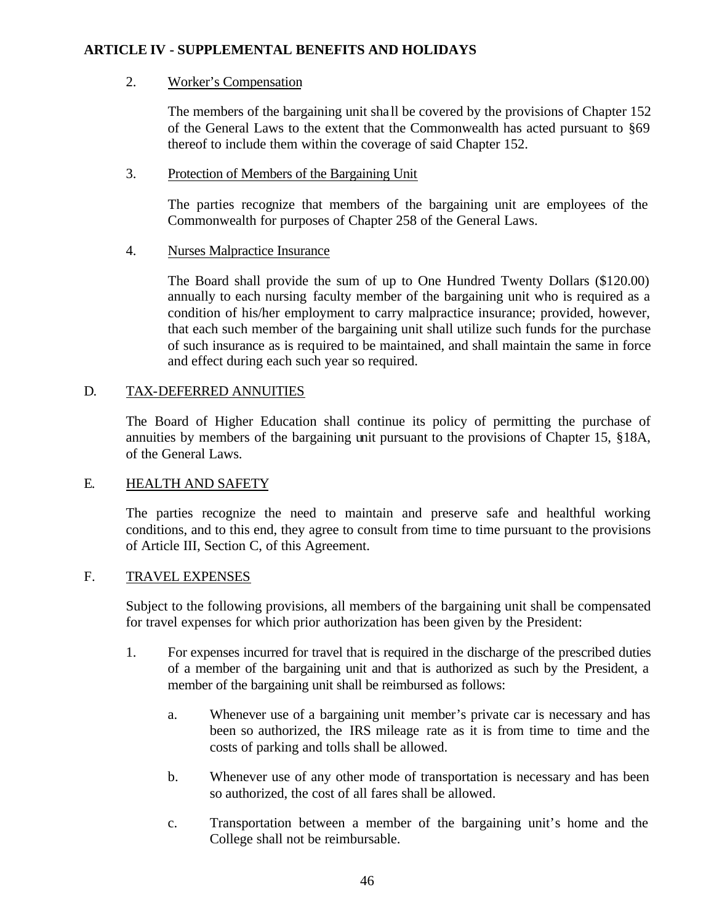# 2. Worker's Compensation

The members of the bargaining unit sha ll be covered by the provisions of Chapter 152 of the General Laws to the extent that the Commonwealth has acted pursuant to §69 thereof to include them within the coverage of said Chapter 152.

# 3. Protection of Members of the Bargaining Unit

The parties recognize that members of the bargaining unit are employees of the Commonwealth for purposes of Chapter 258 of the General Laws.

# 4. Nurses Malpractice Insurance

The Board shall provide the sum of up to One Hundred Twenty Dollars (\$120.00) annually to each nursing faculty member of the bargaining unit who is required as a condition of his/her employment to carry malpractice insurance; provided, however, that each such member of the bargaining unit shall utilize such funds for the purchase of such insurance as is required to be maintained, and shall maintain the same in force and effect during each such year so required.

# D. TAX-DEFERRED ANNUITIES

The Board of Higher Education shall continue its policy of permitting the purchase of annuities by members of the bargaining unit pursuant to the provisions of Chapter 15, §18A, of the General Laws.

# E. HEALTH AND SAFETY

The parties recognize the need to maintain and preserve safe and healthful working conditions, and to this end, they agree to consult from time to time pursuant to the provisions of Article III, Section C, of this Agreement.

#### F. TRAVEL EXPENSES

Subject to the following provisions, all members of the bargaining unit shall be compensated for travel expenses for which prior authorization has been given by the President:

- 1. For expenses incurred for travel that is required in the discharge of the prescribed duties of a member of the bargaining unit and that is authorized as such by the President, a member of the bargaining unit shall be reimbursed as follows:
	- a. Whenever use of a bargaining unit member's private car is necessary and has been so authorized, the IRS mileage rate as it is from time to time and the costs of parking and tolls shall be allowed.
	- b. Whenever use of any other mode of transportation is necessary and has been so authorized, the cost of all fares shall be allowed.
	- c. Transportation between a member of the bargaining unit's home and the College shall not be reimbursable.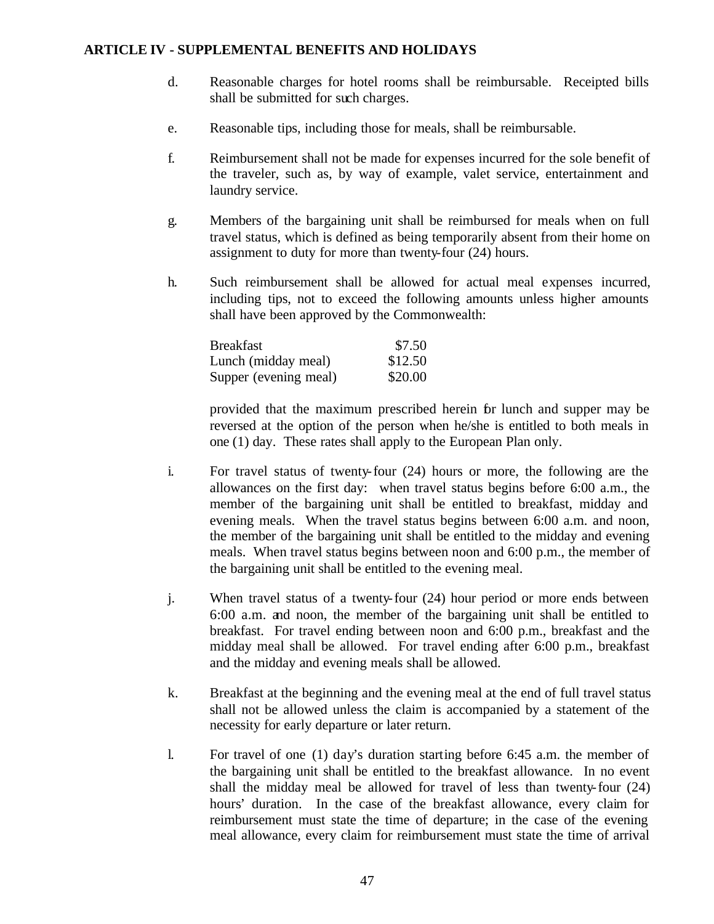- d. Reasonable charges for hotel rooms shall be reimbursable. Receipted bills shall be submitted for such charges.
- e. Reasonable tips, including those for meals, shall be reimbursable.
- f. Reimbursement shall not be made for expenses incurred for the sole benefit of the traveler, such as, by way of example, valet service, entertainment and laundry service.
- g. Members of the bargaining unit shall be reimbursed for meals when on full travel status, which is defined as being temporarily absent from their home on assignment to duty for more than twenty-four (24) hours.
- h. Such reimbursement shall be allowed for actual meal expenses incurred, including tips, not to exceed the following amounts unless higher amounts shall have been approved by the Commonwealth:

| Breakfast             | \$7.50  |
|-----------------------|---------|
| Lunch (midday meal)   | \$12.50 |
| Supper (evening meal) | \$20.00 |

provided that the maximum prescribed herein for lunch and supper may be reversed at the option of the person when he/she is entitled to both meals in one (1) day. These rates shall apply to the European Plan only.

- i. For travel status of twenty-four (24) hours or more, the following are the allowances on the first day: when travel status begins before 6:00 a.m., the member of the bargaining unit shall be entitled to breakfast, midday and evening meals. When the travel status begins between 6:00 a.m. and noon, the member of the bargaining unit shall be entitled to the midday and evening meals. When travel status begins between noon and 6:00 p.m., the member of the bargaining unit shall be entitled to the evening meal.
- j. When travel status of a twenty-four (24) hour period or more ends between 6:00 a.m. and noon, the member of the bargaining unit shall be entitled to breakfast. For travel ending between noon and 6:00 p.m., breakfast and the midday meal shall be allowed. For travel ending after 6:00 p.m., breakfast and the midday and evening meals shall be allowed.
- k. Breakfast at the beginning and the evening meal at the end of full travel status shall not be allowed unless the claim is accompanied by a statement of the necessity for early departure or later return.
- l. For travel of one (1) day's duration starting before 6:45 a.m. the member of the bargaining unit shall be entitled to the breakfast allowance. In no event shall the midday meal be allowed for travel of less than twenty-four (24) hours' duration. In the case of the breakfast allowance, every claim for reimbursement must state the time of departure; in the case of the evening meal allowance, every claim for reimbursement must state the time of arrival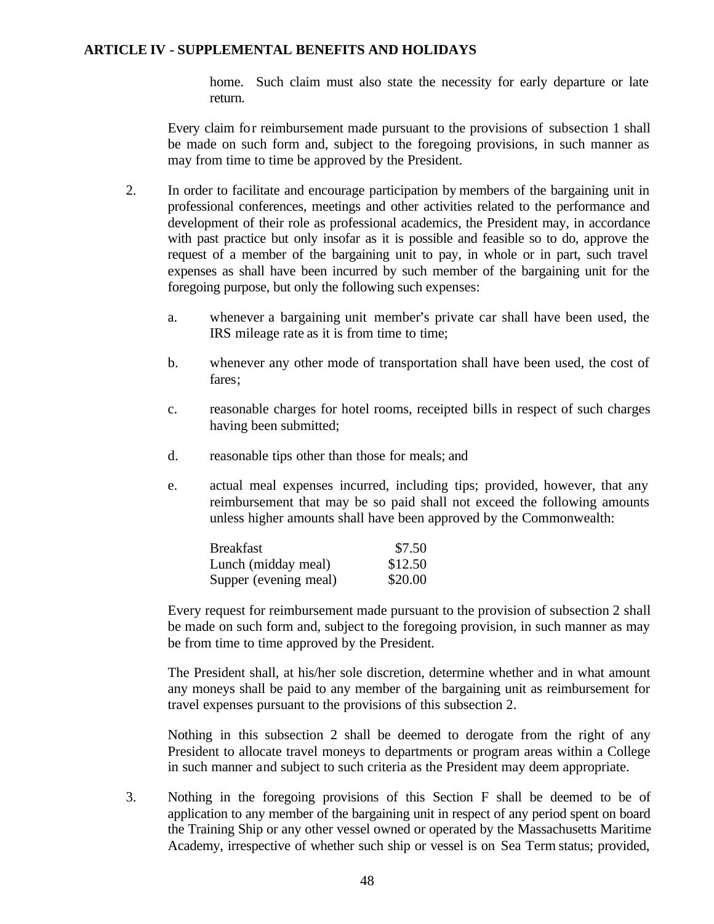home. Such claim must also state the necessity for early departure or late return.

Every claim for reimbursement made pursuant to the provisions of subsection 1 shall be made on such form and, subject to the foregoing provisions, in such manner as may from time to time be approved by the President.

- 2. In order to facilitate and encourage participation by members of the bargaining unit in professional conferences, meetings and other activities related to the performance and development of their role as professional academics, the President may, in accordance with past practice but only insofar as it is possible and feasible so to do, approve the request of a member of the bargaining unit to pay, in whole or in part, such travel expenses as shall have been incurred by such member of the bargaining unit for the foregoing purpose, but only the following such expenses:
	- a. whenever a bargaining unit member's private car shall have been used, the IRS mileage rate as it is from time to time;
	- b. whenever any other mode of transportation shall have been used, the cost of fares;
	- c. reasonable charges for hotel rooms, receipted bills in respect of such charges having been submitted;
	- d. reasonable tips other than those for meals; and
	- e. actual meal expenses incurred, including tips; provided, however, that any reimbursement that may be so paid shall not exceed the following amounts unless higher amounts shall have been approved by the Commonwealth:

| Breakfast             | \$7.50  |
|-----------------------|---------|
| Lunch (midday meal)   | \$12.50 |
| Supper (evening meal) | \$20.00 |

Every request for reimbursement made pursuant to the provision of subsection 2 shall be made on such form and, subject to the foregoing provision, in such manner as may be from time to time approved by the President.

The President shall, at his/her sole discretion, determine whether and in what amount any moneys shall be paid to any member of the bargaining unit as reimbursement for travel expenses pursuant to the provisions of this subsection 2.

Nothing in this subsection 2 shall be deemed to derogate from the right of any President to allocate travel moneys to departments or program areas within a College in such manner and subject to such criteria as the President may deem appropriate.

3. Nothing in the foregoing provisions of this Section F shall be deemed to be of application to any member of the bargaining unit in respect of any period spent on board the Training Ship or any other vessel owned or operated by the Massachusetts Maritime Academy, irrespective of whether such ship or vessel is on Sea Term status; provided,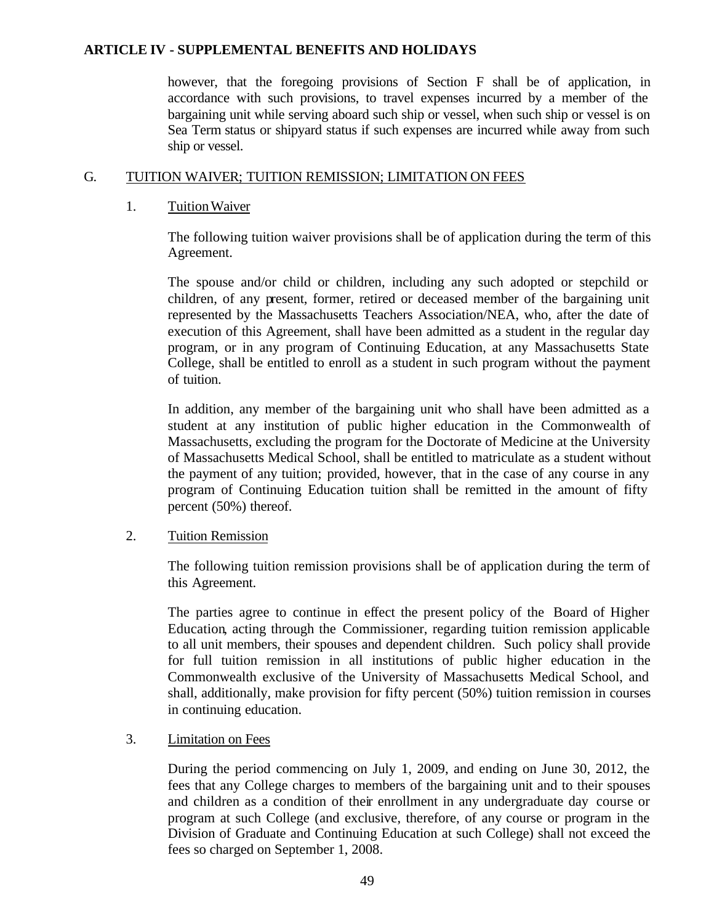however, that the foregoing provisions of Section F shall be of application, in accordance with such provisions, to travel expenses incurred by a member of the bargaining unit while serving aboard such ship or vessel, when such ship or vessel is on Sea Term status or shipyard status if such expenses are incurred while away from such ship or vessel.

## G. TUITION WAIVER; TUITION REMISSION; LIMITATION ON FEES

#### 1. TuitionWaiver

The following tuition waiver provisions shall be of application during the term of this Agreement.

The spouse and/or child or children, including any such adopted or stepchild or children, of any present, former, retired or deceased member of the bargaining unit represented by the Massachusetts Teachers Association/NEA, who, after the date of execution of this Agreement, shall have been admitted as a student in the regular day program, or in any program of Continuing Education, at any Massachusetts State College, shall be entitled to enroll as a student in such program without the payment of tuition.

In addition, any member of the bargaining unit who shall have been admitted as a student at any institution of public higher education in the Commonwealth of Massachusetts, excluding the program for the Doctorate of Medicine at the University of Massachusetts Medical School, shall be entitled to matriculate as a student without the payment of any tuition; provided, however, that in the case of any course in any program of Continuing Education tuition shall be remitted in the amount of fifty percent (50%) thereof.

#### 2. Tuition Remission

The following tuition remission provisions shall be of application during the term of this Agreement.

The parties agree to continue in effect the present policy of the Board of Higher Education, acting through the Commissioner, regarding tuition remission applicable to all unit members, their spouses and dependent children. Such policy shall provide for full tuition remission in all institutions of public higher education in the Commonwealth exclusive of the University of Massachusetts Medical School, and shall, additionally, make provision for fifty percent (50%) tuition remission in courses in continuing education.

# 3. Limitation on Fees

During the period commencing on July 1, 2009, and ending on June 30, 2012, the fees that any College charges to members of the bargaining unit and to their spouses and children as a condition of their enrollment in any undergraduate day course or program at such College (and exclusive, therefore, of any course or program in the Division of Graduate and Continuing Education at such College) shall not exceed the fees so charged on September 1, 2008.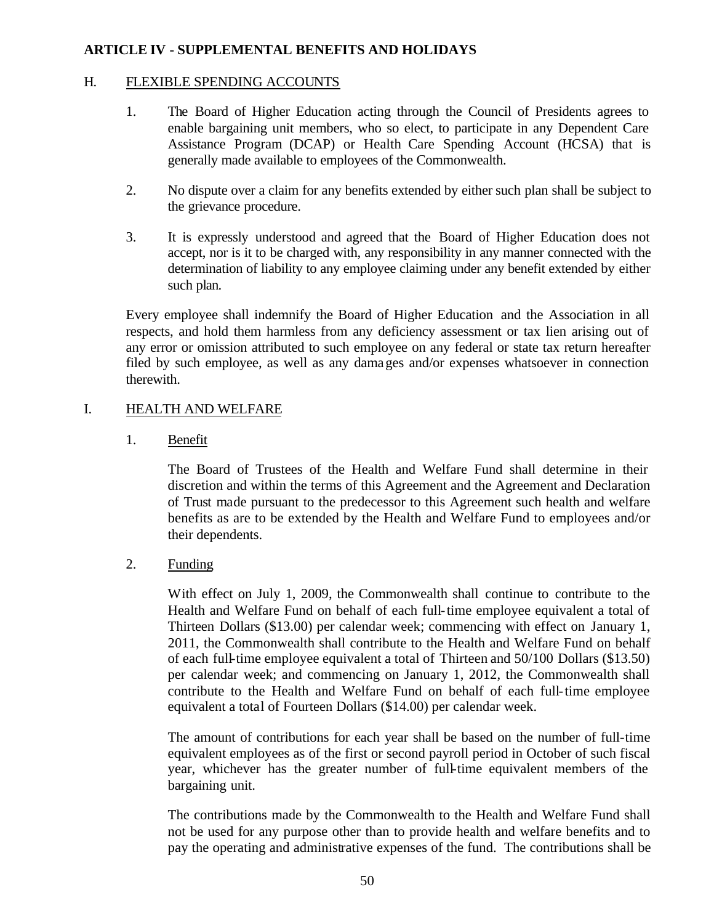# H. FLEXIBLE SPENDING ACCOUNTS

- 1. The Board of Higher Education acting through the Council of Presidents agrees to enable bargaining unit members, who so elect, to participate in any Dependent Care Assistance Program (DCAP) or Health Care Spending Account (HCSA) that is generally made available to employees of the Commonwealth.
- 2. No dispute over a claim for any benefits extended by either such plan shall be subject to the grievance procedure.
- 3. It is expressly understood and agreed that the Board of Higher Education does not accept, nor is it to be charged with, any responsibility in any manner connected with the determination of liability to any employee claiming under any benefit extended by either such plan.

Every employee shall indemnify the Board of Higher Education and the Association in all respects, and hold them harmless from any deficiency assessment or tax lien arising out of any error or omission attributed to such employee on any federal or state tax return hereafter filed by such employee, as well as any damages and/or expenses whatsoever in connection therewith.

# I. HEALTH AND WELFARE

1. Benefit

The Board of Trustees of the Health and Welfare Fund shall determine in their discretion and within the terms of this Agreement and the Agreement and Declaration of Trust made pursuant to the predecessor to this Agreement such health and welfare benefits as are to be extended by the Health and Welfare Fund to employees and/or their dependents.

2. Funding

With effect on July 1, 2009, the Commonwealth shall continue to contribute to the Health and Welfare Fund on behalf of each full-time employee equivalent a total of Thirteen Dollars (\$13.00) per calendar week; commencing with effect on January 1, 2011, the Commonwealth shall contribute to the Health and Welfare Fund on behalf of each full-time employee equivalent a total of Thirteen and 50/100 Dollars (\$13.50) per calendar week; and commencing on January 1, 2012, the Commonwealth shall contribute to the Health and Welfare Fund on behalf of each full-time employee equivalent a total of Fourteen Dollars (\$14.00) per calendar week.

The amount of contributions for each year shall be based on the number of full-time equivalent employees as of the first or second payroll period in October of such fiscal year, whichever has the greater number of full-time equivalent members of the bargaining unit.

The contributions made by the Commonwealth to the Health and Welfare Fund shall not be used for any purpose other than to provide health and welfare benefits and to pay the operating and administrative expenses of the fund. The contributions shall be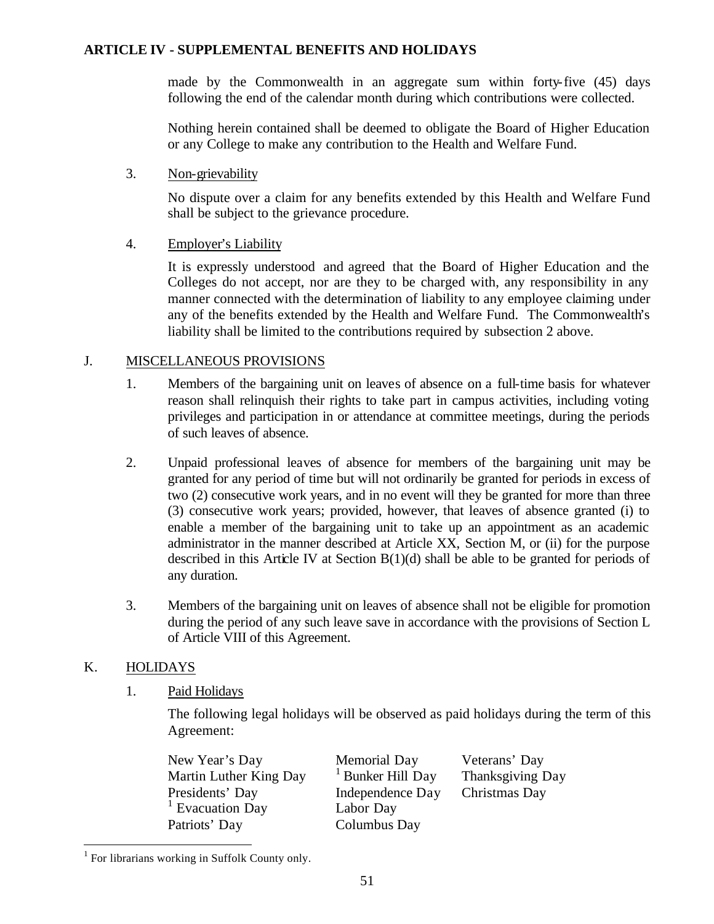made by the Commonwealth in an aggregate sum within forty-five (45) days following the end of the calendar month during which contributions were collected.

Nothing herein contained shall be deemed to obligate the Board of Higher Education or any College to make any contribution to the Health and Welfare Fund.

#### 3. Non-grievability

No dispute over a claim for any benefits extended by this Health and Welfare Fund shall be subject to the grievance procedure.

# 4. Employer's Liability

It is expressly understood and agreed that the Board of Higher Education and the Colleges do not accept, nor are they to be charged with, any responsibility in any manner connected with the determination of liability to any employee claiming under any of the benefits extended by the Health and Welfare Fund. The Commonwealth's liability shall be limited to the contributions required by subsection 2 above.

#### J. MISCELLANEOUS PROVISIONS

- 1. Members of the bargaining unit on leaves of absence on a full-time basis for whatever reason shall relinquish their rights to take part in campus activities, including voting privileges and participation in or attendance at committee meetings, during the periods of such leaves of absence.
- 2. Unpaid professional leaves of absence for members of the bargaining unit may be granted for any period of time but will not ordinarily be granted for periods in excess of two (2) consecutive work years, and in no event will they be granted for more than three (3) consecutive work years; provided, however, that leaves of absence granted (i) to enable a member of the bargaining unit to take up an appointment as an academic administrator in the manner described at Article XX, Section M, or (ii) for the purpose described in this Article IV at Section  $B(1)(d)$  shall be able to be granted for periods of any duration.
- 3. Members of the bargaining unit on leaves of absence shall not be eligible for promotion during the period of any such leave save in accordance with the provisions of Section L of Article VIII of this Agreement.

# K. HOLIDAYS

 $\overline{a}$ 

1. Paid Holidays

The following legal holidays will be observed as paid holidays during the term of this Agreement:

| New Year's Day              | Memorial Day                 | Veterans' Day    |
|-----------------------------|------------------------------|------------------|
| Martin Luther King Day      | <sup>1</sup> Bunker Hill Day | Thanksgiving Day |
| Presidents' Day             | Independence Day             | Christmas Day    |
| <sup>1</sup> Evacuation Day | Labor Day                    |                  |
| Patriots' Day               | Columbus Day                 |                  |

<sup>&</sup>lt;sup>1</sup> For librarians working in Suffolk County only.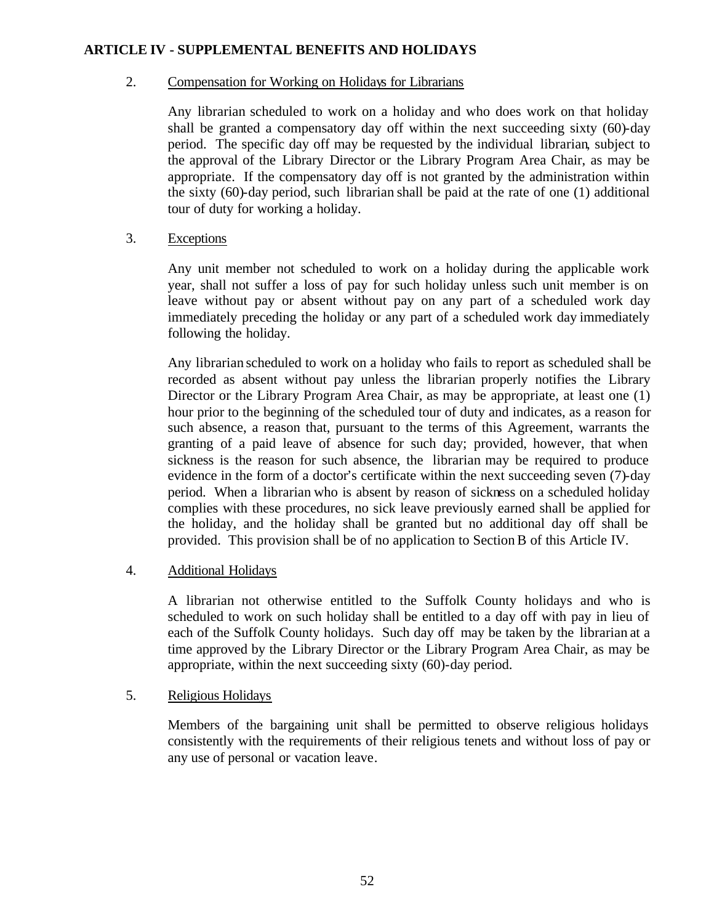## 2. Compensation for Working on Holidays for Librarians

Any librarian scheduled to work on a holiday and who does work on that holiday shall be granted a compensatory day off within the next succeeding sixty (60)-day period. The specific day off may be requested by the individual librarian, subject to the approval of the Library Director or the Library Program Area Chair, as may be appropriate. If the compensatory day off is not granted by the administration within the sixty (60)-day period, such librarian shall be paid at the rate of one (1) additional tour of duty for working a holiday.

# 3. Exceptions

Any unit member not scheduled to work on a holiday during the applicable work year, shall not suffer a loss of pay for such holiday unless such unit member is on leave without pay or absent without pay on any part of a scheduled work day immediately preceding the holiday or any part of a scheduled work day immediately following the holiday.

Any librarian scheduled to work on a holiday who fails to report as scheduled shall be recorded as absent without pay unless the librarian properly notifies the Library Director or the Library Program Area Chair, as may be appropriate, at least one (1) hour prior to the beginning of the scheduled tour of duty and indicates, as a reason for such absence, a reason that, pursuant to the terms of this Agreement, warrants the granting of a paid leave of absence for such day; provided, however, that when sickness is the reason for such absence, the librarian may be required to produce evidence in the form of a doctor's certificate within the next succeeding seven (7)-day period. When a librarian who is absent by reason of sickness on a scheduled holiday complies with these procedures, no sick leave previously earned shall be applied for the holiday, and the holiday shall be granted but no additional day off shall be provided. This provision shall be of no application to Section B of this Article IV.

#### 4. Additional Holidays

A librarian not otherwise entitled to the Suffolk County holidays and who is scheduled to work on such holiday shall be entitled to a day off with pay in lieu of each of the Suffolk County holidays. Such day off may be taken by the librarian at a time approved by the Library Director or the Library Program Area Chair, as may be appropriate, within the next succeeding sixty (60)-day period.

#### 5. Religious Holidays

Members of the bargaining unit shall be permitted to observe religious holidays consistently with the requirements of their religious tenets and without loss of pay or any use of personal or vacation leave.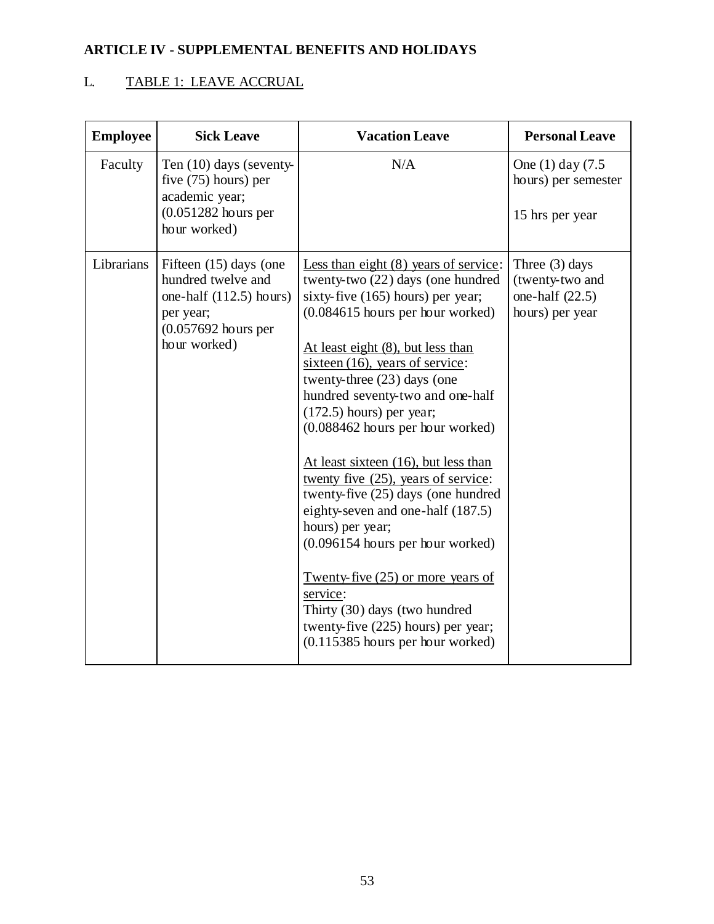# L. TABLE 1: LEAVE ACCRUAL

| <b>Employee</b> | <b>Sick Leave</b>                                                                                                               | <b>Vacation Leave</b>                                                                                                                                                                                                                                                                                                                                                                                                                                                                                                                                                                                                                                                                                                                                          | <b>Personal Leave</b>                                                       |
|-----------------|---------------------------------------------------------------------------------------------------------------------------------|----------------------------------------------------------------------------------------------------------------------------------------------------------------------------------------------------------------------------------------------------------------------------------------------------------------------------------------------------------------------------------------------------------------------------------------------------------------------------------------------------------------------------------------------------------------------------------------------------------------------------------------------------------------------------------------------------------------------------------------------------------------|-----------------------------------------------------------------------------|
| Faculty         | Ten $(10)$ days (seventy-<br>five (75) hours) per<br>academic year;<br>$(0.051282$ hours per<br>hour worked)                    | N/A                                                                                                                                                                                                                                                                                                                                                                                                                                                                                                                                                                                                                                                                                                                                                            | One (1) day (7.5)<br>hours) per semester<br>15 hrs per year                 |
| Librarians      | Fifteen (15) days (one<br>hundred twelve and<br>one-half $(112.5)$ hours)<br>per year;<br>$(0.057692$ hours per<br>hour worked) | Less than eight $(8)$ years of service:<br>twenty-two (22) days (one hundred<br>sixty-five $(165)$ hours) per year;<br>$(0.084615$ hours per hour worked)<br>At least eight $(8)$ , but less than<br>sixteen $(16)$ , years of service:<br>twenty-three (23) days (one<br>hundred seventy-two and one-half<br>$(172.5)$ hours) per year;<br>(0.088462 hours per hour worked)<br>At least sixteen (16), but less than<br>twenty five (25), years of service:<br>twenty-five (25) days (one hundred<br>eighty-seven and one-half (187.5)<br>hours) per year;<br>(0.096154 hours per hour worked)<br>Twenty-five $(25)$ or more years of<br>service:<br>Thirty (30) days (two hundred<br>twenty-five (225) hours) per year;<br>$(0.115385$ hours per hour worked) | Three $(3)$ days<br>(twenty-two and<br>one-half $(22.5)$<br>hours) per year |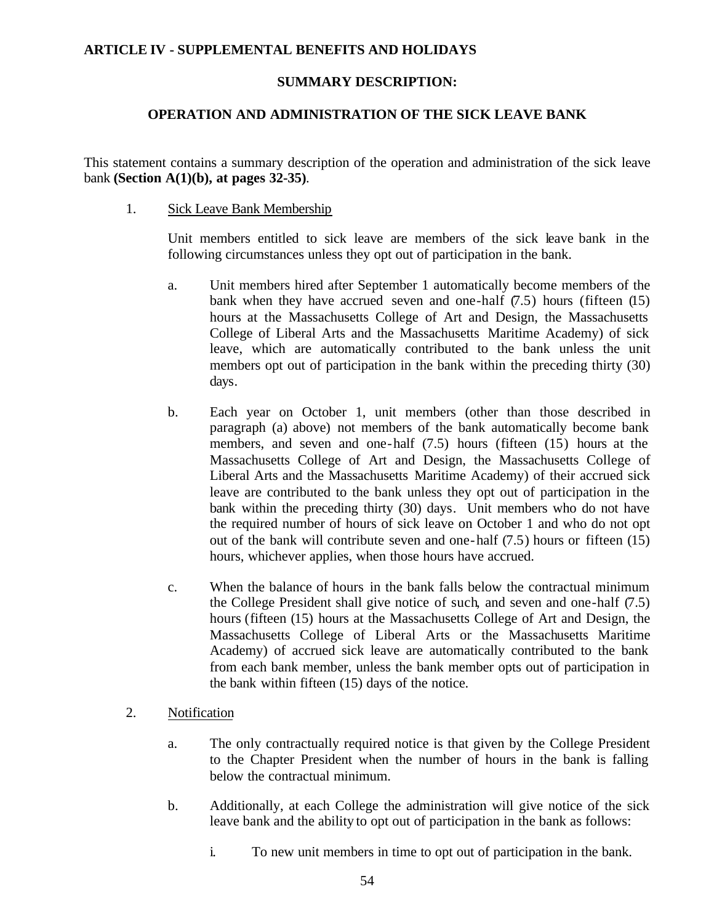# **SUMMARY DESCRIPTION:**

# **OPERATION AND ADMINISTRATION OF THE SICK LEAVE BANK**

This statement contains a summary description of the operation and administration of the sick leave bank **(Section A(1)(b), at pages 32-35)**.

#### 1. Sick Leave Bank Membership

Unit members entitled to sick leave are members of the sick leave bank in the following circumstances unless they opt out of participation in the bank.

- a. Unit members hired after September 1 automatically become members of the bank when they have accrued seven and one-half  $(7.5)$  hours (fifteen  $(15)$ ) hours at the Massachusetts College of Art and Design, the Massachusetts College of Liberal Arts and the Massachusetts Maritime Academy) of sick leave, which are automatically contributed to the bank unless the unit members opt out of participation in the bank within the preceding thirty (30) days.
- b. Each year on October 1, unit members (other than those described in paragraph (a) above) not members of the bank automatically become bank members, and seven and one-half (7.5) hours (fifteen (15) hours at the Massachusetts College of Art and Design, the Massachusetts College of Liberal Arts and the Massachusetts Maritime Academy) of their accrued sick leave are contributed to the bank unless they opt out of participation in the bank within the preceding thirty (30) days. Unit members who do not have the required number of hours of sick leave on October 1 and who do not opt out of the bank will contribute seven and one-half (7.5) hours or fifteen (15) hours, whichever applies, when those hours have accrued.
- c. When the balance of hours in the bank falls below the contractual minimum the College President shall give notice of such, and seven and one-half (7.5) hours (fifteen (15) hours at the Massachusetts College of Art and Design, the Massachusetts College of Liberal Arts or the Massachusetts Maritime Academy) of accrued sick leave are automatically contributed to the bank from each bank member, unless the bank member opts out of participation in the bank within fifteen (15) days of the notice.

#### 2. Notification

- a. The only contractually required notice is that given by the College President to the Chapter President when the number of hours in the bank is falling below the contractual minimum.
- b. Additionally, at each College the administration will give notice of the sick leave bank and the ability to opt out of participation in the bank as follows:
	- i. To new unit members in time to opt out of participation in the bank.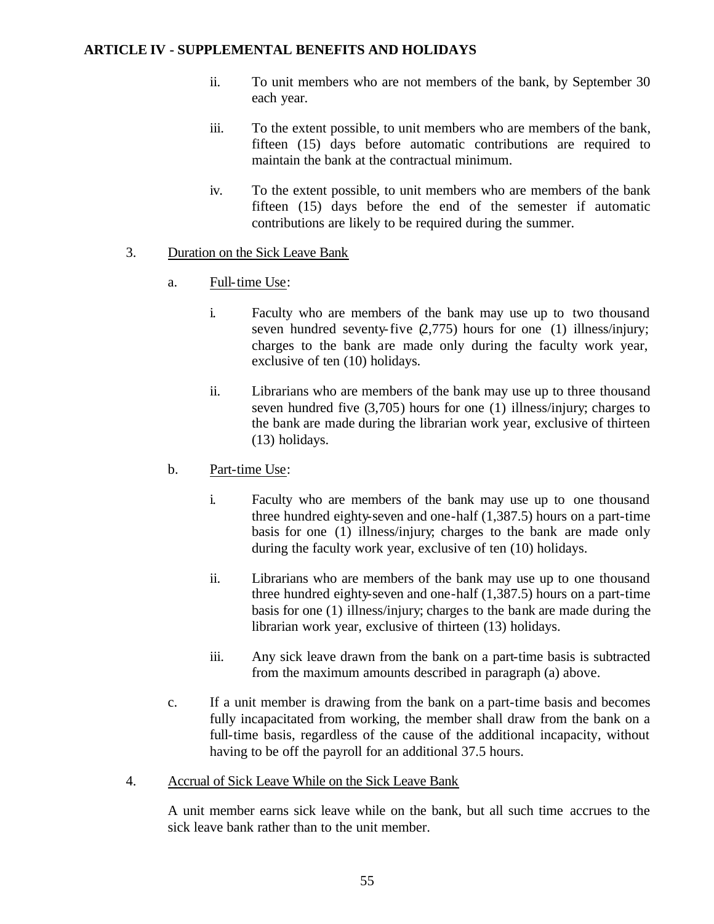- ii. To unit members who are not members of the bank, by September 30 each year.
- iii. To the extent possible, to unit members who are members of the bank, fifteen (15) days before automatic contributions are required to maintain the bank at the contractual minimum.
- iv. To the extent possible, to unit members who are members of the bank fifteen (15) days before the end of the semester if automatic contributions are likely to be required during the summer.

# 3. Duration on the Sick Leave Bank

- a. Full-time Use:
	- i. Faculty who are members of the bank may use up to two thousand seven hundred seventy-five (2,775) hours for one (1) illness/injury; charges to the bank are made only during the faculty work year, exclusive of ten (10) holidays.
	- ii. Librarians who are members of the bank may use up to three thousand seven hundred five (3,705) hours for one (1) illness/injury; charges to the bank are made during the librarian work year, exclusive of thirteen (13) holidays.
- b. Part-time Use:
	- i. Faculty who are members of the bank may use up to one thousand three hundred eighty-seven and one-half (1,387.5) hours on a part-time basis for one (1) illness/injury; charges to the bank are made only during the faculty work year, exclusive of ten (10) holidays.
	- ii. Librarians who are members of the bank may use up to one thousand three hundred eighty-seven and one-half (1,387.5) hours on a part-time basis for one (1) illness/injury; charges to the bank are made during the librarian work year, exclusive of thirteen (13) holidays.
	- iii. Any sick leave drawn from the bank on a part-time basis is subtracted from the maximum amounts described in paragraph (a) above.
- c. If a unit member is drawing from the bank on a part-time basis and becomes fully incapacitated from working, the member shall draw from the bank on a full-time basis, regardless of the cause of the additional incapacity, without having to be off the payroll for an additional 37.5 hours.
- 4. Accrual of Sick Leave While on the Sick Leave Bank

A unit member earns sick leave while on the bank, but all such time accrues to the sick leave bank rather than to the unit member.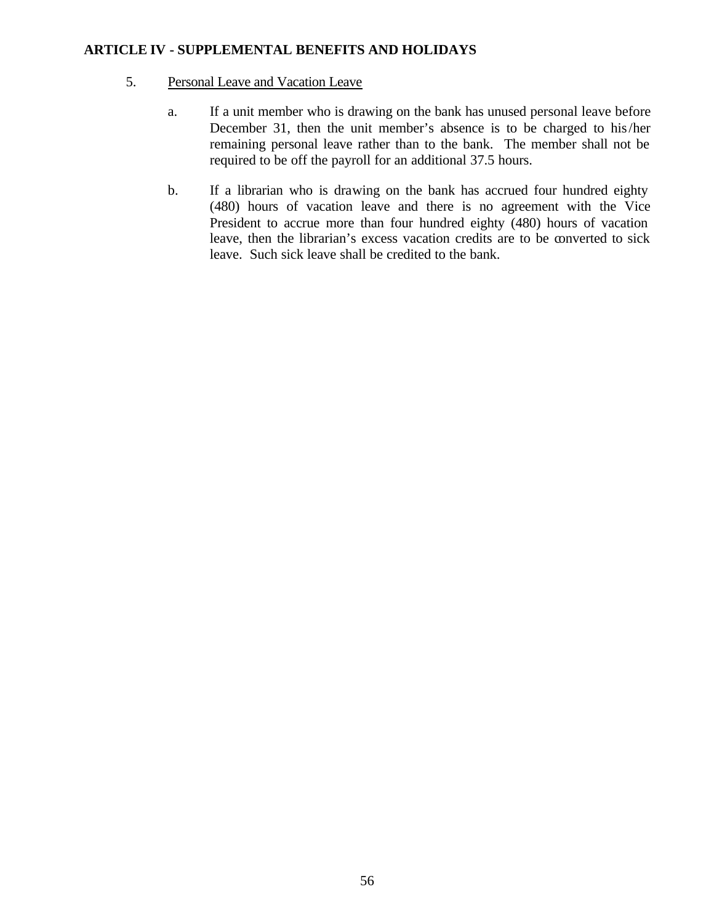#### 5. Personal Leave and Vacation Leave

- a. If a unit member who is drawing on the bank has unused personal leave before December 31, then the unit member's absence is to be charged to his/her remaining personal leave rather than to the bank. The member shall not be required to be off the payroll for an additional 37.5 hours.
- b. If a librarian who is drawing on the bank has accrued four hundred eighty (480) hours of vacation leave and there is no agreement with the Vice President to accrue more than four hundred eighty (480) hours of vacation leave, then the librarian's excess vacation credits are to be converted to sick leave. Such sick leave shall be credited to the bank.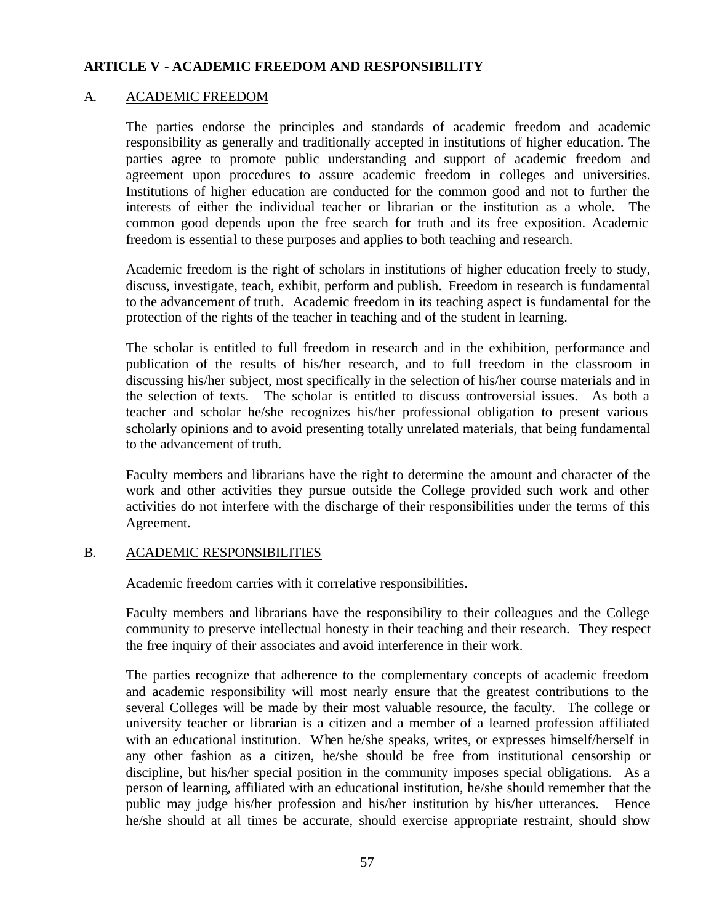## **ARTICLE V - ACADEMIC FREEDOM AND RESPONSIBILITY**

#### A. ACADEMIC FREEDOM

The parties endorse the principles and standards of academic freedom and academic responsibility as generally and traditionally accepted in institutions of higher education. The parties agree to promote public understanding and support of academic freedom and agreement upon procedures to assure academic freedom in colleges and universities. Institutions of higher education are conducted for the common good and not to further the interests of either the individual teacher or librarian or the institution as a whole. The common good depends upon the free search for truth and its free exposition. Academic freedom is essential to these purposes and applies to both teaching and research.

Academic freedom is the right of scholars in institutions of higher education freely to study, discuss, investigate, teach, exhibit, perform and publish. Freedom in research is fundamental to the advancement of truth. Academic freedom in its teaching aspect is fundamental for the protection of the rights of the teacher in teaching and of the student in learning.

The scholar is entitled to full freedom in research and in the exhibition, performance and publication of the results of his/her research, and to full freedom in the classroom in discussing his/her subject, most specifically in the selection of his/her course materials and in the selection of texts. The scholar is entitled to discuss controversial issues. As both a teacher and scholar he/she recognizes his/her professional obligation to present various scholarly opinions and to avoid presenting totally unrelated materials, that being fundamental to the advancement of truth.

Faculty members and librarians have the right to determine the amount and character of the work and other activities they pursue outside the College provided such work and other activities do not interfere with the discharge of their responsibilities under the terms of this Agreement.

#### B. ACADEMIC RESPONSIBILITIES

Academic freedom carries with it correlative responsibilities.

Faculty members and librarians have the responsibility to their colleagues and the College community to preserve intellectual honesty in their teaching and their research. They respect the free inquiry of their associates and avoid interference in their work.

The parties recognize that adherence to the complementary concepts of academic freedom and academic responsibility will most nearly ensure that the greatest contributions to the several Colleges will be made by their most valuable resource, the faculty. The college or university teacher or librarian is a citizen and a member of a learned profession affiliated with an educational institution. When he/she speaks, writes, or expresses himself/herself in any other fashion as a citizen, he/she should be free from institutional censorship or discipline, but his/her special position in the community imposes special obligations. As a person of learning, affiliated with an educational institution, he/she should remember that the public may judge his/her profession and his/her institution by his/her utterances. Hence he/she should at all times be accurate, should exercise appropriate restraint, should show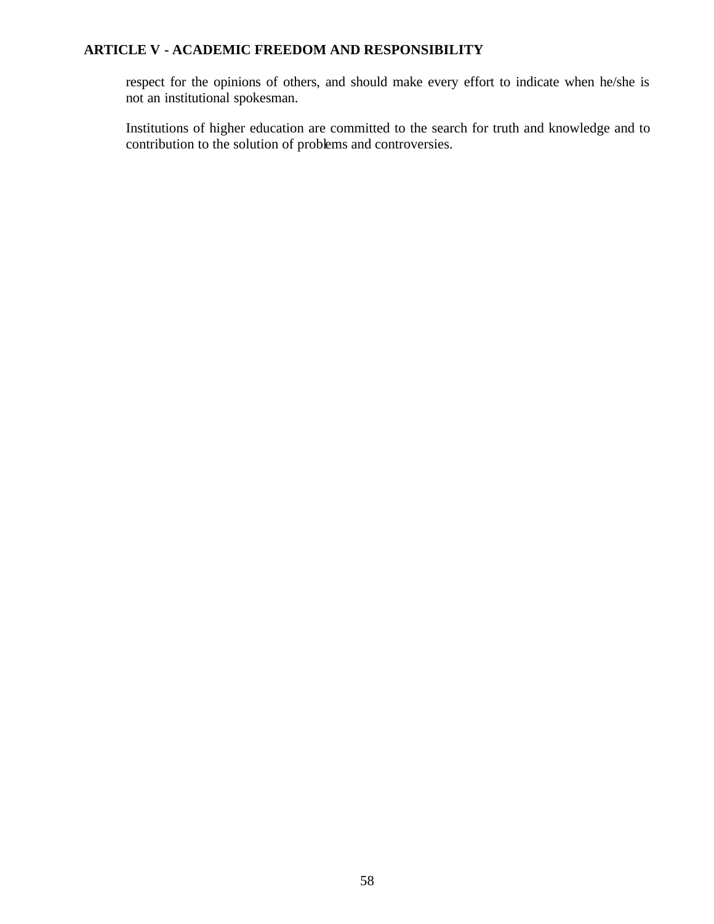# **ARTICLE V - ACADEMIC FREEDOM AND RESPONSIBILITY**

respect for the opinions of others, and should make every effort to indicate when he/she is not an institutional spokesman.

Institutions of higher education are committed to the search for truth and knowledge and to contribution to the solution of problems and controversies.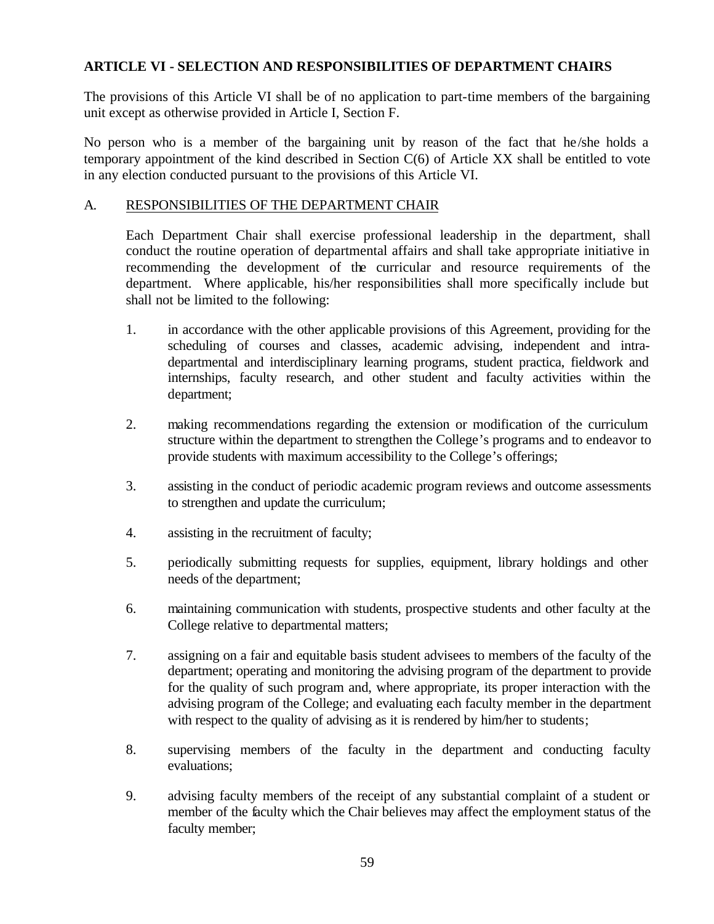The provisions of this Article VI shall be of no application to part-time members of the bargaining unit except as otherwise provided in Article I, Section F.

No person who is a member of the bargaining unit by reason of the fact that he/she holds a temporary appointment of the kind described in Section C(6) of Article XX shall be entitled to vote in any election conducted pursuant to the provisions of this Article VI.

## A. RESPONSIBILITIES OF THE DEPARTMENT CHAIR

Each Department Chair shall exercise professional leadership in the department, shall conduct the routine operation of departmental affairs and shall take appropriate initiative in recommending the development of the curricular and resource requirements of the department. Where applicable, his/her responsibilities shall more specifically include but shall not be limited to the following:

- 1. in accordance with the other applicable provisions of this Agreement, providing for the scheduling of courses and classes, academic advising, independent and intradepartmental and interdisciplinary learning programs, student practica, fieldwork and internships, faculty research, and other student and faculty activities within the department;
- 2. making recommendations regarding the extension or modification of the curriculum structure within the department to strengthen the College's programs and to endeavor to provide students with maximum accessibility to the College's offerings;
- 3. assisting in the conduct of periodic academic program reviews and outcome assessments to strengthen and update the curriculum;
- 4. assisting in the recruitment of faculty;
- 5. periodically submitting requests for supplies, equipment, library holdings and other needs of the department;
- 6. maintaining communication with students, prospective students and other faculty at the College relative to departmental matters;
- 7. assigning on a fair and equitable basis student advisees to members of the faculty of the department; operating and monitoring the advising program of the department to provide for the quality of such program and, where appropriate, its proper interaction with the advising program of the College; and evaluating each faculty member in the department with respect to the quality of advising as it is rendered by him/her to students;
- 8. supervising members of the faculty in the department and conducting faculty evaluations;
- 9. advising faculty members of the receipt of any substantial complaint of a student or member of the faculty which the Chair believes may affect the employment status of the faculty member;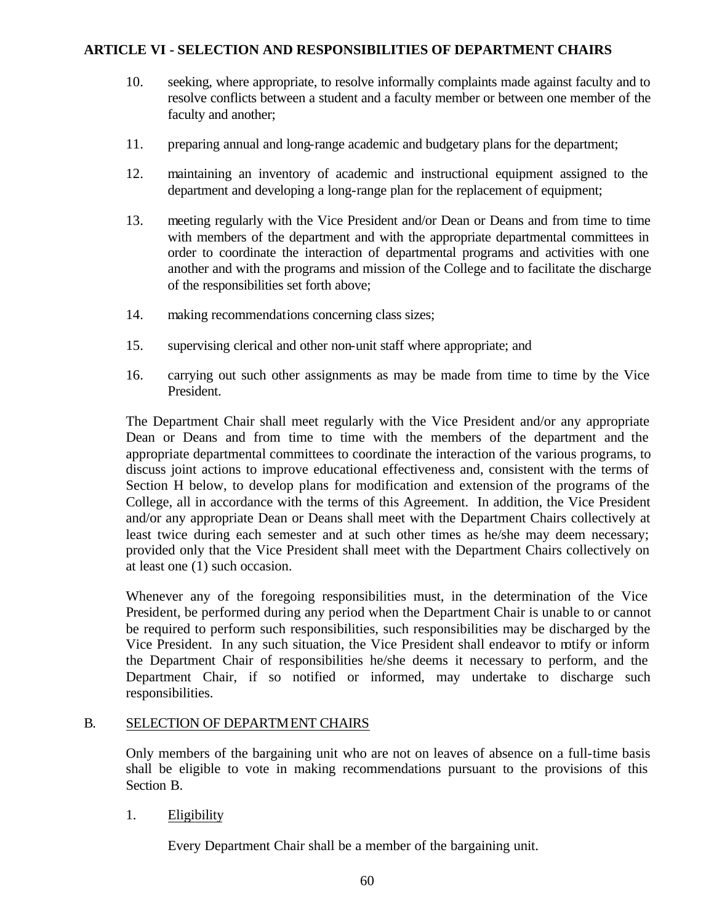- 10. seeking, where appropriate, to resolve informally complaints made against faculty and to resolve conflicts between a student and a faculty member or between one member of the faculty and another;
- 11. preparing annual and long-range academic and budgetary plans for the department;
- 12. maintaining an inventory of academic and instructional equipment assigned to the department and developing a long-range plan for the replacement of equipment;
- 13. meeting regularly with the Vice President and/or Dean or Deans and from time to time with members of the department and with the appropriate departmental committees in order to coordinate the interaction of departmental programs and activities with one another and with the programs and mission of the College and to facilitate the discharge of the responsibilities set forth above;
- 14. making recommendations concerning class sizes;
- 15. supervising clerical and other non-unit staff where appropriate; and
- 16. carrying out such other assignments as may be made from time to time by the Vice President.

The Department Chair shall meet regularly with the Vice President and/or any appropriate Dean or Deans and from time to time with the members of the department and the appropriate departmental committees to coordinate the interaction of the various programs, to discuss joint actions to improve educational effectiveness and, consistent with the terms of Section H below, to develop plans for modification and extension of the programs of the College, all in accordance with the terms of this Agreement. In addition, the Vice President and/or any appropriate Dean or Deans shall meet with the Department Chairs collectively at least twice during each semester and at such other times as he/she may deem necessary; provided only that the Vice President shall meet with the Department Chairs collectively on at least one (1) such occasion.

Whenever any of the foregoing responsibilities must, in the determination of the Vice President, be performed during any period when the Department Chair is unable to or cannot be required to perform such responsibilities, such responsibilities may be discharged by the Vice President. In any such situation, the Vice President shall endeavor to notify or inform the Department Chair of responsibilities he/she deems it necessary to perform, and the Department Chair, if so notified or informed, may undertake to discharge such responsibilities.

#### B. SELECTION OF DEPARTMENT CHAIRS

Only members of the bargaining unit who are not on leaves of absence on a full-time basis shall be eligible to vote in making recommendations pursuant to the provisions of this Section B.

#### 1. Eligibility

Every Department Chair shall be a member of the bargaining unit.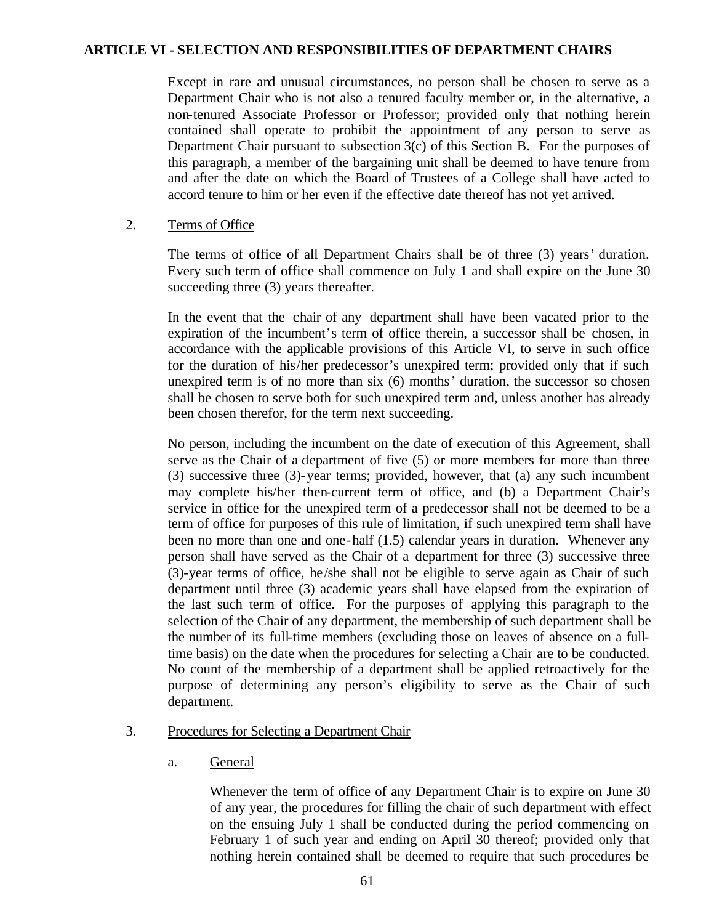Except in rare and unusual circumstances, no person shall be chosen to serve as a Department Chair who is not also a tenured faculty member or, in the alternative, a non-tenured Associate Professor or Professor; provided only that nothing herein contained shall operate to prohibit the appointment of any person to serve as Department Chair pursuant to subsection 3(c) of this Section B. For the purposes of this paragraph, a member of the bargaining unit shall be deemed to have tenure from and after the date on which the Board of Trustees of a College shall have acted to accord tenure to him or her even if the effective date thereof has not yet arrived.

#### 2. Terms of Office

The terms of office of all Department Chairs shall be of three (3) years' duration. Every such term of office shall commence on July 1 and shall expire on the June 30 succeeding three (3) years thereafter.

In the event that the chair of any department shall have been vacated prior to the expiration of the incumbent's term of office therein, a successor shall be chosen, in accordance with the applicable provisions of this Article VI, to serve in such office for the duration of his/her predecessor's unexpired term; provided only that if such unexpired term is of no more than six (6) months' duration, the successor so chosen shall be chosen to serve both for such unexpired term and, unless another has already been chosen therefor, for the term next succeeding.

No person, including the incumbent on the date of execution of this Agreement, shall serve as the Chair of a department of five (5) or more members for more than three (3) successive three (3)-year terms; provided, however, that (a) any such incumbent may complete his/her then-current term of office, and (b) a Department Chair's service in office for the unexpired term of a predecessor shall not be deemed to be a term of office for purposes of this rule of limitation, if such unexpired term shall have been no more than one and one-half (1.5) calendar years in duration. Whenever any person shall have served as the Chair of a department for three (3) successive three (3)-year terms of office, he/she shall not be eligible to serve again as Chair of such department until three (3) academic years shall have elapsed from the expiration of the last such term of office. For the purposes of applying this paragraph to the selection of the Chair of any department, the membership of such department shall be the number of its full-time members (excluding those on leaves of absence on a fulltime basis) on the date when the procedures for selecting a Chair are to be conducted. No count of the membership of a department shall be applied retroactively for the purpose of determining any person's eligibility to serve as the Chair of such department.

### 3. Procedures for Selecting a Department Chair

a. General

Whenever the term of office of any Department Chair is to expire on June 30 of any year, the procedures for filling the chair of such department with effect on the ensuing July 1 shall be conducted during the period commencing on February 1 of such year and ending on April 30 thereof; provided only that nothing herein contained shall be deemed to require that such procedures be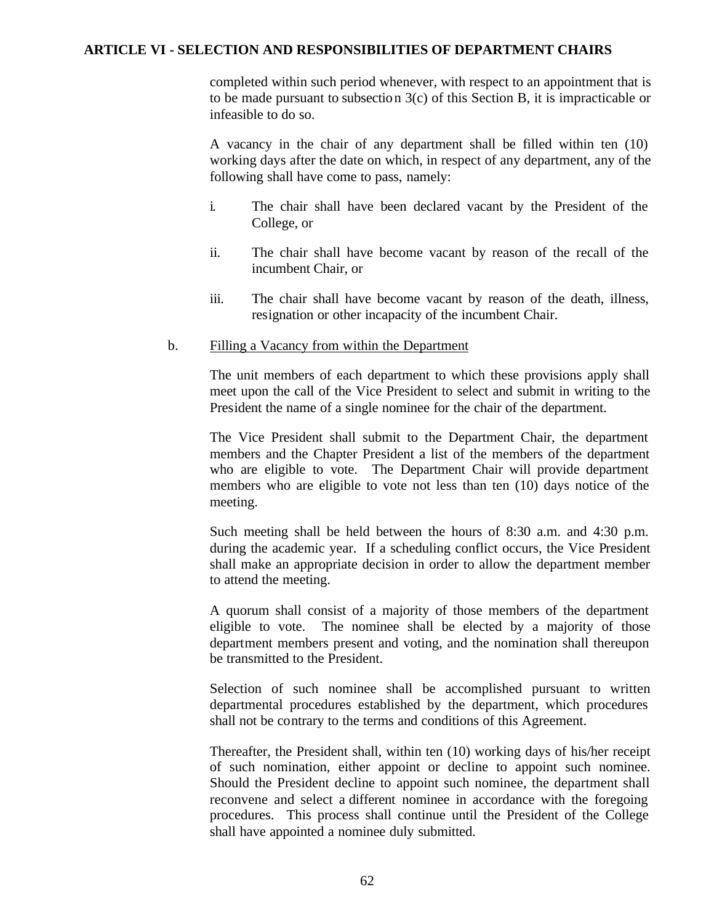completed within such period whenever, with respect to an appointment that is to be made pursuant to subsection 3(c) of this Section B, it is impracticable or infeasible to do so.

A vacancy in the chair of any department shall be filled within ten (10) working days after the date on which, in respect of any department, any of the following shall have come to pass, namely:

- i. The chair shall have been declared vacant by the President of the College, or
- ii. The chair shall have become vacant by reason of the recall of the incumbent Chair, or
- iii. The chair shall have become vacant by reason of the death, illness, resignation or other incapacity of the incumbent Chair.

#### b. Filling a Vacancy from within the Department

The unit members of each department to which these provisions apply shall meet upon the call of the Vice President to select and submit in writing to the President the name of a single nominee for the chair of the department.

The Vice President shall submit to the Department Chair, the department members and the Chapter President a list of the members of the department who are eligible to vote. The Department Chair will provide department members who are eligible to vote not less than ten (10) days notice of the meeting.

Such meeting shall be held between the hours of 8:30 a.m. and 4:30 p.m. during the academic year. If a scheduling conflict occurs, the Vice President shall make an appropriate decision in order to allow the department member to attend the meeting.

A quorum shall consist of a majority of those members of the department eligible to vote. The nominee shall be elected by a majority of those department members present and voting, and the nomination shall thereupon be transmitted to the President.

Selection of such nominee shall be accomplished pursuant to written departmental procedures established by the department, which procedures shall not be contrary to the terms and conditions of this Agreement.

Thereafter, the President shall, within ten (10) working days of his/her receipt of such nomination, either appoint or decline to appoint such nominee. Should the President decline to appoint such nominee, the department shall reconvene and select a different nominee in accordance with the foregoing procedures. This process shall continue until the President of the College shall have appointed a nominee duly submitted.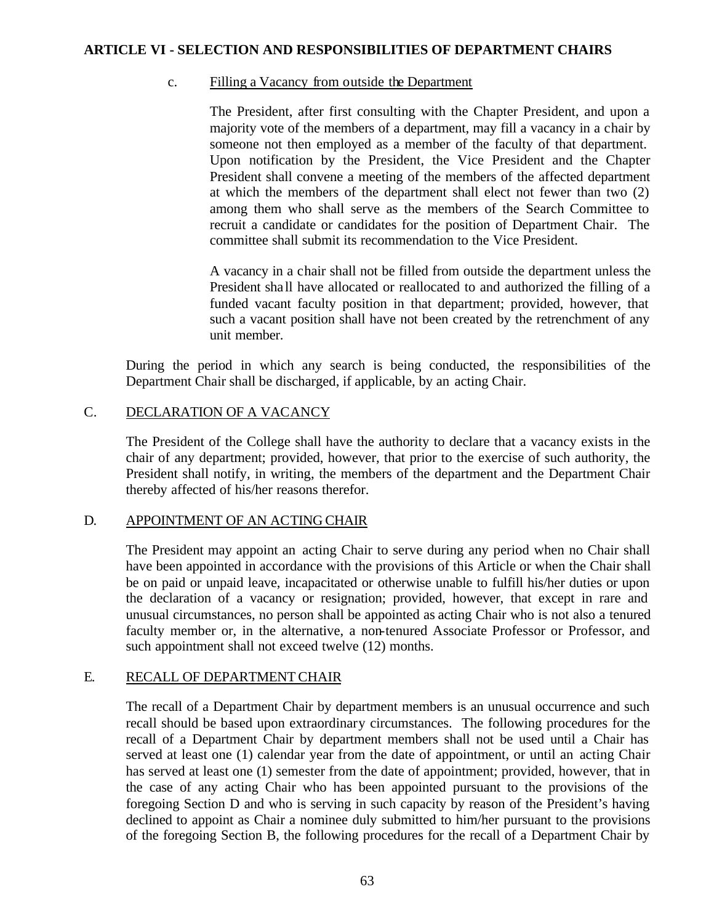#### c. Filling a Vacancy from outside the Department

The President, after first consulting with the Chapter President, and upon a majority vote of the members of a department, may fill a vacancy in a chair by someone not then employed as a member of the faculty of that department. Upon notification by the President, the Vice President and the Chapter President shall convene a meeting of the members of the affected department at which the members of the department shall elect not fewer than two (2) among them who shall serve as the members of the Search Committee to recruit a candidate or candidates for the position of Department Chair. The committee shall submit its recommendation to the Vice President.

A vacancy in a chair shall not be filled from outside the department unless the President sha ll have allocated or reallocated to and authorized the filling of a funded vacant faculty position in that department; provided, however, that such a vacant position shall have not been created by the retrenchment of any unit member.

During the period in which any search is being conducted, the responsibilities of the Department Chair shall be discharged, if applicable, by an acting Chair.

#### C. DECLARATION OF A VACANCY

The President of the College shall have the authority to declare that a vacancy exists in the chair of any department; provided, however, that prior to the exercise of such authority, the President shall notify, in writing, the members of the department and the Department Chair thereby affected of his/her reasons therefor.

#### D. APPOINTMENT OF AN ACTING CHAIR

The President may appoint an acting Chair to serve during any period when no Chair shall have been appointed in accordance with the provisions of this Article or when the Chair shall be on paid or unpaid leave, incapacitated or otherwise unable to fulfill his/her duties or upon the declaration of a vacancy or resignation; provided, however, that except in rare and unusual circumstances, no person shall be appointed as acting Chair who is not also a tenured faculty member or, in the alternative, a non-tenured Associate Professor or Professor, and such appointment shall not exceed twelve (12) months.

## E. RECALL OF DEPARTMENT CHAIR

The recall of a Department Chair by department members is an unusual occurrence and such recall should be based upon extraordinary circumstances. The following procedures for the recall of a Department Chair by department members shall not be used until a Chair has served at least one (1) calendar year from the date of appointment, or until an acting Chair has served at least one (1) semester from the date of appointment; provided, however, that in the case of any acting Chair who has been appointed pursuant to the provisions of the foregoing Section D and who is serving in such capacity by reason of the President's having declined to appoint as Chair a nominee duly submitted to him/her pursuant to the provisions of the foregoing Section B, the following procedures for the recall of a Department Chair by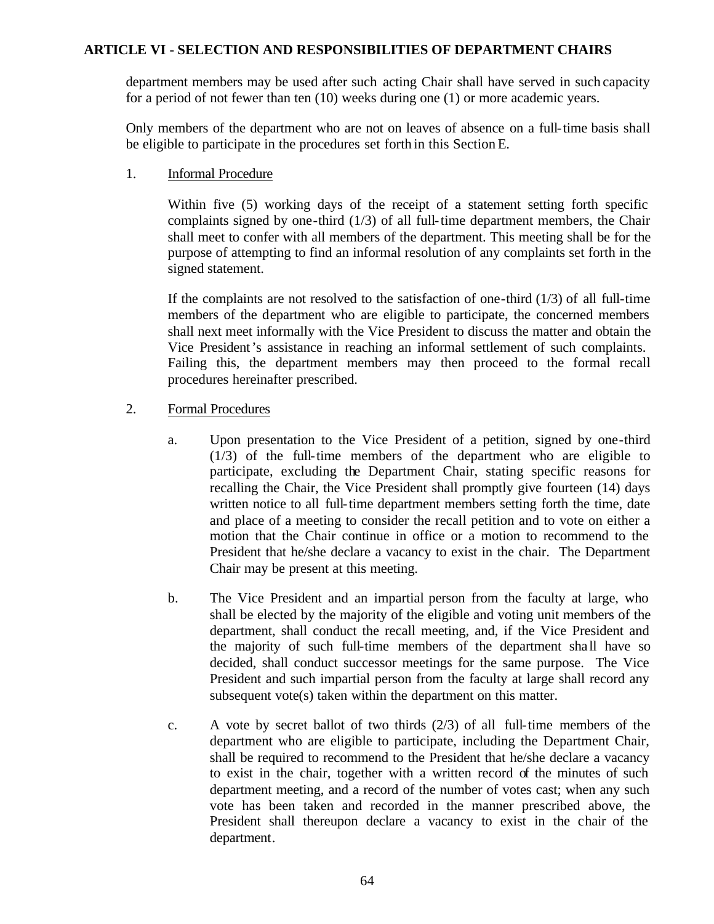department members may be used after such acting Chair shall have served in such capacity for a period of not fewer than ten (10) weeks during one (1) or more academic years.

Only members of the department who are not on leaves of absence on a full-time basis shall be eligible to participate in the procedures set forth in this Section E.

1. Informal Procedure

Within five (5) working days of the receipt of a statement setting forth specific complaints signed by one-third (1/3) of all full-time department members, the Chair shall meet to confer with all members of the department. This meeting shall be for the purpose of attempting to find an informal resolution of any complaints set forth in the signed statement.

If the complaints are not resolved to the satisfaction of one-third  $(1/3)$  of all full-time members of the department who are eligible to participate, the concerned members shall next meet informally with the Vice President to discuss the matter and obtain the Vice President's assistance in reaching an informal settlement of such complaints. Failing this, the department members may then proceed to the formal recall procedures hereinafter prescribed.

- 2. Formal Procedures
	- a. Upon presentation to the Vice President of a petition, signed by one-third (1/3) of the full-time members of the department who are eligible to participate, excluding the Department Chair, stating specific reasons for recalling the Chair, the Vice President shall promptly give fourteen (14) days written notice to all full-time department members setting forth the time, date and place of a meeting to consider the recall petition and to vote on either a motion that the Chair continue in office or a motion to recommend to the President that he/she declare a vacancy to exist in the chair. The Department Chair may be present at this meeting.
	- b. The Vice President and an impartial person from the faculty at large, who shall be elected by the majority of the eligible and voting unit members of the department, shall conduct the recall meeting, and, if the Vice President and the majority of such full-time members of the department sha ll have so decided, shall conduct successor meetings for the same purpose. The Vice President and such impartial person from the faculty at large shall record any subsequent vote(s) taken within the department on this matter.
	- c. A vote by secret ballot of two thirds (2/3) of all full-time members of the department who are eligible to participate, including the Department Chair, shall be required to recommend to the President that he/she declare a vacancy to exist in the chair, together with a written record of the minutes of such department meeting, and a record of the number of votes cast; when any such vote has been taken and recorded in the manner prescribed above, the President shall thereupon declare a vacancy to exist in the chair of the department.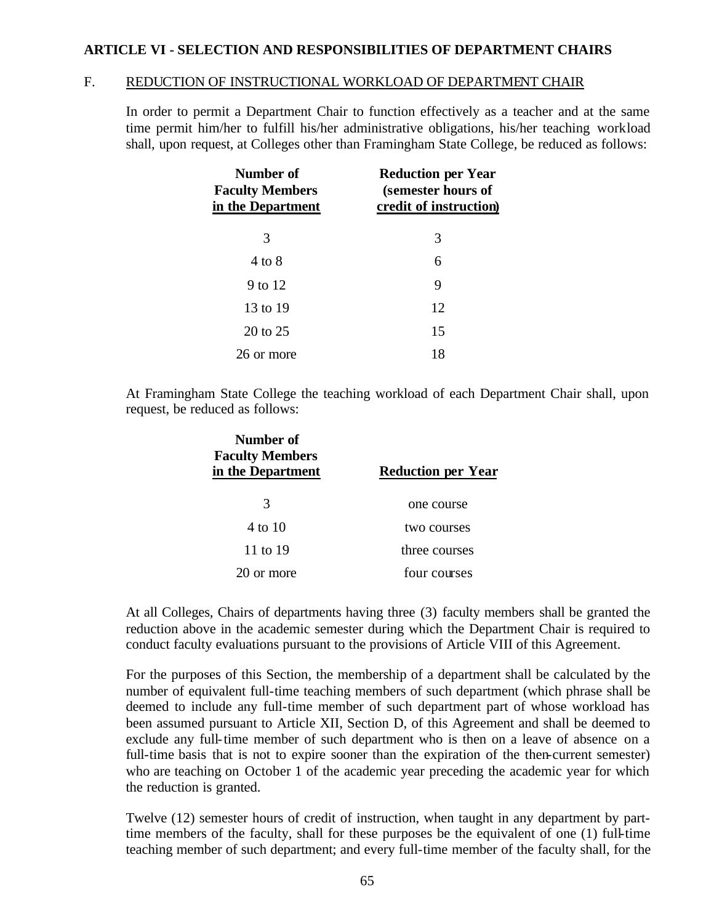#### F. REDUCTION OF INSTRUCTIONAL WORKLOAD OF DEPARTMENT CHAIR

In order to permit a Department Chair to function effectively as a teacher and at the same time permit him/her to fulfill his/her administrative obligations, his/her teaching workload shall, upon request, at Colleges other than Framingham State College, be reduced as follows:

| Number of<br><b>Faculty Members</b><br>in the Department | <b>Reduction per Year</b><br>(semester hours of<br>credit of instruction) |  |
|----------------------------------------------------------|---------------------------------------------------------------------------|--|
| 3                                                        | 3                                                                         |  |
| 4 to 8                                                   | 6                                                                         |  |
| 9 to 12                                                  | 9                                                                         |  |
| 13 to 19                                                 | 12                                                                        |  |
| 20 to 25                                                 | 15                                                                        |  |
| 26 or more                                               | 18                                                                        |  |

At Framingham State College the teaching workload of each Department Chair shall, upon request, be reduced as follows:

| Number of<br><b>Faculty Members</b><br>in the Department | <b>Reduction per Year</b> |
|----------------------------------------------------------|---------------------------|
| 3                                                        | one course                |
| 4 to 10                                                  | two courses               |
| 11 to 19                                                 | three courses             |
| 20 or more                                               | four courses              |

At all Colleges, Chairs of departments having three (3) faculty members shall be granted the reduction above in the academic semester during which the Department Chair is required to conduct faculty evaluations pursuant to the provisions of Article VIII of this Agreement.

For the purposes of this Section, the membership of a department shall be calculated by the number of equivalent full-time teaching members of such department (which phrase shall be deemed to include any full-time member of such department part of whose workload has been assumed pursuant to Article XII, Section D, of this Agreement and shall be deemed to exclude any full-time member of such department who is then on a leave of absence on a full-time basis that is not to expire sooner than the expiration of the then-current semester) who are teaching on October 1 of the academic year preceding the academic year for which the reduction is granted.

Twelve (12) semester hours of credit of instruction, when taught in any department by parttime members of the faculty, shall for these purposes be the equivalent of one (1) full-time teaching member of such department; and every full-time member of the faculty shall, for the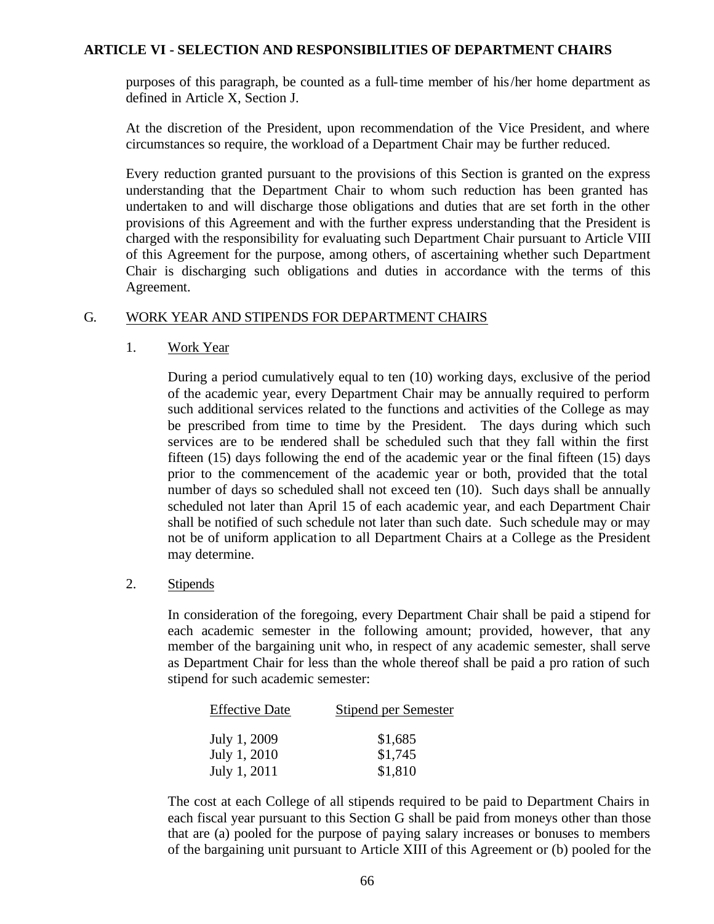purposes of this paragraph, be counted as a full-time member of his/her home department as defined in Article X, Section J.

At the discretion of the President, upon recommendation of the Vice President, and where circumstances so require, the workload of a Department Chair may be further reduced.

Every reduction granted pursuant to the provisions of this Section is granted on the express understanding that the Department Chair to whom such reduction has been granted has undertaken to and will discharge those obligations and duties that are set forth in the other provisions of this Agreement and with the further express understanding that the President is charged with the responsibility for evaluating such Department Chair pursuant to Article VIII of this Agreement for the purpose, among others, of ascertaining whether such Department Chair is discharging such obligations and duties in accordance with the terms of this Agreement.

## G. WORK YEAR AND STIPENDS FOR DEPARTMENT CHAIRS

1. Work Year

During a period cumulatively equal to ten (10) working days, exclusive of the period of the academic year, every Department Chair may be annually required to perform such additional services related to the functions and activities of the College as may be prescribed from time to time by the President. The days during which such services are to be rendered shall be scheduled such that they fall within the first fifteen (15) days following the end of the academic year or the final fifteen (15) days prior to the commencement of the academic year or both, provided that the total number of days so scheduled shall not exceed ten (10). Such days shall be annually scheduled not later than April 15 of each academic year, and each Department Chair shall be notified of such schedule not later than such date. Such schedule may or may not be of uniform application to all Department Chairs at a College as the President may determine.

2. Stipends

In consideration of the foregoing, every Department Chair shall be paid a stipend for each academic semester in the following amount; provided, however, that any member of the bargaining unit who, in respect of any academic semester, shall serve as Department Chair for less than the whole thereof shall be paid a pro ration of such stipend for such academic semester:

| <b>Effective Date</b> | Stipend per Semester |
|-----------------------|----------------------|
| July 1, 2009          | \$1,685              |
| July 1, 2010          | \$1,745              |
| July 1, 2011          | \$1,810              |

The cost at each College of all stipends required to be paid to Department Chairs in each fiscal year pursuant to this Section G shall be paid from moneys other than those that are (a) pooled for the purpose of paying salary increases or bonuses to members of the bargaining unit pursuant to Article XIII of this Agreement or (b) pooled for the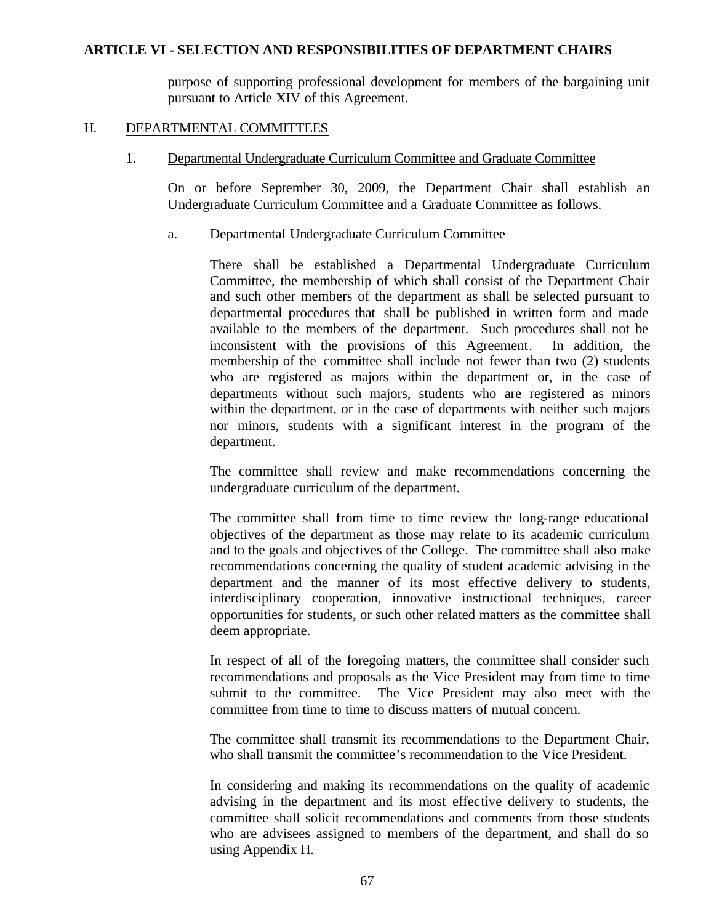purpose of supporting professional development for members of the bargaining unit pursuant to Article XIV of this Agreement.

#### H. DEPARTMENTAL COMMITTEES

#### 1. Departmental Undergraduate Curriculum Committee and Graduate Committee

On or before September 30, 2009, the Department Chair shall establish an Undergraduate Curriculum Committee and a Graduate Committee as follows.

#### a. Departmental Undergraduate Curriculum Committee

There shall be established a Departmental Undergraduate Curriculum Committee, the membership of which shall consist of the Department Chair and such other members of the department as shall be selected pursuant to departmental procedures that shall be published in written form and made available to the members of the department. Such procedures shall not be inconsistent with the provisions of this Agreement. In addition, the membership of the committee shall include not fewer than two (2) students who are registered as majors within the department or, in the case of departments without such majors, students who are registered as minors within the department, or in the case of departments with neither such majors nor minors, students with a significant interest in the program of the department.

The committee shall review and make recommendations concerning the undergraduate curriculum of the department.

The committee shall from time to time review the long-range educational objectives of the department as those may relate to its academic curriculum and to the goals and objectives of the College. The committee shall also make recommendations concerning the quality of student academic advising in the department and the manner of its most effective delivery to students, interdisciplinary cooperation, innovative instructional techniques, career opportunities for students, or such other related matters as the committee shall deem appropriate.

In respect of all of the foregoing matters, the committee shall consider such recommendations and proposals as the Vice President may from time to time submit to the committee. The Vice President may also meet with the committee from time to time to discuss matters of mutual concern.

The committee shall transmit its recommendations to the Department Chair, who shall transmit the committee's recommendation to the Vice President.

In considering and making its recommendations on the quality of academic advising in the department and its most effective delivery to students, the committee shall solicit recommendations and comments from those students who are advisees assigned to members of the department, and shall do so using Appendix H.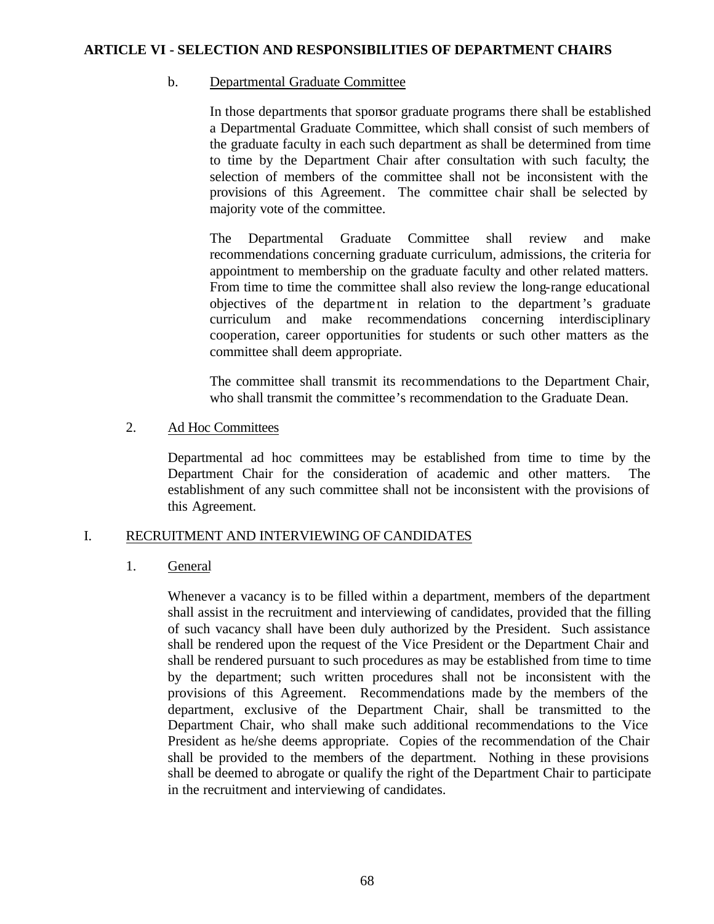#### b. Departmental Graduate Committee

In those departments that sponsor graduate programs there shall be established a Departmental Graduate Committee, which shall consist of such members of the graduate faculty in each such department as shall be determined from time to time by the Department Chair after consultation with such faculty; the selection of members of the committee shall not be inconsistent with the provisions of this Agreement. The committee chair shall be selected by majority vote of the committee.

The Departmental Graduate Committee shall review and make recommendations concerning graduate curriculum, admissions, the criteria for appointment to membership on the graduate faculty and other related matters. From time to time the committee shall also review the long-range educational objectives of the department in relation to the department's graduate curriculum and make recommendations concerning interdisciplinary cooperation, career opportunities for students or such other matters as the committee shall deem appropriate.

The committee shall transmit its recommendations to the Department Chair, who shall transmit the committee's recommendation to the Graduate Dean.

## 2. Ad Hoc Committees

Departmental ad hoc committees may be established from time to time by the Department Chair for the consideration of academic and other matters. The establishment of any such committee shall not be inconsistent with the provisions of this Agreement.

## I. RECRUITMENT AND INTERVIEWING OF CANDIDATES

## 1. General

Whenever a vacancy is to be filled within a department, members of the department shall assist in the recruitment and interviewing of candidates, provided that the filling of such vacancy shall have been duly authorized by the President. Such assistance shall be rendered upon the request of the Vice President or the Department Chair and shall be rendered pursuant to such procedures as may be established from time to time by the department; such written procedures shall not be inconsistent with the provisions of this Agreement. Recommendations made by the members of the department, exclusive of the Department Chair, shall be transmitted to the Department Chair, who shall make such additional recommendations to the Vice President as he/she deems appropriate. Copies of the recommendation of the Chair shall be provided to the members of the department. Nothing in these provisions shall be deemed to abrogate or qualify the right of the Department Chair to participate in the recruitment and interviewing of candidates.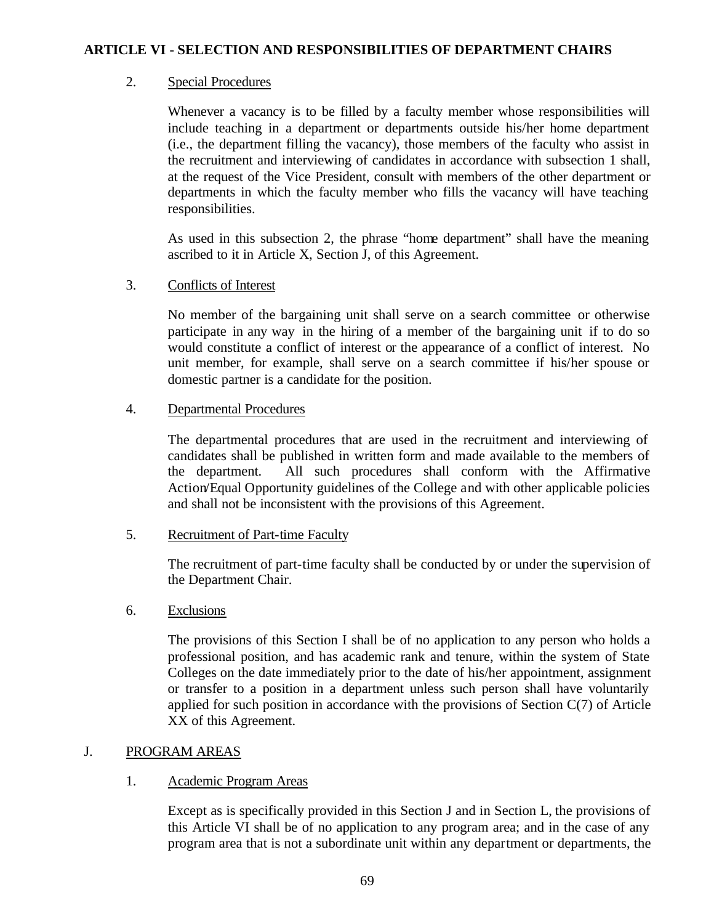# 2. Special Procedures

Whenever a vacancy is to be filled by a faculty member whose responsibilities will include teaching in a department or departments outside his/her home department (i.e., the department filling the vacancy), those members of the faculty who assist in the recruitment and interviewing of candidates in accordance with subsection 1 shall, at the request of the Vice President, consult with members of the other department or departments in which the faculty member who fills the vacancy will have teaching responsibilities.

As used in this subsection 2, the phrase "home department" shall have the meaning ascribed to it in Article X, Section J, of this Agreement.

# 3. Conflicts of Interest

No member of the bargaining unit shall serve on a search committee or otherwise participate in any way in the hiring of a member of the bargaining unit if to do so would constitute a conflict of interest or the appearance of a conflict of interest. No unit member, for example, shall serve on a search committee if his/her spouse or domestic partner is a candidate for the position.

# 4. Departmental Procedures

The departmental procedures that are used in the recruitment and interviewing of candidates shall be published in written form and made available to the members of the department. All such procedures shall conform with the Affirmative Action/Equal Opportunity guidelines of the College and with other applicable policies and shall not be inconsistent with the provisions of this Agreement.

## 5. Recruitment of Part-time Faculty

The recruitment of part-time faculty shall be conducted by or under the supervision of the Department Chair.

## 6. Exclusions

The provisions of this Section I shall be of no application to any person who holds a professional position, and has academic rank and tenure, within the system of State Colleges on the date immediately prior to the date of his/her appointment, assignment or transfer to a position in a department unless such person shall have voluntarily applied for such position in accordance with the provisions of Section C(7) of Article XX of this Agreement.

# J. PROGRAM AREAS

## 1. Academic Program Areas

Except as is specifically provided in this Section J and in Section L, the provisions of this Article VI shall be of no application to any program area; and in the case of any program area that is not a subordinate unit within any department or departments, the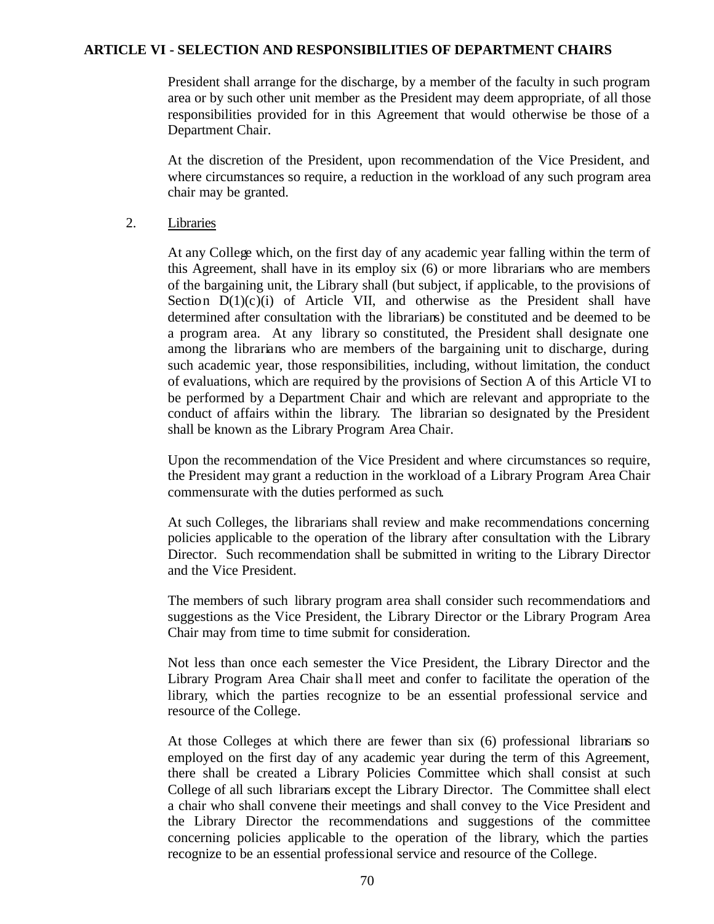President shall arrange for the discharge, by a member of the faculty in such program area or by such other unit member as the President may deem appropriate, of all those responsibilities provided for in this Agreement that would otherwise be those of a Department Chair.

At the discretion of the President, upon recommendation of the Vice President, and where circumstances so require, a reduction in the workload of any such program area chair may be granted.

#### 2. Libraries

At any College which, on the first day of any academic year falling within the term of this Agreement, shall have in its employ six (6) or more librarians who are members of the bargaining unit, the Library shall (but subject, if applicable, to the provisions of Section  $D(1)(c)(i)$  of Article VII, and otherwise as the President shall have determined after consultation with the librarians) be constituted and be deemed to be a program area. At any library so constituted, the President shall designate one among the librarians who are members of the bargaining unit to discharge, during such academic year, those responsibilities, including, without limitation, the conduct of evaluations, which are required by the provisions of Section A of this Article VI to be performed by a Department Chair and which are relevant and appropriate to the conduct of affairs within the library. The librarian so designated by the President shall be known as the Library Program Area Chair.

Upon the recommendation of the Vice President and where circumstances so require, the President may grant a reduction in the workload of a Library Program Area Chair commensurate with the duties performed as such.

At such Colleges, the librarians shall review and make recommendations concerning policies applicable to the operation of the library after consultation with the Library Director. Such recommendation shall be submitted in writing to the Library Director and the Vice President.

The members of such library program area shall consider such recommendations and suggestions as the Vice President, the Library Director or the Library Program Area Chair may from time to time submit for consideration.

Not less than once each semester the Vice President, the Library Director and the Library Program Area Chair shall meet and confer to facilitate the operation of the library, which the parties recognize to be an essential professional service and resource of the College.

At those Colleges at which there are fewer than six (6) professional librarians so employed on the first day of any academic year during the term of this Agreement, there shall be created a Library Policies Committee which shall consist at such College of all such librarians except the Library Director. The Committee shall elect a chair who shall convene their meetings and shall convey to the Vice President and the Library Director the recommendations and suggestions of the committee concerning policies applicable to the operation of the library, which the parties recognize to be an essential professional service and resource of the College.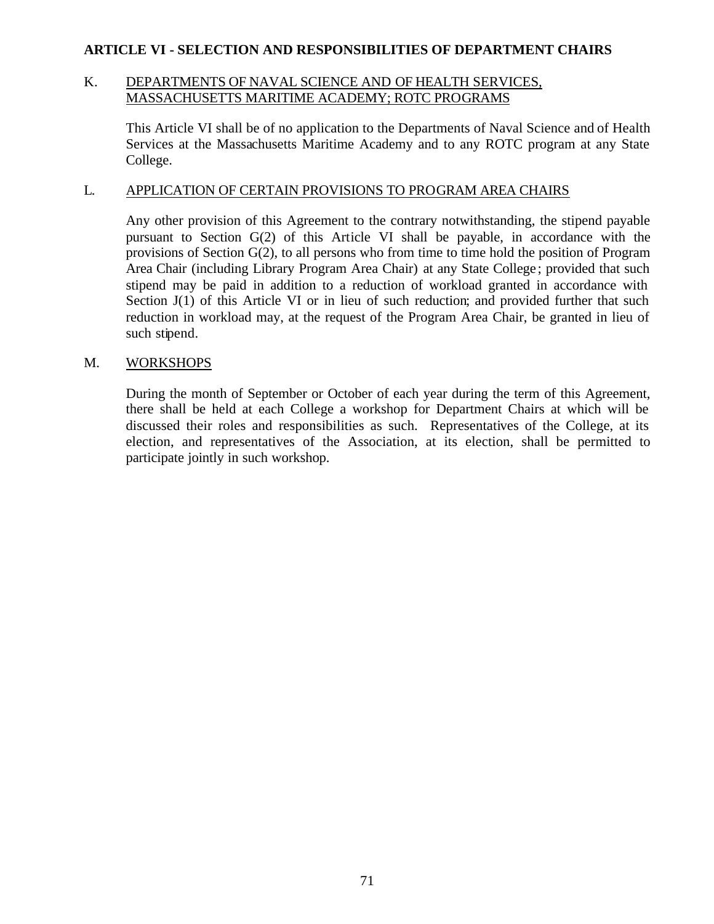## K. DEPARTMENTS OF NAVAL SCIENCE AND OF HEALTH SERVICES, MASSACHUSETTS MARITIME ACADEMY; ROTC PROGRAMS

This Article VI shall be of no application to the Departments of Naval Science and of Health Services at the Massachusetts Maritime Academy and to any ROTC program at any State College.

## L. APPLICATION OF CERTAIN PROVISIONS TO PROGRAM AREA CHAIRS

Any other provision of this Agreement to the contrary notwithstanding, the stipend payable pursuant to Section G(2) of this Article VI shall be payable, in accordance with the provisions of Section G(2), to all persons who from time to time hold the position of Program Area Chair (including Library Program Area Chair) at any State College ; provided that such stipend may be paid in addition to a reduction of workload granted in accordance with Section J(1) of this Article VI or in lieu of such reduction; and provided further that such reduction in workload may, at the request of the Program Area Chair, be granted in lieu of such stipend.

## M. WORKSHOPS

During the month of September or October of each year during the term of this Agreement, there shall be held at each College a workshop for Department Chairs at which will be discussed their roles and responsibilities as such. Representatives of the College, at its election, and representatives of the Association, at its election, shall be permitted to participate jointly in such workshop.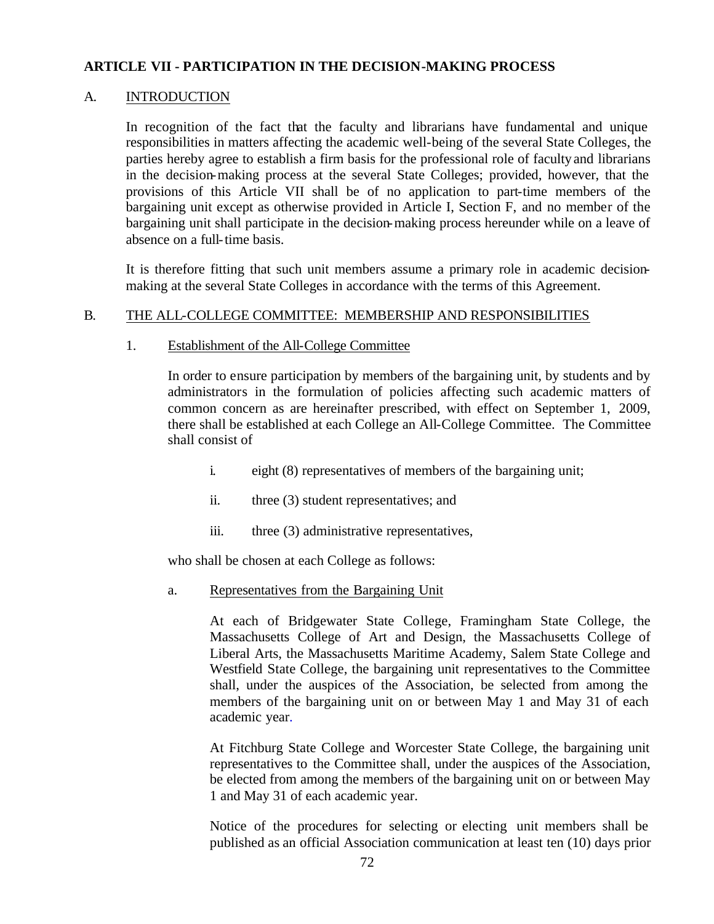#### A. INTRODUCTION

In recognition of the fact that the faculty and librarians have fundamental and unique responsibilities in matters affecting the academic well-being of the several State Colleges, the parties hereby agree to establish a firm basis for the professional role of facultyand librarians in the decision-making process at the several State Colleges; provided, however, that the provisions of this Article VII shall be of no application to part-time members of the bargaining unit except as otherwise provided in Article I, Section F, and no member of the bargaining unit shall participate in the decision-making process hereunder while on a leave of absence on a full-time basis.

It is therefore fitting that such unit members assume a primary role in academic decisionmaking at the several State Colleges in accordance with the terms of this Agreement.

#### B. THE ALL-COLLEGE COMMITTEE: MEMBERSHIP AND RESPONSIBILITIES

#### 1. Establishment of the All-College Committee

In order to ensure participation by members of the bargaining unit, by students and by administrators in the formulation of policies affecting such academic matters of common concern as are hereinafter prescribed, with effect on September 1, 2009, there shall be established at each College an All-College Committee. The Committee shall consist of

- i. eight (8) representatives of members of the bargaining unit;
- ii. three (3) student representatives; and
- iii. three (3) administrative representatives,

who shall be chosen at each College as follows:

#### a. Representatives from the Bargaining Unit

At each of Bridgewater State College, Framingham State College, the Massachusetts College of Art and Design, the Massachusetts College of Liberal Arts, the Massachusetts Maritime Academy, Salem State College and Westfield State College, the bargaining unit representatives to the Committee shall, under the auspices of the Association, be selected from among the members of the bargaining unit on or between May 1 and May 31 of each academic year.

At Fitchburg State College and Worcester State College, the bargaining unit representatives to the Committee shall, under the auspices of the Association, be elected from among the members of the bargaining unit on or between May 1 and May 31 of each academic year.

Notice of the procedures for selecting or electing unit members shall be published as an official Association communication at least ten (10) days prior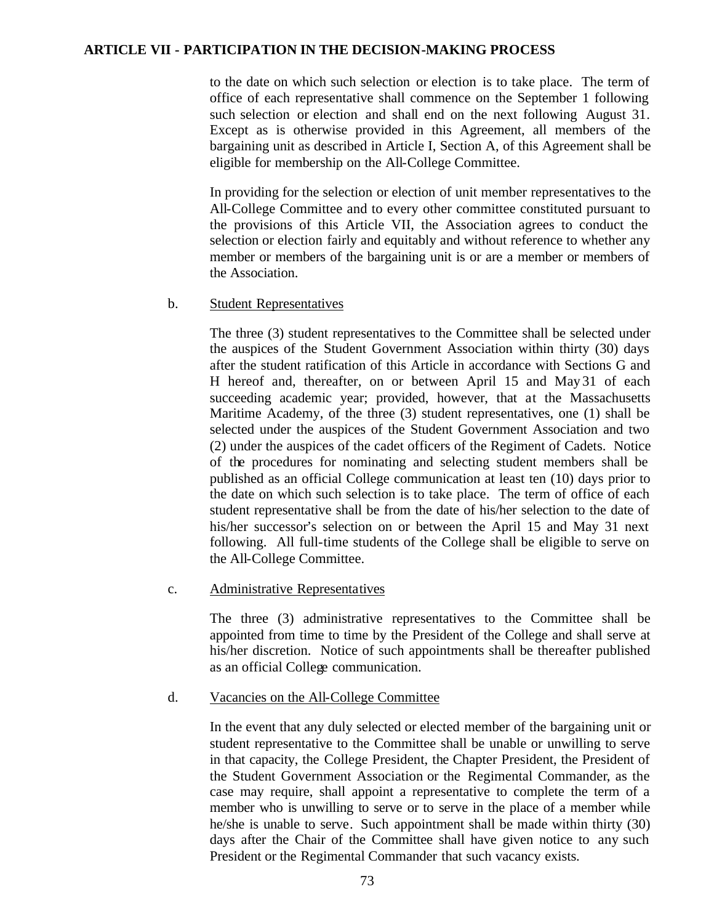to the date on which such selection or election is to take place. The term of office of each representative shall commence on the September 1 following such selection or election and shall end on the next following August 31. Except as is otherwise provided in this Agreement, all members of the bargaining unit as described in Article I, Section A, of this Agreement shall be eligible for membership on the All-College Committee.

In providing for the selection or election of unit member representatives to the All-College Committee and to every other committee constituted pursuant to the provisions of this Article VII, the Association agrees to conduct the selection or election fairly and equitably and without reference to whether any member or members of the bargaining unit is or are a member or members of the Association.

#### b. Student Representatives

The three (3) student representatives to the Committee shall be selected under the auspices of the Student Government Association within thirty (30) days after the student ratification of this Article in accordance with Sections G and H hereof and, thereafter, on or between April 15 and May 31 of each succeeding academic year; provided, however, that at the Massachusetts Maritime Academy, of the three (3) student representatives, one (1) shall be selected under the auspices of the Student Government Association and two (2) under the auspices of the cadet officers of the Regiment of Cadets. Notice of the procedures for nominating and selecting student members shall be published as an official College communication at least ten (10) days prior to the date on which such selection is to take place. The term of office of each student representative shall be from the date of his/her selection to the date of his/her successor's selection on or between the April 15 and May 31 next following. All full-time students of the College shall be eligible to serve on the All-College Committee.

## c. Administrative Representatives

The three (3) administrative representatives to the Committee shall be appointed from time to time by the President of the College and shall serve at his/her discretion. Notice of such appointments shall be thereafter published as an official College communication.

## d. Vacancies on the All-College Committee

In the event that any duly selected or elected member of the bargaining unit or student representative to the Committee shall be unable or unwilling to serve in that capacity, the College President, the Chapter President, the President of the Student Government Association or the Regimental Commander, as the case may require, shall appoint a representative to complete the term of a member who is unwilling to serve or to serve in the place of a member while he/she is unable to serve. Such appointment shall be made within thirty (30) days after the Chair of the Committee shall have given notice to any such President or the Regimental Commander that such vacancy exists.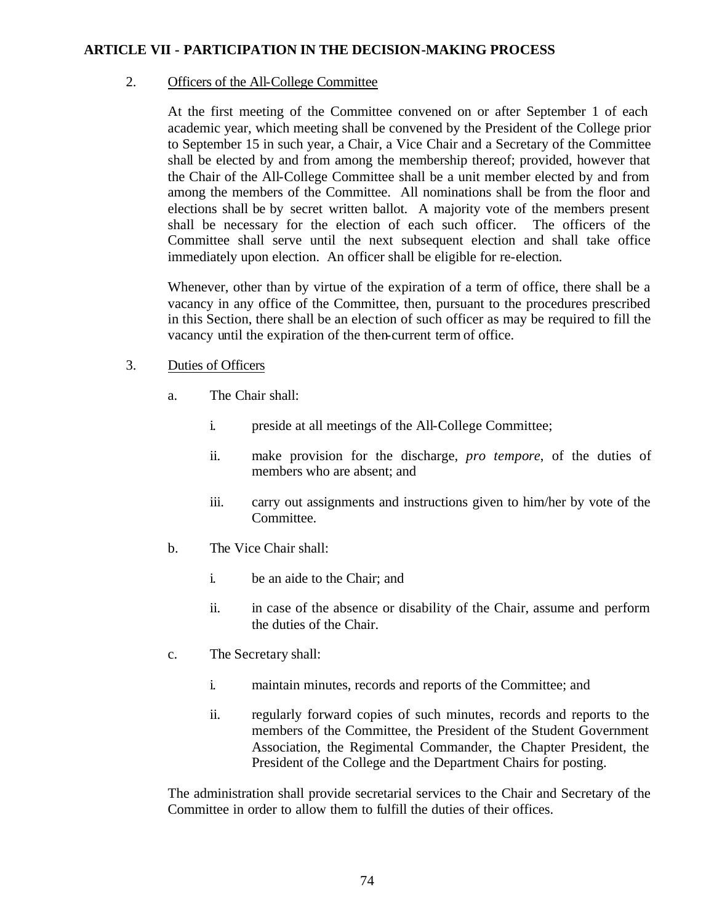## 2. Officers of the All-College Committee

At the first meeting of the Committee convened on or after September 1 of each academic year, which meeting shall be convened by the President of the College prior to September 15 in such year, a Chair, a Vice Chair and a Secretary of the Committee shall be elected by and from among the membership thereof; provided, however that the Chair of the All-College Committee shall be a unit member elected by and from among the members of the Committee. All nominations shall be from the floor and elections shall be by secret written ballot. A majority vote of the members present shall be necessary for the election of each such officer. The officers of the Committee shall serve until the next subsequent election and shall take office immediately upon election. An officer shall be eligible for re-election.

Whenever, other than by virtue of the expiration of a term of office, there shall be a vacancy in any office of the Committee, then, pursuant to the procedures prescribed in this Section, there shall be an election of such officer as may be required to fill the vacancy until the expiration of the then-current term of office.

# 3. Duties of Officers

- a. The Chair shall:
	- i. preside at all meetings of the All-College Committee;
	- ii. make provision for the discharge, *pro tempore*, of the duties of members who are absent; and
	- iii. carry out assignments and instructions given to him/her by vote of the Committee.
- b. The Vice Chair shall:
	- i. be an aide to the Chair; and
	- ii. in case of the absence or disability of the Chair, assume and perform the duties of the Chair.
- c. The Secretary shall:
	- i. maintain minutes, records and reports of the Committee; and
	- ii. regularly forward copies of such minutes, records and reports to the members of the Committee, the President of the Student Government Association, the Regimental Commander, the Chapter President, the President of the College and the Department Chairs for posting.

The administration shall provide secretarial services to the Chair and Secretary of the Committee in order to allow them to fulfill the duties of their offices.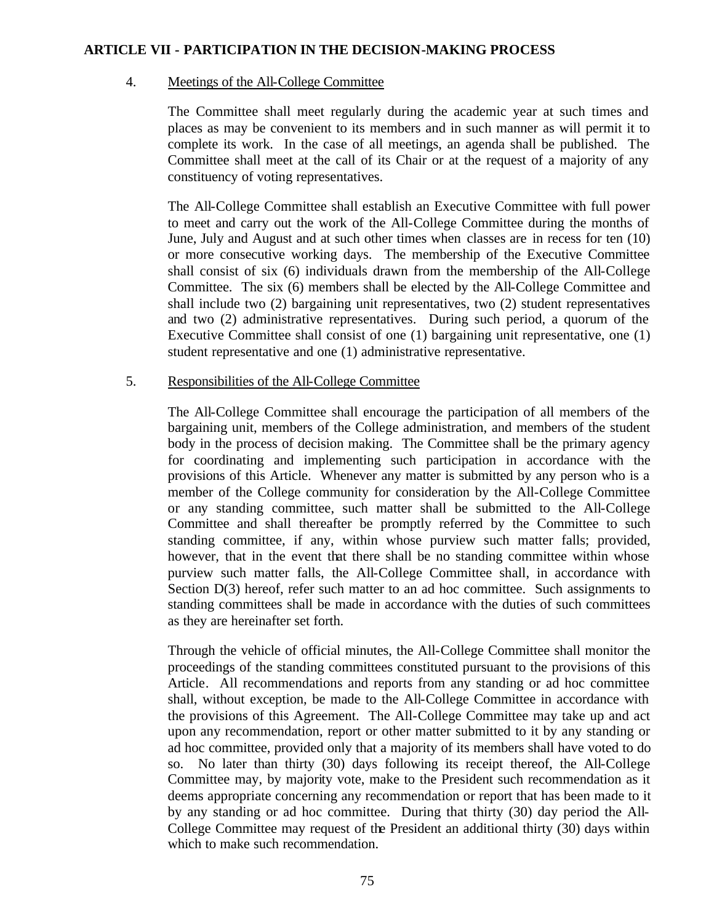#### 4. Meetings of the All-College Committee

The Committee shall meet regularly during the academic year at such times and places as may be convenient to its members and in such manner as will permit it to complete its work. In the case of all meetings, an agenda shall be published. The Committee shall meet at the call of its Chair or at the request of a majority of any constituency of voting representatives.

The All-College Committee shall establish an Executive Committee with full power to meet and carry out the work of the All-College Committee during the months of June, July and August and at such other times when classes are in recess for ten (10) or more consecutive working days. The membership of the Executive Committee shall consist of six (6) individuals drawn from the membership of the All-College Committee. The six (6) members shall be elected by the All-College Committee and shall include two (2) bargaining unit representatives, two (2) student representatives and two (2) administrative representatives. During such period, a quorum of the Executive Committee shall consist of one (1) bargaining unit representative, one (1) student representative and one (1) administrative representative.

## 5. Responsibilities of the All-College Committee

The All-College Committee shall encourage the participation of all members of the bargaining unit, members of the College administration, and members of the student body in the process of decision making. The Committee shall be the primary agency for coordinating and implementing such participation in accordance with the provisions of this Article. Whenever any matter is submitted by any person who is a member of the College community for consideration by the All-College Committee or any standing committee, such matter shall be submitted to the All-College Committee and shall thereafter be promptly referred by the Committee to such standing committee, if any, within whose purview such matter falls; provided, however, that in the event that there shall be no standing committee within whose purview such matter falls, the All-College Committee shall, in accordance with Section  $D(3)$  hereof, refer such matter to an ad hoc committee. Such assignments to standing committees shall be made in accordance with the duties of such committees as they are hereinafter set forth.

Through the vehicle of official minutes, the All-College Committee shall monitor the proceedings of the standing committees constituted pursuant to the provisions of this Article. All recommendations and reports from any standing or ad hoc committee shall, without exception, be made to the All-College Committee in accordance with the provisions of this Agreement. The All-College Committee may take up and act upon any recommendation, report or other matter submitted to it by any standing or ad hoc committee, provided only that a majority of its members shall have voted to do so. No later than thirty (30) days following its receipt thereof, the All-College Committee may, by majority vote, make to the President such recommendation as it deems appropriate concerning any recommendation or report that has been made to it by any standing or ad hoc committee. During that thirty (30) day period the All-College Committee may request of the President an additional thirty (30) days within which to make such recommendation.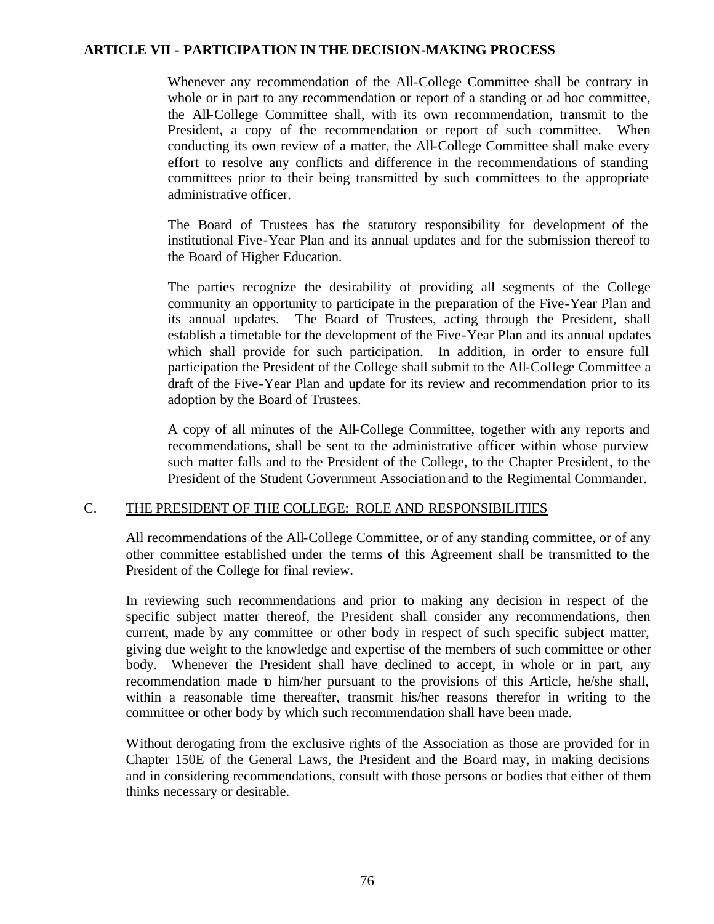Whenever any recommendation of the All-College Committee shall be contrary in whole or in part to any recommendation or report of a standing or ad hoc committee, the All-College Committee shall, with its own recommendation, transmit to the President, a copy of the recommendation or report of such committee. When conducting its own review of a matter, the All-College Committee shall make every effort to resolve any conflicts and difference in the recommendations of standing committees prior to their being transmitted by such committees to the appropriate administrative officer.

The Board of Trustees has the statutory responsibility for development of the institutional Five-Year Plan and its annual updates and for the submission thereof to the Board of Higher Education.

The parties recognize the desirability of providing all segments of the College community an opportunity to participate in the preparation of the Five-Year Plan and its annual updates. The Board of Trustees, acting through the President, shall establish a timetable for the development of the Five-Year Plan and its annual updates which shall provide for such participation. In addition, in order to ensure full participation the President of the College shall submit to the All-College Committee a draft of the Five-Year Plan and update for its review and recommendation prior to its adoption by the Board of Trustees.

A copy of all minutes of the All-College Committee, together with any reports and recommendations, shall be sent to the administrative officer within whose purview such matter falls and to the President of the College, to the Chapter President, to the President of the Student Government Association and to the Regimental Commander.

## C. THE PRESIDENT OF THE COLLEGE: ROLE AND RESPONSIBILITIES

All recommendations of the All-College Committee, or of any standing committee, or of any other committee established under the terms of this Agreement shall be transmitted to the President of the College for final review.

In reviewing such recommendations and prior to making any decision in respect of the specific subject matter thereof, the President shall consider any recommendations, then current, made by any committee or other body in respect of such specific subject matter, giving due weight to the knowledge and expertise of the members of such committee or other body. Whenever the President shall have declined to accept, in whole or in part, any recommendation made to him/her pursuant to the provisions of this Article, he/she shall, within a reasonable time thereafter, transmit his/her reasons therefor in writing to the committee or other body by which such recommendation shall have been made.

Without derogating from the exclusive rights of the Association as those are provided for in Chapter 150E of the General Laws, the President and the Board may, in making decisions and in considering recommendations, consult with those persons or bodies that either of them thinks necessary or desirable.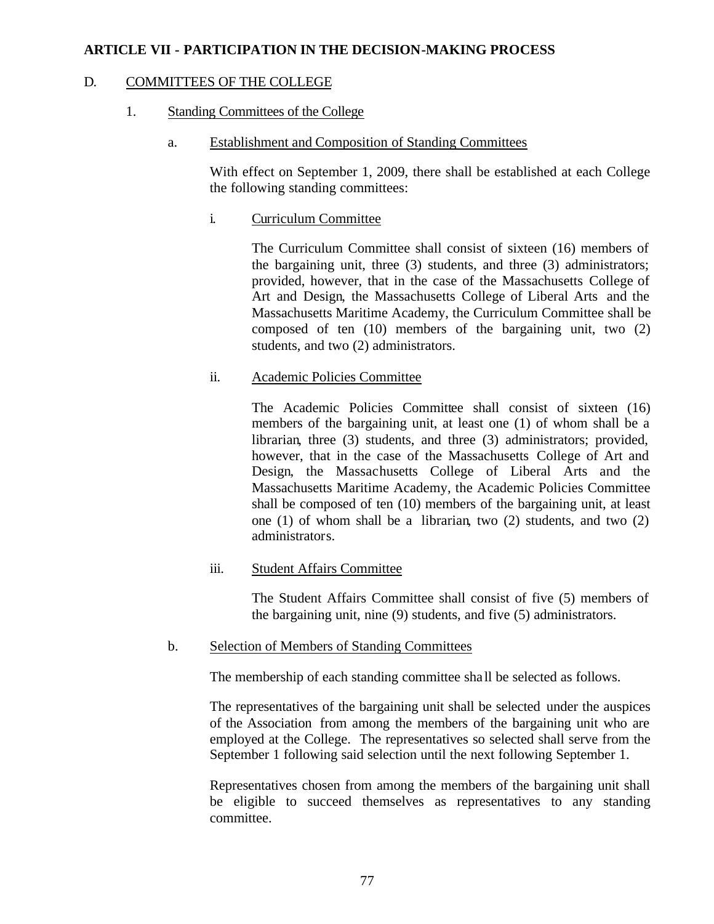## D. COMMITTEES OF THE COLLEGE

# 1. Standing Committees of the College

a. Establishment and Composition of Standing Committees

With effect on September 1, 2009, there shall be established at each College the following standing committees:

i. Curriculum Committee

The Curriculum Committee shall consist of sixteen (16) members of the bargaining unit, three (3) students, and three (3) administrators; provided, however, that in the case of the Massachusetts College of Art and Design, the Massachusetts College of Liberal Arts and the Massachusetts Maritime Academy, the Curriculum Committee shall be composed of ten (10) members of the bargaining unit, two (2) students, and two (2) administrators.

# ii. Academic Policies Committee

The Academic Policies Committee shall consist of sixteen (16) members of the bargaining unit, at least one (1) of whom shall be a librarian, three (3) students, and three (3) administrators; provided, however, that in the case of the Massachusetts College of Art and Design, the Massachusetts College of Liberal Arts and the Massachusetts Maritime Academy, the Academic Policies Committee shall be composed of ten (10) members of the bargaining unit, at least one (1) of whom shall be a librarian, two (2) students, and two (2) administrators.

## iii. Student Affairs Committee

The Student Affairs Committee shall consist of five (5) members of the bargaining unit, nine (9) students, and five (5) administrators.

## b. Selection of Members of Standing Committees

The membership of each standing committee sha ll be selected as follows.

The representatives of the bargaining unit shall be selected under the auspices of the Association from among the members of the bargaining unit who are employed at the College. The representatives so selected shall serve from the September 1 following said selection until the next following September 1.

Representatives chosen from among the members of the bargaining unit shall be eligible to succeed themselves as representatives to any standing committee.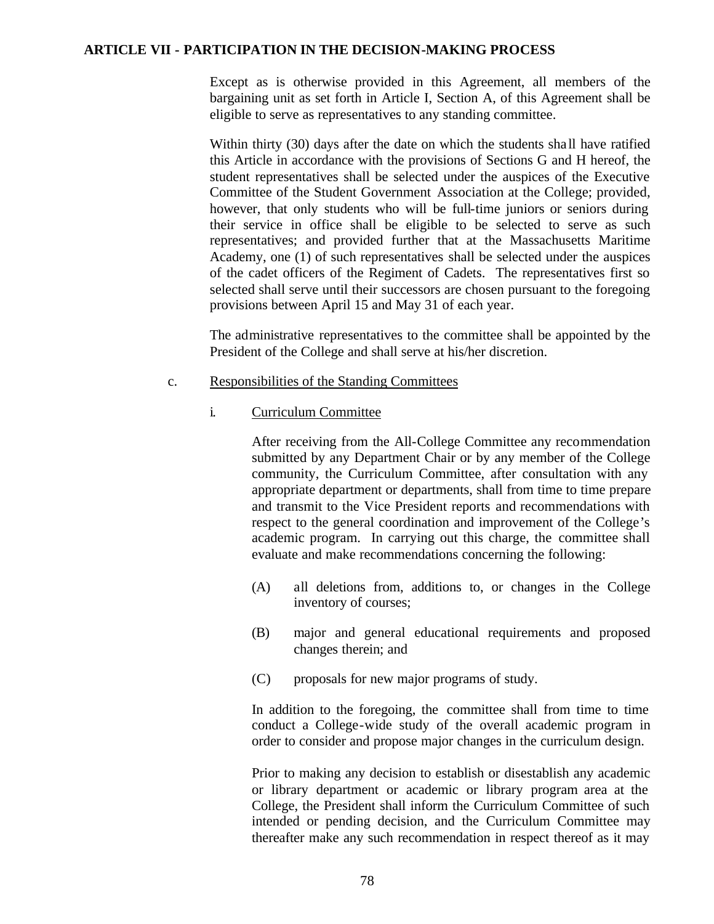Except as is otherwise provided in this Agreement, all members of the bargaining unit as set forth in Article I, Section A, of this Agreement shall be eligible to serve as representatives to any standing committee.

Within thirty (30) days after the date on which the students shall have ratified this Article in accordance with the provisions of Sections G and H hereof, the student representatives shall be selected under the auspices of the Executive Committee of the Student Government Association at the College; provided, however, that only students who will be full-time juniors or seniors during their service in office shall be eligible to be selected to serve as such representatives; and provided further that at the Massachusetts Maritime Academy, one (1) of such representatives shall be selected under the auspices of the cadet officers of the Regiment of Cadets. The representatives first so selected shall serve until their successors are chosen pursuant to the foregoing provisions between April 15 and May 31 of each year.

The administrative representatives to the committee shall be appointed by the President of the College and shall serve at his/her discretion.

#### c. Responsibilities of the Standing Committees

i. Curriculum Committee

After receiving from the All-College Committee any recommendation submitted by any Department Chair or by any member of the College community, the Curriculum Committee, after consultation with any appropriate department or departments, shall from time to time prepare and transmit to the Vice President reports and recommendations with respect to the general coordination and improvement of the College's academic program. In carrying out this charge, the committee shall evaluate and make recommendations concerning the following:

- (A) all deletions from, additions to, or changes in the College inventory of courses;
- (B) major and general educational requirements and proposed changes therein; and
- (C) proposals for new major programs of study.

In addition to the foregoing, the committee shall from time to time conduct a College-wide study of the overall academic program in order to consider and propose major changes in the curriculum design.

Prior to making any decision to establish or disestablish any academic or library department or academic or library program area at the College, the President shall inform the Curriculum Committee of such intended or pending decision, and the Curriculum Committee may thereafter make any such recommendation in respect thereof as it may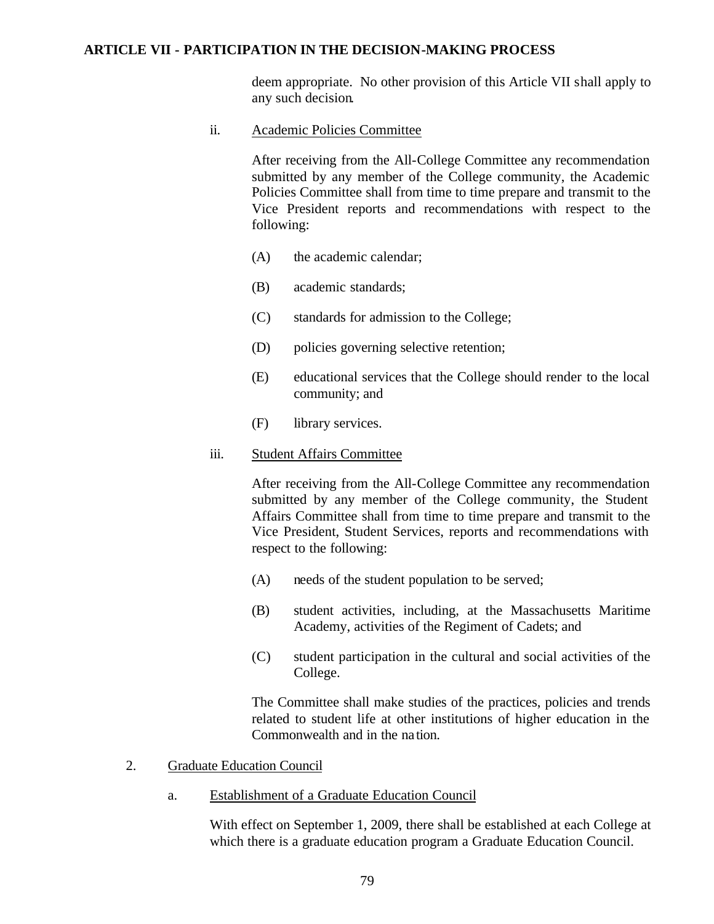deem appropriate. No other provision of this Article VII shall apply to any such decision.

ii. Academic Policies Committee

After receiving from the All-College Committee any recommendation submitted by any member of the College community, the Academic Policies Committee shall from time to time prepare and transmit to the Vice President reports and recommendations with respect to the following:

- (A) the academic calendar;
- (B) academic standards;
- (C) standards for admission to the College;
- (D) policies governing selective retention;
- (E) educational services that the College should render to the local community; and
- (F) library services.

#### iii. Student Affairs Committee

After receiving from the All-College Committee any recommendation submitted by any member of the College community, the Student Affairs Committee shall from time to time prepare and transmit to the Vice President, Student Services, reports and recommendations with respect to the following:

- (A) needs of the student population to be served;
- (B) student activities, including, at the Massachusetts Maritime Academy, activities of the Regiment of Cadets; and
- (C) student participation in the cultural and social activities of the College.

The Committee shall make studies of the practices, policies and trends related to student life at other institutions of higher education in the Commonwealth and in the na tion.

- 2. Graduate Education Council
	- a. Establishment of a Graduate Education Council

With effect on September 1, 2009, there shall be established at each College at which there is a graduate education program a Graduate Education Council.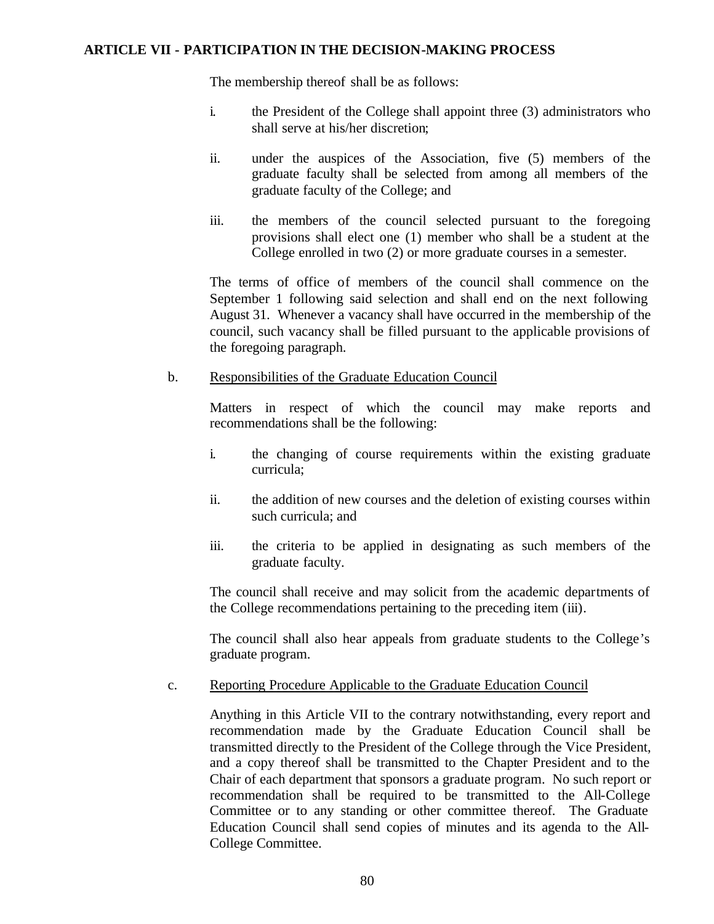The membership thereof shall be as follows:

- i. the President of the College shall appoint three (3) administrators who shall serve at his/her discretion;
- ii. under the auspices of the Association, five (5) members of the graduate faculty shall be selected from among all members of the graduate faculty of the College; and
- iii. the members of the council selected pursuant to the foregoing provisions shall elect one (1) member who shall be a student at the College enrolled in two (2) or more graduate courses in a semester.

The terms of office of members of the council shall commence on the September 1 following said selection and shall end on the next following August 31. Whenever a vacancy shall have occurred in the membership of the council, such vacancy shall be filled pursuant to the applicable provisions of the foregoing paragraph.

#### b. Responsibilities of the Graduate Education Council

Matters in respect of which the council may make reports and recommendations shall be the following:

- i. the changing of course requirements within the existing graduate curricula;
- ii. the addition of new courses and the deletion of existing courses within such curricula; and
- iii. the criteria to be applied in designating as such members of the graduate faculty.

The council shall receive and may solicit from the academic departments of the College recommendations pertaining to the preceding item (iii).

The council shall also hear appeals from graduate students to the College's graduate program.

#### c. Reporting Procedure Applicable to the Graduate Education Council

Anything in this Article VII to the contrary notwithstanding, every report and recommendation made by the Graduate Education Council shall be transmitted directly to the President of the College through the Vice President, and a copy thereof shall be transmitted to the Chapter President and to the Chair of each department that sponsors a graduate program. No such report or recommendation shall be required to be transmitted to the All-College Committee or to any standing or other committee thereof. The Graduate Education Council shall send copies of minutes and its agenda to the All-College Committee.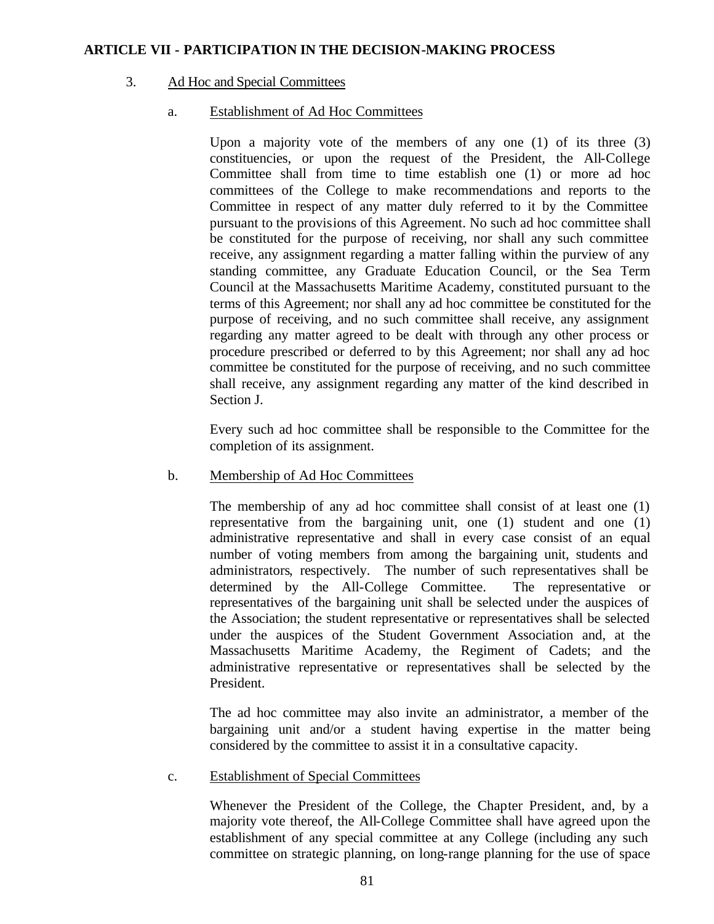#### 3. Ad Hoc and Special Committees

## a. Establishment of Ad Hoc Committees

Upon a majority vote of the members of any one (1) of its three (3) constituencies, or upon the request of the President, the All-College Committee shall from time to time establish one (1) or more ad hoc committees of the College to make recommendations and reports to the Committee in respect of any matter duly referred to it by the Committee pursuant to the provisions of this Agreement. No such ad hoc committee shall be constituted for the purpose of receiving, nor shall any such committee receive, any assignment regarding a matter falling within the purview of any standing committee, any Graduate Education Council, or the Sea Term Council at the Massachusetts Maritime Academy, constituted pursuant to the terms of this Agreement; nor shall any ad hoc committee be constituted for the purpose of receiving, and no such committee shall receive, any assignment regarding any matter agreed to be dealt with through any other process or procedure prescribed or deferred to by this Agreement; nor shall any ad hoc committee be constituted for the purpose of receiving, and no such committee shall receive, any assignment regarding any matter of the kind described in Section J.

Every such ad hoc committee shall be responsible to the Committee for the completion of its assignment.

#### b. Membership of Ad Hoc Committees

The membership of any ad hoc committee shall consist of at least one (1) representative from the bargaining unit, one (1) student and one (1) administrative representative and shall in every case consist of an equal number of voting members from among the bargaining unit, students and administrators, respectively. The number of such representatives shall be determined by the All-College Committee. The representative or representatives of the bargaining unit shall be selected under the auspices of the Association; the student representative or representatives shall be selected under the auspices of the Student Government Association and, at the Massachusetts Maritime Academy, the Regiment of Cadets; and the administrative representative or representatives shall be selected by the President.

The ad hoc committee may also invite an administrator, a member of the bargaining unit and/or a student having expertise in the matter being considered by the committee to assist it in a consultative capacity.

#### c. Establishment of Special Committees

Whenever the President of the College, the Chapter President, and, by a majority vote thereof, the All-College Committee shall have agreed upon the establishment of any special committee at any College (including any such committee on strategic planning, on long-range planning for the use of space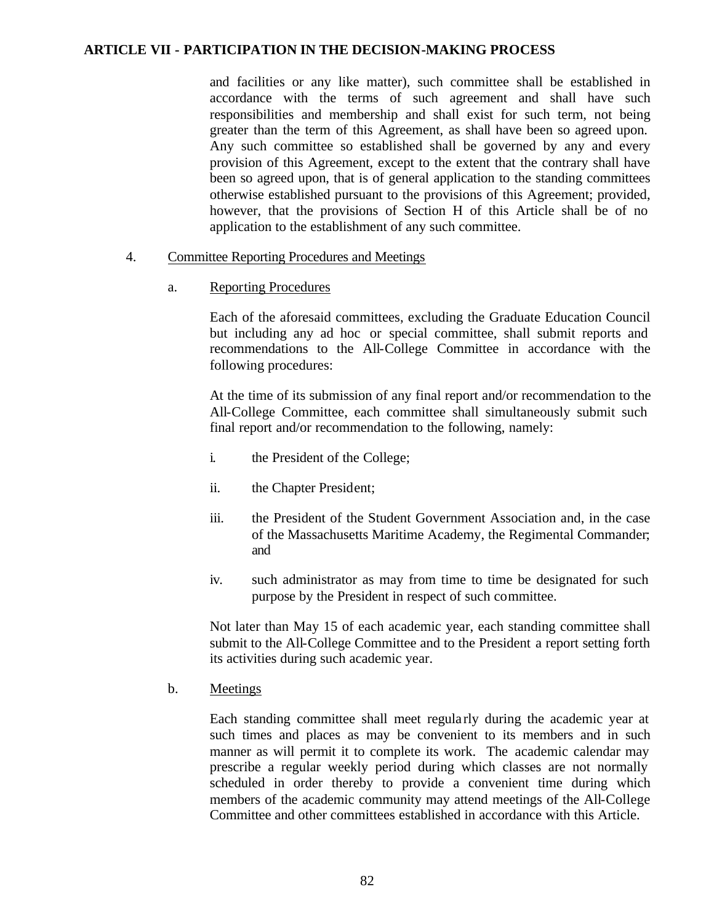and facilities or any like matter), such committee shall be established in accordance with the terms of such agreement and shall have such responsibilities and membership and shall exist for such term, not being greater than the term of this Agreement, as shall have been so agreed upon. Any such committee so established shall be governed by any and every provision of this Agreement, except to the extent that the contrary shall have been so agreed upon, that is of general application to the standing committees otherwise established pursuant to the provisions of this Agreement; provided, however, that the provisions of Section H of this Article shall be of no application to the establishment of any such committee.

- 4. Committee Reporting Procedures and Meetings
	- a. Reporting Procedures

Each of the aforesaid committees, excluding the Graduate Education Council but including any ad hoc or special committee, shall submit reports and recommendations to the All-College Committee in accordance with the following procedures:

At the time of its submission of any final report and/or recommendation to the All-College Committee, each committee shall simultaneously submit such final report and/or recommendation to the following, namely:

- i. the President of the College;
- ii. the Chapter President;
- iii. the President of the Student Government Association and, in the case of the Massachusetts Maritime Academy, the Regimental Commander; and
- iv. such administrator as may from time to time be designated for such purpose by the President in respect of such committee.

Not later than May 15 of each academic year, each standing committee shall submit to the All-College Committee and to the President a report setting forth its activities during such academic year.

b. Meetings

Each standing committee shall meet regularly during the academic year at such times and places as may be convenient to its members and in such manner as will permit it to complete its work. The academic calendar may prescribe a regular weekly period during which classes are not normally scheduled in order thereby to provide a convenient time during which members of the academic community may attend meetings of the All-College Committee and other committees established in accordance with this Article.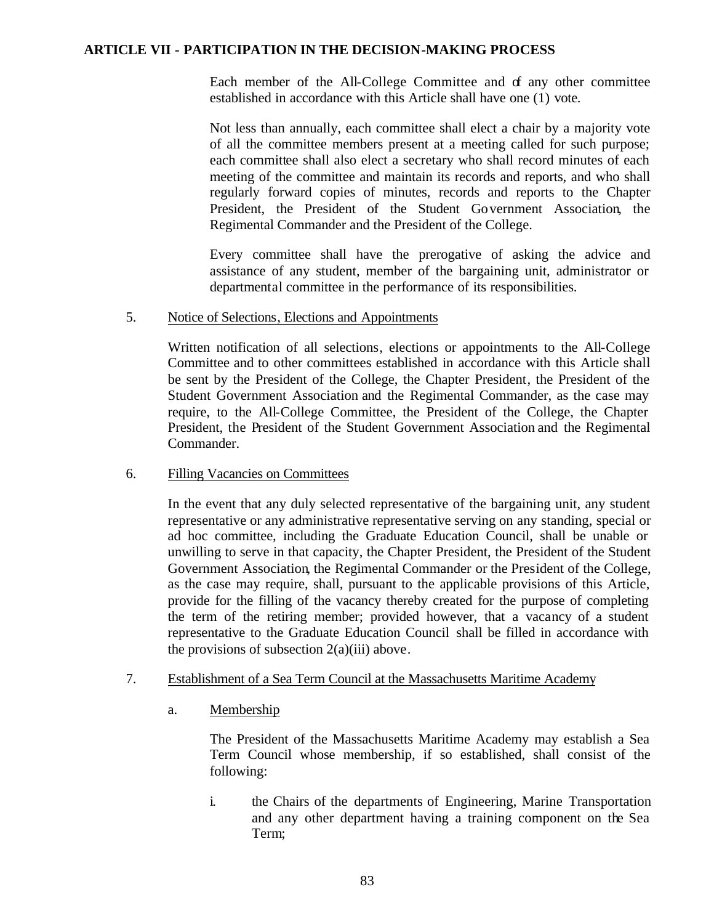Each member of the All-College Committee and of any other committee established in accordance with this Article shall have one (1) vote.

Not less than annually, each committee shall elect a chair by a majority vote of all the committee members present at a meeting called for such purpose; each committee shall also elect a secretary who shall record minutes of each meeting of the committee and maintain its records and reports, and who shall regularly forward copies of minutes, records and reports to the Chapter President, the President of the Student Government Association, the Regimental Commander and the President of the College.

Every committee shall have the prerogative of asking the advice and assistance of any student, member of the bargaining unit, administrator or departmental committee in the performance of its responsibilities.

## 5. Notice of Selections, Elections and Appointments

Written notification of all selections, elections or appointments to the All-College Committee and to other committees established in accordance with this Article shall be sent by the President of the College, the Chapter President, the President of the Student Government Association and the Regimental Commander, as the case may require, to the All-College Committee, the President of the College, the Chapter President, the President of the Student Government Association and the Regimental Commander.

## 6. Filling Vacancies on Committees

In the event that any duly selected representative of the bargaining unit, any student representative or any administrative representative serving on any standing, special or ad hoc committee, including the Graduate Education Council, shall be unable or unwilling to serve in that capacity, the Chapter President, the President of the Student Government Association, the Regimental Commander or the President of the College, as the case may require, shall, pursuant to the applicable provisions of this Article, provide for the filling of the vacancy thereby created for the purpose of completing the term of the retiring member; provided however, that a vacancy of a student representative to the Graduate Education Council shall be filled in accordance with the provisions of subsection  $2(a)(iii)$  above.

## 7. Establishment of a Sea Term Council at the Massachusetts Maritime Academy

a. Membership

The President of the Massachusetts Maritime Academy may establish a Sea Term Council whose membership, if so established, shall consist of the following:

i. the Chairs of the departments of Engineering, Marine Transportation and any other department having a training component on the Sea Term;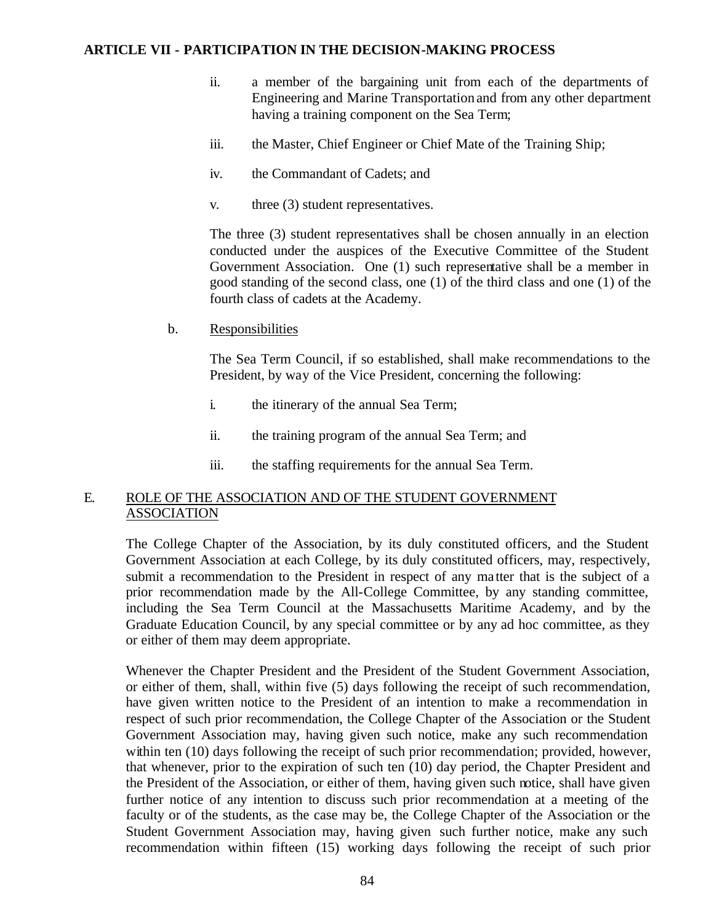- ii. a member of the bargaining unit from each of the departments of Engineering and Marine Transportation and from any other department having a training component on the Sea Term;
- iii. the Master, Chief Engineer or Chief Mate of the Training Ship;
- iv. the Commandant of Cadets; and
- v. three (3) student representatives.

The three (3) student representatives shall be chosen annually in an election conducted under the auspices of the Executive Committee of the Student Government Association. One (1) such representative shall be a member in good standing of the second class, one (1) of the third class and one (1) of the fourth class of cadets at the Academy.

b. Responsibilities

The Sea Term Council, if so established, shall make recommendations to the President, by way of the Vice President, concerning the following:

- i. the itinerary of the annual Sea Term;
- ii. the training program of the annual Sea Term; and
- iii. the staffing requirements for the annual Sea Term.

## E. ROLE OF THE ASSOCIATION AND OF THE STUDENT GOVERNMENT ASSOCIATION

The College Chapter of the Association, by its duly constituted officers, and the Student Government Association at each College, by its duly constituted officers, may, respectively, submit a recommendation to the President in respect of any ma tter that is the subject of a prior recommendation made by the All-College Committee, by any standing committee, including the Sea Term Council at the Massachusetts Maritime Academy, and by the Graduate Education Council, by any special committee or by any ad hoc committee, as they or either of them may deem appropriate.

Whenever the Chapter President and the President of the Student Government Association, or either of them, shall, within five (5) days following the receipt of such recommendation, have given written notice to the President of an intention to make a recommendation in respect of such prior recommendation, the College Chapter of the Association or the Student Government Association may, having given such notice, make any such recommendation within ten (10) days following the receipt of such prior recommendation; provided, however, that whenever, prior to the expiration of such ten (10) day period, the Chapter President and the President of the Association, or either of them, having given such notice, shall have given further notice of any intention to discuss such prior recommendation at a meeting of the faculty or of the students, as the case may be, the College Chapter of the Association or the Student Government Association may, having given such further notice, make any such recommendation within fifteen (15) working days following the receipt of such prior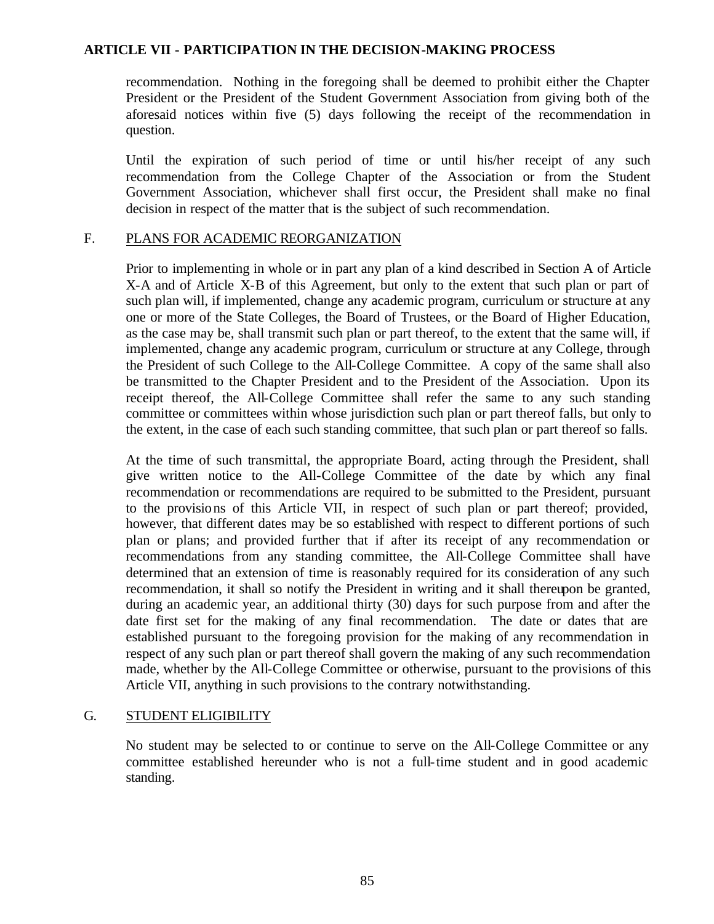recommendation. Nothing in the foregoing shall be deemed to prohibit either the Chapter President or the President of the Student Government Association from giving both of the aforesaid notices within five (5) days following the receipt of the recommendation in question.

Until the expiration of such period of time or until his/her receipt of any such recommendation from the College Chapter of the Association or from the Student Government Association, whichever shall first occur, the President shall make no final decision in respect of the matter that is the subject of such recommendation.

## F. PLANS FOR ACADEMIC REORGANIZATION

Prior to implementing in whole or in part any plan of a kind described in Section A of Article X-A and of Article X-B of this Agreement, but only to the extent that such plan or part of such plan will, if implemented, change any academic program, curriculum or structure at any one or more of the State Colleges, the Board of Trustees, or the Board of Higher Education, as the case may be, shall transmit such plan or part thereof, to the extent that the same will, if implemented, change any academic program, curriculum or structure at any College, through the President of such College to the All-College Committee. A copy of the same shall also be transmitted to the Chapter President and to the President of the Association. Upon its receipt thereof, the All-College Committee shall refer the same to any such standing committee or committees within whose jurisdiction such plan or part thereof falls, but only to the extent, in the case of each such standing committee, that such plan or part thereof so falls.

At the time of such transmittal, the appropriate Board, acting through the President, shall give written notice to the All-College Committee of the date by which any final recommendation or recommendations are required to be submitted to the President, pursuant to the provisions of this Article VII, in respect of such plan or part thereof; provided, however, that different dates may be so established with respect to different portions of such plan or plans; and provided further that if after its receipt of any recommendation or recommendations from any standing committee, the All-College Committee shall have determined that an extension of time is reasonably required for its consideration of any such recommendation, it shall so notify the President in writing and it shall thereupon be granted, during an academic year, an additional thirty (30) days for such purpose from and after the date first set for the making of any final recommendation. The date or dates that are established pursuant to the foregoing provision for the making of any recommendation in respect of any such plan or part thereof shall govern the making of any such recommendation made, whether by the All-College Committee or otherwise, pursuant to the provisions of this Article VII, anything in such provisions to the contrary notwithstanding.

## G. STUDENT ELIGIBILITY

No student may be selected to or continue to serve on the All-College Committee or any committee established hereunder who is not a full-time student and in good academic standing.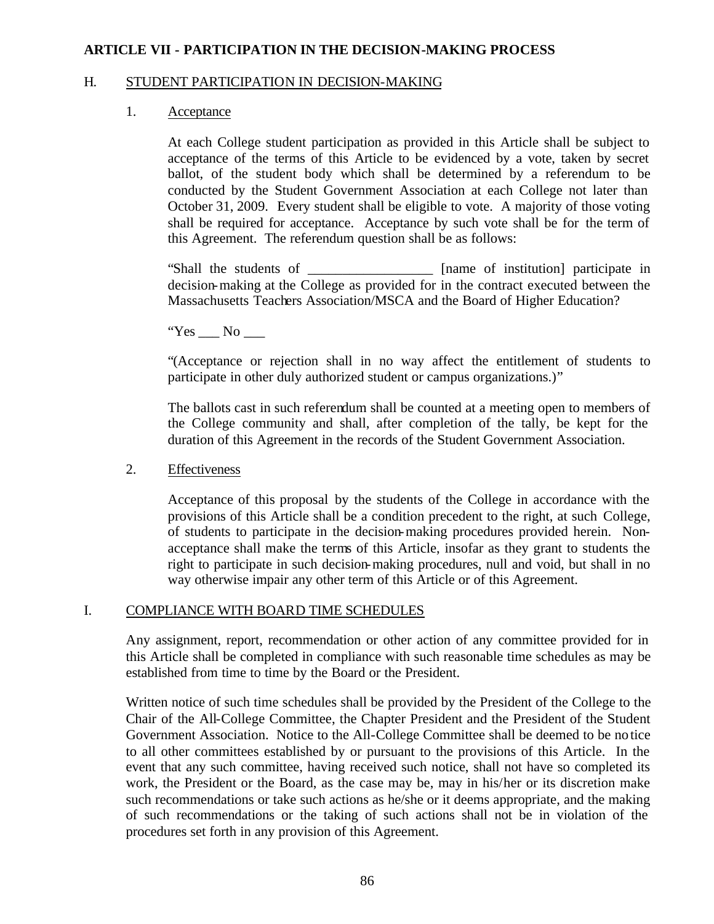## H. STUDENT PARTICIPATION IN DECISION-MAKING

#### 1. Acceptance

At each College student participation as provided in this Article shall be subject to acceptance of the terms of this Article to be evidenced by a vote, taken by secret ballot, of the student body which shall be determined by a referendum to be conducted by the Student Government Association at each College not later than October 31, 2009. Every student shall be eligible to vote. A majority of those voting shall be required for acceptance. Acceptance by such vote shall be for the term of this Agreement. The referendum question shall be as follows:

"Shall the students of \_\_\_\_\_\_\_\_\_\_\_\_\_\_\_\_\_\_ [name of institution] participate in decision-making at the College as provided for in the contract executed between the Massachusetts Teachers Association/MSCA and the Board of Higher Education?

"Yes No

"(Acceptance or rejection shall in no way affect the entitlement of students to participate in other duly authorized student or campus organizations.)"

The ballots cast in such referendum shall be counted at a meeting open to members of the College community and shall, after completion of the tally, be kept for the duration of this Agreement in the records of the Student Government Association.

## 2. Effectiveness

Acceptance of this proposal by the students of the College in accordance with the provisions of this Article shall be a condition precedent to the right, at such College, of students to participate in the decision-making procedures provided herein. Nonacceptance shall make the terms of this Article, insofar as they grant to students the right to participate in such decision-making procedures, null and void, but shall in no way otherwise impair any other term of this Article or of this Agreement.

## I. COMPLIANCE WITH BOARD TIME SCHEDULES

Any assignment, report, recommendation or other action of any committee provided for in this Article shall be completed in compliance with such reasonable time schedules as may be established from time to time by the Board or the President.

Written notice of such time schedules shall be provided by the President of the College to the Chair of the All-College Committee, the Chapter President and the President of the Student Government Association. Notice to the All-College Committee shall be deemed to be notice to all other committees established by or pursuant to the provisions of this Article. In the event that any such committee, having received such notice, shall not have so completed its work, the President or the Board, as the case may be, may in his/her or its discretion make such recommendations or take such actions as he/she or it deems appropriate, and the making of such recommendations or the taking of such actions shall not be in violation of the procedures set forth in any provision of this Agreement.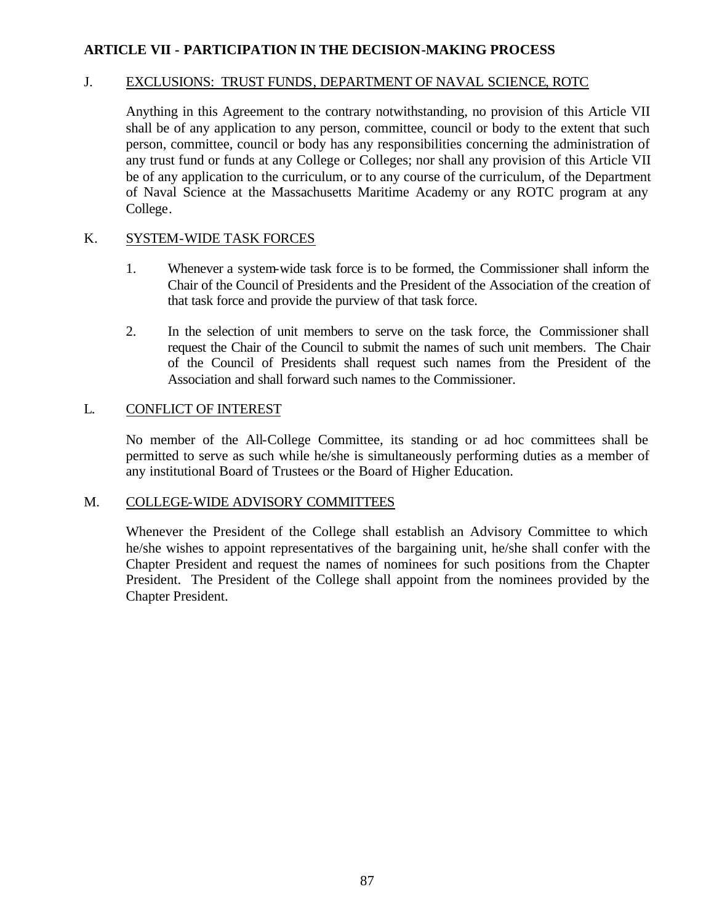## J. EXCLUSIONS: TRUST FUNDS, DEPARTMENT OF NAVAL SCIENCE, ROTC

Anything in this Agreement to the contrary notwithstanding, no provision of this Article VII shall be of any application to any person, committee, council or body to the extent that such person, committee, council or body has any responsibilities concerning the administration of any trust fund or funds at any College or Colleges; nor shall any provision of this Article VII be of any application to the curriculum, or to any course of the curriculum, of the Department of Naval Science at the Massachusetts Maritime Academy or any ROTC program at any College.

## K. SYSTEM-WIDE TASK FORCES

- 1. Whenever a system-wide task force is to be formed, the Commissioner shall inform the Chair of the Council of Presidents and the President of the Association of the creation of that task force and provide the purview of that task force.
- 2. In the selection of unit members to serve on the task force, the Commissioner shall request the Chair of the Council to submit the names of such unit members. The Chair of the Council of Presidents shall request such names from the President of the Association and shall forward such names to the Commissioner.

#### L. CONFLICT OF INTEREST

No member of the All-College Committee, its standing or ad hoc committees shall be permitted to serve as such while he/she is simultaneously performing duties as a member of any institutional Board of Trustees or the Board of Higher Education.

#### M. COLLEGE-WIDE ADVISORY COMMITTEES

Whenever the President of the College shall establish an Advisory Committee to which he/she wishes to appoint representatives of the bargaining unit, he/she shall confer with the Chapter President and request the names of nominees for such positions from the Chapter President. The President of the College shall appoint from the nominees provided by the Chapter President.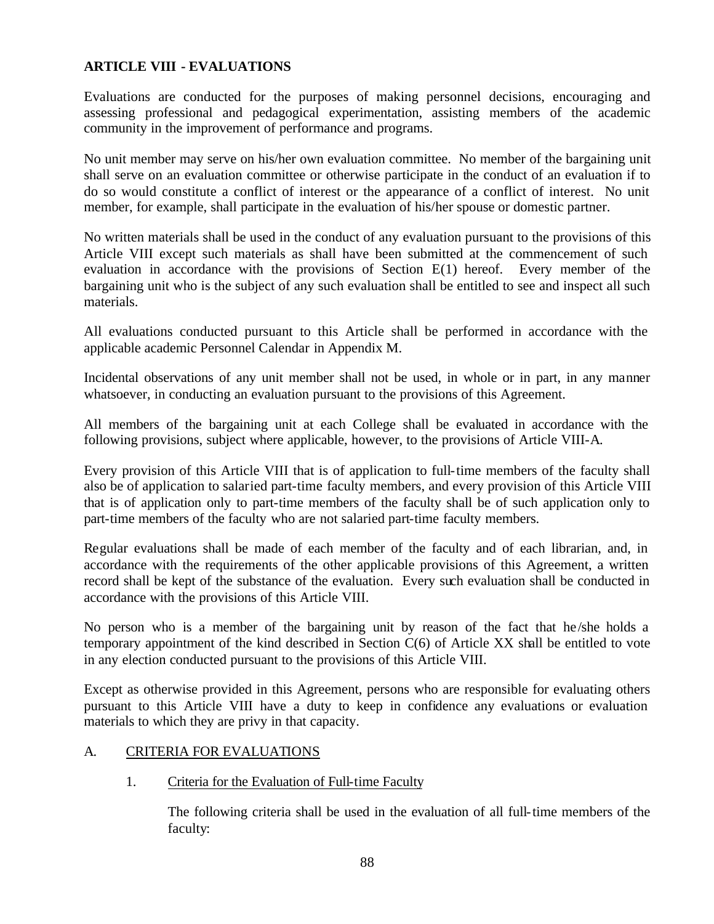Evaluations are conducted for the purposes of making personnel decisions, encouraging and assessing professional and pedagogical experimentation, assisting members of the academic community in the improvement of performance and programs.

No unit member may serve on his/her own evaluation committee. No member of the bargaining unit shall serve on an evaluation committee or otherwise participate in the conduct of an evaluation if to do so would constitute a conflict of interest or the appearance of a conflict of interest. No unit member, for example, shall participate in the evaluation of his/her spouse or domestic partner.

No written materials shall be used in the conduct of any evaluation pursuant to the provisions of this Article VIII except such materials as shall have been submitted at the commencement of such evaluation in accordance with the provisions of Section E(1) hereof. Every member of the bargaining unit who is the subject of any such evaluation shall be entitled to see and inspect all such materials.

All evaluations conducted pursuant to this Article shall be performed in accordance with the applicable academic Personnel Calendar in Appendix M.

Incidental observations of any unit member shall not be used, in whole or in part, in any manner whatsoever, in conducting an evaluation pursuant to the provisions of this Agreement.

All members of the bargaining unit at each College shall be evaluated in accordance with the following provisions, subject where applicable, however, to the provisions of Article VIII-A.

Every provision of this Article VIII that is of application to full-time members of the faculty shall also be of application to salaried part-time faculty members, and every provision of this Article VIII that is of application only to part-time members of the faculty shall be of such application only to part-time members of the faculty who are not salaried part-time faculty members.

Regular evaluations shall be made of each member of the faculty and of each librarian, and, in accordance with the requirements of the other applicable provisions of this Agreement, a written record shall be kept of the substance of the evaluation. Every such evaluation shall be conducted in accordance with the provisions of this Article VIII.

No person who is a member of the bargaining unit by reason of the fact that he /she holds a temporary appointment of the kind described in Section C(6) of Article XX shall be entitled to vote in any election conducted pursuant to the provisions of this Article VIII.

Except as otherwise provided in this Agreement, persons who are responsible for evaluating others pursuant to this Article VIII have a duty to keep in confidence any evaluations or evaluation materials to which they are privy in that capacity.

## A. CRITERIA FOR EVALUATIONS

## 1. Criteria for the Evaluation of Full-time Faculty

The following criteria shall be used in the evaluation of all full-time members of the faculty: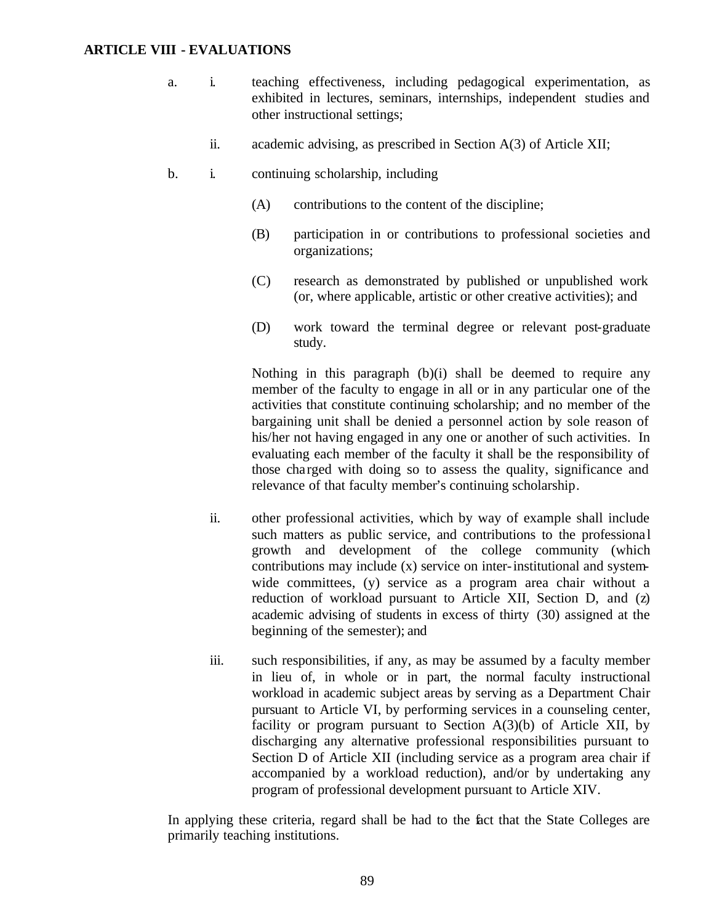- a. i. teaching effectiveness, including pedagogical experimentation, as exhibited in lectures, seminars, internships, independent studies and other instructional settings;
	- ii. academic advising, as prescribed in Section A(3) of Article XII;
- b. i. continuing scholarship, including
	- (A) contributions to the content of the discipline;
	- (B) participation in or contributions to professional societies and organizations;
	- (C) research as demonstrated by published or unpublished work (or, where applicable, artistic or other creative activities); and
	- (D) work toward the terminal degree or relevant post-graduate study.

Nothing in this paragraph (b)(i) shall be deemed to require any member of the faculty to engage in all or in any particular one of the activities that constitute continuing scholarship; and no member of the bargaining unit shall be denied a personnel action by sole reason of his/her not having engaged in any one or another of such activities. In evaluating each member of the faculty it shall be the responsibility of those charged with doing so to assess the quality, significance and relevance of that faculty member's continuing scholarship.

- ii. other professional activities, which by way of example shall include such matters as public service, and contributions to the professiona l growth and development of the college community (which contributions may include (x) service on inter-institutional and systemwide committees, (y) service as a program area chair without a reduction of workload pursuant to Article XII, Section D, and (z) academic advising of students in excess of thirty (30) assigned at the beginning of the semester); and
- iii. such responsibilities, if any, as may be assumed by a faculty member in lieu of, in whole or in part, the normal faculty instructional workload in academic subject areas by serving as a Department Chair pursuant to Article VI, by performing services in a counseling center, facility or program pursuant to Section  $A(3)(b)$  of Article XII, by discharging any alternative professional responsibilities pursuant to Section D of Article XII (including service as a program area chair if accompanied by a workload reduction), and/or by undertaking any program of professional development pursuant to Article XIV.

In applying these criteria, regard shall be had to the fact that the State Colleges are primarily teaching institutions.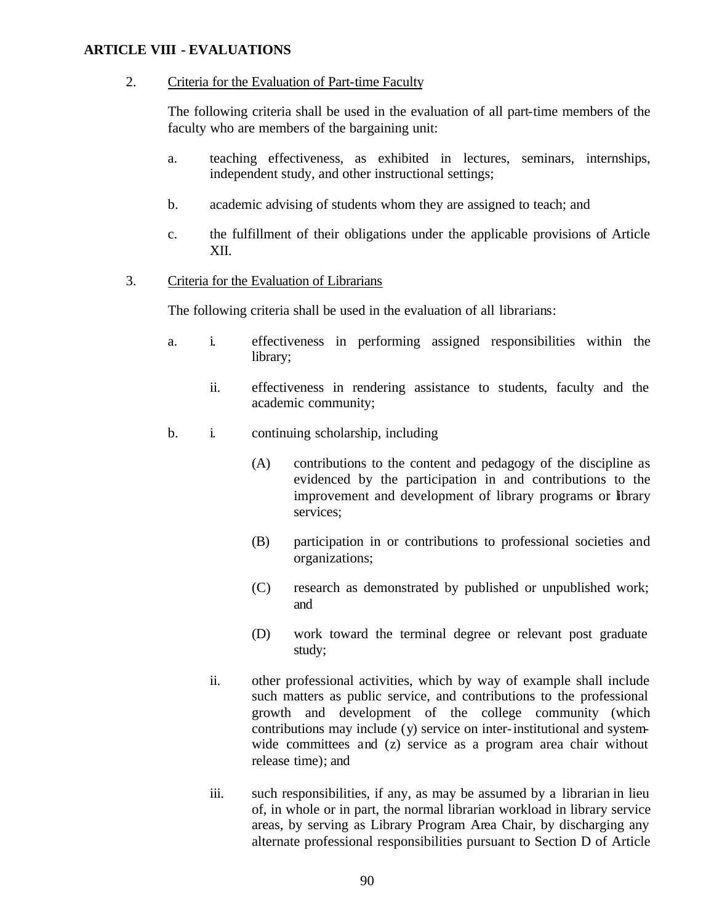## 2. Criteria for the Evaluation of Part-time Faculty

The following criteria shall be used in the evaluation of all part-time members of the faculty who are members of the bargaining unit:

- a. teaching effectiveness, as exhibited in lectures, seminars, internships, independent study, and other instructional settings;
- b. academic advising of students whom they are assigned to teach; and
- c. the fulfillment of their obligations under the applicable provisions of Article XII.
- 3. Criteria for the Evaluation of Librarians

The following criteria shall be used in the evaluation of all librarians:

- a. i. effectiveness in performing assigned responsibilities within the library;
	- ii. effectiveness in rendering assistance to students, faculty and the academic community;
- b. i. continuing scholarship, including
	- (A) contributions to the content and pedagogy of the discipline as evidenced by the participation in and contributions to the improvement and development of library programs or library services;
	- (B) participation in or contributions to professional societies and organizations;
	- (C) research as demonstrated by published or unpublished work; and
	- (D) work toward the terminal degree or relevant post graduate study;
	- ii. other professional activities, which by way of example shall include such matters as public service, and contributions to the professional growth and development of the college community (which contributions may include (y) service on inter-institutional and systemwide committees and (z) service as a program area chair without release time); and
	- iii. such responsibilities, if any, as may be assumed by a librarian in lieu of, in whole or in part, the normal librarian workload in library service areas, by serving as Library Program Area Chair, by discharging any alternate professional responsibilities pursuant to Section D of Article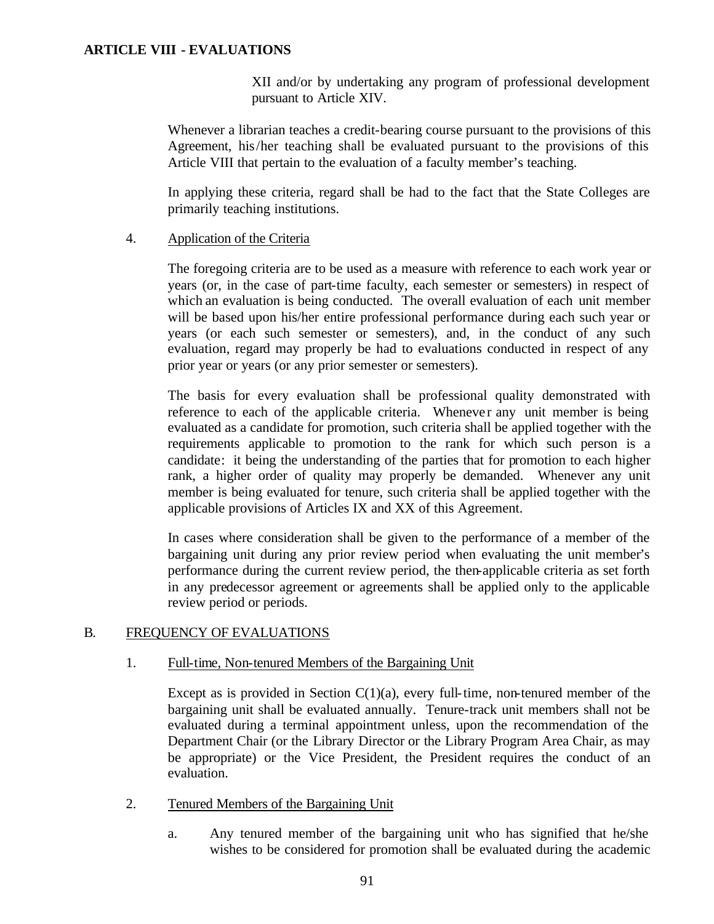XII and/or by undertaking any program of professional development pursuant to Article XIV.

Whenever a librarian teaches a credit-bearing course pursuant to the provisions of this Agreement, his/her teaching shall be evaluated pursuant to the provisions of this Article VIII that pertain to the evaluation of a faculty member's teaching.

In applying these criteria, regard shall be had to the fact that the State Colleges are primarily teaching institutions.

## 4. Application of the Criteria

The foregoing criteria are to be used as a measure with reference to each work year or years (or, in the case of part-time faculty, each semester or semesters) in respect of which an evaluation is being conducted. The overall evaluation of each unit member will be based upon his/her entire professional performance during each such year or years (or each such semester or semesters), and, in the conduct of any such evaluation, regard may properly be had to evaluations conducted in respect of any prior year or years (or any prior semester or semesters).

The basis for every evaluation shall be professional quality demonstrated with reference to each of the applicable criteria. Whenever any unit member is being evaluated as a candidate for promotion, such criteria shall be applied together with the requirements applicable to promotion to the rank for which such person is a candidate: it being the understanding of the parties that for promotion to each higher rank, a higher order of quality may properly be demanded. Whenever any unit member is being evaluated for tenure, such criteria shall be applied together with the applicable provisions of Articles IX and XX of this Agreement.

In cases where consideration shall be given to the performance of a member of the bargaining unit during any prior review period when evaluating the unit member's performance during the current review period, the then-applicable criteria as set forth in any predecessor agreement or agreements shall be applied only to the applicable review period or periods.

# B. FREQUENCY OF EVALUATIONS

## 1. Full-time, Non-tenured Members of the Bargaining Unit

Except as is provided in Section  $C(1)(a)$ , every full-time, non-tenured member of the bargaining unit shall be evaluated annually. Tenure-track unit members shall not be evaluated during a terminal appointment unless, upon the recommendation of the Department Chair (or the Library Director or the Library Program Area Chair, as may be appropriate) or the Vice President, the President requires the conduct of an evaluation.

- 2. Tenured Members of the Bargaining Unit
	- a. Any tenured member of the bargaining unit who has signified that he/she wishes to be considered for promotion shall be evaluated during the academic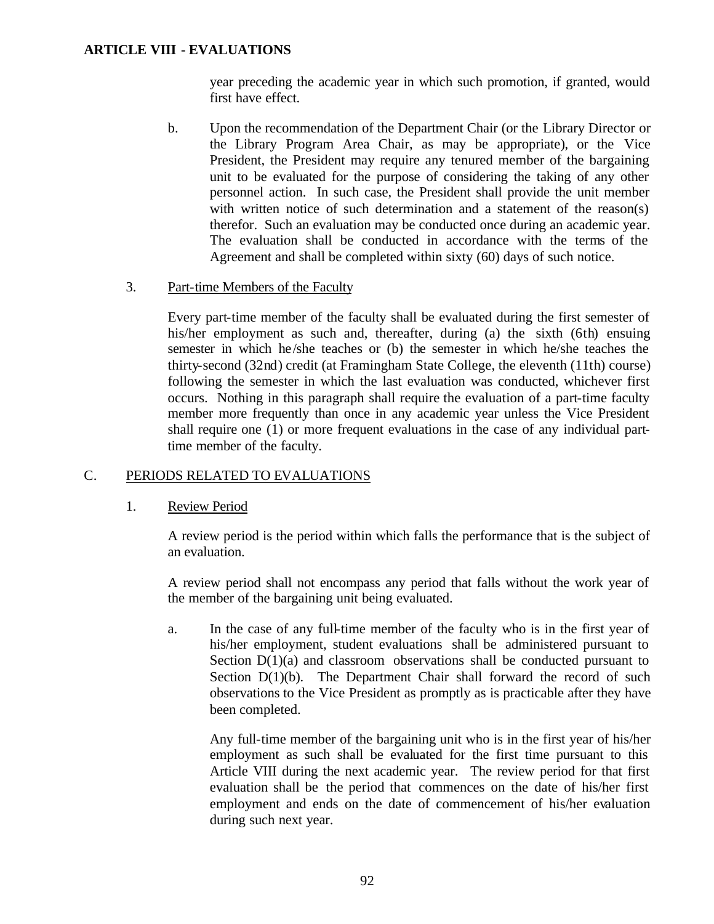year preceding the academic year in which such promotion, if granted, would first have effect.

- b. Upon the recommendation of the Department Chair (or the Library Director or the Library Program Area Chair, as may be appropriate), or the Vice President, the President may require any tenured member of the bargaining unit to be evaluated for the purpose of considering the taking of any other personnel action. In such case, the President shall provide the unit member with written notice of such determination and a statement of the reason(s) therefor. Such an evaluation may be conducted once during an academic year. The evaluation shall be conducted in accordance with the terms of the Agreement and shall be completed within sixty (60) days of such notice.
- 3. Part-time Members of the Faculty

Every part-time member of the faculty shall be evaluated during the first semester of his/her employment as such and, thereafter, during (a) the sixth (6th) ensuing semester in which he/she teaches or (b) the semester in which he/she teaches the thirty-second (32nd) credit (at Framingham State College, the eleventh (11th) course) following the semester in which the last evaluation was conducted, whichever first occurs. Nothing in this paragraph shall require the evaluation of a part-time faculty member more frequently than once in any academic year unless the Vice President shall require one (1) or more frequent evaluations in the case of any individual parttime member of the faculty.

## C. PERIODS RELATED TO EVALUATIONS

## 1. Review Period

A review period is the period within which falls the performance that is the subject of an evaluation.

A review period shall not encompass any period that falls without the work year of the member of the bargaining unit being evaluated.

a. In the case of any full-time member of the faculty who is in the first year of his/her employment, student evaluations shall be administered pursuant to Section  $D(1)(a)$  and classroom observations shall be conducted pursuant to Section  $D(1)(b)$ . The Department Chair shall forward the record of such observations to the Vice President as promptly as is practicable after they have been completed.

Any full-time member of the bargaining unit who is in the first year of his/her employment as such shall be evaluated for the first time pursuant to this Article VIII during the next academic year. The review period for that first evaluation shall be the period that commences on the date of his/her first employment and ends on the date of commencement of his/her evaluation during such next year.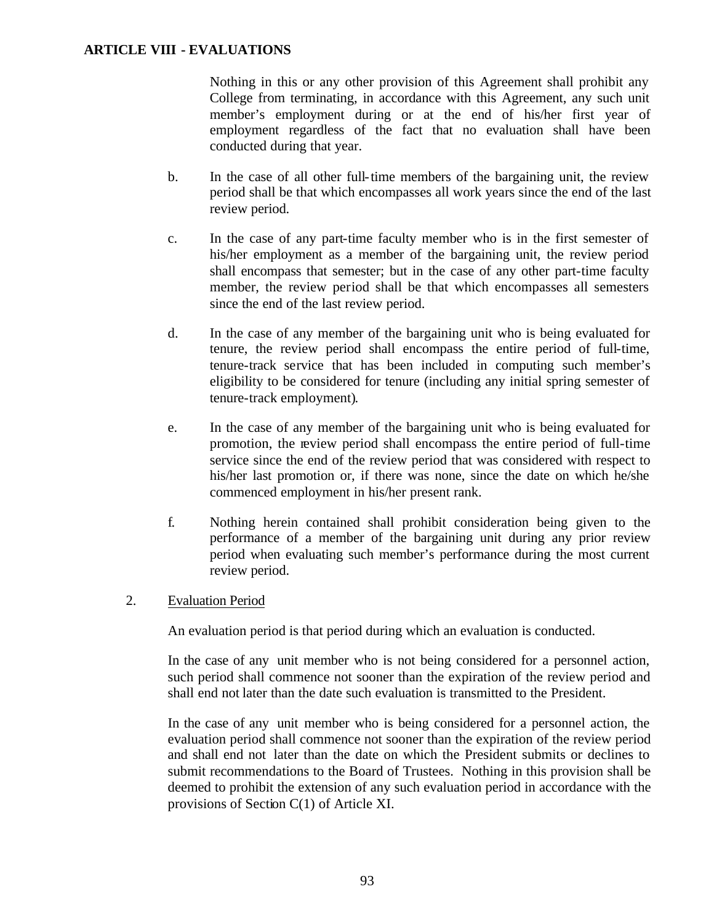Nothing in this or any other provision of this Agreement shall prohibit any College from terminating, in accordance with this Agreement, any such unit member's employment during or at the end of his/her first year of employment regardless of the fact that no evaluation shall have been conducted during that year.

- b. In the case of all other full-time members of the bargaining unit, the review period shall be that which encompasses all work years since the end of the last review period.
- c. In the case of any part-time faculty member who is in the first semester of his/her employment as a member of the bargaining unit, the review period shall encompass that semester; but in the case of any other part-time faculty member, the review period shall be that which encompasses all semesters since the end of the last review period.
- d. In the case of any member of the bargaining unit who is being evaluated for tenure, the review period shall encompass the entire period of full-time, tenure-track service that has been included in computing such member's eligibility to be considered for tenure (including any initial spring semester of tenure-track employment).
- e. In the case of any member of the bargaining unit who is being evaluated for promotion, the review period shall encompass the entire period of full-time service since the end of the review period that was considered with respect to his/her last promotion or, if there was none, since the date on which he/she commenced employment in his/her present rank.
- f. Nothing herein contained shall prohibit consideration being given to the performance of a member of the bargaining unit during any prior review period when evaluating such member's performance during the most current review period.

## 2. Evaluation Period

An evaluation period is that period during which an evaluation is conducted.

In the case of any unit member who is not being considered for a personnel action, such period shall commence not sooner than the expiration of the review period and shall end not later than the date such evaluation is transmitted to the President.

In the case of any unit member who is being considered for a personnel action, the evaluation period shall commence not sooner than the expiration of the review period and shall end not later than the date on which the President submits or declines to submit recommendations to the Board of Trustees. Nothing in this provision shall be deemed to prohibit the extension of any such evaluation period in accordance with the provisions of Section C(1) of Article XI.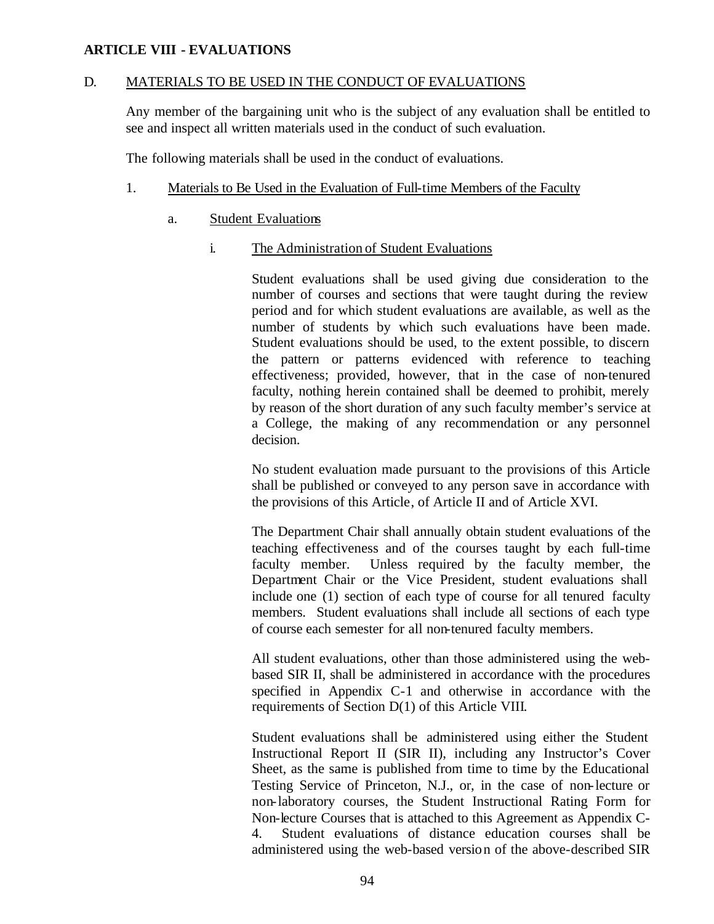## D. MATERIALS TO BE USED IN THE CONDUCT OF EVALUATIONS

Any member of the bargaining unit who is the subject of any evaluation shall be entitled to see and inspect all written materials used in the conduct of such evaluation.

The following materials shall be used in the conduct of evaluations.

# 1. Materials to Be Used in the Evaluation of Full-time Members of the Faculty

a. Student Evaluations

# i. The Administration of Student Evaluations

Student evaluations shall be used giving due consideration to the number of courses and sections that were taught during the review period and for which student evaluations are available, as well as the number of students by which such evaluations have been made. Student evaluations should be used, to the extent possible, to discern the pattern or patterns evidenced with reference to teaching effectiveness; provided, however, that in the case of non-tenured faculty, nothing herein contained shall be deemed to prohibit, merely by reason of the short duration of any such faculty member's service at a College, the making of any recommendation or any personnel decision.

No student evaluation made pursuant to the provisions of this Article shall be published or conveyed to any person save in accordance with the provisions of this Article, of Article II and of Article XVI.

The Department Chair shall annually obtain student evaluations of the teaching effectiveness and of the courses taught by each full-time faculty member. Unless required by the faculty member, the Department Chair or the Vice President, student evaluations shall include one (1) section of each type of course for all tenured faculty members. Student evaluations shall include all sections of each type of course each semester for all non-tenured faculty members.

All student evaluations, other than those administered using the webbased SIR II, shall be administered in accordance with the procedures specified in Appendix C-1 and otherwise in accordance with the requirements of Section D(1) of this Article VIII.

Student evaluations shall be administered using either the Student Instructional Report II (SIR II), including any Instructor's Cover Sheet, as the same is published from time to time by the Educational Testing Service of Princeton, N.J., or, in the case of non-lecture or non-laboratory courses, the Student Instructional Rating Form for Non-lecture Courses that is attached to this Agreement as Appendix C-4. Student evaluations of distance education courses shall be administered using the web-based version of the above-described SIR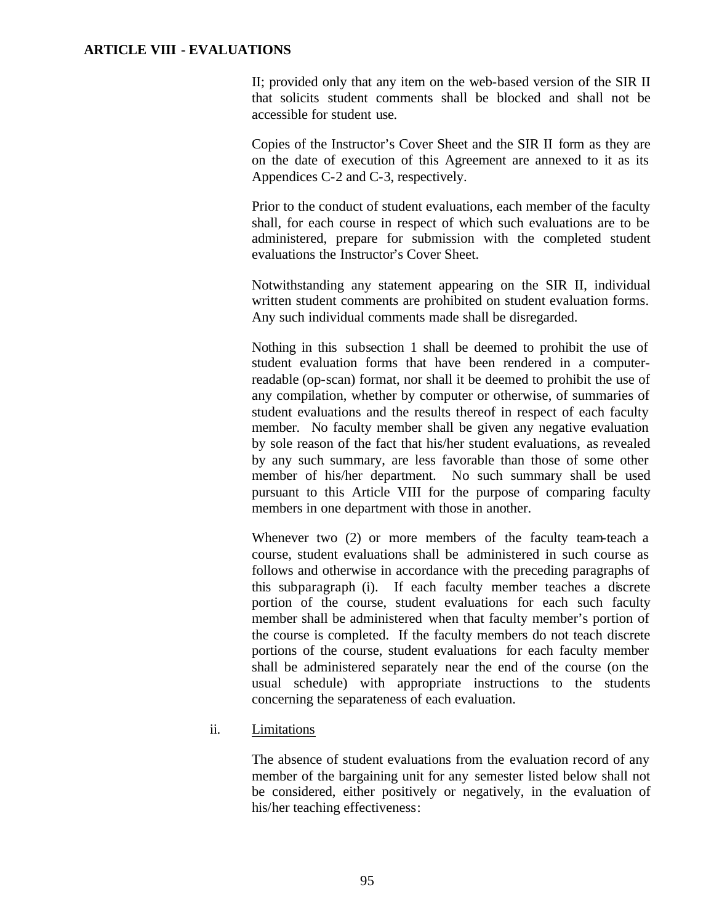II; provided only that any item on the web-based version of the SIR II that solicits student comments shall be blocked and shall not be accessible for student use.

Copies of the Instructor's Cover Sheet and the SIR II form as they are on the date of execution of this Agreement are annexed to it as its Appendices C-2 and C-3, respectively.

Prior to the conduct of student evaluations, each member of the faculty shall, for each course in respect of which such evaluations are to be administered, prepare for submission with the completed student evaluations the Instructor's Cover Sheet.

Notwithstanding any statement appearing on the SIR II, individual written student comments are prohibited on student evaluation forms. Any such individual comments made shall be disregarded.

Nothing in this subsection 1 shall be deemed to prohibit the use of student evaluation forms that have been rendered in a computerreadable (op-scan) format, nor shall it be deemed to prohibit the use of any compilation, whether by computer or otherwise, of summaries of student evaluations and the results thereof in respect of each faculty member. No faculty member shall be given any negative evaluation by sole reason of the fact that his/her student evaluations, as revealed by any such summary, are less favorable than those of some other member of his/her department. No such summary shall be used pursuant to this Article VIII for the purpose of comparing faculty members in one department with those in another.

Whenever two (2) or more members of the faculty team-teach a course, student evaluations shall be administered in such course as follows and otherwise in accordance with the preceding paragraphs of this subparagraph (i). If each faculty member teaches a discrete portion of the course, student evaluations for each such faculty member shall be administered when that faculty member's portion of the course is completed. If the faculty members do not teach discrete portions of the course, student evaluations for each faculty member shall be administered separately near the end of the course (on the usual schedule) with appropriate instructions to the students concerning the separateness of each evaluation.

#### ii. Limitations

The absence of student evaluations from the evaluation record of any member of the bargaining unit for any semester listed below shall not be considered, either positively or negatively, in the evaluation of his/her teaching effectiveness: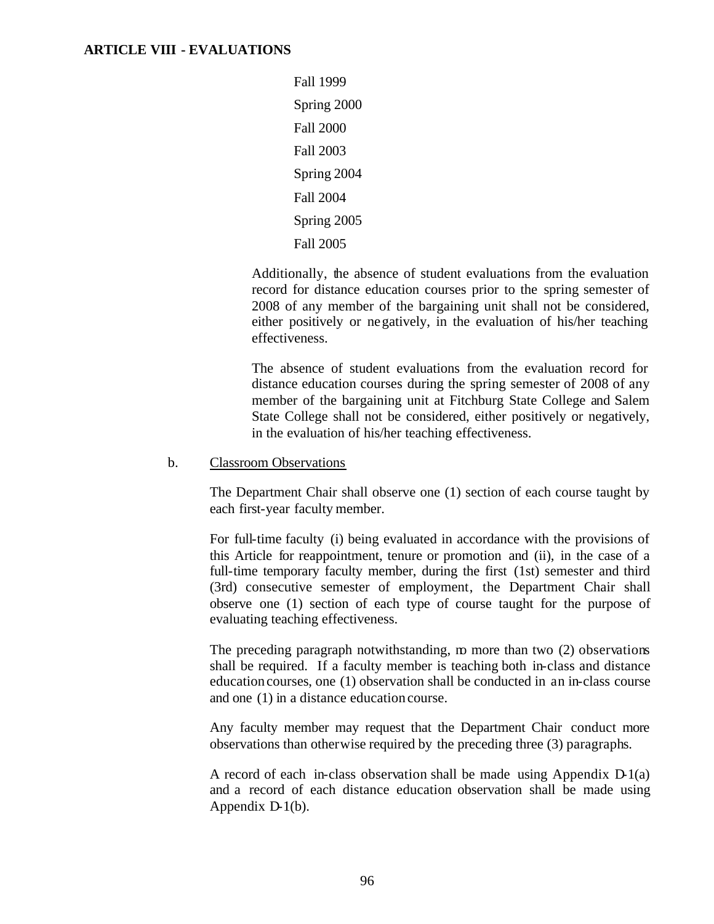Fall 1999 Spring 2000 Fall 2000 Fall 2003 Spring 2004 Fall 2004 Spring 2005 Fall 2005

Additionally, the absence of student evaluations from the evaluation record for distance education courses prior to the spring semester of 2008 of any member of the bargaining unit shall not be considered, either positively or negatively, in the evaluation of his/her teaching effectiveness.

The absence of student evaluations from the evaluation record for distance education courses during the spring semester of 2008 of any member of the bargaining unit at Fitchburg State College and Salem State College shall not be considered, either positively or negatively, in the evaluation of his/her teaching effectiveness.

#### b. Classroom Observations

The Department Chair shall observe one (1) section of each course taught by each first-year faculty member.

For full-time faculty (i) being evaluated in accordance with the provisions of this Article for reappointment, tenure or promotion and (ii), in the case of a full-time temporary faculty member, during the first (1st) semester and third (3rd) consecutive semester of employment, the Department Chair shall observe one (1) section of each type of course taught for the purpose of evaluating teaching effectiveness.

The preceding paragraph notwithstanding,  $m$  more than two  $(2)$  observations shall be required. If a faculty member is teaching both in-class and distance education courses, one (1) observation shall be conducted in an in-class course and one (1) in a distance education course.

Any faculty member may request that the Department Chair conduct more observations than otherwise required by the preceding three (3) paragraphs.

A record of each in-class observation shall be made using Appendix  $D_1(a)$ and a record of each distance education observation shall be made using Appendix D-1(b).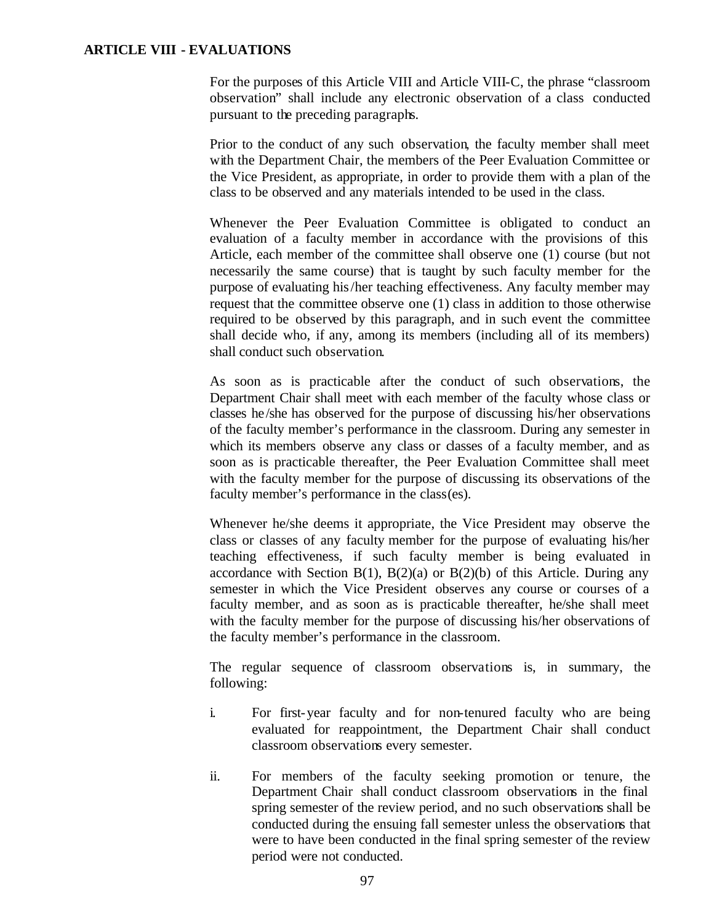For the purposes of this Article VIII and Article VIII-C, the phrase "classroom observation" shall include any electronic observation of a class conducted pursuant to the preceding paragraphs.

Prior to the conduct of any such observation, the faculty member shall meet with the Department Chair, the members of the Peer Evaluation Committee or the Vice President, as appropriate, in order to provide them with a plan of the class to be observed and any materials intended to be used in the class.

Whenever the Peer Evaluation Committee is obligated to conduct an evaluation of a faculty member in accordance with the provisions of this Article, each member of the committee shall observe one (1) course (but not necessarily the same course) that is taught by such faculty member for the purpose of evaluating his/her teaching effectiveness. Any faculty member may request that the committee observe one (1) class in addition to those otherwise required to be observed by this paragraph, and in such event the committee shall decide who, if any, among its members (including all of its members) shall conduct such observation.

As soon as is practicable after the conduct of such observations, the Department Chair shall meet with each member of the faculty whose class or classes he/she has observed for the purpose of discussing his/her observations of the faculty member's performance in the classroom. During any semester in which its members observe any class or classes of a faculty member, and as soon as is practicable thereafter, the Peer Evaluation Committee shall meet with the faculty member for the purpose of discussing its observations of the faculty member's performance in the class(es).

Whenever he/she deems it appropriate, the Vice President may observe the class or classes of any faculty member for the purpose of evaluating his/her teaching effectiveness, if such faculty member is being evaluated in accordance with Section B(1), B(2)(a) or B(2)(b) of this Article. During any semester in which the Vice President observes any course or courses of a faculty member, and as soon as is practicable thereafter, he/she shall meet with the faculty member for the purpose of discussing his/her observations of the faculty member's performance in the classroom.

The regular sequence of classroom observations is, in summary, the following:

- i. For first-year faculty and for non-tenured faculty who are being evaluated for reappointment, the Department Chair shall conduct classroom observations every semester.
- ii. For members of the faculty seeking promotion or tenure, the Department Chair shall conduct classroom observations in the final spring semester of the review period, and no such observations shall be conducted during the ensuing fall semester unless the observations that were to have been conducted in the final spring semester of the review period were not conducted.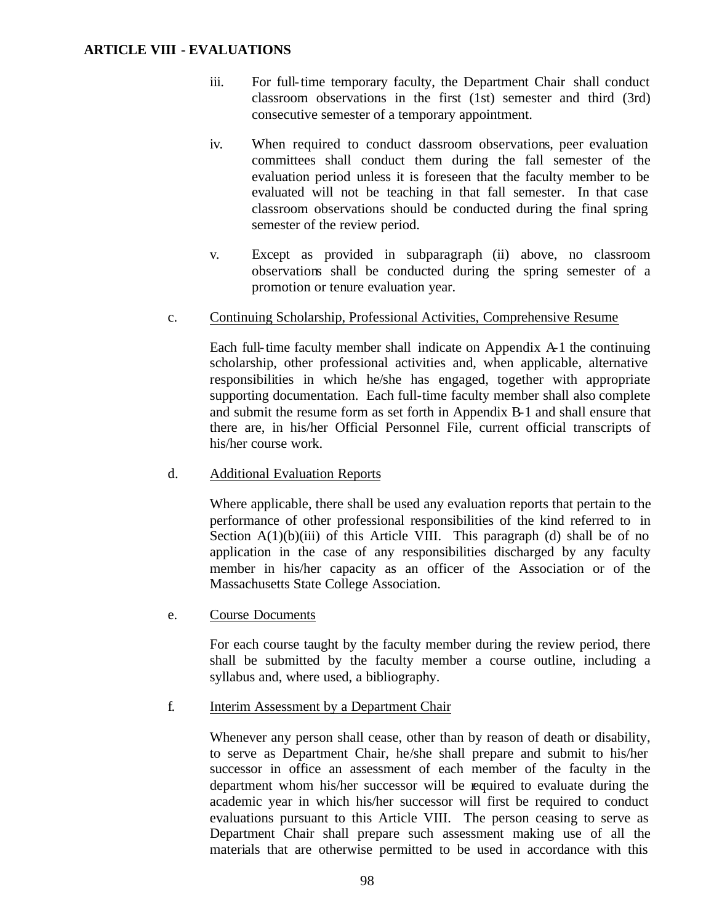- iii. For full-time temporary faculty, the Department Chair shall conduct classroom observations in the first (1st) semester and third (3rd) consecutive semester of a temporary appointment.
- iv. When required to conduct dassroom observations, peer evaluation committees shall conduct them during the fall semester of the evaluation period unless it is foreseen that the faculty member to be evaluated will not be teaching in that fall semester. In that case classroom observations should be conducted during the final spring semester of the review period.
- v. Except as provided in subparagraph (ii) above, no classroom observations shall be conducted during the spring semester of a promotion or tenure evaluation year.

#### c. Continuing Scholarship, Professional Activities, Comprehensive Resume

Each full-time faculty member shall indicate on Appendix A-1 the continuing scholarship, other professional activities and, when applicable, alternative responsibilities in which he/she has engaged, together with appropriate supporting documentation. Each full-time faculty member shall also complete and submit the resume form as set forth in Appendix B-1 and shall ensure that there are, in his/her Official Personnel File, current official transcripts of his/her course work.

#### d. Additional Evaluation Reports

Where applicable, there shall be used any evaluation reports that pertain to the performance of other professional responsibilities of the kind referred to in Section  $A(1)(b)(iii)$  of this Article VIII. This paragraph (d) shall be of no application in the case of any responsibilities discharged by any faculty member in his/her capacity as an officer of the Association or of the Massachusetts State College Association.

e. Course Documents

For each course taught by the faculty member during the review period, there shall be submitted by the faculty member a course outline, including a syllabus and, where used, a bibliography.

#### f. Interim Assessment by a Department Chair

Whenever any person shall cease, other than by reason of death or disability, to serve as Department Chair, he/she shall prepare and submit to his/her successor in office an assessment of each member of the faculty in the department whom his/her successor will be required to evaluate during the academic year in which his/her successor will first be required to conduct evaluations pursuant to this Article VIII. The person ceasing to serve as Department Chair shall prepare such assessment making use of all the materials that are otherwise permitted to be used in accordance with this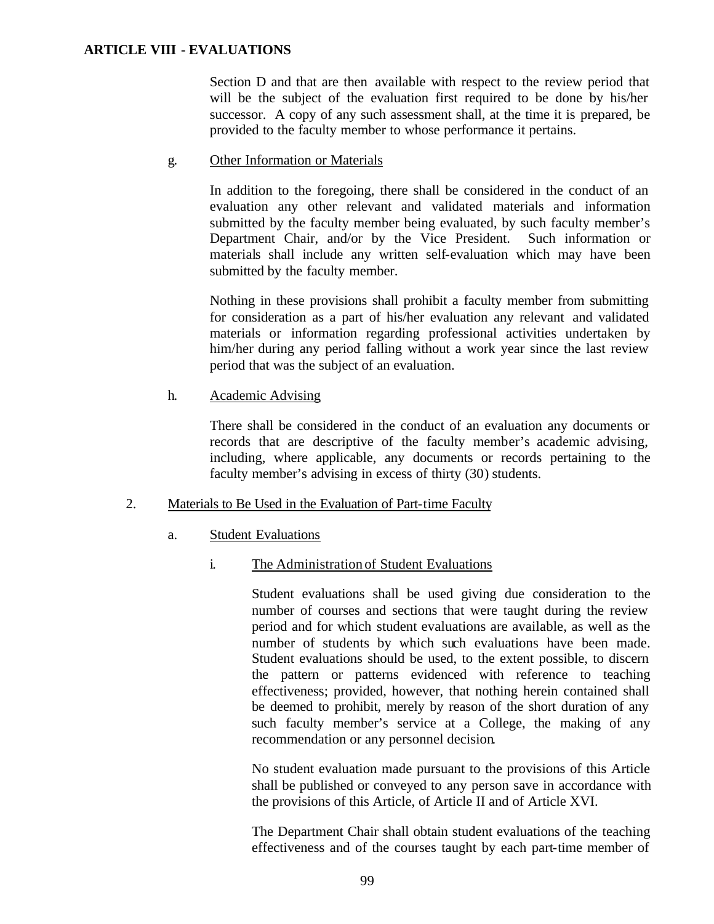Section D and that are then available with respect to the review period that will be the subject of the evaluation first required to be done by his/her successor. A copy of any such assessment shall, at the time it is prepared, be provided to the faculty member to whose performance it pertains.

g. Other Information or Materials

In addition to the foregoing, there shall be considered in the conduct of an evaluation any other relevant and validated materials and information submitted by the faculty member being evaluated, by such faculty member's Department Chair, and/or by the Vice President. Such information or materials shall include any written self-evaluation which may have been submitted by the faculty member.

Nothing in these provisions shall prohibit a faculty member from submitting for consideration as a part of his/her evaluation any relevant and validated materials or information regarding professional activities undertaken by him/her during any period falling without a work year since the last review period that was the subject of an evaluation.

h. Academic Advising

There shall be considered in the conduct of an evaluation any documents or records that are descriptive of the faculty member's academic advising, including, where applicable, any documents or records pertaining to the faculty member's advising in excess of thirty (30) students.

## 2. Materials to Be Used in the Evaluation of Part-time Faculty

## a. Student Evaluations

## i. The Administration of Student Evaluations

Student evaluations shall be used giving due consideration to the number of courses and sections that were taught during the review period and for which student evaluations are available, as well as the number of students by which such evaluations have been made. Student evaluations should be used, to the extent possible, to discern the pattern or patterns evidenced with reference to teaching effectiveness; provided, however, that nothing herein contained shall be deemed to prohibit, merely by reason of the short duration of any such faculty member's service at a College, the making of any recommendation or any personnel decision.

No student evaluation made pursuant to the provisions of this Article shall be published or conveyed to any person save in accordance with the provisions of this Article, of Article II and of Article XVI.

The Department Chair shall obtain student evaluations of the teaching effectiveness and of the courses taught by each part-time member of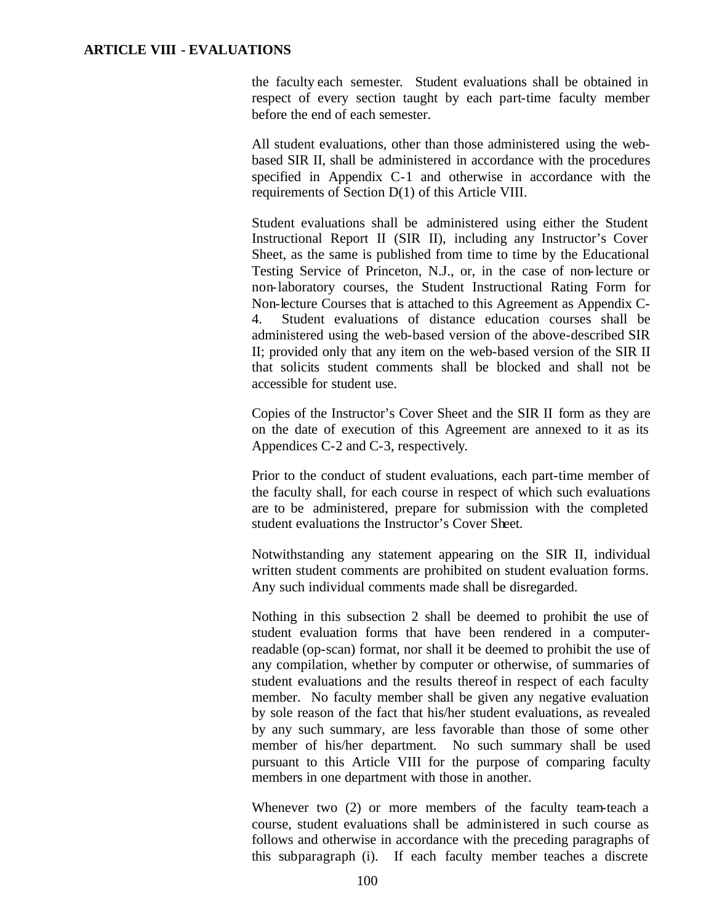the faculty each semester. Student evaluations shall be obtained in respect of every section taught by each part-time faculty member before the end of each semester.

All student evaluations, other than those administered using the webbased SIR II, shall be administered in accordance with the procedures specified in Appendix C-1 and otherwise in accordance with the requirements of Section D(1) of this Article VIII.

Student evaluations shall be administered using either the Student Instructional Report II (SIR II), including any Instructor's Cover Sheet, as the same is published from time to time by the Educational Testing Service of Princeton, N.J., or, in the case of non-lecture or non-laboratory courses, the Student Instructional Rating Form for Non-lecture Courses that is attached to this Agreement as Appendix C-4. Student evaluations of distance education courses shall be administered using the web-based version of the above-described SIR II; provided only that any item on the web-based version of the SIR II that solicits student comments shall be blocked and shall not be accessible for student use.

Copies of the Instructor's Cover Sheet and the SIR II form as they are on the date of execution of this Agreement are annexed to it as its Appendices C-2 and C-3, respectively.

Prior to the conduct of student evaluations, each part-time member of the faculty shall, for each course in respect of which such evaluations are to be administered, prepare for submission with the completed student evaluations the Instructor's Cover Sheet.

Notwithstanding any statement appearing on the SIR II, individual written student comments are prohibited on student evaluation forms. Any such individual comments made shall be disregarded.

Nothing in this subsection 2 shall be deemed to prohibit the use of student evaluation forms that have been rendered in a computerreadable (op-scan) format, nor shall it be deemed to prohibit the use of any compilation, whether by computer or otherwise, of summaries of student evaluations and the results thereof in respect of each faculty member. No faculty member shall be given any negative evaluation by sole reason of the fact that his/her student evaluations, as revealed by any such summary, are less favorable than those of some other member of his/her department. No such summary shall be used pursuant to this Article VIII for the purpose of comparing faculty members in one department with those in another.

Whenever two (2) or more members of the faculty team-teach a course, student evaluations shall be administered in such course as follows and otherwise in accordance with the preceding paragraphs of this subparagraph (i). If each faculty member teaches a discrete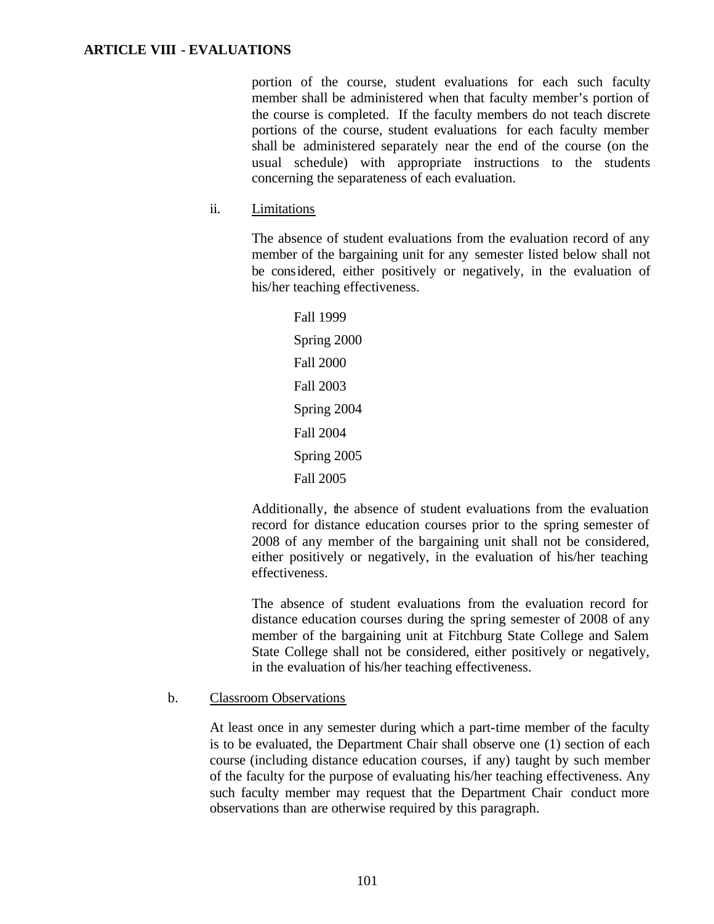portion of the course, student evaluations for each such faculty member shall be administered when that faculty member's portion of the course is completed. If the faculty members do not teach discrete portions of the course, student evaluations for each faculty member shall be administered separately near the end of the course (on the usual schedule) with appropriate instructions to the students concerning the separateness of each evaluation.

ii. Limitations

The absence of student evaluations from the evaluation record of any member of the bargaining unit for any semester listed below shall not be considered, either positively or negatively, in the evaluation of his/her teaching effectiveness.

> Fall 1999 Spring 2000 Fall 2000 Fall 2003 Spring 2004 Fall 2004 Spring 2005 Fall 2005

Additionally, the absence of student evaluations from the evaluation record for distance education courses prior to the spring semester of 2008 of any member of the bargaining unit shall not be considered, either positively or negatively, in the evaluation of his/her teaching effectiveness.

The absence of student evaluations from the evaluation record for distance education courses during the spring semester of 2008 of any member of the bargaining unit at Fitchburg State College and Salem State College shall not be considered, either positively or negatively, in the evaluation of his/her teaching effectiveness.

#### b. Classroom Observations

At least once in any semester during which a part-time member of the faculty is to be evaluated, the Department Chair shall observe one (1) section of each course (including distance education courses, if any) taught by such member of the faculty for the purpose of evaluating his/her teaching effectiveness. Any such faculty member may request that the Department Chair conduct more observations than are otherwise required by this paragraph.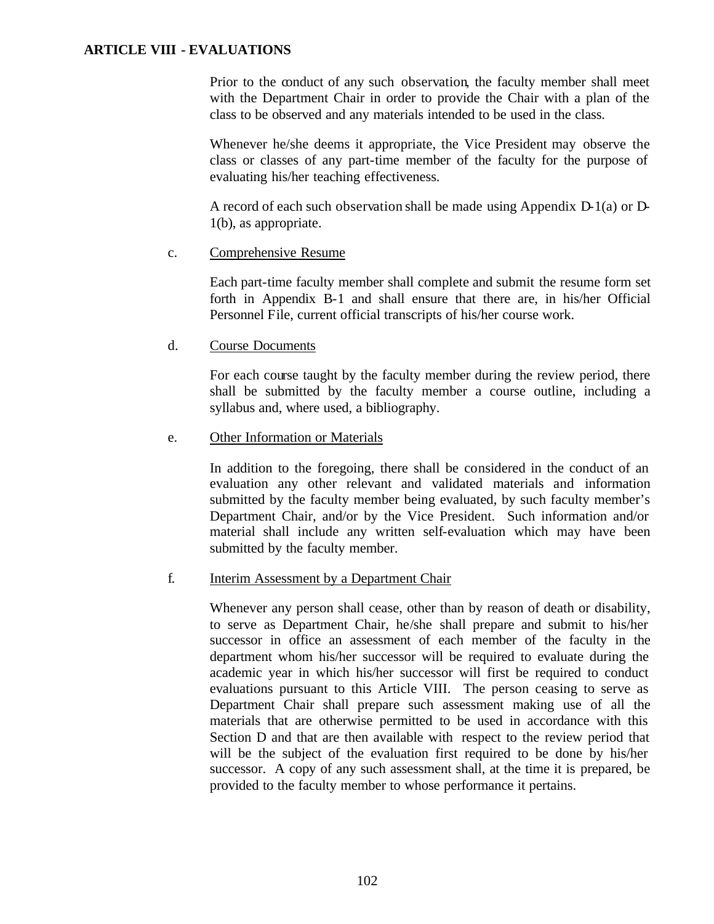Prior to the conduct of any such observation, the faculty member shall meet with the Department Chair in order to provide the Chair with a plan of the class to be observed and any materials intended to be used in the class.

Whenever he/she deems it appropriate, the Vice President may observe the class or classes of any part-time member of the faculty for the purpose of evaluating his/her teaching effectiveness.

A record of each such observation shall be made using Appendix D-1(a) or D-1(b), as appropriate.

#### c. Comprehensive Resume

Each part-time faculty member shall complete and submit the resume form set forth in Appendix B-1 and shall ensure that there are, in his/her Official Personnel File, current official transcripts of his/her course work.

## d. Course Documents

For each course taught by the faculty member during the review period, there shall be submitted by the faculty member a course outline, including a syllabus and, where used, a bibliography.

#### e. Other Information or Materials

In addition to the foregoing, there shall be considered in the conduct of an evaluation any other relevant and validated materials and information submitted by the faculty member being evaluated, by such faculty member's Department Chair, and/or by the Vice President. Such information and/or material shall include any written self-evaluation which may have been submitted by the faculty member.

## f. Interim Assessment by a Department Chair

Whenever any person shall cease, other than by reason of death or disability, to serve as Department Chair, he/she shall prepare and submit to his/her successor in office an assessment of each member of the faculty in the department whom his/her successor will be required to evaluate during the academic year in which his/her successor will first be required to conduct evaluations pursuant to this Article VIII. The person ceasing to serve as Department Chair shall prepare such assessment making use of all the materials that are otherwise permitted to be used in accordance with this Section D and that are then available with respect to the review period that will be the subject of the evaluation first required to be done by his/her successor. A copy of any such assessment shall, at the time it is prepared, be provided to the faculty member to whose performance it pertains.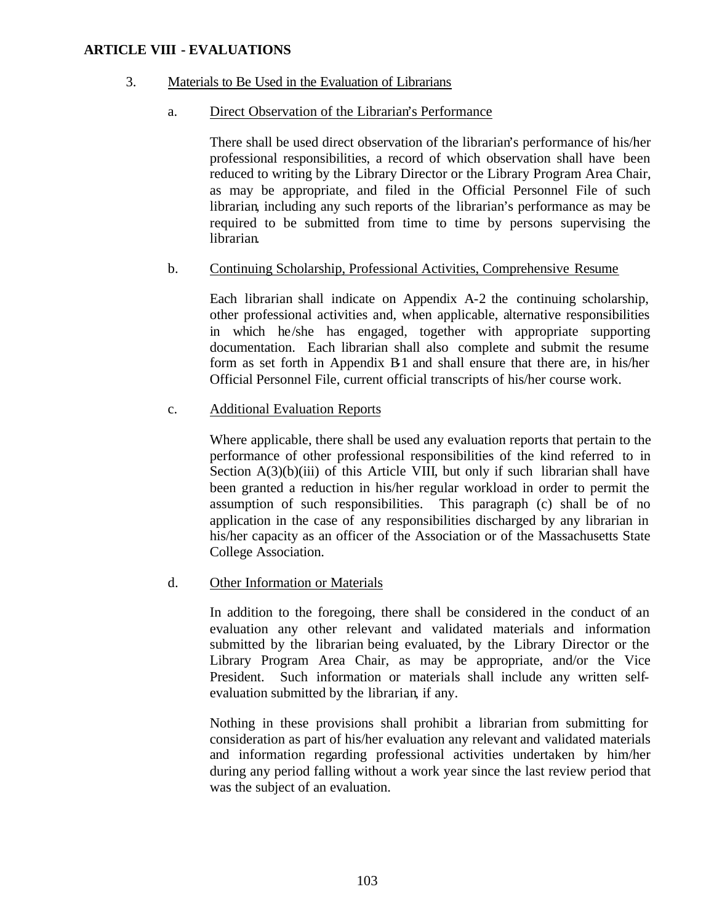## 3. Materials to Be Used in the Evaluation of Librarians

#### a. Direct Observation of the Librarian's Performance

There shall be used direct observation of the librarian's performance of his/her professional responsibilities, a record of which observation shall have been reduced to writing by the Library Director or the Library Program Area Chair, as may be appropriate, and filed in the Official Personnel File of such librarian, including any such reports of the librarian's performance as may be required to be submitted from time to time by persons supervising the librarian.

#### b. Continuing Scholarship, Professional Activities, Comprehensive Resume

Each librarian shall indicate on Appendix A-2 the continuing scholarship, other professional activities and, when applicable, alternative responsibilities in which he/she has engaged, together with appropriate supporting documentation. Each librarian shall also complete and submit the resume form as set forth in Appendix B-1 and shall ensure that there are, in his/her Official Personnel File, current official transcripts of his/her course work.

#### c. Additional Evaluation Reports

Where applicable, there shall be used any evaluation reports that pertain to the performance of other professional responsibilities of the kind referred to in Section  $A(3)(b)(iii)$  of this Article VIII, but only if such librarian shall have been granted a reduction in his/her regular workload in order to permit the assumption of such responsibilities. This paragraph (c) shall be of no application in the case of any responsibilities discharged by any librarian in his/her capacity as an officer of the Association or of the Massachusetts State College Association.

#### d. Other Information or Materials

In addition to the foregoing, there shall be considered in the conduct of an evaluation any other relevant and validated materials and information submitted by the librarian being evaluated, by the Library Director or the Library Program Area Chair, as may be appropriate, and/or the Vice President. Such information or materials shall include any written selfevaluation submitted by the librarian, if any.

Nothing in these provisions shall prohibit a librarian from submitting for consideration as part of his/her evaluation any relevant and validated materials and information regarding professional activities undertaken by him/her during any period falling without a work year since the last review period that was the subject of an evaluation.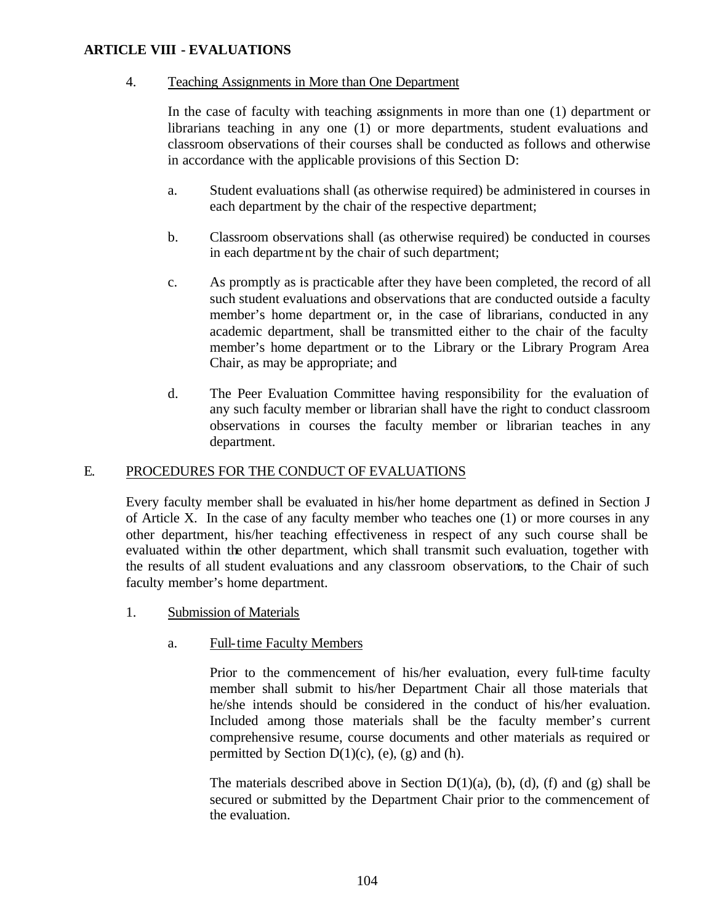#### 4. Teaching Assignments in More than One Department

In the case of faculty with teaching assignments in more than one (1) department or librarians teaching in any one (1) or more departments, student evaluations and classroom observations of their courses shall be conducted as follows and otherwise in accordance with the applicable provisions of this Section D:

- a. Student evaluations shall (as otherwise required) be administered in courses in each department by the chair of the respective department;
- b. Classroom observations shall (as otherwise required) be conducted in courses in each department by the chair of such department;
- c. As promptly as is practicable after they have been completed, the record of all such student evaluations and observations that are conducted outside a faculty member's home department or, in the case of librarians, conducted in any academic department, shall be transmitted either to the chair of the faculty member's home department or to the Library or the Library Program Area Chair, as may be appropriate; and
- d. The Peer Evaluation Committee having responsibility for the evaluation of any such faculty member or librarian shall have the right to conduct classroom observations in courses the faculty member or librarian teaches in any department.

## E. PROCEDURES FOR THE CONDUCT OF EVALUATIONS

Every faculty member shall be evaluated in his/her home department as defined in Section J of Article X. In the case of any faculty member who teaches one (1) or more courses in any other department, his/her teaching effectiveness in respect of any such course shall be evaluated within the other department, which shall transmit such evaluation, together with the results of all student evaluations and any classroom observations, to the Chair of such faculty member's home department.

- 1. Submission of Materials
	- a. Full-time Faculty Members

Prior to the commencement of his/her evaluation, every full-time faculty member shall submit to his/her Department Chair all those materials that he/she intends should be considered in the conduct of his/her evaluation. Included among those materials shall be the faculty member's current comprehensive resume, course documents and other materials as required or permitted by Section  $D(1)(c)$ , (e), (g) and (h).

The materials described above in Section  $D(1)(a)$ , (b), (d), (f) and (g) shall be secured or submitted by the Department Chair prior to the commencement of the evaluation.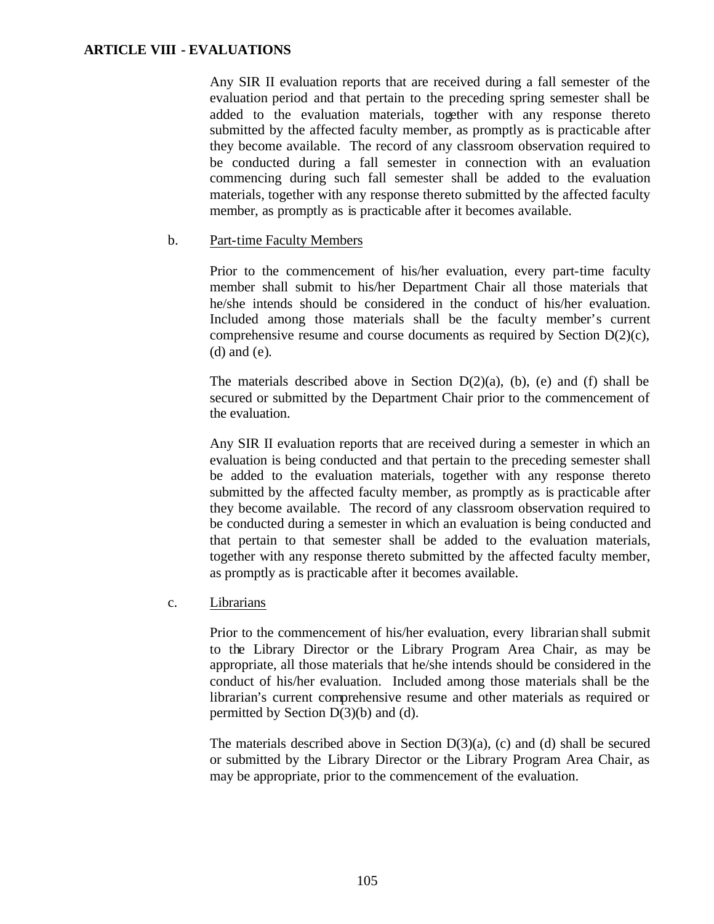Any SIR II evaluation reports that are received during a fall semester of the evaluation period and that pertain to the preceding spring semester shall be added to the evaluation materials, together with any response thereto submitted by the affected faculty member, as promptly as is practicable after they become available. The record of any classroom observation required to be conducted during a fall semester in connection with an evaluation commencing during such fall semester shall be added to the evaluation materials, together with any response thereto submitted by the affected faculty member, as promptly as is practicable after it becomes available.

## b. Part-time Faculty Members

Prior to the commencement of his/her evaluation, every part-time faculty member shall submit to his/her Department Chair all those materials that he/she intends should be considered in the conduct of his/her evaluation. Included among those materials shall be the faculty member's current comprehensive resume and course documents as required by Section  $D(2)(c)$ , (d) and (e).

The materials described above in Section  $D(2)(a)$ , (b), (e) and (f) shall be secured or submitted by the Department Chair prior to the commencement of the evaluation.

Any SIR II evaluation reports that are received during a semester in which an evaluation is being conducted and that pertain to the preceding semester shall be added to the evaluation materials, together with any response thereto submitted by the affected faculty member, as promptly as is practicable after they become available. The record of any classroom observation required to be conducted during a semester in which an evaluation is being conducted and that pertain to that semester shall be added to the evaluation materials, together with any response thereto submitted by the affected faculty member, as promptly as is practicable after it becomes available.

c. Librarians

Prior to the commencement of his/her evaluation, every librarian shall submit to the Library Director or the Library Program Area Chair, as may be appropriate, all those materials that he/she intends should be considered in the conduct of his/her evaluation. Included among those materials shall be the librarian's current comprehensive resume and other materials as required or permitted by Section D(3)(b) and (d).

The materials described above in Section  $D(3)(a)$ , (c) and (d) shall be secured or submitted by the Library Director or the Library Program Area Chair, as may be appropriate, prior to the commencement of the evaluation.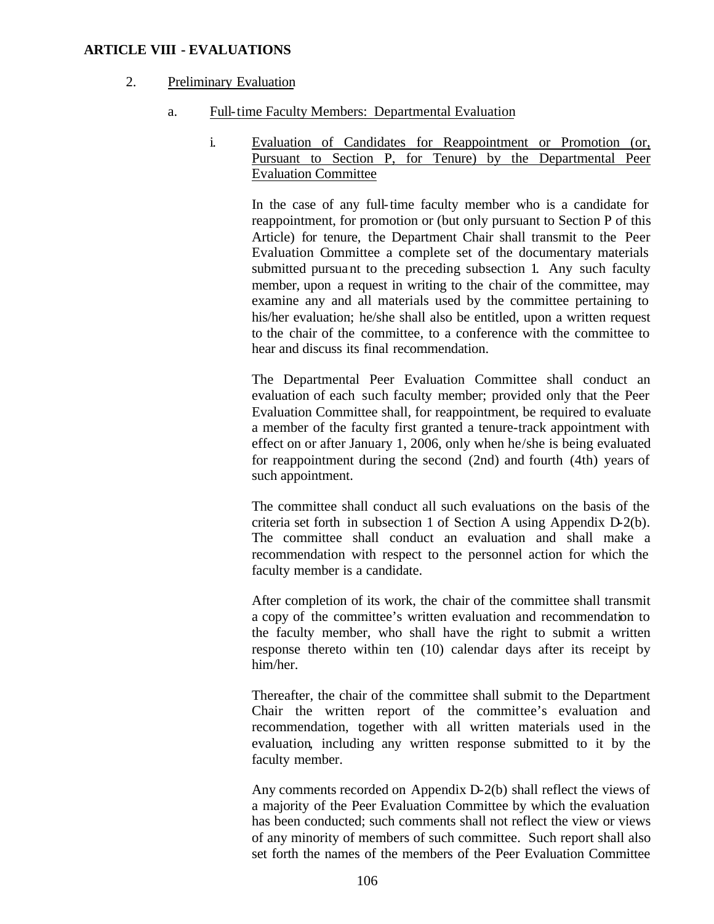#### 2. Preliminary Evaluation

- a. Full-time Faculty Members: Departmental Evaluation
	- i. Evaluation of Candidates for Reappointment or Promotion (or, Pursuant to Section P, for Tenure) by the Departmental Peer Evaluation Committee

In the case of any full-time faculty member who is a candidate for reappointment, for promotion or (but only pursuant to Section P of this Article) for tenure, the Department Chair shall transmit to the Peer Evaluation Committee a complete set of the documentary materials submitted pursuant to the preceding subsection 1. Any such faculty member, upon a request in writing to the chair of the committee, may examine any and all materials used by the committee pertaining to his/her evaluation; he/she shall also be entitled, upon a written request to the chair of the committee, to a conference with the committee to hear and discuss its final recommendation.

The Departmental Peer Evaluation Committee shall conduct an evaluation of each such faculty member; provided only that the Peer Evaluation Committee shall, for reappointment, be required to evaluate a member of the faculty first granted a tenure-track appointment with effect on or after January 1, 2006, only when he/she is being evaluated for reappointment during the second (2nd) and fourth (4th) years of such appointment.

The committee shall conduct all such evaluations on the basis of the criteria set forth in subsection 1 of Section A using Appendix D-2(b). The committee shall conduct an evaluation and shall make a recommendation with respect to the personnel action for which the faculty member is a candidate.

After completion of its work, the chair of the committee shall transmit a copy of the committee's written evaluation and recommendation to the faculty member, who shall have the right to submit a written response thereto within ten (10) calendar days after its receipt by him/her.

Thereafter, the chair of the committee shall submit to the Department Chair the written report of the committee's evaluation and recommendation, together with all written materials used in the evaluation, including any written response submitted to it by the faculty member.

Any comments recorded on Appendix D-2(b) shall reflect the views of a majority of the Peer Evaluation Committee by which the evaluation has been conducted; such comments shall not reflect the view or views of any minority of members of such committee. Such report shall also set forth the names of the members of the Peer Evaluation Committee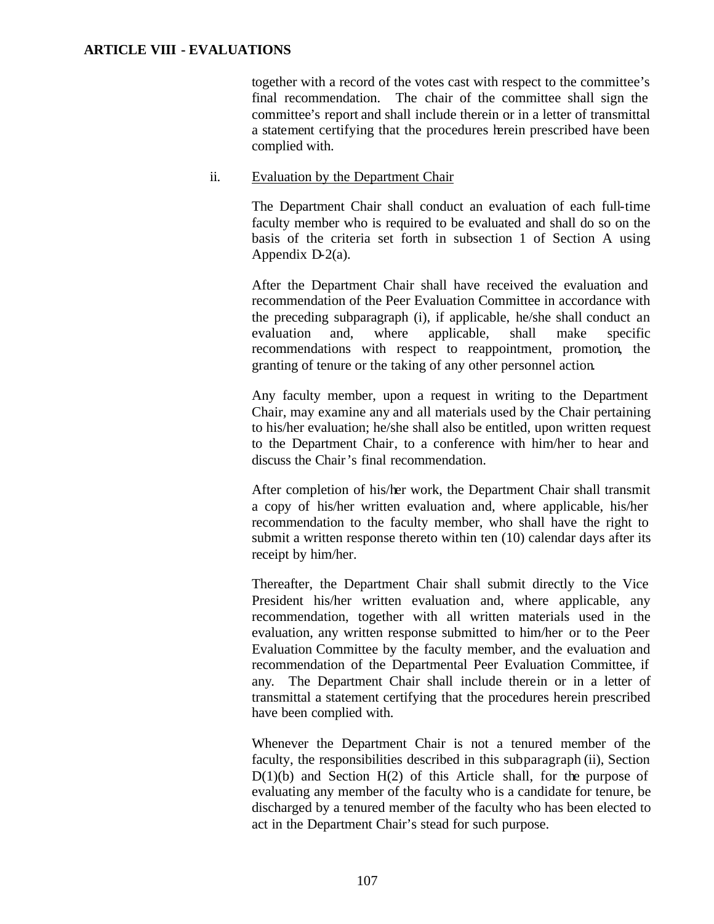together with a record of the votes cast with respect to the committee's final recommendation. The chair of the committee shall sign the committee's report and shall include therein or in a letter of transmittal a statement certifying that the procedures herein prescribed have been complied with.

## ii. Evaluation by the Department Chair

The Department Chair shall conduct an evaluation of each full-time faculty member who is required to be evaluated and shall do so on the basis of the criteria set forth in subsection 1 of Section A using Appendix D-2(a).

After the Department Chair shall have received the evaluation and recommendation of the Peer Evaluation Committee in accordance with the preceding subparagraph (i), if applicable, he/she shall conduct an evaluation and, where applicable, shall make specific recommendations with respect to reappointment, promotion, the granting of tenure or the taking of any other personnel action.

Any faculty member, upon a request in writing to the Department Chair, may examine any and all materials used by the Chair pertaining to his/her evaluation; he/she shall also be entitled, upon written request to the Department Chair, to a conference with him/her to hear and discuss the Chair's final recommendation.

After completion of his/her work, the Department Chair shall transmit a copy of his/her written evaluation and, where applicable, his/her recommendation to the faculty member, who shall have the right to submit a written response thereto within ten (10) calendar days after its receipt by him/her.

Thereafter, the Department Chair shall submit directly to the Vice President his/her written evaluation and, where applicable, any recommendation, together with all written materials used in the evaluation, any written response submitted to him/her or to the Peer Evaluation Committee by the faculty member, and the evaluation and recommendation of the Departmental Peer Evaluation Committee, if any. The Department Chair shall include therein or in a letter of transmittal a statement certifying that the procedures herein prescribed have been complied with.

Whenever the Department Chair is not a tenured member of the faculty, the responsibilities described in this subparagraph (ii), Section  $D(1)(b)$  and Section  $H(2)$  of this Article shall, for the purpose of evaluating any member of the faculty who is a candidate for tenure, be discharged by a tenured member of the faculty who has been elected to act in the Department Chair's stead for such purpose.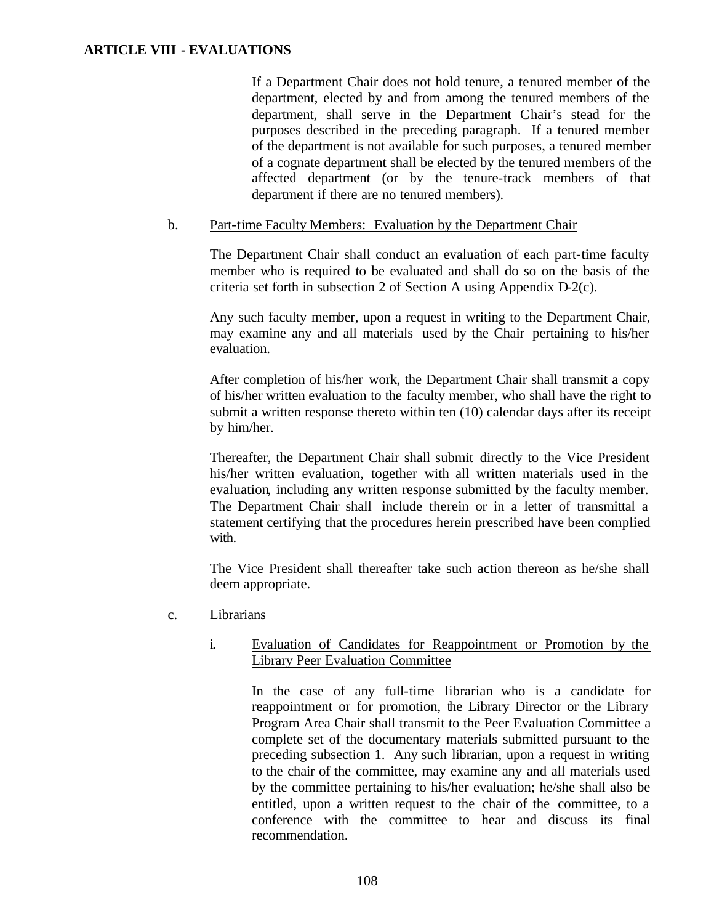If a Department Chair does not hold tenure, a tenured member of the department, elected by and from among the tenured members of the department, shall serve in the Department Chair's stead for the purposes described in the preceding paragraph. If a tenured member of the department is not available for such purposes, a tenured member of a cognate department shall be elected by the tenured members of the affected department (or by the tenure-track members of that department if there are no tenured members).

#### b. Part-time Faculty Members: Evaluation by the Department Chair

The Department Chair shall conduct an evaluation of each part-time faculty member who is required to be evaluated and shall do so on the basis of the criteria set forth in subsection 2 of Section A using Appendix D-2(c).

Any such faculty member, upon a request in writing to the Department Chair, may examine any and all materials used by the Chair pertaining to his/her evaluation.

After completion of his/her work, the Department Chair shall transmit a copy of his/her written evaluation to the faculty member, who shall have the right to submit a written response thereto within ten (10) calendar days after its receipt by him/her.

Thereafter, the Department Chair shall submit directly to the Vice President his/her written evaluation, together with all written materials used in the evaluation, including any written response submitted by the faculty member. The Department Chair shall include therein or in a letter of transmittal a statement certifying that the procedures herein prescribed have been complied with.

The Vice President shall thereafter take such action thereon as he/she shall deem appropriate.

c. Librarians

## i. Evaluation of Candidates for Reappointment or Promotion by the Library Peer Evaluation Committee

In the case of any full-time librarian who is a candidate for reappointment or for promotion, the Library Director or the Library Program Area Chair shall transmit to the Peer Evaluation Committee a complete set of the documentary materials submitted pursuant to the preceding subsection 1. Any such librarian, upon a request in writing to the chair of the committee, may examine any and all materials used by the committee pertaining to his/her evaluation; he/she shall also be entitled, upon a written request to the chair of the committee, to a conference with the committee to hear and discuss its final recommendation.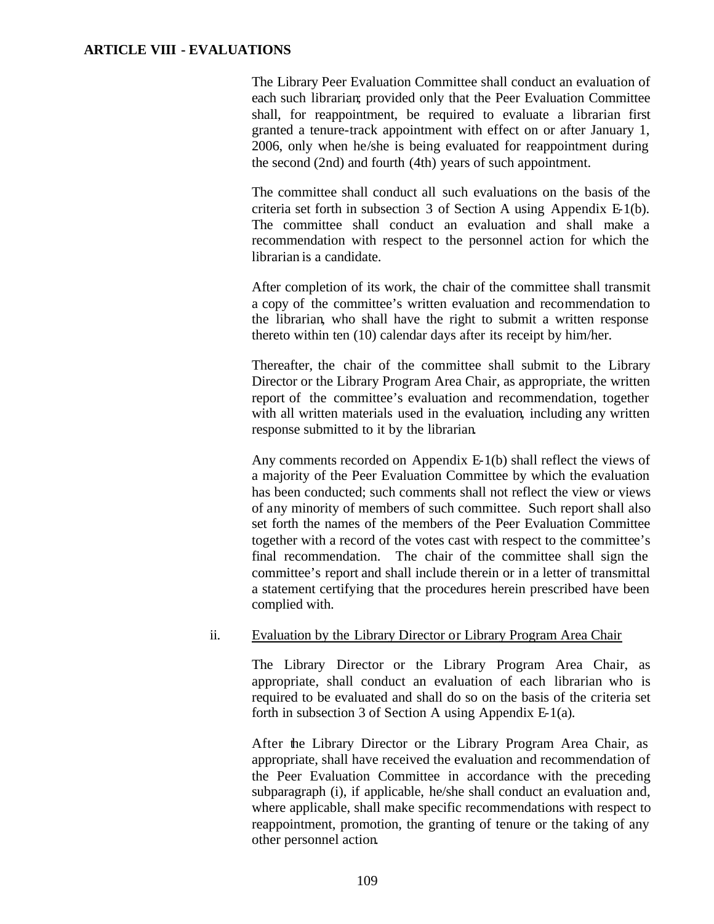The Library Peer Evaluation Committee shall conduct an evaluation of each such librarian; provided only that the Peer Evaluation Committee shall, for reappointment, be required to evaluate a librarian first granted a tenure-track appointment with effect on or after January 1, 2006, only when he/she is being evaluated for reappointment during the second (2nd) and fourth (4th) years of such appointment.

The committee shall conduct all such evaluations on the basis of the criteria set forth in subsection  $3$  of Section A using Appendix  $E_1(b)$ . The committee shall conduct an evaluation and shall make a recommendation with respect to the personnel action for which the librarian is a candidate.

After completion of its work, the chair of the committee shall transmit a copy of the committee's written evaluation and recommendation to the librarian, who shall have the right to submit a written response thereto within ten (10) calendar days after its receipt by him/her.

Thereafter, the chair of the committee shall submit to the Library Director or the Library Program Area Chair, as appropriate, the written report of the committee's evaluation and recommendation, together with all written materials used in the evaluation, including any written response submitted to it by the librarian.

Any comments recorded on Appendix E-1(b) shall reflect the views of a majority of the Peer Evaluation Committee by which the evaluation has been conducted; such comments shall not reflect the view or views of any minority of members of such committee. Such report shall also set forth the names of the members of the Peer Evaluation Committee together with a record of the votes cast with respect to the committee's final recommendation. The chair of the committee shall sign the committee's report and shall include therein or in a letter of transmittal a statement certifying that the procedures herein prescribed have been complied with.

#### ii. Evaluation by the Library Director or Library Program Area Chair

The Library Director or the Library Program Area Chair, as appropriate, shall conduct an evaluation of each librarian who is required to be evaluated and shall do so on the basis of the criteria set forth in subsection 3 of Section A using Appendix E-1(a).

After the Library Director or the Library Program Area Chair, as appropriate, shall have received the evaluation and recommendation of the Peer Evaluation Committee in accordance with the preceding subparagraph (i), if applicable, he/she shall conduct an evaluation and, where applicable, shall make specific recommendations with respect to reappointment, promotion, the granting of tenure or the taking of any other personnel action.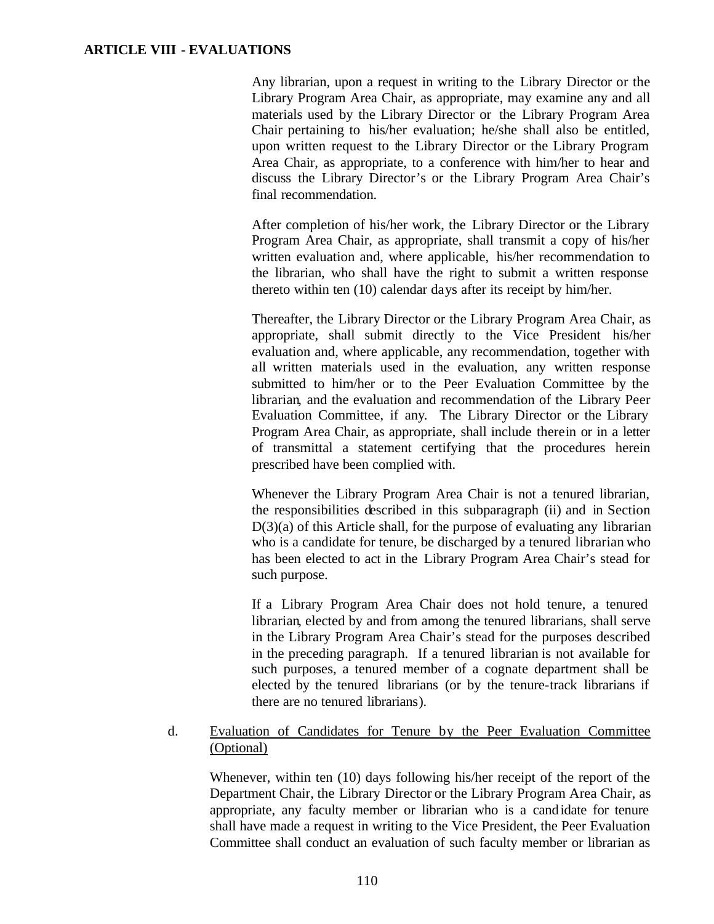Any librarian, upon a request in writing to the Library Director or the Library Program Area Chair, as appropriate, may examine any and all materials used by the Library Director or the Library Program Area Chair pertaining to his/her evaluation; he/she shall also be entitled, upon written request to the Library Director or the Library Program Area Chair, as appropriate, to a conference with him/her to hear and discuss the Library Director's or the Library Program Area Chair's final recommendation.

After completion of his/her work, the Library Director or the Library Program Area Chair, as appropriate, shall transmit a copy of his/her written evaluation and, where applicable, his/her recommendation to the librarian, who shall have the right to submit a written response thereto within ten (10) calendar days after its receipt by him/her.

Thereafter, the Library Director or the Library Program Area Chair, as appropriate, shall submit directly to the Vice President his/her evaluation and, where applicable, any recommendation, together with all written materials used in the evaluation, any written response submitted to him/her or to the Peer Evaluation Committee by the librarian, and the evaluation and recommendation of the Library Peer Evaluation Committee, if any. The Library Director or the Library Program Area Chair, as appropriate, shall include therein or in a letter of transmittal a statement certifying that the procedures herein prescribed have been complied with.

Whenever the Library Program Area Chair is not a tenured librarian, the responsibilities described in this subparagraph (ii) and in Section  $D(3)(a)$  of this Article shall, for the purpose of evaluating any librarian who is a candidate for tenure, be discharged by a tenured librarian who has been elected to act in the Library Program Area Chair's stead for such purpose.

If a Library Program Area Chair does not hold tenure, a tenured librarian, elected by and from among the tenured librarians, shall serve in the Library Program Area Chair's stead for the purposes described in the preceding paragraph. If a tenured librarian is not available for such purposes, a tenured member of a cognate department shall be elected by the tenured librarians (or by the tenure-track librarians if there are no tenured librarians).

# d. Evaluation of Candidates for Tenure by the Peer Evaluation Committee (Optional)

Whenever, within ten (10) days following his/her receipt of the report of the Department Chair, the Library Director or the Library Program Area Chair, as appropriate, any faculty member or librarian who is a candidate for tenure shall have made a request in writing to the Vice President, the Peer Evaluation Committee shall conduct an evaluation of such faculty member or librarian as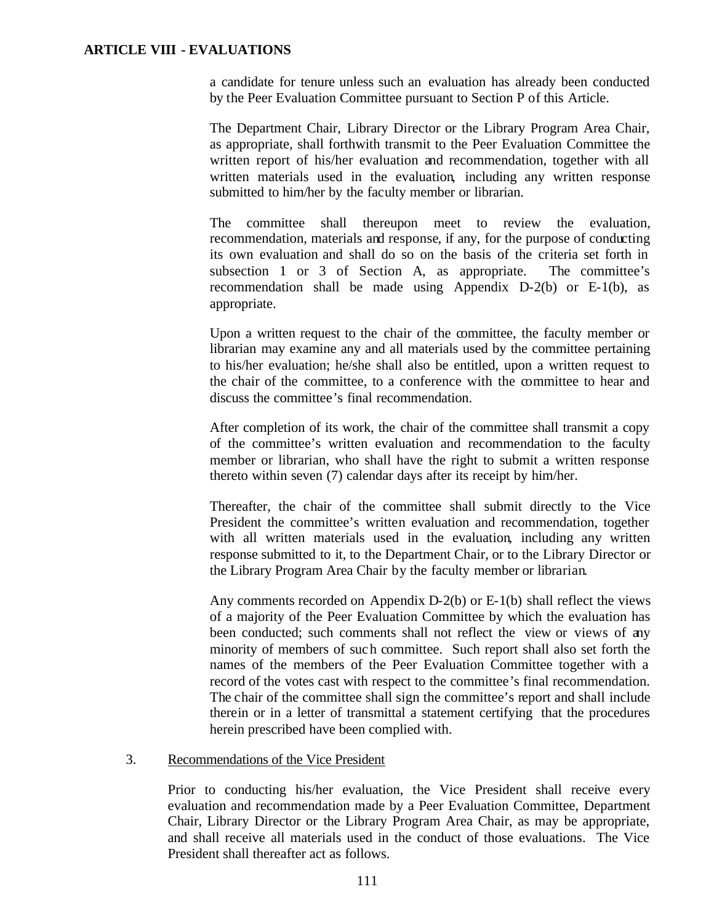a candidate for tenure unless such an evaluation has already been conducted by the Peer Evaluation Committee pursuant to Section P of this Article.

The Department Chair, Library Director or the Library Program Area Chair, as appropriate, shall forthwith transmit to the Peer Evaluation Committee the written report of his/her evaluation and recommendation, together with all written materials used in the evaluation, including any written response submitted to him/her by the faculty member or librarian.

The committee shall thereupon meet to review the evaluation, recommendation, materials and response, if any, for the purpose of conducting its own evaluation and shall do so on the basis of the criteria set forth in subsection 1 or 3 of Section A, as appropriate. The committee's recommendation shall be made using Appendix D-2(b) or E-1(b), as appropriate.

Upon a written request to the chair of the committee, the faculty member or librarian may examine any and all materials used by the committee pertaining to his/her evaluation; he/she shall also be entitled, upon a written request to the chair of the committee, to a conference with the committee to hear and discuss the committee's final recommendation.

After completion of its work, the chair of the committee shall transmit a copy of the committee's written evaluation and recommendation to the faculty member or librarian, who shall have the right to submit a written response thereto within seven (7) calendar days after its receipt by him/her.

Thereafter, the chair of the committee shall submit directly to the Vice President the committee's written evaluation and recommendation, together with all written materials used in the evaluation, including any written response submitted to it, to the Department Chair, or to the Library Director or the Library Program Area Chair by the faculty member or librarian.

Any comments recorded on Appendix D-2(b) or E-1(b) shall reflect the views of a majority of the Peer Evaluation Committee by which the evaluation has been conducted; such comments shall not reflect the view or views of any minority of members of such committee. Such report shall also set forth the names of the members of the Peer Evaluation Committee together with a record of the votes cast with respect to the committee's final recommendation. The chair of the committee shall sign the committee's report and shall include therein or in a letter of transmittal a statement certifying that the procedures herein prescribed have been complied with.

#### 3. Recommendations of the Vice President

Prior to conducting his/her evaluation, the Vice President shall receive every evaluation and recommendation made by a Peer Evaluation Committee, Department Chair, Library Director or the Library Program Area Chair, as may be appropriate, and shall receive all materials used in the conduct of those evaluations. The Vice President shall thereafter act as follows.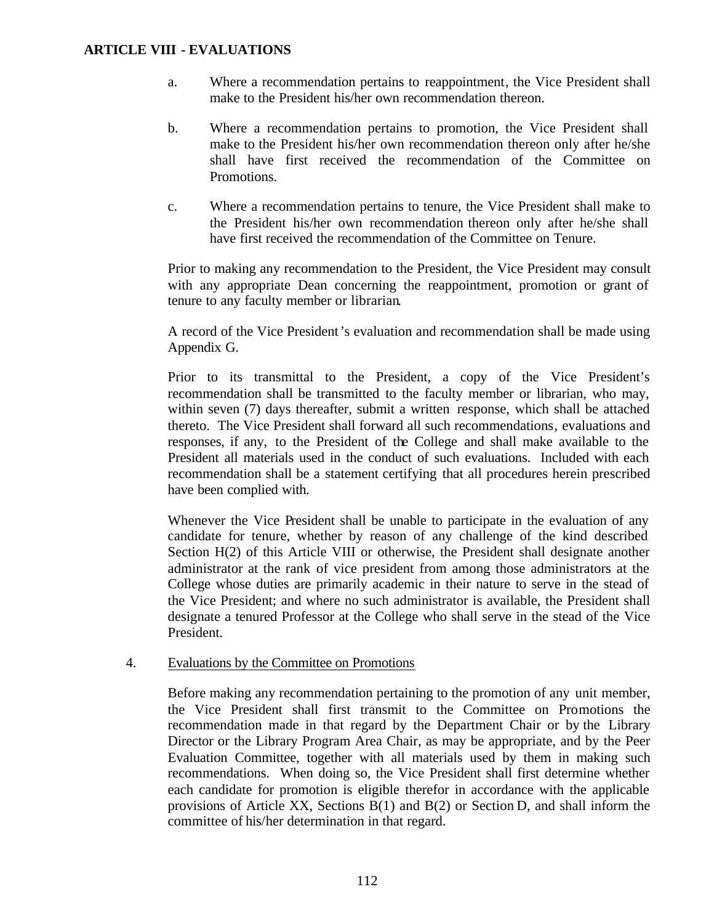- a. Where a recommendation pertains to reappointment, the Vice President shall make to the President his/her own recommendation thereon.
- b. Where a recommendation pertains to promotion, the Vice President shall make to the President his/her own recommendation thereon only after he/she shall have first received the recommendation of the Committee on **Promotions**
- c. Where a recommendation pertains to tenure, the Vice President shall make to the President his/her own recommendation thereon only after he/she shall have first received the recommendation of the Committee on Tenure.

Prior to making any recommendation to the President, the Vice President may consult with any appropriate Dean concerning the reappointment, promotion or grant of tenure to any faculty member or librarian.

A record of the Vice President's evaluation and recommendation shall be made using Appendix G.

Prior to its transmittal to the President, a copy of the Vice President's recommendation shall be transmitted to the faculty member or librarian, who may, within seven (7) days thereafter, submit a written response, which shall be attached thereto. The Vice President shall forward all such recommendations, evaluations and responses, if any, to the President of the College and shall make available to the President all materials used in the conduct of such evaluations. Included with each recommendation shall be a statement certifying that all procedures herein prescribed have been complied with.

Whenever the Vice President shall be unable to participate in the evaluation of any candidate for tenure, whether by reason of any challenge of the kind described Section H(2) of this Article VIII or otherwise, the President shall designate another administrator at the rank of vice president from among those administrators at the College whose duties are primarily academic in their nature to serve in the stead of the Vice President; and where no such administrator is available, the President shall designate a tenured Professor at the College who shall serve in the stead of the Vice President.

## 4. Evaluations by the Committee on Promotions

Before making any recommendation pertaining to the promotion of any unit member, the Vice President shall first transmit to the Committee on Promotions the recommendation made in that regard by the Department Chair or by the Library Director or the Library Program Area Chair, as may be appropriate, and by the Peer Evaluation Committee, together with all materials used by them in making such recommendations. When doing so, the Vice President shall first determine whether each candidate for promotion is eligible therefor in accordance with the applicable provisions of Article XX, Sections B(1) and B(2) or Section D, and shall inform the committee of his/her determination in that regard.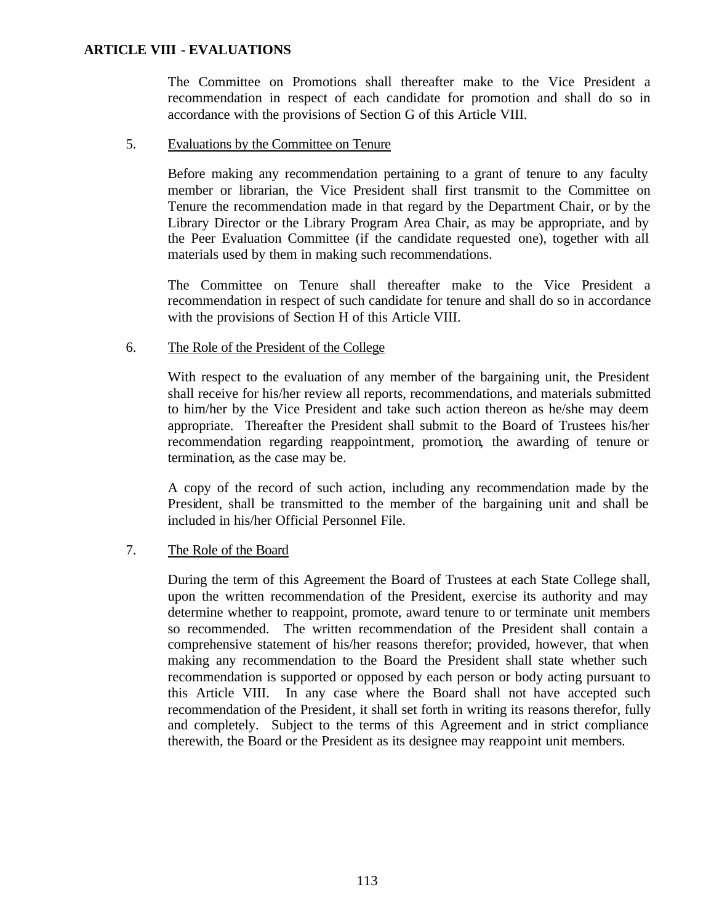The Committee on Promotions shall thereafter make to the Vice President a recommendation in respect of each candidate for promotion and shall do so in accordance with the provisions of Section G of this Article VIII.

#### 5. Evaluations by the Committee on Tenure

Before making any recommendation pertaining to a grant of tenure to any faculty member or librarian, the Vice President shall first transmit to the Committee on Tenure the recommendation made in that regard by the Department Chair, or by the Library Director or the Library Program Area Chair, as may be appropriate, and by the Peer Evaluation Committee (if the candidate requested one), together with all materials used by them in making such recommendations.

The Committee on Tenure shall thereafter make to the Vice President a recommendation in respect of such candidate for tenure and shall do so in accordance with the provisions of Section H of this Article VIII.

## 6. The Role of the President of the College

With respect to the evaluation of any member of the bargaining unit, the President shall receive for his/her review all reports, recommendations, and materials submitted to him/her by the Vice President and take such action thereon as he/she may deem appropriate. Thereafter the President shall submit to the Board of Trustees his/her recommendation regarding reappointment, promotion, the awarding of tenure or termination, as the case may be.

A copy of the record of such action, including any recommendation made by the President, shall be transmitted to the member of the bargaining unit and shall be included in his/her Official Personnel File.

## 7. The Role of the Board

During the term of this Agreement the Board of Trustees at each State College shall, upon the written recommendation of the President, exercise its authority and may determine whether to reappoint, promote, award tenure to or terminate unit members so recommended. The written recommendation of the President shall contain a comprehensive statement of his/her reasons therefor; provided, however, that when making any recommendation to the Board the President shall state whether such recommendation is supported or opposed by each person or body acting pursuant to this Article VIII. In any case where the Board shall not have accepted such recommendation of the President, it shall set forth in writing its reasons therefor, fully and completely. Subject to the terms of this Agreement and in strict compliance therewith, the Board or the President as its designee may reappoint unit members.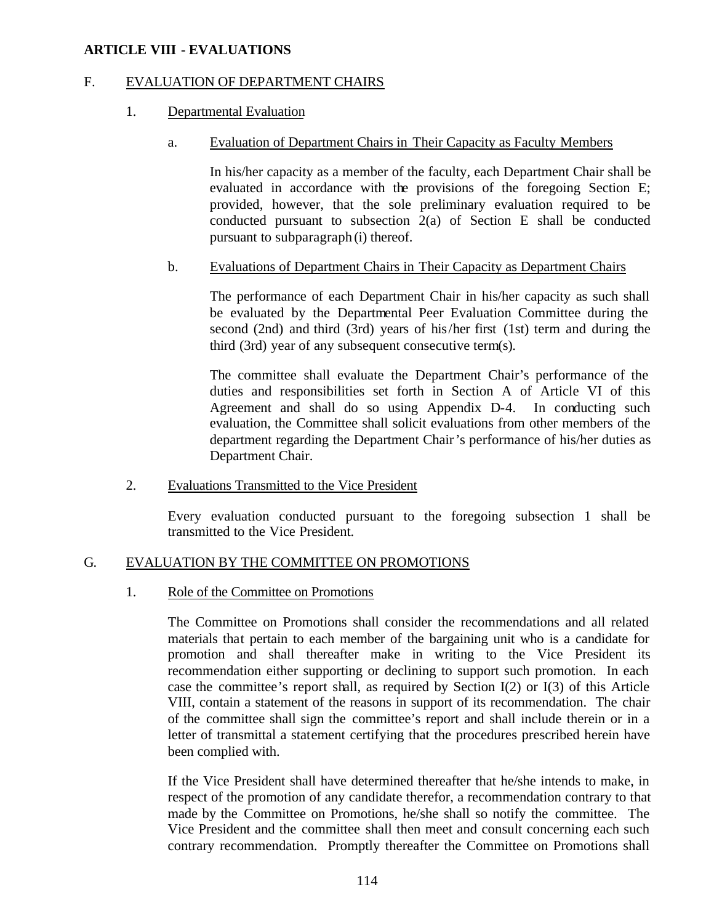## F. EVALUATION OF DEPARTMENT CHAIRS

#### 1. Departmental Evaluation

#### a. Evaluation of Department Chairs in Their Capacity as Faculty Members

In his/her capacity as a member of the faculty, each Department Chair shall be evaluated in accordance with the provisions of the foregoing Section E; provided, however, that the sole preliminary evaluation required to be conducted pursuant to subsection 2(a) of Section E shall be conducted pursuant to subparagraph (i) thereof.

## b. Evaluations of Department Chairs in Their Capacity as Department Chairs

The performance of each Department Chair in his/her capacity as such shall be evaluated by the Departmental Peer Evaluation Committee during the second (2nd) and third (3rd) years of his/her first (1st) term and during the third (3rd) year of any subsequent consecutive term(s).

The committee shall evaluate the Department Chair's performance of the duties and responsibilities set forth in Section A of Article VI of this Agreement and shall do so using Appendix D-4. In conducting such evaluation, the Committee shall solicit evaluations from other members of the department regarding the Department Chair's performance of his/her duties as Department Chair.

2. Evaluations Transmitted to the Vice President

Every evaluation conducted pursuant to the foregoing subsection 1 shall be transmitted to the Vice President.

## G. EVALUATION BY THE COMMITTEE ON PROMOTIONS

#### 1. Role of the Committee on Promotions

The Committee on Promotions shall consider the recommendations and all related materials that pertain to each member of the bargaining unit who is a candidate for promotion and shall thereafter make in writing to the Vice President its recommendation either supporting or declining to support such promotion. In each case the committee's report shall, as required by Section I(2) or I(3) of this Article VIII, contain a statement of the reasons in support of its recommendation. The chair of the committee shall sign the committee's report and shall include therein or in a letter of transmittal a statement certifying that the procedures prescribed herein have been complied with.

If the Vice President shall have determined thereafter that he/she intends to make, in respect of the promotion of any candidate therefor, a recommendation contrary to that made by the Committee on Promotions, he/she shall so notify the committee. The Vice President and the committee shall then meet and consult concerning each such contrary recommendation. Promptly thereafter the Committee on Promotions shall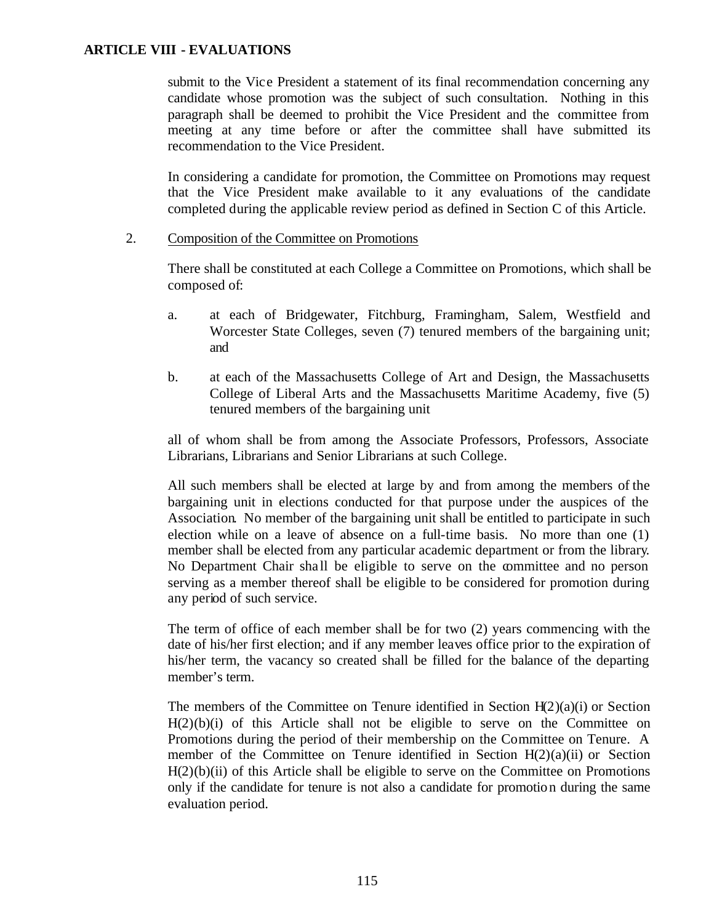submit to the Vice President a statement of its final recommendation concerning any candidate whose promotion was the subject of such consultation. Nothing in this paragraph shall be deemed to prohibit the Vice President and the committee from meeting at any time before or after the committee shall have submitted its recommendation to the Vice President.

In considering a candidate for promotion, the Committee on Promotions may request that the Vice President make available to it any evaluations of the candidate completed during the applicable review period as defined in Section C of this Article.

#### 2. Composition of the Committee on Promotions

There shall be constituted at each College a Committee on Promotions, which shall be composed of:

- a. at each of Bridgewater, Fitchburg, Framingham, Salem, Westfield and Worcester State Colleges, seven (7) tenured members of the bargaining unit; and
- b. at each of the Massachusetts College of Art and Design, the Massachusetts College of Liberal Arts and the Massachusetts Maritime Academy, five (5) tenured members of the bargaining unit

all of whom shall be from among the Associate Professors, Professors, Associate Librarians, Librarians and Senior Librarians at such College.

All such members shall be elected at large by and from among the members of the bargaining unit in elections conducted for that purpose under the auspices of the Association. No member of the bargaining unit shall be entitled to participate in such election while on a leave of absence on a full-time basis. No more than one (1) member shall be elected from any particular academic department or from the library. No Department Chair sha ll be eligible to serve on the committee and no person serving as a member thereof shall be eligible to be considered for promotion during any period of such service.

The term of office of each member shall be for two (2) years commencing with the date of his/her first election; and if any member leaves office prior to the expiration of his/her term, the vacancy so created shall be filled for the balance of the departing member's term.

The members of the Committee on Tenure identified in Section  $H(2)(a)(i)$  or Section  $H(2)(b)(i)$  of this Article shall not be eligible to serve on the Committee on Promotions during the period of their membership on the Committee on Tenure. A member of the Committee on Tenure identified in Section  $H(2)(a)(ii)$  or Section  $H(2)(b)(ii)$  of this Article shall be eligible to serve on the Committee on Promotions only if the candidate for tenure is not also a candidate for promotion during the same evaluation period.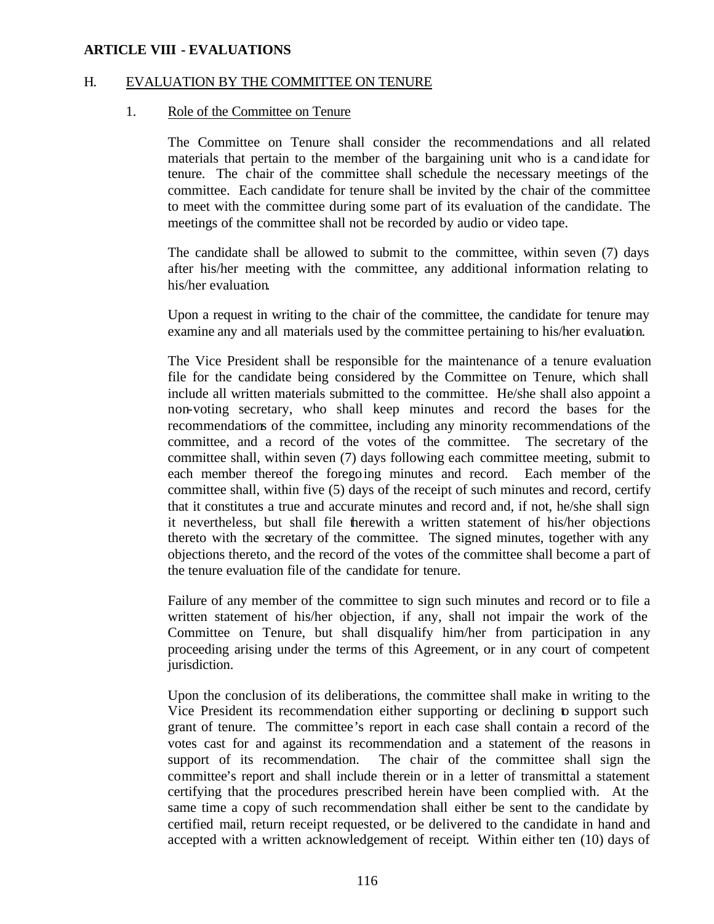#### H. EVALUATION BY THE COMMITTEE ON TENURE

#### 1. Role of the Committee on Tenure

The Committee on Tenure shall consider the recommendations and all related materials that pertain to the member of the bargaining unit who is a candidate for tenure. The chair of the committee shall schedule the necessary meetings of the committee. Each candidate for tenure shall be invited by the chair of the committee to meet with the committee during some part of its evaluation of the candidate. The meetings of the committee shall not be recorded by audio or video tape.

The candidate shall be allowed to submit to the committee, within seven (7) days after his/her meeting with the committee, any additional information relating to his/her evaluation.

Upon a request in writing to the chair of the committee, the candidate for tenure may examine any and all materials used by the committee pertaining to his/her evaluation.

The Vice President shall be responsible for the maintenance of a tenure evaluation file for the candidate being considered by the Committee on Tenure, which shall include all written materials submitted to the committee. He/she shall also appoint a non-voting secretary, who shall keep minutes and record the bases for the recommendations of the committee, including any minority recommendations of the committee, and a record of the votes of the committee. The secretary of the committee shall, within seven (7) days following each committee meeting, submit to each member thereof the foregoing minutes and record. Each member of the committee shall, within five (5) days of the receipt of such minutes and record, certify that it constitutes a true and accurate minutes and record and, if not, he/she shall sign it nevertheless, but shall file therewith a written statement of his/her objections thereto with the secretary of the committee. The signed minutes, together with any objections thereto, and the record of the votes of the committee shall become a part of the tenure evaluation file of the candidate for tenure.

Failure of any member of the committee to sign such minutes and record or to file a written statement of his/her objection, if any, shall not impair the work of the Committee on Tenure, but shall disqualify him/her from participation in any proceeding arising under the terms of this Agreement, or in any court of competent jurisdiction.

Upon the conclusion of its deliberations, the committee shall make in writing to the Vice President its recommendation either supporting or declining to support such grant of tenure. The committee's report in each case shall contain a record of the votes cast for and against its recommendation and a statement of the reasons in support of its recommendation. The chair of the committee shall sign the committee's report and shall include therein or in a letter of transmittal a statement certifying that the procedures prescribed herein have been complied with. At the same time a copy of such recommendation shall either be sent to the candidate by certified mail, return receipt requested, or be delivered to the candidate in hand and accepted with a written acknowledgement of receipt. Within either ten (10) days of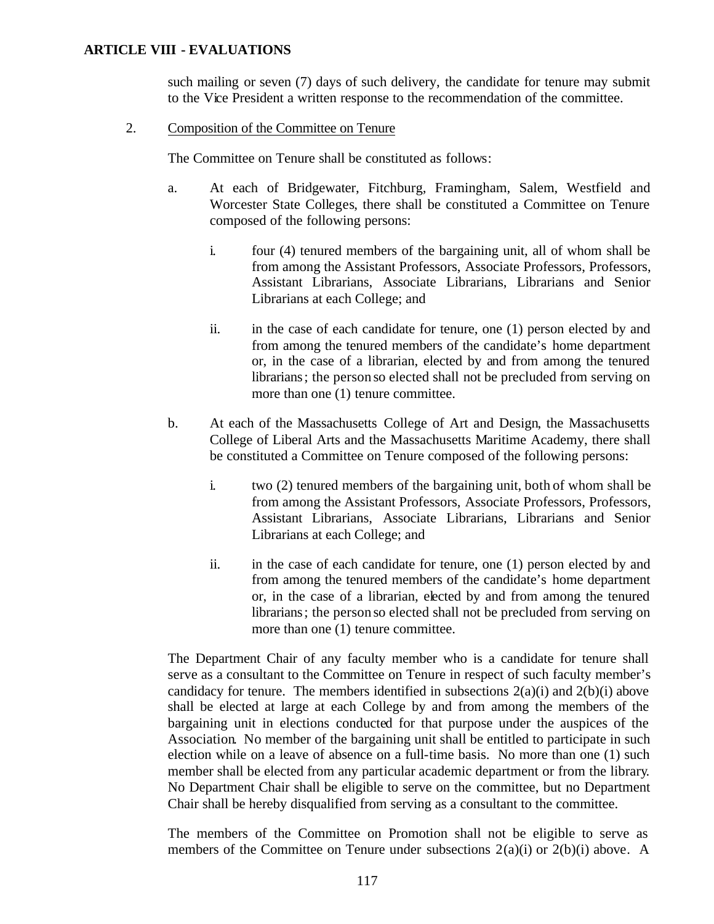such mailing or seven (7) days of such delivery, the candidate for tenure may submit to the Vice President a written response to the recommendation of the committee.

#### 2. Composition of the Committee on Tenure

The Committee on Tenure shall be constituted as follows:

- a. At each of Bridgewater, Fitchburg, Framingham, Salem, Westfield and Worcester State Colleges, there shall be constituted a Committee on Tenure composed of the following persons:
	- i. four (4) tenured members of the bargaining unit, all of whom shall be from among the Assistant Professors, Associate Professors, Professors, Assistant Librarians, Associate Librarians, Librarians and Senior Librarians at each College; and
	- ii. in the case of each candidate for tenure, one (1) person elected by and from among the tenured members of the candidate's home department or, in the case of a librarian, elected by and from among the tenured librarians; the person so elected shall not be precluded from serving on more than one (1) tenure committee.
- b. At each of the Massachusetts College of Art and Design, the Massachusetts College of Liberal Arts and the Massachusetts Maritime Academy, there shall be constituted a Committee on Tenure composed of the following persons:
	- i. two (2) tenured members of the bargaining unit, both of whom shall be from among the Assistant Professors, Associate Professors, Professors, Assistant Librarians, Associate Librarians, Librarians and Senior Librarians at each College; and
	- ii. in the case of each candidate for tenure, one (1) person elected by and from among the tenured members of the candidate's home department or, in the case of a librarian, elected by and from among the tenured librarians; the person so elected shall not be precluded from serving on more than one (1) tenure committee.

The Department Chair of any faculty member who is a candidate for tenure shall serve as a consultant to the Committee on Tenure in respect of such faculty member's candidacy for tenure. The members identified in subsections  $2(a)(i)$  and  $2(b)(i)$  above shall be elected at large at each College by and from among the members of the bargaining unit in elections conducted for that purpose under the auspices of the Association. No member of the bargaining unit shall be entitled to participate in such election while on a leave of absence on a full-time basis. No more than one (1) such member shall be elected from any particular academic department or from the library. No Department Chair shall be eligible to serve on the committee, but no Department Chair shall be hereby disqualified from serving as a consultant to the committee.

The members of the Committee on Promotion shall not be eligible to serve as members of the Committee on Tenure under subsections  $2(a)(i)$  or  $2(b)(i)$  above. A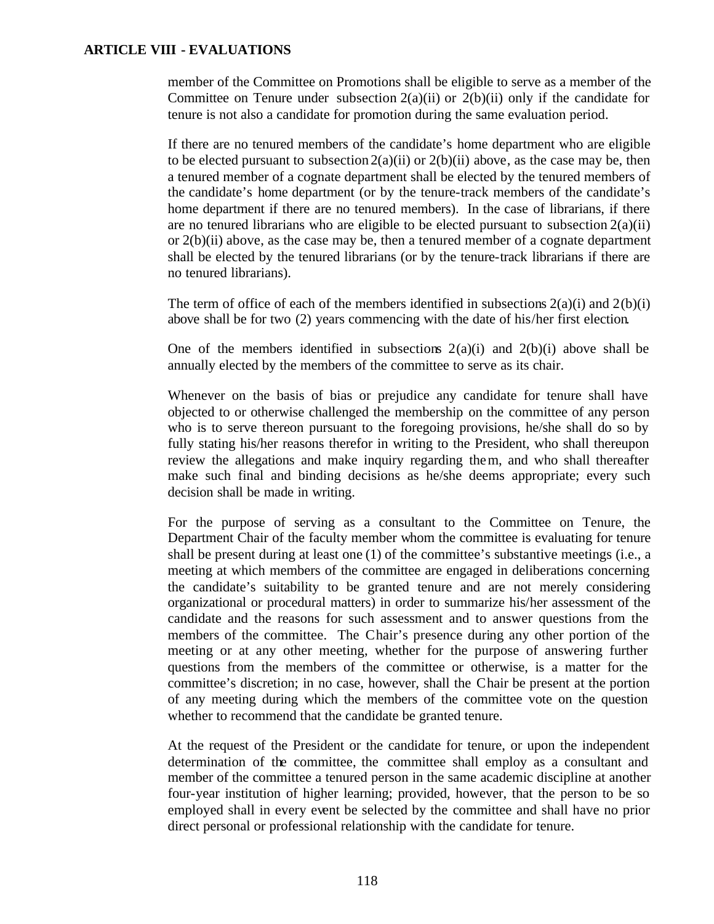member of the Committee on Promotions shall be eligible to serve as a member of the Committee on Tenure under subsection  $2(a)(ii)$  or  $2(b)(ii)$  only if the candidate for tenure is not also a candidate for promotion during the same evaluation period.

If there are no tenured members of the candidate's home department who are eligible to be elected pursuant to subsection  $2(a)(ii)$  or  $2(b)(ii)$  above, as the case may be, then a tenured member of a cognate department shall be elected by the tenured members of the candidate's home department (or by the tenure-track members of the candidate's home department if there are no tenured members). In the case of librarians, if there are no tenured librarians who are eligible to be elected pursuant to subsection  $2(a)(ii)$ or  $2(b)(ii)$  above, as the case may be, then a tenured member of a cognate department shall be elected by the tenured librarians (or by the tenure-track librarians if there are no tenured librarians).

The term of office of each of the members identified in subsections  $2(a)(i)$  and  $2(b)(i)$ above shall be for two (2) years commencing with the date of his/her first election.

One of the members identified in subsections  $2(a)(i)$  and  $2(b)(i)$  above shall be annually elected by the members of the committee to serve as its chair.

Whenever on the basis of bias or prejudice any candidate for tenure shall have objected to or otherwise challenged the membership on the committee of any person who is to serve thereon pursuant to the foregoing provisions, he/she shall do so by fully stating his/her reasons therefor in writing to the President, who shall thereupon review the allegations and make inquiry regarding them, and who shall thereafter make such final and binding decisions as he/she deems appropriate; every such decision shall be made in writing.

For the purpose of serving as a consultant to the Committee on Tenure, the Department Chair of the faculty member whom the committee is evaluating for tenure shall be present during at least one (1) of the committee's substantive meetings (i.e., a meeting at which members of the committee are engaged in deliberations concerning the candidate's suitability to be granted tenure and are not merely considering organizational or procedural matters) in order to summarize his/her assessment of the candidate and the reasons for such assessment and to answer questions from the members of the committee. The Chair's presence during any other portion of the meeting or at any other meeting, whether for the purpose of answering further questions from the members of the committee or otherwise, is a matter for the committee's discretion; in no case, however, shall the Chair be present at the portion of any meeting during which the members of the committee vote on the question whether to recommend that the candidate be granted tenure.

At the request of the President or the candidate for tenure, or upon the independent determination of the committee, the committee shall employ as a consultant and member of the committee a tenured person in the same academic discipline at another four-year institution of higher learning; provided, however, that the person to be so employed shall in every event be selected by the committee and shall have no prior direct personal or professional relationship with the candidate for tenure.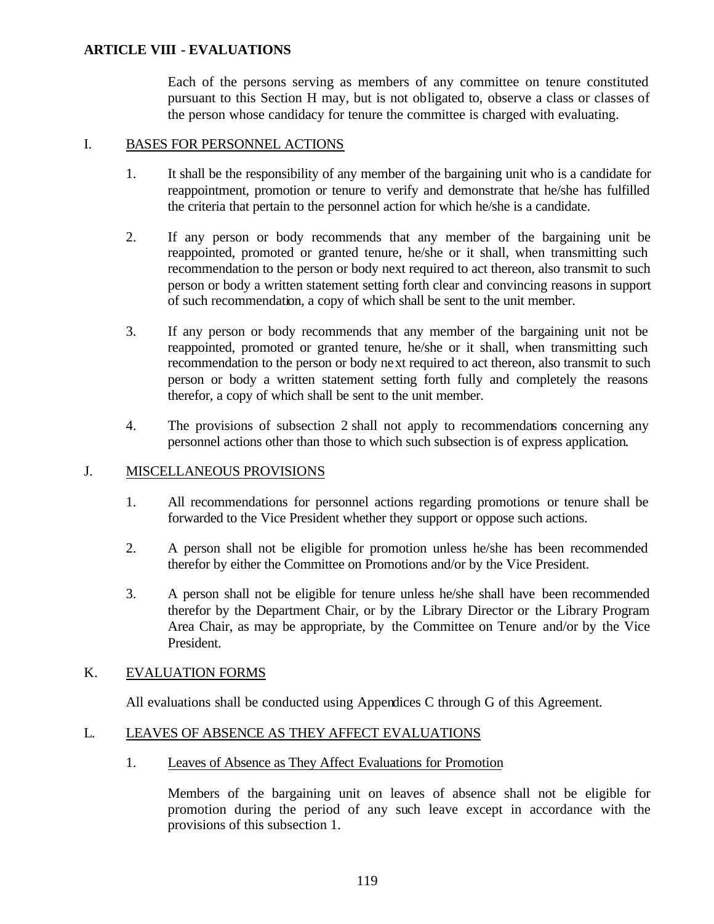Each of the persons serving as members of any committee on tenure constituted pursuant to this Section H may, but is not obligated to, observe a class or classes of the person whose candidacy for tenure the committee is charged with evaluating.

#### I. BASES FOR PERSONNEL ACTIONS

- 1. It shall be the responsibility of any member of the bargaining unit who is a candidate for reappointment, promotion or tenure to verify and demonstrate that he/she has fulfilled the criteria that pertain to the personnel action for which he/she is a candidate.
- 2. If any person or body recommends that any member of the bargaining unit be reappointed, promoted or granted tenure, he/she or it shall, when transmitting such recommendation to the person or body next required to act thereon, also transmit to such person or body a written statement setting forth clear and convincing reasons in support of such recommendation, a copy of which shall be sent to the unit member.
- 3. If any person or body recommends that any member of the bargaining unit not be reappointed, promoted or granted tenure, he/she or it shall, when transmitting such recommendation to the person or body next required to act thereon, also transmit to such person or body a written statement setting forth fully and completely the reasons therefor, a copy of which shall be sent to the unit member.
- 4. The provisions of subsection 2 shall not apply to recommendations concerning any personnel actions other than those to which such subsection is of express application.

## J. MISCELLANEOUS PROVISIONS

- 1. All recommendations for personnel actions regarding promotions or tenure shall be forwarded to the Vice President whether they support or oppose such actions.
- 2. A person shall not be eligible for promotion unless he/she has been recommended therefor by either the Committee on Promotions and/or by the Vice President.
- 3. A person shall not be eligible for tenure unless he/she shall have been recommended therefor by the Department Chair, or by the Library Director or the Library Program Area Chair, as may be appropriate, by the Committee on Tenure and/or by the Vice President.

## K. EVALUATION FORMS

All evaluations shall be conducted using Appendices C through G of this Agreement.

## L. LEAVES OF ABSENCE AS THEY AFFECT EVALUATIONS

1. Leaves of Absence as They Affect Evaluations for Promotion

Members of the bargaining unit on leaves of absence shall not be eligible for promotion during the period of any such leave except in accordance with the provisions of this subsection 1.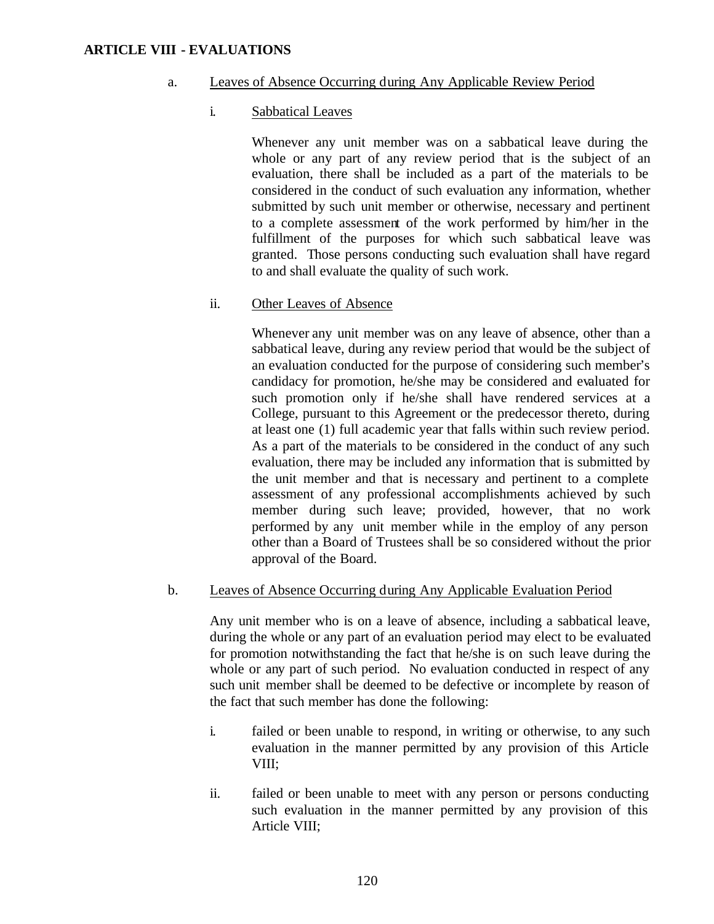#### a. Leaves of Absence Occurring during Any Applicable Review Period

#### i. Sabbatical Leaves

Whenever any unit member was on a sabbatical leave during the whole or any part of any review period that is the subject of an evaluation, there shall be included as a part of the materials to be considered in the conduct of such evaluation any information, whether submitted by such unit member or otherwise, necessary and pertinent to a complete assessment of the work performed by him/her in the fulfillment of the purposes for which such sabbatical leave was granted. Those persons conducting such evaluation shall have regard to and shall evaluate the quality of such work.

#### ii. Other Leaves of Absence

Whenever any unit member was on any leave of absence, other than a sabbatical leave, during any review period that would be the subject of an evaluation conducted for the purpose of considering such member's candidacy for promotion, he/she may be considered and evaluated for such promotion only if he/she shall have rendered services at a College, pursuant to this Agreement or the predecessor thereto, during at least one (1) full academic year that falls within such review period. As a part of the materials to be considered in the conduct of any such evaluation, there may be included any information that is submitted by the unit member and that is necessary and pertinent to a complete assessment of any professional accomplishments achieved by such member during such leave; provided, however, that no work performed by any unit member while in the employ of any person other than a Board of Trustees shall be so considered without the prior approval of the Board.

#### b. Leaves of Absence Occurring during Any Applicable Evaluation Period

Any unit member who is on a leave of absence, including a sabbatical leave, during the whole or any part of an evaluation period may elect to be evaluated for promotion notwithstanding the fact that he/she is on such leave during the whole or any part of such period. No evaluation conducted in respect of any such unit member shall be deemed to be defective or incomplete by reason of the fact that such member has done the following:

- i. failed or been unable to respond, in writing or otherwise, to any such evaluation in the manner permitted by any provision of this Article VIII;
- ii. failed or been unable to meet with any person or persons conducting such evaluation in the manner permitted by any provision of this Article VIII;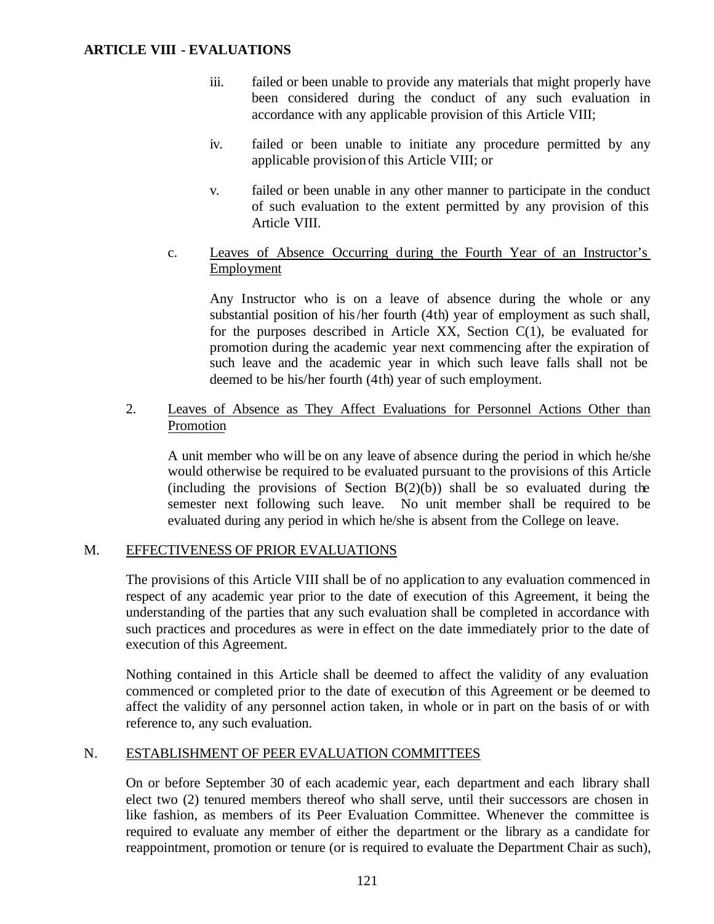- iii. failed or been unable to provide any materials that might properly have been considered during the conduct of any such evaluation in accordance with any applicable provision of this Article VIII;
- iv. failed or been unable to initiate any procedure permitted by any applicable provision of this Article VIII; or
- v. failed or been unable in any other manner to participate in the conduct of such evaluation to the extent permitted by any provision of this Article VIII.
- c. Leaves of Absence Occurring during the Fourth Year of an Instructor's Employment

Any Instructor who is on a leave of absence during the whole or any substantial position of his/her fourth (4th) year of employment as such shall, for the purposes described in Article XX, Section C(1), be evaluated for promotion during the academic year next commencing after the expiration of such leave and the academic year in which such leave falls shall not be deemed to be his/her fourth (4th) year of such employment.

2. Leaves of Absence as They Affect Evaluations for Personnel Actions Other than Promotion

A unit member who will be on any leave of absence during the period in which he/she would otherwise be required to be evaluated pursuant to the provisions of this Article (including the provisions of Section  $B(2)(b)$ ) shall be so evaluated during the semester next following such leave. No unit member shall be required to be evaluated during any period in which he/she is absent from the College on leave.

## M. EFFECTIVENESS OF PRIOR EVALUATIONS

The provisions of this Article VIII shall be of no application to any evaluation commenced in respect of any academic year prior to the date of execution of this Agreement, it being the understanding of the parties that any such evaluation shall be completed in accordance with such practices and procedures as were in effect on the date immediately prior to the date of execution of this Agreement.

Nothing contained in this Article shall be deemed to affect the validity of any evaluation commenced or completed prior to the date of execution of this Agreement or be deemed to affect the validity of any personnel action taken, in whole or in part on the basis of or with reference to, any such evaluation.

## N. ESTABLISHMENT OF PEER EVALUATION COMMITTEES

On or before September 30 of each academic year, each department and each library shall elect two (2) tenured members thereof who shall serve, until their successors are chosen in like fashion, as members of its Peer Evaluation Committee. Whenever the committee is required to evaluate any member of either the department or the library as a candidate for reappointment, promotion or tenure (or is required to evaluate the Department Chair as such),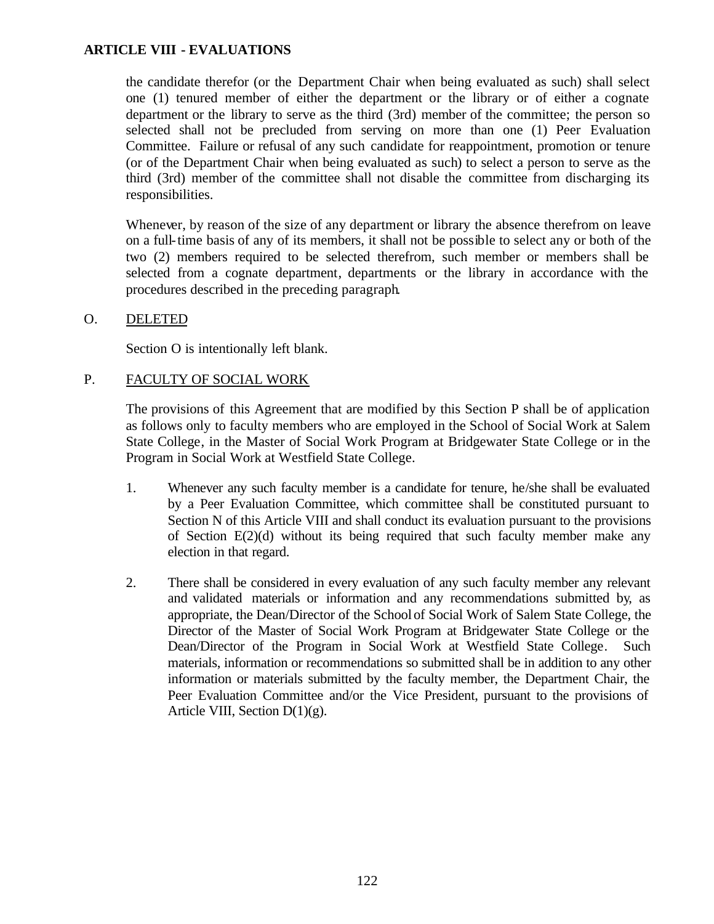the candidate therefor (or the Department Chair when being evaluated as such) shall select one (1) tenured member of either the department or the library or of either a cognate department or the library to serve as the third (3rd) member of the committee; the person so selected shall not be precluded from serving on more than one (1) Peer Evaluation Committee. Failure or refusal of any such candidate for reappointment, promotion or tenure (or of the Department Chair when being evaluated as such) to select a person to serve as the third (3rd) member of the committee shall not disable the committee from discharging its responsibilities.

Whenever, by reason of the size of any department or library the absence therefrom on leave on a full-time basis of any of its members, it shall not be possible to select any or both of the two (2) members required to be selected therefrom, such member or members shall be selected from a cognate department, departments or the library in accordance with the procedures described in the preceding paragraph.

O. DELETED

Section O is intentionally left blank.

# P. FACULTY OF SOCIAL WORK

The provisions of this Agreement that are modified by this Section P shall be of application as follows only to faculty members who are employed in the School of Social Work at Salem State College, in the Master of Social Work Program at Bridgewater State College or in the Program in Social Work at Westfield State College.

- 1. Whenever any such faculty member is a candidate for tenure, he/she shall be evaluated by a Peer Evaluation Committee, which committee shall be constituted pursuant to Section N of this Article VIII and shall conduct its evaluation pursuant to the provisions of Section  $E(2)(d)$  without its being required that such faculty member make any election in that regard.
- 2. There shall be considered in every evaluation of any such faculty member any relevant and validated materials or information and any recommendations submitted by, as appropriate, the Dean/Director of the School of Social Work of Salem State College, the Director of the Master of Social Work Program at Bridgewater State College or the Dean/Director of the Program in Social Work at Westfield State College. Such materials, information or recommendations so submitted shall be in addition to any other information or materials submitted by the faculty member, the Department Chair, the Peer Evaluation Committee and/or the Vice President, pursuant to the provisions of Article VIII, Section  $D(1)(g)$ .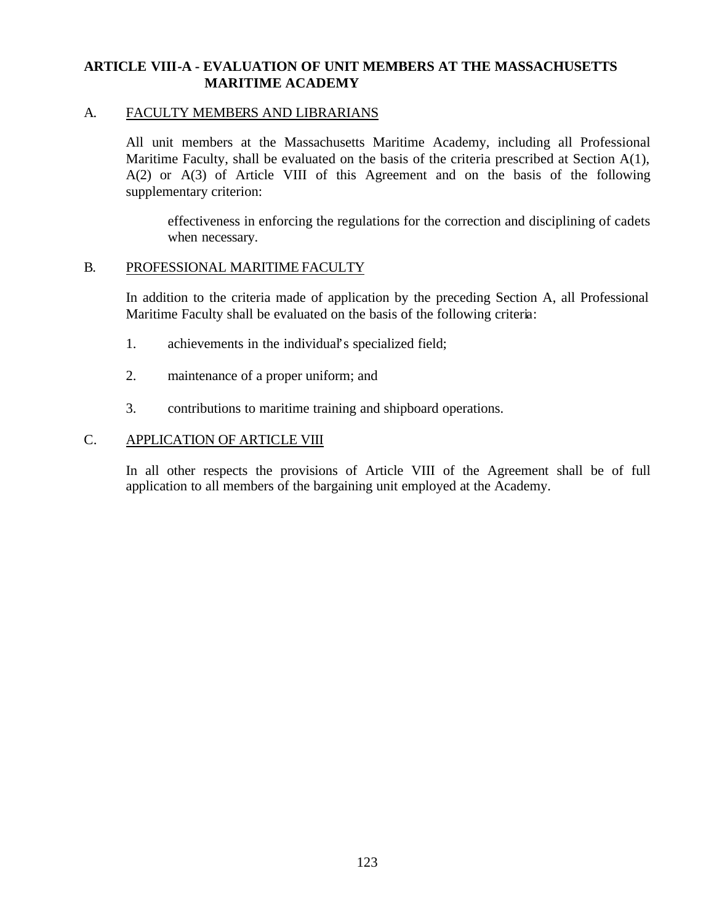# **ARTICLE VIII-A - EVALUATION OF UNIT MEMBERS AT THE MASSACHUSETTS MARITIME ACADEMY**

#### A. FACULTY MEMBERS AND LIBRARIANS

All unit members at the Massachusetts Maritime Academy, including all Professional Maritime Faculty, shall be evaluated on the basis of the criteria prescribed at Section A(1), A(2) or A(3) of Article VIII of this Agreement and on the basis of the following supplementary criterion:

effectiveness in enforcing the regulations for the correction and disciplining of cadets when necessary.

#### B. PROFESSIONAL MARITIME FACULTY

In addition to the criteria made of application by the preceding Section A, all Professional Maritime Faculty shall be evaluated on the basis of the following criteria:

- 1. achievements in the individual's specialized field;
- 2. maintenance of a proper uniform; and
- 3. contributions to maritime training and shipboard operations.

## C. APPLICATION OF ARTICLE VIII

In all other respects the provisions of Article VIII of the Agreement shall be of full application to all members of the bargaining unit employed at the Academy.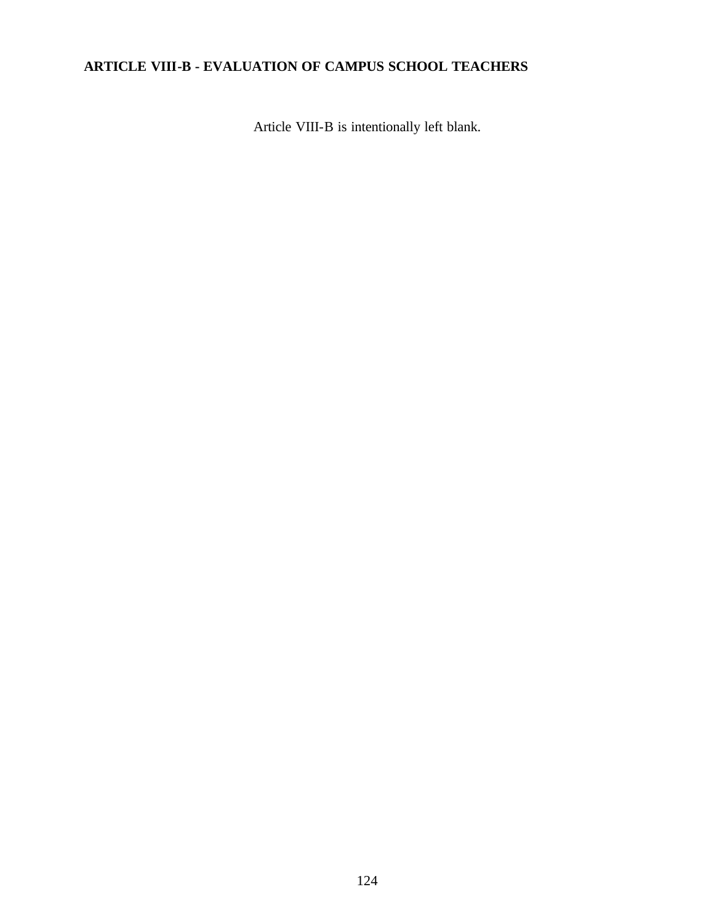# **ARTICLE VIII-B - EVALUATION OF CAMPUS SCHOOL TEACHERS**

Article VIII-B is intentionally left blank.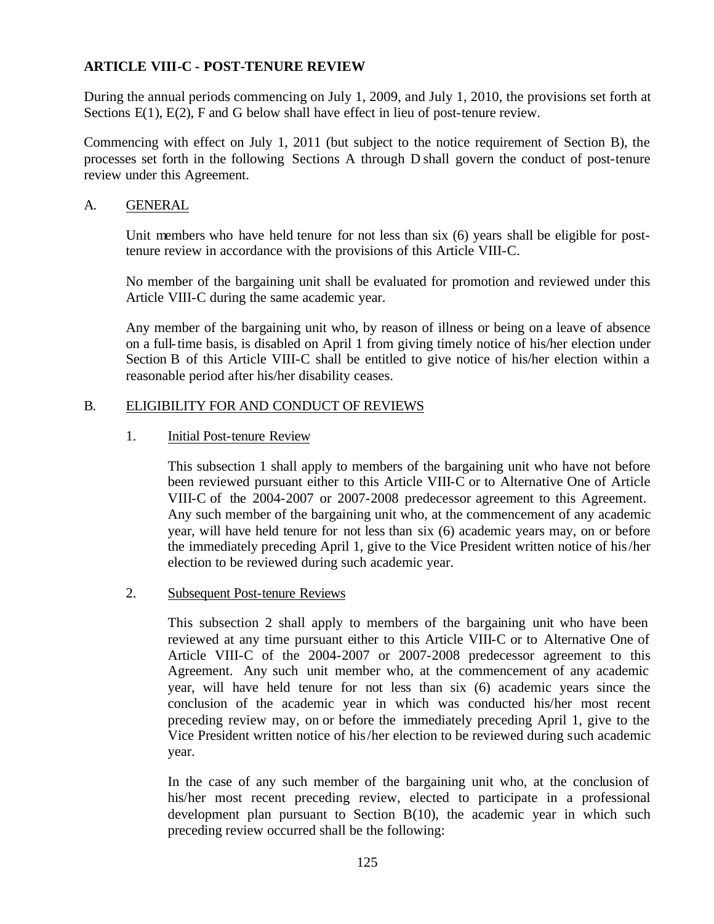During the annual periods commencing on July 1, 2009, and July 1, 2010, the provisions set forth at Sections E(1), E(2), F and G below shall have effect in lieu of post-tenure review.

Commencing with effect on July 1, 2011 (but subject to the notice requirement of Section B), the processes set forth in the following Sections A through D shall govern the conduct of post-tenure review under this Agreement.

# A. GENERAL

Unit members who have held tenure for not less than six (6) years shall be eligible for posttenure review in accordance with the provisions of this Article VIII-C.

No member of the bargaining unit shall be evaluated for promotion and reviewed under this Article VIII-C during the same academic year.

Any member of the bargaining unit who, by reason of illness or being on a leave of absence on a full-time basis, is disabled on April 1 from giving timely notice of his/her election under Section B of this Article VIII-C shall be entitled to give notice of his/her election within a reasonable period after his/her disability ceases.

## B. ELIGIBILITY FOR AND CONDUCT OF REVIEWS

## 1. Initial Post-tenure Review

This subsection 1 shall apply to members of the bargaining unit who have not before been reviewed pursuant either to this Article VIII-C or to Alternative One of Article VIII-C of the 2004-2007 or 2007-2008 predecessor agreement to this Agreement. Any such member of the bargaining unit who, at the commencement of any academic year, will have held tenure for not less than six (6) academic years may, on or before the immediately preceding April 1, give to the Vice President written notice of his/her election to be reviewed during such academic year.

## 2. Subsequent Post-tenure Reviews

This subsection 2 shall apply to members of the bargaining unit who have been reviewed at any time pursuant either to this Article VIII-C or to Alternative One of Article VIII-C of the 2004-2007 or 2007-2008 predecessor agreement to this Agreement. Any such unit member who, at the commencement of any academic year, will have held tenure for not less than six (6) academic years since the conclusion of the academic year in which was conducted his/her most recent preceding review may, on or before the immediately preceding April 1, give to the Vice President written notice of his/her election to be reviewed during such academic year.

In the case of any such member of the bargaining unit who, at the conclusion of his/her most recent preceding review, elected to participate in a professional development plan pursuant to Section B(10), the academic year in which such preceding review occurred shall be the following: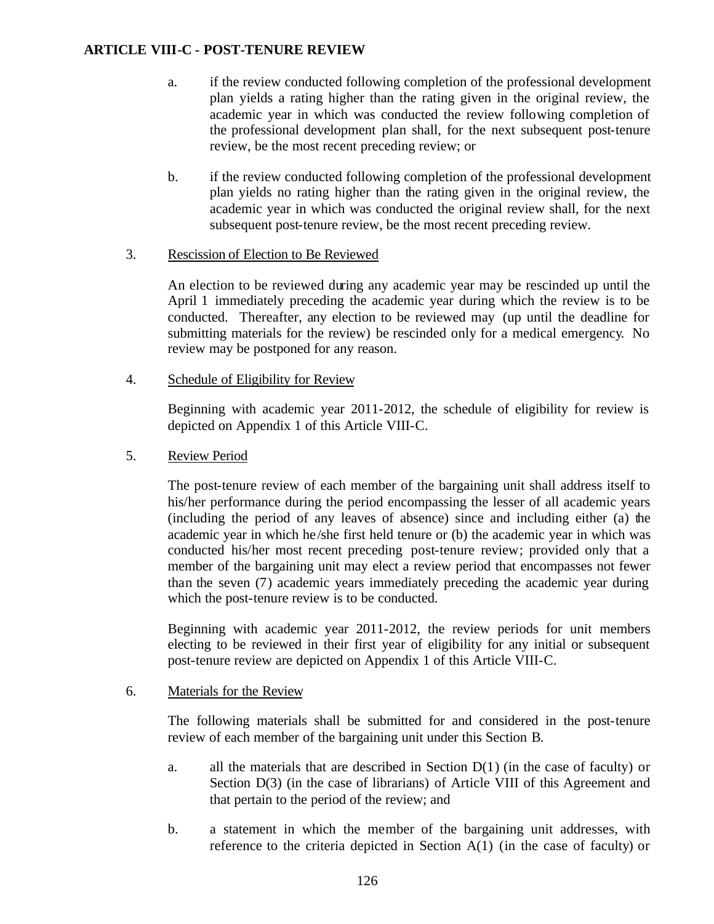- a. if the review conducted following completion of the professional development plan yields a rating higher than the rating given in the original review, the academic year in which was conducted the review following completion of the professional development plan shall, for the next subsequent post-tenure review, be the most recent preceding review; or
- b. if the review conducted following completion of the professional development plan yields no rating higher than the rating given in the original review, the academic year in which was conducted the original review shall, for the next subsequent post-tenure review, be the most recent preceding review.

## 3. Rescission of Election to Be Reviewed

An election to be reviewed during any academic year may be rescinded up until the April 1 immediately preceding the academic year during which the review is to be conducted. Thereafter, any election to be reviewed may (up until the deadline for submitting materials for the review) be rescinded only for a medical emergency. No review may be postponed for any reason.

# 4. Schedule of Eligibility for Review

Beginning with academic year 2011-2012, the schedule of eligibility for review is depicted on Appendix 1 of this Article VIII-C.

# 5. Review Period

The post-tenure review of each member of the bargaining unit shall address itself to his/her performance during the period encompassing the lesser of all academic years (including the period of any leaves of absence) since and including either (a) the academic year in which he /she first held tenure or (b) the academic year in which was conducted his/her most recent preceding post-tenure review; provided only that a member of the bargaining unit may elect a review period that encompasses not fewer than the seven (7) academic years immediately preceding the academic year during which the post-tenure review is to be conducted.

Beginning with academic year 2011-2012, the review periods for unit members electing to be reviewed in their first year of eligibility for any initial or subsequent post-tenure review are depicted on Appendix 1 of this Article VIII-C.

## 6. Materials for the Review

The following materials shall be submitted for and considered in the post-tenure review of each member of the bargaining unit under this Section B.

- a. all the materials that are described in Section  $D(1)$  (in the case of faculty) or Section  $D(3)$  (in the case of librarians) of Article VIII of this Agreement and that pertain to the period of the review; and
- b. a statement in which the member of the bargaining unit addresses, with reference to the criteria depicted in Section A(1) (in the case of faculty) or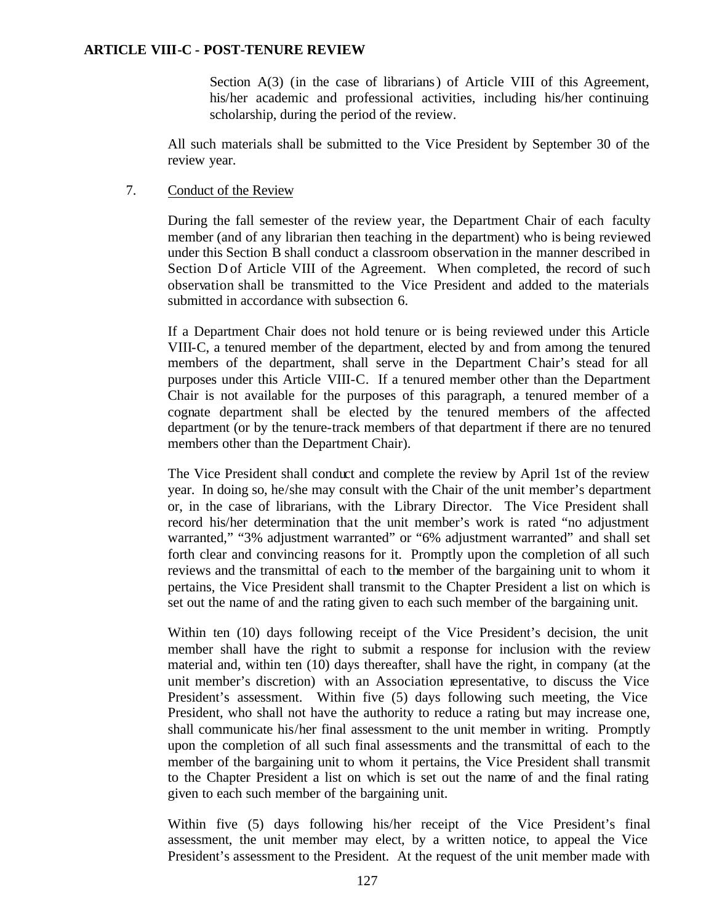Section A(3) (in the case of librarians) of Article VIII of this Agreement, his/her academic and professional activities, including his/her continuing scholarship, during the period of the review.

All such materials shall be submitted to the Vice President by September 30 of the review year.

#### 7. Conduct of the Review

During the fall semester of the review year, the Department Chair of each faculty member (and of any librarian then teaching in the department) who is being reviewed under this Section B shall conduct a classroom observation in the manner described in Section D of Article VIII of the Agreement. When completed, the record of such observation shall be transmitted to the Vice President and added to the materials submitted in accordance with subsection 6.

If a Department Chair does not hold tenure or is being reviewed under this Article VIII-C, a tenured member of the department, elected by and from among the tenured members of the department, shall serve in the Department Chair's stead for all purposes under this Article VIII-C. If a tenured member other than the Department Chair is not available for the purposes of this paragraph, a tenured member of a cognate department shall be elected by the tenured members of the affected department (or by the tenure-track members of that department if there are no tenured members other than the Department Chair).

The Vice President shall conduct and complete the review by April 1st of the review year. In doing so, he/she may consult with the Chair of the unit member's department or, in the case of librarians, with the Library Director. The Vice President shall record his/her determination that the unit member's work is rated "no adjustment warranted," "3% adjustment warranted" or "6% adjustment warranted" and shall set forth clear and convincing reasons for it. Promptly upon the completion of all such reviews and the transmittal of each to the member of the bargaining unit to whom it pertains, the Vice President shall transmit to the Chapter President a list on which is set out the name of and the rating given to each such member of the bargaining unit.

Within ten (10) days following receipt of the Vice President's decision, the unit member shall have the right to submit a response for inclusion with the review material and, within ten (10) days thereafter, shall have the right, in company (at the unit member's discretion) with an Association representative, to discuss the Vice President's assessment. Within five (5) days following such meeting, the Vice President, who shall not have the authority to reduce a rating but may increase one, shall communicate his/her final assessment to the unit member in writing. Promptly upon the completion of all such final assessments and the transmittal of each to the member of the bargaining unit to whom it pertains, the Vice President shall transmit to the Chapter President a list on which is set out the name of and the final rating given to each such member of the bargaining unit.

Within five (5) days following his/her receipt of the Vice President's final assessment, the unit member may elect, by a written notice, to appeal the Vice President's assessment to the President. At the request of the unit member made with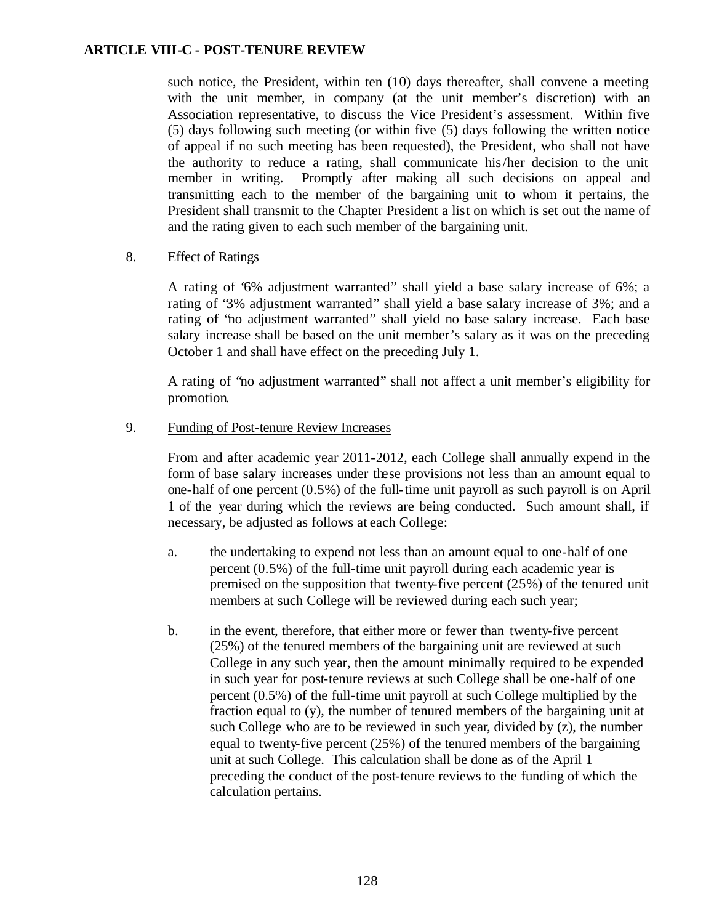such notice, the President, within ten (10) days thereafter, shall convene a meeting with the unit member, in company (at the unit member's discretion) with an Association representative, to discuss the Vice President's assessment. Within five (5) days following such meeting (or within five (5) days following the written notice of appeal if no such meeting has been requested), the President, who shall not have the authority to reduce a rating, shall communicate his/her decision to the unit member in writing. Promptly after making all such decisions on appeal and transmitting each to the member of the bargaining unit to whom it pertains, the President shall transmit to the Chapter President a list on which is set out the name of and the rating given to each such member of the bargaining unit.

#### 8. Effect of Ratings

A rating of "6% adjustment warranted" shall yield a base salary increase of 6%; a rating of "3% adjustment warranted" shall yield a base salary increase of 3%; and a rating of "no adjustment warranted" shall yield no base salary increase. Each base salary increase shall be based on the unit member's salary as it was on the preceding October 1 and shall have effect on the preceding July 1.

A rating of "no adjustment warranted" shall not affect a unit member's eligibility for promotion.

#### 9. Funding of Post-tenure Review Increases

From and after academic year 2011-2012, each College shall annually expend in the form of base salary increases under these provisions not less than an amount equal to one-half of one percent (0.5%) of the full-time unit payroll as such payroll is on April 1 of the year during which the reviews are being conducted. Such amount shall, if necessary, be adjusted as follows at each College:

- a. the undertaking to expend not less than an amount equal to one-half of one percent (0.5%) of the full-time unit payroll during each academic year is premised on the supposition that twenty-five percent (25%) of the tenured unit members at such College will be reviewed during each such year;
- b. in the event, therefore, that either more or fewer than twenty-five percent (25%) of the tenured members of the bargaining unit are reviewed at such College in any such year, then the amount minimally required to be expended in such year for post-tenure reviews at such College shall be one-half of one percent (0.5%) of the full-time unit payroll at such College multiplied by the fraction equal to (y), the number of tenured members of the bargaining unit at such College who are to be reviewed in such year, divided by (z), the number equal to twenty-five percent (25%) of the tenured members of the bargaining unit at such College. This calculation shall be done as of the April 1 preceding the conduct of the post-tenure reviews to the funding of which the calculation pertains.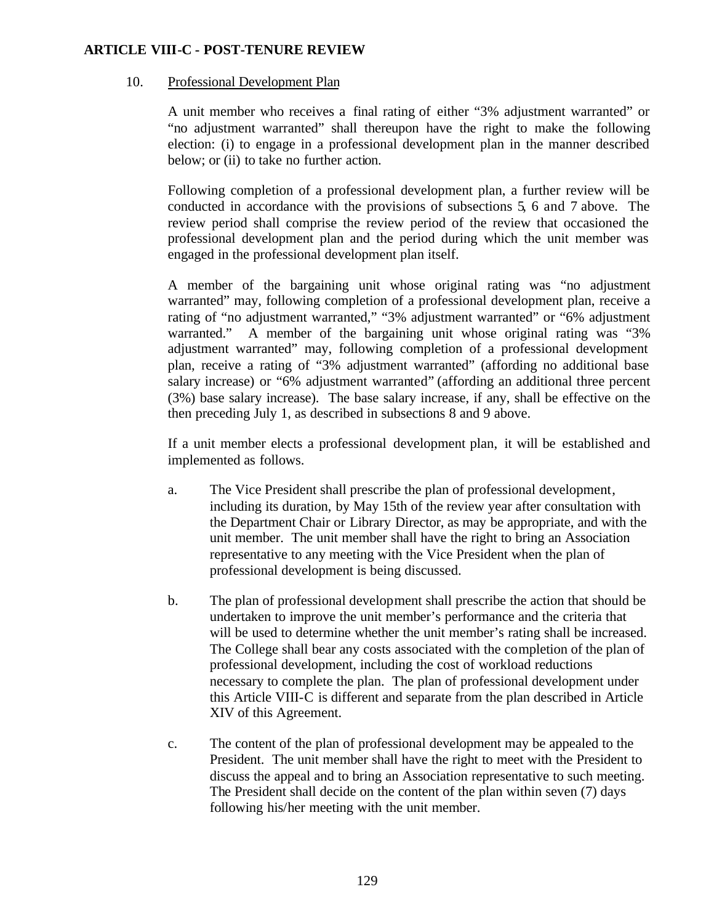## 10. Professional Development Plan

A unit member who receives a final rating of either "3% adjustment warranted" or "no adjustment warranted" shall thereupon have the right to make the following election: (i) to engage in a professional development plan in the manner described below; or (ii) to take no further action.

Following completion of a professional development plan, a further review will be conducted in accordance with the provisions of subsections 5, 6 and 7 above. The review period shall comprise the review period of the review that occasioned the professional development plan and the period during which the unit member was engaged in the professional development plan itself.

A member of the bargaining unit whose original rating was "no adjustment warranted" may, following completion of a professional development plan, receive a rating of "no adjustment warranted," "3% adjustment warranted" or "6% adjustment warranted." A member of the bargaining unit whose original rating was "3% adjustment warranted" may, following completion of a professional development plan, receive a rating of "3% adjustment warranted" (affording no additional base salary increase) or "6% adjustment warranted" (affording an additional three percent (3%) base salary increase). The base salary increase, if any, shall be effective on the then preceding July 1, as described in subsections 8 and 9 above.

If a unit member elects a professional development plan, it will be established and implemented as follows.

- a. The Vice President shall prescribe the plan of professional development, including its duration, by May 15th of the review year after consultation with the Department Chair or Library Director, as may be appropriate, and with the unit member. The unit member shall have the right to bring an Association representative to any meeting with the Vice President when the plan of professional development is being discussed.
- b. The plan of professional development shall prescribe the action that should be undertaken to improve the unit member's performance and the criteria that will be used to determine whether the unit member's rating shall be increased. The College shall bear any costs associated with the completion of the plan of professional development, including the cost of workload reductions necessary to complete the plan. The plan of professional development under this Article VIII-C is different and separate from the plan described in Article XIV of this Agreement.
- c. The content of the plan of professional development may be appealed to the President. The unit member shall have the right to meet with the President to discuss the appeal and to bring an Association representative to such meeting. The President shall decide on the content of the plan within seven (7) days following his/her meeting with the unit member.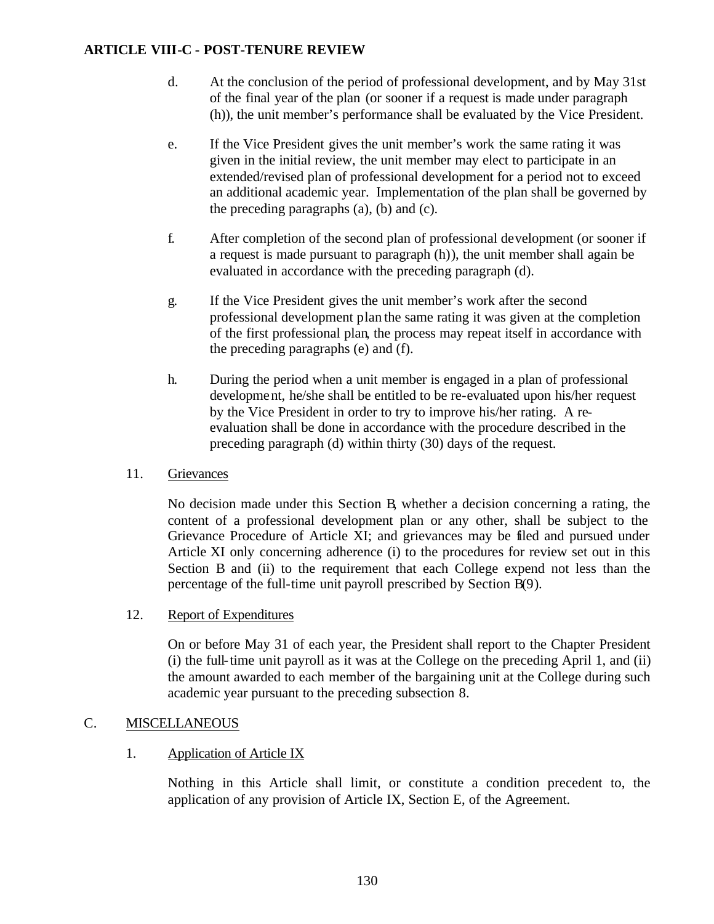- d. At the conclusion of the period of professional development, and by May 31st of the final year of the plan (or sooner if a request is made under paragraph (h)), the unit member's performance shall be evaluated by the Vice President.
- e. If the Vice President gives the unit member's work the same rating it was given in the initial review, the unit member may elect to participate in an extended/revised plan of professional development for a period not to exceed an additional academic year. Implementation of the plan shall be governed by the preceding paragraphs (a), (b) and (c).
- f. After completion of the second plan of professional development (or sooner if a request is made pursuant to paragraph (h)), the unit member shall again be evaluated in accordance with the preceding paragraph (d).
- g. If the Vice President gives the unit member's work after the second professional development plan the same rating it was given at the completion of the first professional plan, the process may repeat itself in accordance with the preceding paragraphs (e) and (f).
- h. During the period when a unit member is engaged in a plan of professional development, he/she shall be entitled to be re-evaluated upon his/her request by the Vice President in order to try to improve his/her rating. A reevaluation shall be done in accordance with the procedure described in the preceding paragraph (d) within thirty (30) days of the request.

## 11. Grievances

No decision made under this Section B, whether a decision concerning a rating, the content of a professional development plan or any other, shall be subject to the Grievance Procedure of Article XI; and grievances may be filed and pursued under Article XI only concerning adherence (i) to the procedures for review set out in this Section B and (ii) to the requirement that each College expend not less than the percentage of the full-time unit payroll prescribed by Section B(9).

## 12. Report of Expenditures

On or before May 31 of each year, the President shall report to the Chapter President (i) the full-time unit payroll as it was at the College on the preceding April 1, and (ii) the amount awarded to each member of the bargaining unit at the College during such academic year pursuant to the preceding subsection 8.

## C. MISCELLANEOUS

## 1. Application of Article IX

Nothing in this Article shall limit, or constitute a condition precedent to, the application of any provision of Article IX, Section E, of the Agreement.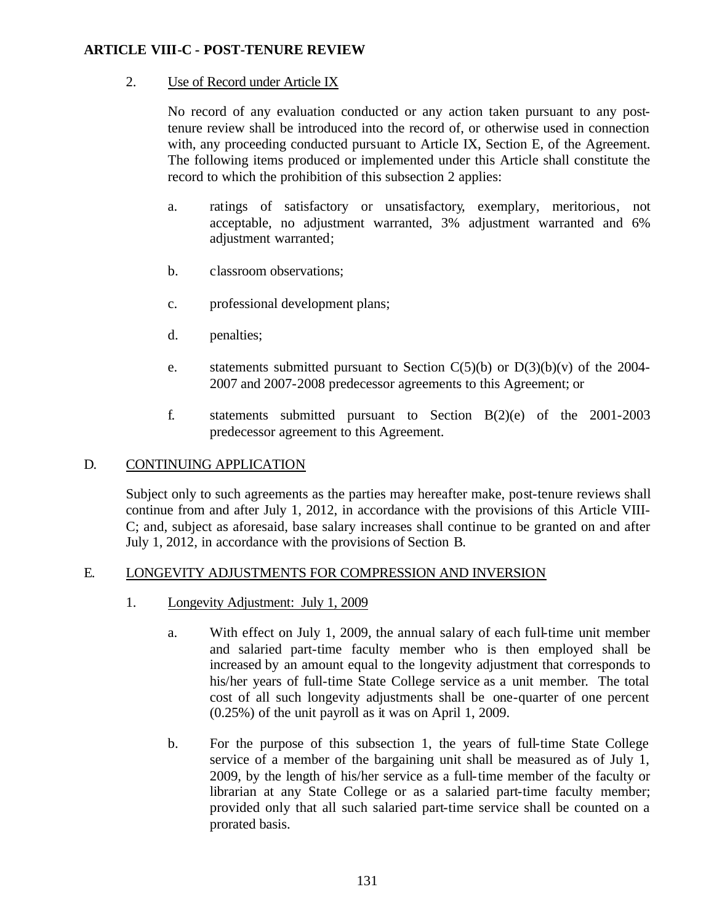# 2. Use of Record under Article IX

No record of any evaluation conducted or any action taken pursuant to any posttenure review shall be introduced into the record of, or otherwise used in connection with, any proceeding conducted pursuant to Article IX, Section E, of the Agreement. The following items produced or implemented under this Article shall constitute the record to which the prohibition of this subsection 2 applies:

- a. ratings of satisfactory or unsatisfactory, exemplary, meritorious, not acceptable, no adjustment warranted, 3% adjustment warranted and 6% adjustment warranted;
- b. classroom observations;
- c. professional development plans;
- d. penalties;
- e. statements submitted pursuant to Section  $C(5)(b)$  or  $D(3)(b)(v)$  of the 2004-2007 and 2007-2008 predecessor agreements to this Agreement; or
- f. statements submitted pursuant to Section B(2)(e) of the 2001-2003 predecessor agreement to this Agreement.

## D. CONTINUING APPLICATION

Subject only to such agreements as the parties may hereafter make, post-tenure reviews shall continue from and after July 1, 2012, in accordance with the provisions of this Article VIII-C; and, subject as aforesaid, base salary increases shall continue to be granted on and after July 1, 2012, in accordance with the provisions of Section B.

# E. LONGEVITY ADJUSTMENTS FOR COMPRESSION AND INVERSION

- 1. Longevity Adjustment: July 1, 2009
	- a. With effect on July 1, 2009, the annual salary of each full-time unit member and salaried part-time faculty member who is then employed shall be increased by an amount equal to the longevity adjustment that corresponds to his/her years of full-time State College service as a unit member. The total cost of all such longevity adjustments shall be one-quarter of one percent (0.25%) of the unit payroll as it was on April 1, 2009.
	- b. For the purpose of this subsection 1, the years of full-time State College service of a member of the bargaining unit shall be measured as of July 1, 2009, by the length of his/her service as a full-time member of the faculty or librarian at any State College or as a salaried part-time faculty member; provided only that all such salaried part-time service shall be counted on a prorated basis.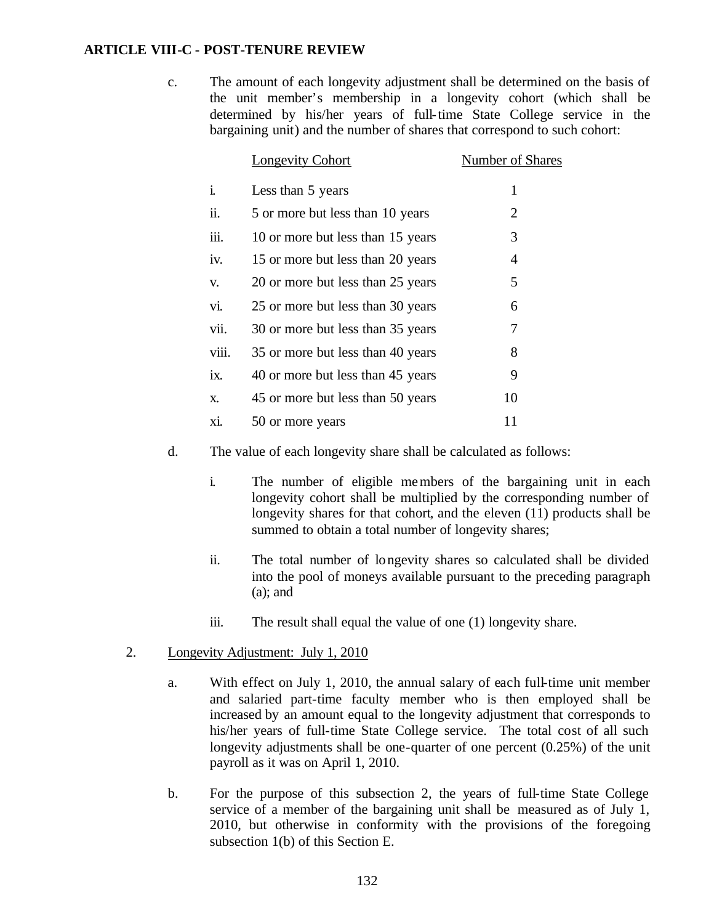c. The amount of each longevity adjustment shall be determined on the basis of the unit member's membership in a longevity cohort (which shall be determined by his/her years of full-time State College service in the bargaining unit) and the number of shares that correspond to such cohort:

|       | <b>Longevity Cohort</b>           | Number of Shares |
|-------|-----------------------------------|------------------|
| i.    | Less than 5 years                 | 1                |
| ii.   | 5 or more but less than 10 years  | 2                |
| iii.  | 10 or more but less than 15 years | 3                |
| iv.   | 15 or more but less than 20 years | 4                |
| V.    | 20 or more but less than 25 years | 5                |
| vi.   | 25 or more but less than 30 years | 6                |
| vii.  | 30 or more but less than 35 years | 7                |
| viii. | 35 or more but less than 40 years | 8                |
| ix.   | 40 or more but less than 45 years | 9                |
| X.    | 45 or more but less than 50 years | 10               |
| xi.   | 50 or more years                  | 11               |

- d. The value of each longevity share shall be calculated as follows:
	- i. The number of eligible members of the bargaining unit in each longevity cohort shall be multiplied by the corresponding number of longevity shares for that cohort, and the eleven (11) products shall be summed to obtain a total number of longevity shares;
	- ii. The total number of longevity shares so calculated shall be divided into the pool of moneys available pursuant to the preceding paragraph  $(a)$ ; and
	- iii. The result shall equal the value of one (1) longevity share.
- 2. Longevity Adjustment: July 1, 2010
	- a. With effect on July 1, 2010, the annual salary of each full-time unit member and salaried part-time faculty member who is then employed shall be increased by an amount equal to the longevity adjustment that corresponds to his/her years of full-time State College service. The total cost of all such longevity adjustments shall be one-quarter of one percent (0.25%) of the unit payroll as it was on April 1, 2010.
	- b. For the purpose of this subsection 2, the years of full-time State College service of a member of the bargaining unit shall be measured as of July 1, 2010, but otherwise in conformity with the provisions of the foregoing subsection 1(b) of this Section E.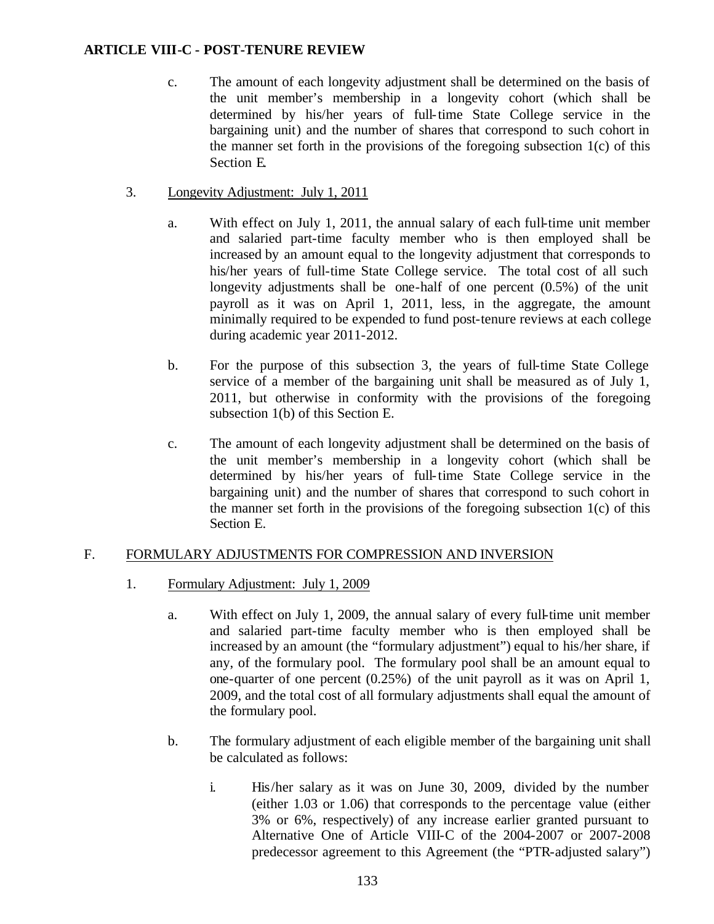- c. The amount of each longevity adjustment shall be determined on the basis of the unit member's membership in a longevity cohort (which shall be determined by his/her years of full-time State College service in the bargaining unit) and the number of shares that correspond to such cohort in the manner set forth in the provisions of the foregoing subsection  $1(c)$  of this Section E.
- 3. Longevity Adjustment: July 1, 2011
	- a. With effect on July 1, 2011, the annual salary of each full-time unit member and salaried part-time faculty member who is then employed shall be increased by an amount equal to the longevity adjustment that corresponds to his/her years of full-time State College service. The total cost of all such longevity adjustments shall be one-half of one percent (0.5%) of the unit payroll as it was on April 1, 2011, less, in the aggregate, the amount minimally required to be expended to fund post-tenure reviews at each college during academic year 2011-2012.
	- b. For the purpose of this subsection 3, the years of full-time State College service of a member of the bargaining unit shall be measured as of July 1, 2011, but otherwise in conformity with the provisions of the foregoing subsection 1(b) of this Section E.
	- c. The amount of each longevity adjustment shall be determined on the basis of the unit member's membership in a longevity cohort (which shall be determined by his/her years of full-time State College service in the bargaining unit) and the number of shares that correspond to such cohort in the manner set forth in the provisions of the foregoing subsection  $1(c)$  of this Section E.

## F. FORMULARY ADJUSTMENTS FOR COMPRESSION AND INVERSION

- 1. Formulary Adjustment: July 1, 2009
	- a. With effect on July 1, 2009, the annual salary of every full-time unit member and salaried part-time faculty member who is then employed shall be increased by an amount (the "formulary adjustment") equal to his/her share, if any, of the formulary pool. The formulary pool shall be an amount equal to one-quarter of one percent (0.25%) of the unit payroll as it was on April 1, 2009, and the total cost of all formulary adjustments shall equal the amount of the formulary pool.
	- b. The formulary adjustment of each eligible member of the bargaining unit shall be calculated as follows:
		- i. His/her salary as it was on June 30, 2009, divided by the number (either 1.03 or 1.06) that corresponds to the percentage value (either 3% or 6%, respectively) of any increase earlier granted pursuant to Alternative One of Article VIII-C of the 2004-2007 or 2007-2008 predecessor agreement to this Agreement (the "PTR-adjusted salary")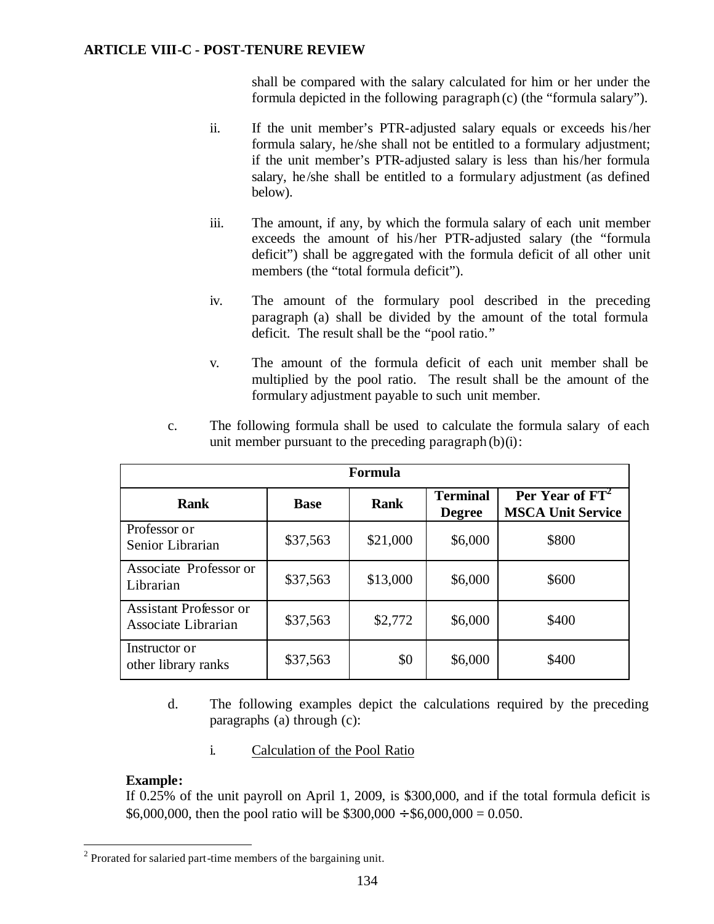shall be compared with the salary calculated for him or her under the formula depicted in the following paragraph (c) (the "formula salary").

- ii. If the unit member's PTR-adjusted salary equals or exceeds his/her formula salary, he /she shall not be entitled to a formulary adjustment; if the unit member's PTR-adjusted salary is less than his/her formula salary, he/she shall be entitled to a formulary adjustment (as defined below).
- iii. The amount, if any, by which the formula salary of each unit member exceeds the amount of his/her PTR-adjusted salary (the "formula deficit") shall be aggregated with the formula deficit of all other unit members (the "total formula deficit").
- iv. The amount of the formulary pool described in the preceding paragraph (a) shall be divided by the amount of the total formula deficit. The result shall be the "pool ratio."
- v. The amount of the formula deficit of each unit member shall be multiplied by the pool ratio. The result shall be the amount of the formulary adjustment payable to such unit member.

| Formula                                              |             |             |                                  |                                                         |  |  |  |  |
|------------------------------------------------------|-------------|-------------|----------------------------------|---------------------------------------------------------|--|--|--|--|
| <b>Rank</b>                                          | <b>Base</b> | <b>Rank</b> | <b>Terminal</b><br><b>Degree</b> | Per Year of FT <sup>2</sup><br><b>MSCA Unit Service</b> |  |  |  |  |
| Professor or<br>Senior Librarian                     | \$37,563    | \$21,000    | \$6,000                          | \$800                                                   |  |  |  |  |
| Associate Professor or<br>Librarian                  | \$37,563    | \$13,000    | \$6,000                          | \$600                                                   |  |  |  |  |
| <b>Assistant Professor or</b><br>Associate Librarian | \$37,563    | \$2,772     | \$6,000                          | \$400                                                   |  |  |  |  |
| Instructor or<br>other library ranks                 | \$37,563    | \$0         | \$6,000                          | \$400                                                   |  |  |  |  |

c. The following formula shall be used to calculate the formula salary of each unit member pursuant to the preceding paragraph  $(b)(i)$ :

- d. The following examples depict the calculations required by the preceding paragraphs (a) through (c):
	- i. Calculation of the Pool Ratio

## **Example:**

If 0.25% of the unit payroll on April 1, 2009, is \$300,000, and if the total formula deficit is \$6,000,000, then the pool ratio will be  $$300,000 \div $6,000,000 = 0.050$ .

 $\overline{a}$  $2^2$  Prorated for salaried part-time members of the bargaining unit.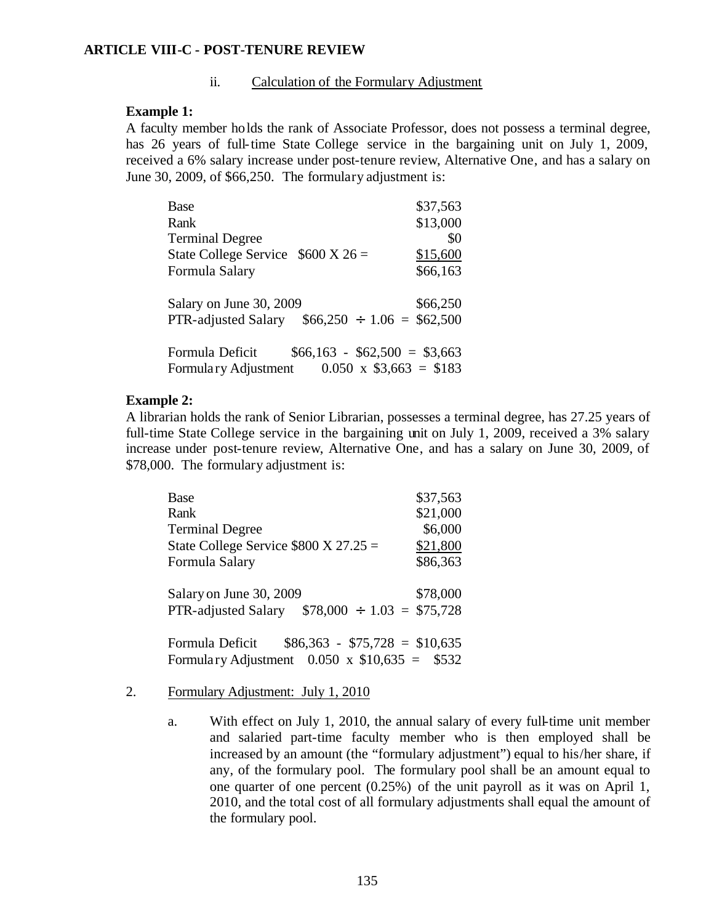#### ii. Calculation of the Formulary Adjustment

#### **Example 1:**

A faculty member holds the rank of Associate Professor, does not possess a terminal degree, has 26 years of full-time State College service in the bargaining unit on July 1, 2009, received a 6% salary increase under post-tenure review, Alternative One, and has a salary on June 30, 2009, of \$66,250. The formulary adjustment is:

| Base                                              | \$37,563                     |
|---------------------------------------------------|------------------------------|
| Rank                                              | \$13,000                     |
| <b>Terminal Degree</b>                            | \$0                          |
| State College Service $$600 X 26 =$               | \$15,600                     |
| Formula Salary                                    | \$66,163                     |
| Salary on June 30, 2009                           | \$66,250                     |
| PTR-adjusted Salary $$66,250 \div 1.06 = $62,500$ |                              |
| Formula Deficit                                   | $$66,163 - $62,500 = $3,663$ |
| Formulary Adjustment                              | $0.050 \times $3,663 = $183$ |

#### **Example 2:**

A librarian holds the rank of Senior Librarian, possesses a terminal degree, has 27.25 years of full-time State College service in the bargaining unit on July 1, 2009, received a 3% salary increase under post-tenure review, Alternative One, and has a salary on June 30, 2009, of \$78,000. The formulary adjustment is:

| <b>Base</b>                                          | \$37,563 |
|------------------------------------------------------|----------|
| Rank                                                 | \$21,000 |
| <b>Terminal Degree</b>                               | \$6,000  |
| State College Service $$800 X 27.25 =$               | \$21,800 |
| Formula Salary                                       | \$86,363 |
|                                                      |          |
| Salary on June 30, 2009                              | \$78,000 |
| $$78,000 \div 1.03 = $75,728$<br>PTR-adjusted Salary |          |
|                                                      |          |
| $$86,363 - $75,728 = $10,635$<br>Formula Deficit     |          |
| Formulary Adjustment $0.050 \times $10,635 = $532$   |          |

- 2. Formulary Adjustment: July 1, 2010
	- a. With effect on July 1, 2010, the annual salary of every full-time unit member and salaried part-time faculty member who is then employed shall be increased by an amount (the "formulary adjustment") equal to his/her share, if any, of the formulary pool. The formulary pool shall be an amount equal to one quarter of one percent (0.25%) of the unit payroll as it was on April 1, 2010, and the total cost of all formulary adjustments shall equal the amount of the formulary pool.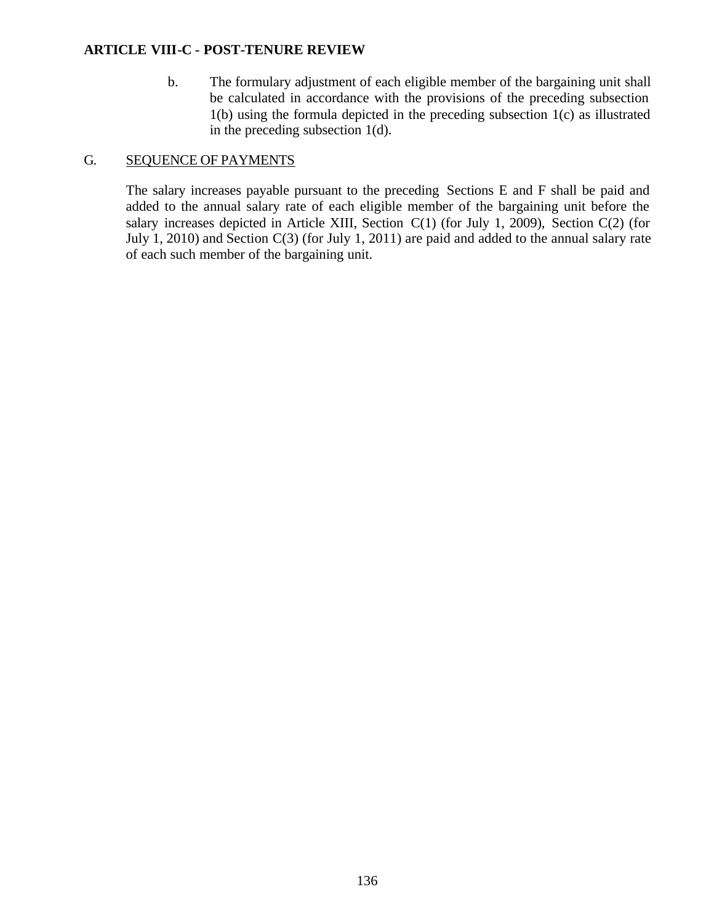b. The formulary adjustment of each eligible member of the bargaining unit shall be calculated in accordance with the provisions of the preceding subsection 1(b) using the formula depicted in the preceding subsection 1(c) as illustrated in the preceding subsection 1(d).

## G. SEQUENCE OF PAYMENTS

The salary increases payable pursuant to the preceding Sections E and F shall be paid and added to the annual salary rate of each eligible member of the bargaining unit before the salary increases depicted in Article XIII, Section C(1) (for July 1, 2009), Section C(2) (for July 1, 2010) and Section C(3) (for July 1, 2011) are paid and added to the annual salary rate of each such member of the bargaining unit.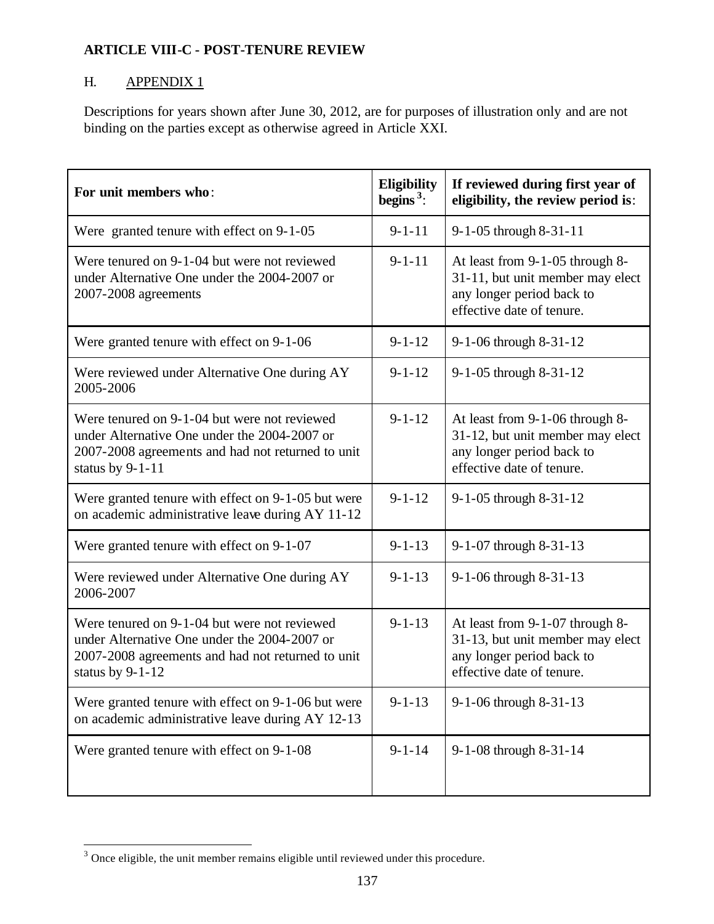# H. **APPENDIX 1**

Descriptions for years shown after June 30, 2012, are for purposes of illustration only and are not binding on the parties except as otherwise agreed in Article XXI.

| For unit members who:                                                                                                                                                   | <b>Eligibility</b><br>begins <sup>3</sup> : | If reviewed during first year of<br>eligibility, the review period is:                                                        |
|-------------------------------------------------------------------------------------------------------------------------------------------------------------------------|---------------------------------------------|-------------------------------------------------------------------------------------------------------------------------------|
| Were granted tenure with effect on 9-1-05                                                                                                                               | $9 - 1 - 11$                                | 9-1-05 through 8-31-11                                                                                                        |
| Were tenured on 9-1-04 but were not reviewed<br>under Alternative One under the 2004-2007 or<br>2007-2008 agreements                                                    | $9 - 1 - 11$                                | At least from 9-1-05 through 8-<br>31-11, but unit member may elect<br>any longer period back to<br>effective date of tenure. |
| Were granted tenure with effect on 9-1-06                                                                                                                               | $9 - 1 - 12$                                | 9-1-06 through 8-31-12                                                                                                        |
| Were reviewed under Alternative One during AY<br>2005-2006                                                                                                              | $9 - 1 - 12$                                | 9-1-05 through 8-31-12                                                                                                        |
| Were tenured on 9-1-04 but were not reviewed<br>under Alternative One under the 2004-2007 or<br>2007-2008 agreements and had not returned to unit<br>status by $9-1-11$ | $9 - 1 - 12$                                | At least from 9-1-06 through 8-<br>31-12, but unit member may elect<br>any longer period back to<br>effective date of tenure. |
| Were granted tenure with effect on 9-1-05 but were<br>on academic administrative leave during AY 11-12                                                                  | $9 - 1 - 12$                                | 9-1-05 through 8-31-12                                                                                                        |
| Were granted tenure with effect on 9-1-07                                                                                                                               | $9 - 1 - 13$                                | 9-1-07 through 8-31-13                                                                                                        |
| Were reviewed under Alternative One during AY<br>2006-2007                                                                                                              | $9 - 1 - 13$                                | 9-1-06 through 8-31-13                                                                                                        |
| Were tenured on 9-1-04 but were not reviewed<br>under Alternative One under the 2004-2007 or<br>2007-2008 agreements and had not returned to unit<br>status by 9-1-12   | $9 - 1 - 13$                                | At least from 9-1-07 through 8-<br>31-13, but unit member may elect<br>any longer period back to<br>effective date of tenure. |
| Were granted tenure with effect on 9-1-06 but were<br>on academic administrative leave during AY 12-13                                                                  | $9 - 1 - 13$                                | 9-1-06 through 8-31-13                                                                                                        |
| Were granted tenure with effect on 9-1-08                                                                                                                               | $9 - 1 - 14$                                | 9-1-08 through 8-31-14                                                                                                        |

<sup>&</sup>lt;sup>3</sup> Once eligible, the unit member remains eligible until reviewed under this procedure.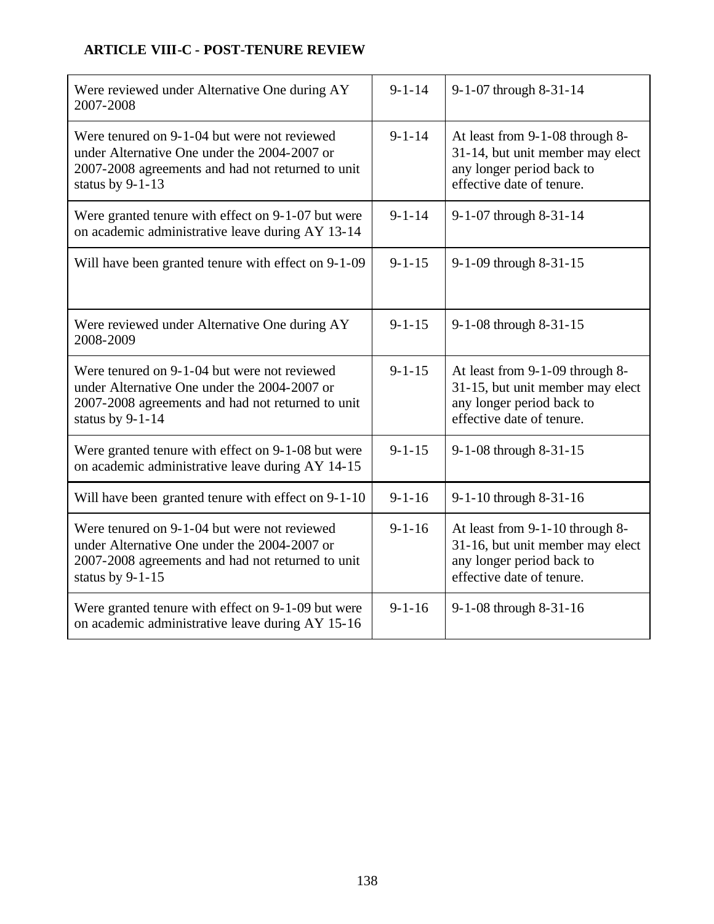# **ARTICLE VIII-C - POST-TENURE REVIEW**

| Were reviewed under Alternative One during AY<br>2007-2008                                                                                                              | $9 - 1 - 14$ | 9-1-07 through 8-31-14                                                                                                        |
|-------------------------------------------------------------------------------------------------------------------------------------------------------------------------|--------------|-------------------------------------------------------------------------------------------------------------------------------|
| Were tenured on 9-1-04 but were not reviewed<br>under Alternative One under the 2004-2007 or<br>2007-2008 agreements and had not returned to unit<br>status by 9-1-13   | $9 - 1 - 14$ | At least from 9-1-08 through 8-<br>31-14, but unit member may elect<br>any longer period back to<br>effective date of tenure. |
| Were granted tenure with effect on 9-1-07 but were<br>on academic administrative leave during AY 13-14                                                                  | $9 - 1 - 14$ | 9-1-07 through 8-31-14                                                                                                        |
| Will have been granted tenure with effect on 9-1-09                                                                                                                     | $9 - 1 - 15$ | 9-1-09 through 8-31-15                                                                                                        |
| Were reviewed under Alternative One during AY<br>2008-2009                                                                                                              | $9 - 1 - 15$ | 9-1-08 through 8-31-15                                                                                                        |
| Were tenured on 9-1-04 but were not reviewed<br>under Alternative One under the 2004-2007 or<br>2007-2008 agreements and had not returned to unit<br>status by 9-1-14   | $9 - 1 - 15$ | At least from 9-1-09 through 8-<br>31-15, but unit member may elect<br>any longer period back to<br>effective date of tenure. |
| Were granted tenure with effect on 9-1-08 but were<br>on academic administrative leave during AY 14-15                                                                  | $9 - 1 - 15$ | 9-1-08 through 8-31-15                                                                                                        |
| Will have been granted tenure with effect on 9-1-10                                                                                                                     | $9 - 1 - 16$ | 9-1-10 through 8-31-16                                                                                                        |
| Were tenured on 9-1-04 but were not reviewed<br>under Alternative One under the 2004-2007 or<br>2007-2008 agreements and had not returned to unit<br>status by $9-1-15$ | $9 - 1 - 16$ | At least from 9-1-10 through 8-<br>31-16, but unit member may elect<br>any longer period back to<br>effective date of tenure. |
| Were granted tenure with effect on 9-1-09 but were<br>on academic administrative leave during AY 15-16                                                                  | $9 - 1 - 16$ | 9-1-08 through 8-31-16                                                                                                        |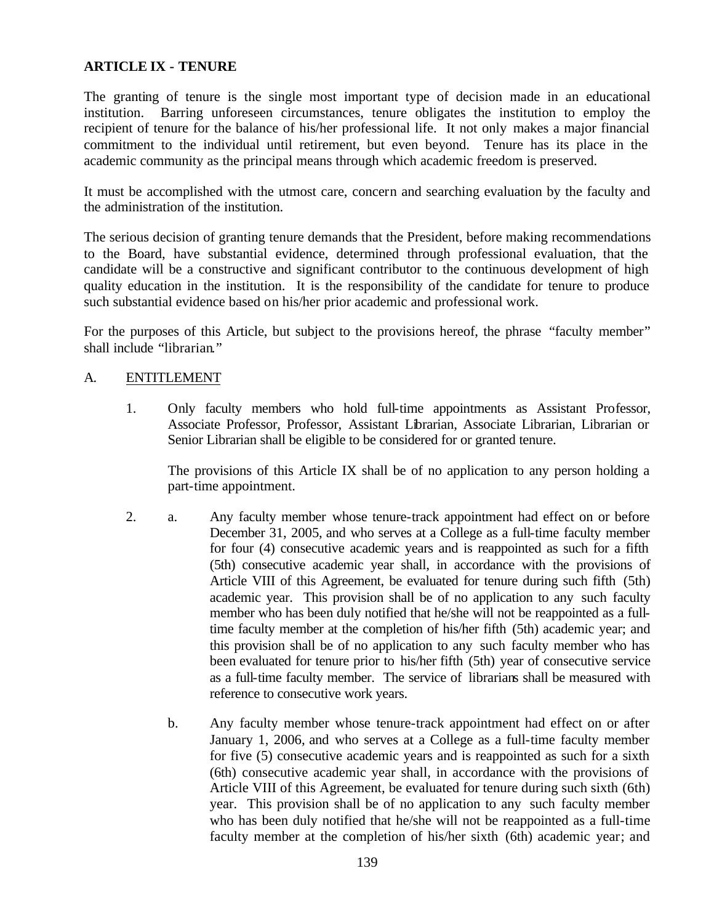The granting of tenure is the single most important type of decision made in an educational institution. Barring unforeseen circumstances, tenure obligates the institution to employ the recipient of tenure for the balance of his/her professional life. It not only makes a major financial commitment to the individual until retirement, but even beyond. Tenure has its place in the academic community as the principal means through which academic freedom is preserved.

It must be accomplished with the utmost care, concern and searching evaluation by the faculty and the administration of the institution.

The serious decision of granting tenure demands that the President, before making recommendations to the Board, have substantial evidence, determined through professional evaluation, that the candidate will be a constructive and significant contributor to the continuous development of high quality education in the institution. It is the responsibility of the candidate for tenure to produce such substantial evidence based on his/her prior academic and professional work.

For the purposes of this Article, but subject to the provisions hereof, the phrase "faculty member" shall include "librarian."

### A. ENTITLEMENT

1. Only faculty members who hold full-time appointments as Assistant Professor, Associate Professor, Professor, Assistant Librarian, Associate Librarian, Librarian or Senior Librarian shall be eligible to be considered for or granted tenure.

The provisions of this Article IX shall be of no application to any person holding a part-time appointment.

- 2. a. Any faculty member whose tenure-track appointment had effect on or before December 31, 2005, and who serves at a College as a full-time faculty member for four (4) consecutive academic years and is reappointed as such for a fifth (5th) consecutive academic year shall, in accordance with the provisions of Article VIII of this Agreement, be evaluated for tenure during such fifth (5th) academic year. This provision shall be of no application to any such faculty member who has been duly notified that he/she will not be reappointed as a fulltime faculty member at the completion of his/her fifth (5th) academic year; and this provision shall be of no application to any such faculty member who has been evaluated for tenure prior to his/her fifth (5th) year of consecutive service as a full-time faculty member. The service of librarians shall be measured with reference to consecutive work years.
	- b. Any faculty member whose tenure-track appointment had effect on or after January 1, 2006, and who serves at a College as a full-time faculty member for five (5) consecutive academic years and is reappointed as such for a sixth (6th) consecutive academic year shall, in accordance with the provisions of Article VIII of this Agreement, be evaluated for tenure during such sixth (6th) year. This provision shall be of no application to any such faculty member who has been duly notified that he/she will not be reappointed as a full-time faculty member at the completion of his/her sixth (6th) academic year; and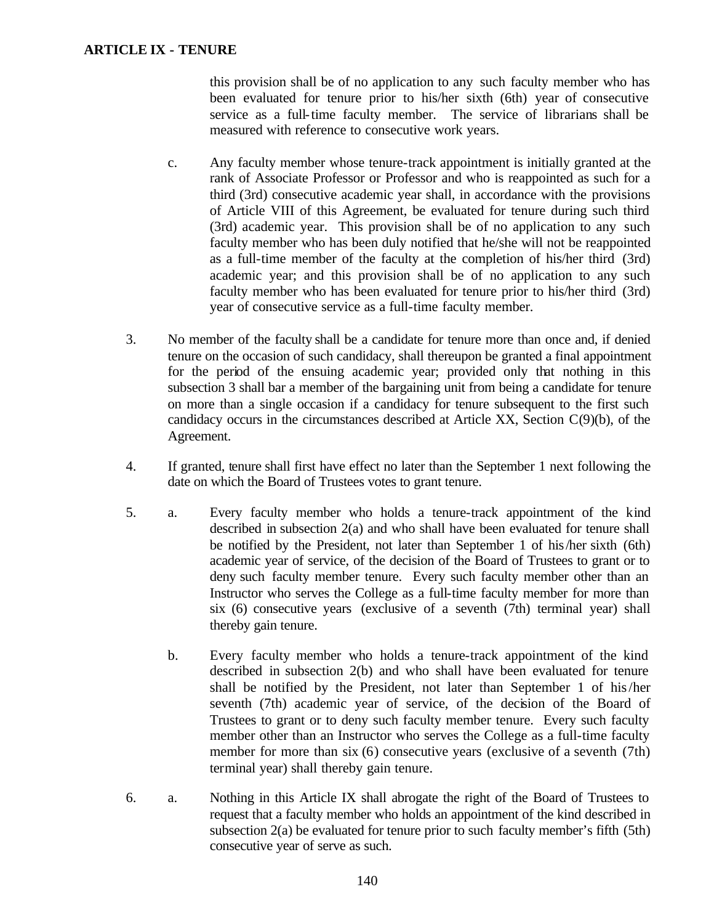this provision shall be of no application to any such faculty member who has been evaluated for tenure prior to his/her sixth (6th) year of consecutive service as a full-time faculty member. The service of librarians shall be measured with reference to consecutive work years.

- c. Any faculty member whose tenure-track appointment is initially granted at the rank of Associate Professor or Professor and who is reappointed as such for a third (3rd) consecutive academic year shall, in accordance with the provisions of Article VIII of this Agreement, be evaluated for tenure during such third (3rd) academic year. This provision shall be of no application to any such faculty member who has been duly notified that he/she will not be reappointed as a full-time member of the faculty at the completion of his/her third (3rd) academic year; and this provision shall be of no application to any such faculty member who has been evaluated for tenure prior to his/her third (3rd) year of consecutive service as a full-time faculty member.
- 3. No member of the faculty shall be a candidate for tenure more than once and, if denied tenure on the occasion of such candidacy, shall thereupon be granted a final appointment for the period of the ensuing academic year; provided only that nothing in this subsection 3 shall bar a member of the bargaining unit from being a candidate for tenure on more than a single occasion if a candidacy for tenure subsequent to the first such candidacy occurs in the circumstances described at Article XX, Section C(9)(b), of the Agreement.
- 4. If granted, tenure shall first have effect no later than the September 1 next following the date on which the Board of Trustees votes to grant tenure.
- 5. a. Every faculty member who holds a tenure-track appointment of the kind described in subsection 2(a) and who shall have been evaluated for tenure shall be notified by the President, not later than September 1 of his/her sixth (6th) academic year of service, of the decision of the Board of Trustees to grant or to deny such faculty member tenure. Every such faculty member other than an Instructor who serves the College as a full-time faculty member for more than six (6) consecutive years (exclusive of a seventh (7th) terminal year) shall thereby gain tenure.
	- b. Every faculty member who holds a tenure-track appointment of the kind described in subsection 2(b) and who shall have been evaluated for tenure shall be notified by the President, not later than September 1 of his/her seventh (7th) academic year of service, of the decision of the Board of Trustees to grant or to deny such faculty member tenure. Every such faculty member other than an Instructor who serves the College as a full-time faculty member for more than six (6) consecutive years (exclusive of a seventh (7th) terminal year) shall thereby gain tenure.
- 6. a. Nothing in this Article IX shall abrogate the right of the Board of Trustees to request that a faculty member who holds an appointment of the kind described in subsection 2(a) be evaluated for tenure prior to such faculty member's fifth (5th) consecutive year of serve as such.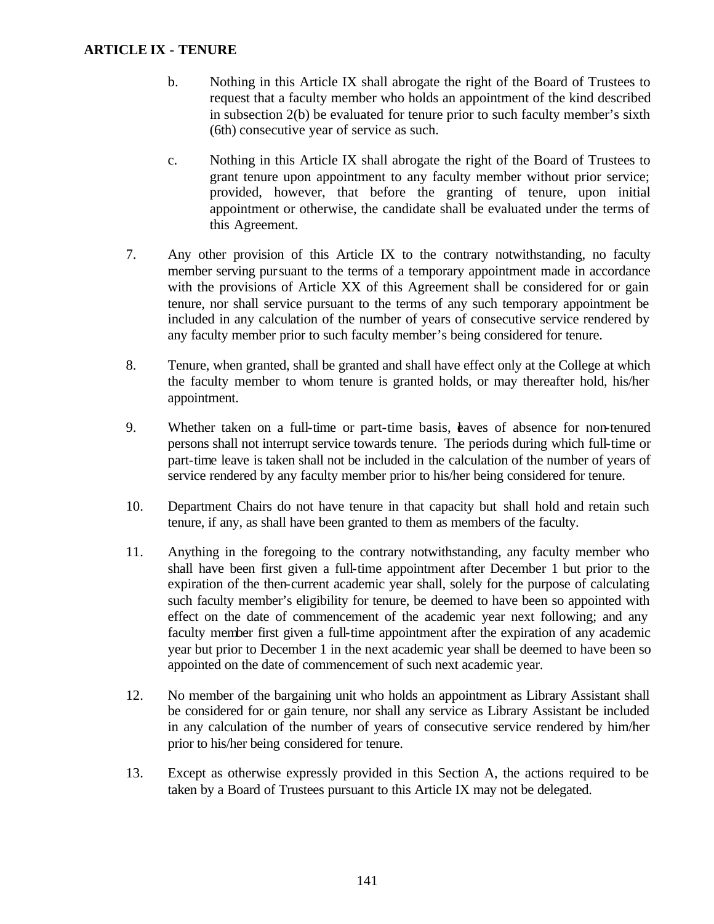- b. Nothing in this Article IX shall abrogate the right of the Board of Trustees to request that a faculty member who holds an appointment of the kind described in subsection 2(b) be evaluated for tenure prior to such faculty member's sixth (6th) consecutive year of service as such.
- c. Nothing in this Article IX shall abrogate the right of the Board of Trustees to grant tenure upon appointment to any faculty member without prior service; provided, however, that before the granting of tenure, upon initial appointment or otherwise, the candidate shall be evaluated under the terms of this Agreement.
- 7. Any other provision of this Article IX to the contrary notwithstanding, no faculty member serving pursuant to the terms of a temporary appointment made in accordance with the provisions of Article XX of this Agreement shall be considered for or gain tenure, nor shall service pursuant to the terms of any such temporary appointment be included in any calculation of the number of years of consecutive service rendered by any faculty member prior to such faculty member's being considered for tenure.
- 8. Tenure, when granted, shall be granted and shall have effect only at the College at which the faculty member to whom tenure is granted holds, or may thereafter hold, his/her appointment.
- 9. Whether taken on a full-time or part-time basis, caves of absence for non-tenured persons shall not interrupt service towards tenure. The periods during which full-time or part-time leave is taken shall not be included in the calculation of the number of years of service rendered by any faculty member prior to his/her being considered for tenure.
- 10. Department Chairs do not have tenure in that capacity but shall hold and retain such tenure, if any, as shall have been granted to them as members of the faculty.
- 11. Anything in the foregoing to the contrary notwithstanding, any faculty member who shall have been first given a full-time appointment after December 1 but prior to the expiration of the then-current academic year shall, solely for the purpose of calculating such faculty member's eligibility for tenure, be deemed to have been so appointed with effect on the date of commencement of the academic year next following; and any faculty member first given a full-time appointment after the expiration of any academic year but prior to December 1 in the next academic year shall be deemed to have been so appointed on the date of commencement of such next academic year.
- 12. No member of the bargaining unit who holds an appointment as Library Assistant shall be considered for or gain tenure, nor shall any service as Library Assistant be included in any calculation of the number of years of consecutive service rendered by him/her prior to his/her being considered for tenure.
- 13. Except as otherwise expressly provided in this Section A, the actions required to be taken by a Board of Trustees pursuant to this Article IX may not be delegated.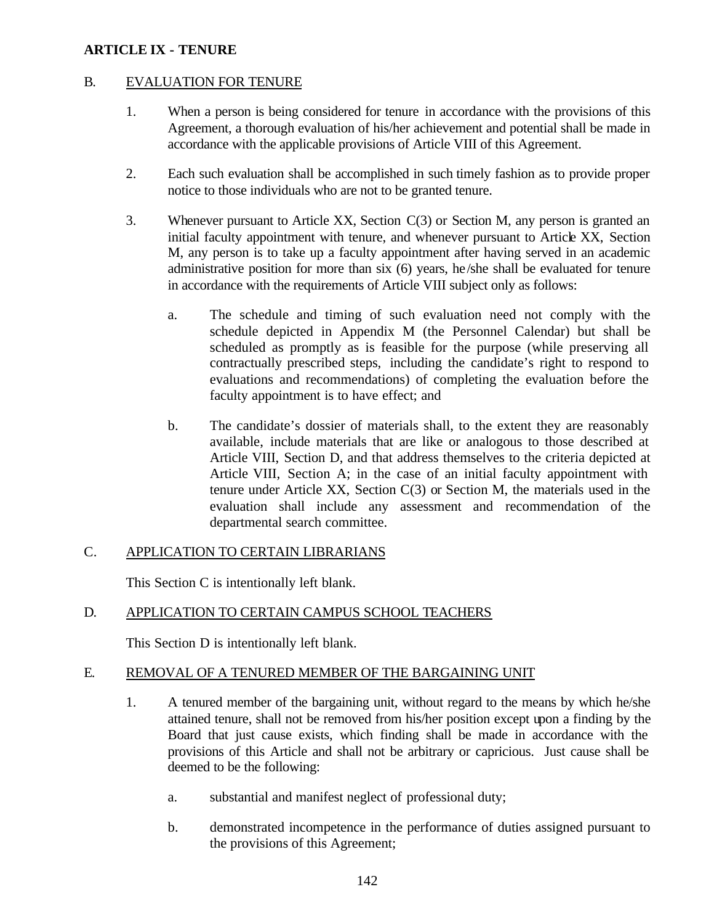### B. EVALUATION FOR TENURE

- 1. When a person is being considered for tenure in accordance with the provisions of this Agreement, a thorough evaluation of his/her achievement and potential shall be made in accordance with the applicable provisions of Article VIII of this Agreement.
- 2. Each such evaluation shall be accomplished in such timely fashion as to provide proper notice to those individuals who are not to be granted tenure.
- 3. Whenever pursuant to Article XX, Section C(3) or Section M, any person is granted an initial faculty appointment with tenure, and whenever pursuant to Article XX, Section M, any person is to take up a faculty appointment after having served in an academic administrative position for more than six (6) years, he/she shall be evaluated for tenure in accordance with the requirements of Article VIII subject only as follows:
	- a. The schedule and timing of such evaluation need not comply with the schedule depicted in Appendix M (the Personnel Calendar) but shall be scheduled as promptly as is feasible for the purpose (while preserving all contractually prescribed steps, including the candidate's right to respond to evaluations and recommendations) of completing the evaluation before the faculty appointment is to have effect; and
	- b. The candidate's dossier of materials shall, to the extent they are reasonably available, include materials that are like or analogous to those described at Article VIII, Section D, and that address themselves to the criteria depicted at Article VIII, Section A; in the case of an initial faculty appointment with tenure under Article XX, Section C(3) or Section M, the materials used in the evaluation shall include any assessment and recommendation of the departmental search committee.

# C. APPLICATION TO CERTAIN LIBRARIANS

This Section C is intentionally left blank.

# D. APPLICATION TO CERTAIN CAMPUS SCHOOL TEACHERS

This Section D is intentionally left blank.

# E. REMOVAL OF A TENURED MEMBER OF THE BARGAINING UNIT

- 1. A tenured member of the bargaining unit, without regard to the means by which he/she attained tenure, shall not be removed from his/her position except upon a finding by the Board that just cause exists, which finding shall be made in accordance with the provisions of this Article and shall not be arbitrary or capricious. Just cause shall be deemed to be the following:
	- a. substantial and manifest neglect of professional duty;
	- b. demonstrated incompetence in the performance of duties assigned pursuant to the provisions of this Agreement;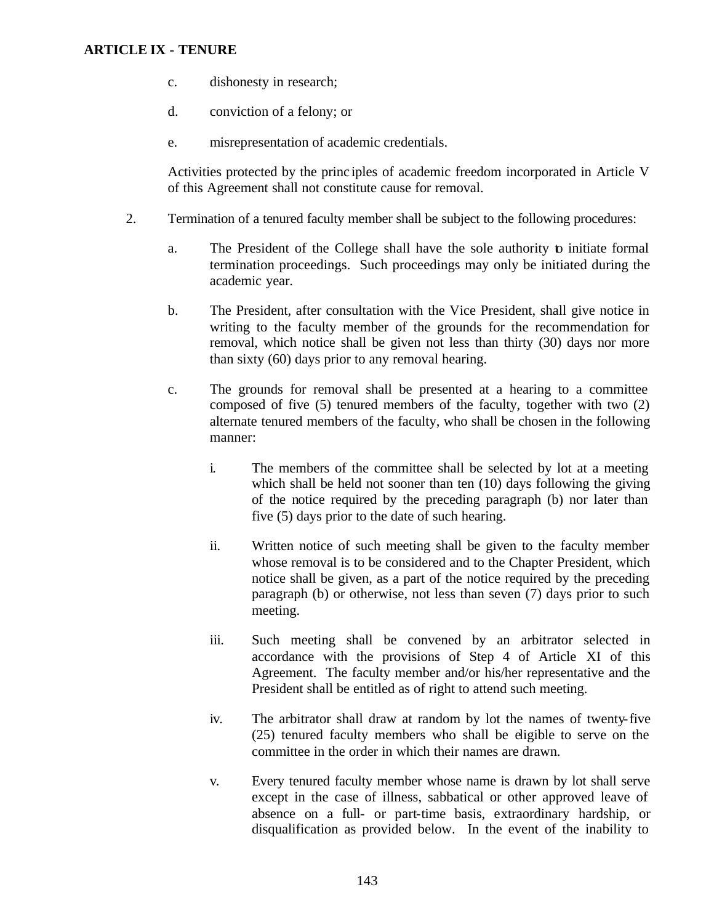- c. dishonesty in research;
- d. conviction of a felony; or
- e. misrepresentation of academic credentials.

Activities protected by the princ iples of academic freedom incorporated in Article V of this Agreement shall not constitute cause for removal.

- 2. Termination of a tenured faculty member shall be subject to the following procedures:
	- a. The President of the College shall have the sole authority to initiate formal termination proceedings. Such proceedings may only be initiated during the academic year.
	- b. The President, after consultation with the Vice President, shall give notice in writing to the faculty member of the grounds for the recommendation for removal, which notice shall be given not less than thirty (30) days nor more than sixty (60) days prior to any removal hearing.
	- c. The grounds for removal shall be presented at a hearing to a committee composed of five (5) tenured members of the faculty, together with two (2) alternate tenured members of the faculty, who shall be chosen in the following manner:
		- i. The members of the committee shall be selected by lot at a meeting which shall be held not sooner than ten (10) days following the giving of the notice required by the preceding paragraph (b) nor later than five (5) days prior to the date of such hearing.
		- ii. Written notice of such meeting shall be given to the faculty member whose removal is to be considered and to the Chapter President, which notice shall be given, as a part of the notice required by the preceding paragraph (b) or otherwise, not less than seven (7) days prior to such meeting.
		- iii. Such meeting shall be convened by an arbitrator selected in accordance with the provisions of Step 4 of Article XI of this Agreement. The faculty member and/or his/her representative and the President shall be entitled as of right to attend such meeting.
		- iv. The arbitrator shall draw at random by lot the names of twenty-five (25) tenured faculty members who shall be eligible to serve on the committee in the order in which their names are drawn.
		- v. Every tenured faculty member whose name is drawn by lot shall serve except in the case of illness, sabbatical or other approved leave of absence on a full- or part-time basis, extraordinary hardship, or disqualification as provided below. In the event of the inability to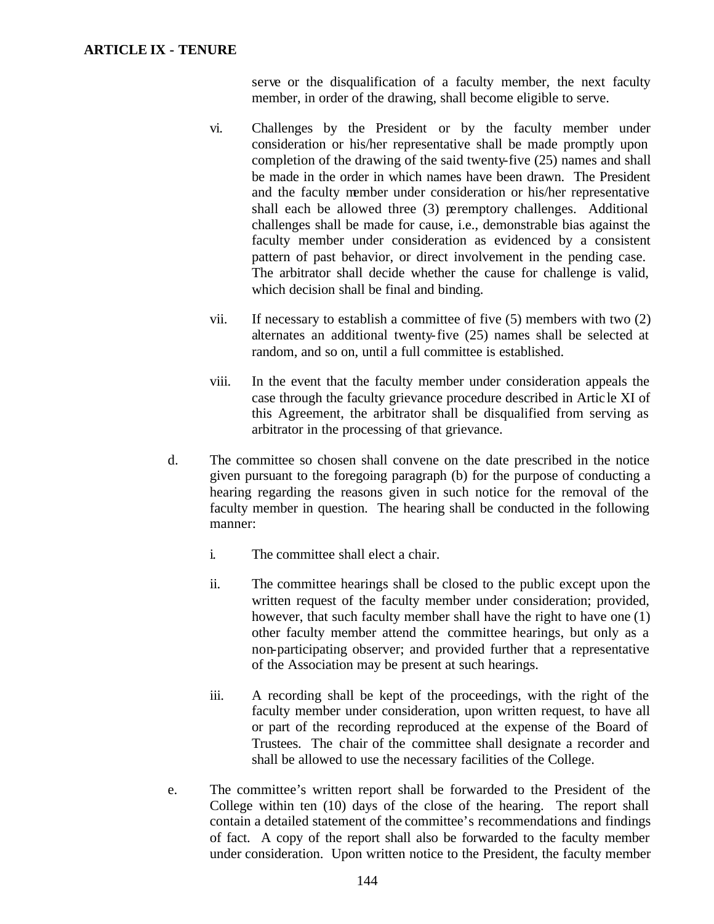serve or the disqualification of a faculty member, the next faculty member, in order of the drawing, shall become eligible to serve.

- vi. Challenges by the President or by the faculty member under consideration or his/her representative shall be made promptly upon completion of the drawing of the said twenty-five (25) names and shall be made in the order in which names have been drawn. The President and the faculty member under consideration or his/her representative shall each be allowed three (3) peremptory challenges. Additional challenges shall be made for cause, i.e., demonstrable bias against the faculty member under consideration as evidenced by a consistent pattern of past behavior, or direct involvement in the pending case. The arbitrator shall decide whether the cause for challenge is valid, which decision shall be final and binding.
- vii. If necessary to establish a committee of five (5) members with two (2) alternates an additional twenty-five (25) names shall be selected at random, and so on, until a full committee is established.
- viii. In the event that the faculty member under consideration appeals the case through the faculty grievance procedure described in Artic le XI of this Agreement, the arbitrator shall be disqualified from serving as arbitrator in the processing of that grievance.
- d. The committee so chosen shall convene on the date prescribed in the notice given pursuant to the foregoing paragraph (b) for the purpose of conducting a hearing regarding the reasons given in such notice for the removal of the faculty member in question. The hearing shall be conducted in the following manner:
	- i. The committee shall elect a chair.
	- ii. The committee hearings shall be closed to the public except upon the written request of the faculty member under consideration; provided, however, that such faculty member shall have the right to have one (1) other faculty member attend the committee hearings, but only as a non-participating observer; and provided further that a representative of the Association may be present at such hearings.
	- iii. A recording shall be kept of the proceedings, with the right of the faculty member under consideration, upon written request, to have all or part of the recording reproduced at the expense of the Board of Trustees. The chair of the committee shall designate a recorder and shall be allowed to use the necessary facilities of the College.
- e. The committee's written report shall be forwarded to the President of the College within ten (10) days of the close of the hearing. The report shall contain a detailed statement of the committee's recommendations and findings of fact. A copy of the report shall also be forwarded to the faculty member under consideration. Upon written notice to the President, the faculty member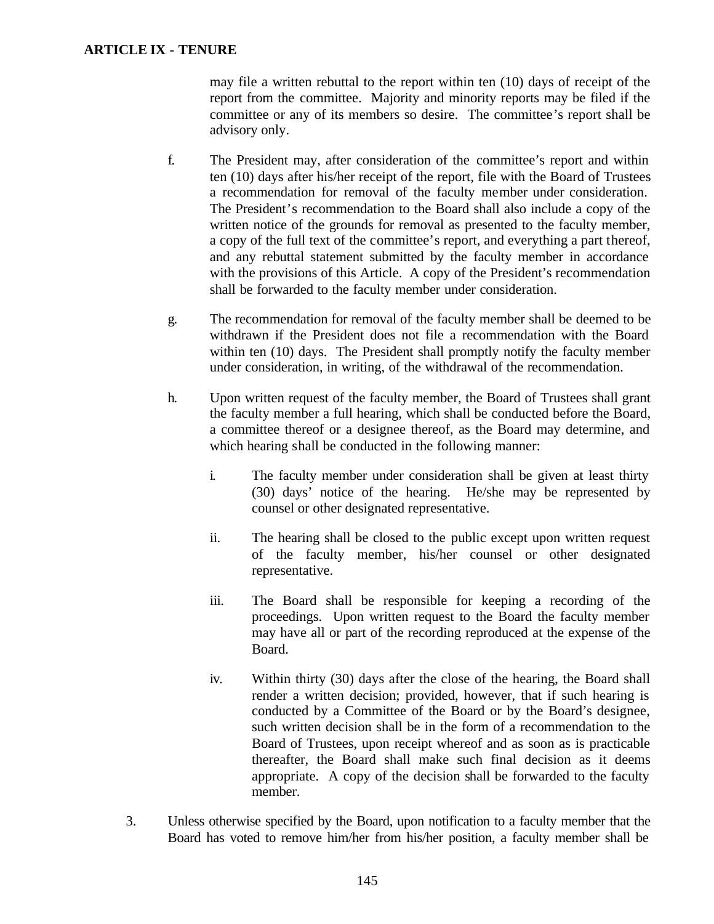may file a written rebuttal to the report within ten (10) days of receipt of the report from the committee. Majority and minority reports may be filed if the committee or any of its members so desire. The committee's report shall be advisory only.

- f. The President may, after consideration of the committee's report and within ten (10) days after his/her receipt of the report, file with the Board of Trustees a recommendation for removal of the faculty member under consideration. The President's recommendation to the Board shall also include a copy of the written notice of the grounds for removal as presented to the faculty member, a copy of the full text of the committee's report, and everything a part thereof, and any rebuttal statement submitted by the faculty member in accordance with the provisions of this Article. A copy of the President's recommendation shall be forwarded to the faculty member under consideration.
- g. The recommendation for removal of the faculty member shall be deemed to be withdrawn if the President does not file a recommendation with the Board within ten (10) days. The President shall promptly notify the faculty member under consideration, in writing, of the withdrawal of the recommendation.
- h. Upon written request of the faculty member, the Board of Trustees shall grant the faculty member a full hearing, which shall be conducted before the Board, a committee thereof or a designee thereof, as the Board may determine, and which hearing shall be conducted in the following manner:
	- i. The faculty member under consideration shall be given at least thirty (30) days' notice of the hearing. He/she may be represented by counsel or other designated representative.
	- ii. The hearing shall be closed to the public except upon written request of the faculty member, his/her counsel or other designated representative.
	- iii. The Board shall be responsible for keeping a recording of the proceedings. Upon written request to the Board the faculty member may have all or part of the recording reproduced at the expense of the Board.
	- iv. Within thirty (30) days after the close of the hearing, the Board shall render a written decision; provided, however, that if such hearing is conducted by a Committee of the Board or by the Board's designee, such written decision shall be in the form of a recommendation to the Board of Trustees, upon receipt whereof and as soon as is practicable thereafter, the Board shall make such final decision as it deems appropriate. A copy of the decision shall be forwarded to the faculty member.
- 3. Unless otherwise specified by the Board, upon notification to a faculty member that the Board has voted to remove him/her from his/her position, a faculty member shall be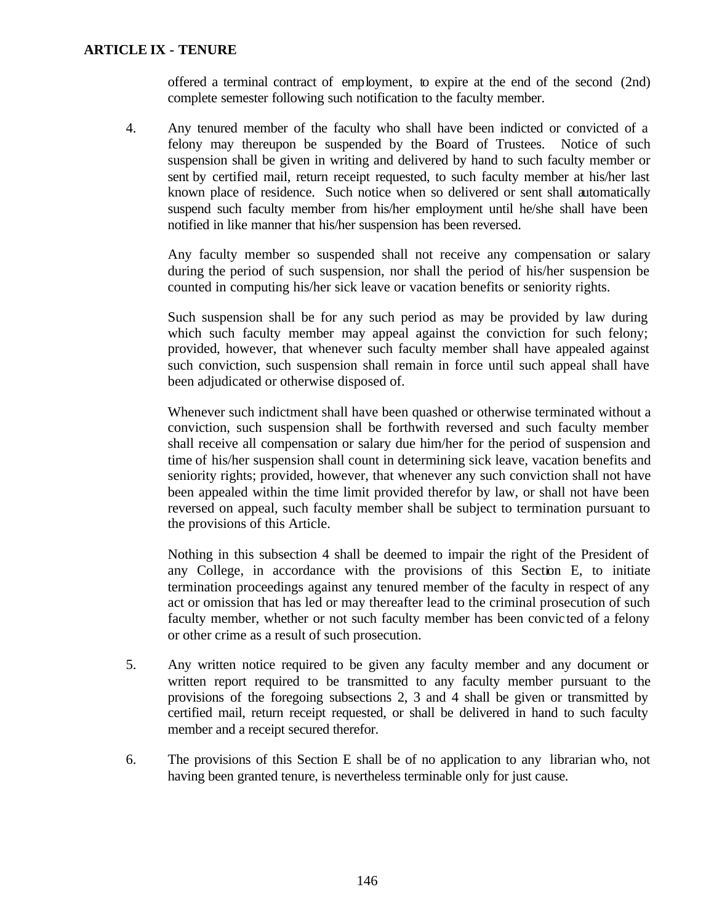offered a terminal contract of employment, to expire at the end of the second (2nd) complete semester following such notification to the faculty member.

4. Any tenured member of the faculty who shall have been indicted or convicted of a felony may thereupon be suspended by the Board of Trustees. Notice of such suspension shall be given in writing and delivered by hand to such faculty member or sent by certified mail, return receipt requested, to such faculty member at his/her last known place of residence. Such notice when so delivered or sent shall automatically suspend such faculty member from his/her employment until he/she shall have been notified in like manner that his/her suspension has been reversed.

Any faculty member so suspended shall not receive any compensation or salary during the period of such suspension, nor shall the period of his/her suspension be counted in computing his/her sick leave or vacation benefits or seniority rights.

Such suspension shall be for any such period as may be provided by law during which such faculty member may appeal against the conviction for such felony; provided, however, that whenever such faculty member shall have appealed against such conviction, such suspension shall remain in force until such appeal shall have been adjudicated or otherwise disposed of.

Whenever such indictment shall have been quashed or otherwise terminated without a conviction, such suspension shall be forthwith reversed and such faculty member shall receive all compensation or salary due him/her for the period of suspension and time of his/her suspension shall count in determining sick leave, vacation benefits and seniority rights; provided, however, that whenever any such conviction shall not have been appealed within the time limit provided therefor by law, or shall not have been reversed on appeal, such faculty member shall be subject to termination pursuant to the provisions of this Article.

Nothing in this subsection 4 shall be deemed to impair the right of the President of any College, in accordance with the provisions of this Section E, to initiate termination proceedings against any tenured member of the faculty in respect of any act or omission that has led or may thereafter lead to the criminal prosecution of such faculty member, whether or not such faculty member has been convic ted of a felony or other crime as a result of such prosecution.

- 5. Any written notice required to be given any faculty member and any document or written report required to be transmitted to any faculty member pursuant to the provisions of the foregoing subsections 2, 3 and 4 shall be given or transmitted by certified mail, return receipt requested, or shall be delivered in hand to such faculty member and a receipt secured therefor.
- 6. The provisions of this Section E shall be of no application to any librarian who, not having been granted tenure, is nevertheless terminable only for just cause.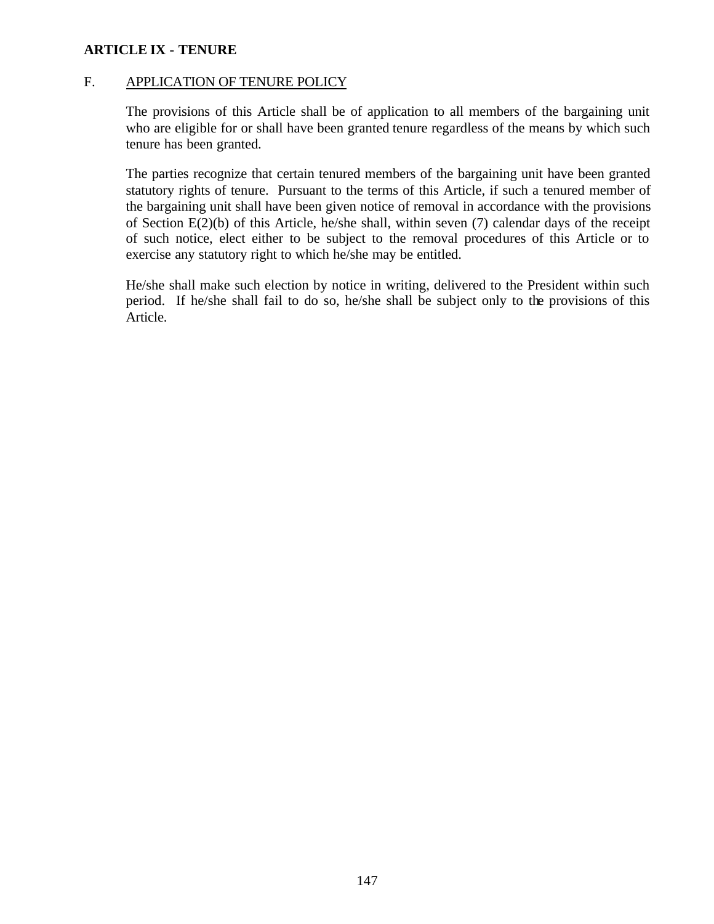### F. APPLICATION OF TENURE POLICY

The provisions of this Article shall be of application to all members of the bargaining unit who are eligible for or shall have been granted tenure regardless of the means by which such tenure has been granted.

The parties recognize that certain tenured members of the bargaining unit have been granted statutory rights of tenure. Pursuant to the terms of this Article, if such a tenured member of the bargaining unit shall have been given notice of removal in accordance with the provisions of Section E(2)(b) of this Article, he/she shall, within seven (7) calendar days of the receipt of such notice, elect either to be subject to the removal procedures of this Article or to exercise any statutory right to which he/she may be entitled.

He/she shall make such election by notice in writing, delivered to the President within such period. If he/she shall fail to do so, he/she shall be subject only to the provisions of this Article.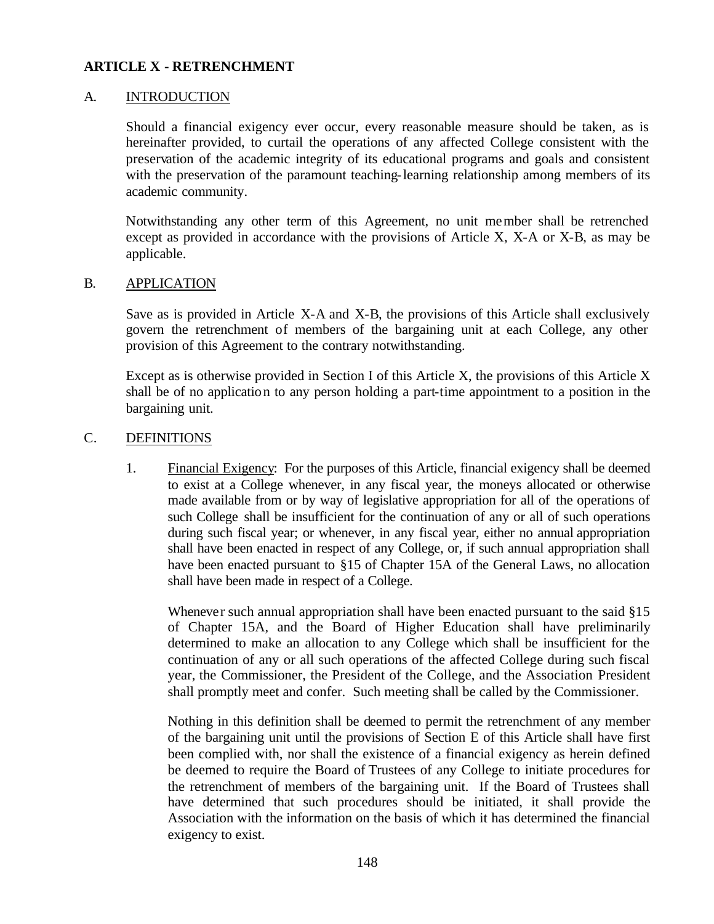#### A. INTRODUCTION

Should a financial exigency ever occur, every reasonable measure should be taken, as is hereinafter provided, to curtail the operations of any affected College consistent with the preservation of the academic integrity of its educational programs and goals and consistent with the preservation of the paramount teaching-learning relationship among members of its academic community.

Notwithstanding any other term of this Agreement, no unit member shall be retrenched except as provided in accordance with the provisions of Article X, X-A or X-B, as may be applicable.

#### B. APPLICATION

Save as is provided in Article X-A and X-B, the provisions of this Article shall exclusively govern the retrenchment of members of the bargaining unit at each College, any other provision of this Agreement to the contrary notwithstanding.

Except as is otherwise provided in Section I of this Article X, the provisions of this Article X shall be of no application to any person holding a part-time appointment to a position in the bargaining unit.

#### C. DEFINITIONS

1. Financial Exigency: For the purposes of this Article, financial exigency shall be deemed to exist at a College whenever, in any fiscal year, the moneys allocated or otherwise made available from or by way of legislative appropriation for all of the operations of such College shall be insufficient for the continuation of any or all of such operations during such fiscal year; or whenever, in any fiscal year, either no annual appropriation shall have been enacted in respect of any College, or, if such annual appropriation shall have been enacted pursuant to §15 of Chapter 15A of the General Laws, no allocation shall have been made in respect of a College.

Whenever such annual appropriation shall have been enacted pursuant to the said §15 of Chapter 15A, and the Board of Higher Education shall have preliminarily determined to make an allocation to any College which shall be insufficient for the continuation of any or all such operations of the affected College during such fiscal year, the Commissioner, the President of the College, and the Association President shall promptly meet and confer. Such meeting shall be called by the Commissioner.

Nothing in this definition shall be deemed to permit the retrenchment of any member of the bargaining unit until the provisions of Section E of this Article shall have first been complied with, nor shall the existence of a financial exigency as herein defined be deemed to require the Board of Trustees of any College to initiate procedures for the retrenchment of members of the bargaining unit. If the Board of Trustees shall have determined that such procedures should be initiated, it shall provide the Association with the information on the basis of which it has determined the financial exigency to exist.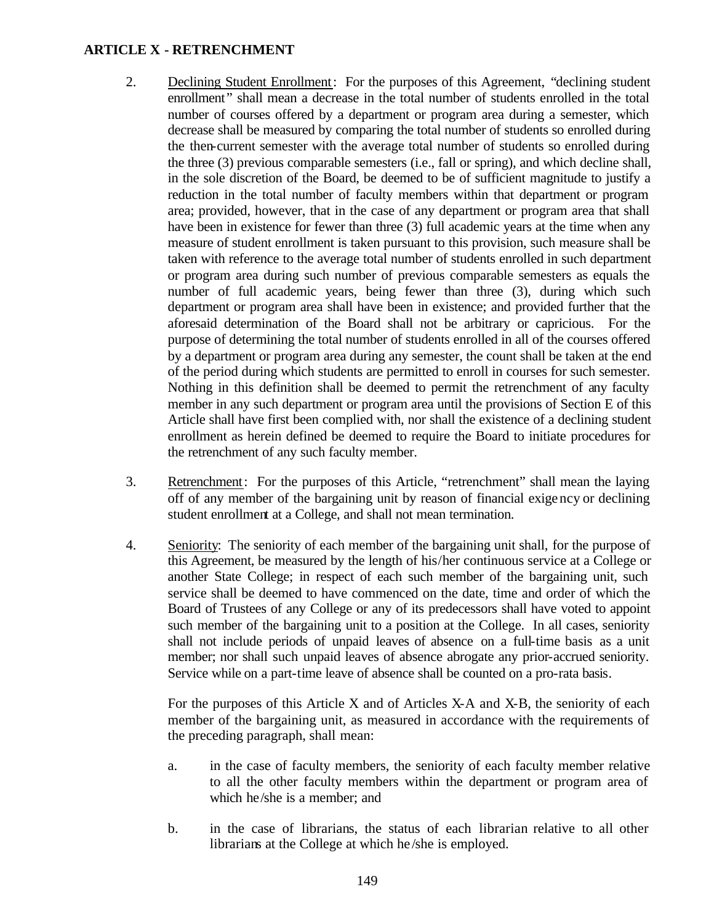- 2. Declining Student Enrollment: For the purposes of this Agreement, "declining student enrollment" shall mean a decrease in the total number of students enrolled in the total number of courses offered by a department or program area during a semester, which decrease shall be measured by comparing the total number of students so enrolled during the then-current semester with the average total number of students so enrolled during the three (3) previous comparable semesters (i.e., fall or spring), and which decline shall, in the sole discretion of the Board, be deemed to be of sufficient magnitude to justify a reduction in the total number of faculty members within that department or program area; provided, however, that in the case of any department or program area that shall have been in existence for fewer than three (3) full academic years at the time when any measure of student enrollment is taken pursuant to this provision, such measure shall be taken with reference to the average total number of students enrolled in such department or program area during such number of previous comparable semesters as equals the number of full academic years, being fewer than three (3), during which such department or program area shall have been in existence; and provided further that the aforesaid determination of the Board shall not be arbitrary or capricious. For the purpose of determining the total number of students enrolled in all of the courses offered by a department or program area during any semester, the count shall be taken at the end of the period during which students are permitted to enroll in courses for such semester. Nothing in this definition shall be deemed to permit the retrenchment of any faculty member in any such department or program area until the provisions of Section E of this Article shall have first been complied with, nor shall the existence of a declining student enrollment as herein defined be deemed to require the Board to initiate procedures for the retrenchment of any such faculty member.
- 3. Retrenchment: For the purposes of this Article, "retrenchment" shall mean the laying off of any member of the bargaining unit by reason of financial exigency or declining student enrollment at a College, and shall not mean termination.
- 4. Seniority: The seniority of each member of the bargaining unit shall, for the purpose of this Agreement, be measured by the length of his/her continuous service at a College or another State College; in respect of each such member of the bargaining unit, such service shall be deemed to have commenced on the date, time and order of which the Board of Trustees of any College or any of its predecessors shall have voted to appoint such member of the bargaining unit to a position at the College. In all cases, seniority shall not include periods of unpaid leaves of absence on a full-time basis as a unit member; nor shall such unpaid leaves of absence abrogate any prior-accrued seniority. Service while on a part-time leave of absence shall be counted on a pro-rata basis.

For the purposes of this Article X and of Articles X-A and X-B, the seniority of each member of the bargaining unit, as measured in accordance with the requirements of the preceding paragraph, shall mean:

- a. in the case of faculty members, the seniority of each faculty member relative to all the other faculty members within the department or program area of which he/she is a member; and
- b. in the case of librarians, the status of each librarian relative to all other librarians at the College at which he /she is employed.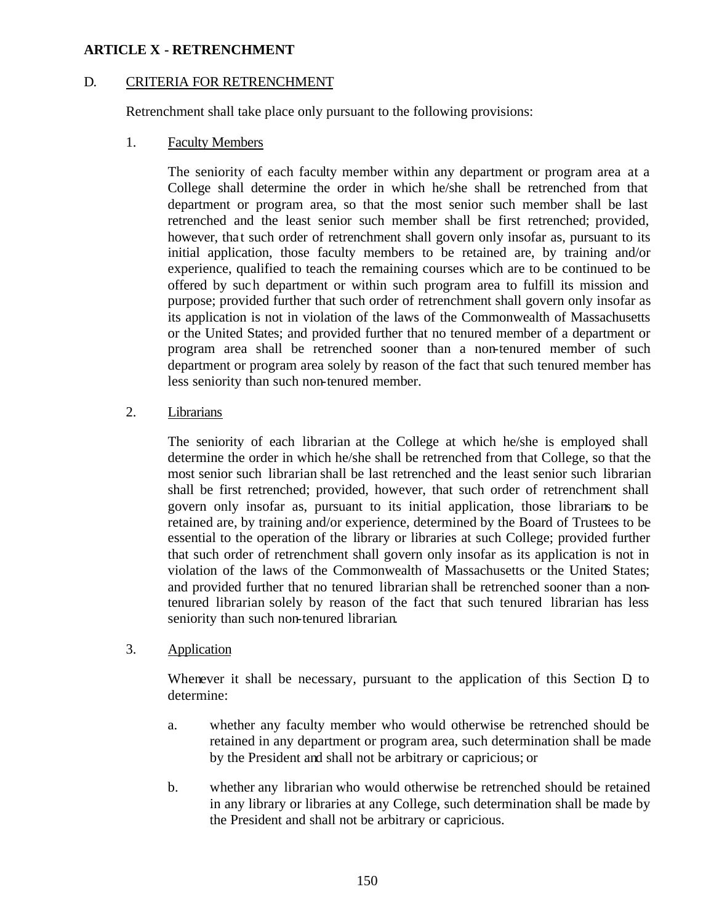### D. CRITERIA FOR RETRENCHMENT

Retrenchment shall take place only pursuant to the following provisions:

1. Faculty Members

The seniority of each faculty member within any department or program area at a College shall determine the order in which he/she shall be retrenched from that department or program area, so that the most senior such member shall be last retrenched and the least senior such member shall be first retrenched; provided, however, that such order of retrenchment shall govern only insofar as, pursuant to its initial application, those faculty members to be retained are, by training and/or experience, qualified to teach the remaining courses which are to be continued to be offered by such department or within such program area to fulfill its mission and purpose; provided further that such order of retrenchment shall govern only insofar as its application is not in violation of the laws of the Commonwealth of Massachusetts or the United States; and provided further that no tenured member of a department or program area shall be retrenched sooner than a non-tenured member of such department or program area solely by reason of the fact that such tenured member has less seniority than such non-tenured member.

2. Librarians

The seniority of each librarian at the College at which he/she is employed shall determine the order in which he/she shall be retrenched from that College, so that the most senior such librarian shall be last retrenched and the least senior such librarian shall be first retrenched; provided, however, that such order of retrenchment shall govern only insofar as, pursuant to its initial application, those librarians to be retained are, by training and/or experience, determined by the Board of Trustees to be essential to the operation of the library or libraries at such College; provided further that such order of retrenchment shall govern only insofar as its application is not in violation of the laws of the Commonwealth of Massachusetts or the United States; and provided further that no tenured librarian shall be retrenched sooner than a nontenured librarian solely by reason of the fact that such tenured librarian has less seniority than such non-tenured librarian.

3. Application

Whenever it shall be necessary, pursuant to the application of this Section  $D<sub>i</sub>$  to determine:

- a. whether any faculty member who would otherwise be retrenched should be retained in any department or program area, such determination shall be made by the President and shall not be arbitrary or capricious; or
- b. whether any librarian who would otherwise be retrenched should be retained in any library or libraries at any College, such determination shall be made by the President and shall not be arbitrary or capricious.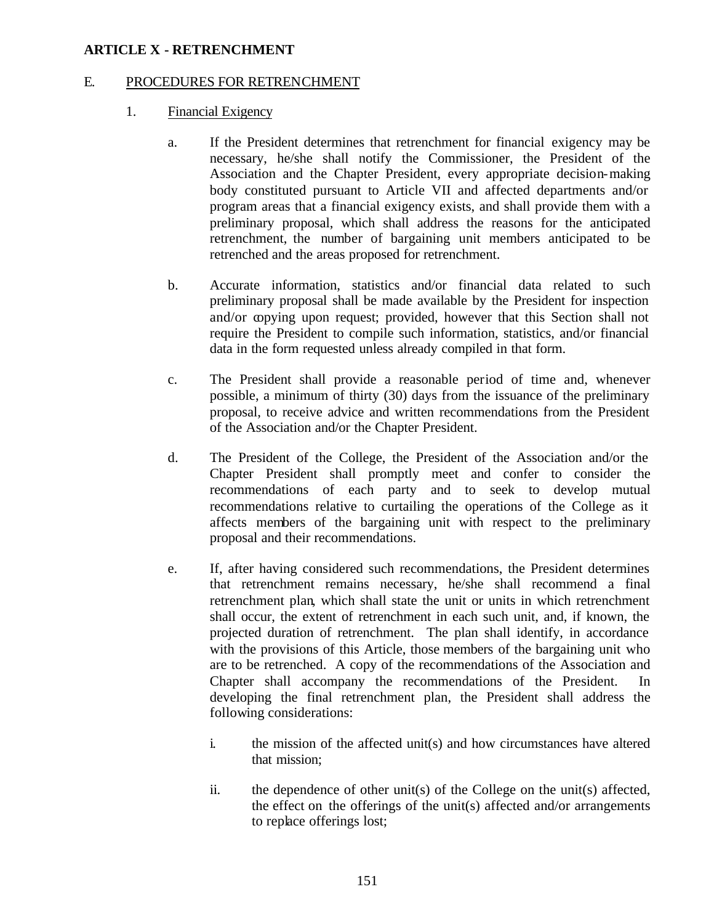### E. PROCEDURES FOR RETRENCHMENT

- 1. Financial Exigency
	- a. If the President determines that retrenchment for financial exigency may be necessary, he/she shall notify the Commissioner, the President of the Association and the Chapter President, every appropriate decision-making body constituted pursuant to Article VII and affected departments and/or program areas that a financial exigency exists, and shall provide them with a preliminary proposal, which shall address the reasons for the anticipated retrenchment, the number of bargaining unit members anticipated to be retrenched and the areas proposed for retrenchment.
	- b. Accurate information, statistics and/or financial data related to such preliminary proposal shall be made available by the President for inspection and/or copying upon request; provided, however that this Section shall not require the President to compile such information, statistics, and/or financial data in the form requested unless already compiled in that form.
	- c. The President shall provide a reasonable period of time and, whenever possible, a minimum of thirty (30) days from the issuance of the preliminary proposal, to receive advice and written recommendations from the President of the Association and/or the Chapter President.
	- d. The President of the College, the President of the Association and/or the Chapter President shall promptly meet and confer to consider the recommendations of each party and to seek to develop mutual recommendations relative to curtailing the operations of the College as it affects members of the bargaining unit with respect to the preliminary proposal and their recommendations.
	- e. If, after having considered such recommendations, the President determines that retrenchment remains necessary, he/she shall recommend a final retrenchment plan, which shall state the unit or units in which retrenchment shall occur, the extent of retrenchment in each such unit, and, if known, the projected duration of retrenchment. The plan shall identify, in accordance with the provisions of this Article, those members of the bargaining unit who are to be retrenched. A copy of the recommendations of the Association and Chapter shall accompany the recommendations of the President. In developing the final retrenchment plan, the President shall address the following considerations:
		- i. the mission of the affected unit(s) and how circumstances have altered that mission;
		- ii. the dependence of other unit(s) of the College on the unit(s) affected, the effect on the offerings of the unit(s) affected and/or arrangements to replace offerings lost;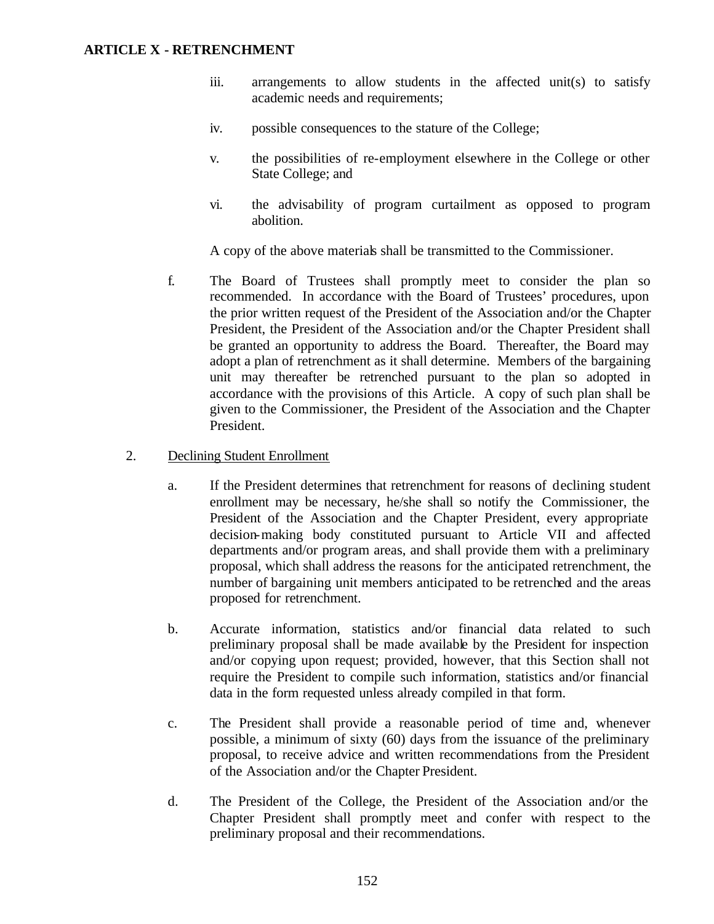- iii. arrangements to allow students in the affected unit(s) to satisfy academic needs and requirements;
- iv. possible consequences to the stature of the College;
- v. the possibilities of re-employment elsewhere in the College or other State College; and
- vi. the advisability of program curtailment as opposed to program abolition.

A copy of the above materials shall be transmitted to the Commissioner.

- f. The Board of Trustees shall promptly meet to consider the plan so recommended. In accordance with the Board of Trustees' procedures, upon the prior written request of the President of the Association and/or the Chapter President, the President of the Association and/or the Chapter President shall be granted an opportunity to address the Board. Thereafter, the Board may adopt a plan of retrenchment as it shall determine. Members of the bargaining unit may thereafter be retrenched pursuant to the plan so adopted in accordance with the provisions of this Article. A copy of such plan shall be given to the Commissioner, the President of the Association and the Chapter President.
- 2. Declining Student Enrollment
	- a. If the President determines that retrenchment for reasons of declining student enrollment may be necessary, he/she shall so notify the Commissioner, the President of the Association and the Chapter President, every appropriate decision-making body constituted pursuant to Article VII and affected departments and/or program areas, and shall provide them with a preliminary proposal, which shall address the reasons for the anticipated retrenchment, the number of bargaining unit members anticipated to be retrenched and the areas proposed for retrenchment.
	- b. Accurate information, statistics and/or financial data related to such preliminary proposal shall be made available by the President for inspection and/or copying upon request; provided, however, that this Section shall not require the President to compile such information, statistics and/or financial data in the form requested unless already compiled in that form.
	- c. The President shall provide a reasonable period of time and, whenever possible, a minimum of sixty (60) days from the issuance of the preliminary proposal, to receive advice and written recommendations from the President of the Association and/or the Chapter President.
	- d. The President of the College, the President of the Association and/or the Chapter President shall promptly meet and confer with respect to the preliminary proposal and their recommendations.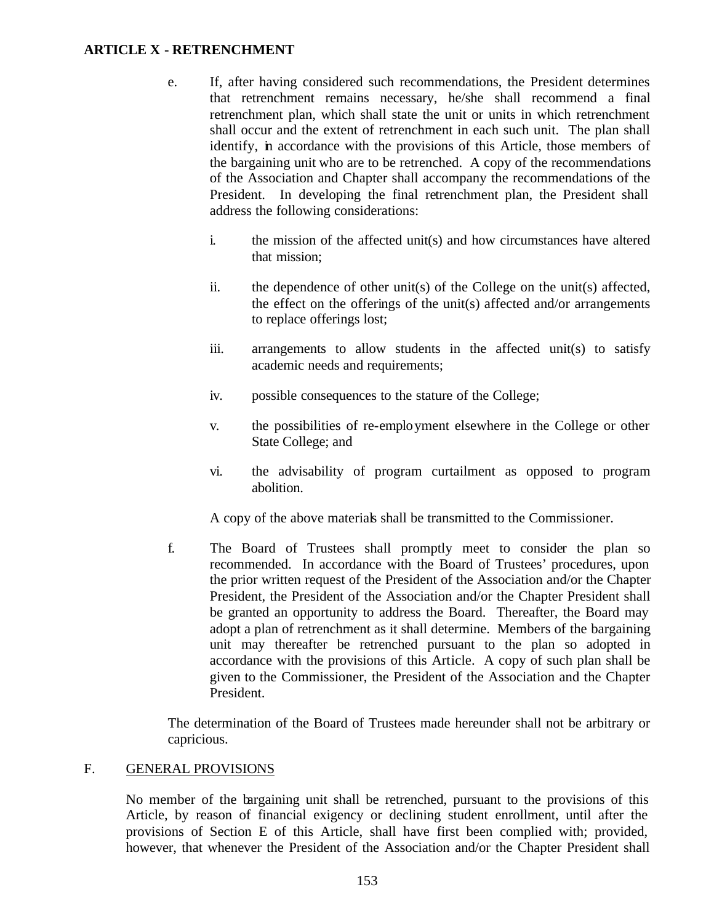- e. If, after having considered such recommendations, the President determines that retrenchment remains necessary, he/she shall recommend a final retrenchment plan, which shall state the unit or units in which retrenchment shall occur and the extent of retrenchment in each such unit. The plan shall identify, in accordance with the provisions of this Article, those members of the bargaining unit who are to be retrenched. A copy of the recommendations of the Association and Chapter shall accompany the recommendations of the President. In developing the final retrenchment plan, the President shall address the following considerations:
	- i. the mission of the affected unit(s) and how circumstances have altered that mission;
	- ii. the dependence of other unit(s) of the College on the unit(s) affected, the effect on the offerings of the unit(s) affected and/or arrangements to replace offerings lost;
	- iii. arrangements to allow students in the affected unit(s) to satisfy academic needs and requirements;
	- iv. possible consequences to the stature of the College;
	- v. the possibilities of re-employment elsewhere in the College or other State College; and
	- vi. the advisability of program curtailment as opposed to program abolition.

A copy of the above materials shall be transmitted to the Commissioner.

f. The Board of Trustees shall promptly meet to consider the plan so recommended. In accordance with the Board of Trustees' procedures, upon the prior written request of the President of the Association and/or the Chapter President, the President of the Association and/or the Chapter President shall be granted an opportunity to address the Board. Thereafter, the Board may adopt a plan of retrenchment as it shall determine. Members of the bargaining unit may thereafter be retrenched pursuant to the plan so adopted in accordance with the provisions of this Article. A copy of such plan shall be given to the Commissioner, the President of the Association and the Chapter President.

The determination of the Board of Trustees made hereunder shall not be arbitrary or capricious.

### F. GENERAL PROVISIONS

No member of the bargaining unit shall be retrenched, pursuant to the provisions of this Article, by reason of financial exigency or declining student enrollment, until after the provisions of Section E of this Article, shall have first been complied with; provided, however, that whenever the President of the Association and/or the Chapter President shall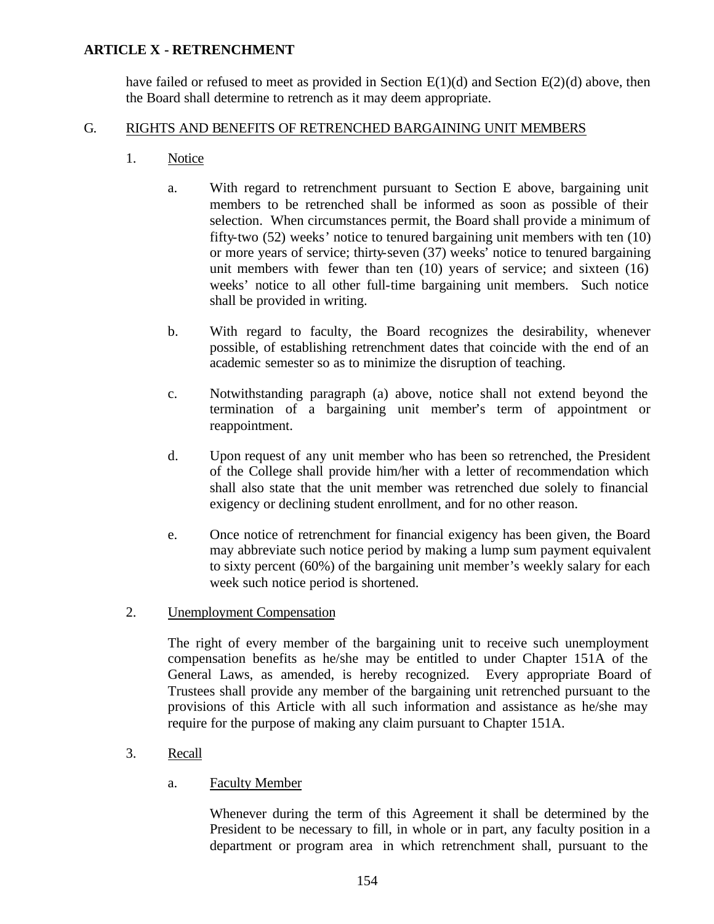have failed or refused to meet as provided in Section  $E(1)(d)$  and Section  $E(2)(d)$  above, then the Board shall determine to retrench as it may deem appropriate.

### G. RIGHTS AND BENEFITS OF RETRENCHED BARGAINING UNIT MEMBERS

- 1. Notice
	- a. With regard to retrenchment pursuant to Section E above, bargaining unit members to be retrenched shall be informed as soon as possible of their selection. When circumstances permit, the Board shall provide a minimum of fifty-two (52) weeks' notice to tenured bargaining unit members with ten (10) or more years of service; thirty-seven (37) weeks' notice to tenured bargaining unit members with fewer than ten (10) years of service; and sixteen (16) weeks' notice to all other full-time bargaining unit members. Such notice shall be provided in writing.
	- b. With regard to faculty, the Board recognizes the desirability, whenever possible, of establishing retrenchment dates that coincide with the end of an academic semester so as to minimize the disruption of teaching.
	- c. Notwithstanding paragraph (a) above, notice shall not extend beyond the termination of a bargaining unit member's term of appointment or reappointment.
	- d. Upon request of any unit member who has been so retrenched, the President of the College shall provide him/her with a letter of recommendation which shall also state that the unit member was retrenched due solely to financial exigency or declining student enrollment, and for no other reason.
	- e. Once notice of retrenchment for financial exigency has been given, the Board may abbreviate such notice period by making a lump sum payment equivalent to sixty percent (60%) of the bargaining unit member's weekly salary for each week such notice period is shortened.
- 2. Unemployment Compensation

The right of every member of the bargaining unit to receive such unemployment compensation benefits as he/she may be entitled to under Chapter 151A of the General Laws, as amended, is hereby recognized. Every appropriate Board of Trustees shall provide any member of the bargaining unit retrenched pursuant to the provisions of this Article with all such information and assistance as he/she may require for the purpose of making any claim pursuant to Chapter 151A.

- 3. Recall
	- a. Faculty Member

Whenever during the term of this Agreement it shall be determined by the President to be necessary to fill, in whole or in part, any faculty position in a department or program area in which retrenchment shall, pursuant to the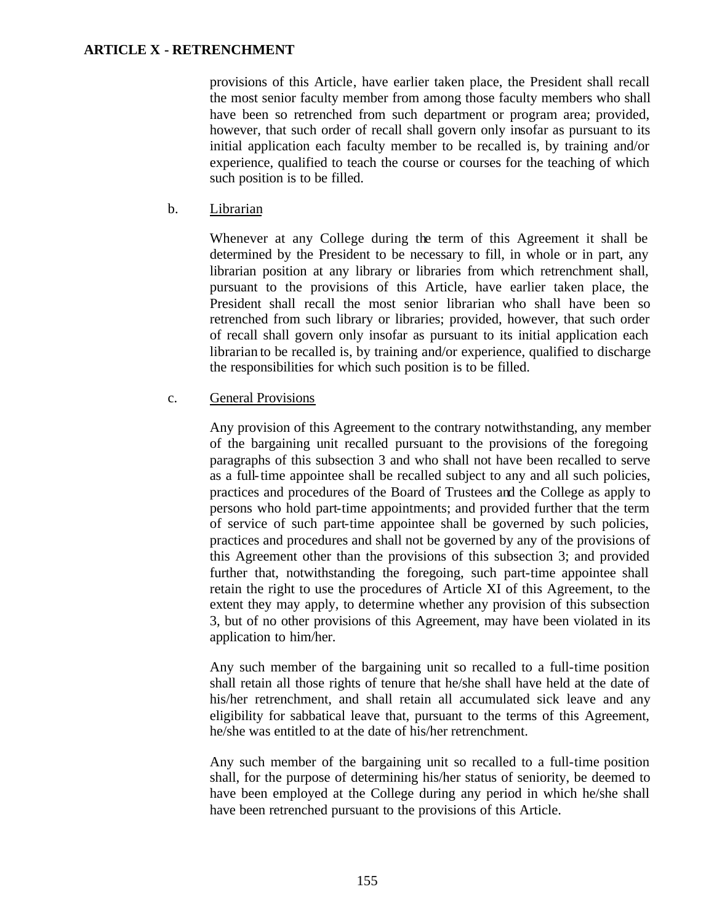provisions of this Article, have earlier taken place, the President shall recall the most senior faculty member from among those faculty members who shall have been so retrenched from such department or program area; provided, however, that such order of recall shall govern only insofar as pursuant to its initial application each faculty member to be recalled is, by training and/or experience, qualified to teach the course or courses for the teaching of which such position is to be filled.

b. Librarian

Whenever at any College during the term of this Agreement it shall be determined by the President to be necessary to fill, in whole or in part, any librarian position at any library or libraries from which retrenchment shall, pursuant to the provisions of this Article, have earlier taken place, the President shall recall the most senior librarian who shall have been so retrenched from such library or libraries; provided, however, that such order of recall shall govern only insofar as pursuant to its initial application each librarian to be recalled is, by training and/or experience, qualified to discharge the responsibilities for which such position is to be filled.

### c. General Provisions

Any provision of this Agreement to the contrary notwithstanding, any member of the bargaining unit recalled pursuant to the provisions of the foregoing paragraphs of this subsection 3 and who shall not have been recalled to serve as a full-time appointee shall be recalled subject to any and all such policies, practices and procedures of the Board of Trustees and the College as apply to persons who hold part-time appointments; and provided further that the term of service of such part-time appointee shall be governed by such policies, practices and procedures and shall not be governed by any of the provisions of this Agreement other than the provisions of this subsection 3; and provided further that, notwithstanding the foregoing, such part-time appointee shall retain the right to use the procedures of Article XI of this Agreement, to the extent they may apply, to determine whether any provision of this subsection 3, but of no other provisions of this Agreement, may have been violated in its application to him/her.

Any such member of the bargaining unit so recalled to a full-time position shall retain all those rights of tenure that he/she shall have held at the date of his/her retrenchment, and shall retain all accumulated sick leave and any eligibility for sabbatical leave that, pursuant to the terms of this Agreement, he/she was entitled to at the date of his/her retrenchment.

Any such member of the bargaining unit so recalled to a full-time position shall, for the purpose of determining his/her status of seniority, be deemed to have been employed at the College during any period in which he/she shall have been retrenched pursuant to the provisions of this Article.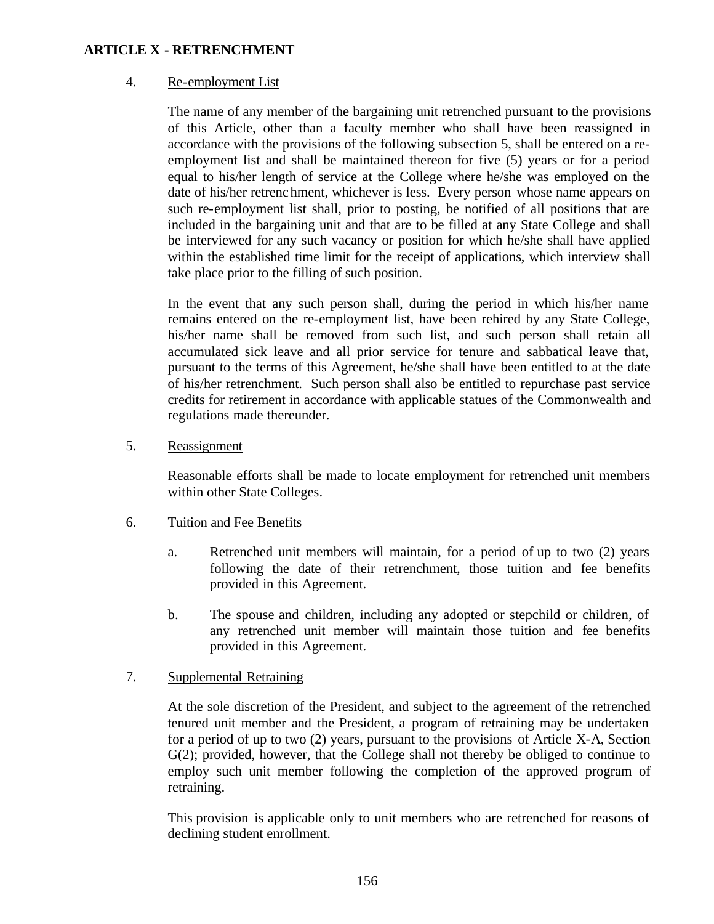### 4. Re-employment List

The name of any member of the bargaining unit retrenched pursuant to the provisions of this Article, other than a faculty member who shall have been reassigned in accordance with the provisions of the following subsection 5, shall be entered on a reemployment list and shall be maintained thereon for five (5) years or for a period equal to his/her length of service at the College where he/she was employed on the date of his/her retrenchment, whichever is less. Every person whose name appears on such re-employment list shall, prior to posting, be notified of all positions that are included in the bargaining unit and that are to be filled at any State College and shall be interviewed for any such vacancy or position for which he/she shall have applied within the established time limit for the receipt of applications, which interview shall take place prior to the filling of such position.

In the event that any such person shall, during the period in which his/her name remains entered on the re-employment list, have been rehired by any State College, his/her name shall be removed from such list, and such person shall retain all accumulated sick leave and all prior service for tenure and sabbatical leave that, pursuant to the terms of this Agreement, he/she shall have been entitled to at the date of his/her retrenchment. Such person shall also be entitled to repurchase past service credits for retirement in accordance with applicable statues of the Commonwealth and regulations made thereunder.

5. Reassignment

Reasonable efforts shall be made to locate employment for retrenched unit members within other State Colleges.

- 6. Tuition and Fee Benefits
	- a. Retrenched unit members will maintain, for a period of up to two (2) years following the date of their retrenchment, those tuition and fee benefits provided in this Agreement.
	- b. The spouse and children, including any adopted or stepchild or children, of any retrenched unit member will maintain those tuition and fee benefits provided in this Agreement.

### 7. Supplemental Retraining

At the sole discretion of the President, and subject to the agreement of the retrenched tenured unit member and the President, a program of retraining may be undertaken for a period of up to two (2) years, pursuant to the provisions of Article X-A, Section G(2); provided, however, that the College shall not thereby be obliged to continue to employ such unit member following the completion of the approved program of retraining.

This provision is applicable only to unit members who are retrenched for reasons of declining student enrollment.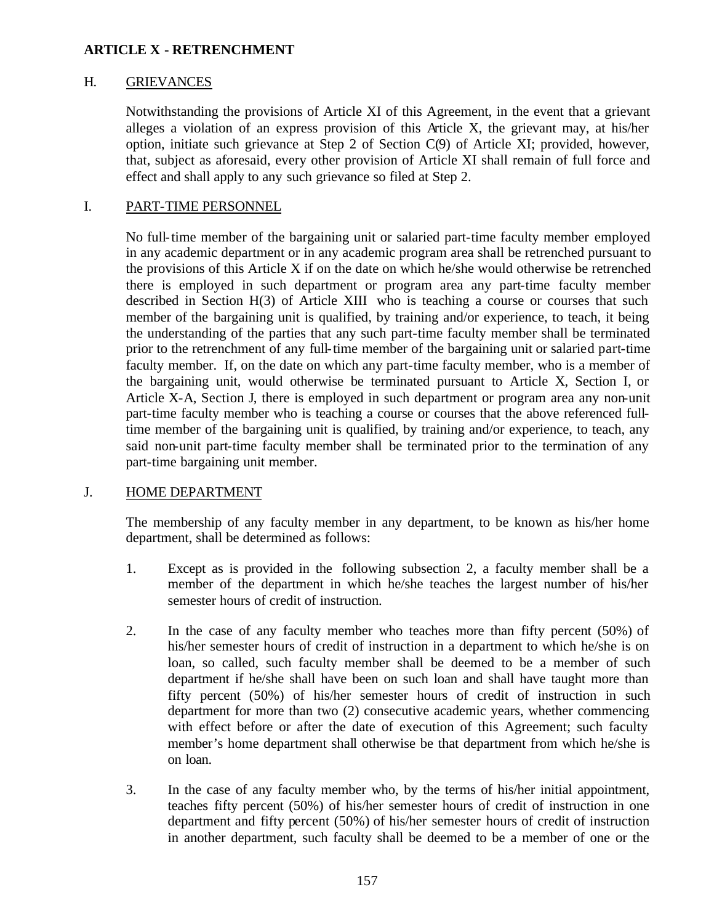### H. GRIEVANCES

Notwithstanding the provisions of Article XI of this Agreement, in the event that a grievant alleges a violation of an express provision of this Article X, the grievant may, at his/her option, initiate such grievance at Step 2 of Section C(9) of Article XI; provided, however, that, subject as aforesaid, every other provision of Article XI shall remain of full force and effect and shall apply to any such grievance so filed at Step 2.

#### I. PART-TIME PERSONNEL

No full-time member of the bargaining unit or salaried part-time faculty member employed in any academic department or in any academic program area shall be retrenched pursuant to the provisions of this Article X if on the date on which he/she would otherwise be retrenched there is employed in such department or program area any part-time faculty member described in Section H(3) of Article XIII who is teaching a course or courses that such member of the bargaining unit is qualified, by training and/or experience, to teach, it being the understanding of the parties that any such part-time faculty member shall be terminated prior to the retrenchment of any full-time member of the bargaining unit or salaried part-time faculty member. If, on the date on which any part-time faculty member, who is a member of the bargaining unit, would otherwise be terminated pursuant to Article X, Section I, or Article X-A, Section J, there is employed in such department or program area any non-unit part-time faculty member who is teaching a course or courses that the above referenced fulltime member of the bargaining unit is qualified, by training and/or experience, to teach, any said non-unit part-time faculty member shall be terminated prior to the termination of any part-time bargaining unit member.

### J. HOME DEPARTMENT

The membership of any faculty member in any department, to be known as his/her home department, shall be determined as follows:

- 1. Except as is provided in the following subsection 2, a faculty member shall be a member of the department in which he/she teaches the largest number of his/her semester hours of credit of instruction.
- 2. In the case of any faculty member who teaches more than fifty percent (50%) of his/her semester hours of credit of instruction in a department to which he/she is on loan, so called, such faculty member shall be deemed to be a member of such department if he/she shall have been on such loan and shall have taught more than fifty percent (50%) of his/her semester hours of credit of instruction in such department for more than two (2) consecutive academic years, whether commencing with effect before or after the date of execution of this Agreement; such faculty member's home department shall otherwise be that department from which he/she is on loan.
- 3. In the case of any faculty member who, by the terms of his/her initial appointment, teaches fifty percent (50%) of his/her semester hours of credit of instruction in one department and fifty percent (50%) of his/her semester hours of credit of instruction in another department, such faculty shall be deemed to be a member of one or the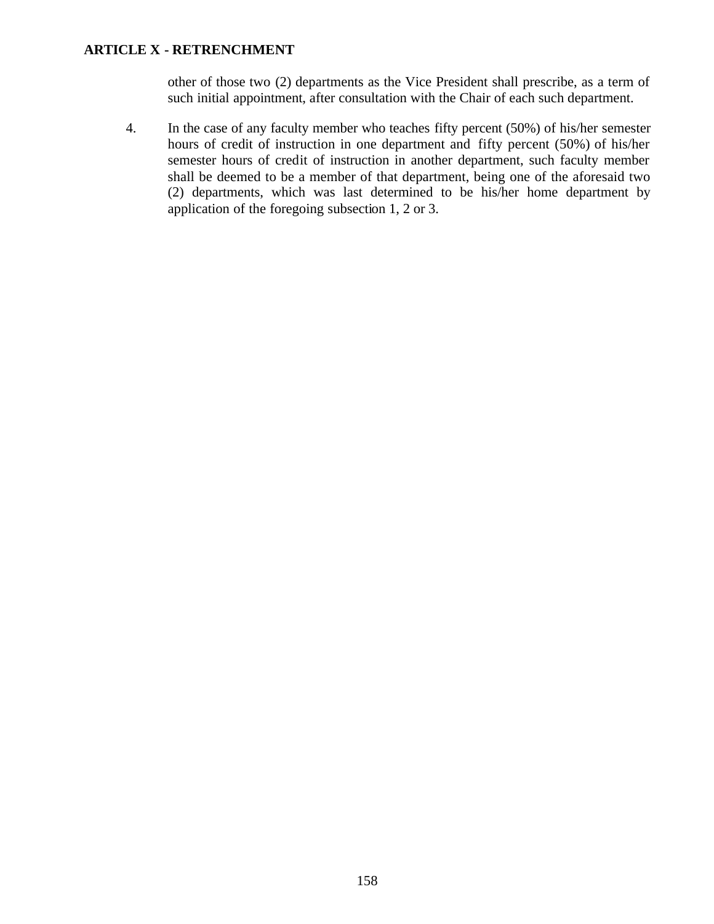other of those two (2) departments as the Vice President shall prescribe, as a term of such initial appointment, after consultation with the Chair of each such department.

4. In the case of any faculty member who teaches fifty percent (50%) of his/her semester hours of credit of instruction in one department and fifty percent (50%) of his/her semester hours of credit of instruction in another department, such faculty member shall be deemed to be a member of that department, being one of the aforesaid two (2) departments, which was last determined to be his/her home department by application of the foregoing subsection 1, 2 or 3.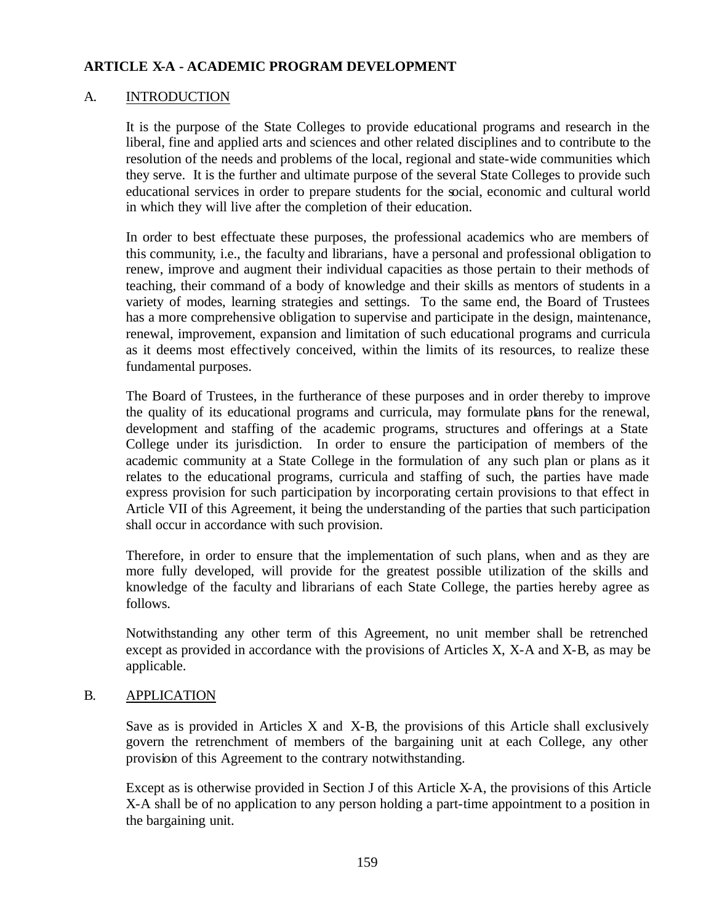### A. INTRODUCTION

It is the purpose of the State Colleges to provide educational programs and research in the liberal, fine and applied arts and sciences and other related disciplines and to contribute to the resolution of the needs and problems of the local, regional and state-wide communities which they serve. It is the further and ultimate purpose of the several State Colleges to provide such educational services in order to prepare students for the social, economic and cultural world in which they will live after the completion of their education.

In order to best effectuate these purposes, the professional academics who are members of this community, i.e., the faculty and librarians, have a personal and professional obligation to renew, improve and augment their individual capacities as those pertain to their methods of teaching, their command of a body of knowledge and their skills as mentors of students in a variety of modes, learning strategies and settings. To the same end, the Board of Trustees has a more comprehensive obligation to supervise and participate in the design, maintenance, renewal, improvement, expansion and limitation of such educational programs and curricula as it deems most effectively conceived, within the limits of its resources, to realize these fundamental purposes.

The Board of Trustees, in the furtherance of these purposes and in order thereby to improve the quality of its educational programs and curricula, may formulate plans for the renewal, development and staffing of the academic programs, structures and offerings at a State College under its jurisdiction. In order to ensure the participation of members of the academic community at a State College in the formulation of any such plan or plans as it relates to the educational programs, curricula and staffing of such, the parties have made express provision for such participation by incorporating certain provisions to that effect in Article VII of this Agreement, it being the understanding of the parties that such participation shall occur in accordance with such provision.

Therefore, in order to ensure that the implementation of such plans, when and as they are more fully developed, will provide for the greatest possible utilization of the skills and knowledge of the faculty and librarians of each State College, the parties hereby agree as follows.

Notwithstanding any other term of this Agreement, no unit member shall be retrenched except as provided in accordance with the provisions of Articles X, X-A and X-B, as may be applicable.

# B. APPLICATION

Save as is provided in Articles X and X-B, the provisions of this Article shall exclusively govern the retrenchment of members of the bargaining unit at each College, any other provision of this Agreement to the contrary notwithstanding.

Except as is otherwise provided in Section J of this Article X-A, the provisions of this Article X-A shall be of no application to any person holding a part-time appointment to a position in the bargaining unit.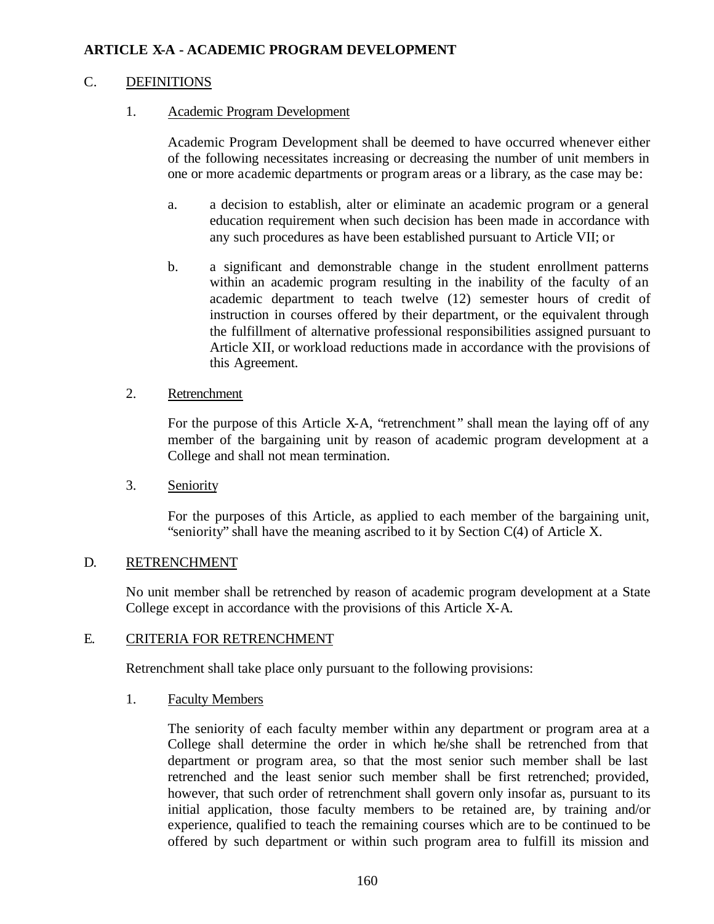# C. DEFINITIONS

### 1. Academic Program Development

Academic Program Development shall be deemed to have occurred whenever either of the following necessitates increasing or decreasing the number of unit members in one or more academic departments or program areas or a library, as the case may be:

- a. a decision to establish, alter or eliminate an academic program or a general education requirement when such decision has been made in accordance with any such procedures as have been established pursuant to Article VII; or
- b. a significant and demonstrable change in the student enrollment patterns within an academic program resulting in the inability of the faculty of an academic department to teach twelve (12) semester hours of credit of instruction in courses offered by their department, or the equivalent through the fulfillment of alternative professional responsibilities assigned pursuant to Article XII, or workload reductions made in accordance with the provisions of this Agreement.

### 2. Retrenchment

For the purpose of this Article X-A, "retrenchment" shall mean the laying off of any member of the bargaining unit by reason of academic program development at a College and shall not mean termination.

3. Seniority

For the purposes of this Article, as applied to each member of the bargaining unit, "seniority" shall have the meaning ascribed to it by Section C(4) of Article X.

# D. RETRENCHMENT

No unit member shall be retrenched by reason of academic program development at a State College except in accordance with the provisions of this Article X-A.

# E. CRITERIA FOR RETRENCHMENT

Retrenchment shall take place only pursuant to the following provisions:

1. Faculty Members

The seniority of each faculty member within any department or program area at a College shall determine the order in which he/she shall be retrenched from that department or program area, so that the most senior such member shall be last retrenched and the least senior such member shall be first retrenched; provided, however, that such order of retrenchment shall govern only insofar as, pursuant to its initial application, those faculty members to be retained are, by training and/or experience, qualified to teach the remaining courses which are to be continued to be offered by such department or within such program area to fulfill its mission and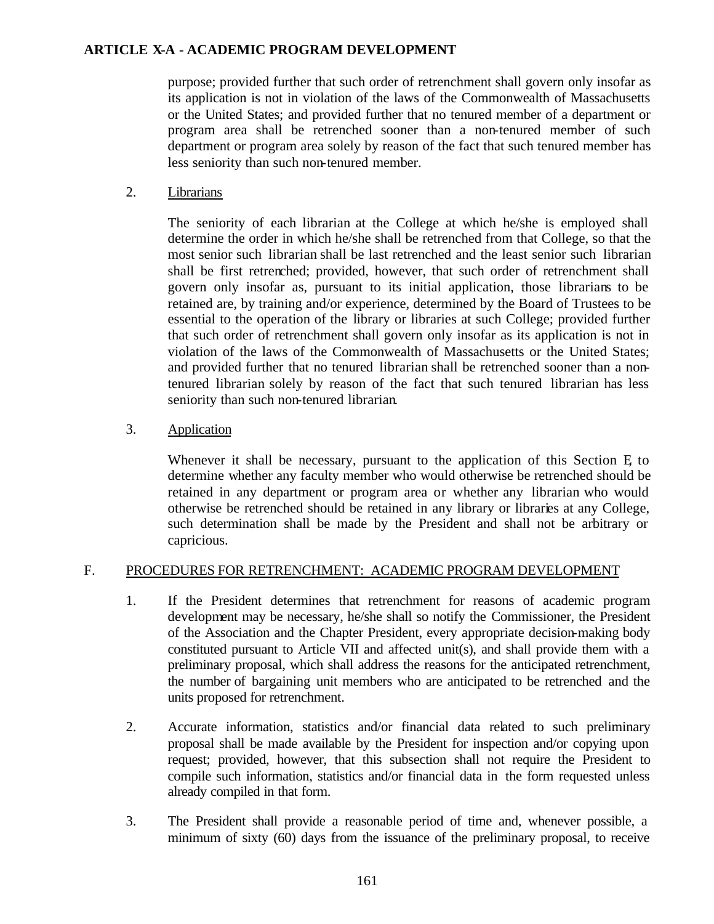purpose; provided further that such order of retrenchment shall govern only insofar as its application is not in violation of the laws of the Commonwealth of Massachusetts or the United States; and provided further that no tenured member of a department or program area shall be retrenched sooner than a non-tenured member of such department or program area solely by reason of the fact that such tenured member has less seniority than such non-tenured member.

2. Librarians

The seniority of each librarian at the College at which he/she is employed shall determine the order in which he/she shall be retrenched from that College, so that the most senior such librarian shall be last retrenched and the least senior such librarian shall be first retrenched; provided, however, that such order of retrenchment shall govern only insofar as, pursuant to its initial application, those librarians to be retained are, by training and/or experience, determined by the Board of Trustees to be essential to the operation of the library or libraries at such College; provided further that such order of retrenchment shall govern only insofar as its application is not in violation of the laws of the Commonwealth of Massachusetts or the United States; and provided further that no tenured librarian shall be retrenched sooner than a nontenured librarian solely by reason of the fact that such tenured librarian has less seniority than such non-tenured librarian.

3. Application

Whenever it shall be necessary, pursuant to the application of this Section E, to determine whether any faculty member who would otherwise be retrenched should be retained in any department or program area or whether any librarian who would otherwise be retrenched should be retained in any library or libraries at any College, such determination shall be made by the President and shall not be arbitrary or capricious.

### F. PROCEDURES FOR RETRENCHMENT: ACADEMIC PROGRAM DEVELOPMENT

- 1. If the President determines that retrenchment for reasons of academic program development may be necessary, he/she shall so notify the Commissioner, the President of the Association and the Chapter President, every appropriate decision-making body constituted pursuant to Article VII and affected unit(s), and shall provide them with a preliminary proposal, which shall address the reasons for the anticipated retrenchment, the number of bargaining unit members who are anticipated to be retrenched and the units proposed for retrenchment.
- 2. Accurate information, statistics and/or financial data related to such preliminary proposal shall be made available by the President for inspection and/or copying upon request; provided, however, that this subsection shall not require the President to compile such information, statistics and/or financial data in the form requested unless already compiled in that form.
- 3. The President shall provide a reasonable period of time and, whenever possible, a minimum of sixty (60) days from the issuance of the preliminary proposal, to receive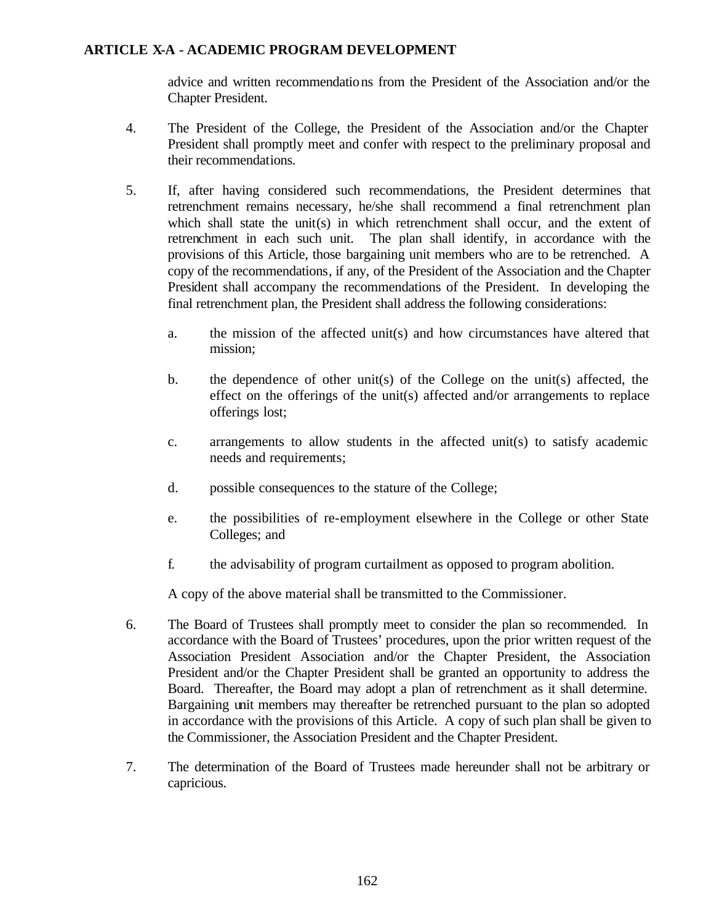advice and written recommendations from the President of the Association and/or the Chapter President.

- 4. The President of the College, the President of the Association and/or the Chapter President shall promptly meet and confer with respect to the preliminary proposal and their recommendations.
- 5. If, after having considered such recommendations, the President determines that retrenchment remains necessary, he/she shall recommend a final retrenchment plan which shall state the unit(s) in which retrenchment shall occur, and the extent of retrenchment in each such unit. The plan shall identify, in accordance with the provisions of this Article, those bargaining unit members who are to be retrenched. A copy of the recommendations, if any, of the President of the Association and the Chapter President shall accompany the recommendations of the President. In developing the final retrenchment plan, the President shall address the following considerations:
	- a. the mission of the affected unit(s) and how circumstances have altered that mission;
	- b. the dependence of other unit(s) of the College on the unit(s) affected, the effect on the offerings of the unit(s) affected and/or arrangements to replace offerings lost;
	- c. arrangements to allow students in the affected unit(s) to satisfy academic needs and requirements;
	- d. possible consequences to the stature of the College;
	- e. the possibilities of re-employment elsewhere in the College or other State Colleges; and
	- f. the advisability of program curtailment as opposed to program abolition.

A copy of the above material shall be transmitted to the Commissioner.

- 6. The Board of Trustees shall promptly meet to consider the plan so recommended. In accordance with the Board of Trustees' procedures, upon the prior written request of the Association President Association and/or the Chapter President, the Association President and/or the Chapter President shall be granted an opportunity to address the Board. Thereafter, the Board may adopt a plan of retrenchment as it shall determine. Bargaining unit members may thereafter be retrenched pursuant to the plan so adopted in accordance with the provisions of this Article. A copy of such plan shall be given to the Commissioner, the Association President and the Chapter President.
- 7. The determination of the Board of Trustees made hereunder shall not be arbitrary or capricious.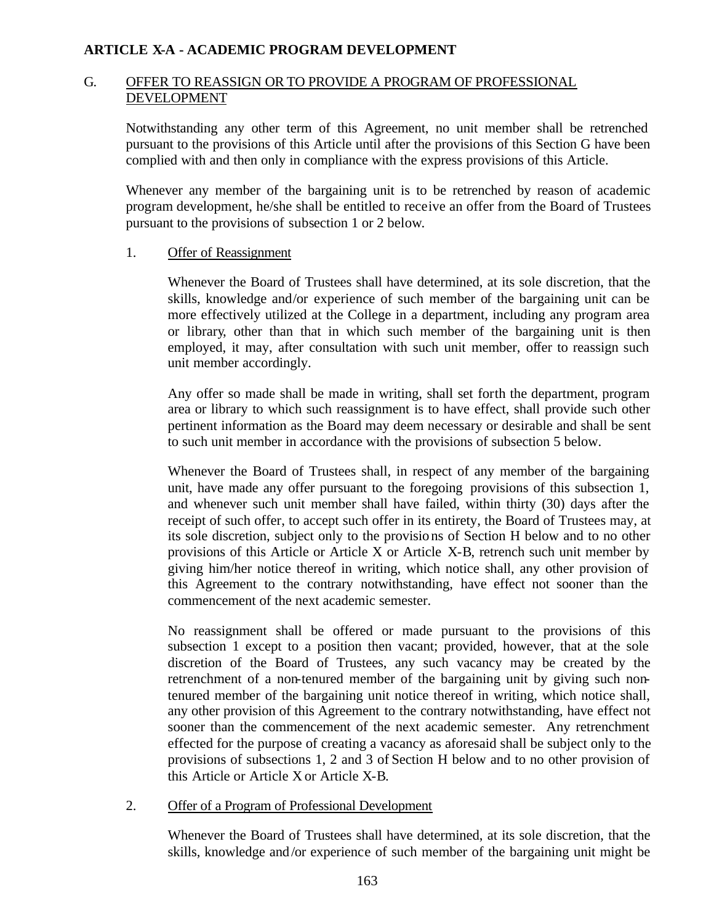### G. OFFER TO REASSIGN OR TO PROVIDE A PROGRAM OF PROFESSIONAL DEVELOPMENT

Notwithstanding any other term of this Agreement, no unit member shall be retrenched pursuant to the provisions of this Article until after the provisions of this Section G have been complied with and then only in compliance with the express provisions of this Article.

Whenever any member of the bargaining unit is to be retrenched by reason of academic program development, he/she shall be entitled to receive an offer from the Board of Trustees pursuant to the provisions of subsection 1 or 2 below.

#### 1. Offer of Reassignment

Whenever the Board of Trustees shall have determined, at its sole discretion, that the skills, knowledge and/or experience of such member of the bargaining unit can be more effectively utilized at the College in a department, including any program area or library, other than that in which such member of the bargaining unit is then employed, it may, after consultation with such unit member, offer to reassign such unit member accordingly.

Any offer so made shall be made in writing, shall set forth the department, program area or library to which such reassignment is to have effect, shall provide such other pertinent information as the Board may deem necessary or desirable and shall be sent to such unit member in accordance with the provisions of subsection 5 below.

Whenever the Board of Trustees shall, in respect of any member of the bargaining unit, have made any offer pursuant to the foregoing provisions of this subsection 1, and whenever such unit member shall have failed, within thirty (30) days after the receipt of such offer, to accept such offer in its entirety, the Board of Trustees may, at its sole discretion, subject only to the provisions of Section H below and to no other provisions of this Article or Article X or Article X-B, retrench such unit member by giving him/her notice thereof in writing, which notice shall, any other provision of this Agreement to the contrary notwithstanding, have effect not sooner than the commencement of the next academic semester.

No reassignment shall be offered or made pursuant to the provisions of this subsection 1 except to a position then vacant; provided, however, that at the sole discretion of the Board of Trustees, any such vacancy may be created by the retrenchment of a non-tenured member of the bargaining unit by giving such nontenured member of the bargaining unit notice thereof in writing, which notice shall, any other provision of this Agreement to the contrary notwithstanding, have effect not sooner than the commencement of the next academic semester. Any retrenchment effected for the purpose of creating a vacancy as aforesaid shall be subject only to the provisions of subsections 1, 2 and 3 of Section H below and to no other provision of this Article or Article X or Article X-B.

2. Offer of a Program of Professional Development

Whenever the Board of Trustees shall have determined, at its sole discretion, that the skills, knowledge and/or experience of such member of the bargaining unit might be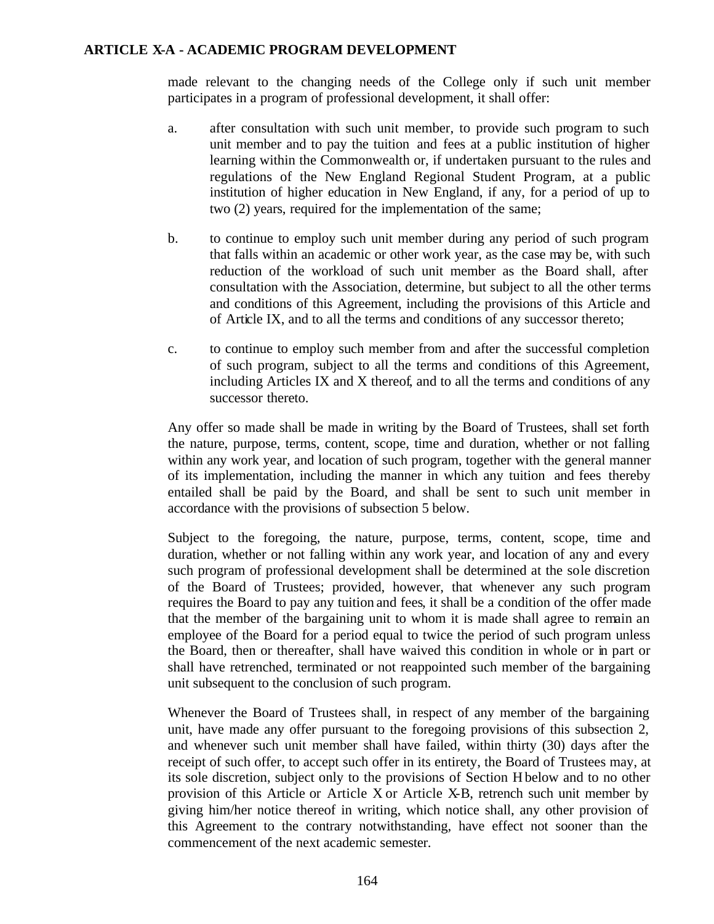made relevant to the changing needs of the College only if such unit member participates in a program of professional development, it shall offer:

- a. after consultation with such unit member, to provide such program to such unit member and to pay the tuition and fees at a public institution of higher learning within the Commonwealth or, if undertaken pursuant to the rules and regulations of the New England Regional Student Program, at a public institution of higher education in New England, if any, for a period of up to two (2) years, required for the implementation of the same;
- b. to continue to employ such unit member during any period of such program that falls within an academic or other work year, as the case may be, with such reduction of the workload of such unit member as the Board shall, after consultation with the Association, determine, but subject to all the other terms and conditions of this Agreement, including the provisions of this Article and of Article IX, and to all the terms and conditions of any successor thereto;
- c. to continue to employ such member from and after the successful completion of such program, subject to all the terms and conditions of this Agreement, including Articles IX and X thereof, and to all the terms and conditions of any successor thereto.

Any offer so made shall be made in writing by the Board of Trustees, shall set forth the nature, purpose, terms, content, scope, time and duration, whether or not falling within any work year, and location of such program, together with the general manner of its implementation, including the manner in which any tuition and fees thereby entailed shall be paid by the Board, and shall be sent to such unit member in accordance with the provisions of subsection 5 below.

Subject to the foregoing, the nature, purpose, terms, content, scope, time and duration, whether or not falling within any work year, and location of any and every such program of professional development shall be determined at the sole discretion of the Board of Trustees; provided, however, that whenever any such program requires the Board to pay any tuition and fees, it shall be a condition of the offer made that the member of the bargaining unit to whom it is made shall agree to remain an employee of the Board for a period equal to twice the period of such program unless the Board, then or thereafter, shall have waived this condition in whole or in part or shall have retrenched, terminated or not reappointed such member of the bargaining unit subsequent to the conclusion of such program.

Whenever the Board of Trustees shall, in respect of any member of the bargaining unit, have made any offer pursuant to the foregoing provisions of this subsection 2, and whenever such unit member shall have failed, within thirty (30) days after the receipt of such offer, to accept such offer in its entirety, the Board of Trustees may, at its sole discretion, subject only to the provisions of Section H below and to no other provision of this Article or Article X or Article X-B, retrench such unit member by giving him/her notice thereof in writing, which notice shall, any other provision of this Agreement to the contrary notwithstanding, have effect not sooner than the commencement of the next academic semester.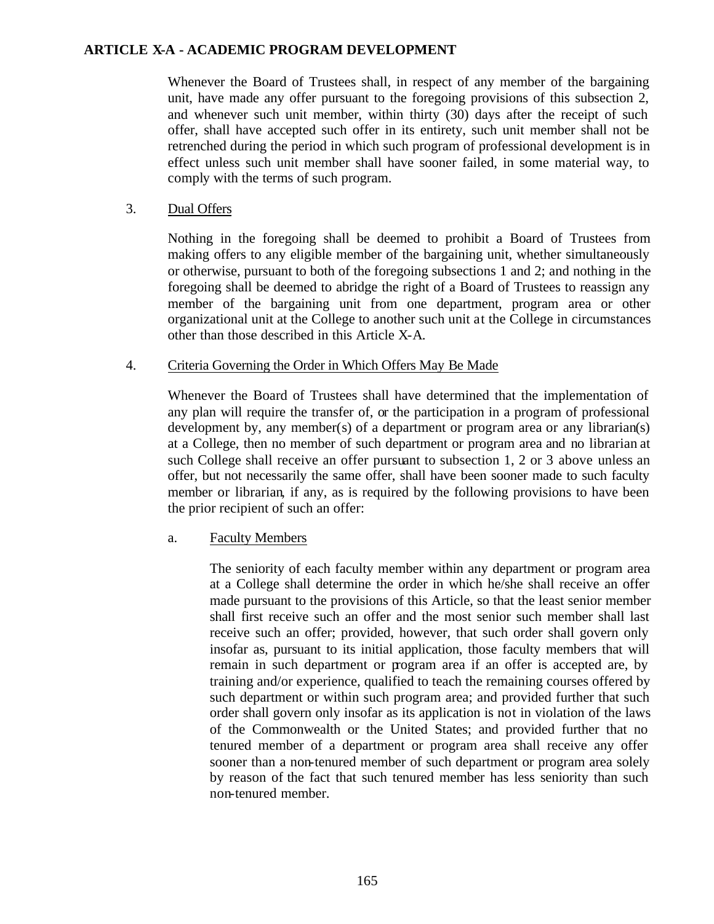Whenever the Board of Trustees shall, in respect of any member of the bargaining unit, have made any offer pursuant to the foregoing provisions of this subsection 2, and whenever such unit member, within thirty (30) days after the receipt of such offer, shall have accepted such offer in its entirety, such unit member shall not be retrenched during the period in which such program of professional development is in effect unless such unit member shall have sooner failed, in some material way, to comply with the terms of such program.

### 3. Dual Offers

Nothing in the foregoing shall be deemed to prohibit a Board of Trustees from making offers to any eligible member of the bargaining unit, whether simultaneously or otherwise, pursuant to both of the foregoing subsections 1 and 2; and nothing in the foregoing shall be deemed to abridge the right of a Board of Trustees to reassign any member of the bargaining unit from one department, program area or other organizational unit at the College to another such unit at the College in circumstances other than those described in this Article X-A.

### 4. Criteria Governing the Order in Which Offers May Be Made

Whenever the Board of Trustees shall have determined that the implementation of any plan will require the transfer of, or the participation in a program of professional development by, any member(s) of a department or program area or any librarian(s) at a College, then no member of such department or program area and no librarian at such College shall receive an offer pursuant to subsection 1, 2 or 3 above unless an offer, but not necessarily the same offer, shall have been sooner made to such faculty member or librarian, if any, as is required by the following provisions to have been the prior recipient of such an offer:

### a. Faculty Members

The seniority of each faculty member within any department or program area at a College shall determine the order in which he/she shall receive an offer made pursuant to the provisions of this Article, so that the least senior member shall first receive such an offer and the most senior such member shall last receive such an offer; provided, however, that such order shall govern only insofar as, pursuant to its initial application, those faculty members that will remain in such department or program area if an offer is accepted are, by training and/or experience, qualified to teach the remaining courses offered by such department or within such program area; and provided further that such order shall govern only insofar as its application is not in violation of the laws of the Commonwealth or the United States; and provided further that no tenured member of a department or program area shall receive any offer sooner than a non-tenured member of such department or program area solely by reason of the fact that such tenured member has less seniority than such non-tenured member.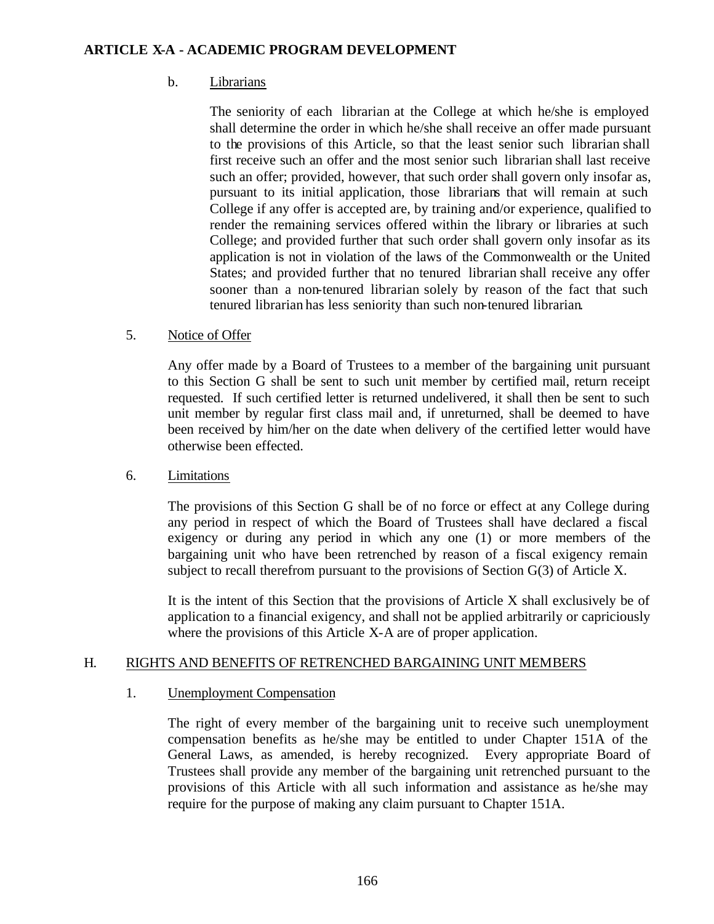# b. Librarians

The seniority of each librarian at the College at which he/she is employed shall determine the order in which he/she shall receive an offer made pursuant to the provisions of this Article, so that the least senior such librarian shall first receive such an offer and the most senior such librarian shall last receive such an offer; provided, however, that such order shall govern only insofar as, pursuant to its initial application, those librarians that will remain at such College if any offer is accepted are, by training and/or experience, qualified to render the remaining services offered within the library or libraries at such College; and provided further that such order shall govern only insofar as its application is not in violation of the laws of the Commonwealth or the United States; and provided further that no tenured librarian shall receive any offer sooner than a non-tenured librarian solely by reason of the fact that such tenured librarian has less seniority than such non-tenured librarian.

# 5. Notice of Offer

Any offer made by a Board of Trustees to a member of the bargaining unit pursuant to this Section G shall be sent to such unit member by certified mail, return receipt requested. If such certified letter is returned undelivered, it shall then be sent to such unit member by regular first class mail and, if unreturned, shall be deemed to have been received by him/her on the date when delivery of the certified letter would have otherwise been effected.

### 6. Limitations

The provisions of this Section G shall be of no force or effect at any College during any period in respect of which the Board of Trustees shall have declared a fiscal exigency or during any period in which any one (1) or more members of the bargaining unit who have been retrenched by reason of a fiscal exigency remain subject to recall therefrom pursuant to the provisions of Section G(3) of Article X.

It is the intent of this Section that the provisions of Article X shall exclusively be of application to a financial exigency, and shall not be applied arbitrarily or capriciously where the provisions of this Article X-A are of proper application.

### H. RIGHTS AND BENEFITS OF RETRENCHED BARGAINING UNIT MEMBERS

### 1. Unemployment Compensation

The right of every member of the bargaining unit to receive such unemployment compensation benefits as he/she may be entitled to under Chapter 151A of the General Laws, as amended, is hereby recognized. Every appropriate Board of Trustees shall provide any member of the bargaining unit retrenched pursuant to the provisions of this Article with all such information and assistance as he/she may require for the purpose of making any claim pursuant to Chapter 151A.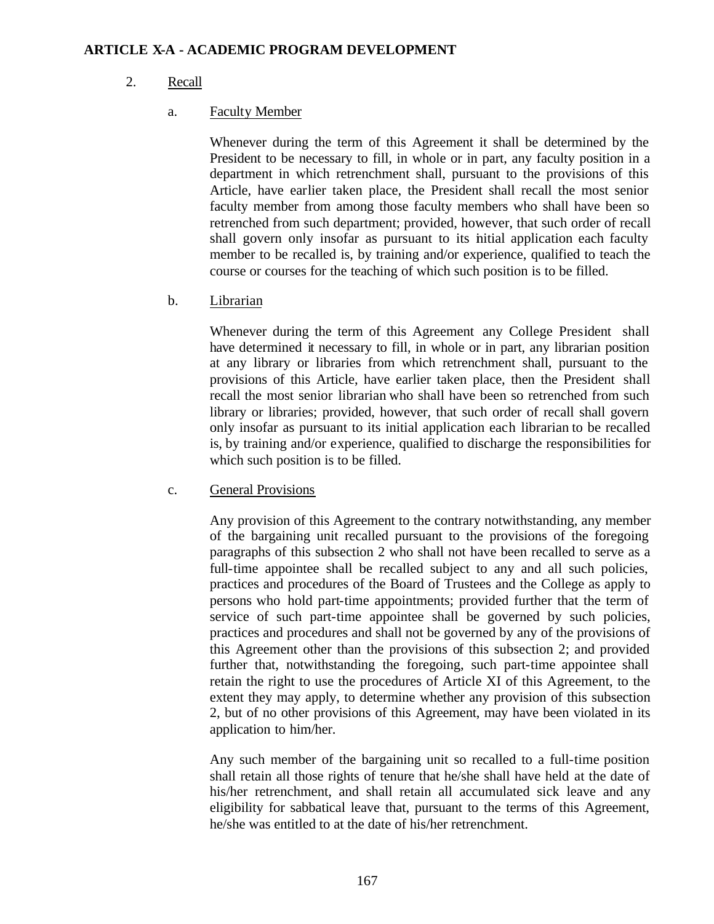# 2. Recall

# a. Faculty Member

Whenever during the term of this Agreement it shall be determined by the President to be necessary to fill, in whole or in part, any faculty position in a department in which retrenchment shall, pursuant to the provisions of this Article, have earlier taken place, the President shall recall the most senior faculty member from among those faculty members who shall have been so retrenched from such department; provided, however, that such order of recall shall govern only insofar as pursuant to its initial application each faculty member to be recalled is, by training and/or experience, qualified to teach the course or courses for the teaching of which such position is to be filled.

### b. Librarian

Whenever during the term of this Agreement any College President shall have determined it necessary to fill, in whole or in part, any librarian position at any library or libraries from which retrenchment shall, pursuant to the provisions of this Article, have earlier taken place, then the President shall recall the most senior librarian who shall have been so retrenched from such library or libraries; provided, however, that such order of recall shall govern only insofar as pursuant to its initial application each librarian to be recalled is, by training and/or experience, qualified to discharge the responsibilities for which such position is to be filled.

### c. General Provisions

Any provision of this Agreement to the contrary notwithstanding, any member of the bargaining unit recalled pursuant to the provisions of the foregoing paragraphs of this subsection 2 who shall not have been recalled to serve as a full-time appointee shall be recalled subject to any and all such policies, practices and procedures of the Board of Trustees and the College as apply to persons who hold part-time appointments; provided further that the term of service of such part-time appointee shall be governed by such policies, practices and procedures and shall not be governed by any of the provisions of this Agreement other than the provisions of this subsection 2; and provided further that, notwithstanding the foregoing, such part-time appointee shall retain the right to use the procedures of Article XI of this Agreement, to the extent they may apply, to determine whether any provision of this subsection 2, but of no other provisions of this Agreement, may have been violated in its application to him/her.

Any such member of the bargaining unit so recalled to a full-time position shall retain all those rights of tenure that he/she shall have held at the date of his/her retrenchment, and shall retain all accumulated sick leave and any eligibility for sabbatical leave that, pursuant to the terms of this Agreement, he/she was entitled to at the date of his/her retrenchment.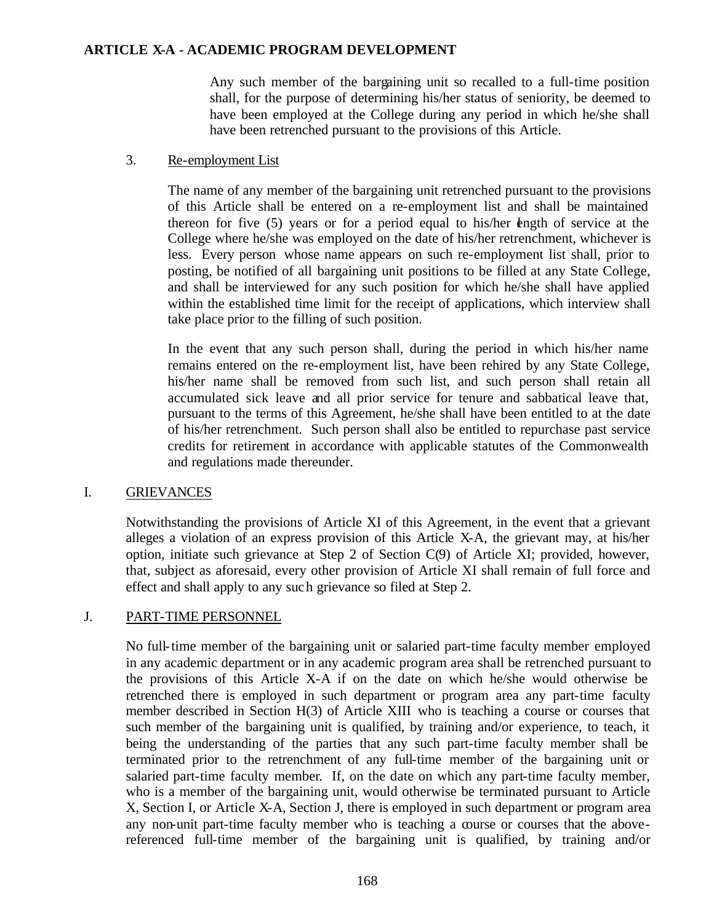Any such member of the bargaining unit so recalled to a full-time position shall, for the purpose of determining his/her status of seniority, be deemed to have been employed at the College during any period in which he/she shall have been retrenched pursuant to the provisions of this Article.

### 3. Re-employment List

The name of any member of the bargaining unit retrenched pursuant to the provisions of this Article shall be entered on a re-employment list and shall be maintained thereon for five (5) years or for a period equal to his/her ength of service at the College where he/she was employed on the date of his/her retrenchment, whichever is less. Every person whose name appears on such re-employment list shall, prior to posting, be notified of all bargaining unit positions to be filled at any State College, and shall be interviewed for any such position for which he/she shall have applied within the established time limit for the receipt of applications, which interview shall take place prior to the filling of such position.

In the event that any such person shall, during the period in which his/her name remains entered on the re-employment list, have been rehired by any State College, his/her name shall be removed from such list, and such person shall retain all accumulated sick leave and all prior service for tenure and sabbatical leave that, pursuant to the terms of this Agreement, he/she shall have been entitled to at the date of his/her retrenchment. Such person shall also be entitled to repurchase past service credits for retirement in accordance with applicable statutes of the Commonwealth and regulations made thereunder.

### I. GRIEVANCES

Notwithstanding the provisions of Article XI of this Agreement, in the event that a grievant alleges a violation of an express provision of this Article X-A, the grievant may, at his/her option, initiate such grievance at Step 2 of Section C(9) of Article XI; provided, however, that, subject as aforesaid, every other provision of Article XI shall remain of full force and effect and shall apply to any such grievance so filed at Step 2.

### J. PART-TIME PERSONNEL

No full-time member of the bargaining unit or salaried part-time faculty member employed in any academic department or in any academic program area shall be retrenched pursuant to the provisions of this Article X-A if on the date on which he/she would otherwise be retrenched there is employed in such department or program area any part-time faculty member described in Section H(3) of Article XIII who is teaching a course or courses that such member of the bargaining unit is qualified, by training and/or experience, to teach, it being the understanding of the parties that any such part-time faculty member shall be terminated prior to the retrenchment of any full-time member of the bargaining unit or salaried part-time faculty member. If, on the date on which any part-time faculty member, who is a member of the bargaining unit, would otherwise be terminated pursuant to Article X, Section I, or Article X-A, Section J, there is employed in such department or program area any non-unit part-time faculty member who is teaching a course or courses that the abovereferenced full-time member of the bargaining unit is qualified, by training and/or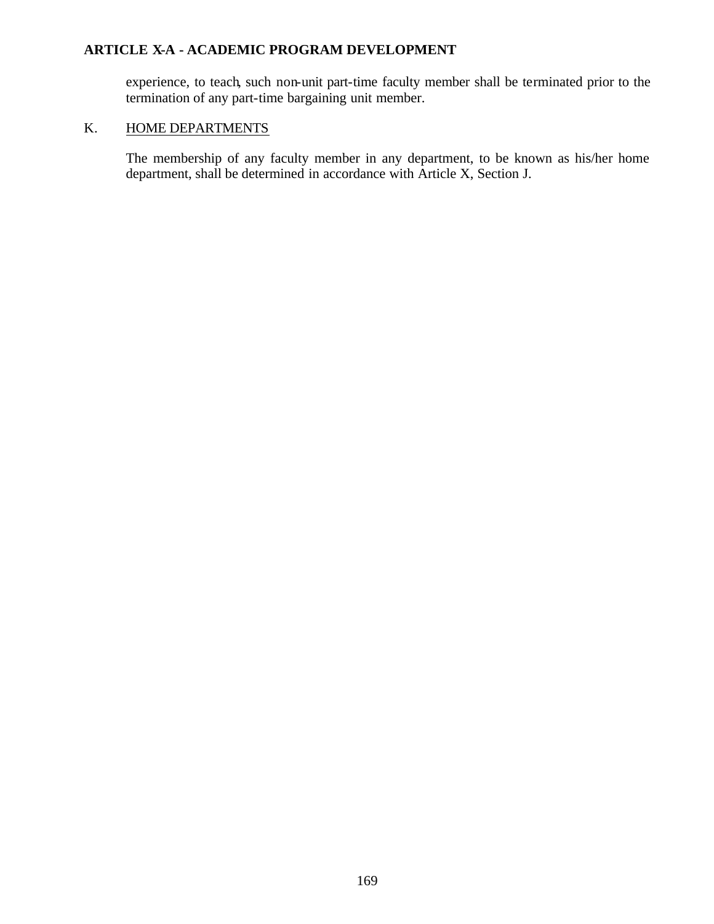experience, to teach, such non-unit part-time faculty member shall be terminated prior to the termination of any part-time bargaining unit member.

### K. HOME DEPARTMENTS

The membership of any faculty member in any department, to be known as his/her home department, shall be determined in accordance with Article X, Section J.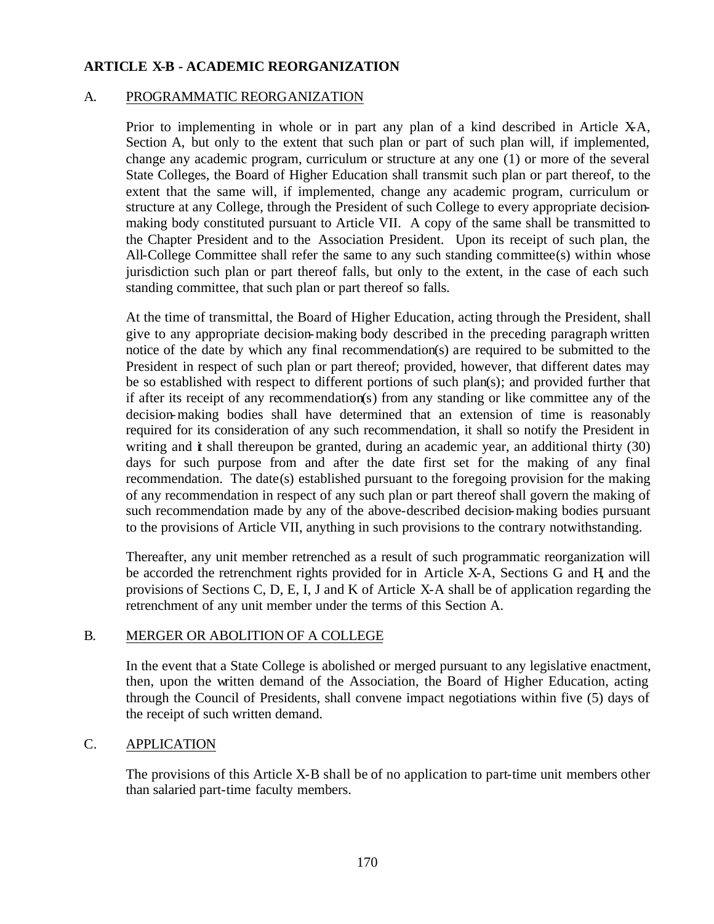### **ARTICLE X-B - ACADEMIC REORGANIZATION**

#### A. PROGRAMMATIC REORGANIZATION

Prior to implementing in whole or in part any plan of a kind described in Article  $XA$ , Section A, but only to the extent that such plan or part of such plan will, if implemented, change any academic program, curriculum or structure at any one (1) or more of the several State Colleges, the Board of Higher Education shall transmit such plan or part thereof, to the extent that the same will, if implemented, change any academic program, curriculum or structure at any College, through the President of such College to every appropriate decisionmaking body constituted pursuant to Article VII. A copy of the same shall be transmitted to the Chapter President and to the Association President. Upon its receipt of such plan, the All-College Committee shall refer the same to any such standing committee(s) within whose jurisdiction such plan or part thereof falls, but only to the extent, in the case of each such standing committee, that such plan or part thereof so falls.

At the time of transmittal, the Board of Higher Education, acting through the President, shall give to any appropriate decision-making body described in the preceding paragraph written notice of the date by which any final recommendation(s) are required to be submitted to the President in respect of such plan or part thereof; provided, however, that different dates may be so established with respect to different portions of such plan(s); and provided further that if after its receipt of any recommendation(s) from any standing or like committee any of the decision-making bodies shall have determined that an extension of time is reasonably required for its consideration of any such recommendation, it shall so notify the President in writing and  $\dot{\mathbf{t}}$  shall thereupon be granted, during an academic year, an additional thirty (30) days for such purpose from and after the date first set for the making of any final recommendation. The date(s) established pursuant to the foregoing provision for the making of any recommendation in respect of any such plan or part thereof shall govern the making of such recommendation made by any of the above-described decision-making bodies pursuant to the provisions of Article VII, anything in such provisions to the contrary notwithstanding.

Thereafter, any unit member retrenched as a result of such programmatic reorganization will be accorded the retrenchment rights provided for in Article X-A, Sections G and H, and the provisions of Sections C, D, E, I, J and K of Article X-A shall be of application regarding the retrenchment of any unit member under the terms of this Section A.

#### B. MERGER OR ABOLITION OF A COLLEGE

In the event that a State College is abolished or merged pursuant to any legislative enactment, then, upon the written demand of the Association, the Board of Higher Education, acting through the Council of Presidents, shall convene impact negotiations within five (5) days of the receipt of such written demand.

### C. APPLICATION

The provisions of this Article X-B shall be of no application to part-time unit members other than salaried part-time faculty members.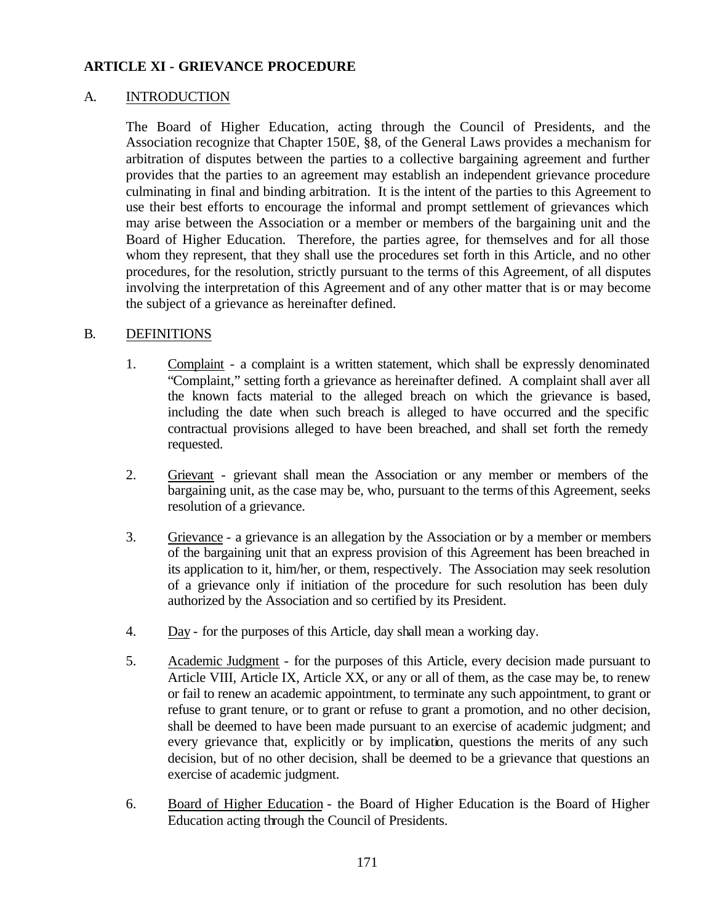### **ARTICLE XI - GRIEVANCE PROCEDURE**

### A. INTRODUCTION

The Board of Higher Education, acting through the Council of Presidents, and the Association recognize that Chapter 150E, §8, of the General Laws provides a mechanism for arbitration of disputes between the parties to a collective bargaining agreement and further provides that the parties to an agreement may establish an independent grievance procedure culminating in final and binding arbitration. It is the intent of the parties to this Agreement to use their best efforts to encourage the informal and prompt settlement of grievances which may arise between the Association or a member or members of the bargaining unit and the Board of Higher Education. Therefore, the parties agree, for themselves and for all those whom they represent, that they shall use the procedures set forth in this Article, and no other procedures, for the resolution, strictly pursuant to the terms of this Agreement, of all disputes involving the interpretation of this Agreement and of any other matter that is or may become the subject of a grievance as hereinafter defined.

### B. DEFINITIONS

- 1. Complaint a complaint is a written statement, which shall be expressly denominated "Complaint," setting forth a grievance as hereinafter defined. A complaint shall aver all the known facts material to the alleged breach on which the grievance is based, including the date when such breach is alleged to have occurred and the specific contractual provisions alleged to have been breached, and shall set forth the remedy requested.
- 2. Grievant grievant shall mean the Association or any member or members of the bargaining unit, as the case may be, who, pursuant to the terms of this Agreement, seeks resolution of a grievance.
- 3. Grievance a grievance is an allegation by the Association or by a member or members of the bargaining unit that an express provision of this Agreement has been breached in its application to it, him/her, or them, respectively. The Association may seek resolution of a grievance only if initiation of the procedure for such resolution has been duly authorized by the Association and so certified by its President.
- 4. Day for the purposes of this Article, day shall mean a working day.
- 5. Academic Judgment for the purposes of this Article, every decision made pursuant to Article VIII, Article IX, Article XX, or any or all of them, as the case may be, to renew or fail to renew an academic appointment, to terminate any such appointment, to grant or refuse to grant tenure, or to grant or refuse to grant a promotion, and no other decision, shall be deemed to have been made pursuant to an exercise of academic judgment; and every grievance that, explicitly or by implication, questions the merits of any such decision, but of no other decision, shall be deemed to be a grievance that questions an exercise of academic judgment.
- 6. Board of Higher Education the Board of Higher Education is the Board of Higher Education acting through the Council of Presidents.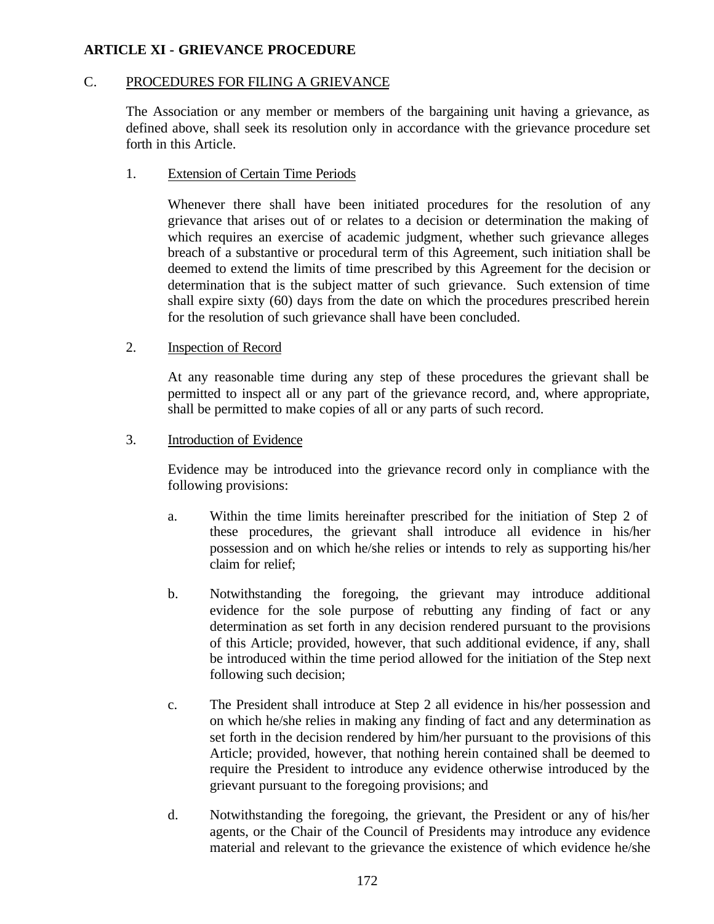# **ARTICLE XI - GRIEVANCE PROCEDURE**

#### C. PROCEDURES FOR FILING A GRIEVANCE

The Association or any member or members of the bargaining unit having a grievance, as defined above, shall seek its resolution only in accordance with the grievance procedure set forth in this Article.

#### 1. Extension of Certain Time Periods

Whenever there shall have been initiated procedures for the resolution of any grievance that arises out of or relates to a decision or determination the making of which requires an exercise of academic judgment, whether such grievance alleges breach of a substantive or procedural term of this Agreement, such initiation shall be deemed to extend the limits of time prescribed by this Agreement for the decision or determination that is the subject matter of such grievance. Such extension of time shall expire sixty (60) days from the date on which the procedures prescribed herein for the resolution of such grievance shall have been concluded.

#### 2. Inspection of Record

At any reasonable time during any step of these procedures the grievant shall be permitted to inspect all or any part of the grievance record, and, where appropriate, shall be permitted to make copies of all or any parts of such record.

#### 3. Introduction of Evidence

Evidence may be introduced into the grievance record only in compliance with the following provisions:

- a. Within the time limits hereinafter prescribed for the initiation of Step 2 of these procedures, the grievant shall introduce all evidence in his/her possession and on which he/she relies or intends to rely as supporting his/her claim for relief;
- b. Notwithstanding the foregoing, the grievant may introduce additional evidence for the sole purpose of rebutting any finding of fact or any determination as set forth in any decision rendered pursuant to the provisions of this Article; provided, however, that such additional evidence, if any, shall be introduced within the time period allowed for the initiation of the Step next following such decision;
- c. The President shall introduce at Step 2 all evidence in his/her possession and on which he/she relies in making any finding of fact and any determination as set forth in the decision rendered by him/her pursuant to the provisions of this Article; provided, however, that nothing herein contained shall be deemed to require the President to introduce any evidence otherwise introduced by the grievant pursuant to the foregoing provisions; and
- d. Notwithstanding the foregoing, the grievant, the President or any of his/her agents, or the Chair of the Council of Presidents may introduce any evidence material and relevant to the grievance the existence of which evidence he/she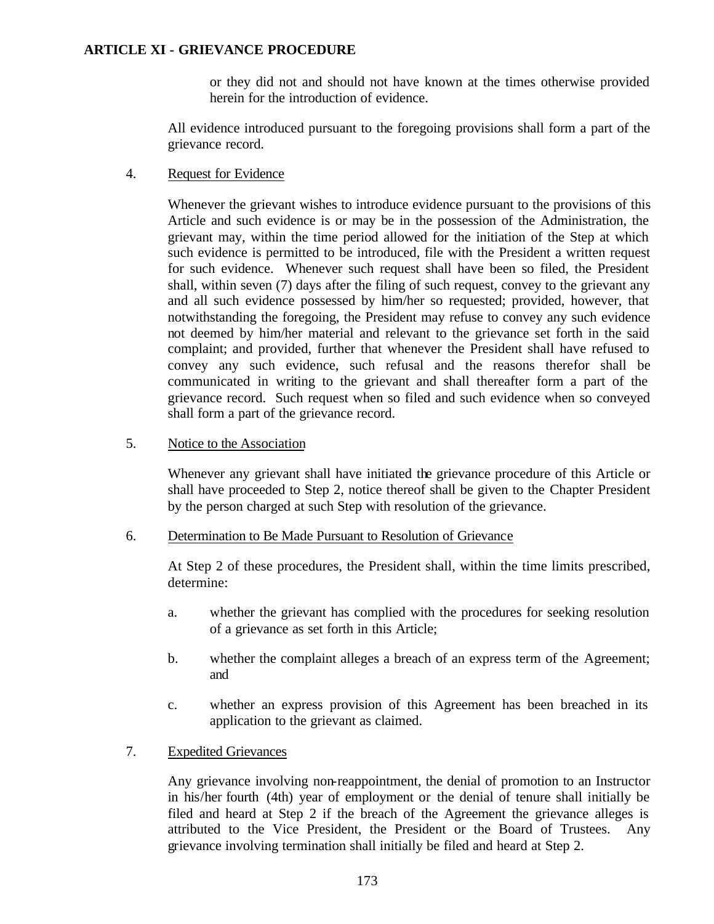### **ARTICLE XI - GRIEVANCE PROCEDURE**

or they did not and should not have known at the times otherwise provided herein for the introduction of evidence.

All evidence introduced pursuant to the foregoing provisions shall form a part of the grievance record.

4. Request for Evidence

Whenever the grievant wishes to introduce evidence pursuant to the provisions of this Article and such evidence is or may be in the possession of the Administration, the grievant may, within the time period allowed for the initiation of the Step at which such evidence is permitted to be introduced, file with the President a written request for such evidence. Whenever such request shall have been so filed, the President shall, within seven (7) days after the filing of such request, convey to the grievant any and all such evidence possessed by him/her so requested; provided, however, that notwithstanding the foregoing, the President may refuse to convey any such evidence not deemed by him/her material and relevant to the grievance set forth in the said complaint; and provided, further that whenever the President shall have refused to convey any such evidence, such refusal and the reasons therefor shall be communicated in writing to the grievant and shall thereafter form a part of the grievance record. Such request when so filed and such evidence when so conveyed shall form a part of the grievance record.

5. Notice to the Association

Whenever any grievant shall have initiated the grievance procedure of this Article or shall have proceeded to Step 2, notice thereof shall be given to the Chapter President by the person charged at such Step with resolution of the grievance.

6. Determination to Be Made Pursuant to Resolution of Grievance

At Step 2 of these procedures, the President shall, within the time limits prescribed, determine:

- a. whether the grievant has complied with the procedures for seeking resolution of a grievance as set forth in this Article;
- b. whether the complaint alleges a breach of an express term of the Agreement; and
- c. whether an express provision of this Agreement has been breached in its application to the grievant as claimed.
- 7. Expedited Grievances

Any grievance involving non-reappointment, the denial of promotion to an Instructor in his/her fourth (4th) year of employment or the denial of tenure shall initially be filed and heard at Step 2 if the breach of the Agreement the grievance alleges is attributed to the Vice President, the President or the Board of Trustees. Any grievance involving termination shall initially be filed and heard at Step 2.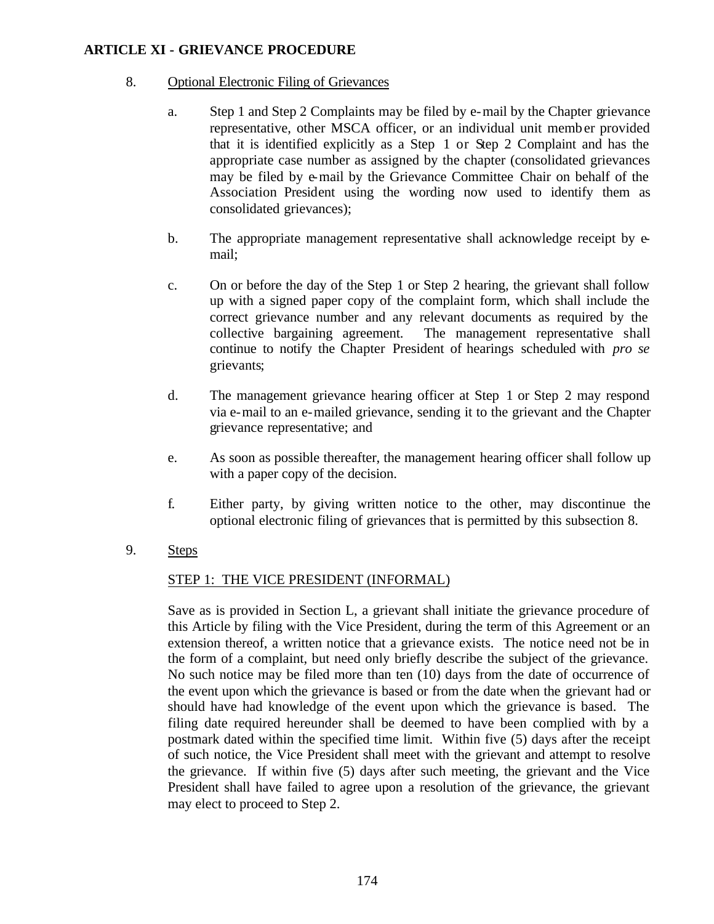### 8. Optional Electronic Filing of Grievances

- a. Step 1 and Step 2 Complaints may be filed by e-mail by the Chapter grievance representative, other MSCA officer, or an individual unit member provided that it is identified explicitly as a Step 1 or Step 2 Complaint and has the appropriate case number as assigned by the chapter (consolidated grievances may be filed by e-mail by the Grievance Committee Chair on behalf of the Association President using the wording now used to identify them as consolidated grievances);
- b. The appropriate management representative shall acknowledge receipt by email;
- c. On or before the day of the Step 1 or Step 2 hearing, the grievant shall follow up with a signed paper copy of the complaint form, which shall include the correct grievance number and any relevant documents as required by the collective bargaining agreement. The management representative shall continue to notify the Chapter President of hearings scheduled with *pro se* grievants;
- d. The management grievance hearing officer at Step 1 or Step 2 may respond via e-mail to an e-mailed grievance, sending it to the grievant and the Chapter grievance representative; and
- e. As soon as possible thereafter, the management hearing officer shall follow up with a paper copy of the decision.
- f. Either party, by giving written notice to the other, may discontinue the optional electronic filing of grievances that is permitted by this subsection 8.
- 9. Steps

### STEP 1: THE VICE PRESIDENT (INFORMAL)

Save as is provided in Section L, a grievant shall initiate the grievance procedure of this Article by filing with the Vice President, during the term of this Agreement or an extension thereof, a written notice that a grievance exists. The notice need not be in the form of a complaint, but need only briefly describe the subject of the grievance. No such notice may be filed more than ten (10) days from the date of occurrence of the event upon which the grievance is based or from the date when the grievant had or should have had knowledge of the event upon which the grievance is based. The filing date required hereunder shall be deemed to have been complied with by a postmark dated within the specified time limit. Within five (5) days after the receipt of such notice, the Vice President shall meet with the grievant and attempt to resolve the grievance. If within five (5) days after such meeting, the grievant and the Vice President shall have failed to agree upon a resolution of the grievance, the grievant may elect to proceed to Step 2.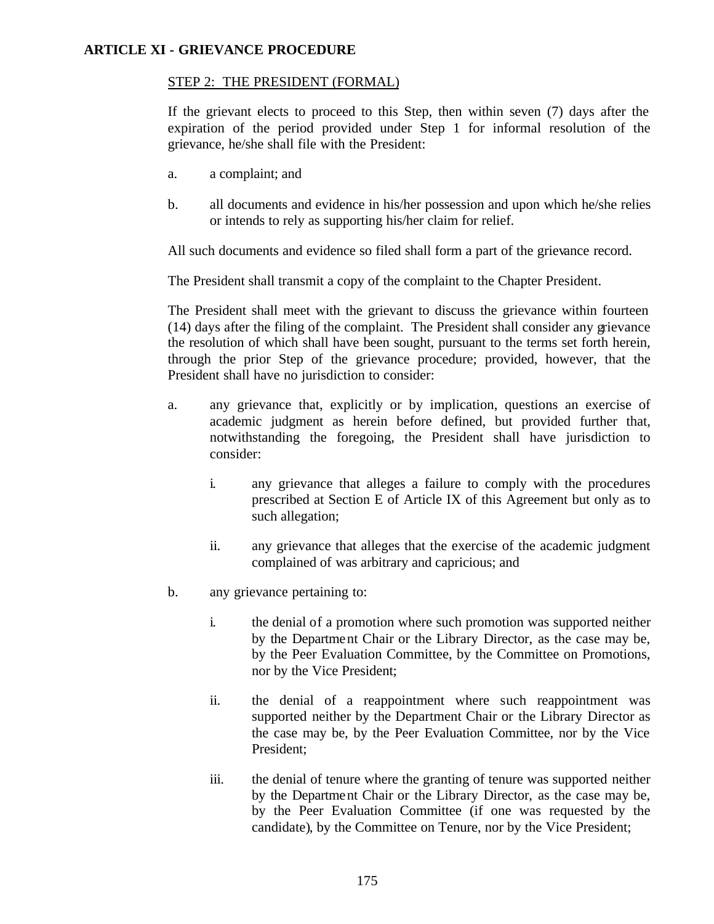## STEP 2: THE PRESIDENT (FORMAL)

If the grievant elects to proceed to this Step, then within seven (7) days after the expiration of the period provided under Step 1 for informal resolution of the grievance, he/she shall file with the President:

- a. a complaint; and
- b. all documents and evidence in his/her possession and upon which he/she relies or intends to rely as supporting his/her claim for relief.

All such documents and evidence so filed shall form a part of the grievance record.

The President shall transmit a copy of the complaint to the Chapter President.

The President shall meet with the grievant to discuss the grievance within fourteen (14) days after the filing of the complaint. The President shall consider any grievance the resolution of which shall have been sought, pursuant to the terms set forth herein, through the prior Step of the grievance procedure; provided, however, that the President shall have no jurisdiction to consider:

- a. any grievance that, explicitly or by implication, questions an exercise of academic judgment as herein before defined, but provided further that, notwithstanding the foregoing, the President shall have jurisdiction to consider:
	- i. any grievance that alleges a failure to comply with the procedures prescribed at Section E of Article IX of this Agreement but only as to such allegation;
	- ii. any grievance that alleges that the exercise of the academic judgment complained of was arbitrary and capricious; and
- b. any grievance pertaining to:
	- i. the denial of a promotion where such promotion was supported neither by the Department Chair or the Library Director, as the case may be, by the Peer Evaluation Committee, by the Committee on Promotions, nor by the Vice President;
	- ii. the denial of a reappointment where such reappointment was supported neither by the Department Chair or the Library Director as the case may be, by the Peer Evaluation Committee, nor by the Vice President;
	- iii. the denial of tenure where the granting of tenure was supported neither by the Department Chair or the Library Director, as the case may be, by the Peer Evaluation Committee (if one was requested by the candidate), by the Committee on Tenure, nor by the Vice President;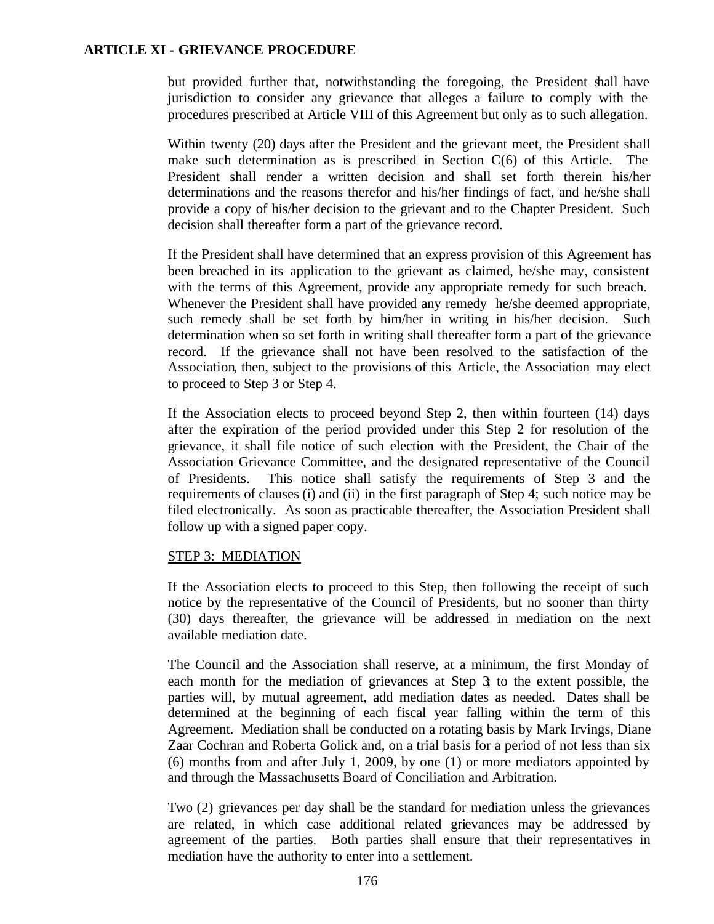but provided further that, notwithstanding the foregoing, the President shall have jurisdiction to consider any grievance that alleges a failure to comply with the procedures prescribed at Article VIII of this Agreement but only as to such allegation.

Within twenty (20) days after the President and the grievant meet, the President shall make such determination as is prescribed in Section  $C(6)$  of this Article. The President shall render a written decision and shall set forth therein his/her determinations and the reasons therefor and his/her findings of fact, and he/she shall provide a copy of his/her decision to the grievant and to the Chapter President. Such decision shall thereafter form a part of the grievance record.

If the President shall have determined that an express provision of this Agreement has been breached in its application to the grievant as claimed, he/she may, consistent with the terms of this Agreement, provide any appropriate remedy for such breach. Whenever the President shall have provided any remedy he/she deemed appropriate, such remedy shall be set forth by him/her in writing in his/her decision. Such determination when so set forth in writing shall thereafter form a part of the grievance record. If the grievance shall not have been resolved to the satisfaction of the Association, then, subject to the provisions of this Article, the Association may elect to proceed to Step 3 or Step 4.

If the Association elects to proceed beyond Step 2, then within fourteen (14) days after the expiration of the period provided under this Step 2 for resolution of the grievance, it shall file notice of such election with the President, the Chair of the Association Grievance Committee, and the designated representative of the Council of Presidents. This notice shall satisfy the requirements of Step 3 and the requirements of clauses (i) and (ii) in the first paragraph of Step 4; such notice may be filed electronically. As soon as practicable thereafter, the Association President shall follow up with a signed paper copy.

### STEP 3: MEDIATION

If the Association elects to proceed to this Step, then following the receipt of such notice by the representative of the Council of Presidents, but no sooner than thirty (30) days thereafter, the grievance will be addressed in mediation on the next available mediation date.

The Council and the Association shall reserve, at a minimum, the first Monday of each month for the mediation of grievances at Step 3; to the extent possible, the parties will, by mutual agreement, add mediation dates as needed. Dates shall be determined at the beginning of each fiscal year falling within the term of this Agreement. Mediation shall be conducted on a rotating basis by Mark Irvings, Diane Zaar Cochran and Roberta Golick and, on a trial basis for a period of not less than six (6) months from and after July 1, 2009, by one (1) or more mediators appointed by and through the Massachusetts Board of Conciliation and Arbitration.

Two (2) grievances per day shall be the standard for mediation unless the grievances are related, in which case additional related grievances may be addressed by agreement of the parties. Both parties shall ensure that their representatives in mediation have the authority to enter into a settlement.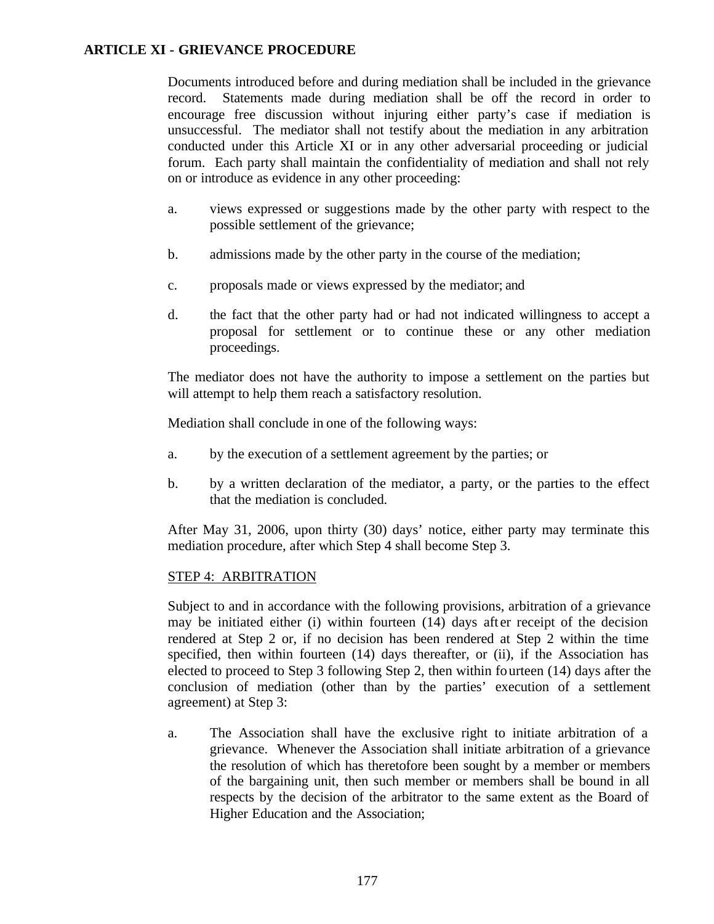Documents introduced before and during mediation shall be included in the grievance record. Statements made during mediation shall be off the record in order to encourage free discussion without injuring either party's case if mediation is unsuccessful. The mediator shall not testify about the mediation in any arbitration conducted under this Article XI or in any other adversarial proceeding or judicial forum. Each party shall maintain the confidentiality of mediation and shall not rely on or introduce as evidence in any other proceeding:

- a. views expressed or suggestions made by the other party with respect to the possible settlement of the grievance;
- b. admissions made by the other party in the course of the mediation;
- c. proposals made or views expressed by the mediator; and
- d. the fact that the other party had or had not indicated willingness to accept a proposal for settlement or to continue these or any other mediation proceedings.

The mediator does not have the authority to impose a settlement on the parties but will attempt to help them reach a satisfactory resolution.

Mediation shall conclude in one of the following ways:

- a. by the execution of a settlement agreement by the parties; or
- b. by a written declaration of the mediator, a party, or the parties to the effect that the mediation is concluded.

After May 31, 2006, upon thirty (30) days' notice, either party may terminate this mediation procedure, after which Step 4 shall become Step 3.

### STEP 4: ARBITRATION

Subject to and in accordance with the following provisions, arbitration of a grievance may be initiated either (i) within fourteen  $(14)$  days after receipt of the decision rendered at Step 2 or, if no decision has been rendered at Step 2 within the time specified, then within fourteen (14) days thereafter, or (ii), if the Association has elected to proceed to Step 3 following Step 2, then within fourteen (14) days after the conclusion of mediation (other than by the parties' execution of a settlement agreement) at Step 3:

a. The Association shall have the exclusive right to initiate arbitration of a grievance. Whenever the Association shall initiate arbitration of a grievance the resolution of which has theretofore been sought by a member or members of the bargaining unit, then such member or members shall be bound in all respects by the decision of the arbitrator to the same extent as the Board of Higher Education and the Association;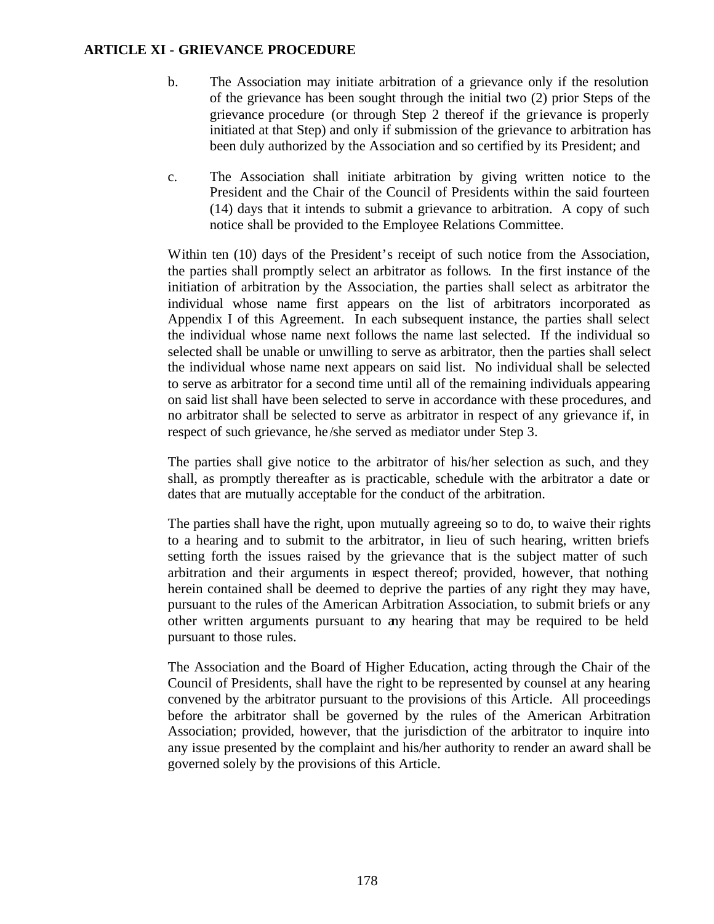- b. The Association may initiate arbitration of a grievance only if the resolution of the grievance has been sought through the initial two (2) prior Steps of the grievance procedure (or through Step 2 thereof if the grievance is properly initiated at that Step) and only if submission of the grievance to arbitration has been duly authorized by the Association and so certified by its President; and
- c. The Association shall initiate arbitration by giving written notice to the President and the Chair of the Council of Presidents within the said fourteen (14) days that it intends to submit a grievance to arbitration. A copy of such notice shall be provided to the Employee Relations Committee.

Within ten (10) days of the President's receipt of such notice from the Association, the parties shall promptly select an arbitrator as follows. In the first instance of the initiation of arbitration by the Association, the parties shall select as arbitrator the individual whose name first appears on the list of arbitrators incorporated as Appendix I of this Agreement. In each subsequent instance, the parties shall select the individual whose name next follows the name last selected. If the individual so selected shall be unable or unwilling to serve as arbitrator, then the parties shall select the individual whose name next appears on said list. No individual shall be selected to serve as arbitrator for a second time until all of the remaining individuals appearing on said list shall have been selected to serve in accordance with these procedures, and no arbitrator shall be selected to serve as arbitrator in respect of any grievance if, in respect of such grievance, he /she served as mediator under Step 3.

The parties shall give notice to the arbitrator of his/her selection as such, and they shall, as promptly thereafter as is practicable, schedule with the arbitrator a date or dates that are mutually acceptable for the conduct of the arbitration.

The parties shall have the right, upon mutually agreeing so to do, to waive their rights to a hearing and to submit to the arbitrator, in lieu of such hearing, written briefs setting forth the issues raised by the grievance that is the subject matter of such arbitration and their arguments in respect thereof; provided, however, that nothing herein contained shall be deemed to deprive the parties of any right they may have, pursuant to the rules of the American Arbitration Association, to submit briefs or any other written arguments pursuant to any hearing that may be required to be held pursuant to those rules.

The Association and the Board of Higher Education, acting through the Chair of the Council of Presidents, shall have the right to be represented by counsel at any hearing convened by the arbitrator pursuant to the provisions of this Article. All proceedings before the arbitrator shall be governed by the rules of the American Arbitration Association; provided, however, that the jurisdiction of the arbitrator to inquire into any issue presented by the complaint and his/her authority to render an award shall be governed solely by the provisions of this Article.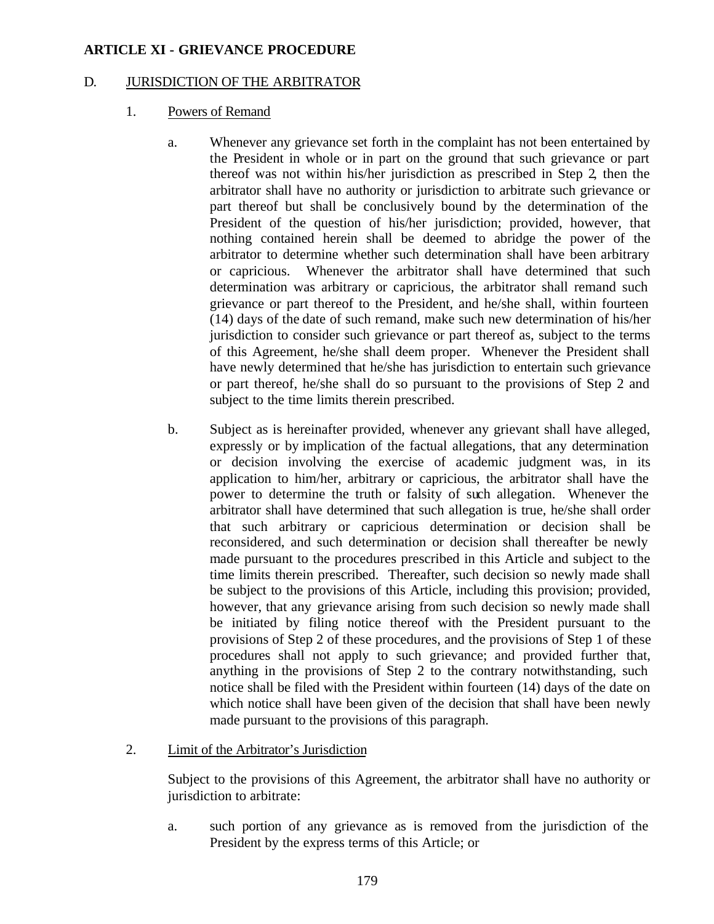## D. JURISDICTION OF THE ARBITRATOR

- 1. Powers of Remand
	- a. Whenever any grievance set forth in the complaint has not been entertained by the President in whole or in part on the ground that such grievance or part thereof was not within his/her jurisdiction as prescribed in Step 2, then the arbitrator shall have no authority or jurisdiction to arbitrate such grievance or part thereof but shall be conclusively bound by the determination of the President of the question of his/her jurisdiction; provided, however, that nothing contained herein shall be deemed to abridge the power of the arbitrator to determine whether such determination shall have been arbitrary or capricious. Whenever the arbitrator shall have determined that such determination was arbitrary or capricious, the arbitrator shall remand such grievance or part thereof to the President, and he/she shall, within fourteen (14) days of the date of such remand, make such new determination of his/her jurisdiction to consider such grievance or part thereof as, subject to the terms of this Agreement, he/she shall deem proper. Whenever the President shall have newly determined that he/she has jurisdiction to entertain such grievance or part thereof, he/she shall do so pursuant to the provisions of Step 2 and subject to the time limits therein prescribed.
	- b. Subject as is hereinafter provided, whenever any grievant shall have alleged, expressly or by implication of the factual allegations, that any determination or decision involving the exercise of academic judgment was, in its application to him/her, arbitrary or capricious, the arbitrator shall have the power to determine the truth or falsity of such allegation. Whenever the arbitrator shall have determined that such allegation is true, he/she shall order that such arbitrary or capricious determination or decision shall be reconsidered, and such determination or decision shall thereafter be newly made pursuant to the procedures prescribed in this Article and subject to the time limits therein prescribed. Thereafter, such decision so newly made shall be subject to the provisions of this Article, including this provision; provided, however, that any grievance arising from such decision so newly made shall be initiated by filing notice thereof with the President pursuant to the provisions of Step 2 of these procedures, and the provisions of Step 1 of these procedures shall not apply to such grievance; and provided further that, anything in the provisions of Step 2 to the contrary notwithstanding, such notice shall be filed with the President within fourteen (14) days of the date on which notice shall have been given of the decision that shall have been newly made pursuant to the provisions of this paragraph.
- 2. Limit of the Arbitrator's Jurisdiction

Subject to the provisions of this Agreement, the arbitrator shall have no authority or jurisdiction to arbitrate:

a. such portion of any grievance as is removed from the jurisdiction of the President by the express terms of this Article; or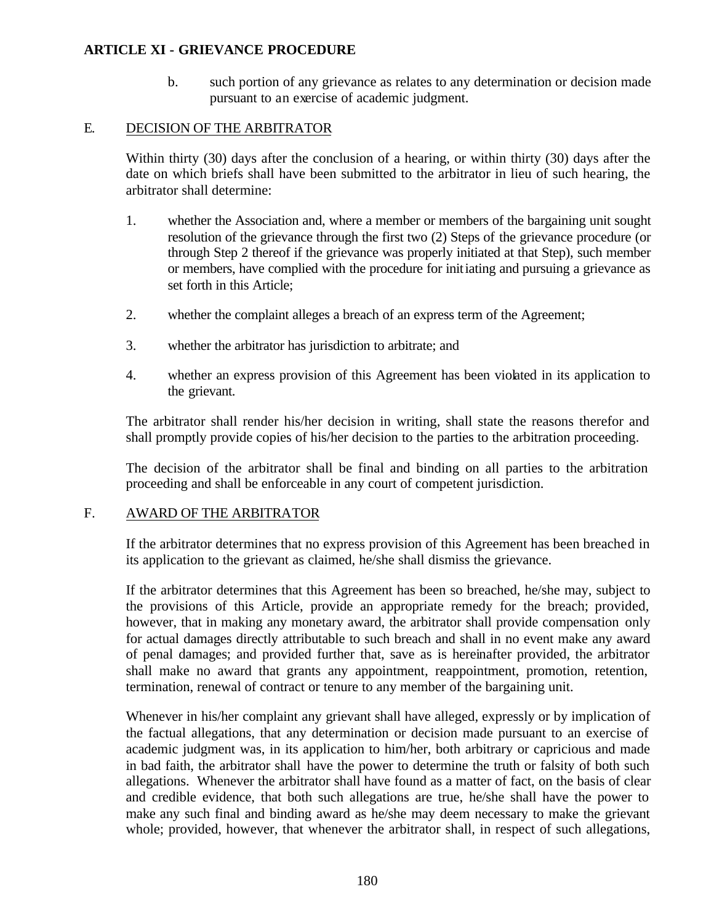b. such portion of any grievance as relates to any determination or decision made pursuant to an exercise of academic judgment.

## E. DECISION OF THE ARBITRATOR

Within thirty (30) days after the conclusion of a hearing, or within thirty (30) days after the date on which briefs shall have been submitted to the arbitrator in lieu of such hearing, the arbitrator shall determine:

- 1. whether the Association and, where a member or members of the bargaining unit sought resolution of the grievance through the first two (2) Steps of the grievance procedure (or through Step 2 thereof if the grievance was properly initiated at that Step), such member or members, have complied with the procedure for initiating and pursuing a grievance as set forth in this Article;
- 2. whether the complaint alleges a breach of an express term of the Agreement;
- 3. whether the arbitrator has jurisdiction to arbitrate; and
- 4. whether an express provision of this Agreement has been violated in its application to the grievant.

The arbitrator shall render his/her decision in writing, shall state the reasons therefor and shall promptly provide copies of his/her decision to the parties to the arbitration proceeding.

The decision of the arbitrator shall be final and binding on all parties to the arbitration proceeding and shall be enforceable in any court of competent jurisdiction.

### F. AWARD OF THE ARBITRATOR

If the arbitrator determines that no express provision of this Agreement has been breached in its application to the grievant as claimed, he/she shall dismiss the grievance.

If the arbitrator determines that this Agreement has been so breached, he/she may, subject to the provisions of this Article, provide an appropriate remedy for the breach; provided, however, that in making any monetary award, the arbitrator shall provide compensation only for actual damages directly attributable to such breach and shall in no event make any award of penal damages; and provided further that, save as is hereinafter provided, the arbitrator shall make no award that grants any appointment, reappointment, promotion, retention, termination, renewal of contract or tenure to any member of the bargaining unit.

Whenever in his/her complaint any grievant shall have alleged, expressly or by implication of the factual allegations, that any determination or decision made pursuant to an exercise of academic judgment was, in its application to him/her, both arbitrary or capricious and made in bad faith, the arbitrator shall have the power to determine the truth or falsity of both such allegations. Whenever the arbitrator shall have found as a matter of fact, on the basis of clear and credible evidence, that both such allegations are true, he/she shall have the power to make any such final and binding award as he/she may deem necessary to make the grievant whole; provided, however, that whenever the arbitrator shall, in respect of such allegations,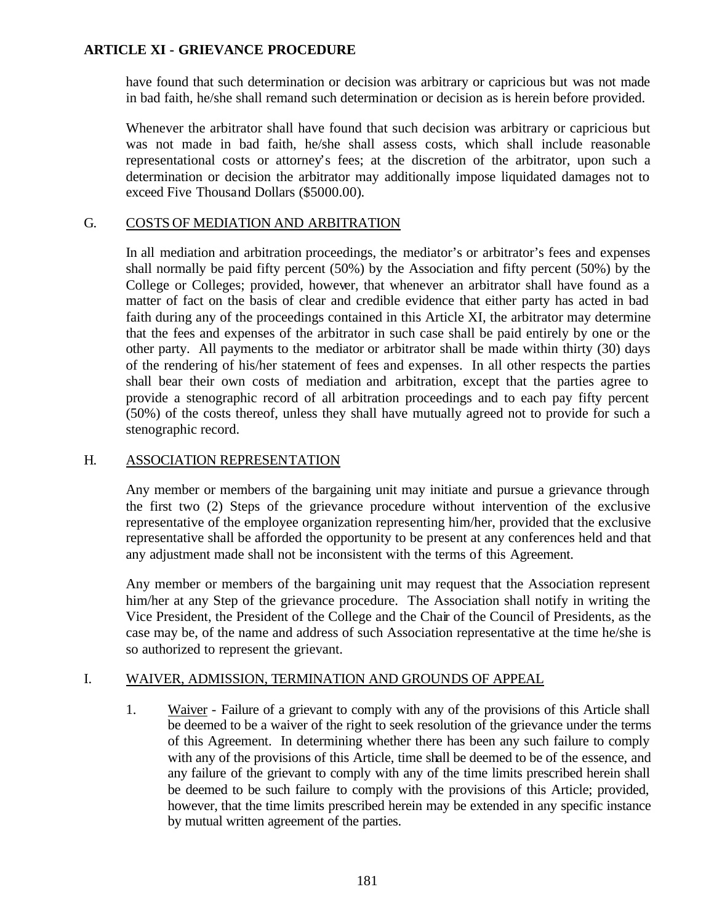have found that such determination or decision was arbitrary or capricious but was not made in bad faith, he/she shall remand such determination or decision as is herein before provided.

Whenever the arbitrator shall have found that such decision was arbitrary or capricious but was not made in bad faith, he/she shall assess costs, which shall include reasonable representational costs or attorney's fees; at the discretion of the arbitrator, upon such a determination or decision the arbitrator may additionally impose liquidated damages not to exceed Five Thousand Dollars (\$5000.00).

## G. COSTS OF MEDIATION AND ARBITRATION

In all mediation and arbitration proceedings, the mediator's or arbitrator's fees and expenses shall normally be paid fifty percent (50%) by the Association and fifty percent (50%) by the College or Colleges; provided, however, that whenever an arbitrator shall have found as a matter of fact on the basis of clear and credible evidence that either party has acted in bad faith during any of the proceedings contained in this Article XI, the arbitrator may determine that the fees and expenses of the arbitrator in such case shall be paid entirely by one or the other party. All payments to the mediator or arbitrator shall be made within thirty (30) days of the rendering of his/her statement of fees and expenses. In all other respects the parties shall bear their own costs of mediation and arbitration, except that the parties agree to provide a stenographic record of all arbitration proceedings and to each pay fifty percent (50%) of the costs thereof, unless they shall have mutually agreed not to provide for such a stenographic record.

### H. ASSOCIATION REPRESENTATION

Any member or members of the bargaining unit may initiate and pursue a grievance through the first two (2) Steps of the grievance procedure without intervention of the exclusive representative of the employee organization representing him/her, provided that the exclusive representative shall be afforded the opportunity to be present at any conferences held and that any adjustment made shall not be inconsistent with the terms of this Agreement.

Any member or members of the bargaining unit may request that the Association represent him/her at any Step of the grievance procedure. The Association shall notify in writing the Vice President, the President of the College and the Chair of the Council of Presidents, as the case may be, of the name and address of such Association representative at the time he/she is so authorized to represent the grievant.

### I. WAIVER, ADMISSION, TERMINATION AND GROUNDS OF APPEAL

1. Waiver - Failure of a grievant to comply with any of the provisions of this Article shall be deemed to be a waiver of the right to seek resolution of the grievance under the terms of this Agreement. In determining whether there has been any such failure to comply with any of the provisions of this Article, time shall be deemed to be of the essence, and any failure of the grievant to comply with any of the time limits prescribed herein shall be deemed to be such failure to comply with the provisions of this Article; provided, however, that the time limits prescribed herein may be extended in any specific instance by mutual written agreement of the parties.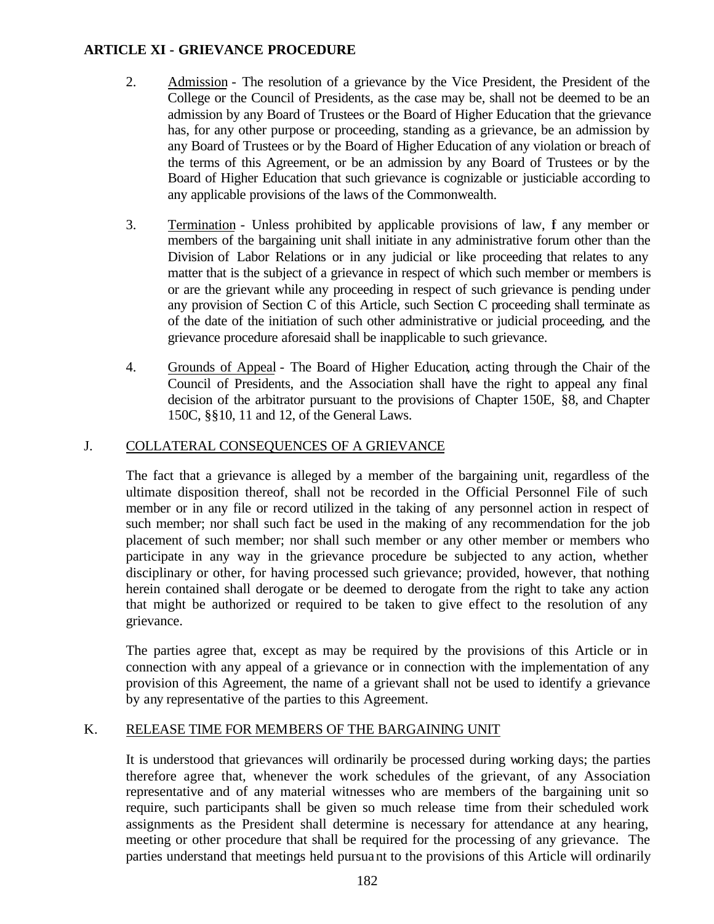- 2. Admission The resolution of a grievance by the Vice President, the President of the College or the Council of Presidents, as the case may be, shall not be deemed to be an admission by any Board of Trustees or the Board of Higher Education that the grievance has, for any other purpose or proceeding, standing as a grievance, be an admission by any Board of Trustees or by the Board of Higher Education of any violation or breach of the terms of this Agreement, or be an admission by any Board of Trustees or by the Board of Higher Education that such grievance is cognizable or justiciable according to any applicable provisions of the laws of the Commonwealth.
- 3. Termination Unless prohibited by applicable provisions of law, f any member or members of the bargaining unit shall initiate in any administrative forum other than the Division of Labor Relations or in any judicial or like proceeding that relates to any matter that is the subject of a grievance in respect of which such member or members is or are the grievant while any proceeding in respect of such grievance is pending under any provision of Section C of this Article, such Section C proceeding shall terminate as of the date of the initiation of such other administrative or judicial proceeding, and the grievance procedure aforesaid shall be inapplicable to such grievance.
- 4. Grounds of Appeal The Board of Higher Education, acting through the Chair of the Council of Presidents, and the Association shall have the right to appeal any final decision of the arbitrator pursuant to the provisions of Chapter 150E, §8, and Chapter 150C, §§10, 11 and 12, of the General Laws.

# J. COLLATERAL CONSEQUENCES OF A GRIEVANCE

The fact that a grievance is alleged by a member of the bargaining unit, regardless of the ultimate disposition thereof, shall not be recorded in the Official Personnel File of such member or in any file or record utilized in the taking of any personnel action in respect of such member; nor shall such fact be used in the making of any recommendation for the job placement of such member; nor shall such member or any other member or members who participate in any way in the grievance procedure be subjected to any action, whether disciplinary or other, for having processed such grievance; provided, however, that nothing herein contained shall derogate or be deemed to derogate from the right to take any action that might be authorized or required to be taken to give effect to the resolution of any grievance.

The parties agree that, except as may be required by the provisions of this Article or in connection with any appeal of a grievance or in connection with the implementation of any provision of this Agreement, the name of a grievant shall not be used to identify a grievance by any representative of the parties to this Agreement.

# K. RELEASE TIME FOR MEMBERS OF THE BARGAINING UNIT

It is understood that grievances will ordinarily be processed during working days; the parties therefore agree that, whenever the work schedules of the grievant, of any Association representative and of any material witnesses who are members of the bargaining unit so require, such participants shall be given so much release time from their scheduled work assignments as the President shall determine is necessary for attendance at any hearing, meeting or other procedure that shall be required for the processing of any grievance. The parties understand that meetings held pursuant to the provisions of this Article will ordinarily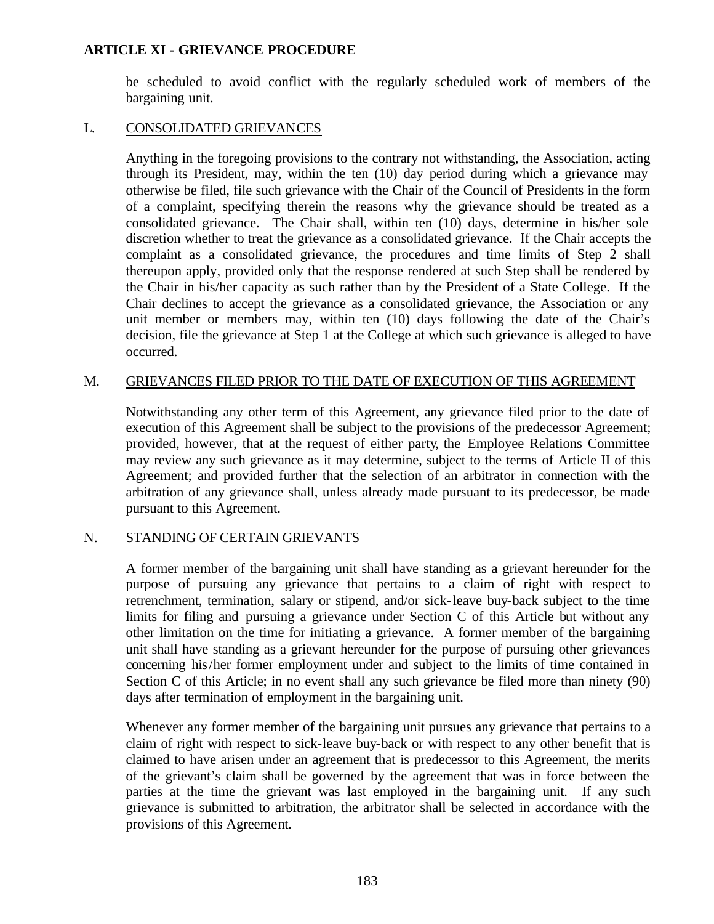be scheduled to avoid conflict with the regularly scheduled work of members of the bargaining unit.

## L. CONSOLIDATED GRIEVANCES

Anything in the foregoing provisions to the contrary not withstanding, the Association, acting through its President, may, within the ten (10) day period during which a grievance may otherwise be filed, file such grievance with the Chair of the Council of Presidents in the form of a complaint, specifying therein the reasons why the grievance should be treated as a consolidated grievance. The Chair shall, within ten (10) days, determine in his/her sole discretion whether to treat the grievance as a consolidated grievance. If the Chair accepts the complaint as a consolidated grievance, the procedures and time limits of Step 2 shall thereupon apply, provided only that the response rendered at such Step shall be rendered by the Chair in his/her capacity as such rather than by the President of a State College. If the Chair declines to accept the grievance as a consolidated grievance, the Association or any unit member or members may, within ten (10) days following the date of the Chair's decision, file the grievance at Step 1 at the College at which such grievance is alleged to have occurred.

### M. GRIEVANCES FILED PRIOR TO THE DATE OF EXECUTION OF THIS AGREEMENT

Notwithstanding any other term of this Agreement, any grievance filed prior to the date of execution of this Agreement shall be subject to the provisions of the predecessor Agreement; provided, however, that at the request of either party, the Employee Relations Committee may review any such grievance as it may determine, subject to the terms of Article II of this Agreement; and provided further that the selection of an arbitrator in connection with the arbitration of any grievance shall, unless already made pursuant to its predecessor, be made pursuant to this Agreement.

### N. STANDING OF CERTAIN GRIEVANTS

A former member of the bargaining unit shall have standing as a grievant hereunder for the purpose of pursuing any grievance that pertains to a claim of right with respect to retrenchment, termination, salary or stipend, and/or sick-leave buy-back subject to the time limits for filing and pursuing a grievance under Section C of this Article but without any other limitation on the time for initiating a grievance. A former member of the bargaining unit shall have standing as a grievant hereunder for the purpose of pursuing other grievances concerning his/her former employment under and subject to the limits of time contained in Section C of this Article; in no event shall any such grievance be filed more than ninety (90) days after termination of employment in the bargaining unit.

Whenever any former member of the bargaining unit pursues any grievance that pertains to a claim of right with respect to sick-leave buy-back or with respect to any other benefit that is claimed to have arisen under an agreement that is predecessor to this Agreement, the merits of the grievant's claim shall be governed by the agreement that was in force between the parties at the time the grievant was last employed in the bargaining unit. If any such grievance is submitted to arbitration, the arbitrator shall be selected in accordance with the provisions of this Agreement.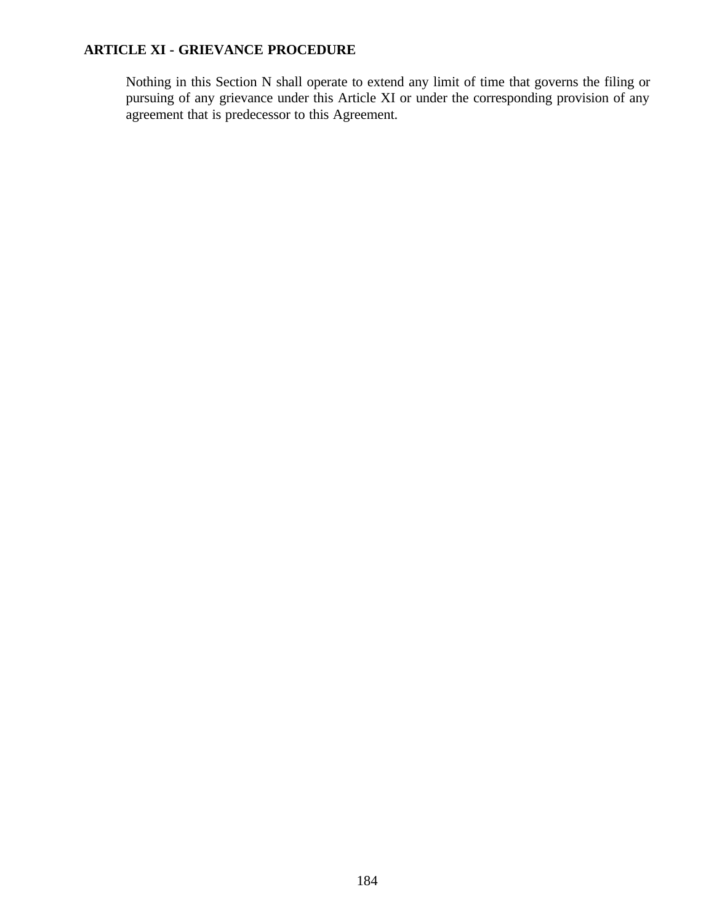Nothing in this Section N shall operate to extend any limit of time that governs the filing or pursuing of any grievance under this Article XI or under the corresponding provision of any agreement that is predecessor to this Agreement.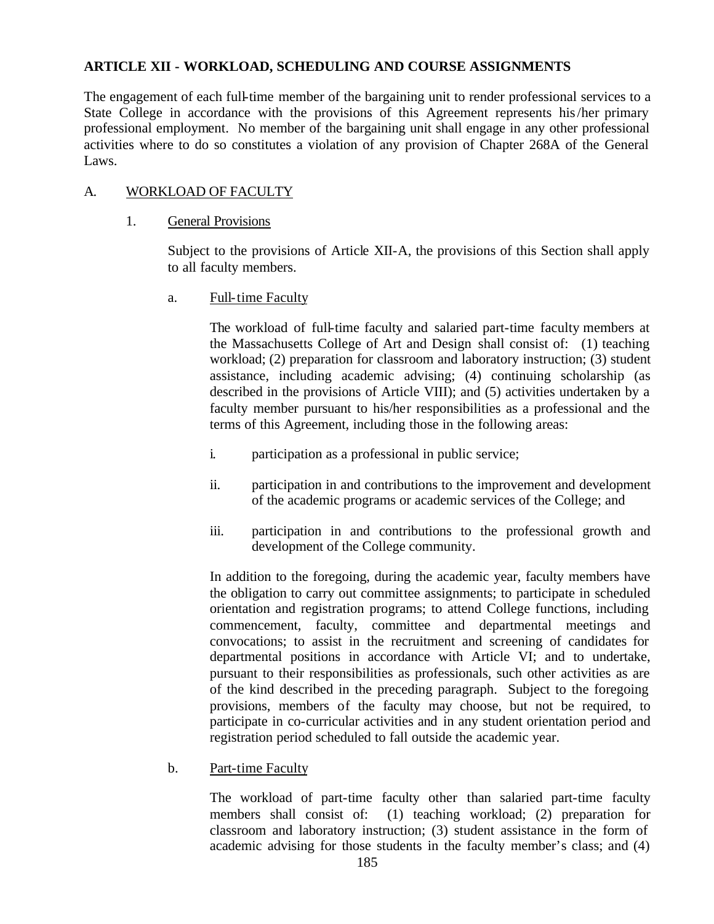The engagement of each full-time member of the bargaining unit to render professional services to a State College in accordance with the provisions of this Agreement represents his/her primary professional employment. No member of the bargaining unit shall engage in any other professional activities where to do so constitutes a violation of any provision of Chapter 268A of the General Laws.

## A. WORKLOAD OF FACULTY

### 1. General Provisions

Subject to the provisions of Article XII-A, the provisions of this Section shall apply to all faculty members.

a. Full-time Faculty

The workload of full-time faculty and salaried part-time faculty members at the Massachusetts College of Art and Design shall consist of: (1) teaching workload; (2) preparation for classroom and laboratory instruction; (3) student assistance, including academic advising; (4) continuing scholarship (as described in the provisions of Article VIII); and (5) activities undertaken by a faculty member pursuant to his/her responsibilities as a professional and the terms of this Agreement, including those in the following areas:

- i. participation as a professional in public service;
- ii. participation in and contributions to the improvement and development of the academic programs or academic services of the College; and
- iii. participation in and contributions to the professional growth and development of the College community.

In addition to the foregoing, during the academic year, faculty members have the obligation to carry out committee assignments; to participate in scheduled orientation and registration programs; to attend College functions, including commencement, faculty, committee and departmental meetings and convocations; to assist in the recruitment and screening of candidates for departmental positions in accordance with Article VI; and to undertake, pursuant to their responsibilities as professionals, such other activities as are of the kind described in the preceding paragraph. Subject to the foregoing provisions, members of the faculty may choose, but not be required, to participate in co-curricular activities and in any student orientation period and registration period scheduled to fall outside the academic year.

b. Part-time Faculty

The workload of part-time faculty other than salaried part-time faculty members shall consist of: (1) teaching workload; (2) preparation for classroom and laboratory instruction; (3) student assistance in the form of academic advising for those students in the faculty member's class; and (4)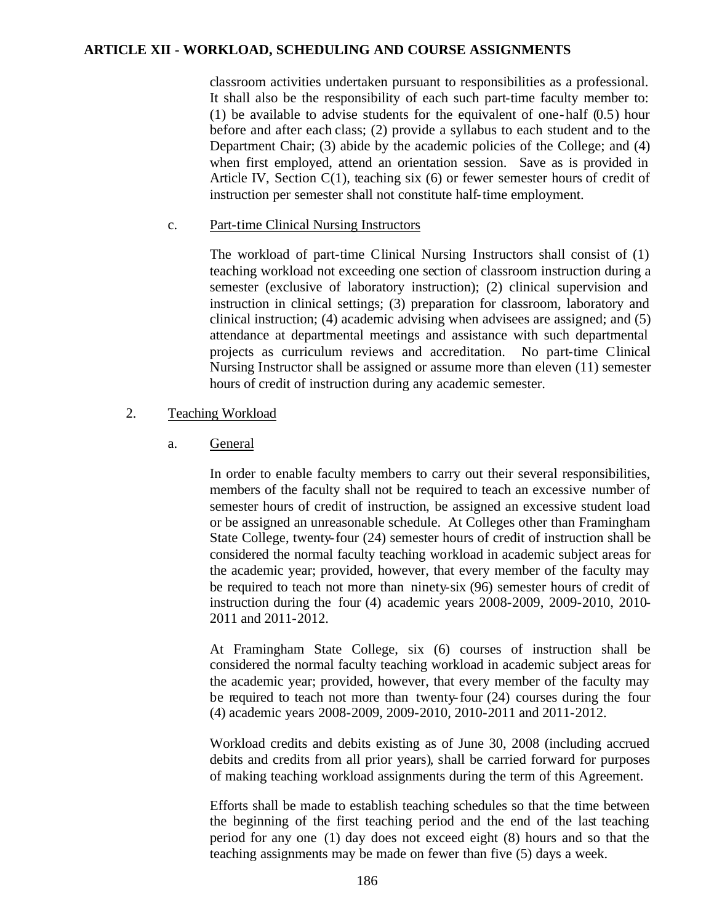classroom activities undertaken pursuant to responsibilities as a professional. It shall also be the responsibility of each such part-time faculty member to: (1) be available to advise students for the equivalent of one-half (0.5) hour before and after each class; (2) provide a syllabus to each student and to the Department Chair; (3) abide by the academic policies of the College; and (4) when first employed, attend an orientation session. Save as is provided in Article IV, Section  $C(1)$ , teaching six  $(6)$  or fewer semester hours of credit of instruction per semester shall not constitute half-time employment.

#### c. Part-time Clinical Nursing Instructors

The workload of part-time Clinical Nursing Instructors shall consist of (1) teaching workload not exceeding one section of classroom instruction during a semester (exclusive of laboratory instruction); (2) clinical supervision and instruction in clinical settings; (3) preparation for classroom, laboratory and clinical instruction; (4) academic advising when advisees are assigned; and (5) attendance at departmental meetings and assistance with such departmental projects as curriculum reviews and accreditation. No part-time Clinical Nursing Instructor shall be assigned or assume more than eleven (11) semester hours of credit of instruction during any academic semester.

### 2. Teaching Workload

## a. General

In order to enable faculty members to carry out their several responsibilities, members of the faculty shall not be required to teach an excessive number of semester hours of credit of instruction, be assigned an excessive student load or be assigned an unreasonable schedule. At Colleges other than Framingham State College, twenty-four (24) semester hours of credit of instruction shall be considered the normal faculty teaching workload in academic subject areas for the academic year; provided, however, that every member of the faculty may be required to teach not more than ninety-six (96) semester hours of credit of instruction during the four (4) academic years 2008-2009, 2009-2010, 2010- 2011 and 2011-2012.

At Framingham State College, six (6) courses of instruction shall be considered the normal faculty teaching workload in academic subject areas for the academic year; provided, however, that every member of the faculty may be required to teach not more than twenty-four (24) courses during the four (4) academic years 2008-2009, 2009-2010, 2010-2011 and 2011-2012.

Workload credits and debits existing as of June 30, 2008 (including accrued debits and credits from all prior years), shall be carried forward for purposes of making teaching workload assignments during the term of this Agreement.

Efforts shall be made to establish teaching schedules so that the time between the beginning of the first teaching period and the end of the last teaching period for any one (1) day does not exceed eight (8) hours and so that the teaching assignments may be made on fewer than five (5) days a week.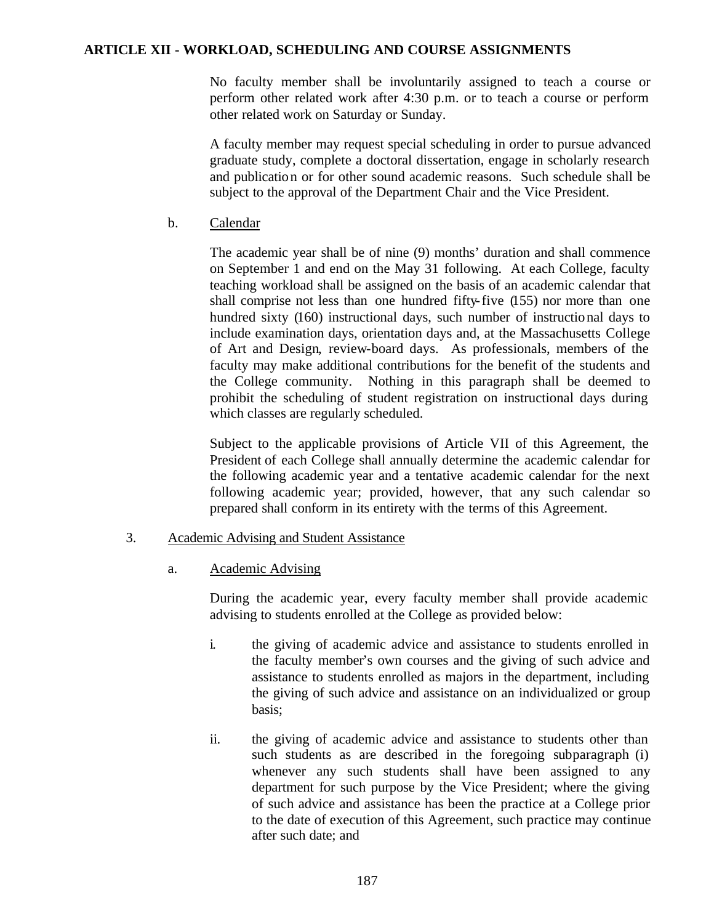No faculty member shall be involuntarily assigned to teach a course or perform other related work after 4:30 p.m. or to teach a course or perform other related work on Saturday or Sunday.

A faculty member may request special scheduling in order to pursue advanced graduate study, complete a doctoral dissertation, engage in scholarly research and publication or for other sound academic reasons. Such schedule shall be subject to the approval of the Department Chair and the Vice President.

b. Calendar

The academic year shall be of nine (9) months' duration and shall commence on September 1 and end on the May 31 following. At each College, faculty teaching workload shall be assigned on the basis of an academic calendar that shall comprise not less than one hundred fifty-five (155) nor more than one hundred sixty (160) instructional days, such number of instructional days to include examination days, orientation days and, at the Massachusetts College of Art and Design, review-board days. As professionals, members of the faculty may make additional contributions for the benefit of the students and the College community. Nothing in this paragraph shall be deemed to prohibit the scheduling of student registration on instructional days during which classes are regularly scheduled.

Subject to the applicable provisions of Article VII of this Agreement, the President of each College shall annually determine the academic calendar for the following academic year and a tentative academic calendar for the next following academic year; provided, however, that any such calendar so prepared shall conform in its entirety with the terms of this Agreement.

### 3. Academic Advising and Student Assistance

a. Academic Advising

During the academic year, every faculty member shall provide academic advising to students enrolled at the College as provided below:

- i. the giving of academic advice and assistance to students enrolled in the faculty member's own courses and the giving of such advice and assistance to students enrolled as majors in the department, including the giving of such advice and assistance on an individualized or group basis;
- ii. the giving of academic advice and assistance to students other than such students as are described in the foregoing subparagraph (i) whenever any such students shall have been assigned to any department for such purpose by the Vice President; where the giving of such advice and assistance has been the practice at a College prior to the date of execution of this Agreement, such practice may continue after such date; and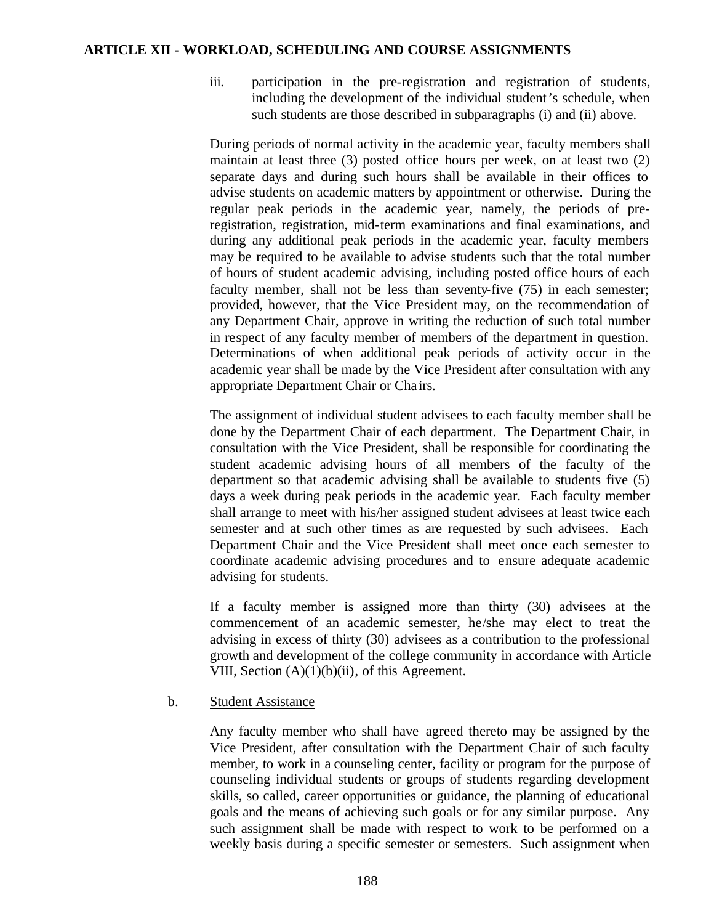- - iii. participation in the pre-registration and registration of students, including the development of the individual student's schedule, when such students are those described in subparagraphs (i) and (ii) above.

During periods of normal activity in the academic year, faculty members shall maintain at least three (3) posted office hours per week, on at least two (2) separate days and during such hours shall be available in their offices to advise students on academic matters by appointment or otherwise. During the regular peak periods in the academic year, namely, the periods of preregistration, registration, mid-term examinations and final examinations, and during any additional peak periods in the academic year, faculty members may be required to be available to advise students such that the total number of hours of student academic advising, including posted office hours of each faculty member, shall not be less than seventy-five (75) in each semester; provided, however, that the Vice President may, on the recommendation of any Department Chair, approve in writing the reduction of such total number in respect of any faculty member of members of the department in question. Determinations of when additional peak periods of activity occur in the academic year shall be made by the Vice President after consultation with any appropriate Department Chair or Cha irs.

The assignment of individual student advisees to each faculty member shall be done by the Department Chair of each department. The Department Chair, in consultation with the Vice President, shall be responsible for coordinating the student academic advising hours of all members of the faculty of the department so that academic advising shall be available to students five (5) days a week during peak periods in the academic year. Each faculty member shall arrange to meet with his/her assigned student advisees at least twice each semester and at such other times as are requested by such advisees. Each Department Chair and the Vice President shall meet once each semester to coordinate academic advising procedures and to ensure adequate academic advising for students.

If a faculty member is assigned more than thirty (30) advisees at the commencement of an academic semester, he/she may elect to treat the advising in excess of thirty (30) advisees as a contribution to the professional growth and development of the college community in accordance with Article VIII, Section (A)(1)(b)(ii), of this Agreement.

b. Student Assistance

Any faculty member who shall have agreed thereto may be assigned by the Vice President, after consultation with the Department Chair of such faculty member, to work in a counseling center, facility or program for the purpose of counseling individual students or groups of students regarding development skills, so called, career opportunities or guidance, the planning of educational goals and the means of achieving such goals or for any similar purpose. Any such assignment shall be made with respect to work to be performed on a weekly basis during a specific semester or semesters. Such assignment when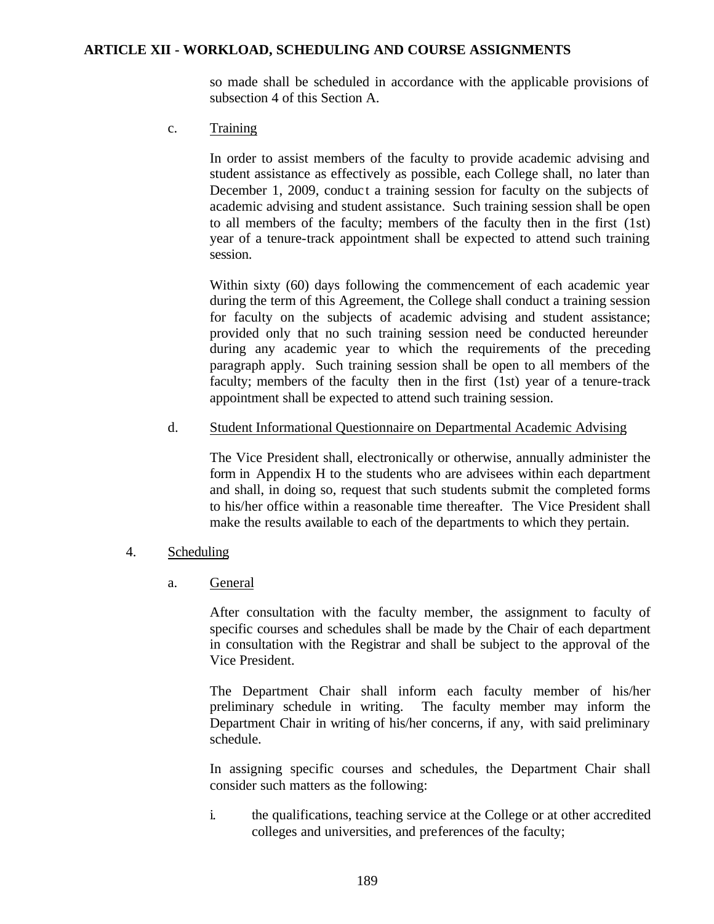so made shall be scheduled in accordance with the applicable provisions of subsection 4 of this Section A.

c. Training

In order to assist members of the faculty to provide academic advising and student assistance as effectively as possible, each College shall, no later than December 1, 2009, conduct a training session for faculty on the subjects of academic advising and student assistance. Such training session shall be open to all members of the faculty; members of the faculty then in the first (1st) year of a tenure-track appointment shall be expected to attend such training session.

Within sixty (60) days following the commencement of each academic year during the term of this Agreement, the College shall conduct a training session for faculty on the subjects of academic advising and student assistance; provided only that no such training session need be conducted hereunder during any academic year to which the requirements of the preceding paragraph apply. Such training session shall be open to all members of the faculty; members of the faculty then in the first (1st) year of a tenure-track appointment shall be expected to attend such training session.

### d. Student Informational Questionnaire on Departmental Academic Advising

The Vice President shall, electronically or otherwise, annually administer the form in Appendix H to the students who are advisees within each department and shall, in doing so, request that such students submit the completed forms to his/her office within a reasonable time thereafter. The Vice President shall make the results available to each of the departments to which they pertain.

- 4. Scheduling
	- a. General

After consultation with the faculty member, the assignment to faculty of specific courses and schedules shall be made by the Chair of each department in consultation with the Registrar and shall be subject to the approval of the Vice President.

The Department Chair shall inform each faculty member of his/her preliminary schedule in writing. The faculty member may inform the Department Chair in writing of his/her concerns, if any, with said preliminary schedule.

In assigning specific courses and schedules, the Department Chair shall consider such matters as the following:

i. the qualifications, teaching service at the College or at other accredited colleges and universities, and preferences of the faculty;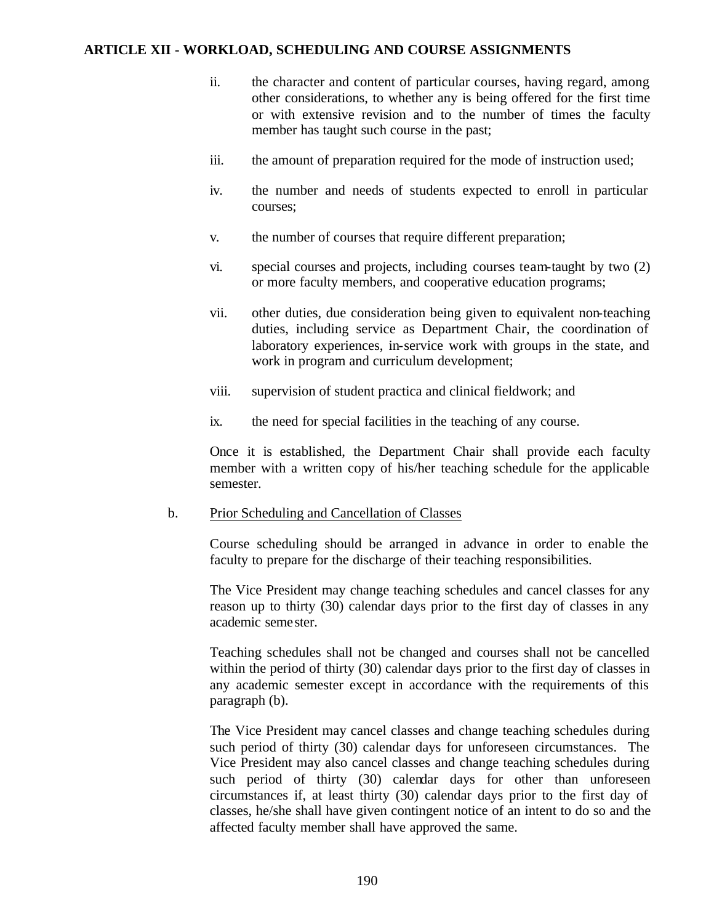- ii. the character and content of particular courses, having regard, among other considerations, to whether any is being offered for the first time or with extensive revision and to the number of times the faculty member has taught such course in the past;
- iii. the amount of preparation required for the mode of instruction used;
- iv. the number and needs of students expected to enroll in particular courses;
- v. the number of courses that require different preparation;
- vi. special courses and projects, including courses team-taught by two (2) or more faculty members, and cooperative education programs;
- vii. other duties, due consideration being given to equivalent non-teaching duties, including service as Department Chair, the coordination of laboratory experiences, in-service work with groups in the state, and work in program and curriculum development;
- viii. supervision of student practica and clinical fieldwork; and
- ix. the need for special facilities in the teaching of any course.

Once it is established, the Department Chair shall provide each faculty member with a written copy of his/her teaching schedule for the applicable semester.

b. Prior Scheduling and Cancellation of Classes

Course scheduling should be arranged in advance in order to enable the faculty to prepare for the discharge of their teaching responsibilities.

The Vice President may change teaching schedules and cancel classes for any reason up to thirty (30) calendar days prior to the first day of classes in any academic semester.

Teaching schedules shall not be changed and courses shall not be cancelled within the period of thirty (30) calendar days prior to the first day of classes in any academic semester except in accordance with the requirements of this paragraph (b).

The Vice President may cancel classes and change teaching schedules during such period of thirty (30) calendar days for unforeseen circumstances. The Vice President may also cancel classes and change teaching schedules during such period of thirty (30) calendar days for other than unforeseen circumstances if, at least thirty (30) calendar days prior to the first day of classes, he/she shall have given contingent notice of an intent to do so and the affected faculty member shall have approved the same.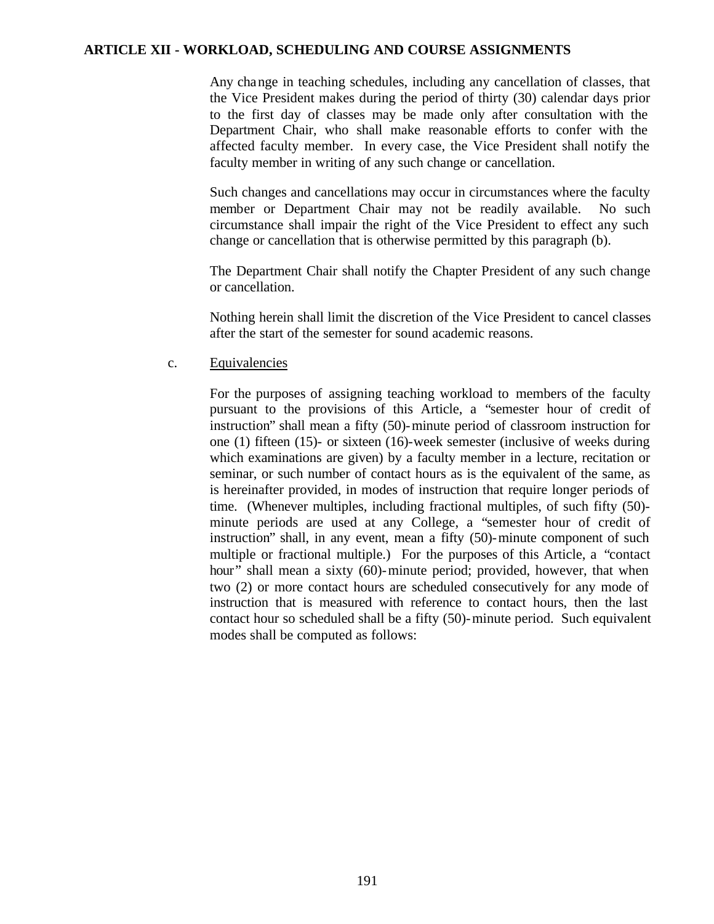Any change in teaching schedules, including any cancellation of classes, that the Vice President makes during the period of thirty (30) calendar days prior to the first day of classes may be made only after consultation with the Department Chair, who shall make reasonable efforts to confer with the affected faculty member. In every case, the Vice President shall notify the faculty member in writing of any such change or cancellation.

Such changes and cancellations may occur in circumstances where the faculty member or Department Chair may not be readily available. No such circumstance shall impair the right of the Vice President to effect any such change or cancellation that is otherwise permitted by this paragraph (b).

The Department Chair shall notify the Chapter President of any such change or cancellation.

Nothing herein shall limit the discretion of the Vice President to cancel classes after the start of the semester for sound academic reasons.

c. Equivalencies

For the purposes of assigning teaching workload to members of the faculty pursuant to the provisions of this Article, a "semester hour of credit of instruction" shall mean a fifty (50)-minute period of classroom instruction for one (1) fifteen (15)- or sixteen (16)-week semester (inclusive of weeks during which examinations are given) by a faculty member in a lecture, recitation or seminar, or such number of contact hours as is the equivalent of the same, as is hereinafter provided, in modes of instruction that require longer periods of time. (Whenever multiples, including fractional multiples, of such fifty (50) minute periods are used at any College, a "semester hour of credit of instruction" shall, in any event, mean a fifty (50)-minute component of such multiple or fractional multiple.) For the purposes of this Article, a "contact hour" shall mean a sixty (60)-minute period; provided, however, that when two (2) or more contact hours are scheduled consecutively for any mode of instruction that is measured with reference to contact hours, then the last contact hour so scheduled shall be a fifty (50)-minute period. Such equivalent modes shall be computed as follows: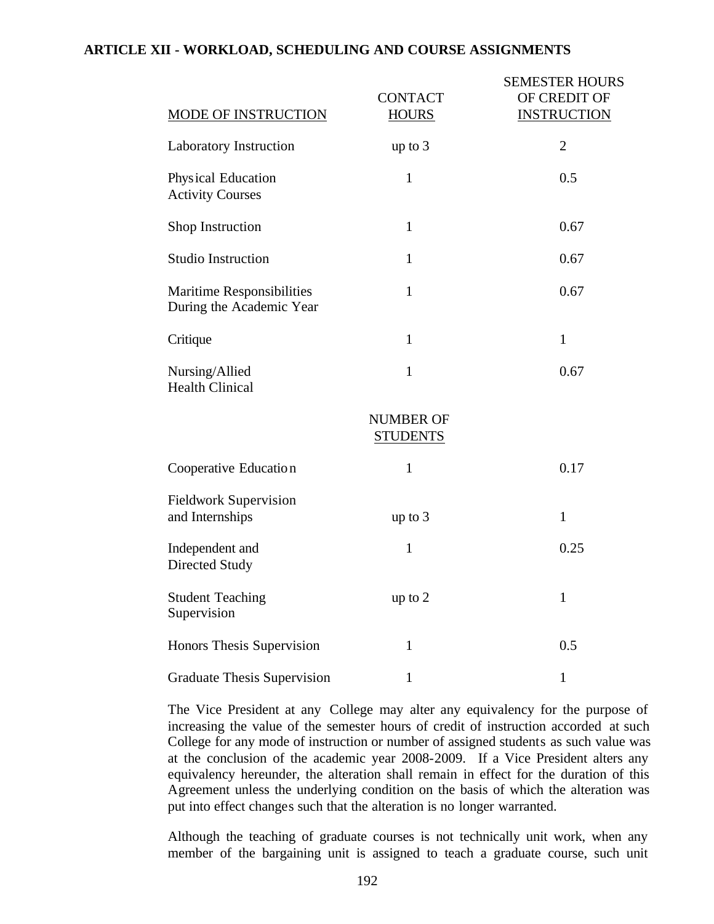| MODE OF INSTRUCTION                                          | <b>CONTACT</b><br><b>HOURS</b>      | <b>SEMESTER HOURS</b><br>OF CREDIT OF<br><b>INSTRUCTION</b> |
|--------------------------------------------------------------|-------------------------------------|-------------------------------------------------------------|
| <b>Laboratory Instruction</b>                                | up to $3$                           | $\overline{2}$                                              |
| Physical Education<br><b>Activity Courses</b>                | $\mathbf{1}$                        | 0.5                                                         |
| Shop Instruction                                             | $\mathbf{1}$                        | 0.67                                                        |
| <b>Studio Instruction</b>                                    | $\mathbf{1}$                        | 0.67                                                        |
| <b>Maritime Responsibilities</b><br>During the Academic Year | $\mathbf{1}$                        | 0.67                                                        |
| Critique                                                     | $\mathbf{1}$                        | $\mathbf{1}$                                                |
| Nursing/Allied<br><b>Health Clinical</b>                     | $\mathbf{1}$                        | 0.67                                                        |
|                                                              | <b>NUMBER OF</b><br><b>STUDENTS</b> |                                                             |
| Cooperative Education                                        | 1                                   | 0.17                                                        |
| <b>Fieldwork Supervision</b><br>and Internships              | up to $3$                           | $\mathbf{1}$                                                |
| Independent and<br><b>Directed Study</b>                     | 1                                   | 0.25                                                        |
| <b>Student Teaching</b><br>Supervision                       | up to 2                             | $\mathbf{1}$                                                |
| Honors Thesis Supervision                                    | $\mathbf{1}$                        | 0.5                                                         |
| <b>Graduate Thesis Supervision</b>                           | 1                                   | 1                                                           |

The Vice President at any College may alter any equivalency for the purpose of increasing the value of the semester hours of credit of instruction accorded at such College for any mode of instruction or number of assigned students as such value was at the conclusion of the academic year 2008-2009. If a Vice President alters any equivalency hereunder, the alteration shall remain in effect for the duration of this Agreement unless the underlying condition on the basis of which the alteration was put into effect changes such that the alteration is no longer warranted.

Although the teaching of graduate courses is not technically unit work, when any member of the bargaining unit is assigned to teach a graduate course, such unit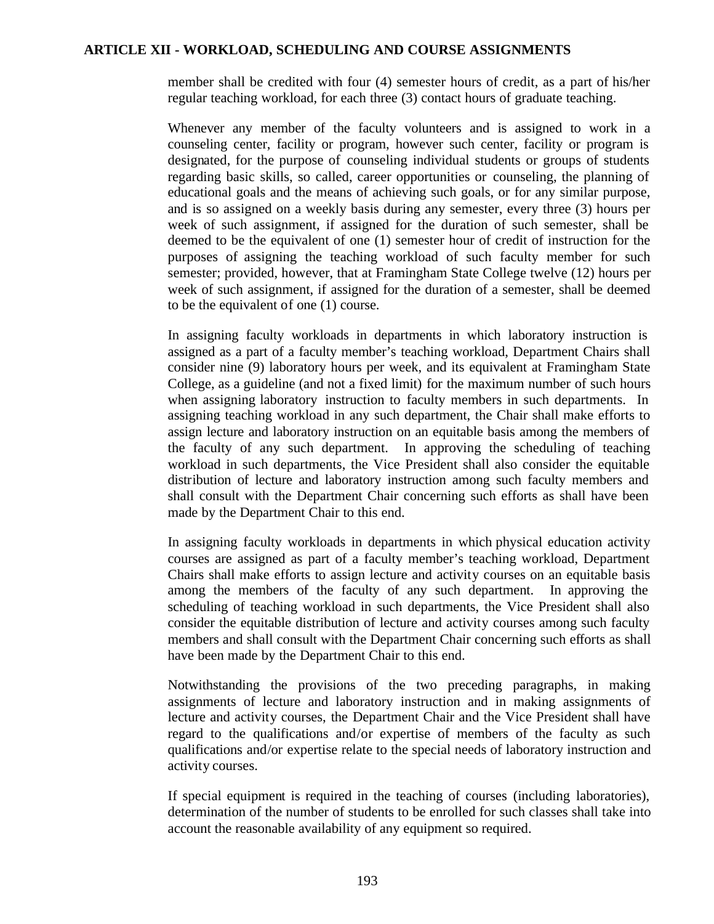member shall be credited with four (4) semester hours of credit, as a part of his/her regular teaching workload, for each three (3) contact hours of graduate teaching.

Whenever any member of the faculty volunteers and is assigned to work in a counseling center, facility or program, however such center, facility or program is designated, for the purpose of counseling individual students or groups of students regarding basic skills, so called, career opportunities or counseling, the planning of educational goals and the means of achieving such goals, or for any similar purpose, and is so assigned on a weekly basis during any semester, every three (3) hours per week of such assignment, if assigned for the duration of such semester, shall be deemed to be the equivalent of one (1) semester hour of credit of instruction for the purposes of assigning the teaching workload of such faculty member for such semester; provided, however, that at Framingham State College twelve (12) hours per week of such assignment, if assigned for the duration of a semester, shall be deemed to be the equivalent of one (1) course.

In assigning faculty workloads in departments in which laboratory instruction is assigned as a part of a faculty member's teaching workload, Department Chairs shall consider nine (9) laboratory hours per week, and its equivalent at Framingham State College, as a guideline (and not a fixed limit) for the maximum number of such hours when assigning laboratory instruction to faculty members in such departments. In assigning teaching workload in any such department, the Chair shall make efforts to assign lecture and laboratory instruction on an equitable basis among the members of the faculty of any such department. In approving the scheduling of teaching workload in such departments, the Vice President shall also consider the equitable distribution of lecture and laboratory instruction among such faculty members and shall consult with the Department Chair concerning such efforts as shall have been made by the Department Chair to this end.

In assigning faculty workloads in departments in which physical education activity courses are assigned as part of a faculty member's teaching workload, Department Chairs shall make efforts to assign lecture and activity courses on an equitable basis among the members of the faculty of any such department. In approving the scheduling of teaching workload in such departments, the Vice President shall also consider the equitable distribution of lecture and activity courses among such faculty members and shall consult with the Department Chair concerning such efforts as shall have been made by the Department Chair to this end.

Notwithstanding the provisions of the two preceding paragraphs, in making assignments of lecture and laboratory instruction and in making assignments of lecture and activity courses, the Department Chair and the Vice President shall have regard to the qualifications and/or expertise of members of the faculty as such qualifications and/or expertise relate to the special needs of laboratory instruction and activity courses.

If special equipment is required in the teaching of courses (including laboratories), determination of the number of students to be enrolled for such classes shall take into account the reasonable availability of any equipment so required.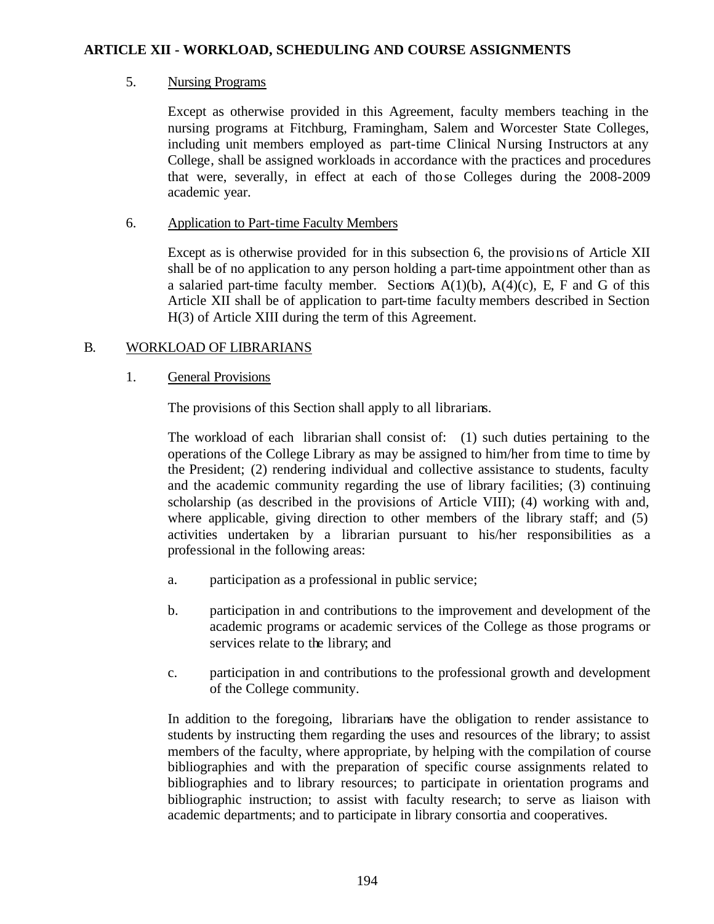## 5. Nursing Programs

Except as otherwise provided in this Agreement, faculty members teaching in the nursing programs at Fitchburg, Framingham, Salem and Worcester State Colleges, including unit members employed as part-time Clinical Nursing Instructors at any College, shall be assigned workloads in accordance with the practices and procedures that were, severally, in effect at each of those Colleges during the 2008-2009 academic year.

## 6. Application to Part-time Faculty Members

Except as is otherwise provided for in this subsection 6, the provisions of Article XII shall be of no application to any person holding a part-time appointment other than as a salaried part-time faculty member. Sections  $A(1)(b)$ ,  $A(4)(c)$ , E, F and G of this Article XII shall be of application to part-time faculty members described in Section H(3) of Article XIII during the term of this Agreement.

# B. WORKLOAD OF LIBRARIANS

## 1. General Provisions

The provisions of this Section shall apply to all librarians.

The workload of each librarian shall consist of: (1) such duties pertaining to the operations of the College Library as may be assigned to him/her from time to time by the President; (2) rendering individual and collective assistance to students, faculty and the academic community regarding the use of library facilities; (3) continuing scholarship (as described in the provisions of Article VIII); (4) working with and, where applicable, giving direction to other members of the library staff; and (5) activities undertaken by a librarian pursuant to his/her responsibilities as a professional in the following areas:

- a. participation as a professional in public service;
- b. participation in and contributions to the improvement and development of the academic programs or academic services of the College as those programs or services relate to the library; and
- c. participation in and contributions to the professional growth and development of the College community.

In addition to the foregoing, librarians have the obligation to render assistance to students by instructing them regarding the uses and resources of the library; to assist members of the faculty, where appropriate, by helping with the compilation of course bibliographies and with the preparation of specific course assignments related to bibliographies and to library resources; to participate in orientation programs and bibliographic instruction; to assist with faculty research; to serve as liaison with academic departments; and to participate in library consortia and cooperatives.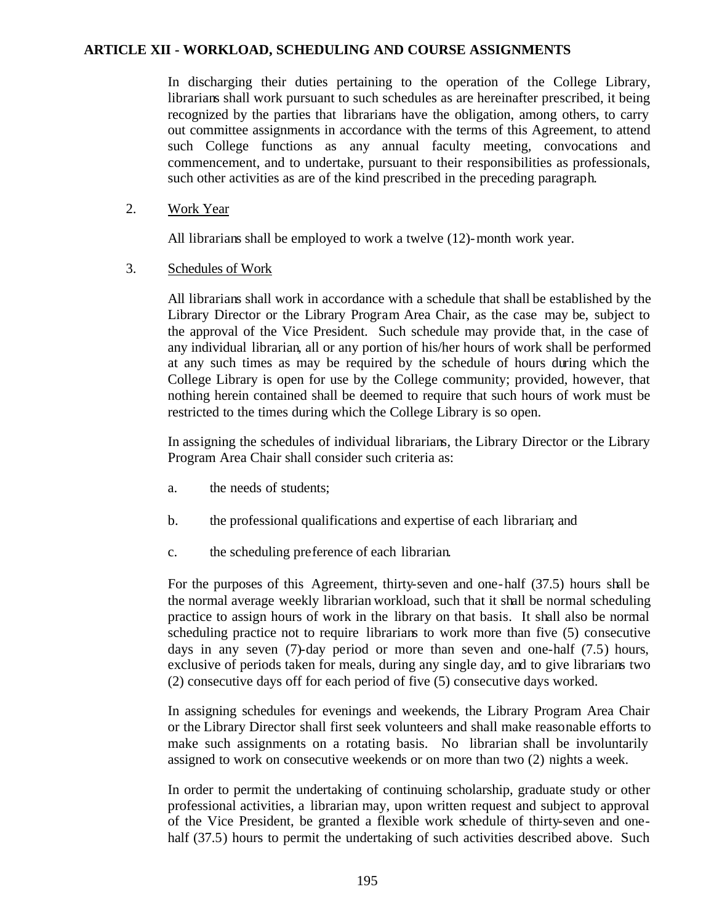In discharging their duties pertaining to the operation of the College Library, librarians shall work pursuant to such schedules as are hereinafter prescribed, it being recognized by the parties that librarians have the obligation, among others, to carry out committee assignments in accordance with the terms of this Agreement, to attend such College functions as any annual faculty meeting, convocations and commencement, and to undertake, pursuant to their responsibilities as professionals, such other activities as are of the kind prescribed in the preceding paragraph.

2. Work Year

All librarians shall be employed to work a twelve (12)-month work year.

#### 3. Schedules of Work

All librarians shall work in accordance with a schedule that shall be established by the Library Director or the Library Program Area Chair, as the case may be, subject to the approval of the Vice President. Such schedule may provide that, in the case of any individual librarian, all or any portion of his/her hours of work shall be performed at any such times as may be required by the schedule of hours during which the College Library is open for use by the College community; provided, however, that nothing herein contained shall be deemed to require that such hours of work must be restricted to the times during which the College Library is so open.

In assigning the schedules of individual librarians, the Library Director or the Library Program Area Chair shall consider such criteria as:

- a. the needs of students;
- b. the professional qualifications and expertise of each librarian; and
- c. the scheduling preference of each librarian.

For the purposes of this Agreement, thirty-seven and one-half (37.5) hours shall be the normal average weekly librarian workload, such that it shall be normal scheduling practice to assign hours of work in the library on that basis. It shall also be normal scheduling practice not to require librarians to work more than five (5) consecutive days in any seven (7)-day period or more than seven and one-half (7.5) hours, exclusive of periods taken for meals, during any single day, and to give librarians two (2) consecutive days off for each period of five (5) consecutive days worked.

In assigning schedules for evenings and weekends, the Library Program Area Chair or the Library Director shall first seek volunteers and shall make reasonable efforts to make such assignments on a rotating basis. No librarian shall be involuntarily assigned to work on consecutive weekends or on more than two (2) nights a week.

In order to permit the undertaking of continuing scholarship, graduate study or other professional activities, a librarian may, upon written request and subject to approval of the Vice President, be granted a flexible work schedule of thirty-seven and onehalf (37.5) hours to permit the undertaking of such activities described above. Such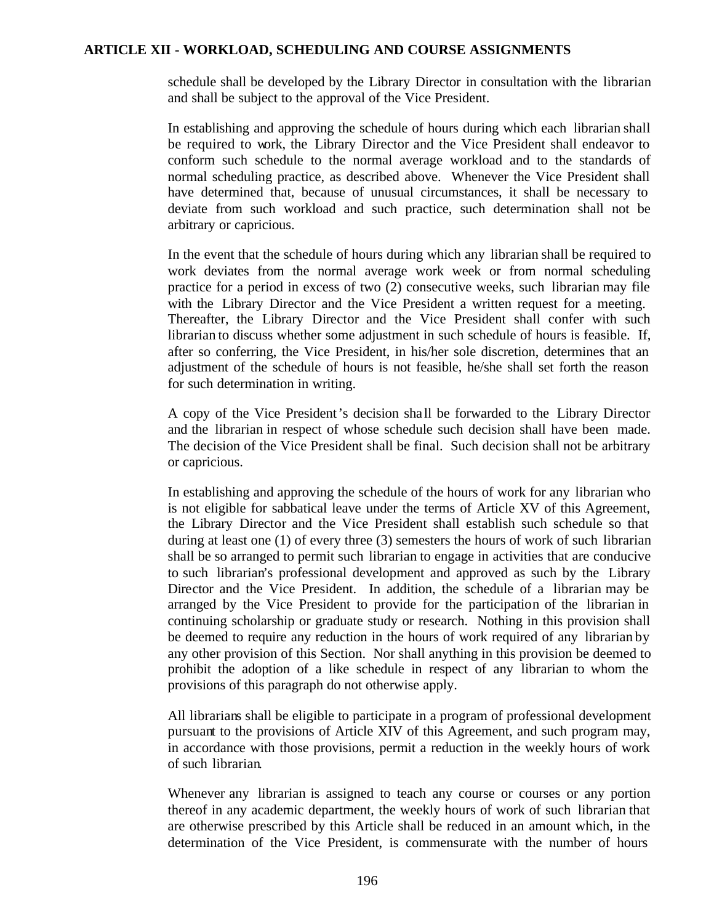schedule shall be developed by the Library Director in consultation with the librarian and shall be subject to the approval of the Vice President.

In establishing and approving the schedule of hours during which each librarian shall be required to work, the Library Director and the Vice President shall endeavor to conform such schedule to the normal average workload and to the standards of normal scheduling practice, as described above. Whenever the Vice President shall have determined that, because of unusual circumstances, it shall be necessary to deviate from such workload and such practice, such determination shall not be arbitrary or capricious.

In the event that the schedule of hours during which any librarian shall be required to work deviates from the normal average work week or from normal scheduling practice for a period in excess of two (2) consecutive weeks, such librarian may file with the Library Director and the Vice President a written request for a meeting. Thereafter, the Library Director and the Vice President shall confer with such librarian to discuss whether some adjustment in such schedule of hours is feasible. If, after so conferring, the Vice President, in his/her sole discretion, determines that an adjustment of the schedule of hours is not feasible, he/she shall set forth the reason for such determination in writing.

A copy of the Vice President's decision sha ll be forwarded to the Library Director and the librarian in respect of whose schedule such decision shall have been made. The decision of the Vice President shall be final. Such decision shall not be arbitrary or capricious.

In establishing and approving the schedule of the hours of work for any librarian who is not eligible for sabbatical leave under the terms of Article XV of this Agreement, the Library Director and the Vice President shall establish such schedule so that during at least one (1) of every three (3) semesters the hours of work of such librarian shall be so arranged to permit such librarian to engage in activities that are conducive to such librarian's professional development and approved as such by the Library Director and the Vice President. In addition, the schedule of a librarian may be arranged by the Vice President to provide for the participation of the librarian in continuing scholarship or graduate study or research. Nothing in this provision shall be deemed to require any reduction in the hours of work required of any librarian by any other provision of this Section. Nor shall anything in this provision be deemed to prohibit the adoption of a like schedule in respect of any librarian to whom the provisions of this paragraph do not otherwise apply.

All librarians shall be eligible to participate in a program of professional development pursuant to the provisions of Article XIV of this Agreement, and such program may, in accordance with those provisions, permit a reduction in the weekly hours of work of such librarian.

Whenever any librarian is assigned to teach any course or courses or any portion thereof in any academic department, the weekly hours of work of such librarian that are otherwise prescribed by this Article shall be reduced in an amount which, in the determination of the Vice President, is commensurate with the number of hours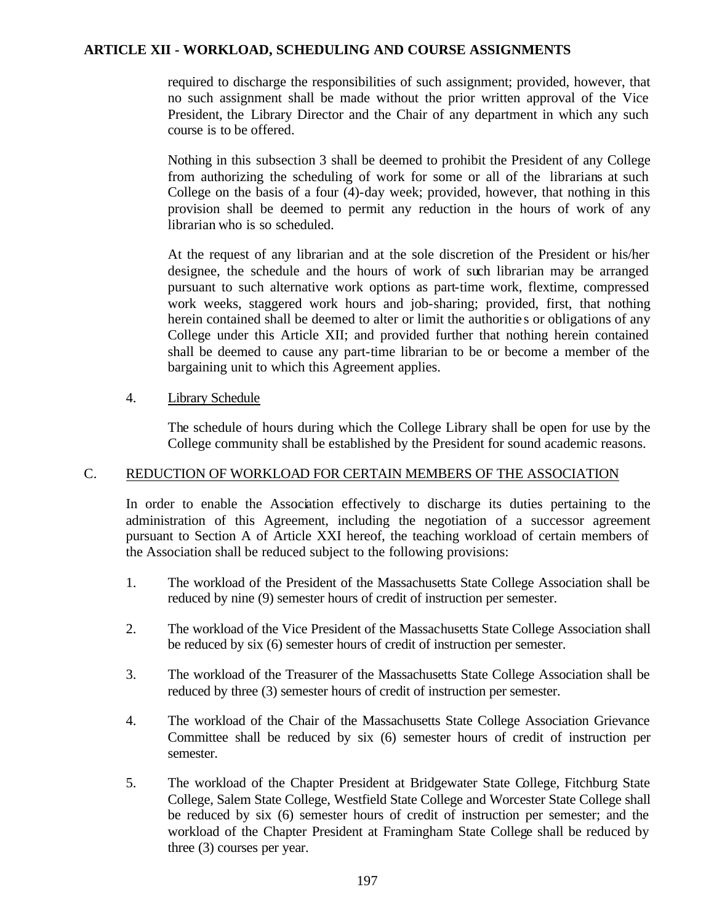required to discharge the responsibilities of such assignment; provided, however, that no such assignment shall be made without the prior written approval of the Vice President, the Library Director and the Chair of any department in which any such course is to be offered.

Nothing in this subsection 3 shall be deemed to prohibit the President of any College from authorizing the scheduling of work for some or all of the librarians at such College on the basis of a four (4)-day week; provided, however, that nothing in this provision shall be deemed to permit any reduction in the hours of work of any librarian who is so scheduled.

At the request of any librarian and at the sole discretion of the President or his/her designee, the schedule and the hours of work of such librarian may be arranged pursuant to such alternative work options as part-time work, flextime, compressed work weeks, staggered work hours and job-sharing; provided, first, that nothing herein contained shall be deemed to alter or limit the authoritie s or obligations of any College under this Article XII; and provided further that nothing herein contained shall be deemed to cause any part-time librarian to be or become a member of the bargaining unit to which this Agreement applies.

### 4. Library Schedule

The schedule of hours during which the College Library shall be open for use by the College community shall be established by the President for sound academic reasons.

### C. REDUCTION OF WORKLOAD FOR CERTAIN MEMBERS OF THE ASSOCIATION

In order to enable the Association effectively to discharge its duties pertaining to the administration of this Agreement, including the negotiation of a successor agreement pursuant to Section A of Article XXI hereof, the teaching workload of certain members of the Association shall be reduced subject to the following provisions:

- 1. The workload of the President of the Massachusetts State College Association shall be reduced by nine (9) semester hours of credit of instruction per semester.
- 2. The workload of the Vice President of the Massachusetts State College Association shall be reduced by six (6) semester hours of credit of instruction per semester.
- 3. The workload of the Treasurer of the Massachusetts State College Association shall be reduced by three (3) semester hours of credit of instruction per semester.
- 4. The workload of the Chair of the Massachusetts State College Association Grievance Committee shall be reduced by six (6) semester hours of credit of instruction per semester.
- 5. The workload of the Chapter President at Bridgewater State College, Fitchburg State College, Salem State College, Westfield State College and Worcester State College shall be reduced by six (6) semester hours of credit of instruction per semester; and the workload of the Chapter President at Framingham State College shall be reduced by three (3) courses per year.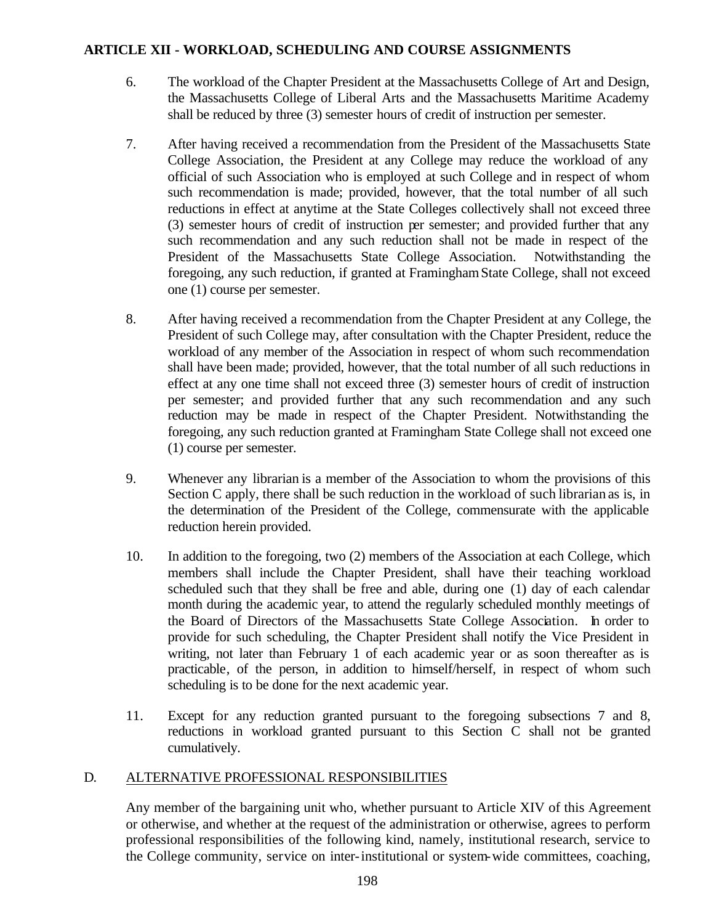- 6. The workload of the Chapter President at the Massachusetts College of Art and Design, the Massachusetts College of Liberal Arts and the Massachusetts Maritime Academy shall be reduced by three (3) semester hours of credit of instruction per semester.
- 7. After having received a recommendation from the President of the Massachusetts State College Association, the President at any College may reduce the workload of any official of such Association who is employed at such College and in respect of whom such recommendation is made; provided, however, that the total number of all such reductions in effect at anytime at the State Colleges collectively shall not exceed three (3) semester hours of credit of instruction per semester; and provided further that any such recommendation and any such reduction shall not be made in respect of the President of the Massachusetts State College Association. Notwithstanding the foregoing, any such reduction, if granted at Framingham State College, shall not exceed one (1) course per semester.
- 8. After having received a recommendation from the Chapter President at any College, the President of such College may, after consultation with the Chapter President, reduce the workload of any member of the Association in respect of whom such recommendation shall have been made; provided, however, that the total number of all such reductions in effect at any one time shall not exceed three (3) semester hours of credit of instruction per semester; and provided further that any such recommendation and any such reduction may be made in respect of the Chapter President. Notwithstanding the foregoing, any such reduction granted at Framingham State College shall not exceed one (1) course per semester.
- 9. Whenever any librarian is a member of the Association to whom the provisions of this Section C apply, there shall be such reduction in the workload of such librarian as is, in the determination of the President of the College, commensurate with the applicable reduction herein provided.
- 10. In addition to the foregoing, two (2) members of the Association at each College, which members shall include the Chapter President, shall have their teaching workload scheduled such that they shall be free and able, during one (1) day of each calendar month during the academic year, to attend the regularly scheduled monthly meetings of the Board of Directors of the Massachusetts State College Association. In order to provide for such scheduling, the Chapter President shall notify the Vice President in writing, not later than February 1 of each academic year or as soon thereafter as is practicable, of the person, in addition to himself/herself, in respect of whom such scheduling is to be done for the next academic year.
- 11. Except for any reduction granted pursuant to the foregoing subsections 7 and 8, reductions in workload granted pursuant to this Section C shall not be granted cumulatively.

### D. ALTERNATIVE PROFESSIONAL RESPONSIBILITIES

Any member of the bargaining unit who, whether pursuant to Article XIV of this Agreement or otherwise, and whether at the request of the administration or otherwise, agrees to perform professional responsibilities of the following kind, namely, institutional research, service to the College community, service on inter-institutional or system-wide committees, coaching,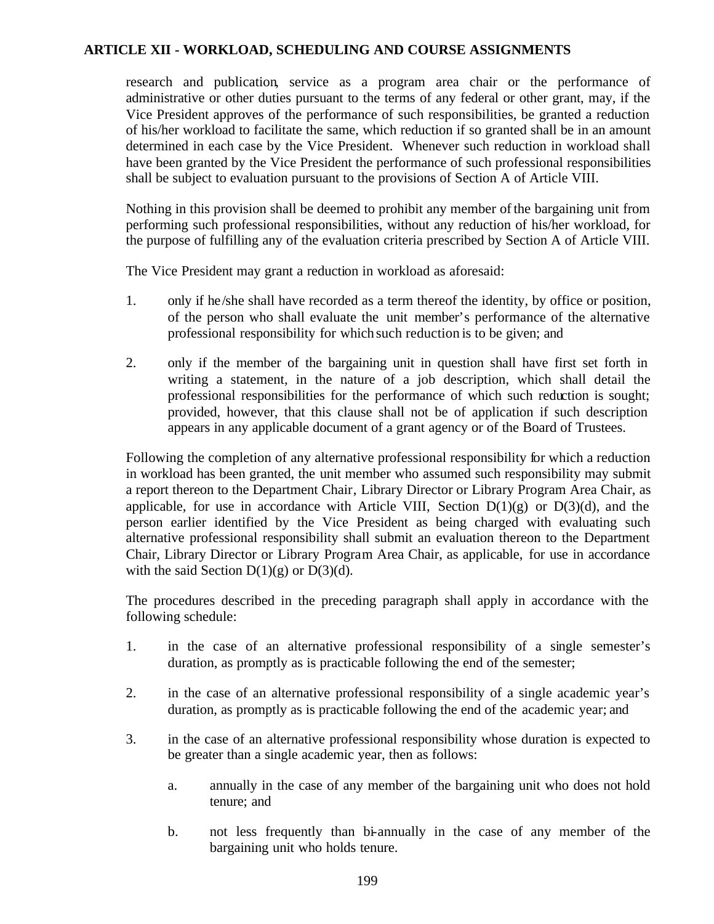research and publication, service as a program area chair or the performance of administrative or other duties pursuant to the terms of any federal or other grant, may, if the Vice President approves of the performance of such responsibilities, be granted a reduction of his/her workload to facilitate the same, which reduction if so granted shall be in an amount determined in each case by the Vice President. Whenever such reduction in workload shall have been granted by the Vice President the performance of such professional responsibilities shall be subject to evaluation pursuant to the provisions of Section A of Article VIII.

Nothing in this provision shall be deemed to prohibit any member of the bargaining unit from performing such professional responsibilities, without any reduction of his/her workload, for the purpose of fulfilling any of the evaluation criteria prescribed by Section A of Article VIII.

The Vice President may grant a reduction in workload as aforesaid:

- 1. only if he/she shall have recorded as a term thereof the identity, by office or position, of the person who shall evaluate the unit member's performance of the alternative professional responsibility for which such reduction is to be given; and
- 2. only if the member of the bargaining unit in question shall have first set forth in writing a statement, in the nature of a job description, which shall detail the professional responsibilities for the performance of which such reduction is sought; provided, however, that this clause shall not be of application if such description appears in any applicable document of a grant agency or of the Board of Trustees.

Following the completion of any alternative professional responsibility for which a reduction in workload has been granted, the unit member who assumed such responsibility may submit a report thereon to the Department Chair, Library Director or Library Program Area Chair, as applicable, for use in accordance with Article VIII, Section  $D(1)(g)$  or  $D(3)(d)$ , and the person earlier identified by the Vice President as being charged with evaluating such alternative professional responsibility shall submit an evaluation thereon to the Department Chair, Library Director or Library Program Area Chair, as applicable, for use in accordance with the said Section  $D(1)(g)$  or  $D(3)(d)$ .

The procedures described in the preceding paragraph shall apply in accordance with the following schedule:

- 1. in the case of an alternative professional responsibility of a single semester's duration, as promptly as is practicable following the end of the semester;
- 2. in the case of an alternative professional responsibility of a single academic year's duration, as promptly as is practicable following the end of the academic year; and
- 3. in the case of an alternative professional responsibility whose duration is expected to be greater than a single academic year, then as follows:
	- a. annually in the case of any member of the bargaining unit who does not hold tenure; and
	- b. not less frequently than bi-annually in the case of any member of the bargaining unit who holds tenure.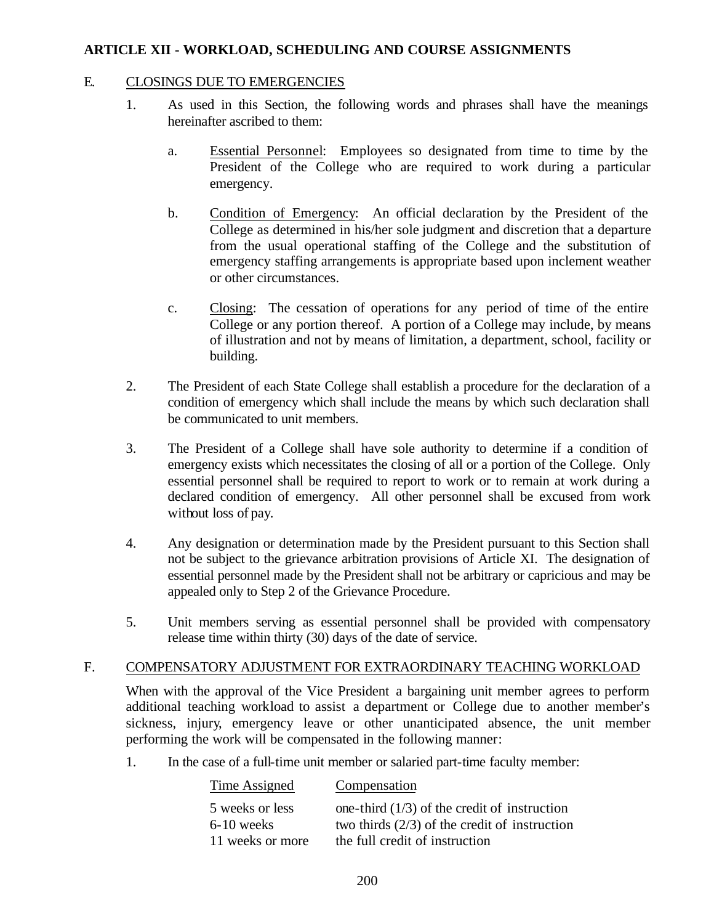#### E. CLOSINGS DUE TO EMERGENCIES

- 1. As used in this Section, the following words and phrases shall have the meanings hereinafter ascribed to them:
	- a. Essential Personnel: Employees so designated from time to time by the President of the College who are required to work during a particular emergency.
	- b. Condition of Emergency: An official declaration by the President of the College as determined in his/her sole judgment and discretion that a departure from the usual operational staffing of the College and the substitution of emergency staffing arrangements is appropriate based upon inclement weather or other circumstances.
	- c. Closing: The cessation of operations for any period of time of the entire College or any portion thereof. A portion of a College may include, by means of illustration and not by means of limitation, a department, school, facility or building.
- 2. The President of each State College shall establish a procedure for the declaration of a condition of emergency which shall include the means by which such declaration shall be communicated to unit members.
- 3. The President of a College shall have sole authority to determine if a condition of emergency exists which necessitates the closing of all or a portion of the College. Only essential personnel shall be required to report to work or to remain at work during a declared condition of emergency. All other personnel shall be excused from work without loss of pay.
- 4. Any designation or determination made by the President pursuant to this Section shall not be subject to the grievance arbitration provisions of Article XI. The designation of essential personnel made by the President shall not be arbitrary or capricious and may be appealed only to Step 2 of the Grievance Procedure.
- 5. Unit members serving as essential personnel shall be provided with compensatory release time within thirty (30) days of the date of service.

### F. COMPENSATORY ADJUSTMENT FOR EXTRAORDINARY TEACHING WORKLOAD

When with the approval of the Vice President a bargaining unit member agrees to perform additional teaching workload to assist a department or College due to another member's sickness, injury, emergency leave or other unanticipated absence, the unit member performing the work will be compensated in the following manner:

1. In the case of a full-time unit member or salaried part-time faculty member:

| Compensation                                    |
|-------------------------------------------------|
| one-third $(1/3)$ of the credit of instruction  |
| two thirds $(2/3)$ of the credit of instruction |
| the full credit of instruction                  |
|                                                 |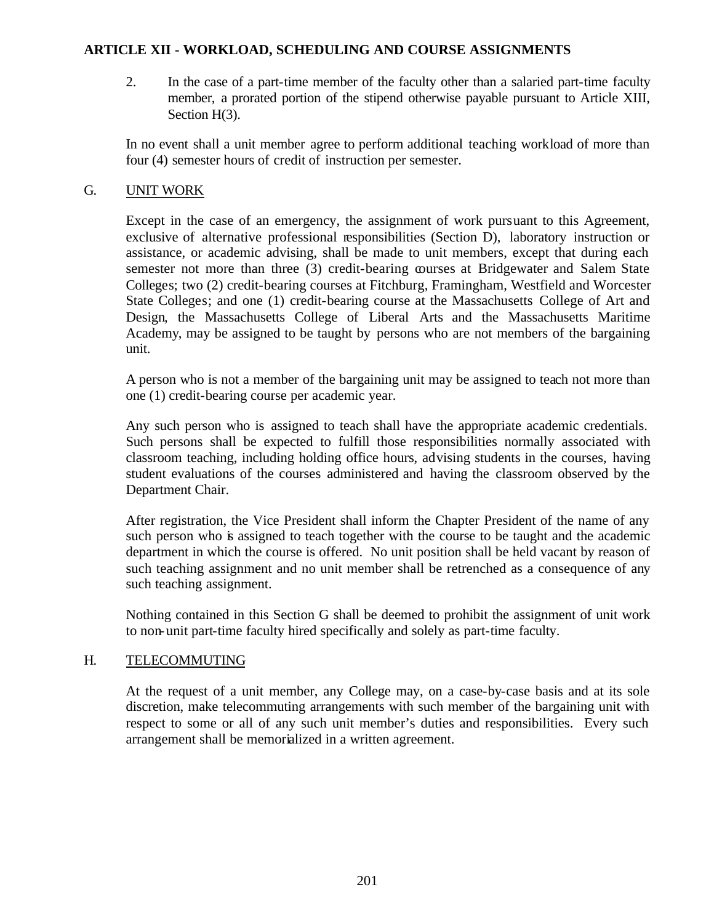2. In the case of a part-time member of the faculty other than a salaried part-time faculty member, a prorated portion of the stipend otherwise payable pursuant to Article XIII, Section H(3).

In no event shall a unit member agree to perform additional teaching workload of more than four (4) semester hours of credit of instruction per semester.

## G. UNIT WORK

Except in the case of an emergency, the assignment of work pursuant to this Agreement, exclusive of alternative professional responsibilities (Section D), laboratory instruction or assistance, or academic advising, shall be made to unit members, except that during each semester not more than three (3) credit-bearing courses at Bridgewater and Salem State Colleges; two (2) credit-bearing courses at Fitchburg, Framingham, Westfield and Worcester State Colleges; and one (1) credit-bearing course at the Massachusetts College of Art and Design, the Massachusetts College of Liberal Arts and the Massachusetts Maritime Academy, may be assigned to be taught by persons who are not members of the bargaining unit.

A person who is not a member of the bargaining unit may be assigned to teach not more than one (1) credit-bearing course per academic year.

Any such person who is assigned to teach shall have the appropriate academic credentials. Such persons shall be expected to fulfill those responsibilities normally associated with classroom teaching, including holding office hours, advising students in the courses, having student evaluations of the courses administered and having the classroom observed by the Department Chair.

After registration, the Vice President shall inform the Chapter President of the name of any such person who is assigned to teach together with the course to be taught and the academic department in which the course is offered. No unit position shall be held vacant by reason of such teaching assignment and no unit member shall be retrenched as a consequence of any such teaching assignment.

Nothing contained in this Section G shall be deemed to prohibit the assignment of unit work to non-unit part-time faculty hired specifically and solely as part-time faculty.

# H. TELECOMMUTING

At the request of a unit member, any College may, on a case-by-case basis and at its sole discretion, make telecommuting arrangements with such member of the bargaining unit with respect to some or all of any such unit member's duties and responsibilities. Every such arrangement shall be memorialized in a written agreement.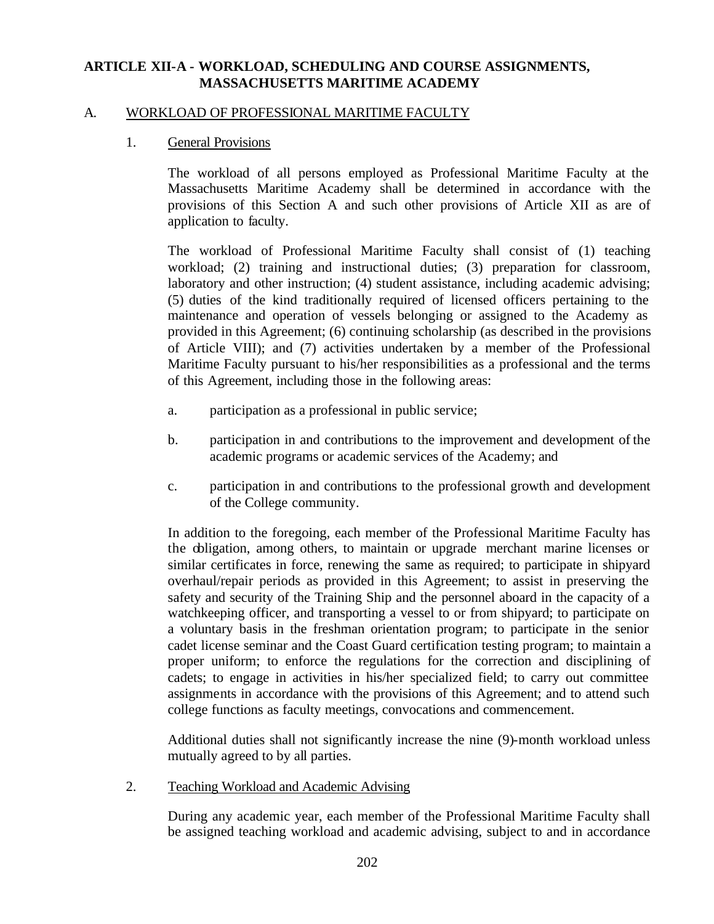## A. WORKLOAD OF PROFESSIONAL MARITIME FACULTY

### 1. General Provisions

The workload of all persons employed as Professional Maritime Faculty at the Massachusetts Maritime Academy shall be determined in accordance with the provisions of this Section A and such other provisions of Article XII as are of application to faculty.

The workload of Professional Maritime Faculty shall consist of (1) teaching workload; (2) training and instructional duties; (3) preparation for classroom, laboratory and other instruction; (4) student assistance, including academic advising; (5) duties of the kind traditionally required of licensed officers pertaining to the maintenance and operation of vessels belonging or assigned to the Academy as provided in this Agreement; (6) continuing scholarship (as described in the provisions of Article VIII); and (7) activities undertaken by a member of the Professional Maritime Faculty pursuant to his/her responsibilities as a professional and the terms of this Agreement, including those in the following areas:

- a. participation as a professional in public service;
- b. participation in and contributions to the improvement and development of the academic programs or academic services of the Academy; and
- c. participation in and contributions to the professional growth and development of the College community.

In addition to the foregoing, each member of the Professional Maritime Faculty has the obligation, among others, to maintain or upgrade merchant marine licenses or similar certificates in force, renewing the same as required; to participate in shipyard overhaul/repair periods as provided in this Agreement; to assist in preserving the safety and security of the Training Ship and the personnel aboard in the capacity of a watchkeeping officer, and transporting a vessel to or from shipyard; to participate on a voluntary basis in the freshman orientation program; to participate in the senior cadet license seminar and the Coast Guard certification testing program; to maintain a proper uniform; to enforce the regulations for the correction and disciplining of cadets; to engage in activities in his/her specialized field; to carry out committee assignments in accordance with the provisions of this Agreement; and to attend such college functions as faculty meetings, convocations and commencement.

Additional duties shall not significantly increase the nine (9)-month workload unless mutually agreed to by all parties.

2. Teaching Workload and Academic Advising

During any academic year, each member of the Professional Maritime Faculty shall be assigned teaching workload and academic advising, subject to and in accordance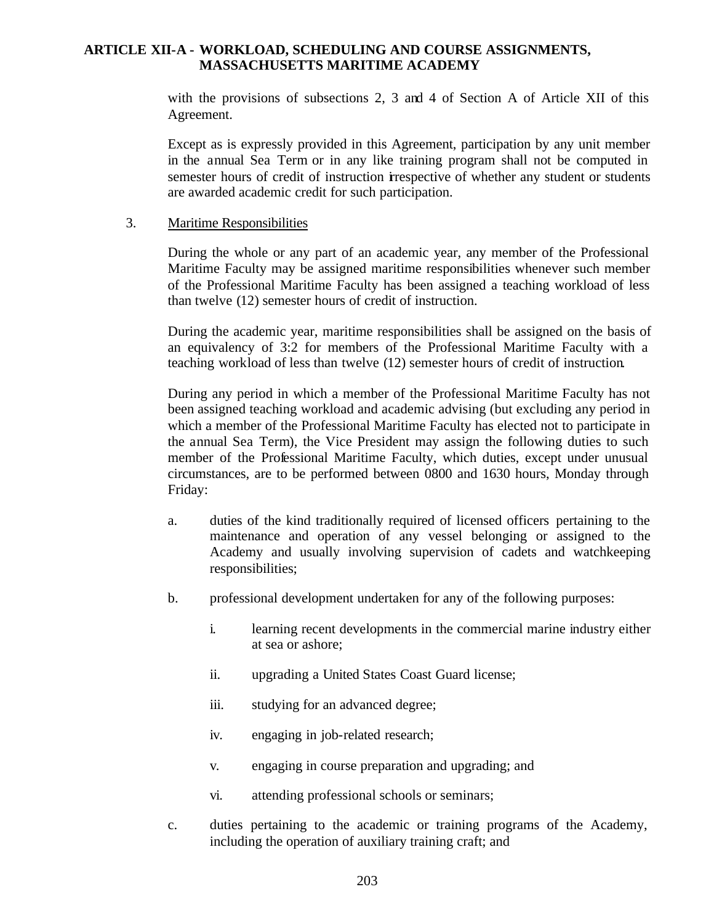with the provisions of subsections 2, 3 and 4 of Section A of Article XII of this Agreement.

Except as is expressly provided in this Agreement, participation by any unit member in the annual Sea Term or in any like training program shall not be computed in semester hours of credit of instruction irrespective of whether any student or students are awarded academic credit for such participation.

#### 3. Maritime Responsibilities

During the whole or any part of an academic year, any member of the Professional Maritime Faculty may be assigned maritime responsibilities whenever such member of the Professional Maritime Faculty has been assigned a teaching workload of less than twelve (12) semester hours of credit of instruction.

During the academic year, maritime responsibilities shall be assigned on the basis of an equivalency of 3:2 for members of the Professional Maritime Faculty with a teaching workload of less than twelve (12) semester hours of credit of instruction.

During any period in which a member of the Professional Maritime Faculty has not been assigned teaching workload and academic advising (but excluding any period in which a member of the Professional Maritime Faculty has elected not to participate in the annual Sea Term), the Vice President may assign the following duties to such member of the Professional Maritime Faculty, which duties, except under unusual circumstances, are to be performed between 0800 and 1630 hours, Monday through Friday:

- a. duties of the kind traditionally required of licensed officers pertaining to the maintenance and operation of any vessel belonging or assigned to the Academy and usually involving supervision of cadets and watchkeeping responsibilities;
- b. professional development undertaken for any of the following purposes:
	- i. learning recent developments in the commercial marine industry either at sea or ashore;
	- ii. upgrading a United States Coast Guard license;
	- iii. studying for an advanced degree;
	- iv. engaging in job-related research;
	- v. engaging in course preparation and upgrading; and
	- vi. attending professional schools or seminars;
- c. duties pertaining to the academic or training programs of the Academy, including the operation of auxiliary training craft; and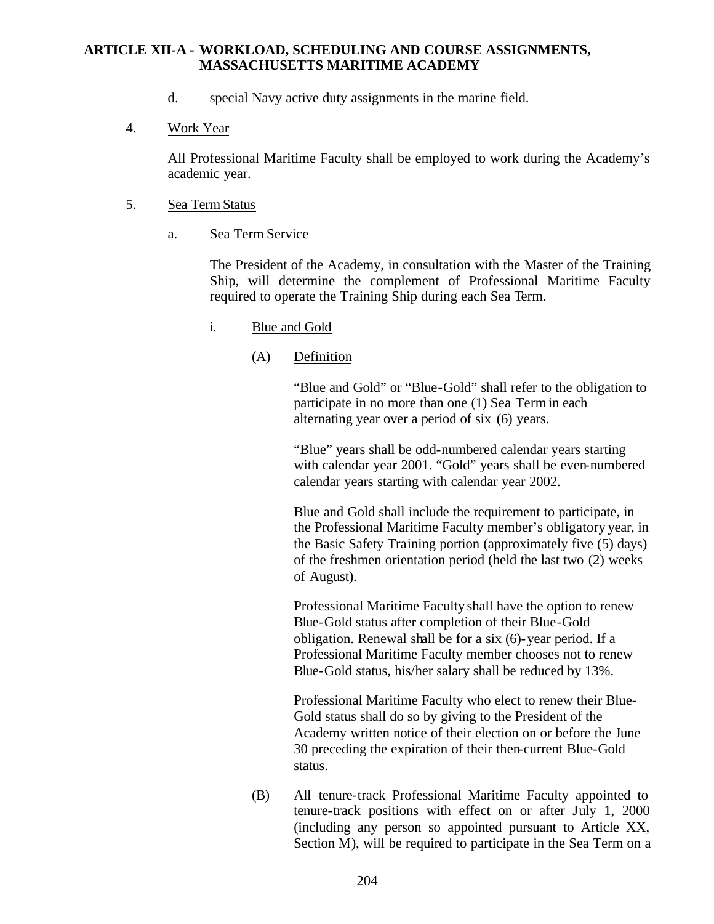- d. special Navy active duty assignments in the marine field.
- 4. Work Year

All Professional Maritime Faculty shall be employed to work during the Academy's academic year.

- 5. Sea Term Status
	- a. Sea Term Service

The President of the Academy, in consultation with the Master of the Training Ship, will determine the complement of Professional Maritime Faculty required to operate the Training Ship during each Sea Term.

- i. Blue and Gold
	- (A) Definition

"Blue and Gold" or "Blue-Gold" shall refer to the obligation to participate in no more than one (1) Sea Term in each alternating year over a period of six (6) years.

"Blue" years shall be odd-numbered calendar years starting with calendar year 2001. "Gold" years shall be even-numbered calendar years starting with calendar year 2002.

Blue and Gold shall include the requirement to participate, in the Professional Maritime Faculty member's obligatory year, in the Basic Safety Training portion (approximately five (5) days) of the freshmen orientation period (held the last two (2) weeks of August).

Professional Maritime Faculty shall have the option to renew Blue-Gold status after completion of their Blue-Gold obligation. Renewal shall be for a six (6)-year period. If a Professional Maritime Faculty member chooses not to renew Blue-Gold status, his/her salary shall be reduced by 13%.

Professional Maritime Faculty who elect to renew their Blue-Gold status shall do so by giving to the President of the Academy written notice of their election on or before the June 30 preceding the expiration of their then-current Blue-Gold status.

(B) All tenure-track Professional Maritime Faculty appointed to tenure-track positions with effect on or after July 1, 2000 (including any person so appointed pursuant to Article XX, Section M), will be required to participate in the Sea Term on a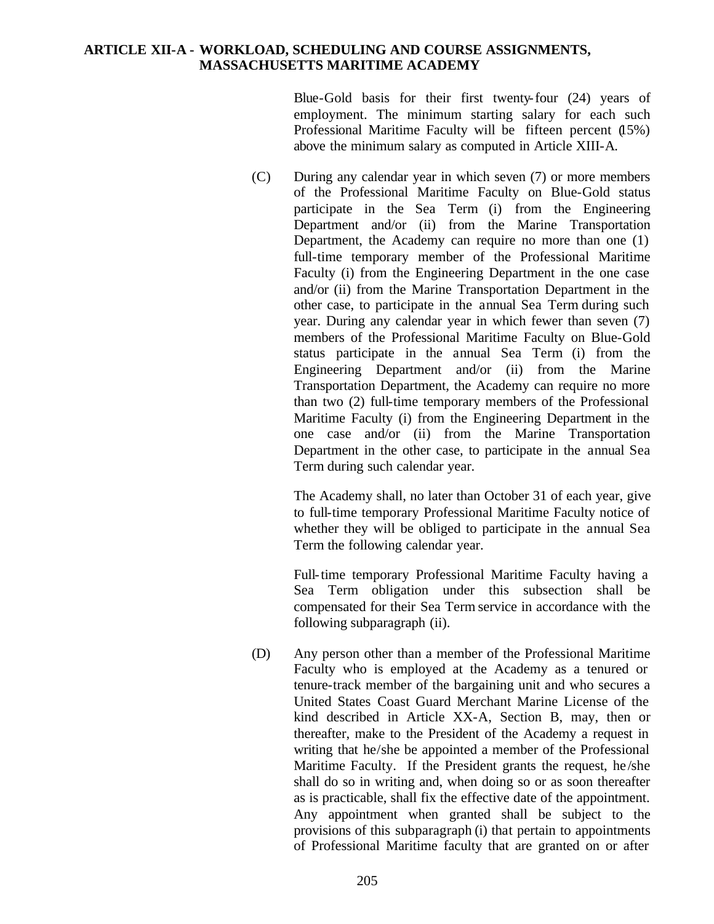Blue-Gold basis for their first twenty-four (24) years of employment. The minimum starting salary for each such Professional Maritime Faculty will be fifteen percent (15%) above the minimum salary as computed in Article XIII-A.

(C) During any calendar year in which seven (7) or more members of the Professional Maritime Faculty on Blue-Gold status participate in the Sea Term (i) from the Engineering Department and/or (ii) from the Marine Transportation Department, the Academy can require no more than one (1) full-time temporary member of the Professional Maritime Faculty (i) from the Engineering Department in the one case and/or (ii) from the Marine Transportation Department in the other case, to participate in the annual Sea Term during such year. During any calendar year in which fewer than seven (7) members of the Professional Maritime Faculty on Blue-Gold status participate in the annual Sea Term (i) from the Engineering Department and/or (ii) from the Marine Transportation Department, the Academy can require no more than two (2) full-time temporary members of the Professional Maritime Faculty (i) from the Engineering Department in the one case and/or (ii) from the Marine Transportation Department in the other case, to participate in the annual Sea Term during such calendar year.

> The Academy shall, no later than October 31 of each year, give to full-time temporary Professional Maritime Faculty notice of whether they will be obliged to participate in the annual Sea Term the following calendar year.

> Full-time temporary Professional Maritime Faculty having a Sea Term obligation under this subsection shall be compensated for their Sea Term service in accordance with the following subparagraph (ii).

(D) Any person other than a member of the Professional Maritime Faculty who is employed at the Academy as a tenured or tenure-track member of the bargaining unit and who secures a United States Coast Guard Merchant Marine License of the kind described in Article XX-A, Section B, may, then or thereafter, make to the President of the Academy a request in writing that he/she be appointed a member of the Professional Maritime Faculty. If the President grants the request, he /she shall do so in writing and, when doing so or as soon thereafter as is practicable, shall fix the effective date of the appointment. Any appointment when granted shall be subject to the provisions of this subparagraph (i) that pertain to appointments of Professional Maritime faculty that are granted on or after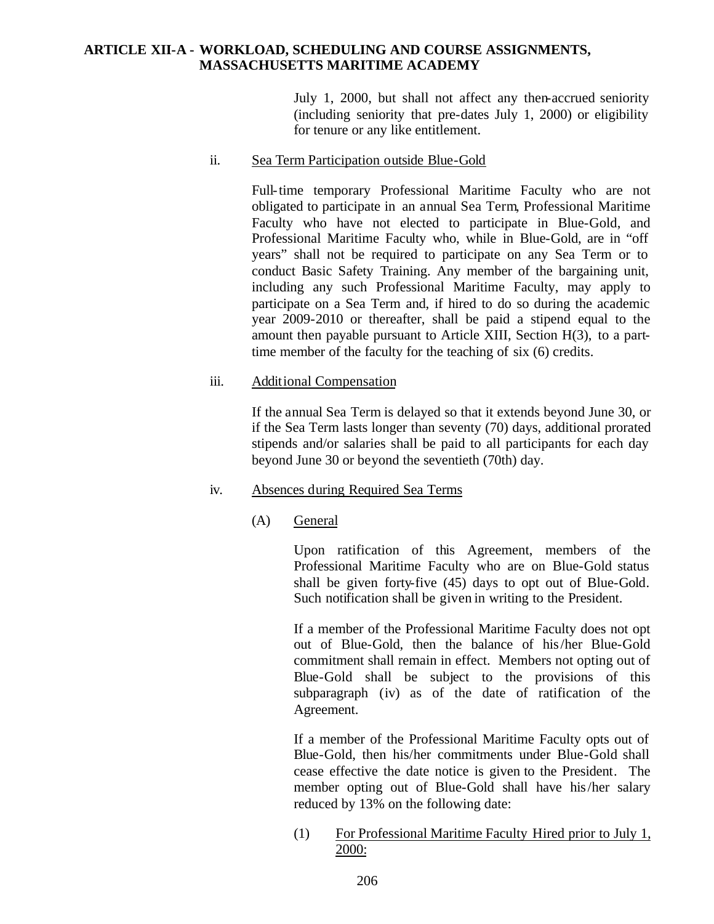July 1, 2000, but shall not affect any then-accrued seniority (including seniority that pre-dates July 1, 2000) or eligibility for tenure or any like entitlement.

ii. Sea Term Participation outside Blue-Gold

Full-time temporary Professional Maritime Faculty who are not obligated to participate in an annual Sea Term, Professional Maritime Faculty who have not elected to participate in Blue-Gold, and Professional Maritime Faculty who, while in Blue-Gold, are in "off years" shall not be required to participate on any Sea Term or to conduct Basic Safety Training. Any member of the bargaining unit, including any such Professional Maritime Faculty, may apply to participate on a Sea Term and, if hired to do so during the academic year 2009-2010 or thereafter, shall be paid a stipend equal to the amount then payable pursuant to Article XIII, Section H(3), to a parttime member of the faculty for the teaching of six (6) credits.

### iii. Additional Compensation

If the annual Sea Term is delayed so that it extends beyond June 30, or if the Sea Term lasts longer than seventy (70) days, additional prorated stipends and/or salaries shall be paid to all participants for each day beyond June 30 or beyond the seventieth (70th) day.

### iv. Absences during Required Sea Terms

(A) General

Upon ratification of this Agreement, members of the Professional Maritime Faculty who are on Blue-Gold status shall be given forty-five (45) days to opt out of Blue-Gold. Such notification shall be given in writing to the President.

If a member of the Professional Maritime Faculty does not opt out of Blue-Gold, then the balance of his/her Blue-Gold commitment shall remain in effect. Members not opting out of Blue-Gold shall be subject to the provisions of this subparagraph (iv) as of the date of ratification of the Agreement.

If a member of the Professional Maritime Faculty opts out of Blue-Gold, then his/her commitments under Blue-Gold shall cease effective the date notice is given to the President. The member opting out of Blue-Gold shall have his/her salary reduced by 13% on the following date:

(1) For Professional Maritime Faculty Hired prior to July 1, 2000: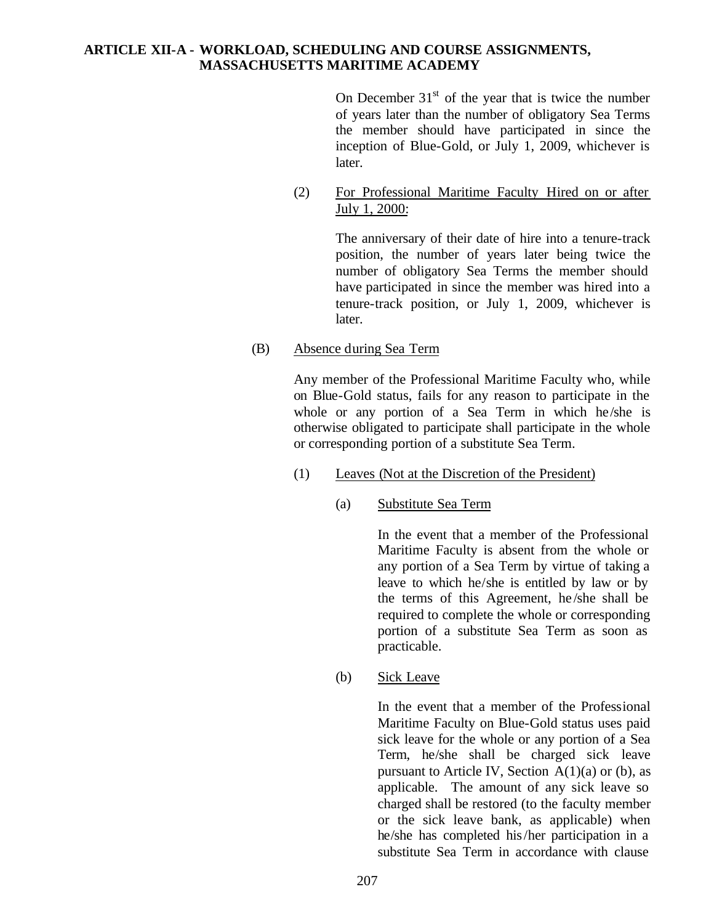On December  $31<sup>st</sup>$  of the year that is twice the number of years later than the number of obligatory Sea Terms the member should have participated in since the inception of Blue-Gold, or July 1, 2009, whichever is later.

(2) For Professional Maritime Faculty Hired on or after July 1, 2000:

> The anniversary of their date of hire into a tenure-track position, the number of years later being twice the number of obligatory Sea Terms the member should have participated in since the member was hired into a tenure-track position, or July 1, 2009, whichever is later.

(B) Absence during Sea Term

Any member of the Professional Maritime Faculty who, while on Blue-Gold status, fails for any reason to participate in the whole or any portion of a Sea Term in which he/she is otherwise obligated to participate shall participate in the whole or corresponding portion of a substitute Sea Term.

- (1) Leaves (Not at the Discretion of the President)
	- (a) Substitute Sea Term

In the event that a member of the Professional Maritime Faculty is absent from the whole or any portion of a Sea Term by virtue of taking a leave to which he/she is entitled by law or by the terms of this Agreement, he /she shall be required to complete the whole or corresponding portion of a substitute Sea Term as soon as practicable.

(b) Sick Leave

In the event that a member of the Professional Maritime Faculty on Blue-Gold status uses paid sick leave for the whole or any portion of a Sea Term, he/she shall be charged sick leave pursuant to Article IV, Section  $A(1)(a)$  or (b), as applicable. The amount of any sick leave so charged shall be restored (to the faculty member or the sick leave bank, as applicable) when he/she has completed his/her participation in a substitute Sea Term in accordance with clause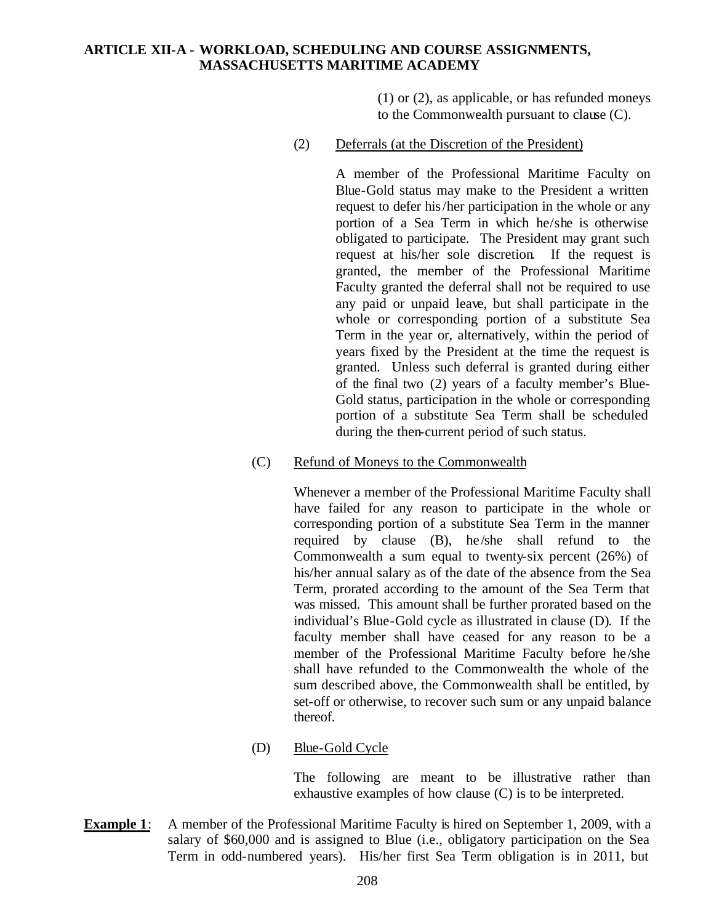(1) or (2), as applicable, or has refunded moneys to the Commonwealth pursuant to clause (C).

(2) Deferrals (at the Discretion of the President)

A member of the Professional Maritime Faculty on Blue-Gold status may make to the President a written request to defer his/her participation in the whole or any portion of a Sea Term in which he/she is otherwise obligated to participate. The President may grant such request at his/her sole discretion. If the request is granted, the member of the Professional Maritime Faculty granted the deferral shall not be required to use any paid or unpaid leave, but shall participate in the whole or corresponding portion of a substitute Sea Term in the year or, alternatively, within the period of years fixed by the President at the time the request is granted. Unless such deferral is granted during either of the final two (2) years of a faculty member's Blue-Gold status, participation in the whole or corresponding portion of a substitute Sea Term shall be scheduled during the then-current period of such status.

(C) Refund of Moneys to the Commonwealth

Whenever a member of the Professional Maritime Faculty shall have failed for any reason to participate in the whole or corresponding portion of a substitute Sea Term in the manner required by clause (B), he/she shall refund to the Commonwealth a sum equal to twenty-six percent (26%) of his/her annual salary as of the date of the absence from the Sea Term, prorated according to the amount of the Sea Term that was missed. This amount shall be further prorated based on the individual's Blue-Gold cycle as illustrated in clause (D). If the faculty member shall have ceased for any reason to be a member of the Professional Maritime Faculty before he /she shall have refunded to the Commonwealth the whole of the sum described above, the Commonwealth shall be entitled, by set-off or otherwise, to recover such sum or any unpaid balance thereof.

(D) Blue-Gold Cycle

The following are meant to be illustrative rather than exhaustive examples of how clause (C) is to be interpreted.

**Example 1**: A member of the Professional Maritime Faculty is hired on September 1, 2009, with a salary of \$60,000 and is assigned to Blue (i.e., obligatory participation on the Sea Term in odd-numbered years). His/her first Sea Term obligation is in 2011, but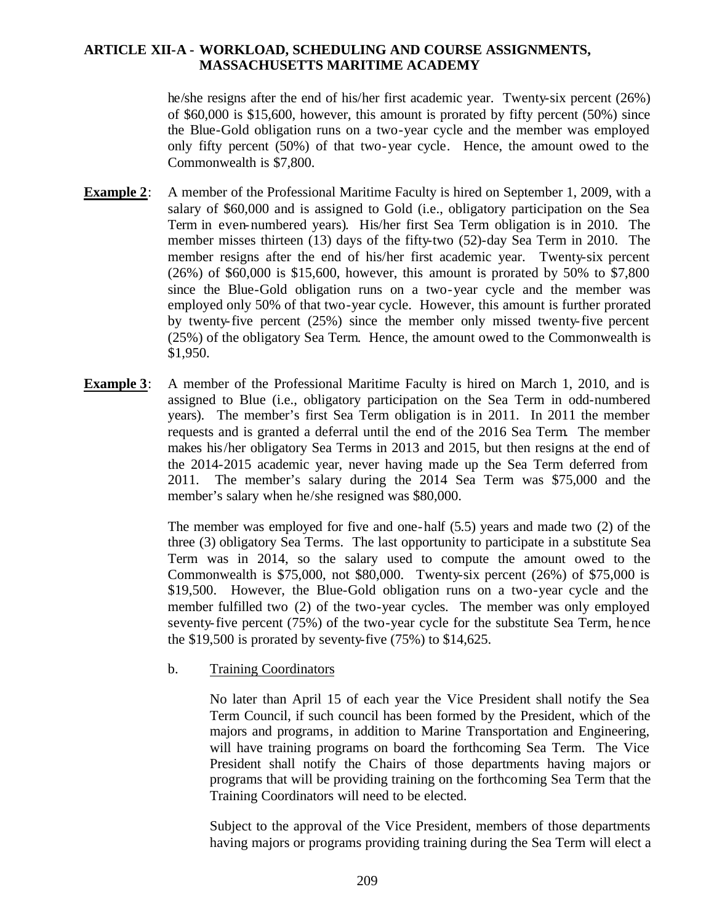he/she resigns after the end of his/her first academic year. Twenty-six percent (26%) of \$60,000 is \$15,600, however, this amount is prorated by fifty percent (50%) since the Blue-Gold obligation runs on a two-year cycle and the member was employed only fifty percent (50%) of that two-year cycle. Hence, the amount owed to the Commonwealth is \$7,800.

- **Example 2**: A member of the Professional Maritime Faculty is hired on September 1, 2009, with a salary of \$60,000 and is assigned to Gold (i.e., obligatory participation on the Sea Term in even-numbered years). His/her first Sea Term obligation is in 2010. The member misses thirteen (13) days of the fifty-two (52)-day Sea Term in 2010. The member resigns after the end of his/her first academic year. Twenty-six percent (26%) of \$60,000 is \$15,600, however, this amount is prorated by 50% to \$7,800 since the Blue-Gold obligation runs on a two-year cycle and the member was employed only 50% of that two-year cycle. However, this amount is further prorated by twenty-five percent (25%) since the member only missed twenty-five percent (25%) of the obligatory Sea Term. Hence, the amount owed to the Commonwealth is \$1,950.
- **Example 3**: A member of the Professional Maritime Faculty is hired on March 1, 2010, and is assigned to Blue (i.e., obligatory participation on the Sea Term in odd-numbered years). The member's first Sea Term obligation is in 2011. In 2011 the member requests and is granted a deferral until the end of the 2016 Sea Term. The member makes his/her obligatory Sea Terms in 2013 and 2015, but then resigns at the end of the 2014-2015 academic year, never having made up the Sea Term deferred from 2011. The member's salary during the 2014 Sea Term was \$75,000 and the member's salary when he/she resigned was \$80,000.

The member was employed for five and one-half (5.5) years and made two (2) of the three (3) obligatory Sea Terms. The last opportunity to participate in a substitute Sea Term was in 2014, so the salary used to compute the amount owed to the Commonwealth is \$75,000, not \$80,000. Twenty-six percent (26%) of \$75,000 is \$19,500. However, the Blue-Gold obligation runs on a two-year cycle and the member fulfilled two (2) of the two-year cycles. The member was only employed seventy-five percent (75%) of the two-year cycle for the substitute Sea Term, hence the \$19,500 is prorated by seventy-five (75%) to \$14,625.

b. Training Coordinators

No later than April 15 of each year the Vice President shall notify the Sea Term Council, if such council has been formed by the President, which of the majors and programs, in addition to Marine Transportation and Engineering, will have training programs on board the forthcoming Sea Term. The Vice President shall notify the Chairs of those departments having majors or programs that will be providing training on the forthcoming Sea Term that the Training Coordinators will need to be elected.

Subject to the approval of the Vice President, members of those departments having majors or programs providing training during the Sea Term will elect a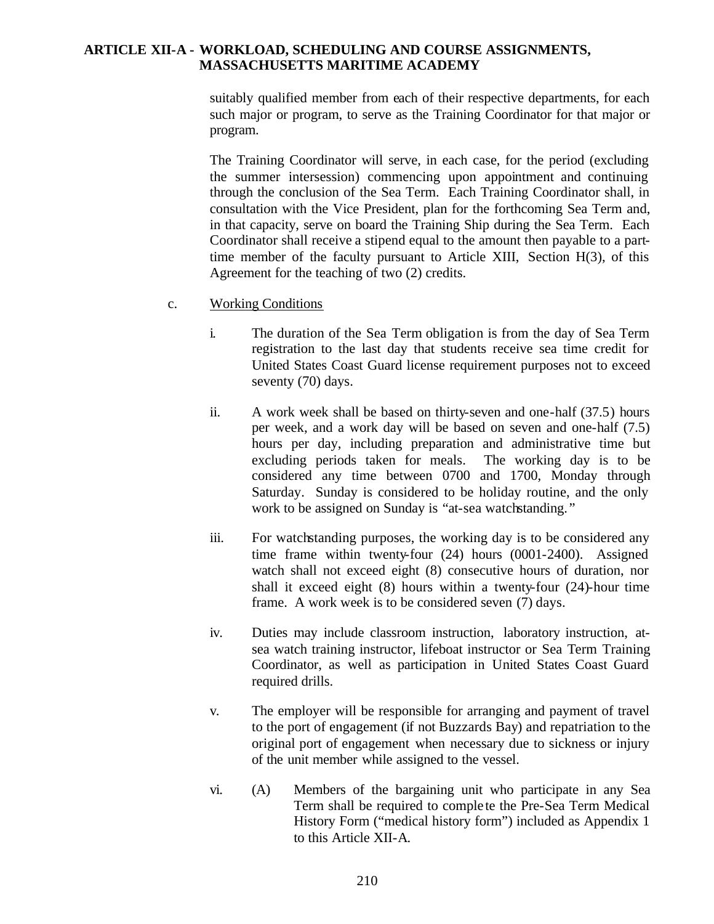suitably qualified member from each of their respective departments, for each such major or program, to serve as the Training Coordinator for that major or program.

The Training Coordinator will serve, in each case, for the period (excluding the summer intersession) commencing upon appointment and continuing through the conclusion of the Sea Term. Each Training Coordinator shall, in consultation with the Vice President, plan for the forthcoming Sea Term and, in that capacity, serve on board the Training Ship during the Sea Term. Each Coordinator shall receive a stipend equal to the amount then payable to a parttime member of the faculty pursuant to Article XIII, Section H(3), of this Agreement for the teaching of two (2) credits.

- c. Working Conditions
	- i. The duration of the Sea Term obligation is from the day of Sea Term registration to the last day that students receive sea time credit for United States Coast Guard license requirement purposes not to exceed seventy (70) days.
	- ii. A work week shall be based on thirty-seven and one-half (37.5) hours per week, and a work day will be based on seven and one-half (7.5) hours per day, including preparation and administrative time but excluding periods taken for meals. The working day is to be considered any time between 0700 and 1700, Monday through Saturday. Sunday is considered to be holiday routine, and the only work to be assigned on Sunday is "at-sea watchstanding."
	- iii. For watchstanding purposes, the working day is to be considered any time frame within twenty-four (24) hours (0001-2400). Assigned watch shall not exceed eight (8) consecutive hours of duration, nor shall it exceed eight (8) hours within a twenty-four (24)-hour time frame. A work week is to be considered seven (7) days.
	- iv. Duties may include classroom instruction, laboratory instruction, atsea watch training instructor, lifeboat instructor or Sea Term Training Coordinator, as well as participation in United States Coast Guard required drills.
	- v. The employer will be responsible for arranging and payment of travel to the port of engagement (if not Buzzards Bay) and repatriation to the original port of engagement when necessary due to sickness or injury of the unit member while assigned to the vessel.
	- vi. (A) Members of the bargaining unit who participate in any Sea Term shall be required to comple te the Pre-Sea Term Medical History Form ("medical history form") included as Appendix 1 to this Article XII-A.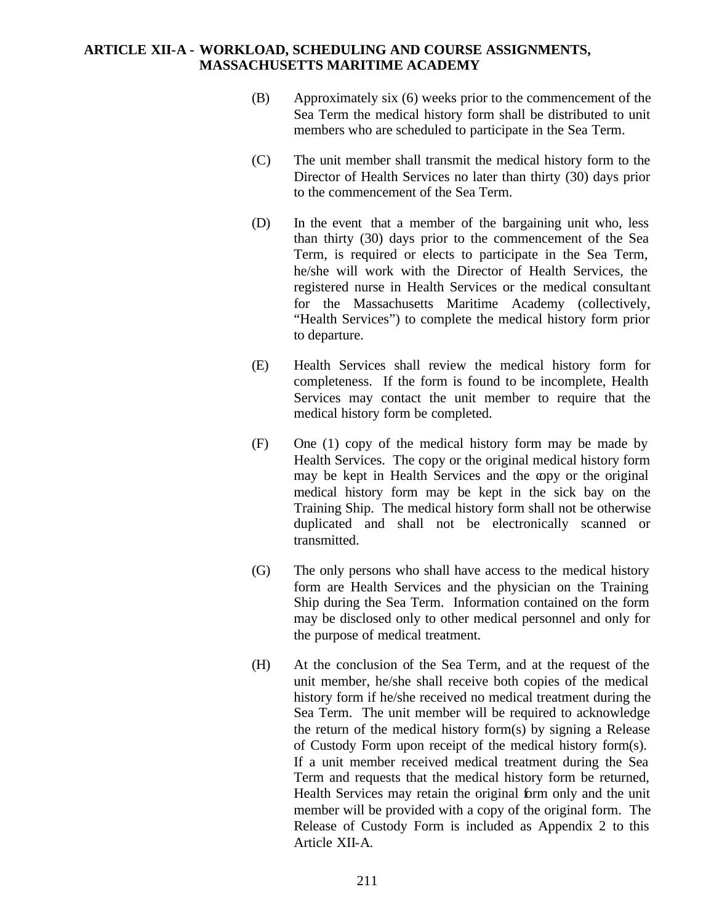- (B) Approximately six (6) weeks prior to the commencement of the Sea Term the medical history form shall be distributed to unit members who are scheduled to participate in the Sea Term.
- (C) The unit member shall transmit the medical history form to the Director of Health Services no later than thirty (30) days prior to the commencement of the Sea Term.
- (D) In the event that a member of the bargaining unit who, less than thirty (30) days prior to the commencement of the Sea Term, is required or elects to participate in the Sea Term, he/she will work with the Director of Health Services, the registered nurse in Health Services or the medical consultant for the Massachusetts Maritime Academy (collectively, "Health Services") to complete the medical history form prior to departure.
- (E) Health Services shall review the medical history form for completeness. If the form is found to be incomplete, Health Services may contact the unit member to require that the medical history form be completed.
- (F) One (1) copy of the medical history form may be made by Health Services. The copy or the original medical history form may be kept in Health Services and the copy or the original medical history form may be kept in the sick bay on the Training Ship. The medical history form shall not be otherwise duplicated and shall not be electronically scanned or transmitted.
- (G) The only persons who shall have access to the medical history form are Health Services and the physician on the Training Ship during the Sea Term. Information contained on the form may be disclosed only to other medical personnel and only for the purpose of medical treatment.
- (H) At the conclusion of the Sea Term, and at the request of the unit member, he/she shall receive both copies of the medical history form if he/she received no medical treatment during the Sea Term. The unit member will be required to acknowledge the return of the medical history form(s) by signing a Release of Custody Form upon receipt of the medical history form(s). If a unit member received medical treatment during the Sea Term and requests that the medical history form be returned, Health Services may retain the original form only and the unit member will be provided with a copy of the original form. The Release of Custody Form is included as Appendix 2 to this Article XII-A.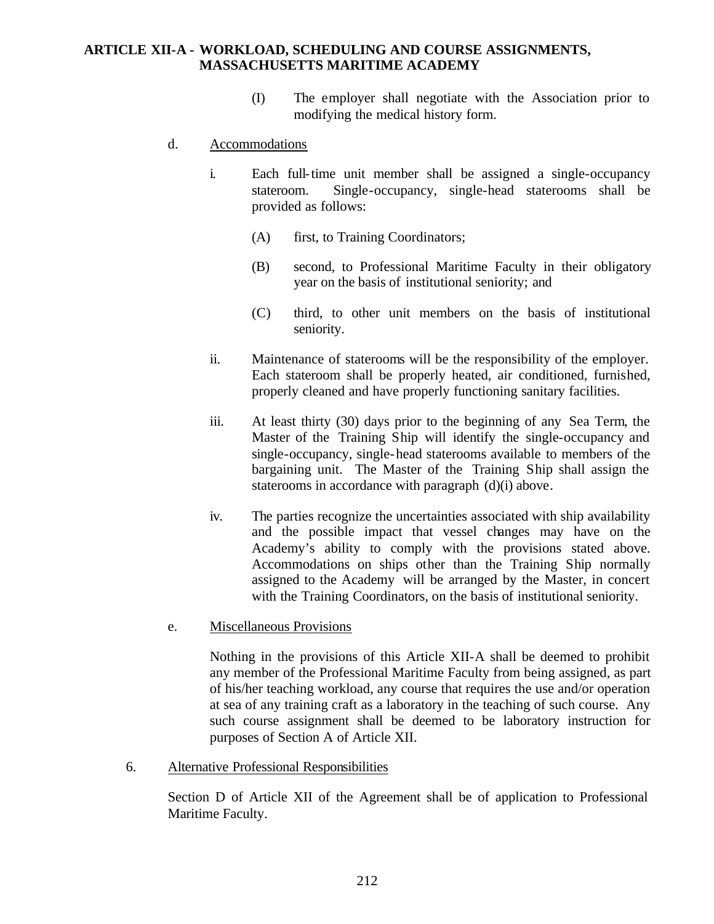- (I) The employer shall negotiate with the Association prior to modifying the medical history form.
- d. Accommodations
	- i. Each full-time unit member shall be assigned a single-occupancy stateroom. Single-occupancy, single-head staterooms shall be provided as follows:
		- (A) first, to Training Coordinators;
		- (B) second, to Professional Maritime Faculty in their obligatory year on the basis of institutional seniority; and
		- (C) third, to other unit members on the basis of institutional seniority.
	- ii. Maintenance of staterooms will be the responsibility of the employer. Each stateroom shall be properly heated, air conditioned, furnished, properly cleaned and have properly functioning sanitary facilities.
	- iii. At least thirty (30) days prior to the beginning of any Sea Term, the Master of the Training Ship will identify the single-occupancy and single-occupancy, single-head staterooms available to members of the bargaining unit. The Master of the Training Ship shall assign the staterooms in accordance with paragraph (d)(i) above.
	- iv. The parties recognize the uncertainties associated with ship availability and the possible impact that vessel changes may have on the Academy's ability to comply with the provisions stated above. Accommodations on ships other than the Training Ship normally assigned to the Academy will be arranged by the Master, in concert with the Training Coordinators, on the basis of institutional seniority.
- e. Miscellaneous Provisions

Nothing in the provisions of this Article XII-A shall be deemed to prohibit any member of the Professional Maritime Faculty from being assigned, as part of his/her teaching workload, any course that requires the use and/or operation at sea of any training craft as a laboratory in the teaching of such course. Any such course assignment shall be deemed to be laboratory instruction for purposes of Section A of Article XII.

6. Alternative Professional Responsibilities

Section D of Article XII of the Agreement shall be of application to Professional Maritime Faculty.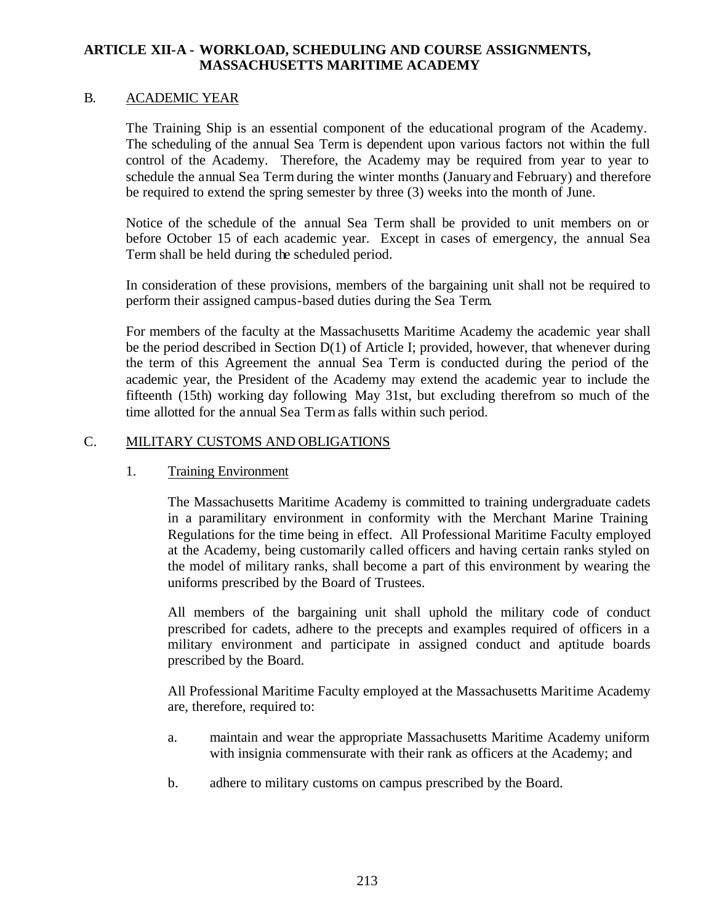### B. ACADEMIC YEAR

The Training Ship is an essential component of the educational program of the Academy. The scheduling of the annual Sea Term is dependent upon various factors not within the full control of the Academy. Therefore, the Academy may be required from year to year to schedule the annual Sea Term during the winter months (January and February) and therefore be required to extend the spring semester by three (3) weeks into the month of June.

Notice of the schedule of the annual Sea Term shall be provided to unit members on or before October 15 of each academic year. Except in cases of emergency, the annual Sea Term shall be held during the scheduled period.

In consideration of these provisions, members of the bargaining unit shall not be required to perform their assigned campus-based duties during the Sea Term.

For members of the faculty at the Massachusetts Maritime Academy the academic year shall be the period described in Section D(1) of Article I; provided, however, that whenever during the term of this Agreement the annual Sea Term is conducted during the period of the academic year, the President of the Academy may extend the academic year to include the fifteenth (15th) working day following May 31st, but excluding therefrom so much of the time allotted for the annual Sea Term as falls within such period.

### C. MILITARY CUSTOMS AND OBLIGATIONS

### 1. Training Environment

The Massachusetts Maritime Academy is committed to training undergraduate cadets in a paramilitary environment in conformity with the Merchant Marine Training Regulations for the time being in effect. All Professional Maritime Faculty employed at the Academy, being customarily called officers and having certain ranks styled on the model of military ranks, shall become a part of this environment by wearing the uniforms prescribed by the Board of Trustees.

All members of the bargaining unit shall uphold the military code of conduct prescribed for cadets, adhere to the precepts and examples required of officers in a military environment and participate in assigned conduct and aptitude boards prescribed by the Board.

All Professional Maritime Faculty employed at the Massachusetts Maritime Academy are, therefore, required to:

- a. maintain and wear the appropriate Massachusetts Maritime Academy uniform with insignia commensurate with their rank as officers at the Academy; and
- b. adhere to military customs on campus prescribed by the Board.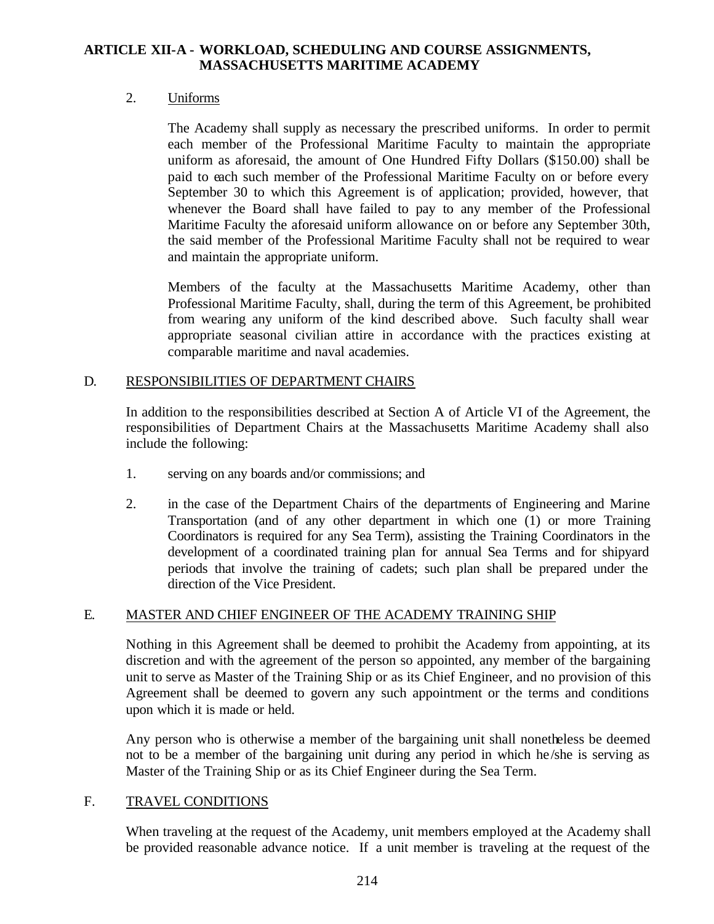## 2. Uniforms

The Academy shall supply as necessary the prescribed uniforms. In order to permit each member of the Professional Maritime Faculty to maintain the appropriate uniform as aforesaid, the amount of One Hundred Fifty Dollars (\$150.00) shall be paid to each such member of the Professional Maritime Faculty on or before every September 30 to which this Agreement is of application; provided, however, that whenever the Board shall have failed to pay to any member of the Professional Maritime Faculty the aforesaid uniform allowance on or before any September 30th, the said member of the Professional Maritime Faculty shall not be required to wear and maintain the appropriate uniform.

Members of the faculty at the Massachusetts Maritime Academy, other than Professional Maritime Faculty, shall, during the term of this Agreement, be prohibited from wearing any uniform of the kind described above. Such faculty shall wear appropriate seasonal civilian attire in accordance with the practices existing at comparable maritime and naval academies.

### D. RESPONSIBILITIES OF DEPARTMENT CHAIRS

In addition to the responsibilities described at Section A of Article VI of the Agreement, the responsibilities of Department Chairs at the Massachusetts Maritime Academy shall also include the following:

- 1. serving on any boards and/or commissions; and
- 2. in the case of the Department Chairs of the departments of Engineering and Marine Transportation (and of any other department in which one (1) or more Training Coordinators is required for any Sea Term), assisting the Training Coordinators in the development of a coordinated training plan for annual Sea Terms and for shipyard periods that involve the training of cadets; such plan shall be prepared under the direction of the Vice President.

### E. MASTER AND CHIEF ENGINEER OF THE ACADEMY TRAINING SHIP

Nothing in this Agreement shall be deemed to prohibit the Academy from appointing, at its discretion and with the agreement of the person so appointed, any member of the bargaining unit to serve as Master of the Training Ship or as its Chief Engineer, and no provision of this Agreement shall be deemed to govern any such appointment or the terms and conditions upon which it is made or held.

Any person who is otherwise a member of the bargaining unit shall nonetheless be deemed not to be a member of the bargaining unit during any period in which he /she is serving as Master of the Training Ship or as its Chief Engineer during the Sea Term.

### F. TRAVEL CONDITIONS

When traveling at the request of the Academy, unit members employed at the Academy shall be provided reasonable advance notice. If a unit member is traveling at the request of the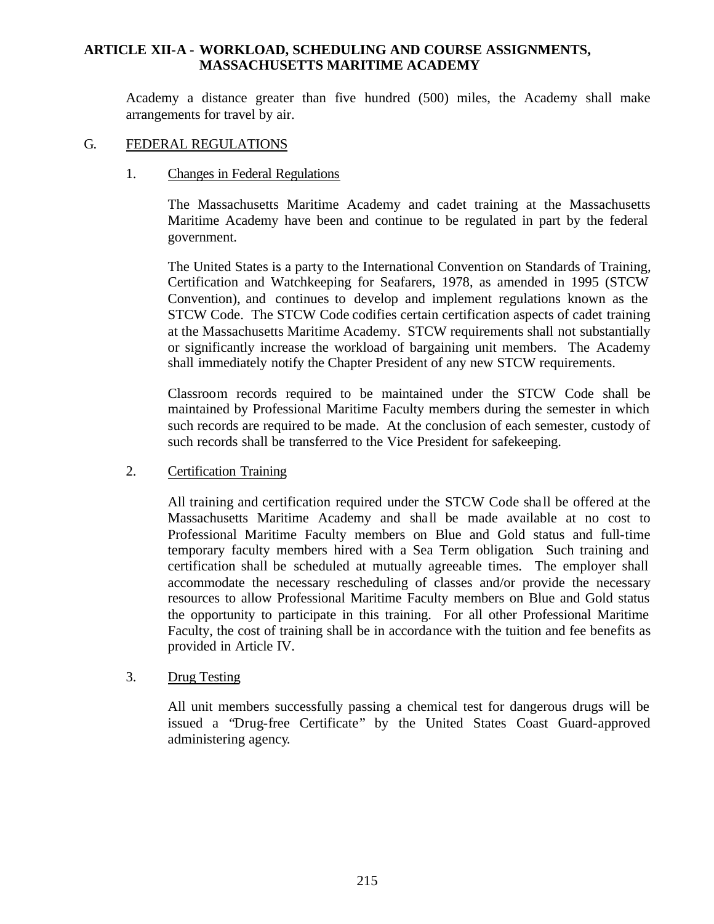Academy a distance greater than five hundred (500) miles, the Academy shall make arrangements for travel by air.

#### G. FEDERAL REGULATIONS

#### 1. Changes in Federal Regulations

The Massachusetts Maritime Academy and cadet training at the Massachusetts Maritime Academy have been and continue to be regulated in part by the federal government.

The United States is a party to the International Convention on Standards of Training, Certification and Watchkeeping for Seafarers, 1978, as amended in 1995 (STCW Convention), and continues to develop and implement regulations known as the STCW Code. The STCW Code codifies certain certification aspects of cadet training at the Massachusetts Maritime Academy. STCW requirements shall not substantially or significantly increase the workload of bargaining unit members. The Academy shall immediately notify the Chapter President of any new STCW requirements.

Classroom records required to be maintained under the STCW Code shall be maintained by Professional Maritime Faculty members during the semester in which such records are required to be made. At the conclusion of each semester, custody of such records shall be transferred to the Vice President for safekeeping.

### 2. Certification Training

All training and certification required under the STCW Code shall be offered at the Massachusetts Maritime Academy and shall be made available at no cost to Professional Maritime Faculty members on Blue and Gold status and full-time temporary faculty members hired with a Sea Term obligation. Such training and certification shall be scheduled at mutually agreeable times. The employer shall accommodate the necessary rescheduling of classes and/or provide the necessary resources to allow Professional Maritime Faculty members on Blue and Gold status the opportunity to participate in this training. For all other Professional Maritime Faculty, the cost of training shall be in accordance with the tuition and fee benefits as provided in Article IV.

### 3. Drug Testing

All unit members successfully passing a chemical test for dangerous drugs will be issued a "Drug-free Certificate" by the United States Coast Guard-approved administering agency.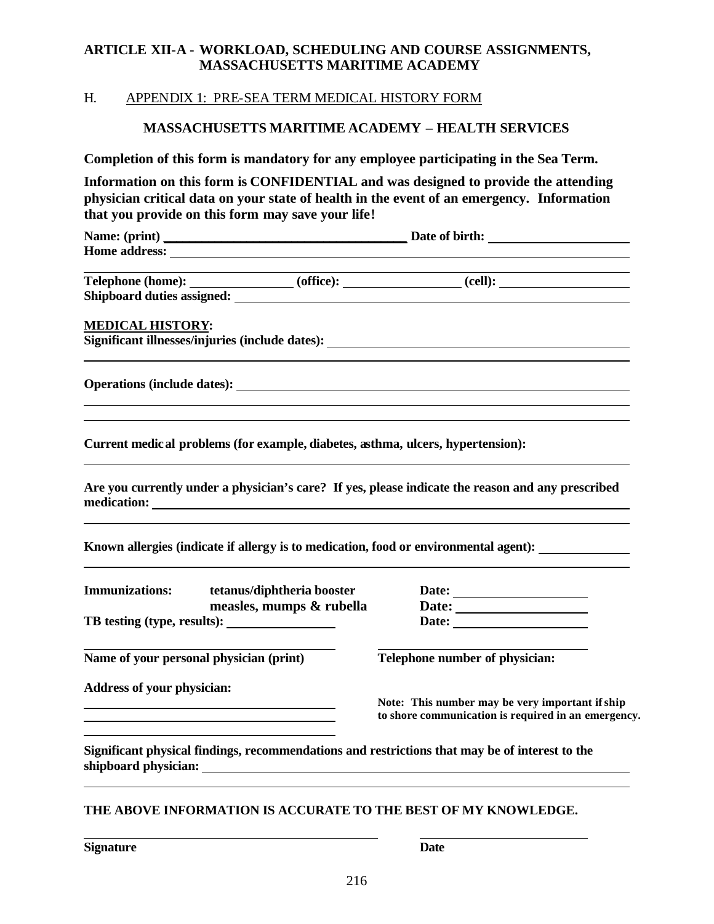## H. APPENDIX 1: PRE-SEA TERM MEDICAL HISTORY FORM

## **MASSACHUSETTS MARITIME ACADEMY – HEALTH SERVICES**

**Completion of this form is mandatory for any employee participating in the Sea Term.**

**Information on this form is CONFIDENTIAL and was designed to provide the attending physician critical data on your state of health in the event of an emergency. Information that you provide on this form may save your life!**

**Name: (print) \_\_\_\_\_\_\_\_\_\_\_\_\_\_\_\_\_\_\_\_\_\_\_\_\_\_\_\_\_\_\_\_\_\_\_\_\_\_ Date of birth: Home address:** 

| <b>Telephone (home):</b>          | (office): | cell): |  |
|-----------------------------------|-----------|--------|--|
| <b>Shipboard duties assigned:</b> |           |        |  |

#### **MEDICAL HISTORY:**

**Significant illnesses/injuries (include dates):** 

**Operations (include dates):** 

**Current medical problems (for example, diabetes, asthma, ulcers, hypertension):**

**Are you currently under a physician's care? If yes, please indicate the reason and any prescribed medication:** 

**Known allergies (indicate if allergy is to medication, food or environmental agent):** 

the control of the control of the control of the control of the control of the control of the control of the control of the control of the control of the control of the control of the control of the control of the control

**Immunizations: tetanus/diphtheria booster Date: Date:** TB testing (type, results): Date: Date:

**measles, mumps & rubella Date:** *Date:* 

**Name of your personal physician (print) Telephone number of physician:** 

**Address of your physician:**

**Note: This number may be very important if ship to shore communication is required in an emergency.**

**Significant physical findings, recommendations and restrictions that may be of interest to the shipboard physician:** 

#### **THE ABOVE INFORMATION IS ACCURATE TO THE BEST OF MY KNOWLEDGE.**

**Signature Date**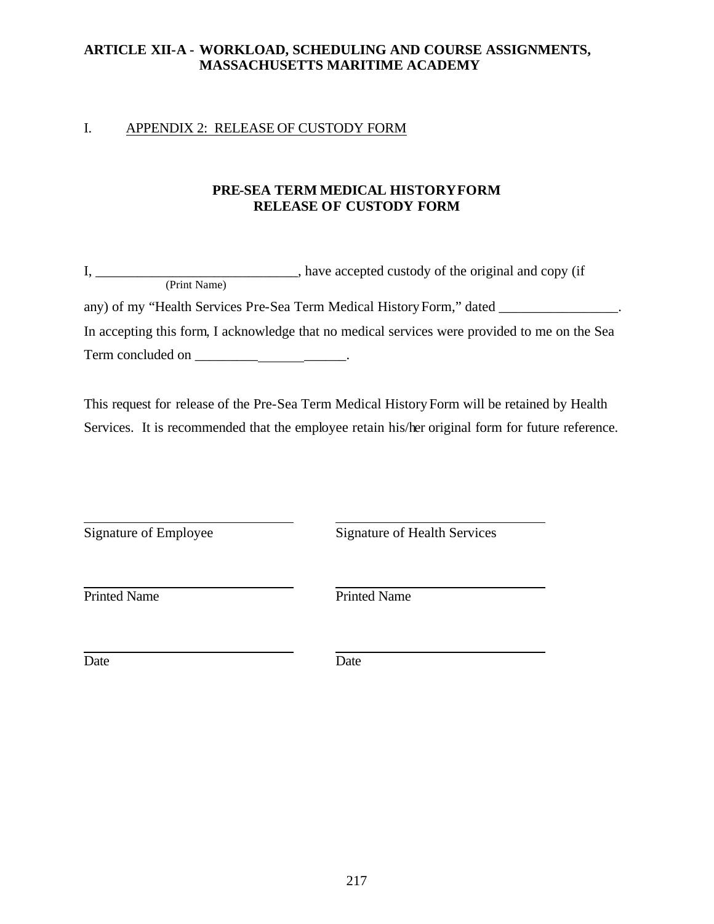## I. APPENDIX 2: RELEASE OF CUSTODY FORM

## **PRE-SEA TERM MEDICAL HISTORYFORM RELEASE OF CUSTODY FORM**

|                   | have accepted custody of the original and copy (if                                            |
|-------------------|-----------------------------------------------------------------------------------------------|
| (Print Name)      |                                                                                               |
|                   | any) of my "Health Services Pre-Sea Term Medical History Form," dated _                       |
|                   | In accepting this form, I acknowledge that no medical services were provided to me on the Sea |
| Term concluded on |                                                                                               |

This request for release of the Pre-Sea Term Medical History Form will be retained by Health Services. It is recommended that the employee retain his/her original form for future reference.

Signature of Employee Signature of Health Services

Printed Name Printed Name

Date Date Date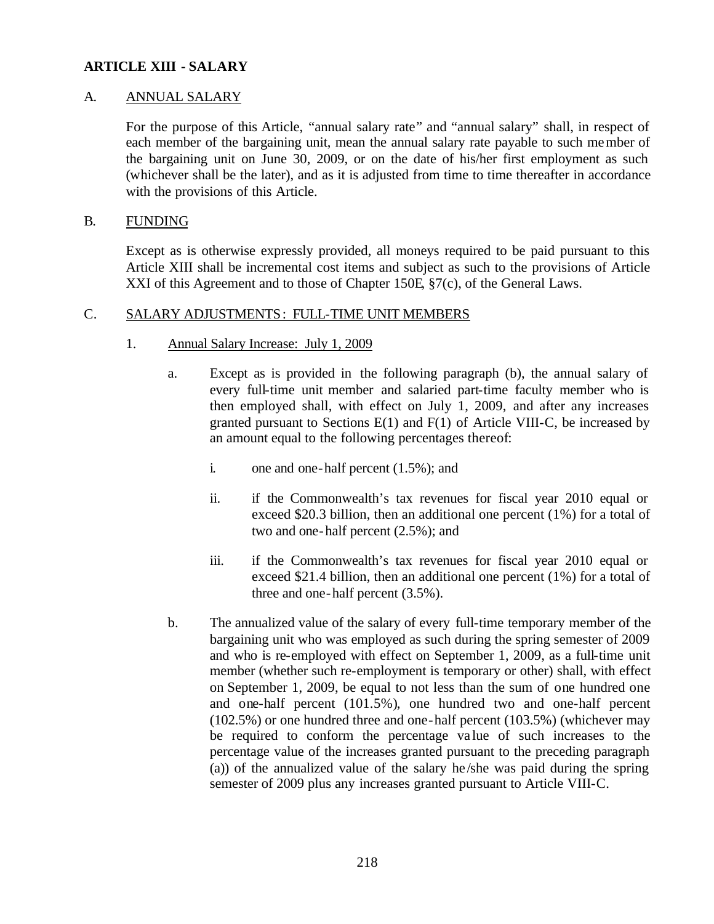### A. ANNUAL SALARY

For the purpose of this Article, "annual salary rate" and "annual salary" shall, in respect of each member of the bargaining unit, mean the annual salary rate payable to such member of the bargaining unit on June 30, 2009, or on the date of his/her first employment as such (whichever shall be the later), and as it is adjusted from time to time thereafter in accordance with the provisions of this Article.

## B. FUNDING

Except as is otherwise expressly provided, all moneys required to be paid pursuant to this Article XIII shall be incremental cost items and subject as such to the provisions of Article XXI of this Agreement and to those of Chapter 150E, §7(c), of the General Laws.

### C. SALARY ADJUSTMENTS: FULL-TIME UNIT MEMBERS

- 1. Annual Salary Increase: July 1, 2009
	- a. Except as is provided in the following paragraph (b), the annual salary of every full-time unit member and salaried part-time faculty member who is then employed shall, with effect on July 1, 2009, and after any increases granted pursuant to Sections  $E(1)$  and  $F(1)$  of Article VIII-C, be increased by an amount equal to the following percentages thereof:
		- i. one and one-half percent (1.5%); and
		- ii. if the Commonwealth's tax revenues for fiscal year 2010 equal or exceed \$20.3 billion, then an additional one percent (1%) for a total of two and one-half percent (2.5%); and
		- iii. if the Commonwealth's tax revenues for fiscal year 2010 equal or exceed \$21.4 billion, then an additional one percent (1%) for a total of three and one-half percent (3.5%).
	- b. The annualized value of the salary of every full-time temporary member of the bargaining unit who was employed as such during the spring semester of 2009 and who is re-employed with effect on September 1, 2009, as a full-time unit member (whether such re-employment is temporary or other) shall, with effect on September 1, 2009, be equal to not less than the sum of one hundred one and one-half percent (101.5%), one hundred two and one-half percent (102.5%) or one hundred three and one-half percent (103.5%) (whichever may be required to conform the percentage va lue of such increases to the percentage value of the increases granted pursuant to the preceding paragraph (a)) of the annualized value of the salary he /she was paid during the spring semester of 2009 plus any increases granted pursuant to Article VIII-C.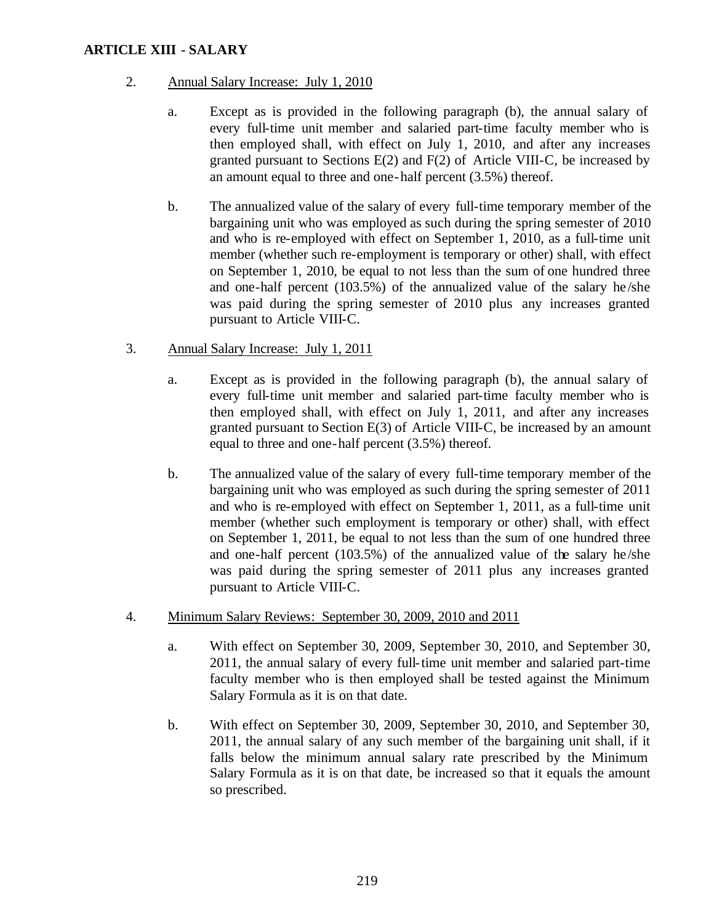## 2. Annual Salary Increase: July 1, 2010

- a. Except as is provided in the following paragraph (b), the annual salary of every full-time unit member and salaried part-time faculty member who is then employed shall, with effect on July 1, 2010, and after any increases granted pursuant to Sections E(2) and F(2) of Article VIII-C, be increased by an amount equal to three and one-half percent (3.5%) thereof.
- b. The annualized value of the salary of every full-time temporary member of the bargaining unit who was employed as such during the spring semester of 2010 and who is re-employed with effect on September 1, 2010, as a full-time unit member (whether such re-employment is temporary or other) shall, with effect on September 1, 2010, be equal to not less than the sum of one hundred three and one-half percent  $(103.5%)$  of the annualized value of the salary he/she was paid during the spring semester of 2010 plus any increases granted pursuant to Article VIII-C.
- 3. Annual Salary Increase: July 1, 2011
	- a. Except as is provided in the following paragraph (b), the annual salary of every full-time unit member and salaried part-time faculty member who is then employed shall, with effect on July 1, 2011, and after any increases granted pursuant to Section E(3) of Article VIII-C, be increased by an amount equal to three and one-half percent (3.5%) thereof.
	- b. The annualized value of the salary of every full-time temporary member of the bargaining unit who was employed as such during the spring semester of 2011 and who is re-employed with effect on September 1, 2011, as a full-time unit member (whether such employment is temporary or other) shall, with effect on September 1, 2011, be equal to not less than the sum of one hundred three and one-half percent (103.5%) of the annualized value of the salary he/she was paid during the spring semester of 2011 plus any increases granted pursuant to Article VIII-C.
- 4. Minimum Salary Reviews: September 30, 2009, 2010 and 2011
	- a. With effect on September 30, 2009, September 30, 2010, and September 30, 2011, the annual salary of every full-time unit member and salaried part-time faculty member who is then employed shall be tested against the Minimum Salary Formula as it is on that date.
	- b. With effect on September 30, 2009, September 30, 2010, and September 30, 2011, the annual salary of any such member of the bargaining unit shall, if it falls below the minimum annual salary rate prescribed by the Minimum Salary Formula as it is on that date, be increased so that it equals the amount so prescribed.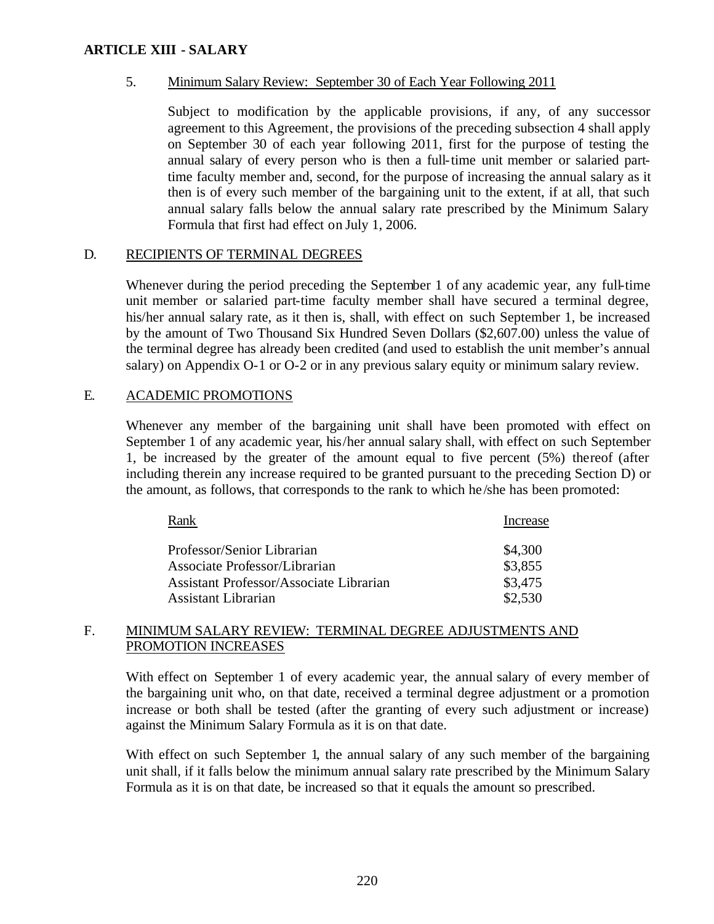### 5. Minimum Salary Review: September 30 of Each Year Following 2011

Subject to modification by the applicable provisions, if any, of any successor agreement to this Agreement, the provisions of the preceding subsection 4 shall apply on September 30 of each year following 2011, first for the purpose of testing the annual salary of every person who is then a full-time unit member or salaried parttime faculty member and, second, for the purpose of increasing the annual salary as it then is of every such member of the bargaining unit to the extent, if at all, that such annual salary falls below the annual salary rate prescribed by the Minimum Salary Formula that first had effect on July 1, 2006.

### D. RECIPIENTS OF TERMINAL DEGREES

Whenever during the period preceding the September 1 of any academic year, any full-time unit member or salaried part-time faculty member shall have secured a terminal degree, his/her annual salary rate, as it then is, shall, with effect on such September 1, be increased by the amount of Two Thousand Six Hundred Seven Dollars (\$2,607.00) unless the value of the terminal degree has already been credited (and used to establish the unit member's annual salary) on Appendix O-1 or O-2 or in any previous salary equity or minimum salary review.

### E. ACADEMIC PROMOTIONS

Whenever any member of the bargaining unit shall have been promoted with effect on September 1 of any academic year, his/her annual salary shall, with effect on such September 1, be increased by the greater of the amount equal to five percent (5%) thereof (after including therein any increase required to be granted pursuant to the preceding Section D) or the amount, as follows, that corresponds to the rank to which he /she has been promoted:

| Rank                                           | Increase |
|------------------------------------------------|----------|
| Professor/Senior Librarian                     | \$4,300  |
| Associate Professor/Librarian                  | \$3,855  |
| <b>Assistant Professor/Associate Librarian</b> | \$3,475  |
| <b>Assistant Librarian</b>                     | \$2,530  |

#### F. MINIMUM SALARY REVIEW: TERMINAL DEGREE ADJUSTMENTS AND PROMOTION INCREASES

With effect on September 1 of every academic year, the annual salary of every member of the bargaining unit who, on that date, received a terminal degree adjustment or a promotion increase or both shall be tested (after the granting of every such adjustment or increase) against the Minimum Salary Formula as it is on that date.

With effect on such September 1, the annual salary of any such member of the bargaining unit shall, if it falls below the minimum annual salary rate prescribed by the Minimum Salary Formula as it is on that date, be increased so that it equals the amount so prescribed.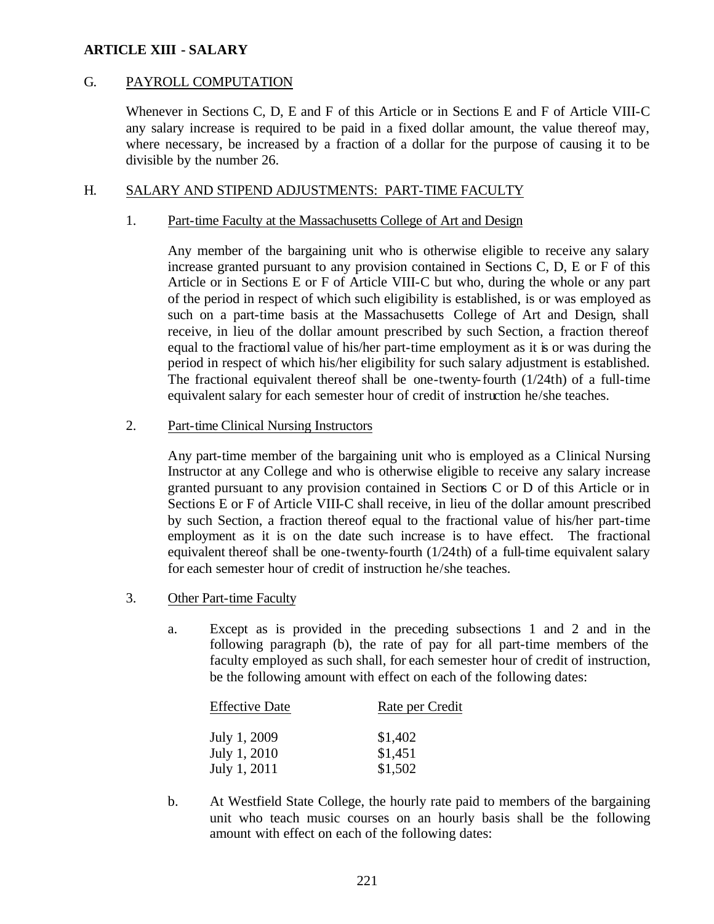## G. PAYROLL COMPUTATION

Whenever in Sections C, D, E and F of this Article or in Sections E and F of Article VIII-C any salary increase is required to be paid in a fixed dollar amount, the value thereof may, where necessary, be increased by a fraction of a dollar for the purpose of causing it to be divisible by the number 26.

## H. SALARY AND STIPEND ADJUSTMENTS: PART-TIME FACULTY

### 1. Part-time Faculty at the Massachusetts College of Art and Design

Any member of the bargaining unit who is otherwise eligible to receive any salary increase granted pursuant to any provision contained in Sections C, D, E or F of this Article or in Sections E or F of Article VIII-C but who, during the whole or any part of the period in respect of which such eligibility is established, is or was employed as such on a part-time basis at the Massachusetts College of Art and Design, shall receive, in lieu of the dollar amount prescribed by such Section, a fraction thereof equal to the fractional value of his/her part-time employment as it is or was during the period in respect of which his/her eligibility for such salary adjustment is established. The fractional equivalent thereof shall be one-twenty-fourth (1/24th) of a full-time equivalent salary for each semester hour of credit of instruction he/she teaches.

#### 2. Part-time Clinical Nursing Instructors

Any part-time member of the bargaining unit who is employed as a Clinical Nursing Instructor at any College and who is otherwise eligible to receive any salary increase granted pursuant to any provision contained in Sections C or D of this Article or in Sections E or F of Article VIII-C shall receive, in lieu of the dollar amount prescribed by such Section, a fraction thereof equal to the fractional value of his/her part-time employment as it is on the date such increase is to have effect. The fractional equivalent thereof shall be one-twenty-fourth (1/24th) of a full-time equivalent salary for each semester hour of credit of instruction he/she teaches.

- 3. Other Part-time Faculty
	- a. Except as is provided in the preceding subsections 1 and 2 and in the following paragraph (b), the rate of pay for all part-time members of the faculty employed as such shall, for each semester hour of credit of instruction, be the following amount with effect on each of the following dates:

| <b>Effective Date</b> | Rate per Credit |  |
|-----------------------|-----------------|--|
| July 1, 2009          | \$1,402         |  |
| July 1, 2010          | \$1,451         |  |
| July 1, 2011          | \$1,502         |  |

b. At Westfield State College, the hourly rate paid to members of the bargaining unit who teach music courses on an hourly basis shall be the following amount with effect on each of the following dates: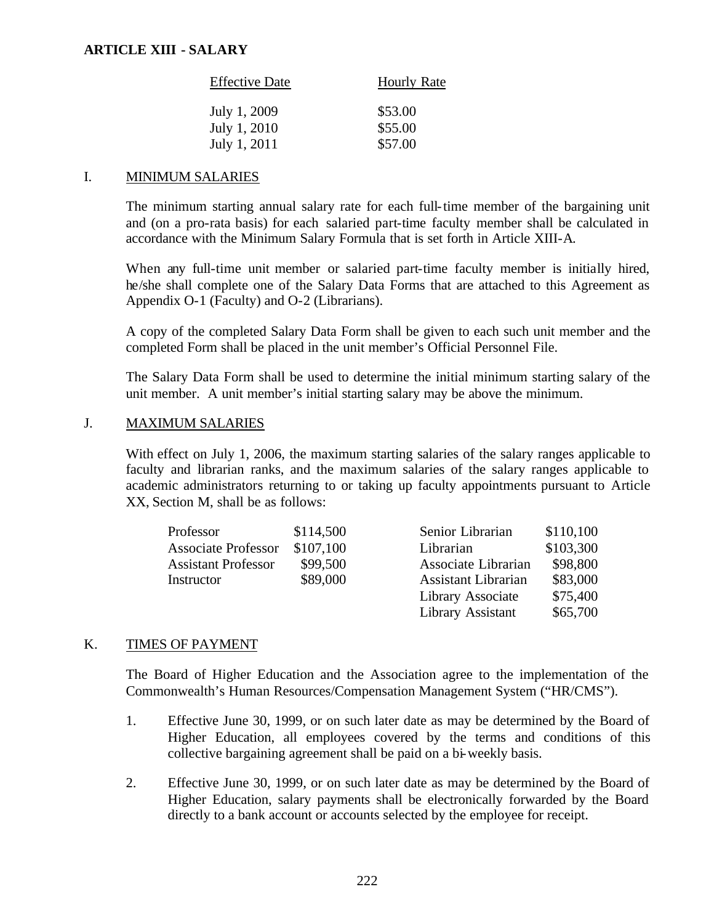| <b>Effective Date</b> | <b>Hourly Rate</b> |
|-----------------------|--------------------|
| July 1, 2009          | \$53.00            |
| July 1, 2010          | \$55.00            |
| July 1, 2011          | \$57.00            |

### I. MINIMUM SALARIES

The minimum starting annual salary rate for each full-time member of the bargaining unit and (on a pro-rata basis) for each salaried part-time faculty member shall be calculated in accordance with the Minimum Salary Formula that is set forth in Article XIII-A.

When any full-time unit member or salaried part-time faculty member is initially hired, he/she shall complete one of the Salary Data Forms that are attached to this Agreement as Appendix O-1 (Faculty) and O-2 (Librarians).

A copy of the completed Salary Data Form shall be given to each such unit member and the completed Form shall be placed in the unit member's Official Personnel File.

The Salary Data Form shall be used to determine the initial minimum starting salary of the unit member. A unit member's initial starting salary may be above the minimum.

### J. MAXIMUM SALARIES

With effect on July 1, 2006, the maximum starting salaries of the salary ranges applicable to faculty and librarian ranks, and the maximum salaries of the salary ranges applicable to academic administrators returning to or taking up faculty appointments pursuant to Article XX, Section M, shall be as follows:

| Professor                  | \$114,500 | Senior Librarian           | \$110,100 |
|----------------------------|-----------|----------------------------|-----------|
| <b>Associate Professor</b> | \$107,100 | Librarian                  | \$103,300 |
| <b>Assistant Professor</b> | \$99,500  | Associate Librarian        | \$98,800  |
| Instructor                 | \$89,000  | <b>Assistant Librarian</b> | \$83,000  |
|                            |           | Library Associate          | \$75,400  |
|                            |           | Library Assistant          | \$65,700  |

### K. TIMES OF PAYMENT

The Board of Higher Education and the Association agree to the implementation of the Commonwealth's Human Resources/Compensation Management System ("HR/CMS").

- 1. Effective June 30, 1999, or on such later date as may be determined by the Board of Higher Education, all employees covered by the terms and conditions of this collective bargaining agreement shall be paid on a bi-weekly basis.
- 2. Effective June 30, 1999, or on such later date as may be determined by the Board of Higher Education, salary payments shall be electronically forwarded by the Board directly to a bank account or accounts selected by the employee for receipt.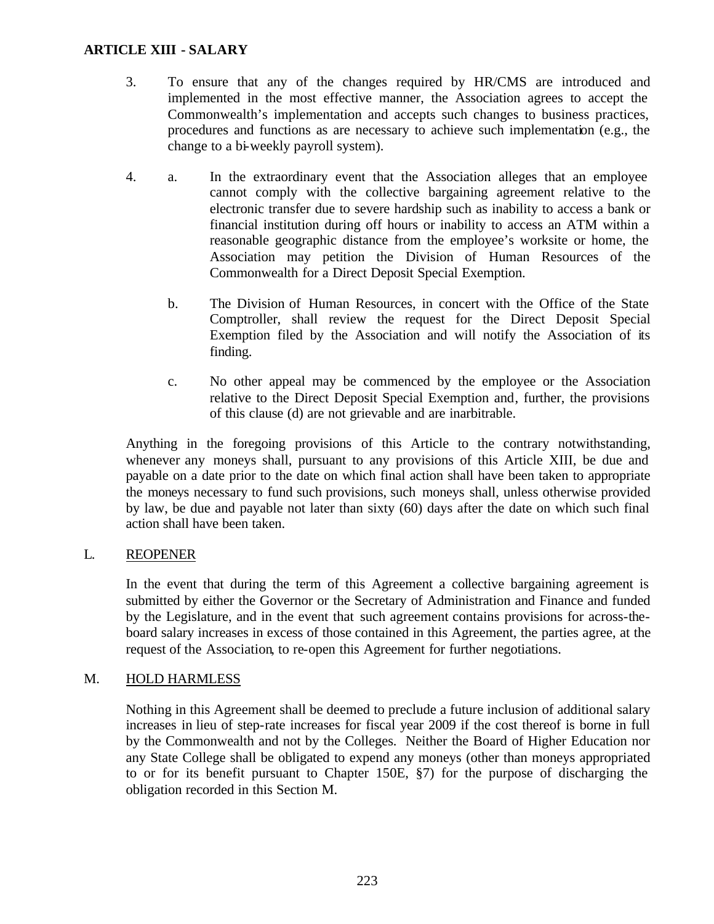- 3. To ensure that any of the changes required by HR/CMS are introduced and implemented in the most effective manner, the Association agrees to accept the Commonwealth's implementation and accepts such changes to business practices, procedures and functions as are necessary to achieve such implementation (e.g., the change to a bi-weekly payroll system).
- 4. a. In the extraordinary event that the Association alleges that an employee cannot comply with the collective bargaining agreement relative to the electronic transfer due to severe hardship such as inability to access a bank or financial institution during off hours or inability to access an ATM within a reasonable geographic distance from the employee's worksite or home, the Association may petition the Division of Human Resources of the Commonwealth for a Direct Deposit Special Exemption.
	- b. The Division of Human Resources, in concert with the Office of the State Comptroller, shall review the request for the Direct Deposit Special Exemption filed by the Association and will notify the Association of its finding.
	- c. No other appeal may be commenced by the employee or the Association relative to the Direct Deposit Special Exemption and, further, the provisions of this clause (d) are not grievable and are inarbitrable.

Anything in the foregoing provisions of this Article to the contrary notwithstanding, whenever any moneys shall, pursuant to any provisions of this Article XIII, be due and payable on a date prior to the date on which final action shall have been taken to appropriate the moneys necessary to fund such provisions, such moneys shall, unless otherwise provided by law, be due and payable not later than sixty (60) days after the date on which such final action shall have been taken.

### L. REOPENER

In the event that during the term of this Agreement a collective bargaining agreement is submitted by either the Governor or the Secretary of Administration and Finance and funded by the Legislature, and in the event that such agreement contains provisions for across-theboard salary increases in excess of those contained in this Agreement, the parties agree, at the request of the Association, to re-open this Agreement for further negotiations.

### M. HOLD HARMLESS

Nothing in this Agreement shall be deemed to preclude a future inclusion of additional salary increases in lieu of step-rate increases for fiscal year 2009 if the cost thereof is borne in full by the Commonwealth and not by the Colleges. Neither the Board of Higher Education nor any State College shall be obligated to expend any moneys (other than moneys appropriated to or for its benefit pursuant to Chapter 150E, §7) for the purpose of discharging the obligation recorded in this Section M.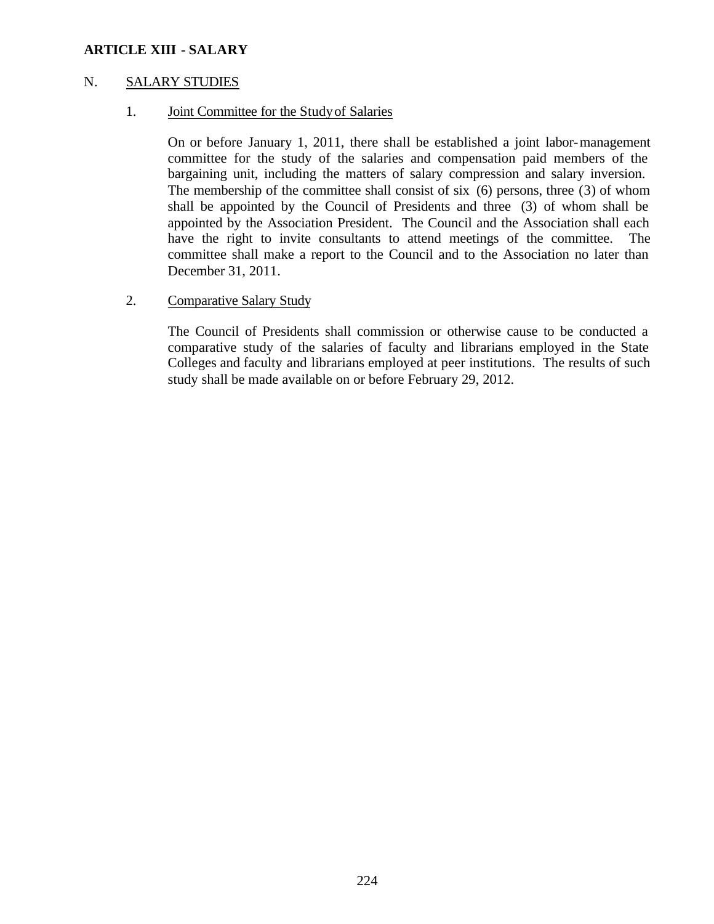### N. SALARY STUDIES

1. Joint Committee for the Study of Salaries

On or before January 1, 2011, there shall be established a joint labor-management committee for the study of the salaries and compensation paid members of the bargaining unit, including the matters of salary compression and salary inversion. The membership of the committee shall consist of six (6) persons, three (3) of whom shall be appointed by the Council of Presidents and three (3) of whom shall be appointed by the Association President. The Council and the Association shall each have the right to invite consultants to attend meetings of the committee. The committee shall make a report to the Council and to the Association no later than December 31, 2011.

### 2. Comparative Salary Study

The Council of Presidents shall commission or otherwise cause to be conducted a comparative study of the salaries of faculty and librarians employed in the State Colleges and faculty and librarians employed at peer institutions. The results of such study shall be made available on or before February 29, 2012.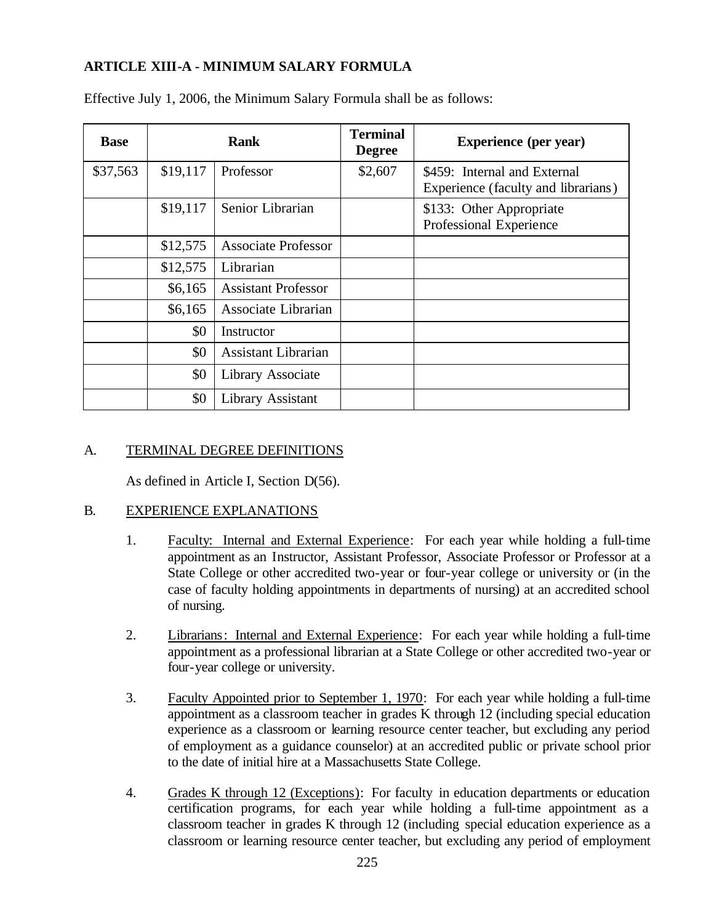# **ARTICLE XIII-A - MINIMUM SALARY FORMULA**

| <b>Base</b> |          | <b>Rank</b>                | <b>Terminal</b><br><b>Degree</b> | <b>Experience</b> (per year)                                        |
|-------------|----------|----------------------------|----------------------------------|---------------------------------------------------------------------|
| \$37,563    | \$19,117 | Professor                  | \$2,607                          | \$459: Internal and External<br>Experience (faculty and librarians) |
|             | \$19,117 | Senior Librarian           |                                  | \$133: Other Appropriate<br>Professional Experience                 |
|             | \$12,575 | <b>Associate Professor</b> |                                  |                                                                     |
|             | \$12,575 | Librarian                  |                                  |                                                                     |
|             | \$6,165  | <b>Assistant Professor</b> |                                  |                                                                     |
|             | \$6,165  | Associate Librarian        |                                  |                                                                     |
|             | \$0      | Instructor                 |                                  |                                                                     |
|             | \$0      | <b>Assistant Librarian</b> |                                  |                                                                     |
|             | \$0      | Library Associate          |                                  |                                                                     |
|             | \$0      | Library Assistant          |                                  |                                                                     |

Effective July 1, 2006, the Minimum Salary Formula shall be as follows:

## A. TERMINAL DEGREE DEFINITIONS

As defined in Article I, Section D(56).

### B. EXPERIENCE EXPLANATIONS

- 1. Faculty: Internal and External Experience: For each year while holding a full-time appointment as an Instructor, Assistant Professor, Associate Professor or Professor at a State College or other accredited two-year or four-year college or university or (in the case of faculty holding appointments in departments of nursing) at an accredited school of nursing.
- 2. Librarians: Internal and External Experience: For each year while holding a full-time appointment as a professional librarian at a State College or other accredited two-year or four-year college or university.
- 3. Faculty Appointed prior to September 1, 1970: For each year while holding a full-time appointment as a classroom teacher in grades K through 12 (including special education experience as a classroom or learning resource center teacher, but excluding any period of employment as a guidance counselor) at an accredited public or private school prior to the date of initial hire at a Massachusetts State College.
- 4. Grades K through 12 (Exceptions): For faculty in education departments or education certification programs, for each year while holding a full-time appointment as a classroom teacher in grades K through 12 (including special education experience as a classroom or learning resource center teacher, but excluding any period of employment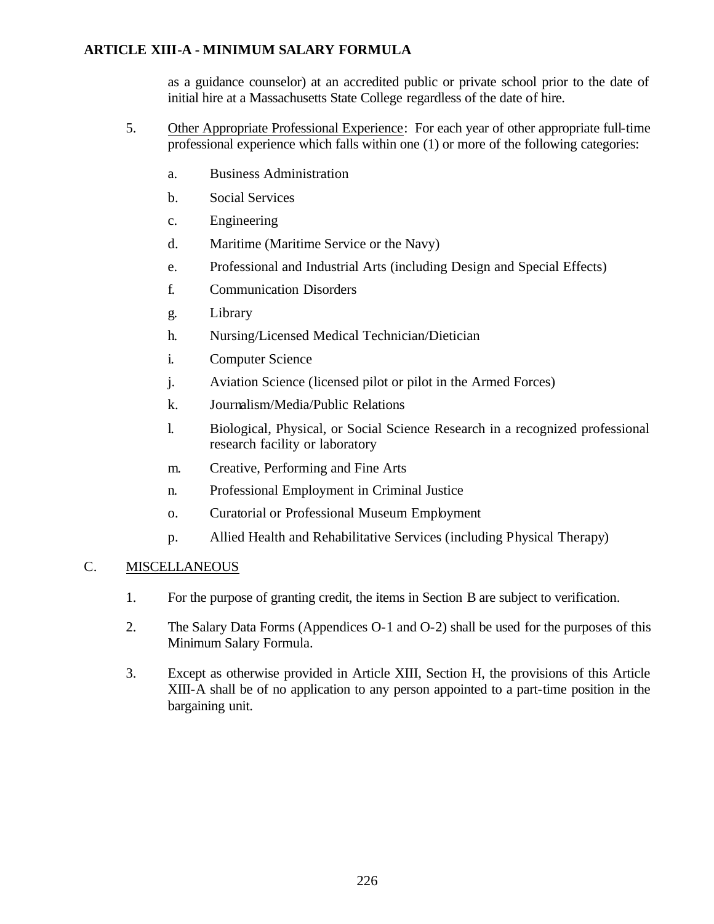# **ARTICLE XIII-A - MINIMUM SALARY FORMULA**

as a guidance counselor) at an accredited public or private school prior to the date of initial hire at a Massachusetts State College regardless of the date of hire.

- 5. Other Appropriate Professional Experience: For each year of other appropriate full-time professional experience which falls within one (1) or more of the following categories:
	- a. Business Administration
	- b. Social Services
	- c. Engineering
	- d. Maritime (Maritime Service or the Navy)
	- e. Professional and Industrial Arts (including Design and Special Effects)
	- f. Communication Disorders
	- g. Library
	- h. Nursing/Licensed Medical Technician/Dietician
	- i. Computer Science
	- j. Aviation Science (licensed pilot or pilot in the Armed Forces)
	- k. Journalism/Media/Public Relations
	- l. Biological, Physical, or Social Science Research in a recognized professional research facility or laboratory
	- m. Creative, Performing and Fine Arts
	- n. Professional Employment in Criminal Justice
	- o. Curatorial or Professional Museum Employment
	- p. Allied Health and Rehabilitative Services (including Physical Therapy)

# C. MISCELLANEOUS

- 1. For the purpose of granting credit, the items in Section B are subject to verification.
- 2. The Salary Data Forms (Appendices O-1 and O-2) shall be used for the purposes of this Minimum Salary Formula.
- 3. Except as otherwise provided in Article XIII, Section H, the provisions of this Article XIII-A shall be of no application to any person appointed to a part-time position in the bargaining unit.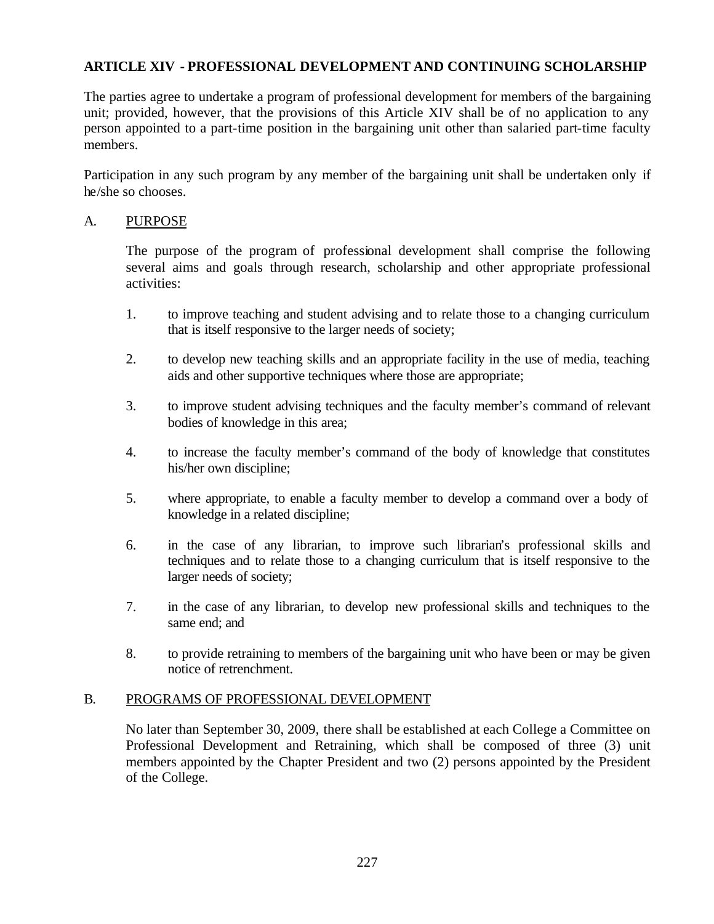# **ARTICLE XIV - PROFESSIONAL DEVELOPMENT AND CONTINUING SCHOLARSHIP**

The parties agree to undertake a program of professional development for members of the bargaining unit; provided, however, that the provisions of this Article XIV shall be of no application to any person appointed to a part-time position in the bargaining unit other than salaried part-time faculty members.

Participation in any such program by any member of the bargaining unit shall be undertaken only if he/she so chooses.

### A. PURPOSE

The purpose of the program of professional development shall comprise the following several aims and goals through research, scholarship and other appropriate professional activities:

- 1. to improve teaching and student advising and to relate those to a changing curriculum that is itself responsive to the larger needs of society;
- 2. to develop new teaching skills and an appropriate facility in the use of media, teaching aids and other supportive techniques where those are appropriate;
- 3. to improve student advising techniques and the faculty member's command of relevant bodies of knowledge in this area;
- 4. to increase the faculty member's command of the body of knowledge that constitutes his/her own discipline;
- 5. where appropriate, to enable a faculty member to develop a command over a body of knowledge in a related discipline;
- 6. in the case of any librarian, to improve such librarian's professional skills and techniques and to relate those to a changing curriculum that is itself responsive to the larger needs of society;
- 7. in the case of any librarian, to develop new professional skills and techniques to the same end; and
- 8. to provide retraining to members of the bargaining unit who have been or may be given notice of retrenchment.

### B. PROGRAMS OF PROFESSIONAL DEVELOPMENT

No later than September 30, 2009, there shall be established at each College a Committee on Professional Development and Retraining, which shall be composed of three (3) unit members appointed by the Chapter President and two (2) persons appointed by the President of the College.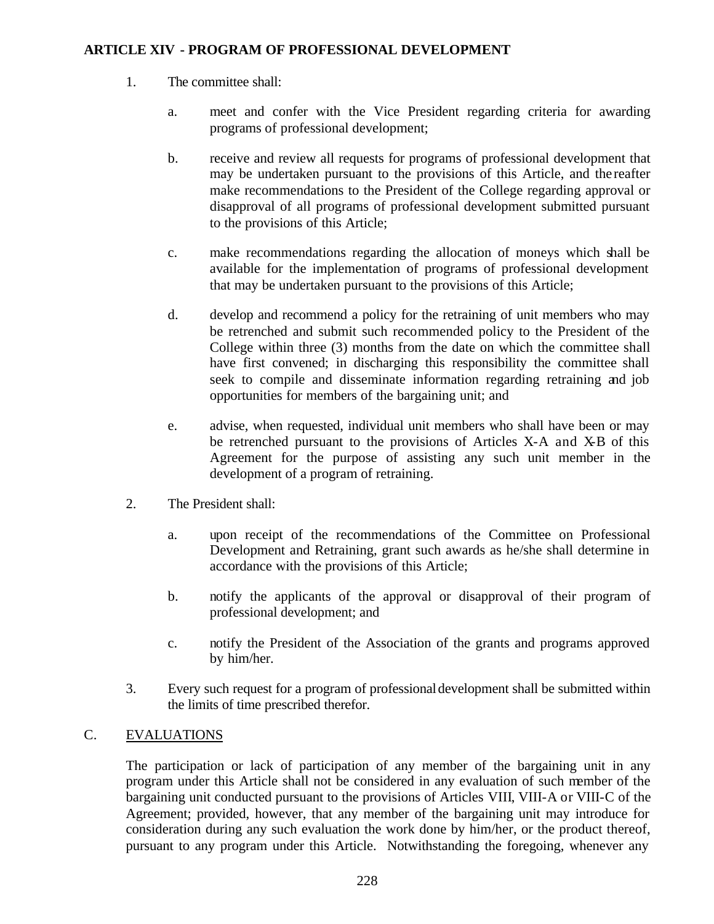- 1. The committee shall:
	- a. meet and confer with the Vice President regarding criteria for awarding programs of professional development;
	- b. receive and review all requests for programs of professional development that may be undertaken pursuant to the provisions of this Article, and the reafter make recommendations to the President of the College regarding approval or disapproval of all programs of professional development submitted pursuant to the provisions of this Article;
	- c. make recommendations regarding the allocation of moneys which shall be available for the implementation of programs of professional development that may be undertaken pursuant to the provisions of this Article;
	- d. develop and recommend a policy for the retraining of unit members who may be retrenched and submit such recommended policy to the President of the College within three (3) months from the date on which the committee shall have first convened; in discharging this responsibility the committee shall seek to compile and disseminate information regarding retraining and job opportunities for members of the bargaining unit; and
	- e. advise, when requested, individual unit members who shall have been or may be retrenched pursuant to the provisions of Articles X-A and X-B of this Agreement for the purpose of assisting any such unit member in the development of a program of retraining.
- 2. The President shall:
	- a. upon receipt of the recommendations of the Committee on Professional Development and Retraining, grant such awards as he/she shall determine in accordance with the provisions of this Article;
	- b. notify the applicants of the approval or disapproval of their program of professional development; and
	- c. notify the President of the Association of the grants and programs approved by him/her.
- 3. Every such request for a program of professional development shall be submitted within the limits of time prescribed therefor.

# C. EVALUATIONS

The participation or lack of participation of any member of the bargaining unit in any program under this Article shall not be considered in any evaluation of such member of the bargaining unit conducted pursuant to the provisions of Articles VIII, VIII-A or VIII-C of the Agreement; provided, however, that any member of the bargaining unit may introduce for consideration during any such evaluation the work done by him/her, or the product thereof, pursuant to any program under this Article. Notwithstanding the foregoing, whenever any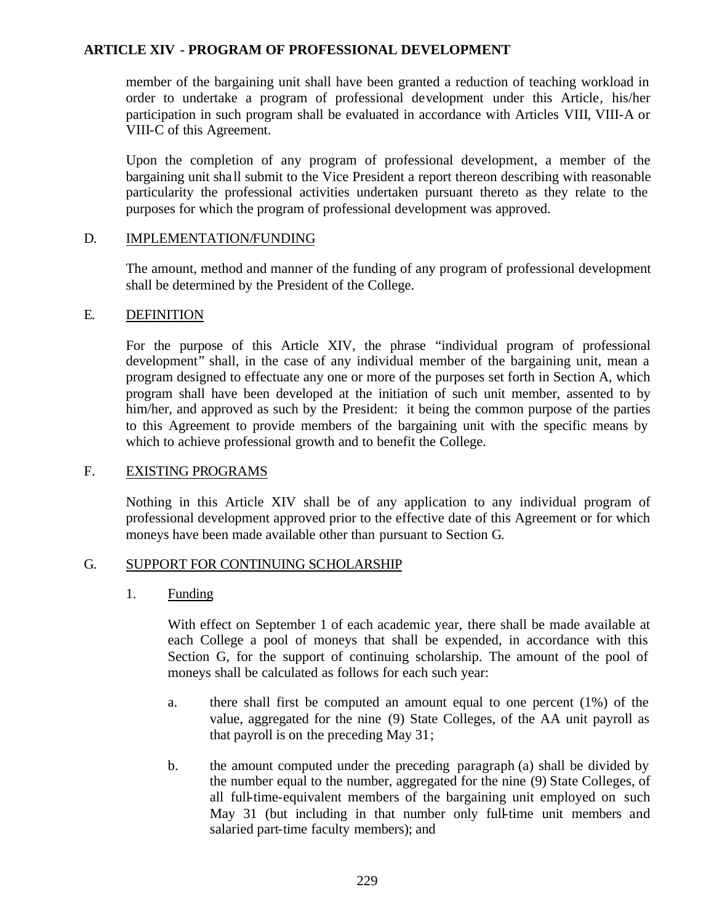member of the bargaining unit shall have been granted a reduction of teaching workload in order to undertake a program of professional development under this Article, his/her participation in such program shall be evaluated in accordance with Articles VIII, VIII-A or VIII-C of this Agreement.

Upon the completion of any program of professional development, a member of the bargaining unit sha ll submit to the Vice President a report thereon describing with reasonable particularity the professional activities undertaken pursuant thereto as they relate to the purposes for which the program of professional development was approved.

### D. IMPLEMENTATION/FUNDING

The amount, method and manner of the funding of any program of professional development shall be determined by the President of the College.

#### E. DEFINITION

For the purpose of this Article XIV, the phrase "individual program of professional development" shall, in the case of any individual member of the bargaining unit, mean a program designed to effectuate any one or more of the purposes set forth in Section A, which program shall have been developed at the initiation of such unit member, assented to by him/her, and approved as such by the President: it being the common purpose of the parties to this Agreement to provide members of the bargaining unit with the specific means by which to achieve professional growth and to benefit the College.

### F. EXISTING PROGRAMS

Nothing in this Article XIV shall be of any application to any individual program of professional development approved prior to the effective date of this Agreement or for which moneys have been made available other than pursuant to Section G.

### G. SUPPORT FOR CONTINUING SCHOLARSHIP

### 1. Funding

With effect on September 1 of each academic year, there shall be made available at each College a pool of moneys that shall be expended, in accordance with this Section G, for the support of continuing scholarship. The amount of the pool of moneys shall be calculated as follows for each such year:

- a. there shall first be computed an amount equal to one percent (1%) of the value, aggregated for the nine (9) State Colleges, of the AA unit payroll as that payroll is on the preceding May 31;
- b. the amount computed under the preceding paragraph (a) shall be divided by the number equal to the number, aggregated for the nine (9) State Colleges, of all full-time-equivalent members of the bargaining unit employed on such May 31 (but including in that number only full-time unit members and salaried part-time faculty members); and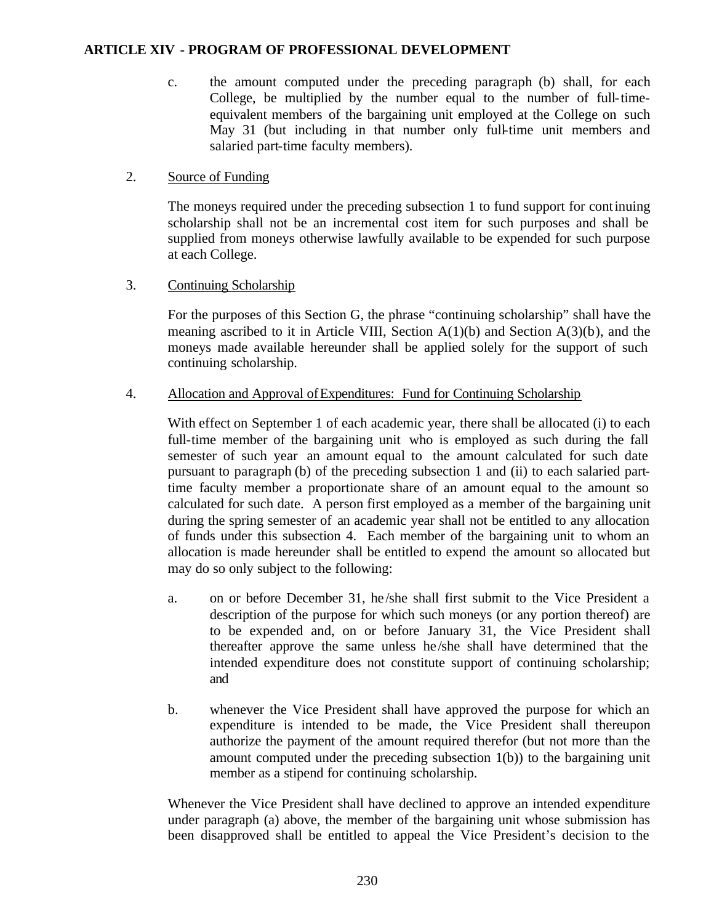c. the amount computed under the preceding paragraph (b) shall, for each College, be multiplied by the number equal to the number of full-timeequivalent members of the bargaining unit employed at the College on such May 31 (but including in that number only full-time unit members and salaried part-time faculty members).

## 2. Source of Funding

The moneys required under the preceding subsection 1 to fund support for continuing scholarship shall not be an incremental cost item for such purposes and shall be supplied from moneys otherwise lawfully available to be expended for such purpose at each College.

## 3. Continuing Scholarship

For the purposes of this Section G, the phrase "continuing scholarship" shall have the meaning ascribed to it in Article VIII, Section  $A(1)(b)$  and Section  $A(3)(b)$ , and the moneys made available hereunder shall be applied solely for the support of such continuing scholarship.

## 4. Allocation and Approval of Expenditures: Fund for Continuing Scholarship

With effect on September 1 of each academic year, there shall be allocated (i) to each full-time member of the bargaining unit who is employed as such during the fall semester of such year an amount equal to the amount calculated for such date pursuant to paragraph (b) of the preceding subsection 1 and (ii) to each salaried parttime faculty member a proportionate share of an amount equal to the amount so calculated for such date. A person first employed as a member of the bargaining unit during the spring semester of an academic year shall not be entitled to any allocation of funds under this subsection 4. Each member of the bargaining unit to whom an allocation is made hereunder shall be entitled to expend the amount so allocated but may do so only subject to the following:

- a. on or before December 31, he /she shall first submit to the Vice President a description of the purpose for which such moneys (or any portion thereof) are to be expended and, on or before January 31, the Vice President shall thereafter approve the same unless he /she shall have determined that the intended expenditure does not constitute support of continuing scholarship; and
- b. whenever the Vice President shall have approved the purpose for which an expenditure is intended to be made, the Vice President shall thereupon authorize the payment of the amount required therefor (but not more than the amount computed under the preceding subsection 1(b)) to the bargaining unit member as a stipend for continuing scholarship.

Whenever the Vice President shall have declined to approve an intended expenditure under paragraph (a) above, the member of the bargaining unit whose submission has been disapproved shall be entitled to appeal the Vice President's decision to the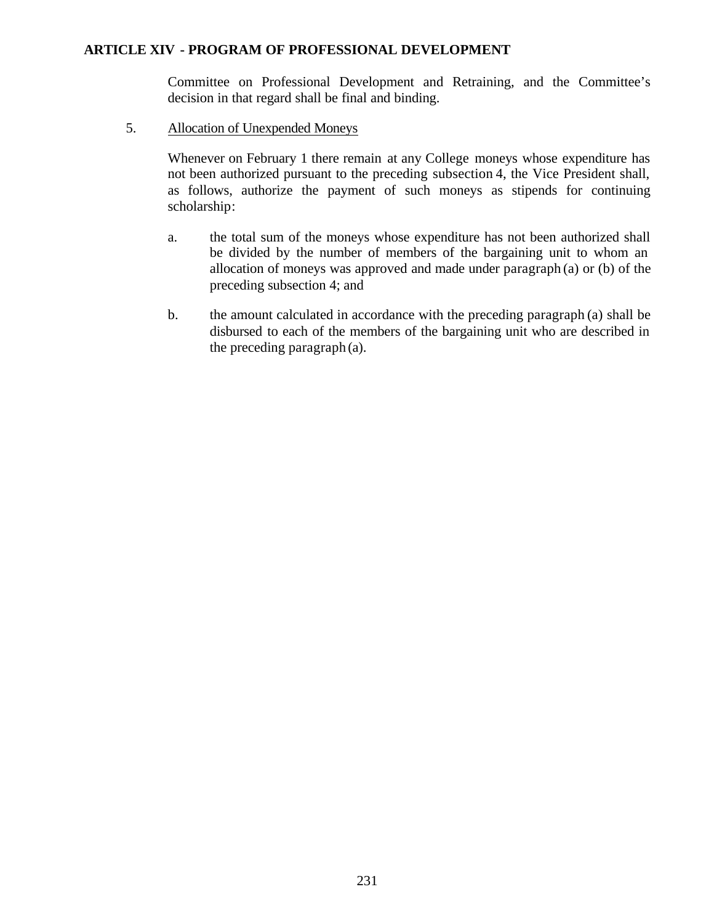Committee on Professional Development and Retraining, and the Committee's decision in that regard shall be final and binding.

5. Allocation of Unexpended Moneys

Whenever on February 1 there remain at any College moneys whose expenditure has not been authorized pursuant to the preceding subsection 4, the Vice President shall, as follows, authorize the payment of such moneys as stipends for continuing scholarship:

- a. the total sum of the moneys whose expenditure has not been authorized shall be divided by the number of members of the bargaining unit to whom an allocation of moneys was approved and made under paragraph (a) or (b) of the preceding subsection 4; and
- b. the amount calculated in accordance with the preceding paragraph (a) shall be disbursed to each of the members of the bargaining unit who are described in the preceding paragraph (a).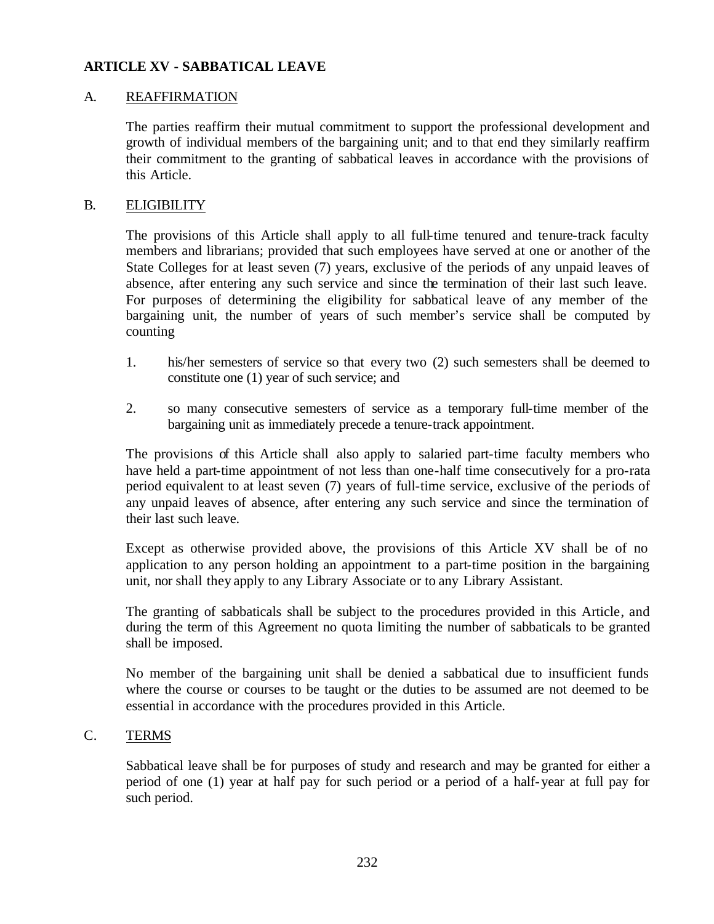### A. REAFFIRMATION

The parties reaffirm their mutual commitment to support the professional development and growth of individual members of the bargaining unit; and to that end they similarly reaffirm their commitment to the granting of sabbatical leaves in accordance with the provisions of this Article.

#### B. ELIGIBILITY

The provisions of this Article shall apply to all full-time tenured and tenure-track faculty members and librarians; provided that such employees have served at one or another of the State Colleges for at least seven (7) years, exclusive of the periods of any unpaid leaves of absence, after entering any such service and since the termination of their last such leave. For purposes of determining the eligibility for sabbatical leave of any member of the bargaining unit, the number of years of such member's service shall be computed by counting

- 1. his/her semesters of service so that every two (2) such semesters shall be deemed to constitute one (1) year of such service; and
- 2. so many consecutive semesters of service as a temporary full-time member of the bargaining unit as immediately precede a tenure-track appointment.

The provisions of this Article shall also apply to salaried part-time faculty members who have held a part-time appointment of not less than one-half time consecutively for a pro-rata period equivalent to at least seven (7) years of full-time service, exclusive of the periods of any unpaid leaves of absence, after entering any such service and since the termination of their last such leave.

Except as otherwise provided above, the provisions of this Article XV shall be of no application to any person holding an appointment to a part-time position in the bargaining unit, nor shall they apply to any Library Associate or to any Library Assistant.

The granting of sabbaticals shall be subject to the procedures provided in this Article, and during the term of this Agreement no quota limiting the number of sabbaticals to be granted shall be imposed.

No member of the bargaining unit shall be denied a sabbatical due to insufficient funds where the course or courses to be taught or the duties to be assumed are not deemed to be essential in accordance with the procedures provided in this Article.

### C. TERMS

Sabbatical leave shall be for purposes of study and research and may be granted for either a period of one (1) year at half pay for such period or a period of a half-year at full pay for such period.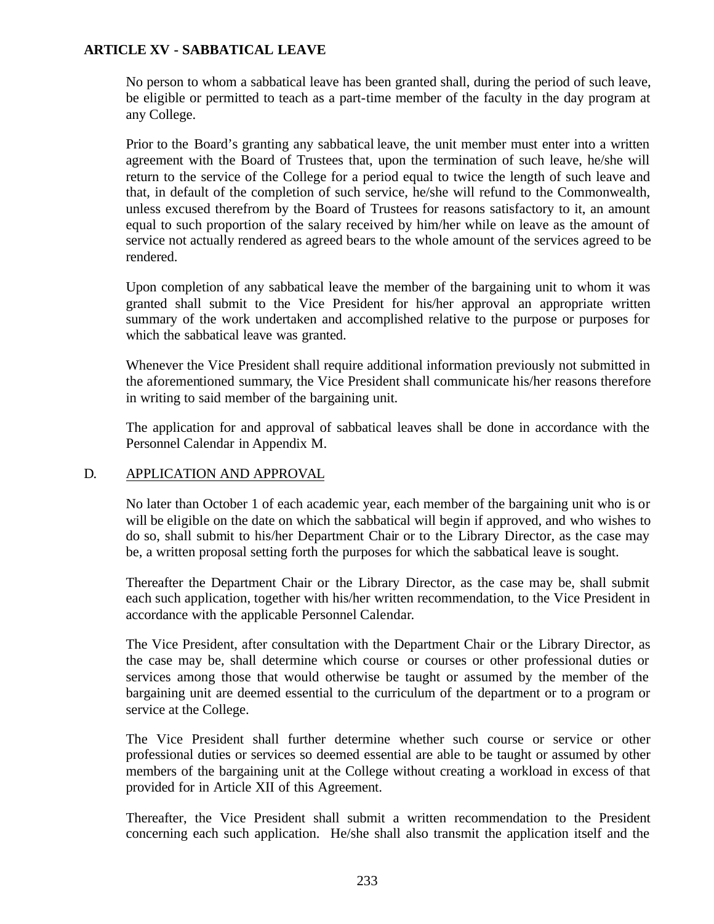No person to whom a sabbatical leave has been granted shall, during the period of such leave, be eligible or permitted to teach as a part-time member of the faculty in the day program at any College.

Prior to the Board's granting any sabbatical leave, the unit member must enter into a written agreement with the Board of Trustees that, upon the termination of such leave, he/she will return to the service of the College for a period equal to twice the length of such leave and that, in default of the completion of such service, he/she will refund to the Commonwealth, unless excused therefrom by the Board of Trustees for reasons satisfactory to it, an amount equal to such proportion of the salary received by him/her while on leave as the amount of service not actually rendered as agreed bears to the whole amount of the services agreed to be rendered.

Upon completion of any sabbatical leave the member of the bargaining unit to whom it was granted shall submit to the Vice President for his/her approval an appropriate written summary of the work undertaken and accomplished relative to the purpose or purposes for which the sabbatical leave was granted.

Whenever the Vice President shall require additional information previously not submitted in the aforementioned summary, the Vice President shall communicate his/her reasons therefore in writing to said member of the bargaining unit.

The application for and approval of sabbatical leaves shall be done in accordance with the Personnel Calendar in Appendix M.

# D. APPLICATION AND APPROVAL

No later than October 1 of each academic year, each member of the bargaining unit who is or will be eligible on the date on which the sabbatical will begin if approved, and who wishes to do so, shall submit to his/her Department Chair or to the Library Director, as the case may be, a written proposal setting forth the purposes for which the sabbatical leave is sought.

Thereafter the Department Chair or the Library Director, as the case may be, shall submit each such application, together with his/her written recommendation, to the Vice President in accordance with the applicable Personnel Calendar.

The Vice President, after consultation with the Department Chair or the Library Director, as the case may be, shall determine which course or courses or other professional duties or services among those that would otherwise be taught or assumed by the member of the bargaining unit are deemed essential to the curriculum of the department or to a program or service at the College.

The Vice President shall further determine whether such course or service or other professional duties or services so deemed essential are able to be taught or assumed by other members of the bargaining unit at the College without creating a workload in excess of that provided for in Article XII of this Agreement.

Thereafter, the Vice President shall submit a written recommendation to the President concerning each such application. He/she shall also transmit the application itself and the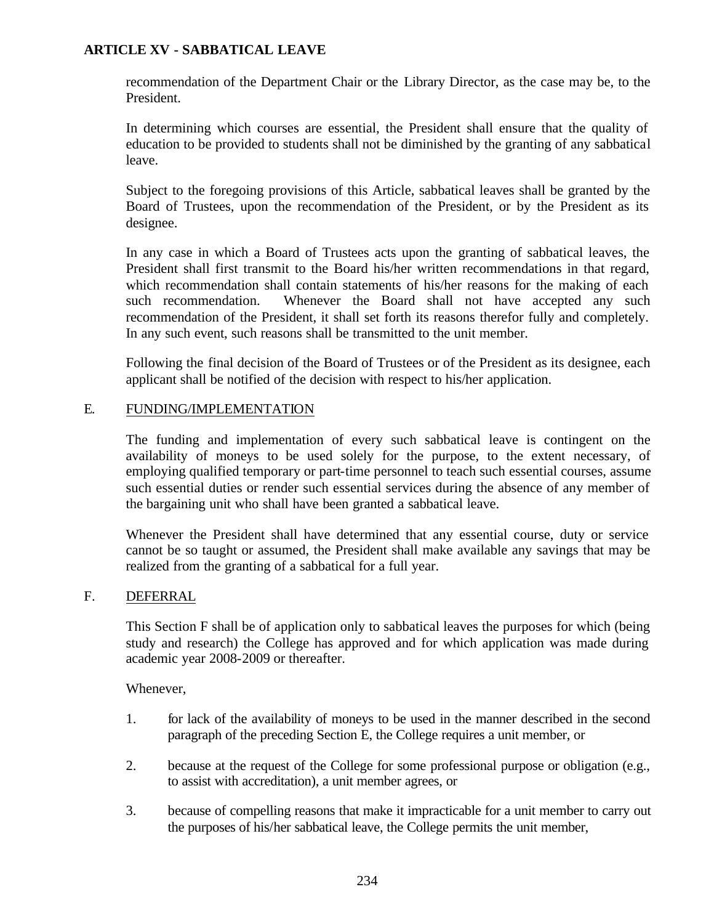recommendation of the Department Chair or the Library Director, as the case may be, to the President.

In determining which courses are essential, the President shall ensure that the quality of education to be provided to students shall not be diminished by the granting of any sabbatical leave.

Subject to the foregoing provisions of this Article, sabbatical leaves shall be granted by the Board of Trustees, upon the recommendation of the President, or by the President as its designee.

In any case in which a Board of Trustees acts upon the granting of sabbatical leaves, the President shall first transmit to the Board his/her written recommendations in that regard, which recommendation shall contain statements of his/her reasons for the making of each such recommendation. Whenever the Board shall not have accepted any such recommendation of the President, it shall set forth its reasons therefor fully and completely. In any such event, such reasons shall be transmitted to the unit member.

Following the final decision of the Board of Trustees or of the President as its designee, each applicant shall be notified of the decision with respect to his/her application.

### E. FUNDING/IMPLEMENTATION

The funding and implementation of every such sabbatical leave is contingent on the availability of moneys to be used solely for the purpose, to the extent necessary, of employing qualified temporary or part-time personnel to teach such essential courses, assume such essential duties or render such essential services during the absence of any member of the bargaining unit who shall have been granted a sabbatical leave.

Whenever the President shall have determined that any essential course, duty or service cannot be so taught or assumed, the President shall make available any savings that may be realized from the granting of a sabbatical for a full year.

## F. DEFERRAL

This Section F shall be of application only to sabbatical leaves the purposes for which (being study and research) the College has approved and for which application was made during academic year 2008-2009 or thereafter.

Whenever,

- 1. for lack of the availability of moneys to be used in the manner described in the second paragraph of the preceding Section E, the College requires a unit member, or
- 2. because at the request of the College for some professional purpose or obligation (e.g., to assist with accreditation), a unit member agrees, or
- 3. because of compelling reasons that make it impracticable for a unit member to carry out the purposes of his/her sabbatical leave, the College permits the unit member,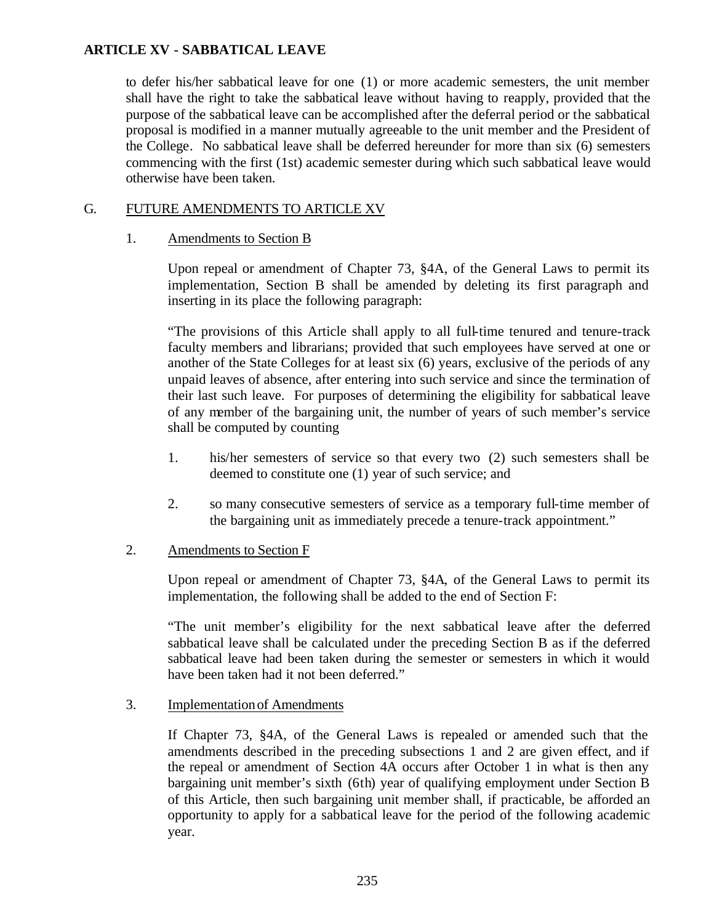to defer his/her sabbatical leave for one (1) or more academic semesters, the unit member shall have the right to take the sabbatical leave without having to reapply, provided that the purpose of the sabbatical leave can be accomplished after the deferral period or the sabbatical proposal is modified in a manner mutually agreeable to the unit member and the President of the College. No sabbatical leave shall be deferred hereunder for more than six (6) semesters commencing with the first (1st) academic semester during which such sabbatical leave would otherwise have been taken.

# G. FUTURE AMENDMENTS TO ARTICLE XV

# 1. Amendments to Section B

Upon repeal or amendment of Chapter 73, §4A, of the General Laws to permit its implementation, Section B shall be amended by deleting its first paragraph and inserting in its place the following paragraph:

"The provisions of this Article shall apply to all full-time tenured and tenure-track faculty members and librarians; provided that such employees have served at one or another of the State Colleges for at least six (6) years, exclusive of the periods of any unpaid leaves of absence, after entering into such service and since the termination of their last such leave. For purposes of determining the eligibility for sabbatical leave of any member of the bargaining unit, the number of years of such member's service shall be computed by counting

- 1. his/her semesters of service so that every two (2) such semesters shall be deemed to constitute one (1) year of such service; and
- 2. so many consecutive semesters of service as a temporary full-time member of the bargaining unit as immediately precede a tenure-track appointment."

# 2. Amendments to Section F

Upon repeal or amendment of Chapter 73, §4A, of the General Laws to permit its implementation, the following shall be added to the end of Section F:

"The unit member's eligibility for the next sabbatical leave after the deferred sabbatical leave shall be calculated under the preceding Section B as if the deferred sabbatical leave had been taken during the semester or semesters in which it would have been taken had it not been deferred."

# 3. Implementation of Amendments

If Chapter 73, §4A, of the General Laws is repealed or amended such that the amendments described in the preceding subsections 1 and 2 are given effect, and if the repeal or amendment of Section 4A occurs after October 1 in what is then any bargaining unit member's sixth (6th) year of qualifying employment under Section B of this Article, then such bargaining unit member shall, if practicable, be afforded an opportunity to apply for a sabbatical leave for the period of the following academic year.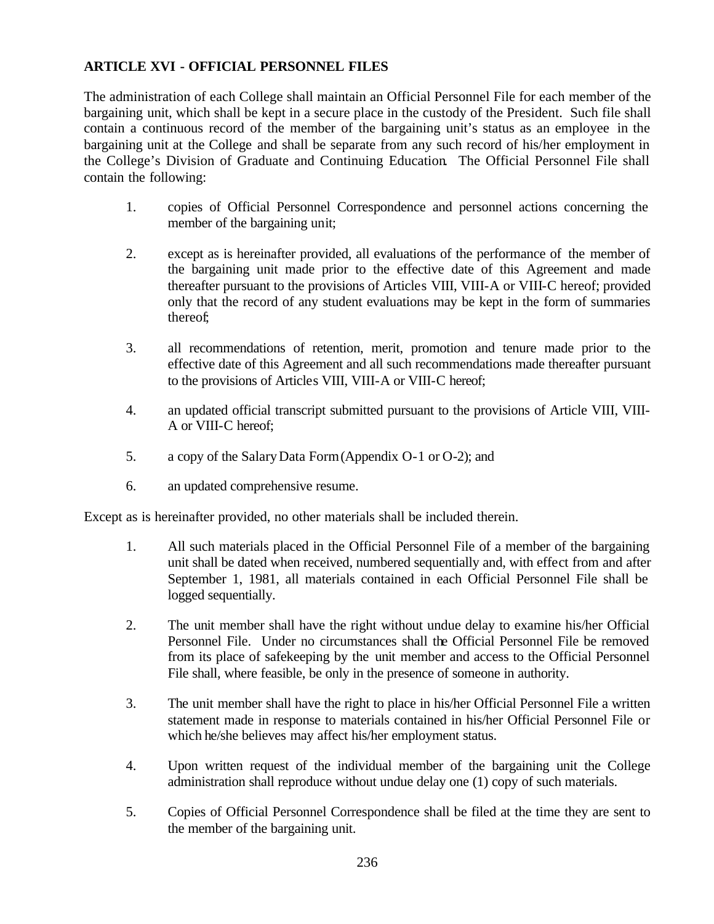# **ARTICLE XVI - OFFICIAL PERSONNEL FILES**

The administration of each College shall maintain an Official Personnel File for each member of the bargaining unit, which shall be kept in a secure place in the custody of the President. Such file shall contain a continuous record of the member of the bargaining unit's status as an employee in the bargaining unit at the College and shall be separate from any such record of his/her employment in the College's Division of Graduate and Continuing Education. The Official Personnel File shall contain the following:

- 1. copies of Official Personnel Correspondence and personnel actions concerning the member of the bargaining unit;
- 2. except as is hereinafter provided, all evaluations of the performance of the member of the bargaining unit made prior to the effective date of this Agreement and made thereafter pursuant to the provisions of Articles VIII, VIII-A or VIII-C hereof; provided only that the record of any student evaluations may be kept in the form of summaries thereof;
- 3. all recommendations of retention, merit, promotion and tenure made prior to the effective date of this Agreement and all such recommendations made thereafter pursuant to the provisions of Articles VIII, VIII-A or VIII-C hereof;
- 4. an updated official transcript submitted pursuant to the provisions of Article VIII, VIII-A or VIII-C hereof;
- 5. a copy of the Salary Data Form (Appendix O-1 or O-2); and
- 6. an updated comprehensive resume.

Except as is hereinafter provided, no other materials shall be included therein.

- 1. All such materials placed in the Official Personnel File of a member of the bargaining unit shall be dated when received, numbered sequentially and, with effect from and after September 1, 1981, all materials contained in each Official Personnel File shall be logged sequentially.
- 2. The unit member shall have the right without undue delay to examine his/her Official Personnel File. Under no circumstances shall the Official Personnel File be removed from its place of safekeeping by the unit member and access to the Official Personnel File shall, where feasible, be only in the presence of someone in authority.
- 3. The unit member shall have the right to place in his/her Official Personnel File a written statement made in response to materials contained in his/her Official Personnel File or which he/she believes may affect his/her employment status.
- 4. Upon written request of the individual member of the bargaining unit the College administration shall reproduce without undue delay one (1) copy of such materials.
- 5. Copies of Official Personnel Correspondence shall be filed at the time they are sent to the member of the bargaining unit.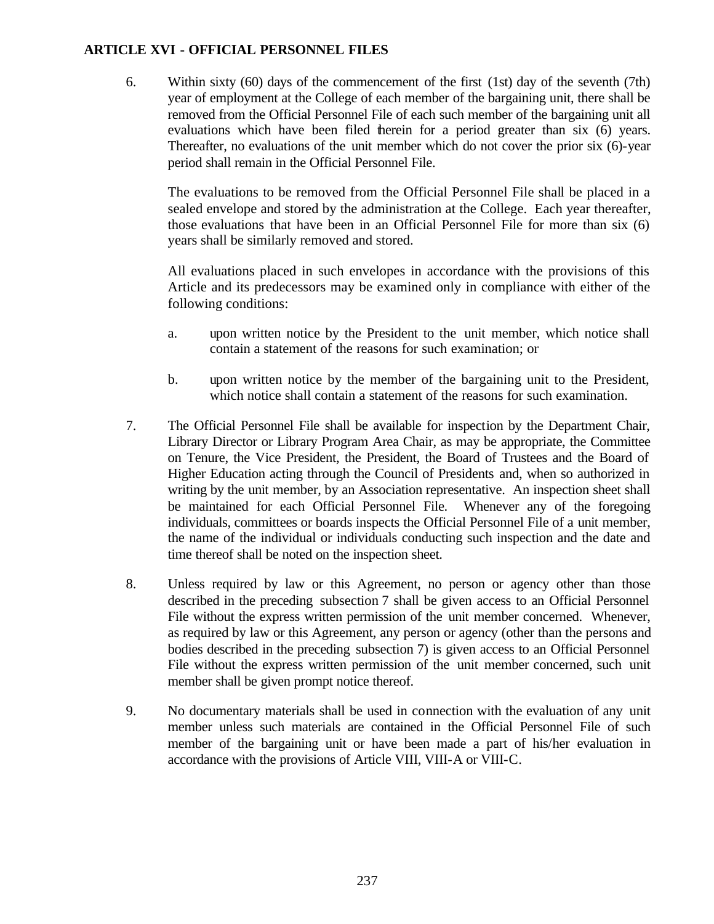## **ARTICLE XVI - OFFICIAL PERSONNEL FILES**

6. Within sixty (60) days of the commencement of the first (1st) day of the seventh (7th) year of employment at the College of each member of the bargaining unit, there shall be removed from the Official Personnel File of each such member of the bargaining unit all evaluations which have been filed therein for a period greater than six (6) years. Thereafter, no evaluations of the unit member which do not cover the prior six (6)-year period shall remain in the Official Personnel File.

The evaluations to be removed from the Official Personnel File shall be placed in a sealed envelope and stored by the administration at the College. Each year thereafter, those evaluations that have been in an Official Personnel File for more than six (6) years shall be similarly removed and stored.

All evaluations placed in such envelopes in accordance with the provisions of this Article and its predecessors may be examined only in compliance with either of the following conditions:

- a. upon written notice by the President to the unit member, which notice shall contain a statement of the reasons for such examination; or
- b. upon written notice by the member of the bargaining unit to the President, which notice shall contain a statement of the reasons for such examination.
- 7. The Official Personnel File shall be available for inspection by the Department Chair, Library Director or Library Program Area Chair, as may be appropriate, the Committee on Tenure, the Vice President, the President, the Board of Trustees and the Board of Higher Education acting through the Council of Presidents and, when so authorized in writing by the unit member, by an Association representative. An inspection sheet shall be maintained for each Official Personnel File. Whenever any of the foregoing individuals, committees or boards inspects the Official Personnel File of a unit member, the name of the individual or individuals conducting such inspection and the date and time thereof shall be noted on the inspection sheet.
- 8. Unless required by law or this Agreement, no person or agency other than those described in the preceding subsection 7 shall be given access to an Official Personnel File without the express written permission of the unit member concerned. Whenever, as required by law or this Agreement, any person or agency (other than the persons and bodies described in the preceding subsection 7) is given access to an Official Personnel File without the express written permission of the unit member concerned, such unit member shall be given prompt notice thereof.
- 9. No documentary materials shall be used in connection with the evaluation of any unit member unless such materials are contained in the Official Personnel File of such member of the bargaining unit or have been made a part of his/her evaluation in accordance with the provisions of Article VIII, VIII-A or VIII-C.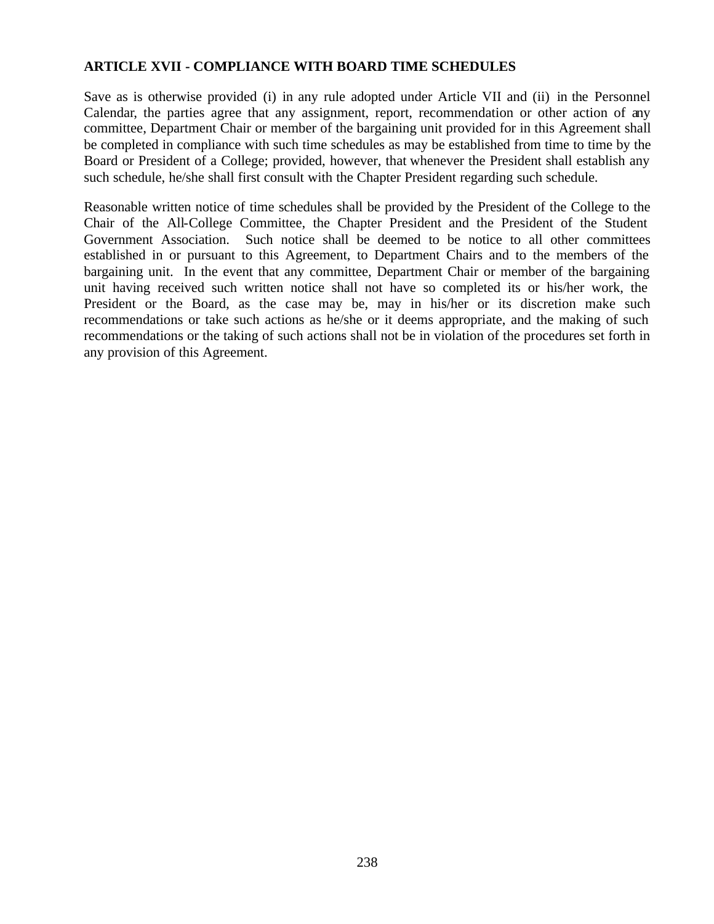## **ARTICLE XVII - COMPLIANCE WITH BOARD TIME SCHEDULES**

Save as is otherwise provided (i) in any rule adopted under Article VII and (ii) in the Personnel Calendar, the parties agree that any assignment, report, recommendation or other action of any committee, Department Chair or member of the bargaining unit provided for in this Agreement shall be completed in compliance with such time schedules as may be established from time to time by the Board or President of a College; provided, however, that whenever the President shall establish any such schedule, he/she shall first consult with the Chapter President regarding such schedule.

Reasonable written notice of time schedules shall be provided by the President of the College to the Chair of the All-College Committee, the Chapter President and the President of the Student Government Association. Such notice shall be deemed to be notice to all other committees established in or pursuant to this Agreement, to Department Chairs and to the members of the bargaining unit. In the event that any committee, Department Chair or member of the bargaining unit having received such written notice shall not have so completed its or his/her work, the President or the Board, as the case may be, may in his/her or its discretion make such recommendations or take such actions as he/she or it deems appropriate, and the making of such recommendations or the taking of such actions shall not be in violation of the procedures set forth in any provision of this Agreement.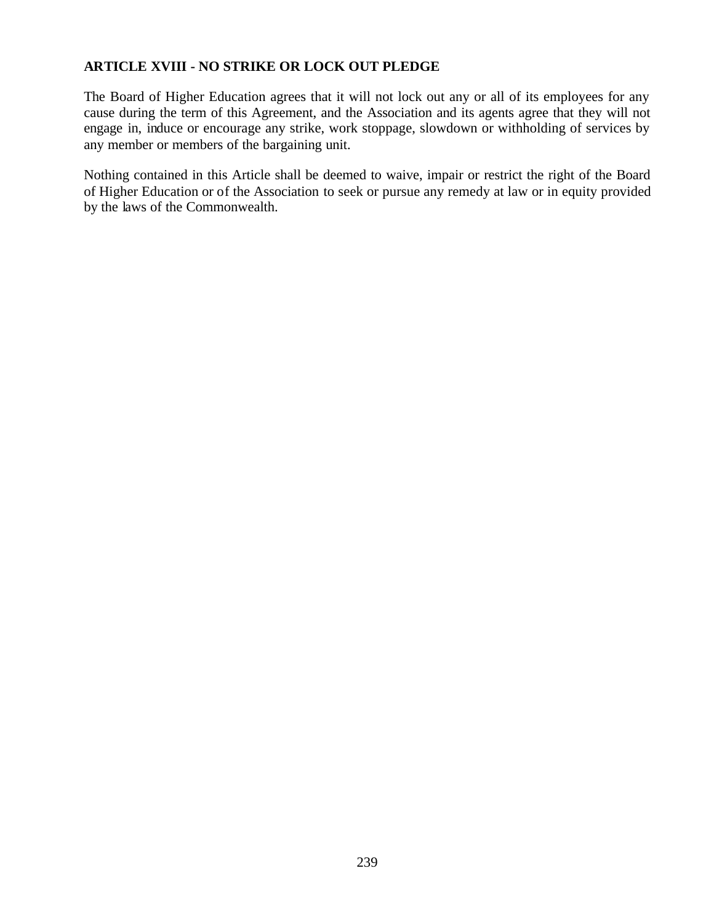# **ARTICLE XVIII - NO STRIKE OR LOCK OUT PLEDGE**

The Board of Higher Education agrees that it will not lock out any or all of its employees for any cause during the term of this Agreement, and the Association and its agents agree that they will not engage in, induce or encourage any strike, work stoppage, slowdown or withholding of services by any member or members of the bargaining unit.

Nothing contained in this Article shall be deemed to waive, impair or restrict the right of the Board of Higher Education or of the Association to seek or pursue any remedy at law or in equity provided by the laws of the Commonwealth.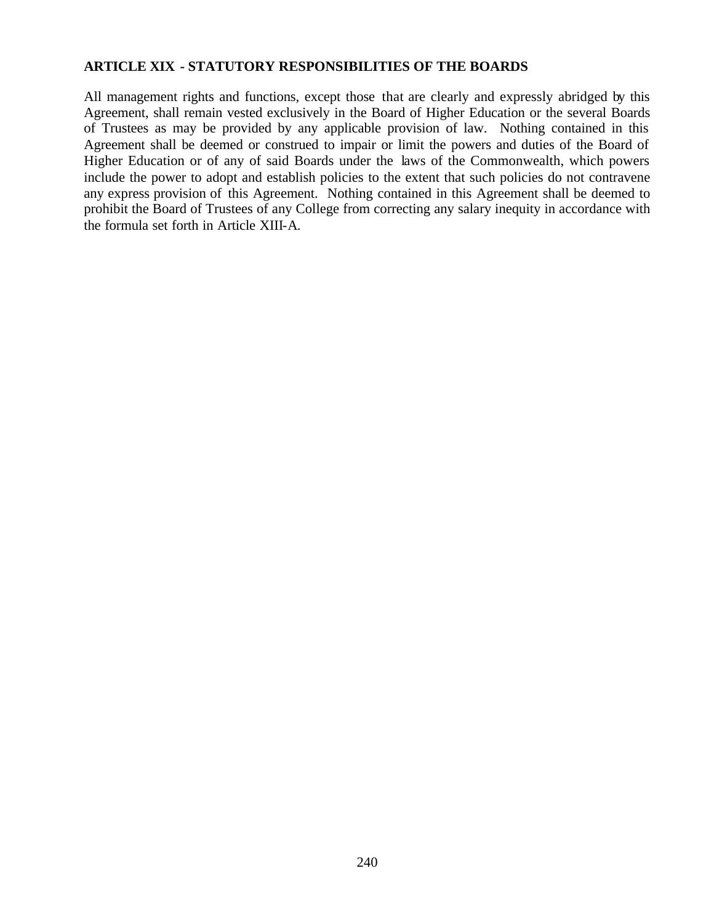## **ARTICLE XIX - STATUTORY RESPONSIBILITIES OF THE BOARDS**

All management rights and functions, except those that are clearly and expressly abridged by this Agreement, shall remain vested exclusively in the Board of Higher Education or the several Boards of Trustees as may be provided by any applicable provision of law. Nothing contained in this Agreement shall be deemed or construed to impair or limit the powers and duties of the Board of Higher Education or of any of said Boards under the laws of the Commonwealth, which powers include the power to adopt and establish policies to the extent that such policies do not contravene any express provision of this Agreement. Nothing contained in this Agreement shall be deemed to prohibit the Board of Trustees of any College from correcting any salary inequity in accordance with the formula set forth in Article XIII-A.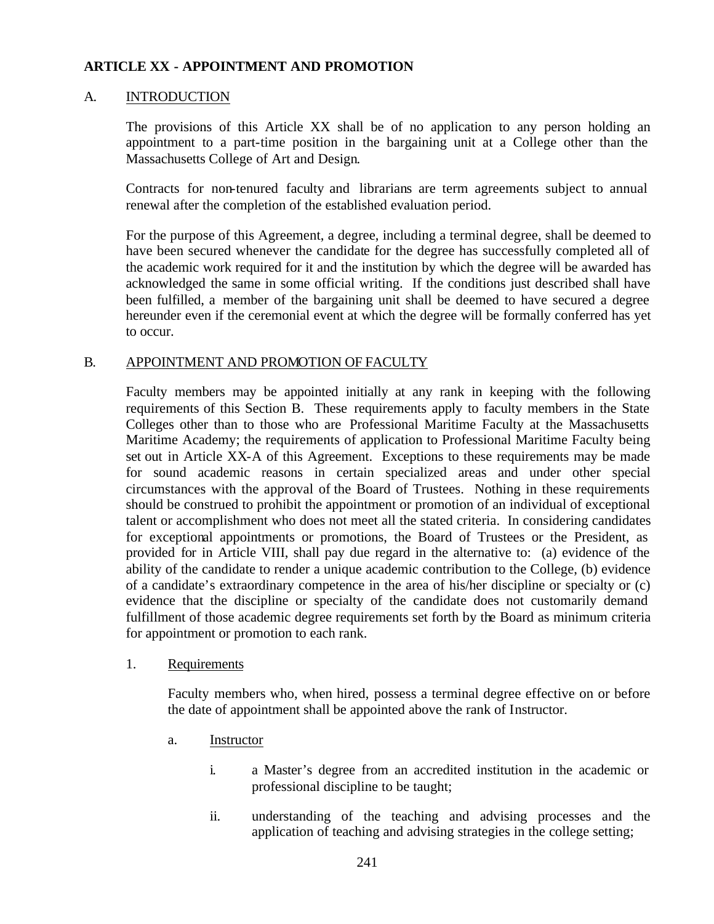### A. INTRODUCTION

The provisions of this Article XX shall be of no application to any person holding an appointment to a part-time position in the bargaining unit at a College other than the Massachusetts College of Art and Design.

Contracts for non-tenured faculty and librarians are term agreements subject to annual renewal after the completion of the established evaluation period.

For the purpose of this Agreement, a degree, including a terminal degree, shall be deemed to have been secured whenever the candidate for the degree has successfully completed all of the academic work required for it and the institution by which the degree will be awarded has acknowledged the same in some official writing. If the conditions just described shall have been fulfilled, a member of the bargaining unit shall be deemed to have secured a degree hereunder even if the ceremonial event at which the degree will be formally conferred has yet to occur.

#### B. APPOINTMENT AND PROMOTION OF FACULTY

Faculty members may be appointed initially at any rank in keeping with the following requirements of this Section B. These requirements apply to faculty members in the State Colleges other than to those who are Professional Maritime Faculty at the Massachusetts Maritime Academy; the requirements of application to Professional Maritime Faculty being set out in Article XX-A of this Agreement. Exceptions to these requirements may be made for sound academic reasons in certain specialized areas and under other special circumstances with the approval of the Board of Trustees. Nothing in these requirements should be construed to prohibit the appointment or promotion of an individual of exceptional talent or accomplishment who does not meet all the stated criteria. In considering candidates for exceptional appointments or promotions, the Board of Trustees or the President, as provided for in Article VIII, shall pay due regard in the alternative to: (a) evidence of the ability of the candidate to render a unique academic contribution to the College, (b) evidence of a candidate's extraordinary competence in the area of his/her discipline or specialty or (c) evidence that the discipline or specialty of the candidate does not customarily demand fulfillment of those academic degree requirements set forth by the Board as minimum criteria for appointment or promotion to each rank.

#### 1. Requirements

Faculty members who, when hired, possess a terminal degree effective on or before the date of appointment shall be appointed above the rank of Instructor.

- a. Instructor
	- i. a Master's degree from an accredited institution in the academic or professional discipline to be taught;
	- ii. understanding of the teaching and advising processes and the application of teaching and advising strategies in the college setting;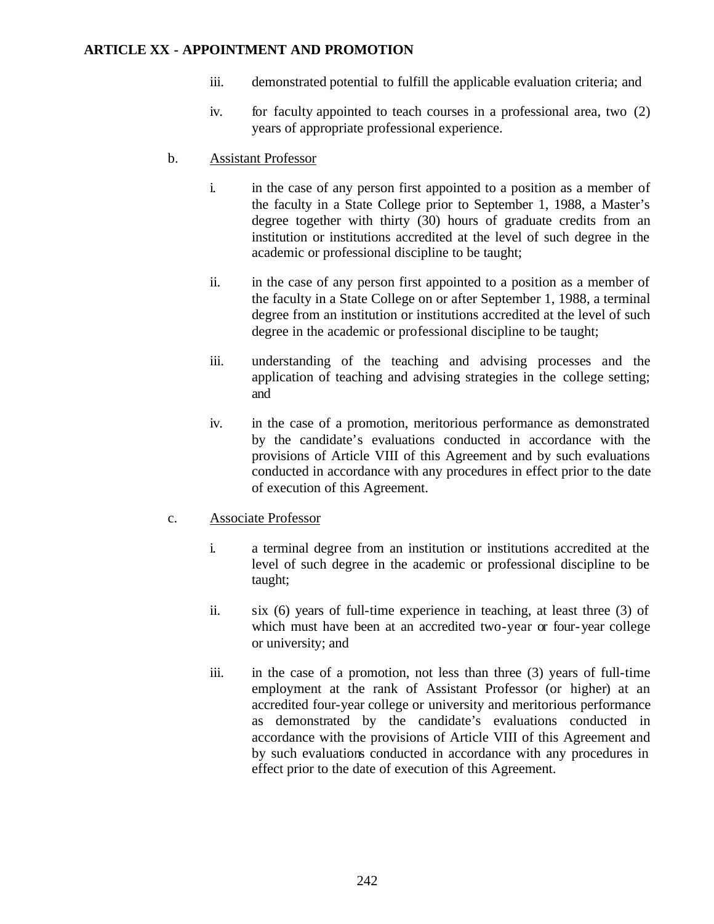- iii. demonstrated potential to fulfill the applicable evaluation criteria; and
- iv. for faculty appointed to teach courses in a professional area, two (2) years of appropriate professional experience.
- b. Assistant Professor
	- i. in the case of any person first appointed to a position as a member of the faculty in a State College prior to September 1, 1988, a Master's degree together with thirty (30) hours of graduate credits from an institution or institutions accredited at the level of such degree in the academic or professional discipline to be taught;
	- ii. in the case of any person first appointed to a position as a member of the faculty in a State College on or after September 1, 1988, a terminal degree from an institution or institutions accredited at the level of such degree in the academic or professional discipline to be taught;
	- iii. understanding of the teaching and advising processes and the application of teaching and advising strategies in the college setting; and
	- iv. in the case of a promotion, meritorious performance as demonstrated by the candidate's evaluations conducted in accordance with the provisions of Article VIII of this Agreement and by such evaluations conducted in accordance with any procedures in effect prior to the date of execution of this Agreement.

# c. Associate Professor

- i. a terminal degree from an institution or institutions accredited at the level of such degree in the academic or professional discipline to be taught;
- ii. six (6) years of full-time experience in teaching, at least three (3) of which must have been at an accredited two-year or four-year college or university; and
- iii. in the case of a promotion, not less than three (3) years of full-time employment at the rank of Assistant Professor (or higher) at an accredited four-year college or university and meritorious performance as demonstrated by the candidate's evaluations conducted in accordance with the provisions of Article VIII of this Agreement and by such evaluations conducted in accordance with any procedures in effect prior to the date of execution of this Agreement.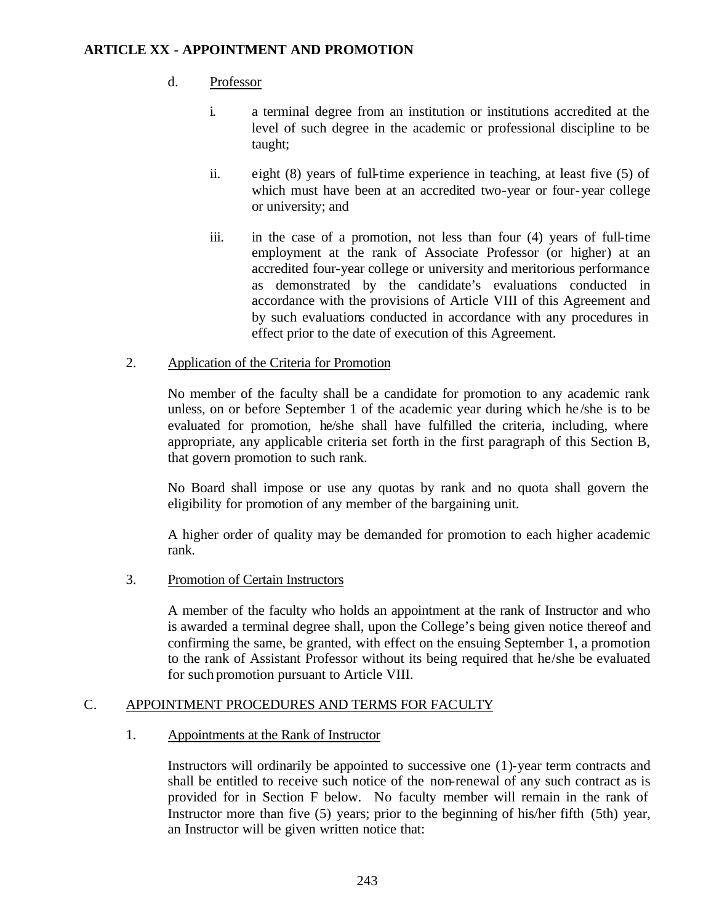## d. Professor

- i. a terminal degree from an institution or institutions accredited at the level of such degree in the academic or professional discipline to be taught;
- ii. eight (8) years of full-time experience in teaching, at least five (5) of which must have been at an accredited two-year or four-year college or university; and
- iii. in the case of a promotion, not less than four (4) years of full-time employment at the rank of Associate Professor (or higher) at an accredited four-year college or university and meritorious performance as demonstrated by the candidate's evaluations conducted in accordance with the provisions of Article VIII of this Agreement and by such evaluations conducted in accordance with any procedures in effect prior to the date of execution of this Agreement.

## 2. Application of the Criteria for Promotion

No member of the faculty shall be a candidate for promotion to any academic rank unless, on or before September 1 of the academic year during which he /she is to be evaluated for promotion, he/she shall have fulfilled the criteria, including, where appropriate, any applicable criteria set forth in the first paragraph of this Section B, that govern promotion to such rank.

No Board shall impose or use any quotas by rank and no quota shall govern the eligibility for promotion of any member of the bargaining unit.

A higher order of quality may be demanded for promotion to each higher academic rank.

### 3. Promotion of Certain Instructors

A member of the faculty who holds an appointment at the rank of Instructor and who is awarded a terminal degree shall, upon the College's being given notice thereof and confirming the same, be granted, with effect on the ensuing September 1, a promotion to the rank of Assistant Professor without its being required that he/she be evaluated for such promotion pursuant to Article VIII.

### C. APPOINTMENT PROCEDURES AND TERMS FOR FACULTY

### 1. Appointments at the Rank of Instructor

Instructors will ordinarily be appointed to successive one (1)-year term contracts and shall be entitled to receive such notice of the non-renewal of any such contract as is provided for in Section F below. No faculty member will remain in the rank of Instructor more than five (5) years; prior to the beginning of his/her fifth (5th) year, an Instructor will be given written notice that: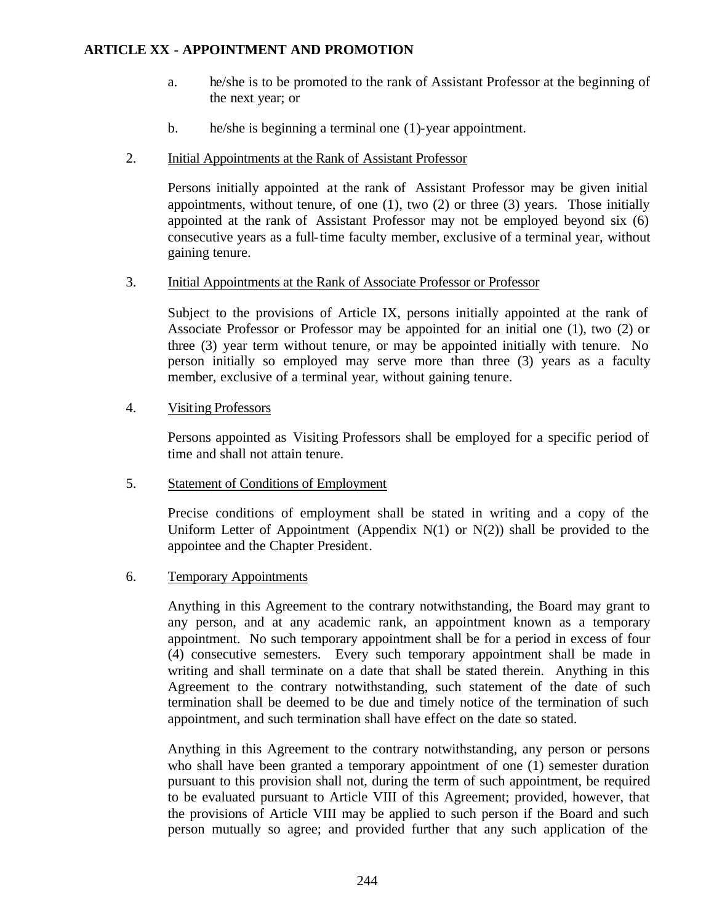- a. he/she is to be promoted to the rank of Assistant Professor at the beginning of the next year; or
- b. he/she is beginning a terminal one (1)-year appointment.
- 2. Initial Appointments at the Rank of Assistant Professor

Persons initially appointed at the rank of Assistant Professor may be given initial appointments, without tenure, of one  $(1)$ , two  $(2)$  or three  $(3)$  years. Those initially appointed at the rank of Assistant Professor may not be employed beyond six (6) consecutive years as a full-time faculty member, exclusive of a terminal year, without gaining tenure.

3. Initial Appointments at the Rank of Associate Professor or Professor

Subject to the provisions of Article IX, persons initially appointed at the rank of Associate Professor or Professor may be appointed for an initial one (1), two (2) or three (3) year term without tenure, or may be appointed initially with tenure. No person initially so employed may serve more than three (3) years as a faculty member, exclusive of a terminal year, without gaining tenure.

4. Visiting Professors

Persons appointed as Visiting Professors shall be employed for a specific period of time and shall not attain tenure.

5. Statement of Conditions of Employment

Precise conditions of employment shall be stated in writing and a copy of the Uniform Letter of Appointment (Appendix  $N(1)$  or  $N(2)$ ) shall be provided to the appointee and the Chapter President.

6. Temporary Appointments

Anything in this Agreement to the contrary notwithstanding, the Board may grant to any person, and at any academic rank, an appointment known as a temporary appointment. No such temporary appointment shall be for a period in excess of four (4) consecutive semesters. Every such temporary appointment shall be made in writing and shall terminate on a date that shall be stated therein. Anything in this Agreement to the contrary notwithstanding, such statement of the date of such termination shall be deemed to be due and timely notice of the termination of such appointment, and such termination shall have effect on the date so stated.

Anything in this Agreement to the contrary notwithstanding, any person or persons who shall have been granted a temporary appointment of one (1) semester duration pursuant to this provision shall not, during the term of such appointment, be required to be evaluated pursuant to Article VIII of this Agreement; provided, however, that the provisions of Article VIII may be applied to such person if the Board and such person mutually so agree; and provided further that any such application of the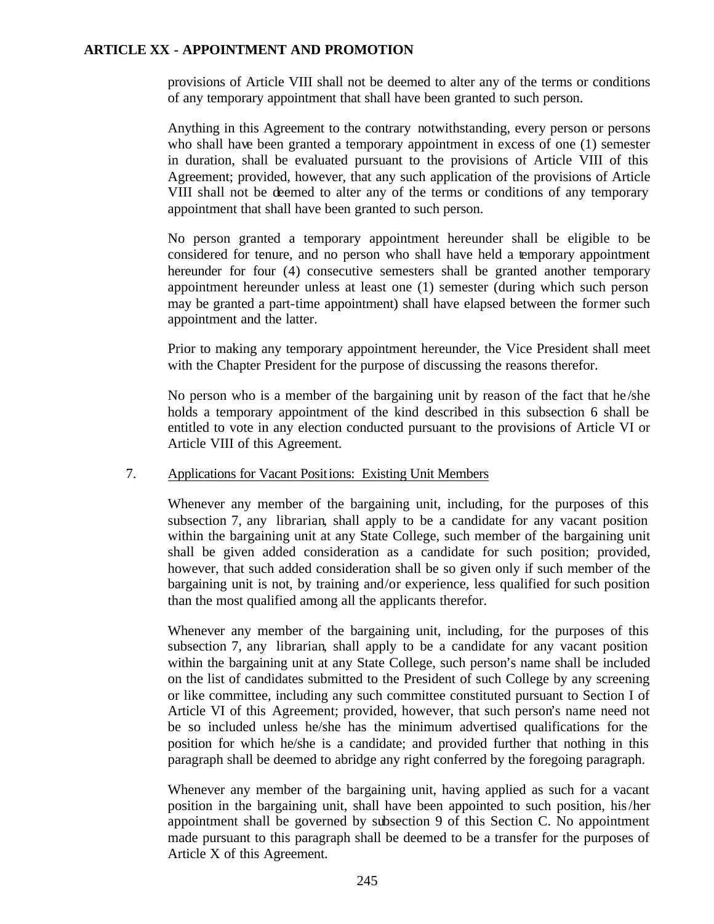provisions of Article VIII shall not be deemed to alter any of the terms or conditions of any temporary appointment that shall have been granted to such person.

Anything in this Agreement to the contrary notwithstanding, every person or persons who shall have been granted a temporary appointment in excess of one (1) semester in duration, shall be evaluated pursuant to the provisions of Article VIII of this Agreement; provided, however, that any such application of the provisions of Article VIII shall not be deemed to alter any of the terms or conditions of any temporary appointment that shall have been granted to such person.

No person granted a temporary appointment hereunder shall be eligible to be considered for tenure, and no person who shall have held a temporary appointment hereunder for four (4) consecutive semesters shall be granted another temporary appointment hereunder unless at least one (1) semester (during which such person may be granted a part-time appointment) shall have elapsed between the former such appointment and the latter.

Prior to making any temporary appointment hereunder, the Vice President shall meet with the Chapter President for the purpose of discussing the reasons therefor.

No person who is a member of the bargaining unit by reason of the fact that he /she holds a temporary appointment of the kind described in this subsection 6 shall be entitled to vote in any election conducted pursuant to the provisions of Article VI or Article VIII of this Agreement.

### 7. Applications for Vacant Positions: Existing Unit Members

Whenever any member of the bargaining unit, including, for the purposes of this subsection 7, any librarian, shall apply to be a candidate for any vacant position within the bargaining unit at any State College, such member of the bargaining unit shall be given added consideration as a candidate for such position; provided, however, that such added consideration shall be so given only if such member of the bargaining unit is not, by training and/or experience, less qualified for such position than the most qualified among all the applicants therefor.

Whenever any member of the bargaining unit, including, for the purposes of this subsection 7, any librarian, shall apply to be a candidate for any vacant position within the bargaining unit at any State College, such person's name shall be included on the list of candidates submitted to the President of such College by any screening or like committee, including any such committee constituted pursuant to Section I of Article VI of this Agreement; provided, however, that such person's name need not be so included unless he/she has the minimum advertised qualifications for the position for which he/she is a candidate; and provided further that nothing in this paragraph shall be deemed to abridge any right conferred by the foregoing paragraph.

Whenever any member of the bargaining unit, having applied as such for a vacant position in the bargaining unit, shall have been appointed to such position, his/her appointment shall be governed by subsection 9 of this Section C. No appointment made pursuant to this paragraph shall be deemed to be a transfer for the purposes of Article X of this Agreement.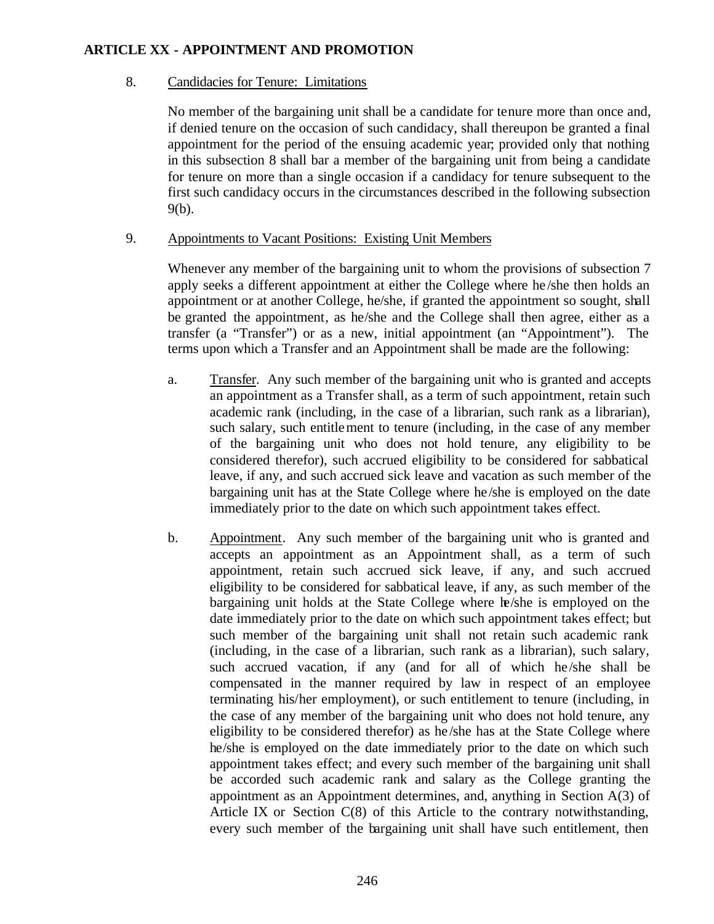#### 8. Candidacies for Tenure: Limitations

No member of the bargaining unit shall be a candidate for tenure more than once and, if denied tenure on the occasion of such candidacy, shall thereupon be granted a final appointment for the period of the ensuing academic year; provided only that nothing in this subsection 8 shall bar a member of the bargaining unit from being a candidate for tenure on more than a single occasion if a candidacy for tenure subsequent to the first such candidacy occurs in the circumstances described in the following subsection 9(b).

#### 9. Appointments to Vacant Positions: Existing Unit Members

Whenever any member of the bargaining unit to whom the provisions of subsection 7 apply seeks a different appointment at either the College where he /she then holds an appointment or at another College, he/she, if granted the appointment so sought, shall be granted the appointment, as he/she and the College shall then agree, either as a transfer (a "Transfer") or as a new, initial appointment (an "Appointment"). The terms upon which a Transfer and an Appointment shall be made are the following:

- a. Transfer. Any such member of the bargaining unit who is granted and accepts an appointment as a Transfer shall, as a term of such appointment, retain such academic rank (including, in the case of a librarian, such rank as a librarian), such salary, such entitlement to tenure (including, in the case of any member of the bargaining unit who does not hold tenure, any eligibility to be considered therefor), such accrued eligibility to be considered for sabbatical leave, if any, and such accrued sick leave and vacation as such member of the bargaining unit has at the State College where he /she is employed on the date immediately prior to the date on which such appointment takes effect.
- b. Appointment. Any such member of the bargaining unit who is granted and accepts an appointment as an Appointment shall, as a term of such appointment, retain such accrued sick leave, if any, and such accrued eligibility to be considered for sabbatical leave, if any, as such member of the bargaining unit holds at the State College where he/she is employed on the date immediately prior to the date on which such appointment takes effect; but such member of the bargaining unit shall not retain such academic rank (including, in the case of a librarian, such rank as a librarian), such salary, such accrued vacation, if any (and for all of which he/she shall be compensated in the manner required by law in respect of an employee terminating his/her employment), or such entitlement to tenure (including, in the case of any member of the bargaining unit who does not hold tenure, any eligibility to be considered therefor) as he /she has at the State College where he/she is employed on the date immediately prior to the date on which such appointment takes effect; and every such member of the bargaining unit shall be accorded such academic rank and salary as the College granting the appointment as an Appointment determines, and, anything in Section A(3) of Article IX or Section C(8) of this Article to the contrary notwithstanding, every such member of the bargaining unit shall have such entitlement, then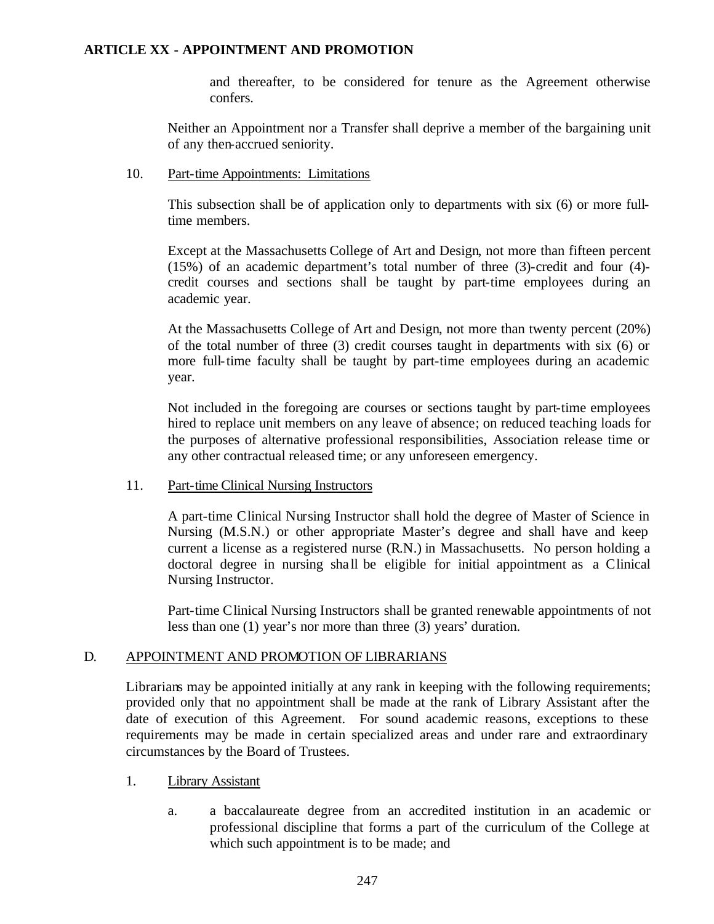and thereafter, to be considered for tenure as the Agreement otherwise confers.

Neither an Appointment nor a Transfer shall deprive a member of the bargaining unit of any then-accrued seniority.

10. Part-time Appointments: Limitations

This subsection shall be of application only to departments with six (6) or more fulltime members.

Except at the Massachusetts College of Art and Design, not more than fifteen percent (15%) of an academic department's total number of three (3)-credit and four (4) credit courses and sections shall be taught by part-time employees during an academic year.

At the Massachusetts College of Art and Design, not more than twenty percent (20%) of the total number of three (3) credit courses taught in departments with six (6) or more full-time faculty shall be taught by part-time employees during an academic year.

Not included in the foregoing are courses or sections taught by part-time employees hired to replace unit members on any leave of absence; on reduced teaching loads for the purposes of alternative professional responsibilities, Association release time or any other contractual released time; or any unforeseen emergency.

#### 11. Part-time Clinical Nursing Instructors

A part-time Clinical Nursing Instructor shall hold the degree of Master of Science in Nursing (M.S.N.) or other appropriate Master's degree and shall have and keep current a license as a registered nurse (R.N.) in Massachusetts. No person holding a doctoral degree in nursing shall be eligible for initial appointment as a Clinical Nursing Instructor.

Part-time Clinical Nursing Instructors shall be granted renewable appointments of not less than one (1) year's nor more than three (3) years' duration.

#### D. APPOINTMENT AND PROMOTION OF LIBRARIANS

Librarians may be appointed initially at any rank in keeping with the following requirements; provided only that no appointment shall be made at the rank of Library Assistant after the date of execution of this Agreement. For sound academic reasons, exceptions to these requirements may be made in certain specialized areas and under rare and extraordinary circumstances by the Board of Trustees.

- 1. Library Assistant
	- a. a baccalaureate degree from an accredited institution in an academic or professional discipline that forms a part of the curriculum of the College at which such appointment is to be made; and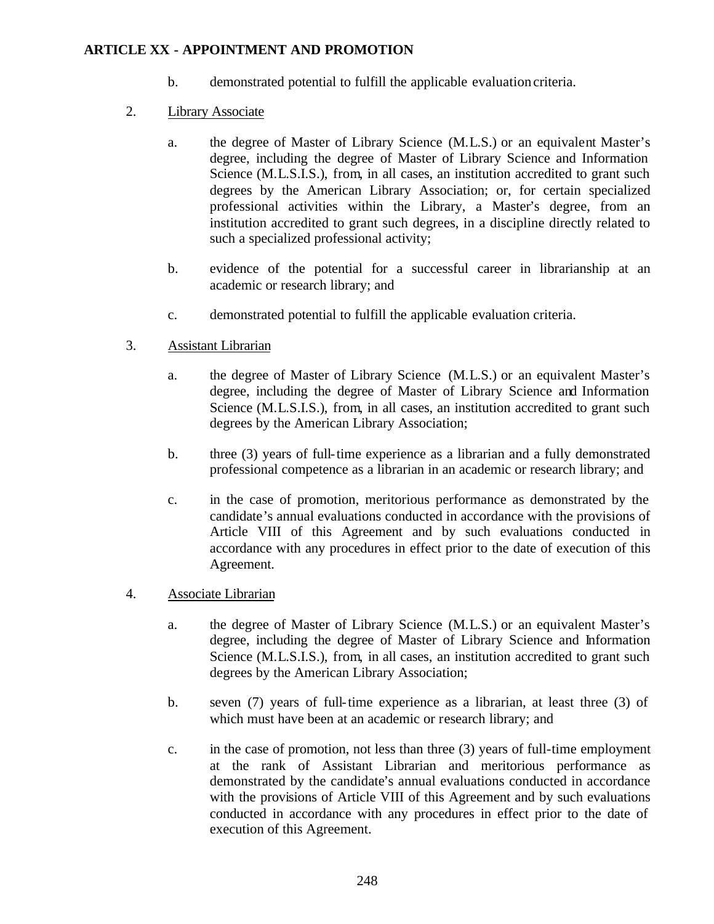- b. demonstrated potential to fulfill the applicable evaluation criteria.
- 2. Library Associate
	- a. the degree of Master of Library Science (M.L.S.) or an equivalent Master's degree, including the degree of Master of Library Science and Information Science (M.L.S.I.S.), from, in all cases, an institution accredited to grant such degrees by the American Library Association; or, for certain specialized professional activities within the Library, a Master's degree, from an institution accredited to grant such degrees, in a discipline directly related to such a specialized professional activity;
	- b. evidence of the potential for a successful career in librarianship at an academic or research library; and
	- c. demonstrated potential to fulfill the applicable evaluation criteria.
- 3. Assistant Librarian
	- a. the degree of Master of Library Science (M.L.S.) or an equivalent Master's degree, including the degree of Master of Library Science and Information Science (M.L.S.I.S.), from, in all cases, an institution accredited to grant such degrees by the American Library Association;
	- b. three (3) years of full-time experience as a librarian and a fully demonstrated professional competence as a librarian in an academic or research library; and
	- c. in the case of promotion, meritorious performance as demonstrated by the candidate's annual evaluations conducted in accordance with the provisions of Article VIII of this Agreement and by such evaluations conducted in accordance with any procedures in effect prior to the date of execution of this Agreement.
- 4. Associate Librarian
	- a. the degree of Master of Library Science (M.L.S.) or an equivalent Master's degree, including the degree of Master of Library Science and Information Science (M.L.S.I.S.), from, in all cases, an institution accredited to grant such degrees by the American Library Association;
	- b. seven (7) years of full-time experience as a librarian, at least three (3) of which must have been at an academic or research library; and
	- c. in the case of promotion, not less than three (3) years of full-time employment at the rank of Assistant Librarian and meritorious performance as demonstrated by the candidate's annual evaluations conducted in accordance with the provisions of Article VIII of this Agreement and by such evaluations conducted in accordance with any procedures in effect prior to the date of execution of this Agreement.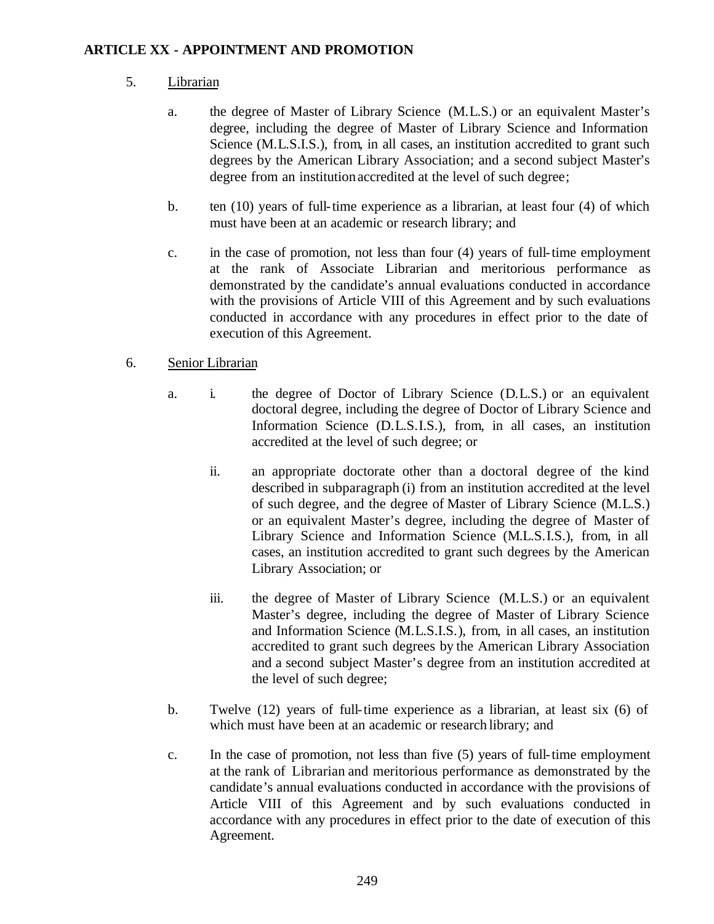## 5. Librarian

- a. the degree of Master of Library Science (M.L.S.) or an equivalent Master's degree, including the degree of Master of Library Science and Information Science (M.L.S.I.S.), from, in all cases, an institution accredited to grant such degrees by the American Library Association; and a second subject Master's degree from an institution accredited at the level of such degree;
- b. ten (10) years of full-time experience as a librarian, at least four (4) of which must have been at an academic or research library; and
- c. in the case of promotion, not less than four (4) years of full-time employment at the rank of Associate Librarian and meritorious performance as demonstrated by the candidate's annual evaluations conducted in accordance with the provisions of Article VIII of this Agreement and by such evaluations conducted in accordance with any procedures in effect prior to the date of execution of this Agreement.

## 6. Senior Librarian

- a. i. the degree of Doctor of Library Science (D.L.S.) or an equivalent doctoral degree, including the degree of Doctor of Library Science and Information Science (D.L.S.I.S.), from, in all cases, an institution accredited at the level of such degree; or
	- ii. an appropriate doctorate other than a doctoral degree of the kind described in subparagraph (i) from an institution accredited at the level of such degree, and the degree of Master of Library Science (M.L.S.) or an equivalent Master's degree, including the degree of Master of Library Science and Information Science (M.L.S.I.S.), from, in all cases, an institution accredited to grant such degrees by the American Library Association; or
	- iii. the degree of Master of Library Science (M.L.S.) or an equivalent Master's degree, including the degree of Master of Library Science and Information Science (M.L.S.I.S.), from, in all cases, an institution accredited to grant such degrees by the American Library Association and a second subject Master's degree from an institution accredited at the level of such degree;
- b. Twelve (12) years of full-time experience as a librarian, at least six (6) of which must have been at an academic or research library; and
- c. In the case of promotion, not less than five (5) years of full-time employment at the rank of Librarian and meritorious performance as demonstrated by the candidate's annual evaluations conducted in accordance with the provisions of Article VIII of this Agreement and by such evaluations conducted in accordance with any procedures in effect prior to the date of execution of this Agreement.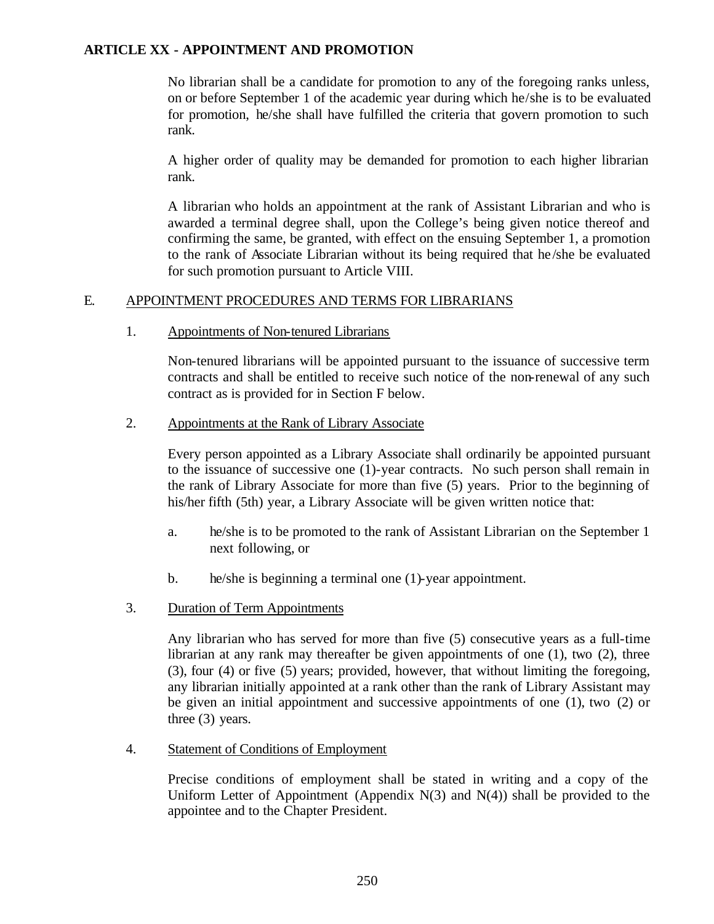No librarian shall be a candidate for promotion to any of the foregoing ranks unless, on or before September 1 of the academic year during which he/she is to be evaluated for promotion, he/she shall have fulfilled the criteria that govern promotion to such rank.

A higher order of quality may be demanded for promotion to each higher librarian rank.

A librarian who holds an appointment at the rank of Assistant Librarian and who is awarded a terminal degree shall, upon the College's being given notice thereof and confirming the same, be granted, with effect on the ensuing September 1, a promotion to the rank of Associate Librarian without its being required that he /she be evaluated for such promotion pursuant to Article VIII.

#### E. APPOINTMENT PROCEDURES AND TERMS FOR LIBRARIANS

1. Appointments of Non-tenured Librarians

Non-tenured librarians will be appointed pursuant to the issuance of successive term contracts and shall be entitled to receive such notice of the non-renewal of any such contract as is provided for in Section F below.

2. Appointments at the Rank of Library Associate

Every person appointed as a Library Associate shall ordinarily be appointed pursuant to the issuance of successive one (1)-year contracts. No such person shall remain in the rank of Library Associate for more than five (5) years. Prior to the beginning of his/her fifth (5th) year, a Library Associate will be given written notice that:

- a. he/she is to be promoted to the rank of Assistant Librarian on the September 1 next following, or
- b. he/she is beginning a terminal one (1)-year appointment.
- 3. Duration of Term Appointments

Any librarian who has served for more than five (5) consecutive years as a full-time librarian at any rank may thereafter be given appointments of one (1), two (2), three (3), four (4) or five (5) years; provided, however, that without limiting the foregoing, any librarian initially appointed at a rank other than the rank of Library Assistant may be given an initial appointment and successive appointments of one (1), two (2) or three (3) years.

4. Statement of Conditions of Employment

Precise conditions of employment shall be stated in writing and a copy of the Uniform Letter of Appointment (Appendix  $N(3)$  and  $N(4)$ ) shall be provided to the appointee and to the Chapter President.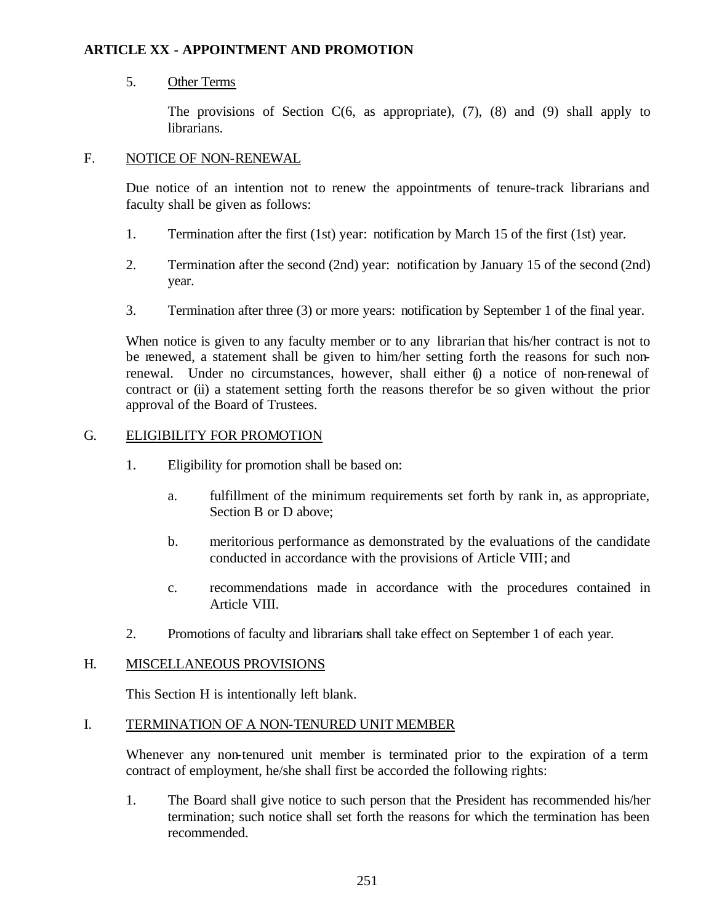## 5. Other Terms

The provisions of Section  $C(6, as appropriate)$ ,  $(7)$ ,  $(8)$  and  $(9)$  shall apply to librarians.

#### F. NOTICE OF NON-RENEWAL

Due notice of an intention not to renew the appointments of tenure-track librarians and faculty shall be given as follows:

- 1. Termination after the first (1st) year: notification by March 15 of the first (1st) year.
- 2. Termination after the second (2nd) year: notification by January 15 of the second (2nd) year.
- 3. Termination after three (3) or more years: notification by September 1 of the final year.

When notice is given to any faculty member or to any librarian that his/her contract is not to be renewed, a statement shall be given to him/her setting forth the reasons for such nonrenewal. Under no circumstances, however, shall either  $\phi$  a notice of non-renewal of contract or (ii) a statement setting forth the reasons therefor be so given without the prior approval of the Board of Trustees.

## G. ELIGIBILITY FOR PROMOTION

- 1. Eligibility for promotion shall be based on:
	- a. fulfillment of the minimum requirements set forth by rank in, as appropriate, Section B or D above;
	- b. meritorious performance as demonstrated by the evaluations of the candidate conducted in accordance with the provisions of Article VIII; and
	- c. recommendations made in accordance with the procedures contained in Article VIII.
- 2. Promotions of faculty and librarians shall take effect on September 1 of each year.

#### H. MISCELLANEOUS PROVISIONS

This Section H is intentionally left blank.

#### I. TERMINATION OF A NON-TENURED UNIT MEMBER

Whenever any non-tenured unit member is terminated prior to the expiration of a term contract of employment, he/she shall first be accorded the following rights:

1. The Board shall give notice to such person that the President has recommended his/her termination; such notice shall set forth the reasons for which the termination has been recommended.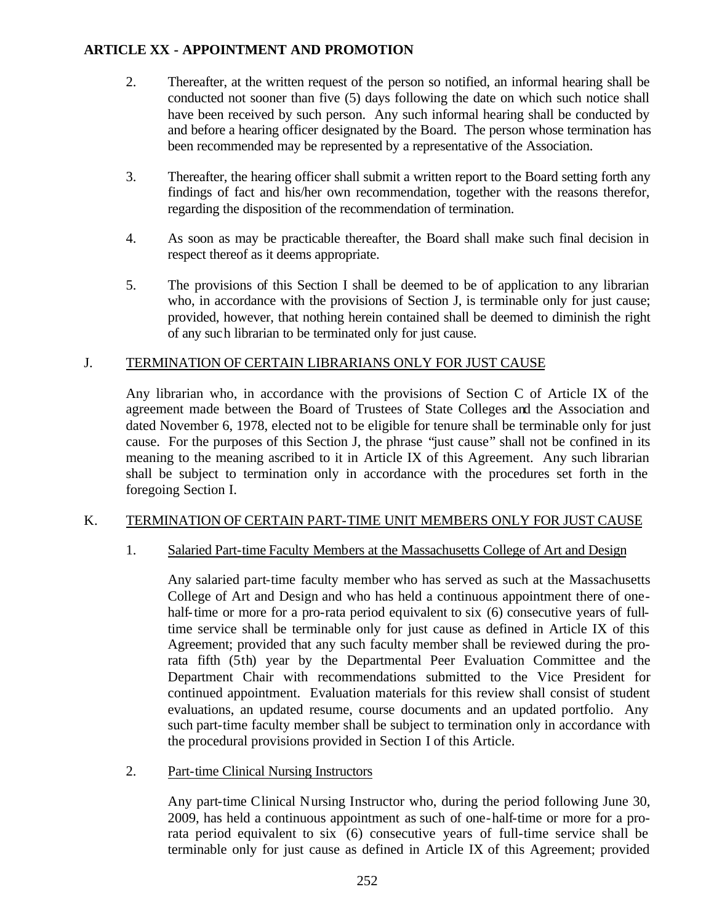- 2. Thereafter, at the written request of the person so notified, an informal hearing shall be conducted not sooner than five (5) days following the date on which such notice shall have been received by such person. Any such informal hearing shall be conducted by and before a hearing officer designated by the Board. The person whose termination has been recommended may be represented by a representative of the Association.
- 3. Thereafter, the hearing officer shall submit a written report to the Board setting forth any findings of fact and his/her own recommendation, together with the reasons therefor, regarding the disposition of the recommendation of termination.
- 4. As soon as may be practicable thereafter, the Board shall make such final decision in respect thereof as it deems appropriate.
- 5. The provisions of this Section I shall be deemed to be of application to any librarian who, in accordance with the provisions of Section J, is terminable only for just cause; provided, however, that nothing herein contained shall be deemed to diminish the right of any such librarian to be terminated only for just cause.

## J. TERMINATION OF CERTAIN LIBRARIANS ONLY FOR JUST CAUSE

Any librarian who, in accordance with the provisions of Section C of Article IX of the agreement made between the Board of Trustees of State Colleges and the Association and dated November 6, 1978, elected not to be eligible for tenure shall be terminable only for just cause. For the purposes of this Section J, the phrase "just cause" shall not be confined in its meaning to the meaning ascribed to it in Article IX of this Agreement. Any such librarian shall be subject to termination only in accordance with the procedures set forth in the foregoing Section I.

## K. TERMINATION OF CERTAIN PART-TIME UNIT MEMBERS ONLY FOR JUST CAUSE

## 1. Salaried Part-time Faculty Members at the Massachusetts College of Art and Design

Any salaried part-time faculty member who has served as such at the Massachusetts College of Art and Design and who has held a continuous appointment there of onehalf-time or more for a pro-rata period equivalent to six (6) consecutive years of fulltime service shall be terminable only for just cause as defined in Article IX of this Agreement; provided that any such faculty member shall be reviewed during the prorata fifth (5th) year by the Departmental Peer Evaluation Committee and the Department Chair with recommendations submitted to the Vice President for continued appointment. Evaluation materials for this review shall consist of student evaluations, an updated resume, course documents and an updated portfolio. Any such part-time faculty member shall be subject to termination only in accordance with the procedural provisions provided in Section I of this Article.

## 2. Part-time Clinical Nursing Instructors

Any part-time Clinical Nursing Instructor who, during the period following June 30, 2009, has held a continuous appointment as such of one-half-time or more for a prorata period equivalent to six (6) consecutive years of full-time service shall be terminable only for just cause as defined in Article IX of this Agreement; provided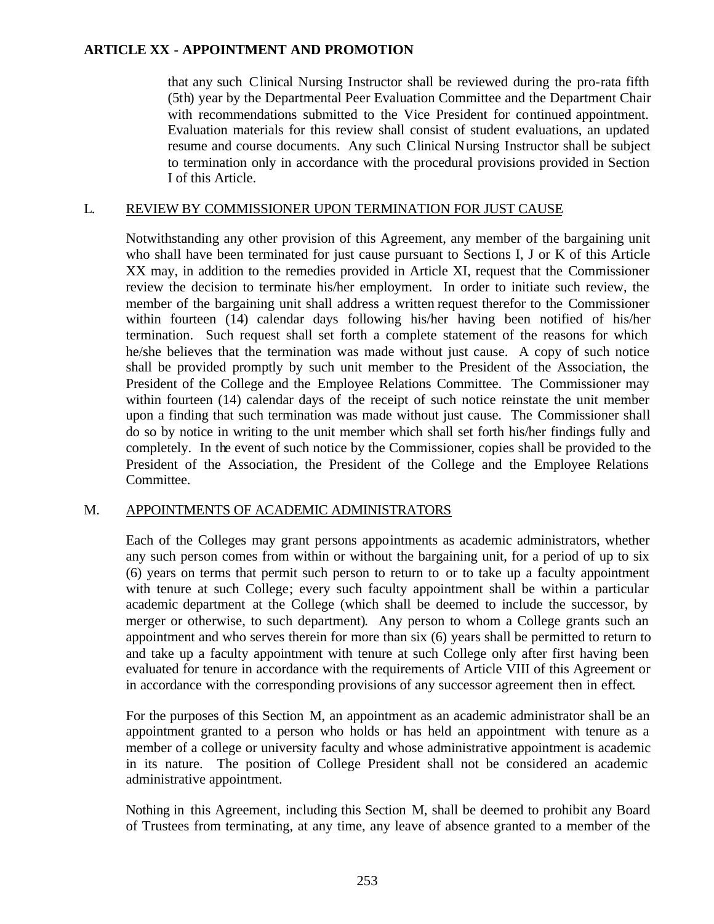that any such Clinical Nursing Instructor shall be reviewed during the pro-rata fifth (5th) year by the Departmental Peer Evaluation Committee and the Department Chair with recommendations submitted to the Vice President for continued appointment. Evaluation materials for this review shall consist of student evaluations, an updated resume and course documents. Any such Clinical Nursing Instructor shall be subject to termination only in accordance with the procedural provisions provided in Section I of this Article.

## L. REVIEW BY COMMISSIONER UPON TERMINATION FOR JUST CAUSE

Notwithstanding any other provision of this Agreement, any member of the bargaining unit who shall have been terminated for just cause pursuant to Sections I, J or K of this Article XX may, in addition to the remedies provided in Article XI, request that the Commissioner review the decision to terminate his/her employment. In order to initiate such review, the member of the bargaining unit shall address a written request therefor to the Commissioner within fourteen (14) calendar days following his/her having been notified of his/her termination. Such request shall set forth a complete statement of the reasons for which he/she believes that the termination was made without just cause. A copy of such notice shall be provided promptly by such unit member to the President of the Association, the President of the College and the Employee Relations Committee. The Commissioner may within fourteen (14) calendar days of the receipt of such notice reinstate the unit member upon a finding that such termination was made without just cause. The Commissioner shall do so by notice in writing to the unit member which shall set forth his/her findings fully and completely. In the event of such notice by the Commissioner, copies shall be provided to the President of the Association, the President of the College and the Employee Relations Committee.

#### M. APPOINTMENTS OF ACADEMIC ADMINISTRATORS

Each of the Colleges may grant persons appointments as academic administrators, whether any such person comes from within or without the bargaining unit, for a period of up to six (6) years on terms that permit such person to return to or to take up a faculty appointment with tenure at such College; every such faculty appointment shall be within a particular academic department at the College (which shall be deemed to include the successor, by merger or otherwise, to such department). Any person to whom a College grants such an appointment and who serves therein for more than six (6) years shall be permitted to return to and take up a faculty appointment with tenure at such College only after first having been evaluated for tenure in accordance with the requirements of Article VIII of this Agreement or in accordance with the corresponding provisions of any successor agreement then in effect.

For the purposes of this Section M, an appointment as an academic administrator shall be an appointment granted to a person who holds or has held an appointment with tenure as a member of a college or university faculty and whose administrative appointment is academic in its nature. The position of College President shall not be considered an academic administrative appointment.

Nothing in this Agreement, including this Section M, shall be deemed to prohibit any Board of Trustees from terminating, at any time, any leave of absence granted to a member of the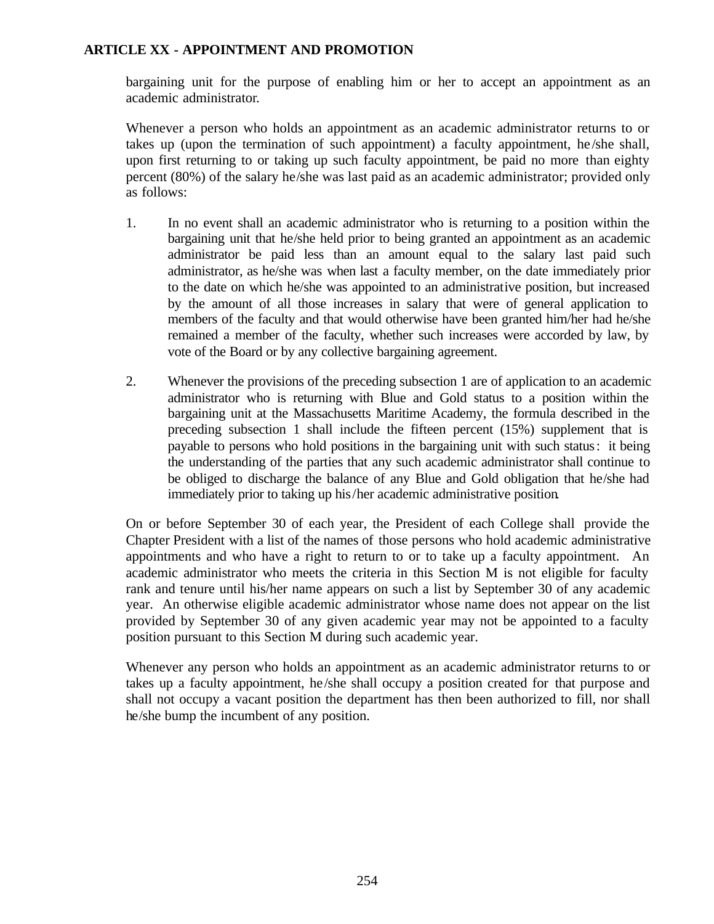bargaining unit for the purpose of enabling him or her to accept an appointment as an academic administrator.

Whenever a person who holds an appointment as an academic administrator returns to or takes up (upon the termination of such appointment) a faculty appointment, he /she shall, upon first returning to or taking up such faculty appointment, be paid no more than eighty percent (80%) of the salary he/she was last paid as an academic administrator; provided only as follows:

- 1. In no event shall an academic administrator who is returning to a position within the bargaining unit that he/she held prior to being granted an appointment as an academic administrator be paid less than an amount equal to the salary last paid such administrator, as he/she was when last a faculty member, on the date immediately prior to the date on which he/she was appointed to an administrative position, but increased by the amount of all those increases in salary that were of general application to members of the faculty and that would otherwise have been granted him/her had he/she remained a member of the faculty, whether such increases were accorded by law, by vote of the Board or by any collective bargaining agreement.
- 2. Whenever the provisions of the preceding subsection 1 are of application to an academic administrator who is returning with Blue and Gold status to a position within the bargaining unit at the Massachusetts Maritime Academy, the formula described in the preceding subsection 1 shall include the fifteen percent (15%) supplement that is payable to persons who hold positions in the bargaining unit with such status: it being the understanding of the parties that any such academic administrator shall continue to be obliged to discharge the balance of any Blue and Gold obligation that he/she had immediately prior to taking up his/her academic administrative position.

On or before September 30 of each year, the President of each College shall provide the Chapter President with a list of the names of those persons who hold academic administrative appointments and who have a right to return to or to take up a faculty appointment. An academic administrator who meets the criteria in this Section M is not eligible for faculty rank and tenure until his/her name appears on such a list by September 30 of any academic year. An otherwise eligible academic administrator whose name does not appear on the list provided by September 30 of any given academic year may not be appointed to a faculty position pursuant to this Section M during such academic year.

Whenever any person who holds an appointment as an academic administrator returns to or takes up a faculty appointment, he /she shall occupy a position created for that purpose and shall not occupy a vacant position the department has then been authorized to fill, nor shall he/she bump the incumbent of any position.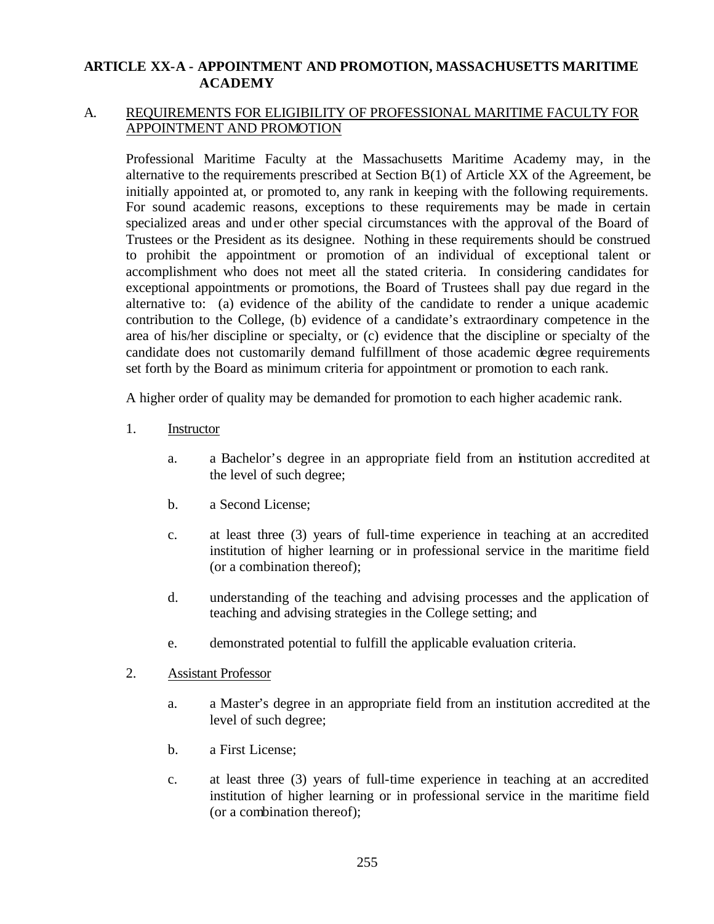## A. REQUIREMENTS FOR ELIGIBILITY OF PROFESSIONAL MARITIME FACULTY FOR APPOINTMENT AND PROMOTION

Professional Maritime Faculty at the Massachusetts Maritime Academy may, in the alternative to the requirements prescribed at Section B(1) of Article XX of the Agreement, be initially appointed at, or promoted to, any rank in keeping with the following requirements. For sound academic reasons, exceptions to these requirements may be made in certain specialized areas and under other special circumstances with the approval of the Board of Trustees or the President as its designee. Nothing in these requirements should be construed to prohibit the appointment or promotion of an individual of exceptional talent or accomplishment who does not meet all the stated criteria. In considering candidates for exceptional appointments or promotions, the Board of Trustees shall pay due regard in the alternative to: (a) evidence of the ability of the candidate to render a unique academic contribution to the College, (b) evidence of a candidate's extraordinary competence in the area of his/her discipline or specialty, or (c) evidence that the discipline or specialty of the candidate does not customarily demand fulfillment of those academic degree requirements set forth by the Board as minimum criteria for appointment or promotion to each rank.

A higher order of quality may be demanded for promotion to each higher academic rank.

- 1. Instructor
	- a. a Bachelor's degree in an appropriate field from an institution accredited at the level of such degree;
	- b. a Second License;
	- c. at least three (3) years of full-time experience in teaching at an accredited institution of higher learning or in professional service in the maritime field (or a combination thereof);
	- d. understanding of the teaching and advising processes and the application of teaching and advising strategies in the College setting; and
	- e. demonstrated potential to fulfill the applicable evaluation criteria.

#### 2. Assistant Professor

- a. a Master's degree in an appropriate field from an institution accredited at the level of such degree;
- b. a First License;
- c. at least three (3) years of full-time experience in teaching at an accredited institution of higher learning or in professional service in the maritime field (or a combination thereof);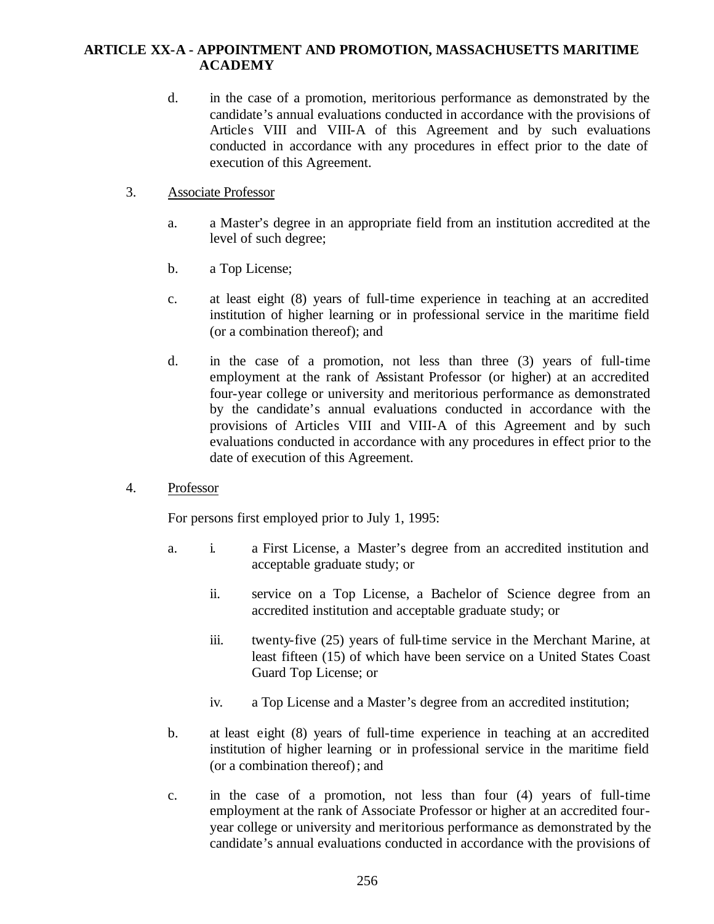- d. in the case of a promotion, meritorious performance as demonstrated by the candidate's annual evaluations conducted in accordance with the provisions of Articles VIII and VIII-A of this Agreement and by such evaluations conducted in accordance with any procedures in effect prior to the date of execution of this Agreement.
- 3. Associate Professor
	- a. a Master's degree in an appropriate field from an institution accredited at the level of such degree;
	- b. a Top License;
	- c. at least eight (8) years of full-time experience in teaching at an accredited institution of higher learning or in professional service in the maritime field (or a combination thereof); and
	- d. in the case of a promotion, not less than three (3) years of full-time employment at the rank of Assistant Professor (or higher) at an accredited four-year college or university and meritorious performance as demonstrated by the candidate's annual evaluations conducted in accordance with the provisions of Articles VIII and VIII-A of this Agreement and by such evaluations conducted in accordance with any procedures in effect prior to the date of execution of this Agreement.
- 4. Professor

For persons first employed prior to July 1, 1995:

- a. i. a First License, a Master's degree from an accredited institution and acceptable graduate study; or
	- ii. service on a Top License, a Bachelor of Science degree from an accredited institution and acceptable graduate study; or
	- iii. twenty-five (25) years of full-time service in the Merchant Marine, at least fifteen (15) of which have been service on a United States Coast Guard Top License; or
	- iv. a Top License and a Master's degree from an accredited institution;
- b. at least eight (8) years of full-time experience in teaching at an accredited institution of higher learning or in professional service in the maritime field (or a combination thereof); and
- c. in the case of a promotion, not less than four (4) years of full-time employment at the rank of Associate Professor or higher at an accredited fouryear college or university and meritorious performance as demonstrated by the candidate's annual evaluations conducted in accordance with the provisions of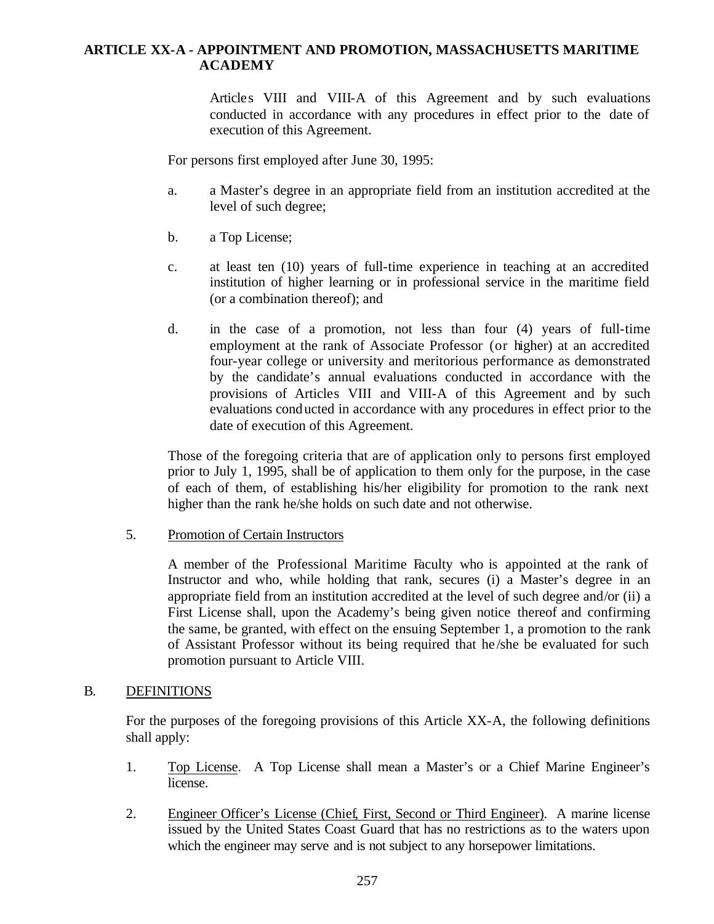Articles VIII and VIII-A of this Agreement and by such evaluations conducted in accordance with any procedures in effect prior to the date of execution of this Agreement.

For persons first employed after June 30, 1995:

- a. a Master's degree in an appropriate field from an institution accredited at the level of such degree;
- b. a Top License;
- c. at least ten (10) years of full-time experience in teaching at an accredited institution of higher learning or in professional service in the maritime field (or a combination thereof); and
- d. in the case of a promotion, not less than four (4) years of full-time employment at the rank of Associate Professor (or higher) at an accredited four-year college or university and meritorious performance as demonstrated by the candidate's annual evaluations conducted in accordance with the provisions of Articles VIII and VIII-A of this Agreement and by such evaluations conducted in accordance with any procedures in effect prior to the date of execution of this Agreement.

Those of the foregoing criteria that are of application only to persons first employed prior to July 1, 1995, shall be of application to them only for the purpose, in the case of each of them, of establishing his/her eligibility for promotion to the rank next higher than the rank he/she holds on such date and not otherwise.

5. Promotion of Certain Instructors

A member of the Professional Maritime Faculty who is appointed at the rank of Instructor and who, while holding that rank, secures (i) a Master's degree in an appropriate field from an institution accredited at the level of such degree and/or (ii) a First License shall, upon the Academy's being given notice thereof and confirming the same, be granted, with effect on the ensuing September 1, a promotion to the rank of Assistant Professor without its being required that he /she be evaluated for such promotion pursuant to Article VIII.

#### B. DEFINITIONS

For the purposes of the foregoing provisions of this Article XX-A, the following definitions shall apply:

- 1. Top License. A Top License shall mean a Master's or a Chief Marine Engineer's license.
- 2. Engineer Officer's License (Chief, First, Second or Third Engineer). A marine license issued by the United States Coast Guard that has no restrictions as to the waters upon which the engineer may serve and is not subject to any horsepower limitations.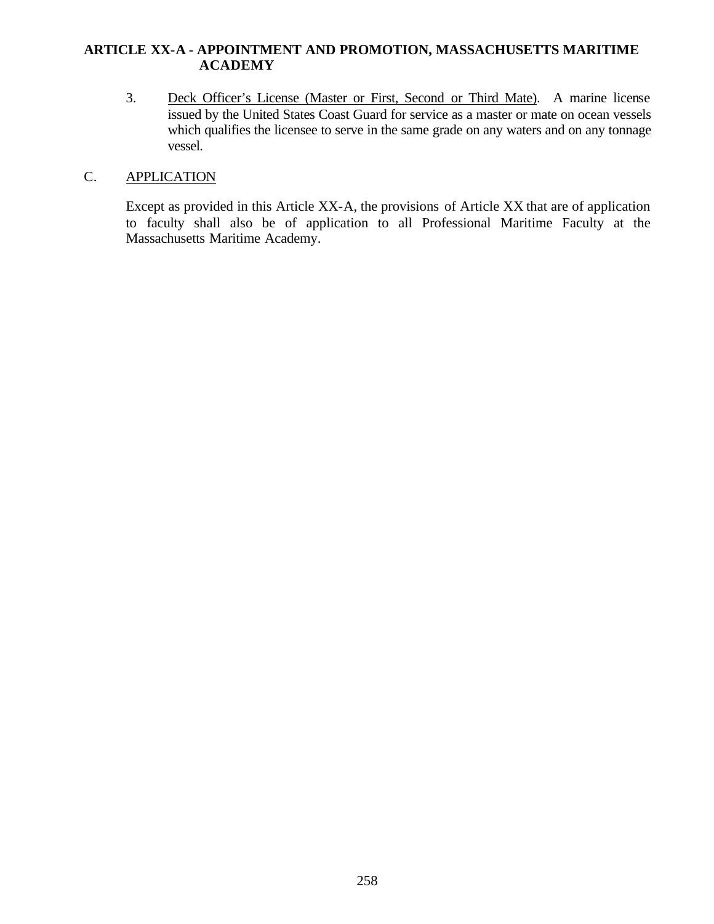3. Deck Officer's License (Master or First, Second or Third Mate). A marine license issued by the United States Coast Guard for service as a master or mate on ocean vessels which qualifies the licensee to serve in the same grade on any waters and on any tonnage vessel.

## C. APPLICATION

Except as provided in this Article XX-A, the provisions of Article XX that are of application to faculty shall also be of application to all Professional Maritime Faculty at the Massachusetts Maritime Academy.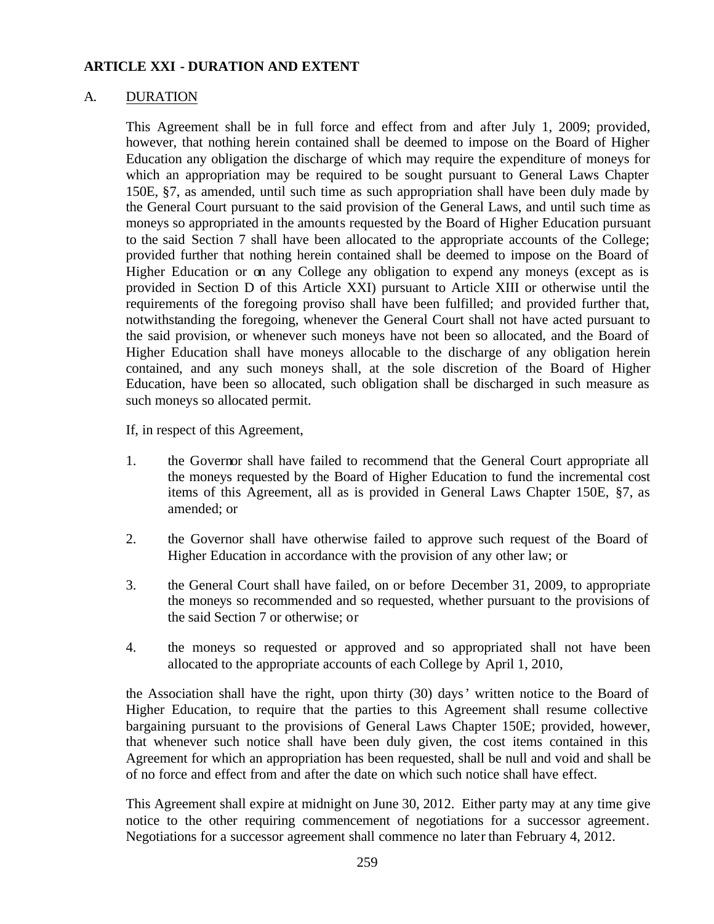### **ARTICLE XXI - DURATION AND EXTENT**

#### A. DURATION

This Agreement shall be in full force and effect from and after July 1, 2009; provided, however, that nothing herein contained shall be deemed to impose on the Board of Higher Education any obligation the discharge of which may require the expenditure of moneys for which an appropriation may be required to be sought pursuant to General Laws Chapter 150E, §7, as amended, until such time as such appropriation shall have been duly made by the General Court pursuant to the said provision of the General Laws, and until such time as moneys so appropriated in the amounts requested by the Board of Higher Education pursuant to the said Section 7 shall have been allocated to the appropriate accounts of the College; provided further that nothing herein contained shall be deemed to impose on the Board of Higher Education or on any College any obligation to expend any moneys (except as is provided in Section D of this Article XXI) pursuant to Article XIII or otherwise until the requirements of the foregoing proviso shall have been fulfilled; and provided further that, notwithstanding the foregoing, whenever the General Court shall not have acted pursuant to the said provision, or whenever such moneys have not been so allocated, and the Board of Higher Education shall have moneys allocable to the discharge of any obligation herein contained, and any such moneys shall, at the sole discretion of the Board of Higher Education, have been so allocated, such obligation shall be discharged in such measure as such moneys so allocated permit.

If, in respect of this Agreement,

- 1. the Governor shall have failed to recommend that the General Court appropriate all the moneys requested by the Board of Higher Education to fund the incremental cost items of this Agreement, all as is provided in General Laws Chapter 150E, §7, as amended; or
- 2. the Governor shall have otherwise failed to approve such request of the Board of Higher Education in accordance with the provision of any other law; or
- 3. the General Court shall have failed, on or before December 31, 2009, to appropriate the moneys so recommended and so requested, whether pursuant to the provisions of the said Section 7 or otherwise; or
- 4. the moneys so requested or approved and so appropriated shall not have been allocated to the appropriate accounts of each College by April 1, 2010,

the Association shall have the right, upon thirty (30) days' written notice to the Board of Higher Education, to require that the parties to this Agreement shall resume collective bargaining pursuant to the provisions of General Laws Chapter 150E; provided, however, that whenever such notice shall have been duly given, the cost items contained in this Agreement for which an appropriation has been requested, shall be null and void and shall be of no force and effect from and after the date on which such notice shall have effect.

This Agreement shall expire at midnight on June 30, 2012. Either party may at any time give notice to the other requiring commencement of negotiations for a successor agreement. Negotiations for a successor agreement shall commence no later than February 4, 2012.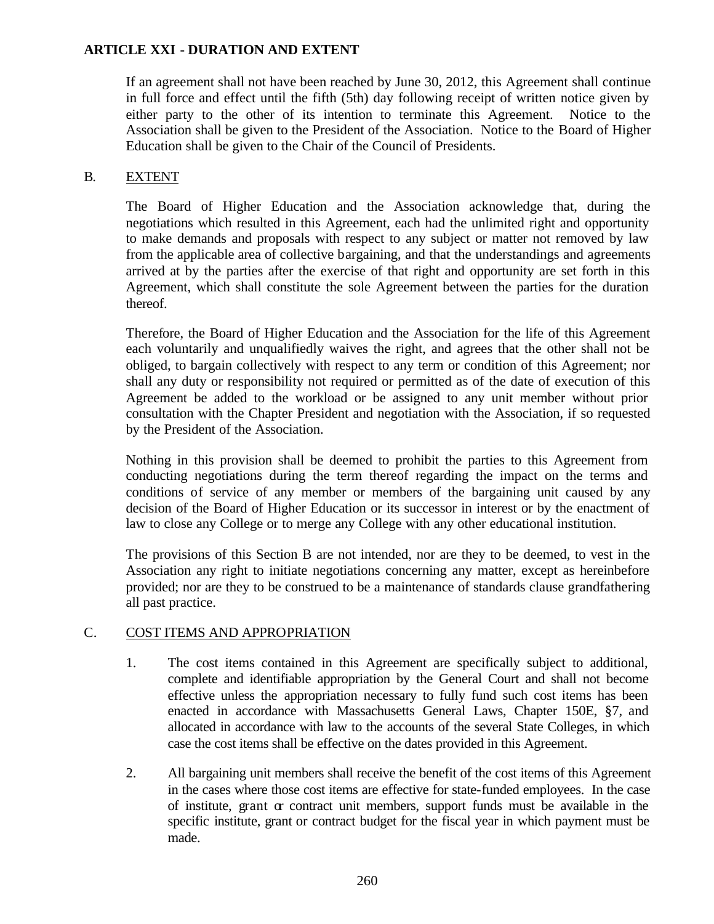## **ARTICLE XXI - DURATION AND EXTENT**

If an agreement shall not have been reached by June 30, 2012, this Agreement shall continue in full force and effect until the fifth (5th) day following receipt of written notice given by either party to the other of its intention to terminate this Agreement. Notice to the Association shall be given to the President of the Association. Notice to the Board of Higher Education shall be given to the Chair of the Council of Presidents.

## B. EXTENT

The Board of Higher Education and the Association acknowledge that, during the negotiations which resulted in this Agreement, each had the unlimited right and opportunity to make demands and proposals with respect to any subject or matter not removed by law from the applicable area of collective bargaining, and that the understandings and agreements arrived at by the parties after the exercise of that right and opportunity are set forth in this Agreement, which shall constitute the sole Agreement between the parties for the duration thereof.

Therefore, the Board of Higher Education and the Association for the life of this Agreement each voluntarily and unqualifiedly waives the right, and agrees that the other shall not be obliged, to bargain collectively with respect to any term or condition of this Agreement; nor shall any duty or responsibility not required or permitted as of the date of execution of this Agreement be added to the workload or be assigned to any unit member without prior consultation with the Chapter President and negotiation with the Association, if so requested by the President of the Association.

Nothing in this provision shall be deemed to prohibit the parties to this Agreement from conducting negotiations during the term thereof regarding the impact on the terms and conditions of service of any member or members of the bargaining unit caused by any decision of the Board of Higher Education or its successor in interest or by the enactment of law to close any College or to merge any College with any other educational institution.

The provisions of this Section B are not intended, nor are they to be deemed, to vest in the Association any right to initiate negotiations concerning any matter, except as hereinbefore provided; nor are they to be construed to be a maintenance of standards clause grandfathering all past practice.

## C. COST ITEMS AND APPROPRIATION

- 1. The cost items contained in this Agreement are specifically subject to additional, complete and identifiable appropriation by the General Court and shall not become effective unless the appropriation necessary to fully fund such cost items has been enacted in accordance with Massachusetts General Laws, Chapter 150E, §7, and allocated in accordance with law to the accounts of the several State Colleges, in which case the cost items shall be effective on the dates provided in this Agreement.
- 2. All bargaining unit members shall receive the benefit of the cost items of this Agreement in the cases where those cost items are effective for state-funded employees. In the case of institute, grant  $\alpha$  contract unit members, support funds must be available in the specific institute, grant or contract budget for the fiscal year in which payment must be made.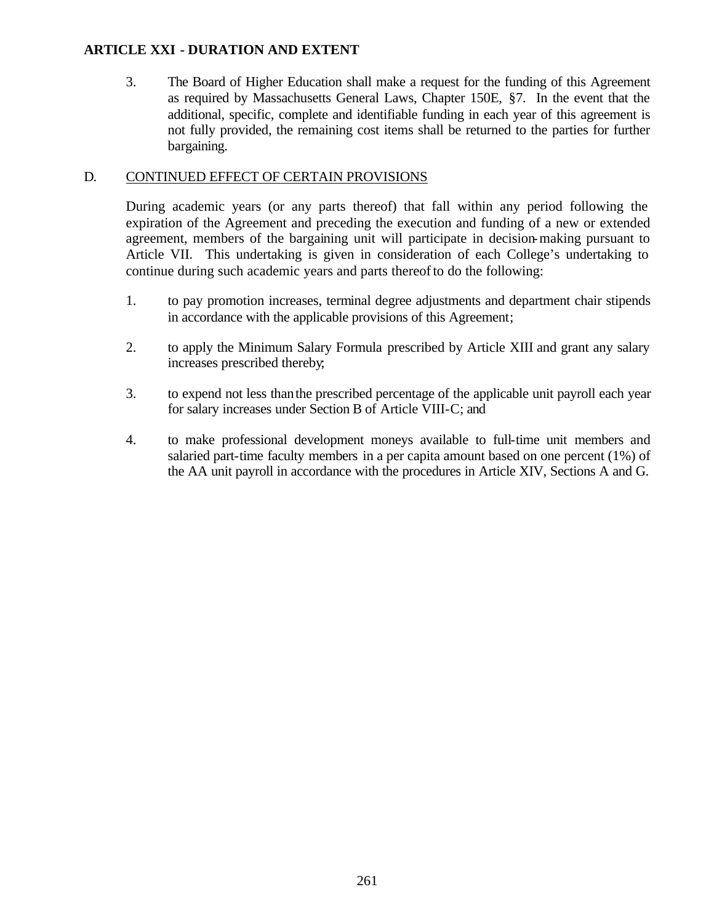## **ARTICLE XXI - DURATION AND EXTENT**

3. The Board of Higher Education shall make a request for the funding of this Agreement as required by Massachusetts General Laws, Chapter 150E, §7. In the event that the additional, specific, complete and identifiable funding in each year of this agreement is not fully provided, the remaining cost items shall be returned to the parties for further bargaining.

## D. CONTINUED EFFECT OF CERTAIN PROVISIONS

During academic years (or any parts thereof) that fall within any period following the expiration of the Agreement and preceding the execution and funding of a new or extended agreement, members of the bargaining unit will participate in decision-making pursuant to Article VII. This undertaking is given in consideration of each College's undertaking to continue during such academic years and parts thereof to do the following:

- 1. to pay promotion increases, terminal degree adjustments and department chair stipends in accordance with the applicable provisions of this Agreement;
- 2. to apply the Minimum Salary Formula prescribed by Article XIII and grant any salary increases prescribed thereby;
- 3. to expend not less thanthe prescribed percentage of the applicable unit payroll each year for salary increases under Section B of Article VIII-C; and
- 4. to make professional development moneys available to full-time unit members and salaried part-time faculty members in a per capita amount based on one percent (1%) of the AA unit payroll in accordance with the procedures in Article XIV, Sections A and G.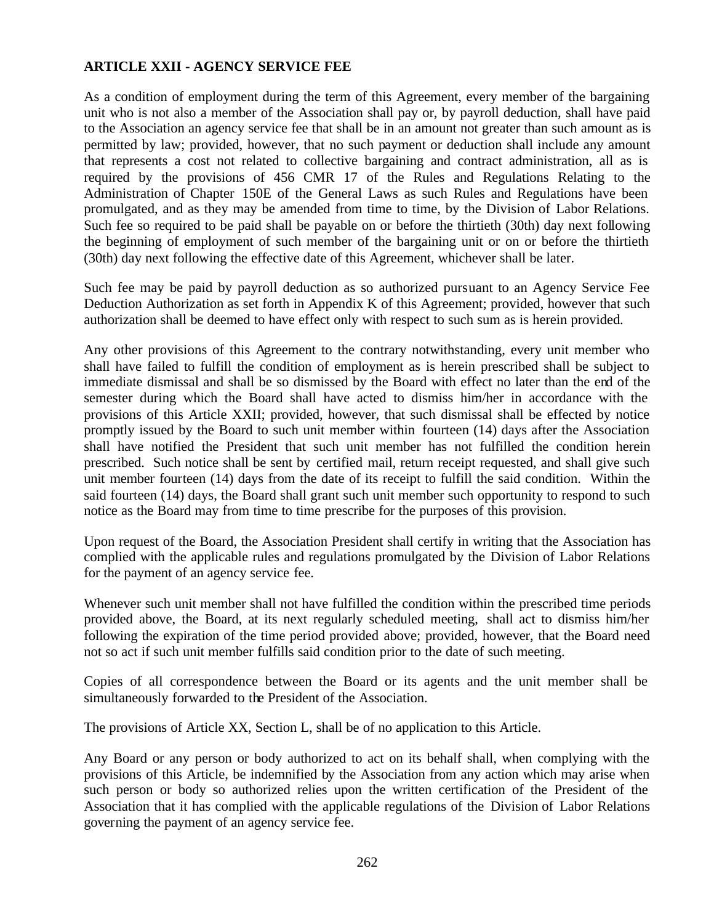## **ARTICLE XXII - AGENCY SERVICE FEE**

As a condition of employment during the term of this Agreement, every member of the bargaining unit who is not also a member of the Association shall pay or, by payroll deduction, shall have paid to the Association an agency service fee that shall be in an amount not greater than such amount as is permitted by law; provided, however, that no such payment or deduction shall include any amount that represents a cost not related to collective bargaining and contract administration, all as is required by the provisions of 456 CMR 17 of the Rules and Regulations Relating to the Administration of Chapter 150E of the General Laws as such Rules and Regulations have been promulgated, and as they may be amended from time to time, by the Division of Labor Relations. Such fee so required to be paid shall be payable on or before the thirtieth (30th) day next following the beginning of employment of such member of the bargaining unit or on or before the thirtieth (30th) day next following the effective date of this Agreement, whichever shall be later.

Such fee may be paid by payroll deduction as so authorized pursuant to an Agency Service Fee Deduction Authorization as set forth in Appendix K of this Agreement; provided, however that such authorization shall be deemed to have effect only with respect to such sum as is herein provided.

Any other provisions of this Agreement to the contrary notwithstanding, every unit member who shall have failed to fulfill the condition of employment as is herein prescribed shall be subject to immediate dismissal and shall be so dismissed by the Board with effect no later than the end of the semester during which the Board shall have acted to dismiss him/her in accordance with the provisions of this Article XXII; provided, however, that such dismissal shall be effected by notice promptly issued by the Board to such unit member within fourteen (14) days after the Association shall have notified the President that such unit member has not fulfilled the condition herein prescribed. Such notice shall be sent by certified mail, return receipt requested, and shall give such unit member fourteen (14) days from the date of its receipt to fulfill the said condition. Within the said fourteen (14) days, the Board shall grant such unit member such opportunity to respond to such notice as the Board may from time to time prescribe for the purposes of this provision.

Upon request of the Board, the Association President shall certify in writing that the Association has complied with the applicable rules and regulations promulgated by the Division of Labor Relations for the payment of an agency service fee.

Whenever such unit member shall not have fulfilled the condition within the prescribed time periods provided above, the Board, at its next regularly scheduled meeting, shall act to dismiss him/her following the expiration of the time period provided above; provided, however, that the Board need not so act if such unit member fulfills said condition prior to the date of such meeting.

Copies of all correspondence between the Board or its agents and the unit member shall be simultaneously forwarded to the President of the Association.

The provisions of Article XX, Section L, shall be of no application to this Article.

Any Board or any person or body authorized to act on its behalf shall, when complying with the provisions of this Article, be indemnified by the Association from any action which may arise when such person or body so authorized relies upon the written certification of the President of the Association that it has complied with the applicable regulations of the Division of Labor Relations governing the payment of an agency service fee.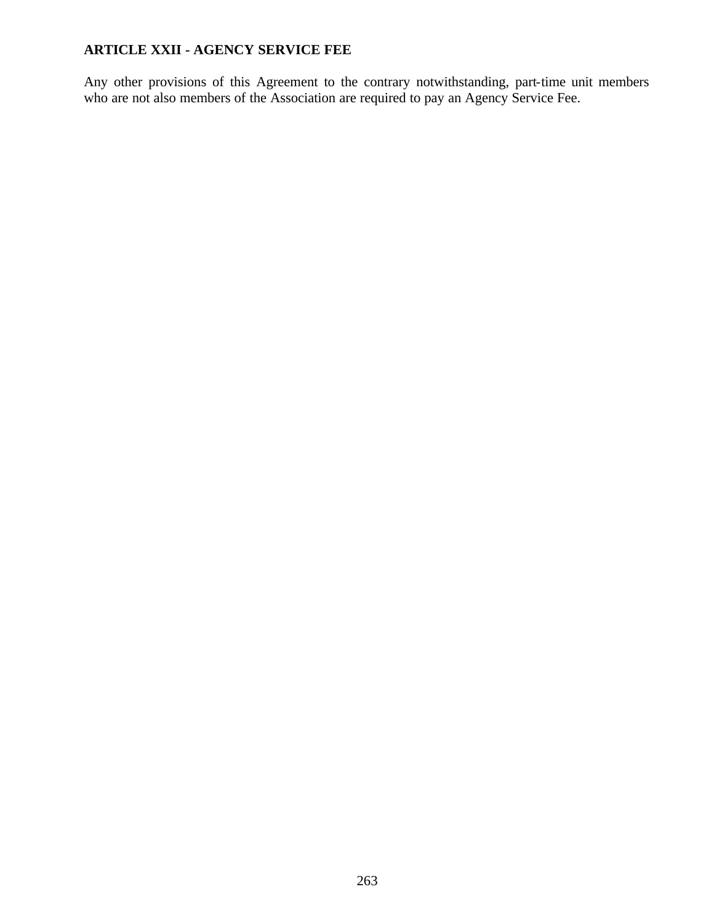# **ARTICLE XXII - AGENCY SERVICE FEE**

Any other provisions of this Agreement to the contrary notwithstanding, part-time unit members who are not also members of the Association are required to pay an Agency Service Fee.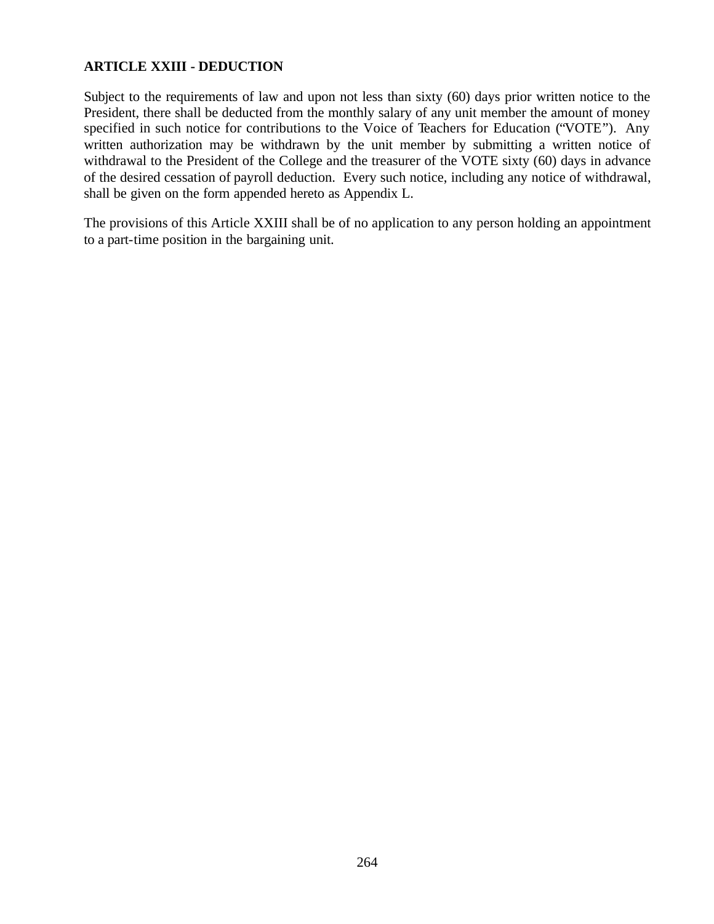## **ARTICLE XXIII - DEDUCTION**

Subject to the requirements of law and upon not less than sixty (60) days prior written notice to the President, there shall be deducted from the monthly salary of any unit member the amount of money specified in such notice for contributions to the Voice of Teachers for Education ("VOTE"). Any written authorization may be withdrawn by the unit member by submitting a written notice of withdrawal to the President of the College and the treasurer of the VOTE sixty (60) days in advance of the desired cessation of payroll deduction. Every such notice, including any notice of withdrawal, shall be given on the form appended hereto as Appendix L.

The provisions of this Article XXIII shall be of no application to any person holding an appointment to a part-time position in the bargaining unit.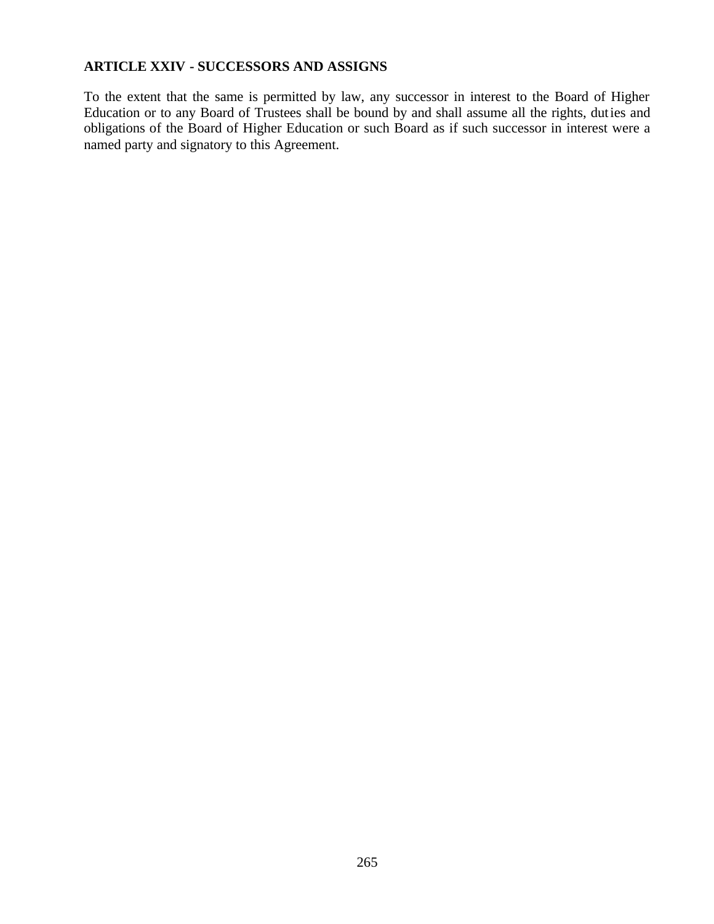# **ARTICLE XXIV - SUCCESSORS AND ASSIGNS**

To the extent that the same is permitted by law, any successor in interest to the Board of Higher Education or to any Board of Trustees shall be bound by and shall assume all the rights, duties and obligations of the Board of Higher Education or such Board as if such successor in interest were a named party and signatory to this Agreement.